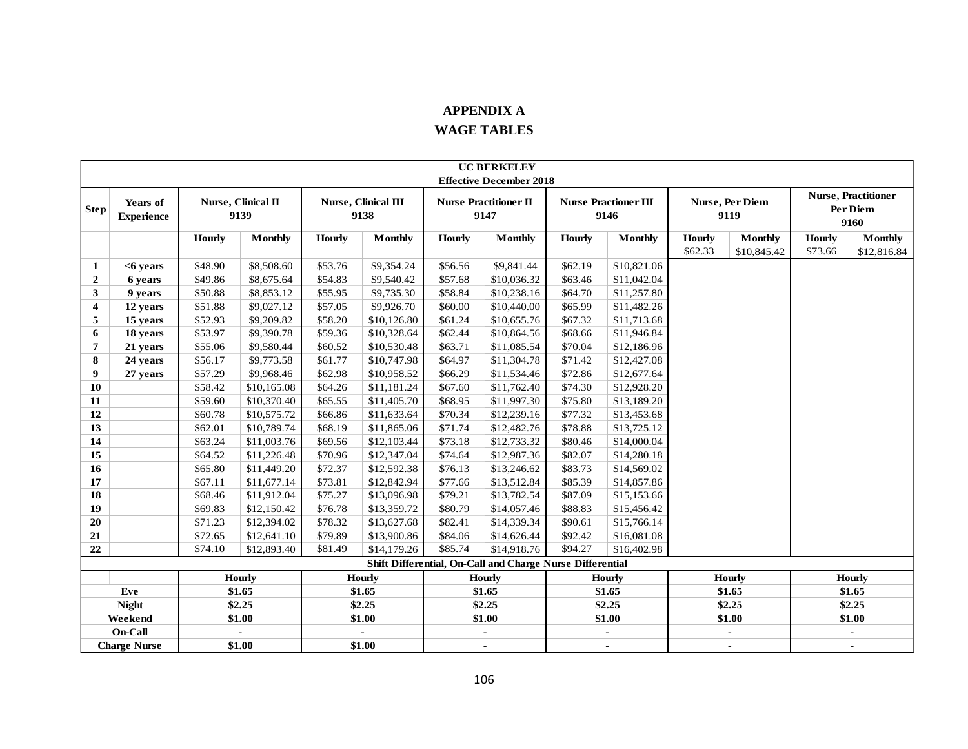## **APPENDIX A**

## **WAGE TABLES**

|                         | <b>UC BERKELEY</b>            |               |                                   |               |                             |               |                                                           |         |                                     |               |                                |               |                                                |
|-------------------------|-------------------------------|---------------|-----------------------------------|---------------|-----------------------------|---------------|-----------------------------------------------------------|---------|-------------------------------------|---------------|--------------------------------|---------------|------------------------------------------------|
|                         |                               |               |                                   |               |                             |               | <b>Effective December 2018</b>                            |         |                                     |               |                                |               |                                                |
| Step                    | Years of<br><b>Experience</b> |               | <b>Nurse, Clinical II</b><br>9139 |               | Nurse, Clinical III<br>9138 |               | <b>Nurse Practitioner II</b><br>9147                      |         | <b>Nurse Practioner III</b><br>9146 |               | <b>Nurse, Per Diem</b><br>9119 |               | <b>Nurse, Practitioner</b><br>Per Diem<br>9160 |
|                         |                               | <b>Hourly</b> | <b>Monthly</b>                    | <b>Hourly</b> | <b>Monthly</b>              | <b>Hourly</b> | <b>Monthly</b>                                            | Hourly  | <b>Monthly</b>                      | <b>Hourly</b> | <b>Monthly</b>                 | <b>Hourly</b> | <b>Monthly</b>                                 |
|                         |                               |               |                                   |               |                             |               |                                                           |         |                                     | \$62.33       | \$10,845.42                    | \$73.66       | \$12,816.84                                    |
| 1                       | <6 years                      | \$48.90       | \$8,508.60                        | \$53.76       | \$9,354.24                  | \$56.56       | \$9,841.44                                                | \$62.19 | \$10,821.06                         |               |                                |               |                                                |
| $\boldsymbol{2}$        | 6 years                       | \$49.86       | \$8,675.64                        | \$54.83       | \$9,540.42                  | \$57.68       | \$10,036.32                                               | \$63.46 | \$11,042.04                         |               |                                |               |                                                |
| 3                       | 9 years                       | \$50.88       | \$8,853.12                        | \$55.95       | \$9,735.30                  | \$58.84       | \$10,238.16                                               | \$64.70 | \$11,257.80                         |               |                                |               |                                                |
| $\overline{\mathbf{4}}$ | 12 years                      | \$51.88       | \$9,027.12                        | \$57.05       | \$9,926.70                  | \$60.00       | \$10,440.00                                               | \$65.99 | \$11,482.26                         |               |                                |               |                                                |
| 5                       | 15 years                      | \$52.93       | \$9,209.82                        | \$58.20       | \$10,126.80                 | \$61.24       | \$10,655.76                                               | \$67.32 | \$11,713.68                         |               |                                |               |                                                |
| 6                       | 18 years                      | \$53.97       | \$9,390.78                        | \$59.36       | \$10,328.64                 | \$62.44       | \$10,864.56                                               | \$68.66 | \$11,946.84                         |               |                                |               |                                                |
| $\overline{7}$          | 21 years                      | \$55.06       | \$9,580.44                        | \$60.52       | \$10,530.48                 | \$63.71       | \$11,085.54                                               | \$70.04 | \$12,186.96                         |               |                                |               |                                                |
| 8                       | 24 years                      | \$56.17       | \$9,773.58                        | \$61.77       | \$10,747.98                 | \$64.97       | \$11,304.78                                               | \$71.42 | \$12,427.08                         |               |                                |               |                                                |
| 9                       | 27 years                      | \$57.29       | \$9,968.46                        | \$62.98       | \$10,958.52                 | \$66.29       | \$11,534.46                                               | \$72.86 | \$12,677.64                         |               |                                |               |                                                |
| 10                      |                               | \$58.42       | \$10,165.08                       | \$64.26       | \$11,181.24                 | \$67.60       | \$11,762.40                                               | \$74.30 | \$12,928.20                         |               |                                |               |                                                |
| 11                      |                               | \$59.60       | \$10,370.40                       | \$65.55       | \$11,405.70                 | \$68.95       | \$11,997.30                                               | \$75.80 | \$13,189.20                         |               |                                |               |                                                |
| 12                      |                               | \$60.78       | \$10,575.72                       | \$66.86       | \$11,633.64                 | \$70.34       | \$12,239.16                                               | \$77.32 | \$13,453.68                         |               |                                |               |                                                |
| 13                      |                               | \$62.01       | \$10,789.74                       | \$68.19       | \$11,865.06                 | \$71.74       | \$12,482.76                                               | \$78.88 | \$13,725.12                         |               |                                |               |                                                |
| 14                      |                               | \$63.24       | \$11,003.76                       | \$69.56       | \$12,103.44                 | \$73.18       | \$12,733.32                                               | \$80.46 | \$14,000.04                         |               |                                |               |                                                |
| 15                      |                               | \$64.52       | \$11,226.48                       | \$70.96       | \$12,347.04                 | \$74.64       | \$12,987.36                                               | \$82.07 | \$14,280.18                         |               |                                |               |                                                |
| 16                      |                               | \$65.80       | \$11,449.20                       | \$72.37       | \$12,592.38                 | \$76.13       | \$13,246.62                                               | \$83.73 | \$14,569.02                         |               |                                |               |                                                |
| 17                      |                               | \$67.11       | \$11,677.14                       | \$73.81       | \$12,842.94                 | \$77.66       | \$13,512.84                                               | \$85.39 | \$14,857.86                         |               |                                |               |                                                |
| 18                      |                               | \$68.46       | \$11,912.04                       | \$75.27       | \$13,096.98                 | \$79.21       | \$13,782.54                                               | \$87.09 | \$15,153.66                         |               |                                |               |                                                |
| 19                      |                               | \$69.83       | \$12,150.42                       | \$76.78       | \$13,359.72                 | \$80.79       | \$14,057.46                                               | \$88.83 | \$15,456.42                         |               |                                |               |                                                |
| 20                      |                               | \$71.23       | \$12,394.02                       | \$78.32       | \$13,627.68                 | \$82.41       | \$14,339.34                                               | \$90.61 | \$15,766.14                         |               |                                |               |                                                |
| 21                      |                               | \$72.65       | \$12,641.10                       | \$79.89       | \$13,900.86                 | \$84.06       | \$14,626.44                                               | \$92.42 | \$16,081.08                         |               |                                |               |                                                |
| 22                      |                               | \$74.10       | \$12,893.40                       | \$81.49       | \$14,179.26                 | \$85.74       | \$14,918.76                                               | \$94.27 | \$16,402.98                         |               |                                |               |                                                |
|                         |                               |               |                                   |               |                             |               | Shift Differential, On-Call and Charge Nurse Differential |         |                                     |               |                                |               |                                                |
|                         |                               |               | <b>Hourly</b>                     |               | <b>Hourly</b>               |               | <b>Hourly</b>                                             |         | <b>Hourly</b>                       |               | <b>Hourly</b>                  |               | <b>Hourly</b>                                  |
|                         | Eve                           |               | \$1.65                            |               | \$1.65                      |               | \$1.65                                                    |         | \$1.65                              |               | \$1.65                         |               | \$1.65                                         |
|                         | <b>Night</b>                  |               | \$2.25                            |               | \$2.25                      |               | \$2.25                                                    |         | \$2.25                              |               | \$2.25                         |               | \$2.25                                         |
|                         | Weekend                       |               | \$1.00                            |               | \$1.00                      |               | \$1.00                                                    |         | \$1.00                              |               | \$1.00                         |               | \$1.00                                         |
|                         | <b>On-Call</b>                |               |                                   |               |                             |               |                                                           |         |                                     |               |                                |               |                                                |
|                         | <b>Charge Nurse</b>           |               | \$1.00                            |               | \$1.00                      |               | $\blacksquare$                                            |         | $\blacksquare$                      |               | $\blacksquare$                 |               | $\overline{\phantom{a}}$                       |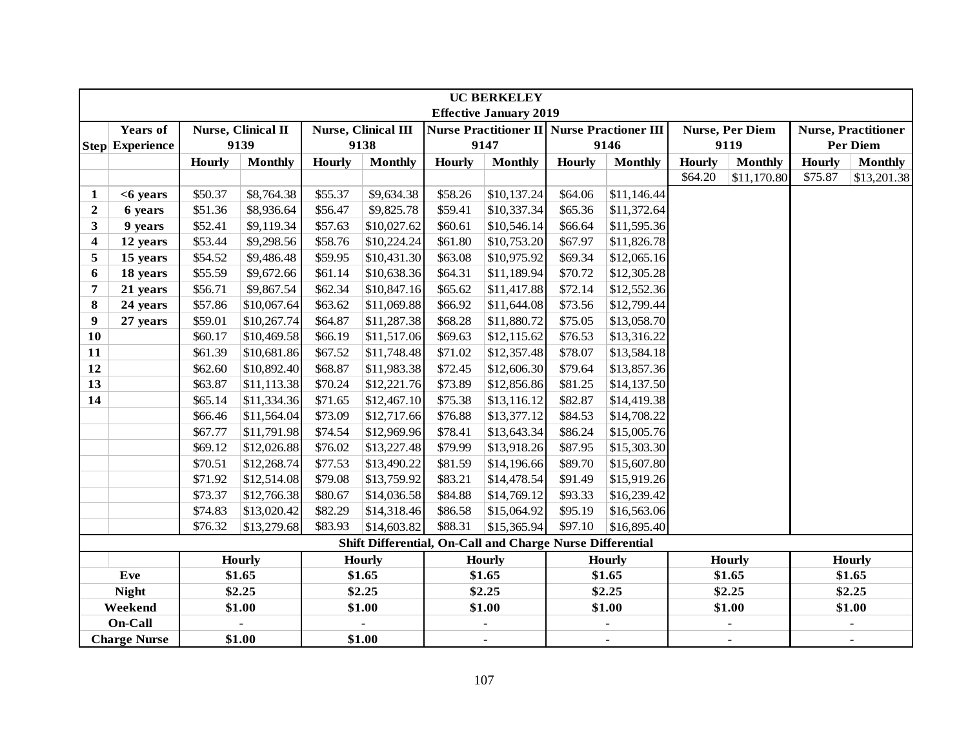|                |                        | <b>UC BERKELEY</b><br><b>Effective January 2019</b> |                    |               |                            |               |                                                           |               |                |               |                        |               |                            |
|----------------|------------------------|-----------------------------------------------------|--------------------|---------------|----------------------------|---------------|-----------------------------------------------------------|---------------|----------------|---------------|------------------------|---------------|----------------------------|
|                |                        |                                                     |                    |               |                            |               |                                                           |               |                |               |                        |               |                            |
|                | <b>Years of</b>        |                                                     | Nurse, Clinical II |               | <b>Nurse, Clinical III</b> |               | <b>Nurse Practitioner II Nurse Practioner III</b>         |               |                |               | <b>Nurse, Per Diem</b> |               | <b>Nurse, Practitioner</b> |
|                | <b>Step Experience</b> |                                                     | 9139               |               | 9138                       |               | 9147                                                      |               | 9146           |               | 9119                   |               | <b>Per Diem</b>            |
|                |                        | Hourly                                              | <b>Monthly</b>     | <b>Hourly</b> | <b>Monthly</b>             | <b>Hourly</b> | <b>Monthly</b>                                            | <b>Hourly</b> | <b>Monthly</b> | <b>Hourly</b> | <b>Monthly</b>         | <b>Hourly</b> | <b>Monthly</b>             |
|                |                        |                                                     |                    |               |                            |               |                                                           |               |                | \$64.20       | \$11,170.80            | \$75.87       | \$13,201.38                |
| 1              | $<$ 6 years            | \$50.37                                             | \$8,764.38         | \$55.37       | \$9,634.38                 | \$58.26       | \$10,137.24                                               | \$64.06       | \$11,146.44    |               |                        |               |                            |
| $\overline{2}$ | 6 years                | \$51.36                                             | \$8,936.64         | \$56.47       | \$9,825.78                 | \$59.41       | \$10,337.34                                               | \$65.36       | \$11,372.64    |               |                        |               |                            |
| 3              | 9 years                | \$52.41                                             | \$9,119.34         | \$57.63       | \$10,027.62                | \$60.61       | \$10,546.14                                               | \$66.64       | \$11,595.36    |               |                        |               |                            |
| 4              | 12 years               | \$53.44                                             | \$9,298.56         | \$58.76       | \$10,224.24                | \$61.80       | \$10,753.20                                               | \$67.97       | \$11,826.78    |               |                        |               |                            |
| 5              | 15 years               | \$54.52                                             | \$9,486.48         | \$59.95       | \$10,431.30                | \$63.08       | \$10,975.92                                               | \$69.34       | \$12,065.16    |               |                        |               |                            |
| 6              | 18 years               | \$55.59                                             | \$9,672.66         | \$61.14       | \$10,638.36                | \$64.31       | \$11,189.94                                               | \$70.72       | \$12,305.28    |               |                        |               |                            |
| 7              | 21 years               | \$56.71                                             | \$9,867.54         | \$62.34       | \$10,847.16                | \$65.62       | \$11,417.88                                               | \$72.14       | \$12,552.36    |               |                        |               |                            |
| 8              | 24 years               | \$57.86                                             | \$10,067.64        | \$63.62       | \$11,069.88                | \$66.92       | \$11,644.08                                               | \$73.56       | \$12,799.44    |               |                        |               |                            |
| 9              | 27 years               | \$59.01                                             | \$10,267.74        | \$64.87       | \$11,287.38                | \$68.28       | \$11,880.72                                               | \$75.05       | \$13,058.70    |               |                        |               |                            |
| 10             |                        | \$60.17                                             | \$10,469.58        | \$66.19       | \$11,517.06                | \$69.63       | \$12,115.62                                               | \$76.53       | \$13,316.22    |               |                        |               |                            |
| 11             |                        | \$61.39                                             | \$10,681.86        | \$67.52       | \$11,748.48                | \$71.02       | \$12,357.48                                               | \$78.07       | \$13,584.18    |               |                        |               |                            |
| 12             |                        | \$62.60                                             | \$10,892.40        | \$68.87       | \$11,983.38                | \$72.45       | \$12,606.30                                               | \$79.64       | \$13,857.36    |               |                        |               |                            |
| 13             |                        | \$63.87                                             | \$11,113.38        | \$70.24       | \$12,221.76                | \$73.89       | \$12,856.86                                               | \$81.25       | \$14,137.50    |               |                        |               |                            |
| 14             |                        | \$65.14                                             | \$11,334.36        | \$71.65       | \$12,467.10                | \$75.38       | \$13,116.12                                               | \$82.87       | \$14,419.38    |               |                        |               |                            |
|                |                        | \$66.46                                             | \$11,564.04        | \$73.09       | \$12,717.66                | \$76.88       | \$13,377.12                                               | \$84.53       | \$14,708.22    |               |                        |               |                            |
|                |                        | \$67.77                                             | \$11,791.98        | \$74.54       | \$12,969.96                | \$78.41       | \$13,643.34                                               | \$86.24       | \$15,005.76    |               |                        |               |                            |
|                |                        | \$69.12                                             | \$12,026.88        | \$76.02       | \$13,227.48                | \$79.99       | \$13,918.26                                               | \$87.95       | \$15,303.30    |               |                        |               |                            |
|                |                        | \$70.51                                             | \$12,268.74        | \$77.53       | \$13,490.22                | \$81.59       | \$14,196.66                                               | \$89.70       | \$15,607.80    |               |                        |               |                            |
|                |                        | \$71.92                                             | \$12,514.08        | \$79.08       | \$13,759.92                | \$83.21       | \$14,478.54                                               | \$91.49       | \$15,919.26    |               |                        |               |                            |
|                |                        | \$73.37                                             | \$12,766.38        | \$80.67       | \$14,036.58                | \$84.88       | \$14,769.12                                               | \$93.33       | \$16,239.42    |               |                        |               |                            |
|                |                        | \$74.83                                             | \$13,020.42        | \$82.29       | \$14,318.46                | \$86.58       | \$15,064.92                                               | \$95.19       | \$16,563.06    |               |                        |               |                            |
|                |                        | \$76.32                                             | \$13,279.68        | \$83.93       | \$14,603.82                | \$88.31       | \$15,365.94                                               | \$97.10       | \$16,895.40    |               |                        |               |                            |
|                |                        |                                                     |                    |               |                            |               | Shift Differential, On-Call and Charge Nurse Differential |               |                |               |                        |               |                            |
|                |                        |                                                     | <b>Hourly</b>      |               | <b>Hourly</b>              |               | <b>Hourly</b>                                             |               | <b>Hourly</b>  |               | <b>Hourly</b>          |               | <b>Hourly</b>              |
|                | Eve                    |                                                     | \$1.65             |               | \$1.65                     |               | \$1.65                                                    |               | \$1.65         |               | \$1.65                 |               | \$1.65                     |
|                | <b>Night</b>           |                                                     | \$2.25             |               | \$2.25                     |               | \$2.25                                                    |               | \$2.25         |               | \$2.25                 |               | \$2.25                     |
|                | Weekend                |                                                     | \$1.00             |               | \$1.00                     |               | \$1.00                                                    |               | \$1.00         |               | \$1.00                 |               | \$1.00                     |
|                | On-Call                |                                                     |                    |               |                            |               |                                                           |               |                |               |                        |               |                            |
|                | <b>Charge Nurse</b>    |                                                     | \$1.00             |               | \$1.00                     |               | $\blacksquare$                                            |               | $\blacksquare$ |               | $\blacksquare$         |               |                            |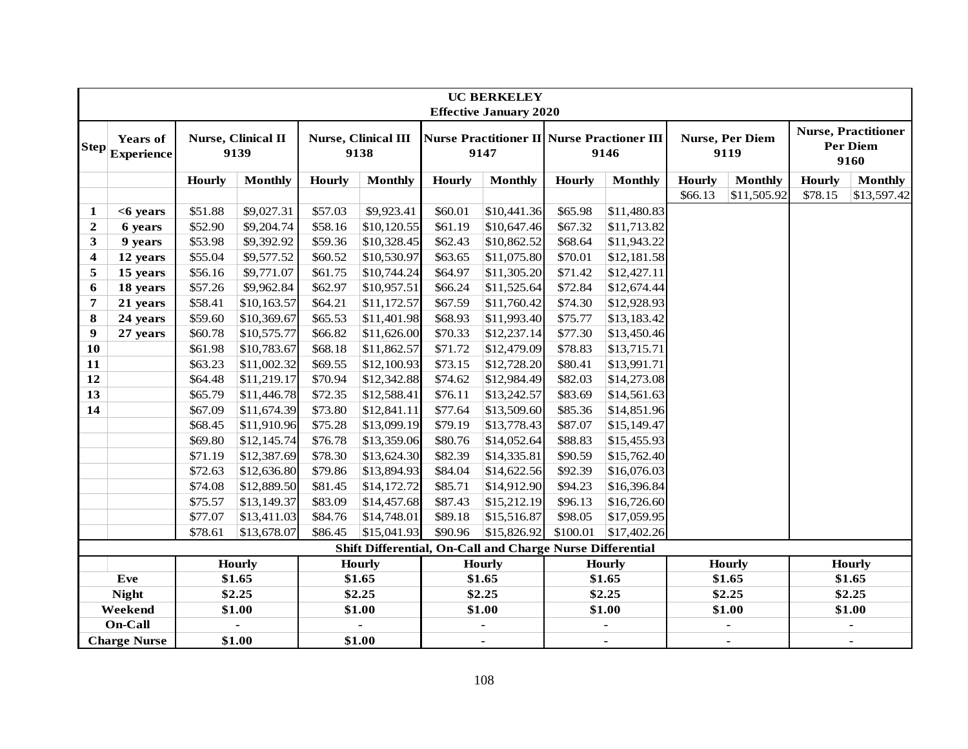|              |                               |               |                            |               |                                                           |               | <b>UC BERKELEY</b><br><b>Effective January 2020</b> |          |                                                           |               |                                |               |                                                       |
|--------------|-------------------------------|---------------|----------------------------|---------------|-----------------------------------------------------------|---------------|-----------------------------------------------------|----------|-----------------------------------------------------------|---------------|--------------------------------|---------------|-------------------------------------------------------|
| <b>Step</b>  | <b>Years of</b><br>Experience |               | Nurse, Clinical II<br>9139 |               | <b>Nurse, Clinical III</b><br>9138                        |               | 9147                                                |          | <b>Nurse Practitioner II Nurse Practioner III</b><br>9146 |               | <b>Nurse, Per Diem</b><br>9119 |               | <b>Nurse, Practitioner</b><br><b>Per Diem</b><br>9160 |
|              |                               | <b>Hourly</b> | <b>Monthly</b>             | <b>Hourly</b> | <b>Monthly</b>                                            | <b>Hourly</b> | <b>Monthly</b>                                      | Hourly   | <b>Monthly</b>                                            | <b>Hourly</b> | <b>Monthly</b>                 | <b>Hourly</b> | <b>Monthly</b>                                        |
|              |                               |               |                            |               |                                                           |               |                                                     |          |                                                           | \$66.13       | \$11,505.92                    | \$78.15       | \$13,597.42                                           |
| 1            | <6 years                      | \$51.88       | \$9,027.31                 | \$57.03       | \$9,923.41                                                | \$60.01       | \$10,441.36                                         | \$65.98  | \$11,480.83                                               |               |                                |               |                                                       |
| $\mathbf{2}$ | 6 years                       | \$52.90       | \$9,204.74                 | \$58.16       | \$10,120.55                                               | \$61.19       | \$10,647.46                                         | \$67.32  | \$11,713.82                                               |               |                                |               |                                                       |
| 3            | 9 years                       | \$53.98       | \$9,392.92                 | \$59.36       | \$10,328.45                                               | \$62.43       | \$10,862.52                                         | \$68.64  | \$11,943.22                                               |               |                                |               |                                                       |
| 4            | 12 years                      | \$55.04       | \$9,577.52                 | \$60.52       | \$10,530.97                                               | \$63.65       | \$11,075.80                                         | \$70.01  | \$12,181.58                                               |               |                                |               |                                                       |
| 5            | 15 years                      | \$56.16       | \$9,771.07                 | \$61.75       | \$10,744.24                                               | \$64.97       | \$11,305.20                                         | \$71.42  | \$12,427.11                                               |               |                                |               |                                                       |
| 6            | 18 years                      | \$57.26       | \$9,962.84                 | \$62.97       | \$10,957.51                                               | \$66.24       | \$11,525.64                                         | \$72.84  | \$12,674.44                                               |               |                                |               |                                                       |
| 7            | 21 years                      | \$58.41       | \$10,163.57                | \$64.21       | \$11,172.57                                               | \$67.59       | \$11,760.42                                         | \$74.30  | \$12,928.93                                               |               |                                |               |                                                       |
| 8            | 24 years                      | \$59.60       | \$10,369.67                | \$65.53       | \$11,401.98                                               | \$68.93       | \$11,993.40                                         | \$75.77  | \$13,183.42                                               |               |                                |               |                                                       |
| 9            | 27 years                      | \$60.78       | \$10,575.77                | \$66.82       | \$11,626.00                                               | \$70.33       | \$12,237.14                                         | \$77.30  | \$13,450.46                                               |               |                                |               |                                                       |
| 10           |                               | \$61.98       | \$10,783.67                | \$68.18       | \$11,862.57                                               | \$71.72       | \$12,479.09                                         | \$78.83  | \$13,715.71                                               |               |                                |               |                                                       |
| 11           |                               | \$63.23       | \$11,002.32                | \$69.55       | \$12,100.93                                               | \$73.15       | \$12,728.20                                         | \$80.41  | \$13,991.71                                               |               |                                |               |                                                       |
| 12           |                               | \$64.48       | \$11,219.17                | \$70.94       | \$12,342.88                                               | \$74.62       | \$12,984.49                                         | \$82.03  | \$14,273.08                                               |               |                                |               |                                                       |
| 13           |                               | \$65.79       | \$11,446.78                | \$72.35       | \$12,588.41                                               | \$76.11       | \$13,242.57                                         | \$83.69  | \$14,561.63                                               |               |                                |               |                                                       |
| 14           |                               | \$67.09       | \$11,674.39                | \$73.80       | \$12,841.11                                               | \$77.64       | \$13,509.60                                         | \$85.36  | \$14,851.96                                               |               |                                |               |                                                       |
|              |                               | \$68.45       | \$11,910.96                | \$75.28       | \$13,099.19                                               | \$79.19       | \$13,778.43                                         | \$87.07  | \$15,149.47                                               |               |                                |               |                                                       |
|              |                               | \$69.80       | \$12,145.74                | \$76.78       | \$13,359.06                                               | \$80.76       | \$14,052.64                                         | \$88.83  | \$15,455.93                                               |               |                                |               |                                                       |
|              |                               | \$71.19       | \$12,387.69                | \$78.30       | \$13,624.30                                               | \$82.39       | \$14,335.81                                         | \$90.59  | \$15,762.40                                               |               |                                |               |                                                       |
|              |                               | \$72.63       | \$12,636.80                | \$79.86       | \$13,894.93                                               | \$84.04       | \$14,622.56                                         | \$92.39  | \$16,076.03                                               |               |                                |               |                                                       |
|              |                               | \$74.08       | \$12,889.50                | \$81.45       | \$14,172.72                                               | \$85.71       | \$14,912.90                                         | \$94.23  | \$16,396.84                                               |               |                                |               |                                                       |
|              |                               | \$75.57       | \$13,149.37                | \$83.09       | \$14,457.68                                               | \$87.43       | \$15,212.19                                         | \$96.13  | \$16,726.60                                               |               |                                |               |                                                       |
|              |                               | \$77.07       | \$13,411.03                | \$84.76       | \$14,748.01                                               | \$89.18       | \$15,516.87                                         | \$98.05  | \$17,059.95                                               |               |                                |               |                                                       |
|              |                               | \$78.61       | \$13,678.07                | \$86.45       | \$15,041.93                                               | \$90.96       | \$15,826.92                                         | \$100.01 | \$17,402.26                                               |               |                                |               |                                                       |
|              |                               |               |                            |               | Shift Differential, On-Call and Charge Nurse Differential |               |                                                     |          |                                                           |               |                                |               |                                                       |
|              |                               |               | <b>Hourly</b>              |               | <b>Hourly</b>                                             |               | <b>Hourly</b>                                       |          | <b>Hourly</b>                                             |               | <b>Hourly</b>                  |               | <b>Hourly</b>                                         |
|              | Eve                           |               | \$1.65                     |               | \$1.65                                                    |               | \$1.65                                              |          | \$1.65                                                    |               | \$1.65                         |               | \$1.65                                                |
|              | <b>Night</b>                  |               | \$2.25                     |               | \$2.25                                                    |               | \$2.25                                              |          | \$2.25                                                    |               | \$2.25                         |               | \$2.25                                                |
|              | Weekend                       |               | \$1.00                     |               | \$1.00                                                    |               | \$1.00                                              |          | \$1.00                                                    |               | \$1.00                         |               | \$1.00                                                |
|              | On-Call                       |               |                            |               |                                                           |               |                                                     |          |                                                           |               |                                |               |                                                       |
|              | <b>Charge Nurse</b>           |               | \$1.00                     |               | \$1.00                                                    |               | $\blacksquare$                                      |          | $\blacksquare$                                            |               | $\blacksquare$                 |               | $\blacksquare$                                        |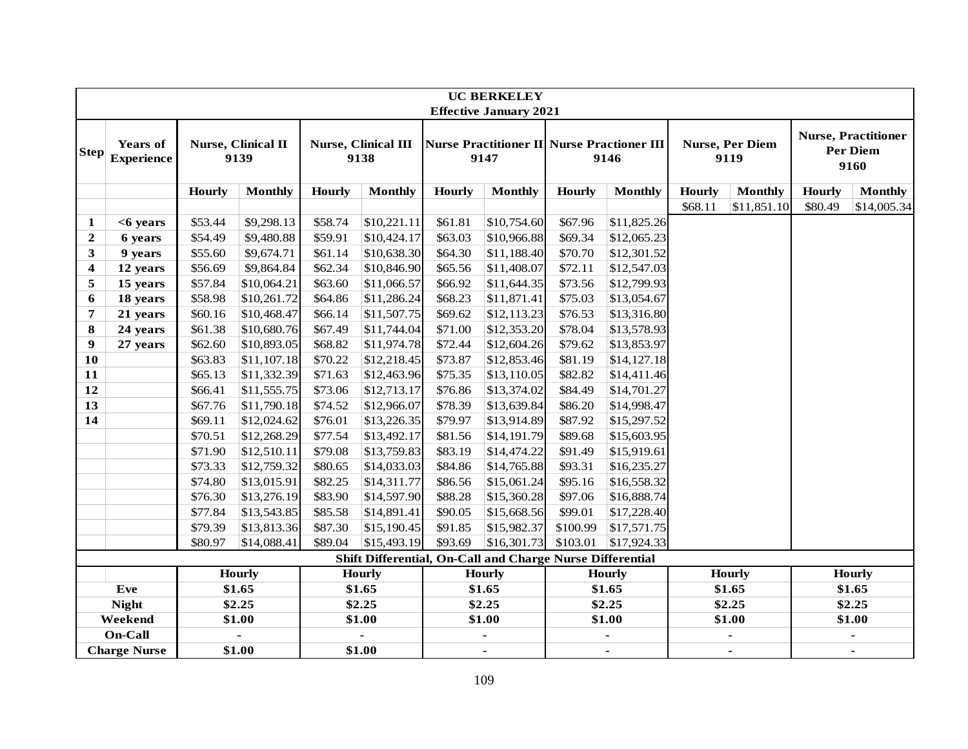|                         |                                      |               |                            |               |                             |               | <b>UC BERKELEY</b>                                                                  |               |                |               |                                |               |                                                       |
|-------------------------|--------------------------------------|---------------|----------------------------|---------------|-----------------------------|---------------|-------------------------------------------------------------------------------------|---------------|----------------|---------------|--------------------------------|---------------|-------------------------------------------------------|
| $\bf Step $             | <b>Years of</b><br><b>Experience</b> |               | Nurse, Clinical II<br>9139 |               | Nurse, Clinical III<br>9138 |               | <b>Effective January 2021</b><br>Nurse Practitioner II Nurse Practioner III<br>9147 |               | 9146           |               | <b>Nurse, Per Diem</b><br>9119 |               | <b>Nurse, Practitioner</b><br><b>Per Diem</b><br>9160 |
|                         |                                      | <b>Hourly</b> | <b>Monthly</b>             | <b>Hourly</b> | <b>Monthly</b>              | <b>Hourly</b> | <b>Monthly</b>                                                                      | <b>Hourly</b> | <b>Monthly</b> | <b>Hourly</b> | <b>Monthly</b>                 | <b>Hourly</b> | <b>Monthly</b>                                        |
|                         |                                      |               |                            |               |                             |               |                                                                                     |               |                | \$68.11       | \$11,851.10                    | \$80.49       | \$14,005.34                                           |
| 1                       | <6 years                             | \$53.44       | \$9,298.13                 | \$58.74       | \$10,221.11                 | \$61.81       | \$10,754.60                                                                         | \$67.96       | \$11,825.26    |               |                                |               |                                                       |
| $\mathbf{2}$            | 6 years                              | \$54.49       | \$9,480.88                 | \$59.91       | \$10,424.17                 | \$63.03       | \$10,966.88                                                                         | \$69.34       | \$12,065.23    |               |                                |               |                                                       |
| 3                       | 9 years                              | \$55.60       | \$9,674.71                 | \$61.14       | \$10,638.30                 | \$64.30       | \$11,188.40                                                                         | \$70.70       | \$12,301.52    |               |                                |               |                                                       |
| $\overline{\mathbf{4}}$ | 12 years                             | \$56.69       | \$9,864.84                 | \$62.34       | \$10,846.90                 | \$65.56       | \$11,408.07                                                                         | \$72.11       | \$12,547.03    |               |                                |               |                                                       |
| 5                       | 15 years                             | \$57.84       | \$10,064.21                | \$63.60       | \$11,066.57                 | \$66.92       | \$11,644.35                                                                         | \$73.56       | \$12,799.93    |               |                                |               |                                                       |
| 6                       | 18 years                             | \$58.98       | \$10,261.72                | \$64.86       | \$11,286.24                 | \$68.23       | \$11,871.41                                                                         | \$75.03       | \$13,054.67    |               |                                |               |                                                       |
| 7                       | 21 years                             | \$60.16       | \$10,468.47                | \$66.14       | \$11,507.75                 | \$69.62       | \$12,113.23                                                                         | \$76.53       | \$13,316.80    |               |                                |               |                                                       |
| 8                       | 24 years                             | \$61.38       | \$10,680.76                | \$67.49       | \$11,744.04                 | \$71.00       | \$12,353.20                                                                         | \$78.04       | \$13,578.93    |               |                                |               |                                                       |
| 9                       | 27 years                             | \$62.60       | \$10,893.05                | \$68.82       | \$11,974.78                 | \$72.44       | \$12,604.26                                                                         | \$79.62       | \$13,853.97    |               |                                |               |                                                       |
| 10                      |                                      | \$63.83       | \$11,107.18                | \$70.22       | \$12,218.45                 | \$73.87       | \$12,853.46                                                                         | \$81.19       | \$14,127.18    |               |                                |               |                                                       |
| 11                      |                                      | \$65.13       | \$11,332.39                | \$71.63       | \$12,463.96                 | \$75.35       | \$13,110.05                                                                         | \$82.82       | \$14,411.46    |               |                                |               |                                                       |
| 12                      |                                      | \$66.41       | \$11,555.75                | \$73.06       | \$12,713.17                 | \$76.86       | \$13,374.02                                                                         | \$84.49       | \$14,701.27    |               |                                |               |                                                       |
| 13                      |                                      | \$67.76       | \$11,790.18                | \$74.52       | \$12,966.07                 | \$78.39       | \$13,639.84                                                                         | \$86.20       | \$14,998.47    |               |                                |               |                                                       |
| 14                      |                                      | \$69.11       | \$12,024.62                | \$76.01       | \$13,226.35                 | \$79.97       | \$13,914.89                                                                         | \$87.92       | \$15,297.52    |               |                                |               |                                                       |
|                         |                                      | \$70.51       | \$12,268.29                | \$77.54       | \$13,492.17                 | \$81.56       | \$14,191.79                                                                         | \$89.68       | \$15,603.95    |               |                                |               |                                                       |
|                         |                                      | \$71.90       | \$12,510.11                | \$79.08       | \$13,759.83                 | \$83.19       | \$14,474.22                                                                         | \$91.49       | \$15,919.61    |               |                                |               |                                                       |
|                         |                                      | \$73.33       | \$12,759.32                | \$80.65       | \$14,033.03                 | \$84.86       | \$14,765.88                                                                         | \$93.31       | \$16,235.27    |               |                                |               |                                                       |
|                         |                                      | \$74.80       | \$13,015.91                | \$82.25       | \$14,311.77                 | \$86.56       | \$15,061.24                                                                         | \$95.16       | \$16,558.32    |               |                                |               |                                                       |
|                         |                                      | \$76.30       | \$13,276.19                | \$83.90       | \$14,597.90                 | \$88.28       | \$15,360.28                                                                         | \$97.06       | \$16,888.74    |               |                                |               |                                                       |
|                         |                                      | \$77.84       | \$13,543.85                | \$85.58       | \$14,891.41                 | \$90.05       | \$15,668.56                                                                         | \$99.01       | \$17,228.40    |               |                                |               |                                                       |
|                         |                                      | \$79.39       | \$13,813.36                | \$87.30       | \$15,190.45                 | \$91.85       | \$15,982.37                                                                         | \$100.99      | \$17,571.75    |               |                                |               |                                                       |
|                         |                                      | \$80.97       | \$14,088.41                | \$89.04       | \$15,493.19                 | \$93.69       | \$16,301.73                                                                         | \$103.01      | \$17,924.33    |               |                                |               |                                                       |
|                         |                                      |               |                            |               |                             |               | Shift Differential, On-Call and Charge Nurse Differential                           |               |                |               |                                |               |                                                       |
|                         |                                      |               | <b>Hourly</b>              |               | <b>Hourly</b>               |               | <b>Hourly</b>                                                                       |               | <b>Hourly</b>  |               | <b>Hourly</b>                  |               | <b>Hourly</b>                                         |
|                         | Eve                                  |               | \$1.65                     |               | \$1.65                      |               | \$1.65                                                                              |               | \$1.65         |               | \$1.65                         |               | \$1.65                                                |
|                         | <b>Night</b>                         |               | \$2.25                     |               | \$2.25                      |               | \$2.25                                                                              |               | \$2.25         |               | \$2.25                         |               | \$2.25                                                |
|                         | Weekend                              |               | \$1.00                     |               | \$1.00                      |               | \$1.00                                                                              |               | \$1.00         |               | \$1.00                         |               | \$1.00                                                |
|                         | On-Call                              |               |                            |               |                             |               | $\overline{a}$                                                                      |               |                |               |                                |               | ä,                                                    |
|                         | <b>Charge Nurse</b>                  |               | \$1.00                     |               | \$1.00                      |               | $\blacksquare$                                                                      |               | $\blacksquare$ |               | $\overline{a}$                 |               |                                                       |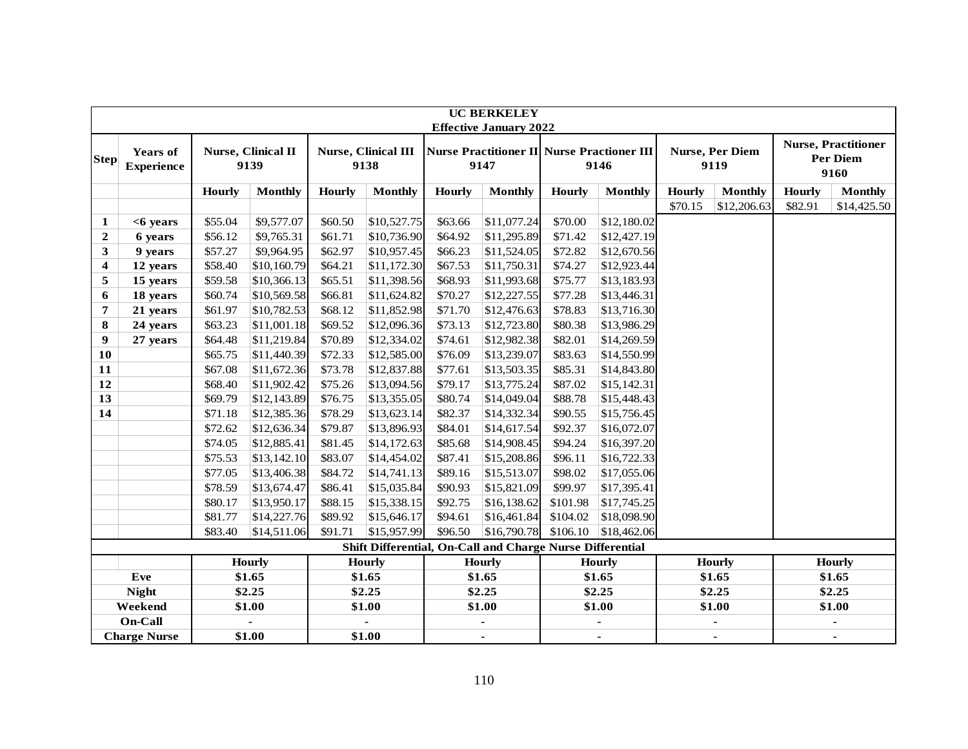|                  |                                      | <b>UC BERKELEY</b><br><b>Effective January 2022</b> |                            |               |                                                           |               |                |          |                                                    |               |                                |               |                                                |
|------------------|--------------------------------------|-----------------------------------------------------|----------------------------|---------------|-----------------------------------------------------------|---------------|----------------|----------|----------------------------------------------------|---------------|--------------------------------|---------------|------------------------------------------------|
|                  |                                      |                                                     |                            |               |                                                           |               |                |          |                                                    |               |                                |               |                                                |
| <b>Step</b>      | <b>Years of</b><br><b>Experience</b> |                                                     | Nurse, Clinical II<br>9139 |               | <b>Nurse, Clinical III</b><br>9138                        |               | 9147           |          | Nurse Practitioner II Nurse Practioner III<br>9146 |               | <b>Nurse, Per Diem</b><br>9119 |               | <b>Nurse, Practitioner</b><br>Per Diem<br>9160 |
|                  |                                      | <b>Hourly</b>                                       | <b>Monthly</b>             | <b>Hourly</b> | <b>Monthly</b>                                            | <b>Hourly</b> | <b>Monthly</b> | Hourly   | <b>Monthly</b>                                     | <b>Hourly</b> | <b>Monthly</b>                 | <b>Hourly</b> | <b>Monthly</b>                                 |
|                  |                                      |                                                     |                            |               |                                                           |               |                |          |                                                    | \$70.15       | \$12,206.63                    | \$82.91       | \$14,425.50                                    |
| $\mathbf{1}$     | $<$ 6 years                          | \$55.04                                             | \$9,577.07                 | \$60.50       | \$10,527.75                                               | \$63.66       | \$11,077.24    | \$70.00  | \$12,180.02                                        |               |                                |               |                                                |
| $\mathbf{2}$     | 6 years                              | \$56.12                                             | \$9,765.31                 | \$61.71       | \$10,736.90                                               | \$64.92       | \$11,295.89    | \$71.42  | \$12,427.19                                        |               |                                |               |                                                |
| $\mathbf{3}$     | 9 years                              | \$57.27                                             | \$9,964.95                 | \$62.97       | \$10,957.45                                               | \$66.23       | \$11,524.05    | \$72.82  | \$12,670.56                                        |               |                                |               |                                                |
| $\boldsymbol{4}$ | 12 years                             | \$58.40                                             | \$10,160.79                | \$64.21       | \$11,172.30                                               | \$67.53       | \$11,750.31    | \$74.27  | \$12,923.44                                        |               |                                |               |                                                |
| 5                | 15 years                             | \$59.58                                             | \$10,366.13                | \$65.51       | \$11,398.56                                               | \$68.93       | \$11,993.68    | \$75.77  | \$13,183.93                                        |               |                                |               |                                                |
| 6                | 18 years                             | \$60.74                                             | \$10,569.58                | \$66.81       | \$11,624.82                                               | \$70.27       | \$12,227.55    | \$77.28  | \$13,446.31                                        |               |                                |               |                                                |
| $\overline{7}$   | 21 years                             | \$61.97                                             | \$10,782.53                | \$68.12       | \$11,852.98                                               | \$71.70       | \$12,476.63    | \$78.83  | \$13,716.30                                        |               |                                |               |                                                |
| 8                | 24 years                             | \$63.23                                             | \$11,001.18                | \$69.52       | \$12,096.36                                               | \$73.13       | \$12,723.80    | \$80.38  | \$13,986.29                                        |               |                                |               |                                                |
| 9                | 27 years                             | \$64.48                                             | \$11,219.84                | \$70.89       | \$12,334.02                                               | \$74.61       | \$12,982.38    | \$82.01  | \$14,269.59                                        |               |                                |               |                                                |
| 10               |                                      | \$65.75                                             | \$11,440.39                | \$72.33       | \$12,585.00                                               | \$76.09       | \$13,239.07    | \$83.63  | \$14,550.99                                        |               |                                |               |                                                |
| 11               |                                      | \$67.08                                             | \$11,672.36                | \$73.78       | \$12,837.88                                               | \$77.61       | \$13,503.35    | \$85.31  | \$14,843.80                                        |               |                                |               |                                                |
| 12               |                                      | \$68.40                                             | \$11,902.42                | \$75.26       | \$13,094.56                                               | \$79.17       | \$13,775.24    | \$87.02  | \$15,142.31                                        |               |                                |               |                                                |
| 13               |                                      | \$69.79                                             | \$12,143.89                | \$76.75       | \$13,355.05                                               | \$80.74       | \$14,049.04    | \$88.78  | \$15,448.43                                        |               |                                |               |                                                |
| 14               |                                      | \$71.18                                             | \$12,385.36                | \$78.29       | \$13,623.14                                               | \$82.37       | \$14,332.34    | \$90.55  | \$15,756.45                                        |               |                                |               |                                                |
|                  |                                      | \$72.62                                             | \$12,636.34                | \$79.87       | \$13,896.93                                               | \$84.01       | \$14,617.54    | \$92.37  | \$16,072.07                                        |               |                                |               |                                                |
|                  |                                      | \$74.05                                             | \$12,885.41                | \$81.45       | \$14,172.63                                               | \$85.68       | \$14,908.45    | \$94.24  | \$16,397.20                                        |               |                                |               |                                                |
|                  |                                      | \$75.53                                             | \$13,142.10                | \$83.07       | \$14,454.02                                               | \$87.41       | \$15,208.86    | \$96.11  | \$16,722.33                                        |               |                                |               |                                                |
|                  |                                      | \$77.05                                             | \$13,406.38                | \$84.72       | \$14,741.13                                               | \$89.16       | \$15,513.07    | \$98.02  | \$17,055.06                                        |               |                                |               |                                                |
|                  |                                      | \$78.59                                             | \$13,674.47                | \$86.41       | \$15,035.84                                               | \$90.93       | \$15,821.09    | \$99.97  | \$17,395.41                                        |               |                                |               |                                                |
|                  |                                      | \$80.17                                             | \$13,950.17                | \$88.15       | \$15,338.15                                               | \$92.75       | \$16,138.62    | \$101.98 | \$17,745.25                                        |               |                                |               |                                                |
|                  |                                      | \$81.77                                             | \$14,227.76                | \$89.92       | \$15,646.17                                               | \$94.61       | \$16,461.84    | \$104.02 | \$18,098.90                                        |               |                                |               |                                                |
|                  |                                      | \$83.40                                             | \$14,511.06                | \$91.71       | \$15,957.99                                               | \$96.50       | \$16,790.78    | \$106.10 | \$18,462.06                                        |               |                                |               |                                                |
|                  |                                      |                                                     |                            |               | Shift Differential, On-Call and Charge Nurse Differential |               |                |          |                                                    |               |                                |               |                                                |
|                  |                                      |                                                     | <b>Hourly</b>              |               | <b>Hourly</b>                                             |               | <b>Hourly</b>  |          | <b>Hourly</b>                                      |               | <b>Hourly</b>                  |               | Hourly                                         |
|                  | Eve                                  |                                                     | \$1.65                     |               | \$1.65                                                    |               | \$1.65         |          | \$1.65                                             |               | \$1.65                         |               | \$1.65                                         |
|                  | <b>Night</b>                         |                                                     | \$2.25                     |               | \$2.25                                                    |               | \$2.25         |          | \$2.25                                             |               | \$2.25                         |               | \$2.25                                         |
|                  | Weekend                              |                                                     | \$1.00                     |               | \$1.00                                                    |               | \$1.00         |          | \$1.00                                             |               | \$1.00                         |               | \$1.00                                         |
|                  | On-Call                              |                                                     |                            |               |                                                           |               | ÷,             |          | ä,                                                 |               | $\blacksquare$                 |               | $\blacksquare$                                 |
|                  | <b>Charge Nurse</b>                  |                                                     | \$1.00                     |               | \$1.00                                                    |               | $\blacksquare$ |          |                                                    |               | $\blacksquare$                 |               |                                                |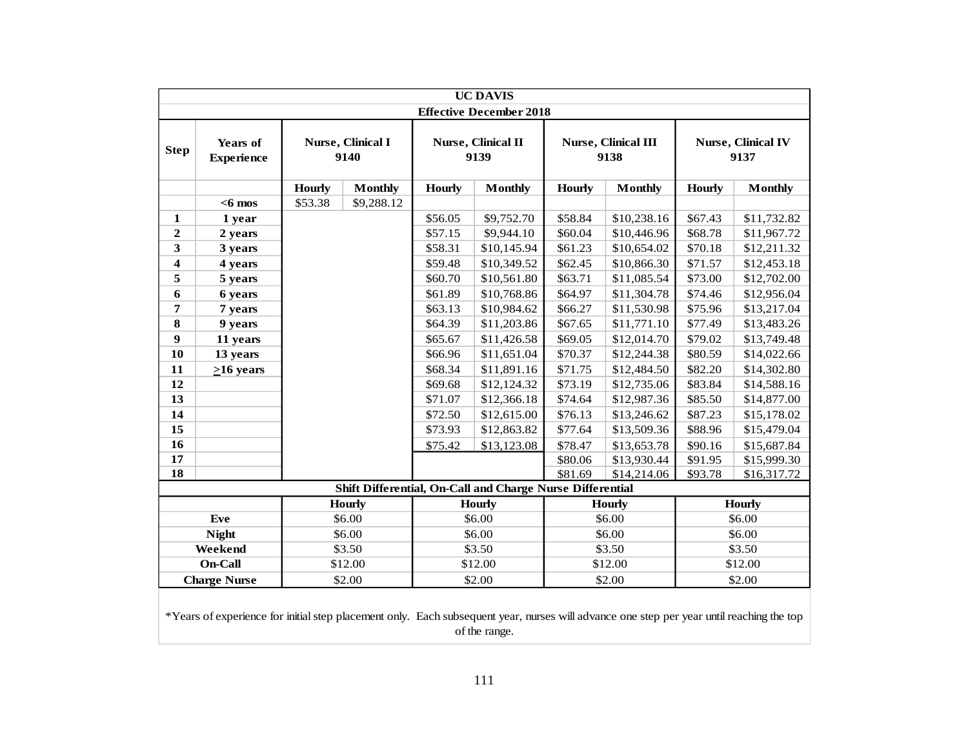|                  | <b>UC DAVIS</b><br><b>Effective December 2018</b> |               |                           |         |                                                           |         |                             |               |                                   |  |  |  |
|------------------|---------------------------------------------------|---------------|---------------------------|---------|-----------------------------------------------------------|---------|-----------------------------|---------------|-----------------------------------|--|--|--|
|                  |                                                   |               |                           |         |                                                           |         |                             |               |                                   |  |  |  |
| <b>Step</b>      | <b>Years of</b><br><b>Experience</b>              |               | Nurse, Clinical I<br>9140 |         | Nurse, Clinical II<br>9139                                |         | Nurse, Clinical III<br>9138 |               | <b>Nurse, Clinical IV</b><br>9137 |  |  |  |
|                  |                                                   | <b>Hourly</b> | <b>Monthly</b>            | Hourly  | <b>Monthly</b>                                            | Hourly  | <b>Monthly</b>              | <b>Hourly</b> | <b>Monthly</b>                    |  |  |  |
|                  | $<$ 6 mos                                         | \$53.38       | \$9,288.12                |         |                                                           |         |                             |               |                                   |  |  |  |
| $\mathbf{1}$     | 1 year                                            |               |                           | \$56.05 | \$9,752.70                                                | \$58.84 | \$10,238.16                 | \$67.43       | \$11,732.82                       |  |  |  |
| $\boldsymbol{2}$ | 2 years                                           |               |                           | \$57.15 | \$9,944.10                                                | \$60.04 | \$10,446.96                 | \$68.78       | \$11,967.72                       |  |  |  |
| 3                | 3 years                                           |               |                           | \$58.31 | \$10,145.94                                               | \$61.23 | \$10,654.02                 | \$70.18       | \$12,211.32                       |  |  |  |
| 4                | 4 years                                           |               |                           | \$59.48 | \$10,349.52                                               | \$62.45 | \$10,866.30                 | \$71.57       | \$12,453.18                       |  |  |  |
| 5                | 5 years                                           |               |                           | \$60.70 | \$10,561.80                                               | \$63.71 | \$11,085.54                 | \$73.00       | \$12,702.00                       |  |  |  |
| 6                | 6 years                                           |               |                           | \$61.89 | \$10,768.86                                               | \$64.97 | \$11,304.78                 | \$74.46       | \$12,956.04                       |  |  |  |
| 7                | 7 years                                           |               |                           | \$63.13 | \$10,984.62                                               | \$66.27 | \$11,530.98                 | \$75.96       | \$13,217.04                       |  |  |  |
| 8                | 9 years                                           |               |                           | \$64.39 | \$11,203.86                                               | \$67.65 | \$11,771.10                 | \$77.49       | \$13,483.26                       |  |  |  |
| 9                | 11 years                                          |               |                           | \$65.67 | \$11,426.58                                               | \$69.05 | \$12,014.70                 | \$79.02       | \$13,749.48                       |  |  |  |
| 10               | 13 years                                          |               |                           | \$66.96 | \$11,651.04                                               | \$70.37 | \$12,244.38                 | \$80.59       | \$14,022.66                       |  |  |  |
| 11               | $>16$ years                                       |               |                           | \$68.34 | \$11,891.16                                               | \$71.75 | \$12,484.50                 | \$82.20       | \$14,302.80                       |  |  |  |
| 12               |                                                   |               |                           | \$69.68 | \$12,124.32                                               | \$73.19 | \$12,735.06                 | \$83.84       | \$14,588.16                       |  |  |  |
| 13               |                                                   |               |                           | \$71.07 | \$12,366.18                                               | \$74.64 | \$12,987.36                 | \$85.50       | \$14,877.00                       |  |  |  |
| 14               |                                                   |               |                           | \$72.50 | \$12,615.00                                               | \$76.13 | \$13,246.62                 | \$87.23       | \$15,178.02                       |  |  |  |
| 15               |                                                   |               |                           | \$73.93 | \$12,863.82                                               | \$77.64 | \$13,509.36                 | \$88.96       | \$15,479.04                       |  |  |  |
| 16               |                                                   |               |                           | \$75.42 | \$13,123.08                                               | \$78.47 | \$13,653.78                 | \$90.16       | \$15,687.84                       |  |  |  |
| 17               |                                                   |               |                           |         |                                                           | \$80.06 | \$13,930.44                 | \$91.95       | \$15,999.30                       |  |  |  |
| 18               |                                                   |               |                           |         |                                                           | \$81.69 | \$14,214.06                 | \$93.78       | \$16,317.72                       |  |  |  |
|                  |                                                   |               |                           |         | Shift Differential, On-Call and Charge Nurse Differential |         |                             |               |                                   |  |  |  |
|                  |                                                   |               | <b>Hourly</b>             |         | <b>Hourly</b>                                             |         | <b>Hourly</b>               |               | Hourly                            |  |  |  |
|                  | Eve                                               |               | \$6.00                    |         | \$6.00                                                    |         | \$6.00                      |               | \$6.00                            |  |  |  |
|                  | <b>Night</b>                                      |               | \$6.00                    |         | \$6.00                                                    |         | \$6.00                      |               | \$6.00                            |  |  |  |
|                  | Weekend                                           |               | \$3.50                    |         | \$3.50                                                    |         | \$3.50                      |               | \$3.50                            |  |  |  |
|                  | On-Call                                           |               | \$12.00                   |         | \$12.00                                                   |         | \$12.00                     |               | \$12.00                           |  |  |  |
|                  | <b>Charge Nurse</b>                               |               | \$2.00                    |         | \$2.00                                                    |         | \$2.00                      |               | \$2.00                            |  |  |  |
|                  |                                                   |               |                           |         |                                                           |         |                             |               |                                   |  |  |  |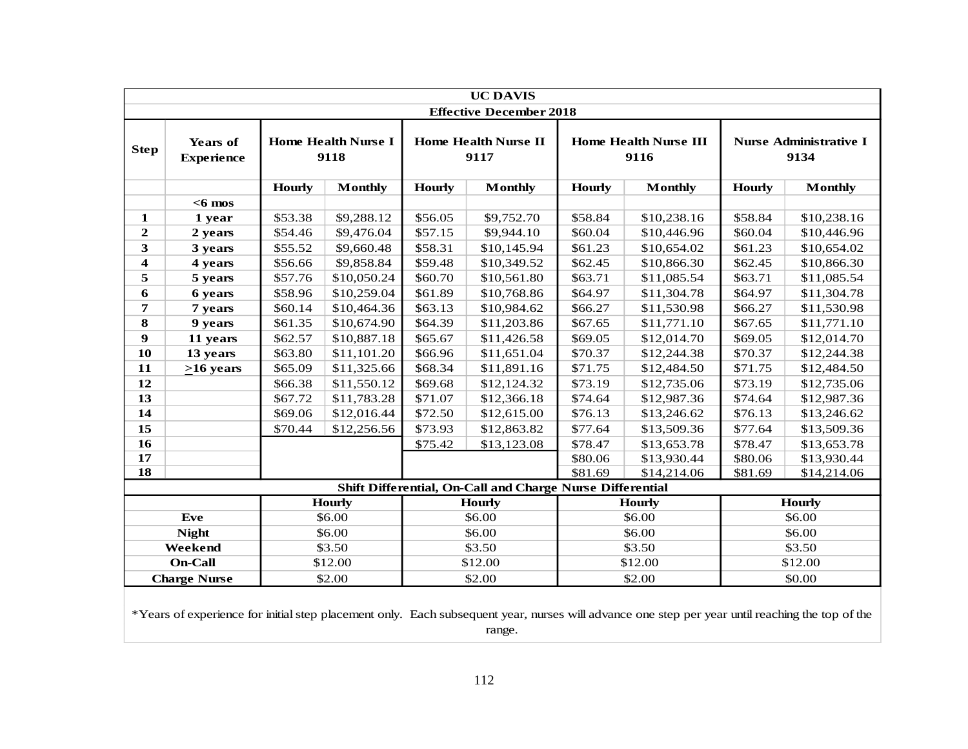|                         | <b>UC DAVIS</b><br><b>Effective December 2018</b> |               |                                    |                        |                                                           |               |                                      |               |                                       |  |  |  |
|-------------------------|---------------------------------------------------|---------------|------------------------------------|------------------------|-----------------------------------------------------------|---------------|--------------------------------------|---------------|---------------------------------------|--|--|--|
|                         |                                                   |               |                                    |                        |                                                           |               |                                      |               |                                       |  |  |  |
| <b>Step</b>             | <b>Years of</b><br><b>Experience</b>              |               | <b>Home Health Nurse I</b><br>9118 |                        | <b>Home Health Nurse II</b><br>9117                       |               | <b>Home Health Nurse III</b><br>9116 |               | <b>Nurse Administrative I</b><br>9134 |  |  |  |
|                         |                                                   | <b>Hourly</b> | <b>Monthly</b>                     | <b>Hourly</b>          | <b>Monthly</b>                                            | <b>Hourly</b> | <b>Monthly</b>                       | <b>Hourly</b> | <b>Monthly</b>                        |  |  |  |
|                         | $<$ 6 mos                                         |               |                                    |                        |                                                           |               |                                      |               |                                       |  |  |  |
| 1                       | 1 year                                            | \$53.38       | \$9,288.12                         | \$56.05                | \$9,752.70                                                | \$58.84       | \$10,238.16                          | \$58.84       | \$10,238.16                           |  |  |  |
| $\overline{2}$          | 2 years                                           | \$54.46       | \$9,476.04                         | \$57.15                | \$9,944.10                                                | \$60.04       | \$10,446.96                          | \$60.04       | \$10,446.96                           |  |  |  |
| 3                       | 3 years                                           | \$55.52       | \$9,660.48                         | \$58.31                | \$10,145.94                                               | \$61.23       | \$10,654.02                          | \$61.23       | \$10,654.02                           |  |  |  |
| $\overline{\mathbf{4}}$ | 4 years                                           | \$56.66       | \$9,858.84                         | \$59.48                | \$10,349.52                                               | \$62.45       | \$10,866.30                          | \$62.45       | \$10,866.30                           |  |  |  |
| 5                       | 5 years                                           | \$57.76       | \$10,050.24                        | \$60.70                | \$10,561.80                                               | \$63.71       | \$11,085.54                          | \$63.71       | \$11,085.54                           |  |  |  |
| 6                       | 6 years                                           | \$58.96       | \$10,259.04                        | \$61.89                | \$10,768.86                                               | \$64.97       | \$11,304.78                          | \$64.97       | \$11,304.78                           |  |  |  |
| 7                       | 7 years                                           | \$60.14       | \$10,464.36                        | \$63.13                | \$10,984.62                                               | \$66.27       | \$11,530.98                          | \$66.27       | \$11,530.98                           |  |  |  |
| 8                       | 9 years                                           | \$61.35       | \$10,674.90                        | \$64.39                | \$11,203.86                                               | \$67.65       | \$11,771.10                          | \$67.65       | \$11,771.10                           |  |  |  |
| 9                       | 11 years                                          | \$62.57       | \$10,887.18                        | \$65.67                | \$11,426.58                                               | \$69.05       | \$12,014.70                          | \$69.05       | \$12,014.70                           |  |  |  |
| 10                      | 13 years                                          | \$63.80       | \$11,101.20                        | \$66.96                | \$11,651.04                                               | \$70.37       | \$12,244.38                          | \$70.37       | \$12,244.38                           |  |  |  |
| 11                      | $>16$ years                                       | \$65.09       | \$11,325.66                        | \$68.34<br>\$11,891.16 |                                                           | \$71.75       | \$12,484.50                          | \$71.75       | \$12,484.50                           |  |  |  |
| 12                      |                                                   | \$66.38       | \$11,550.12                        | \$69.68                | \$12,124.32                                               | \$73.19       | \$12,735.06                          | \$73.19       | \$12,735.06                           |  |  |  |
| 13                      |                                                   | \$67.72       | \$11,783.28                        | \$71.07                | \$12,366.18                                               | \$74.64       | \$12,987.36                          | \$74.64       | \$12,987.36                           |  |  |  |
| 14                      |                                                   | \$69.06       | \$12,016.44                        | \$72.50                | \$12,615.00                                               | \$76.13       | \$13,246.62                          | \$76.13       | \$13,246.62                           |  |  |  |
| 15                      |                                                   | \$70.44       | \$12,256.56                        | \$73.93                | \$12,863.82                                               | \$77.64       | \$13,509.36                          | \$77.64       | \$13,509.36                           |  |  |  |
| 16                      |                                                   |               |                                    | \$75.42                | \$13,123.08                                               | \$78.47       | \$13,653.78                          | \$78.47       | \$13,653.78                           |  |  |  |
| 17                      |                                                   |               |                                    |                        |                                                           | \$80.06       | \$13,930.44                          | \$80.06       | \$13,930.44                           |  |  |  |
| 18                      |                                                   |               |                                    |                        |                                                           | \$81.69       | \$14,214.06                          | \$81.69       | \$14,214.06                           |  |  |  |
|                         |                                                   |               |                                    |                        | Shift Differential, On-Call and Charge Nurse Differential |               |                                      |               |                                       |  |  |  |
|                         |                                                   |               | <b>Hourly</b>                      |                        | <b>Hourly</b>                                             |               | <b>Hourly</b>                        |               | <b>Hourly</b>                         |  |  |  |
|                         | Eve                                               |               | \$6.00                             |                        | \$6.00                                                    |               | \$6.00                               |               | \$6.00                                |  |  |  |
|                         | <b>Night</b>                                      |               | \$6.00                             |                        | \$6.00                                                    |               | \$6.00                               |               | \$6.00                                |  |  |  |
|                         | Weekend                                           |               | \$3.50                             |                        | \$3.50                                                    |               | \$3.50                               |               | \$3.50                                |  |  |  |
|                         | <b>On-Call</b>                                    |               | \$12.00                            |                        | \$12.00                                                   |               | \$12.00                              |               | \$12.00                               |  |  |  |
|                         | <b>Charge Nurse</b>                               |               | \$2.00                             |                        | \$2.00                                                    |               | \$2.00                               |               | \$0.00                                |  |  |  |
|                         |                                                   |               |                                    |                        |                                                           |               |                                      |               |                                       |  |  |  |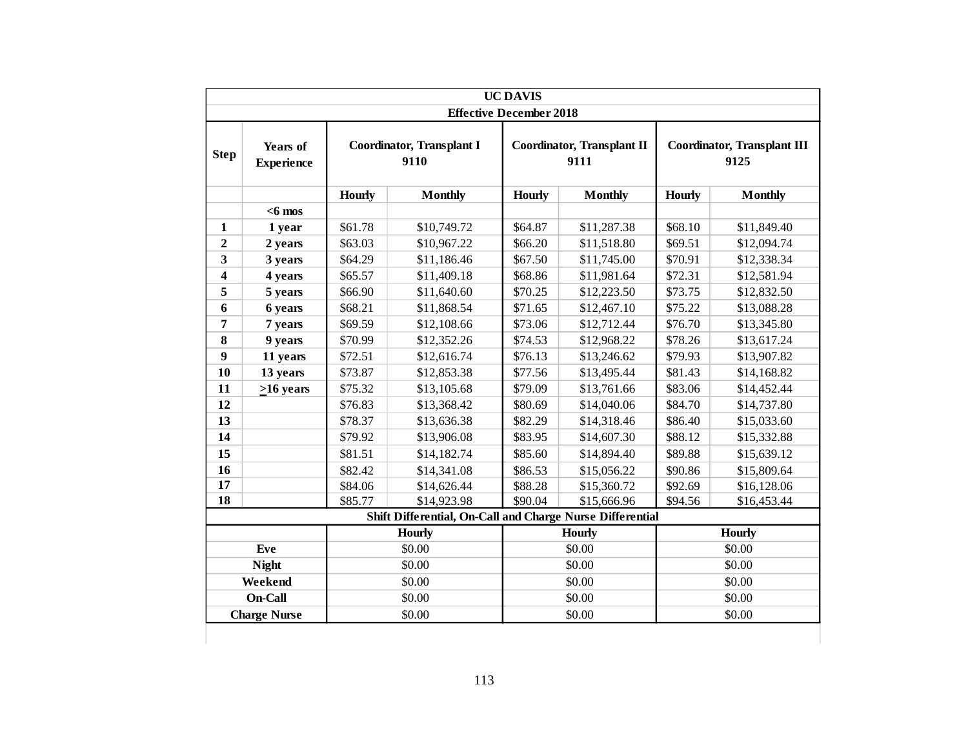|                  |                               |               |                                                           | <b>UC DAVIS</b>                |                                           |               |                                            |
|------------------|-------------------------------|---------------|-----------------------------------------------------------|--------------------------------|-------------------------------------------|---------------|--------------------------------------------|
|                  |                               |               |                                                           | <b>Effective December 2018</b> |                                           |               |                                            |
| <b>Step</b>      | Years of<br><b>Experience</b> |               | <b>Coordinator, Transplant I</b><br>9110                  |                                | <b>Coordinator, Transplant II</b><br>9111 |               | <b>Coordinator, Transplant III</b><br>9125 |
|                  |                               | <b>Hourly</b> | <b>Monthly</b>                                            | Hourly                         | <b>Monthly</b>                            | <b>Hourly</b> | <b>Monthly</b>                             |
|                  | $<$ 6 mos                     |               |                                                           |                                |                                           |               |                                            |
| $\mathbf{1}$     | 1 year                        | \$61.78       | \$10,749.72                                               | \$64.87                        | \$11,287.38                               | \$68.10       | \$11,849.40                                |
| $\mathbf{2}$     | 2 years                       | \$63.03       | \$10,967.22                                               | \$66.20                        | \$11,518.80                               | \$69.51       | \$12,094.74                                |
| 3                | 3 years                       | \$64.29       | \$11,186.46                                               | \$67.50                        | \$11,745.00                               | \$70.91       | \$12,338.34                                |
| 4                | 4 years                       | \$65.57       | \$11,409.18                                               | \$68.86                        | \$11,981.64                               | \$72.31       | \$12,581.94                                |
| 5                | 5 years                       | \$66.90       | \$11,640.60                                               | \$70.25                        | \$12,223.50                               | \$73.75       | \$12,832.50                                |
| 6                | 6 years                       | \$68.21       | \$11,868.54                                               | \$71.65                        | \$12,467.10                               | \$75.22       | \$13,088.28                                |
| 7                | 7 years                       | \$69.59       | \$12,108.66                                               | \$73.06                        | \$12,712.44                               | \$76.70       | \$13,345.80                                |
| 8                | 9 years                       | \$70.99       | \$12,352.26                                               | \$74.53                        | \$12,968.22                               | \$78.26       | \$13,617.24                                |
| $\boldsymbol{9}$ | 11 years                      | \$72.51       | \$12,616.74                                               | \$76.13                        | \$13,246.62                               | \$79.93       | \$13,907.82                                |
| 10               | 13 years                      | \$73.87       | \$12,853.38                                               | \$77.56                        | \$13,495.44                               | \$81.43       | \$14,168.82                                |
| 11               | $>16$ years                   | \$75.32       | \$13,105.68                                               | \$79.09                        | \$13,761.66                               | \$83.06       | \$14,452.44                                |
| 12               |                               | \$76.83       | \$13,368.42                                               | \$80.69                        | \$14,040.06                               | \$84.70       | \$14,737.80                                |
| 13               |                               | \$78.37       | \$13,636.38                                               | \$82.29                        | \$14,318.46                               | \$86.40       | \$15,033.60                                |
| 14               |                               | \$79.92       | \$13,906.08                                               | \$83.95<br>\$14,607.30         |                                           | \$88.12       | \$15,332.88                                |
| 15               |                               | \$81.51       | \$14,182.74                                               | \$85.60                        | \$14,894.40                               | \$89.88       | \$15,639.12                                |
| 16               |                               | \$82.42       | \$14,341.08                                               | \$86.53                        | \$15,056.22                               | \$90.86       | \$15,809.64                                |
| 17               |                               | \$84.06       | \$14,626.44                                               | \$88.28                        | \$15,360.72                               | \$92.69       | \$16,128.06                                |
| 18               |                               | \$85.77       | \$14,923.98                                               | \$90.04                        | \$15,666.96                               | \$94.56       | \$16,453.44                                |
|                  |                               |               | Shift Differential, On-Call and Charge Nurse Differential |                                |                                           |               |                                            |
|                  |                               |               | <b>Hourly</b>                                             |                                | <b>Hourly</b>                             |               | Hourly                                     |
|                  | Eve                           |               | \$0.00                                                    |                                | \$0.00                                    |               | \$0.00                                     |
|                  | <b>Night</b>                  |               | \$0.00                                                    |                                | \$0.00                                    |               | \$0.00                                     |
|                  | Weekend                       |               | \$0.00                                                    |                                | \$0.00                                    |               | \$0.00                                     |
|                  | On-Call                       |               | \$0.00                                                    |                                | \$0.00                                    |               | \$0.00                                     |
|                  | <b>Charge Nurse</b>           |               | \$0.00                                                    |                                | \$0.00                                    |               | \$0.00                                     |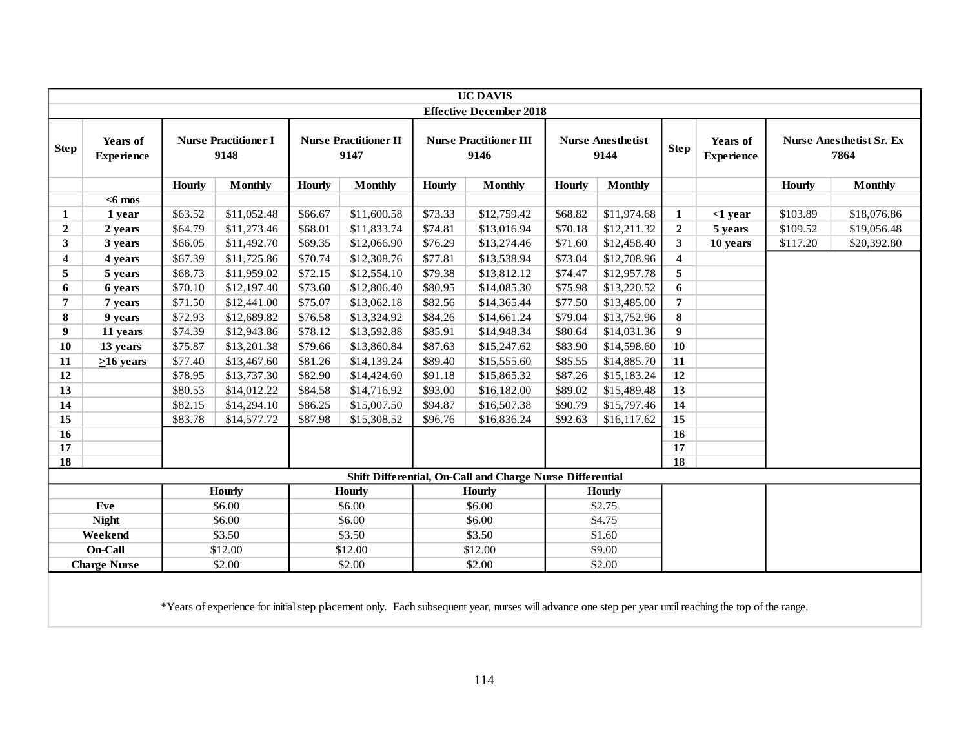|                             |                                                                                                                                                        |               |                                     |               |                                      |               | <b>UC DAVIS</b><br><b>Effective December 2018</b>         |               |                                  |                         |                               |          |                                         |
|-----------------------------|--------------------------------------------------------------------------------------------------------------------------------------------------------|---------------|-------------------------------------|---------------|--------------------------------------|---------------|-----------------------------------------------------------|---------------|----------------------------------|-------------------------|-------------------------------|----------|-----------------------------------------|
|                             |                                                                                                                                                        |               |                                     |               |                                      |               |                                                           |               |                                  |                         |                               |          |                                         |
| <b>Step</b>                 | Years of<br><b>Experience</b>                                                                                                                          |               | <b>Nurse Practitioner I</b><br>9148 |               | <b>Nurse Practitioner II</b><br>9147 |               | <b>Nurse Practitioner III</b><br>9146                     |               | <b>Nurse Anesthetist</b><br>9144 | <b>Step</b>             | Years of<br><b>Experience</b> |          | <b>Nurse Anesthetist Sr. Ex</b><br>7864 |
|                             |                                                                                                                                                        | <b>Hourly</b> | <b>Monthly</b>                      | <b>Hourly</b> | <b>Monthly</b>                       | <b>Hourly</b> | <b>Monthly</b>                                            | <b>Hourly</b> | <b>Monthly</b>                   |                         |                               | Hourly   | <b>Monthly</b>                          |
|                             | $<$ 6 mos                                                                                                                                              |               |                                     |               |                                      |               |                                                           |               |                                  |                         |                               |          |                                         |
| 1                           | 1 year                                                                                                                                                 | \$63.52       | \$11,052.48                         | \$66.67       | \$11,600.58                          | \$73.33       | \$12,759.42                                               | \$68.82       | \$11,974.68                      | $\mathbf 1$             | $<$ 1 year                    | \$103.89 | \$18,076.86                             |
| $\boldsymbol{2}$            | 2 years                                                                                                                                                | \$64.79       | \$11,273.46                         | \$68.01       | \$11,833.74                          | \$74.81       | \$13,016.94                                               | \$70.18       | \$12,211.32                      | $\overline{2}$          | 5 years                       | \$109.52 | \$19,056.48                             |
| $\overline{\mathbf{3}}$     | 3 years                                                                                                                                                | \$66.05       | \$11,492.70                         | \$69.35       | \$12,066.90                          | \$76.29       | \$13,274.46                                               | \$71.60       | \$12,458.40                      | 3 <sup>1</sup>          | 10 years                      | \$117.20 | \$20,392.80                             |
| $\overline{\mathbf{4}}$     | 4 years                                                                                                                                                | \$67.39       | \$11,725.86                         | \$70.74       | \$12,308.76                          | \$77.81       | \$13,538.94                                               | \$73.04       | \$12,708.96                      | $\overline{\mathbf{4}}$ |                               |          |                                         |
| 5                           | 5 years                                                                                                                                                | \$68.73       | \$11,959.02                         | \$72.15       | \$12,554.10                          | \$79.38       | \$13,812.12                                               | \$74.47       | \$12,957.78                      | 5                       |                               |          |                                         |
| 6                           | 6 years                                                                                                                                                | \$70.10       | \$12,197.40                         | \$73.60       | \$12,806.40                          | \$80.95       | \$14,085.30                                               | \$75.98       | \$13,220.52                      | 6                       |                               |          |                                         |
| $\overline{7}$              | 7 years                                                                                                                                                | \$71.50       | \$12,441.00                         | \$75.07       | \$13,062.18                          | \$82.56       | \$14,365.44                                               | \$77.50       | \$13,485.00                      | 7                       |                               |          |                                         |
| 8                           | 9 years                                                                                                                                                | \$72.93       | \$12,689.82                         | \$76.58       | \$13,324.92                          | \$84.26       | \$14,661.24                                               | \$79.04       | \$13,752.96                      | 8                       |                               |          |                                         |
| $\boldsymbol{9}$            | \$74.39<br>11 years                                                                                                                                    |               | \$12,943.86                         | \$78.12       | \$13,592.88                          | \$85.91       | \$14,948.34                                               | \$80.64       | \$14,031.36                      | 9                       |                               |          |                                         |
| 10                          | \$75.87<br>13 years                                                                                                                                    |               | \$13,201.38                         | \$79.66       | \$13,860.84                          | \$87.63       | \$15,247.62                                               | \$83.90       | \$14,598.60                      | 10                      |                               |          |                                         |
| 11                          | $\geq 16$ years                                                                                                                                        | \$77.40       | \$13,467.60                         | \$81.26       | \$14,139.24                          | \$89.40       | \$15,555.60                                               | \$85.55       | \$14,885.70                      | 11                      |                               |          |                                         |
| 12                          |                                                                                                                                                        | \$78.95       | \$13,737.30                         | \$82.90       | \$14,424.60                          | \$91.18       | \$15,865.32                                               | \$87.26       | \$15,183.24                      | 12                      |                               |          |                                         |
| 13                          |                                                                                                                                                        | \$80.53       | \$14,012.22                         | \$84.58       | \$14,716.92                          | \$93.00       | \$16,182.00                                               | \$89.02       | \$15,489.48                      | 13                      |                               |          |                                         |
| 14                          |                                                                                                                                                        | \$82.15       | \$14,294.10                         | \$86.25       | \$15,007.50                          | \$94.87       | \$16,507.38                                               | \$90.79       | \$15,797.46                      | 14                      |                               |          |                                         |
| 15                          |                                                                                                                                                        | \$83.78       | \$14,577.72                         | \$87.98       | \$15,308.52                          | \$96.76       | \$16,836.24                                               | \$92.63       | \$16,117.62                      | 15                      |                               |          |                                         |
| 16                          |                                                                                                                                                        |               |                                     |               |                                      |               |                                                           |               |                                  | 16                      |                               |          |                                         |
| 17                          |                                                                                                                                                        |               |                                     |               |                                      |               |                                                           |               |                                  | 17                      |                               |          |                                         |
| 18                          |                                                                                                                                                        |               |                                     |               |                                      |               |                                                           |               |                                  | 18                      |                               |          |                                         |
|                             |                                                                                                                                                        |               |                                     |               |                                      |               | Shift Differential, On-Call and Charge Nurse Differential |               |                                  |                         |                               |          |                                         |
|                             |                                                                                                                                                        |               | <b>Hourly</b>                       |               | <b>Hourly</b>                        |               | <b>Hourly</b>                                             |               | <b>Hourly</b>                    |                         |                               |          |                                         |
|                             | Eve                                                                                                                                                    |               | \$6.00                              |               | \$6.00                               |               | \$6.00                                                    |               | \$2.75                           |                         |                               |          |                                         |
|                             | \$6.00<br><b>Night</b>                                                                                                                                 |               |                                     |               | \$6.00                               |               | \$6.00                                                    |               | \$4.75                           |                         |                               |          |                                         |
| Weekend<br>\$3.50<br>\$3.50 |                                                                                                                                                        |               |                                     |               |                                      |               | \$3.50                                                    |               | \$1.60                           |                         |                               |          |                                         |
|                             | On-Call                                                                                                                                                |               | \$12.00                             |               | \$12.00                              |               | \$12.00                                                   |               | \$9.00                           |                         |                               |          |                                         |
|                             | <b>Charge Nurse</b>                                                                                                                                    |               | \$2.00                              |               | \$2.00                               |               | \$2.00                                                    |               | \$2.00                           |                         |                               |          |                                         |
|                             | *Years of experience for initial step placement only. Each subsequent year, nurses will advance one step per year until reaching the top of the range. |               |                                     |               |                                      |               |                                                           |               |                                  |                         |                               |          |                                         |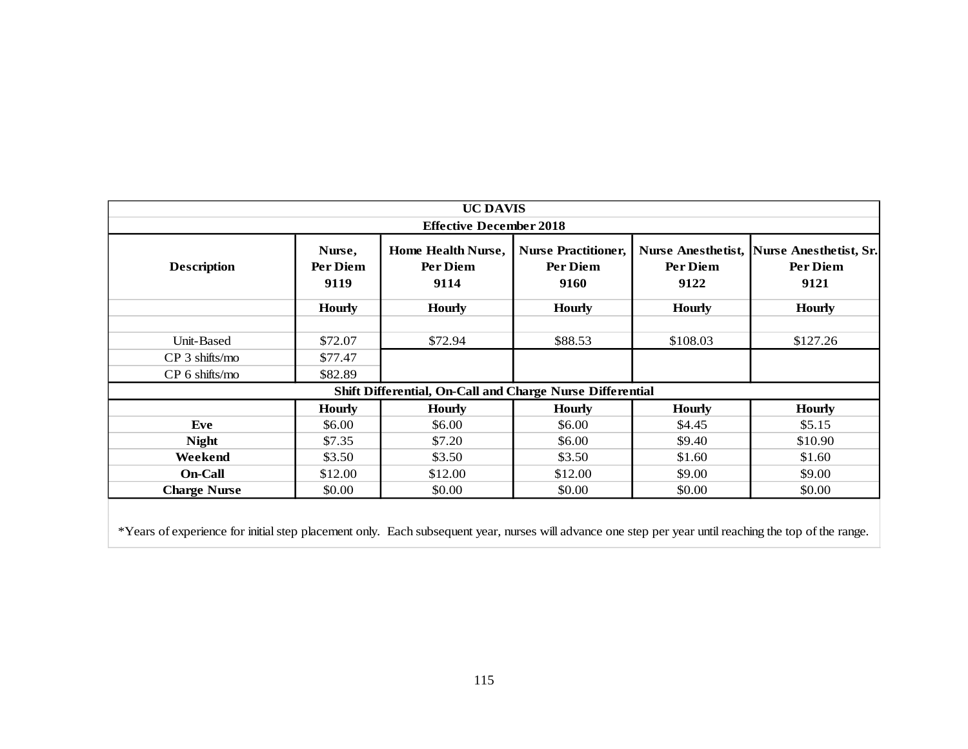|                                                                                                                                                                                           | <b>UC DAVIS</b><br><b>Effective December 2018</b> |                                                           |               |               |               |  |  |  |  |  |  |  |  |
|-------------------------------------------------------------------------------------------------------------------------------------------------------------------------------------------|---------------------------------------------------|-----------------------------------------------------------|---------------|---------------|---------------|--|--|--|--|--|--|--|--|
| Home Health Nurse,<br><b>Nurse Practitioner,</b><br>Nurse Anesthetist, Nurse Anesthetist, Sr.<br>Nurse,<br><b>Description</b><br>Per Diem<br>Per Diem<br>Per Diem<br>Per Diem<br>Per Diem |                                                   |                                                           |               |               |               |  |  |  |  |  |  |  |  |
|                                                                                                                                                                                           | 9119                                              | 9114                                                      | 9160          | 9122          | 9121          |  |  |  |  |  |  |  |  |
|                                                                                                                                                                                           | <b>Hourly</b>                                     | <b>Hourly</b>                                             | <b>Hourly</b> | <b>Hourly</b> | <b>Hourly</b> |  |  |  |  |  |  |  |  |
| Unit-Based                                                                                                                                                                                | \$72.07                                           | \$72.94                                                   | \$88.53       | \$108.03      | \$127.26      |  |  |  |  |  |  |  |  |
| CP 3 shifts/mo                                                                                                                                                                            | \$77.47                                           |                                                           |               |               |               |  |  |  |  |  |  |  |  |
| CP 6 shifts/mo                                                                                                                                                                            | \$82.89                                           |                                                           |               |               |               |  |  |  |  |  |  |  |  |
|                                                                                                                                                                                           |                                                   | Shift Differential, On-Call and Charge Nurse Differential |               |               |               |  |  |  |  |  |  |  |  |
|                                                                                                                                                                                           | <b>Hourly</b>                                     | <b>Hourly</b>                                             | <b>Hourly</b> | <b>Hourly</b> | <b>Hourly</b> |  |  |  |  |  |  |  |  |
| Eve                                                                                                                                                                                       | \$6.00                                            | \$6.00                                                    | \$6.00        | \$4.45        | \$5.15        |  |  |  |  |  |  |  |  |
| <b>Night</b>                                                                                                                                                                              | \$7.35                                            | \$7.20                                                    | \$6.00        | \$9.40        | \$10.90       |  |  |  |  |  |  |  |  |
| Weekend                                                                                                                                                                                   | \$3.50                                            | \$3.50                                                    | \$3.50        | \$1.60        | \$1.60        |  |  |  |  |  |  |  |  |
| <b>On-Call</b>                                                                                                                                                                            | \$12.00                                           | \$12.00                                                   | \$12.00       | \$9.00        | \$9.00        |  |  |  |  |  |  |  |  |
| <b>Charge Nurse</b>                                                                                                                                                                       | \$0.00                                            | \$0.00                                                    | \$0.00        | \$0.00        | \$0.00        |  |  |  |  |  |  |  |  |
| *Years of experience for initial step placement only. Each subsequent year, nurses will advance one step per year until reaching the top of the range.                                    |                                                   |                                                           |               |               |               |  |  |  |  |  |  |  |  |
|                                                                                                                                                                                           |                                                   |                                                           |               |               |               |  |  |  |  |  |  |  |  |
|                                                                                                                                                                                           |                                                   |                                                           |               |               |               |  |  |  |  |  |  |  |  |
|                                                                                                                                                                                           |                                                   |                                                           |               |               |               |  |  |  |  |  |  |  |  |
|                                                                                                                                                                                           |                                                   |                                                           |               |               |               |  |  |  |  |  |  |  |  |
|                                                                                                                                                                                           |                                                   |                                                           |               |               |               |  |  |  |  |  |  |  |  |
|                                                                                                                                                                                           |                                                   |                                                           |               |               |               |  |  |  |  |  |  |  |  |
|                                                                                                                                                                                           |                                                   |                                                           |               |               |               |  |  |  |  |  |  |  |  |
|                                                                                                                                                                                           |                                                   | 115                                                       |               |               |               |  |  |  |  |  |  |  |  |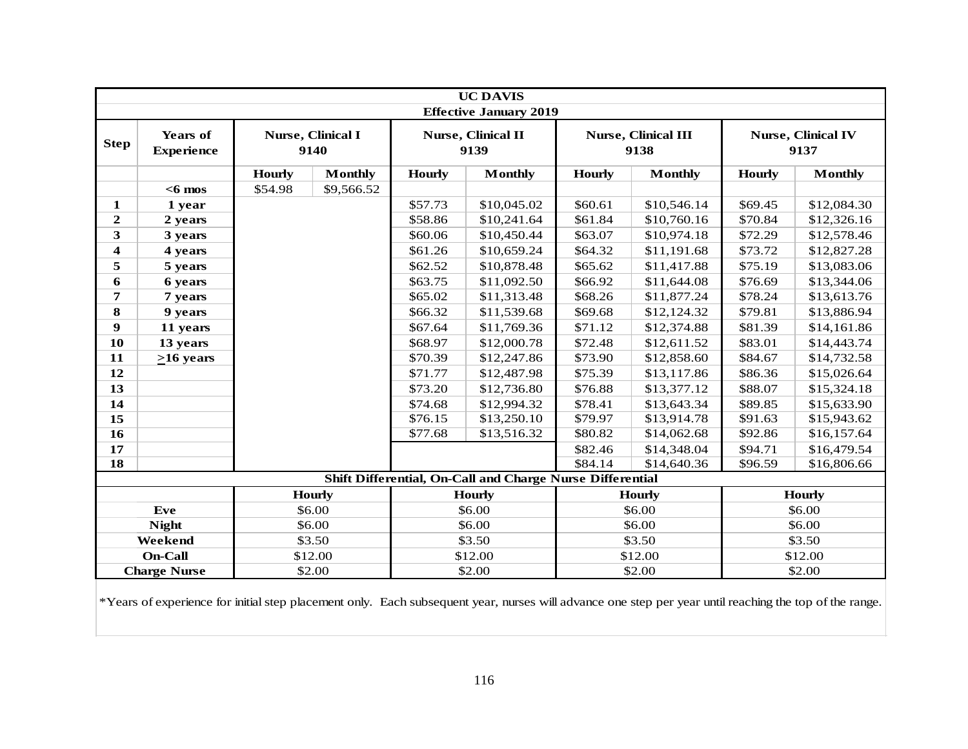|                         | <b>UC DAVIS</b><br><b>Effective January 2019</b> |               |                           |               |                                                                  |               |                                    |               |                                   |  |  |  |
|-------------------------|--------------------------------------------------|---------------|---------------------------|---------------|------------------------------------------------------------------|---------------|------------------------------------|---------------|-----------------------------------|--|--|--|
|                         |                                                  |               |                           |               |                                                                  |               |                                    |               |                                   |  |  |  |
| <b>Step</b>             | <b>Years of</b><br><b>Experience</b>             |               | Nurse, Clinical I<br>9140 |               | Nurse, Clinical II<br>9139                                       |               | <b>Nurse, Clinical III</b><br>9138 |               | <b>Nurse, Clinical IV</b><br>9137 |  |  |  |
|                         |                                                  | <b>Hourly</b> | <b>Monthly</b>            | <b>Hourly</b> | <b>Monthly</b>                                                   | <b>Hourly</b> | <b>Monthly</b>                     | <b>Hourly</b> | <b>Monthly</b>                    |  |  |  |
|                         | $<$ 6 mos                                        | \$54.98       | \$9,566.52                |               |                                                                  |               |                                    |               |                                   |  |  |  |
| 1                       | 1 year                                           |               |                           | \$57.73       | \$10,045.02                                                      | \$60.61       | \$10,546.14                        | \$69.45       | \$12,084.30                       |  |  |  |
| $\boldsymbol{2}$        | 2 years                                          |               |                           | \$58.86       | \$10,241.64                                                      | \$61.84       | \$10,760.16                        | \$70.84       | \$12,326.16                       |  |  |  |
| 3                       | 3 years                                          |               |                           | \$60.06       | \$10,450.44                                                      | \$63.07       | \$10,974.18                        | \$72.29       | \$12,578.46                       |  |  |  |
| $\overline{\mathbf{4}}$ | 4 years                                          |               |                           | \$61.26       | \$10,659.24                                                      | \$64.32       | \$11,191.68                        | \$73.72       | \$12,827.28                       |  |  |  |
| 5                       | 5 years                                          |               |                           | \$62.52       | \$10,878.48                                                      | \$65.62       | \$11,417.88                        | \$75.19       | \$13,083.06                       |  |  |  |
| 6                       | 6 years                                          |               |                           | \$63.75       | \$11,092.50                                                      | \$66.92       | \$11,644.08                        | \$76.69       | \$13,344.06                       |  |  |  |
| 7                       | 7 years                                          |               |                           | \$65.02       | \$11,313.48                                                      | \$68.26       | \$11,877.24                        | \$78.24       | \$13,613.76                       |  |  |  |
| 8                       | 9 years                                          |               |                           | \$66.32       | \$11,539.68                                                      | \$69.68       | \$12,124.32                        | \$79.81       | \$13,886.94                       |  |  |  |
| 9                       | 11 years                                         |               |                           | \$67.64       | \$11,769.36                                                      | \$71.12       | \$12,374.88                        | \$81.39       | \$14,161.86                       |  |  |  |
| 10                      | 13 years                                         |               |                           | \$68.97       | \$12,000.78                                                      | \$72.48       | \$12,611.52                        | \$83.01       | \$14,443.74                       |  |  |  |
| 11                      | $\geq 16$ years                                  |               |                           | \$70.39       | \$12,247.86                                                      | \$73.90       | \$12,858.60                        | \$84.67       | \$14,732.58                       |  |  |  |
| 12                      |                                                  |               |                           | \$71.77       | \$12,487.98                                                      | \$75.39       | \$13,117.86                        | \$86.36       | \$15,026.64                       |  |  |  |
| 13                      |                                                  |               |                           | \$73.20       | \$12,736.80                                                      | \$76.88       | \$13,377.12                        | \$88.07       | \$15,324.18                       |  |  |  |
| 14                      |                                                  |               |                           | \$74.68       | \$12,994.32                                                      | \$78.41       | \$13,643.34                        | \$89.85       | \$15,633.90                       |  |  |  |
| 15                      |                                                  |               |                           | \$76.15       | \$13,250.10                                                      | \$79.97       | \$13,914.78                        | \$91.63       | \$15,943.62                       |  |  |  |
| $\overline{16}$         |                                                  |               |                           | \$77.68       | \$13,516.32                                                      | \$80.82       | \$14,062.68                        | \$92.86       | \$16,157.64                       |  |  |  |
| 17                      |                                                  |               |                           |               |                                                                  | \$82.46       | \$14,348.04                        | \$94.71       | \$16,479.54                       |  |  |  |
| 18                      |                                                  |               |                           |               |                                                                  | \$84.14       | \$14,640.36                        | \$96.59       | \$16,806.66                       |  |  |  |
|                         |                                                  |               |                           |               | <b>Shift Differential, On-Call and Charge Nurse Differential</b> |               |                                    |               |                                   |  |  |  |
|                         |                                                  |               | <b>Hourly</b>             |               | <b>Hourly</b>                                                    |               | <b>Hourly</b>                      |               | <b>Hourly</b>                     |  |  |  |
|                         | Eve                                              |               | \$6.00                    |               | \$6.00                                                           |               | \$6.00                             |               | \$6.00                            |  |  |  |
|                         | <b>Night</b>                                     |               | \$6.00                    |               | \$6.00                                                           |               | \$6.00                             |               | \$6.00                            |  |  |  |
|                         | Weekend                                          |               | \$3.50                    |               | \$3.50                                                           |               | \$3.50                             |               | \$3.50                            |  |  |  |
|                         | <b>On-Call</b>                                   |               | \$12.00                   |               | \$12.00                                                          | \$12.00       |                                    |               | \$12.00                           |  |  |  |
|                         | <b>Charge Nurse</b>                              |               | \$2.00                    |               | \$2.00                                                           |               | \$2.00                             |               | \$2.00                            |  |  |  |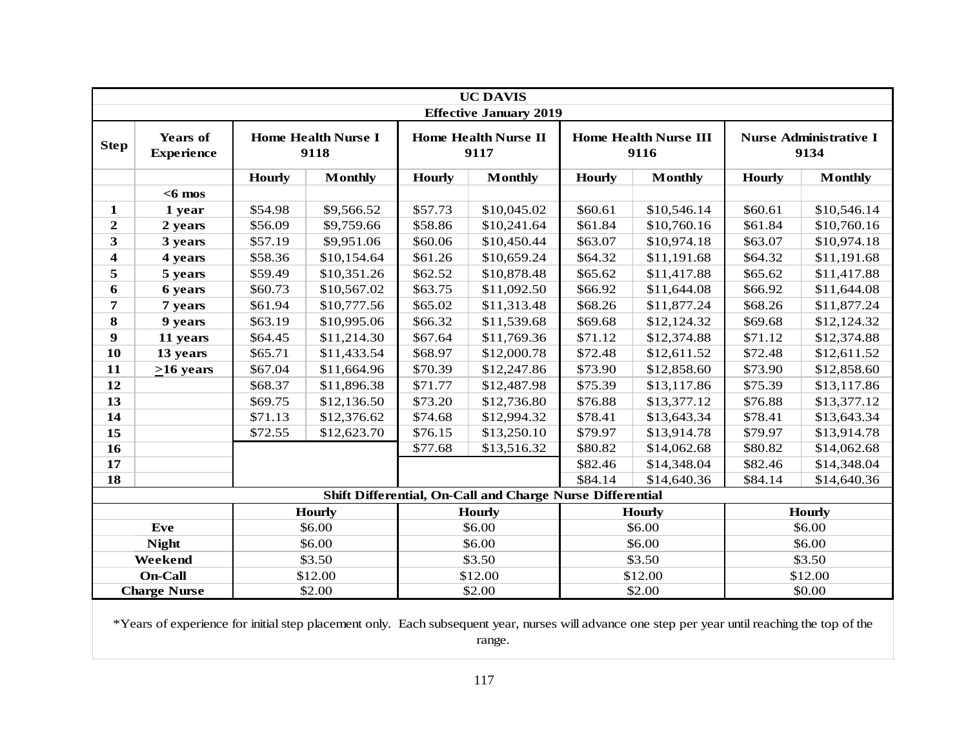|                  | <b>UC DAVIS</b><br><b>Effective January 2019</b>                                                                                                |               |                                    |               |                                                                  |               |                                      |               |                                       |  |  |  |  |
|------------------|-------------------------------------------------------------------------------------------------------------------------------------------------|---------------|------------------------------------|---------------|------------------------------------------------------------------|---------------|--------------------------------------|---------------|---------------------------------------|--|--|--|--|
| <b>Step</b>      | <b>Years of</b><br><b>Experience</b>                                                                                                            |               | <b>Home Health Nurse I</b><br>9118 |               | <b>Home Health Nurse II</b><br>9117                              |               | <b>Home Health Nurse III</b><br>9116 |               | <b>Nurse Administrative I</b><br>9134 |  |  |  |  |
|                  |                                                                                                                                                 | <b>Hourly</b> | <b>Monthly</b>                     | <b>Hourly</b> | <b>Monthly</b>                                                   | <b>Hourly</b> | <b>Monthly</b>                       | <b>Hourly</b> | <b>Monthly</b>                        |  |  |  |  |
|                  | $<$ 6 mos                                                                                                                                       |               |                                    |               |                                                                  |               |                                      |               |                                       |  |  |  |  |
| 1                | 1 year                                                                                                                                          | \$54.98       | \$9,566.52                         | \$57.73       | \$10,045.02                                                      | \$60.61       | \$10,546.14                          | \$60.61       | \$10,546.14                           |  |  |  |  |
| $\mathbf{2}$     | 2 years                                                                                                                                         | \$56.09       | \$9,759.66                         | \$58.86       | \$10,241.64                                                      | \$61.84       | \$10,760.16                          | \$61.84       | \$10,760.16                           |  |  |  |  |
| 3                | 3 years                                                                                                                                         | \$57.19       | \$9,951.06                         | \$60.06       | \$10,450.44                                                      | \$63.07       | \$10,974.18                          | \$63.07       | \$10,974.18                           |  |  |  |  |
| 4                | 4 years                                                                                                                                         | \$58.36       | \$10,154.64                        | \$61.26       | \$10,659.24                                                      | \$64.32       | \$11,191.68                          | \$64.32       | \$11,191.68                           |  |  |  |  |
| 5                | 5 years                                                                                                                                         | \$59.49       | \$10,351.26                        | \$62.52       | \$10,878.48                                                      | \$65.62       | \$11,417.88                          | \$65.62       | \$11,417.88                           |  |  |  |  |
| 6                | 6 years                                                                                                                                         | \$60.73       | \$10,567.02                        | \$63.75       | \$11,092.50                                                      | \$66.92       | \$11,644.08                          | \$66.92       | \$11,644.08                           |  |  |  |  |
| 7                | 7 years                                                                                                                                         | \$61.94       | \$10,777.56                        | \$65.02       | \$11,313.48                                                      | \$68.26       | \$11,877.24                          | \$68.26       | \$11,877.24                           |  |  |  |  |
| 8                | 9 years                                                                                                                                         | \$63.19       | \$10,995.06                        | \$66.32       | \$11,539.68                                                      | \$69.68       | \$12,124.32                          | \$69.68       | \$12,124.32                           |  |  |  |  |
| $\boldsymbol{9}$ | 11 years                                                                                                                                        | \$64.45       | \$11,214.30                        | \$67.64       | \$11,769.36                                                      | \$71.12       | \$12,374.88                          | \$71.12       | \$12,374.88                           |  |  |  |  |
| 10               | 13 years                                                                                                                                        | \$65.71       | \$11,433.54                        | \$68.97       | \$12,000.78                                                      | \$72.48       | \$12,611.52                          | \$72.48       | \$12,611.52                           |  |  |  |  |
| 11               | $\geq 16$ years                                                                                                                                 | \$67.04       | \$11,664.96                        | \$70.39       | \$12,247.86                                                      | \$73.90       | \$12,858.60                          | \$73.90       | \$12,858.60                           |  |  |  |  |
| 12               |                                                                                                                                                 | \$68.37       | \$11,896.38                        | \$71.77       | \$12,487.98                                                      | \$75.39       | \$13,117.86                          | \$75.39       | \$13,117.86                           |  |  |  |  |
| 13               |                                                                                                                                                 | \$69.75       | \$12,136.50                        | \$73.20       | \$12,736.80                                                      | \$76.88       | \$13,377.12                          | \$76.88       | \$13,377.12                           |  |  |  |  |
| 14               |                                                                                                                                                 | \$71.13       | \$12,376.62                        | \$74.68       | \$12,994.32                                                      | \$78.41       | \$13,643.34                          | \$78.41       | \$13,643.34                           |  |  |  |  |
| 15               |                                                                                                                                                 | \$72.55       | \$12,623.70                        | \$76.15       | \$13,250.10                                                      | \$79.97       | \$13,914.78                          | \$79.97       | \$13,914.78                           |  |  |  |  |
| $\overline{16}$  |                                                                                                                                                 |               |                                    | \$77.68       | \$13,516.32                                                      | \$80.82       | \$14,062.68                          | \$80.82       | \$14,062.68                           |  |  |  |  |
| 17               |                                                                                                                                                 |               |                                    |               |                                                                  | \$82.46       | \$14,348.04                          | \$82.46       | \$14,348.04                           |  |  |  |  |
| <b>18</b>        |                                                                                                                                                 |               |                                    |               |                                                                  | \$84.14       | \$14,640.36                          | \$84.14       | \$14,640.36                           |  |  |  |  |
|                  |                                                                                                                                                 |               |                                    |               | <b>Shift Differential, On-Call and Charge Nurse Differential</b> |               |                                      |               |                                       |  |  |  |  |
|                  |                                                                                                                                                 |               | <b>Hourly</b>                      |               | <b>Hourly</b>                                                    |               | <b>Hourly</b>                        |               | <b>Hourly</b>                         |  |  |  |  |
|                  | Eve                                                                                                                                             |               | \$6.00                             |               | \$6.00                                                           |               | \$6.00                               |               | \$6.00                                |  |  |  |  |
|                  | <b>Night</b>                                                                                                                                    |               | \$6.00                             |               | \$6.00                                                           |               | \$6.00                               |               | \$6.00                                |  |  |  |  |
|                  | Weekend                                                                                                                                         |               | \$3.50                             |               | \$3.50                                                           |               | \$3.50                               |               | \$3.50                                |  |  |  |  |
|                  | <b>On-Call</b>                                                                                                                                  |               | \$12.00                            |               | \$12.00                                                          |               | \$12.00                              |               | \$12.00                               |  |  |  |  |
|                  | <b>Charge Nurse</b>                                                                                                                             |               | \$2.00                             |               | \$2.00                                                           |               | \$2.00                               |               | \$0.00                                |  |  |  |  |
|                  | *Years of experience for initial step placement only. Each subsequent year, nurses will advance one step per year until reaching the top of the |               |                                    |               | range.                                                           |               |                                      |               |                                       |  |  |  |  |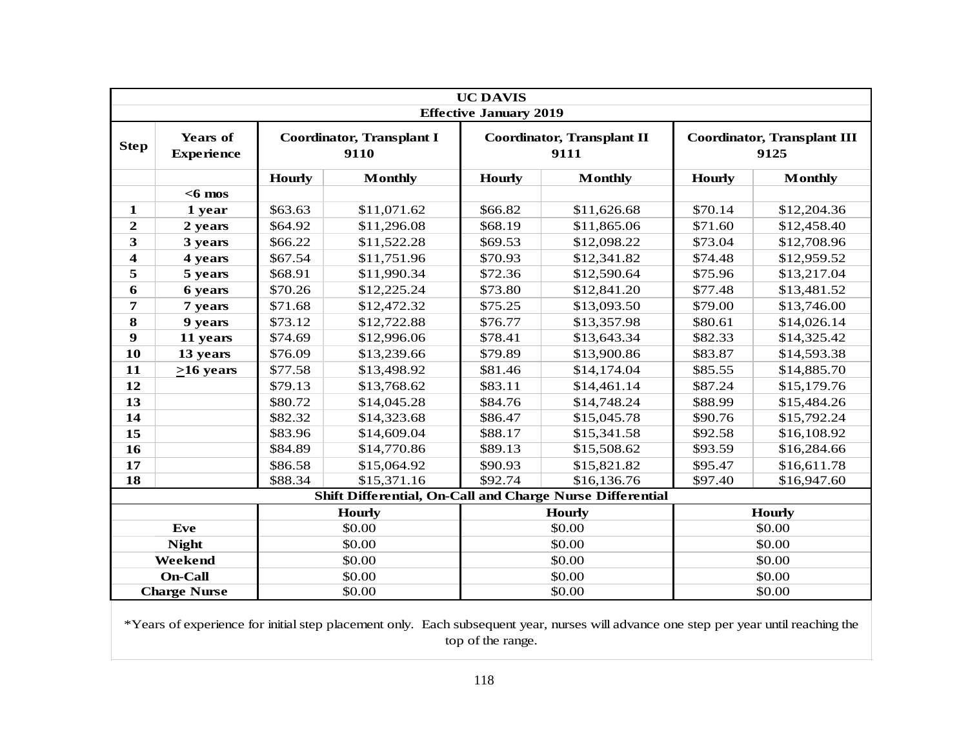|                  |                                      |               |                                          | <b>UC DAVIS</b>               |                                                                  |               |                                            |
|------------------|--------------------------------------|---------------|------------------------------------------|-------------------------------|------------------------------------------------------------------|---------------|--------------------------------------------|
|                  |                                      |               |                                          | <b>Effective January 2019</b> |                                                                  |               |                                            |
| <b>Step</b>      | <b>Years of</b><br><b>Experience</b> |               | <b>Coordinator, Transplant I</b><br>9110 |                               | <b>Coordinator, Transplant II</b><br>9111                        |               | <b>Coordinator, Transplant III</b><br>9125 |
|                  |                                      | <b>Hourly</b> | <b>Monthly</b>                           | <b>Hourly</b>                 | <b>Monthly</b>                                                   | <b>Hourly</b> | <b>Monthly</b>                             |
|                  | $<$ 6 mos                            |               |                                          |                               |                                                                  |               |                                            |
| $\mathbf{1}$     | 1 year                               | \$63.63       | \$11,071.62                              | \$66.82                       | \$11,626.68                                                      | \$70.14       | \$12,204.36                                |
| $\boldsymbol{2}$ | 2 years                              | \$64.92       | \$11,296.08                              | \$68.19                       | \$11,865.06                                                      | \$71.60       | \$12,458.40                                |
| $\mathbf{3}$     | 3 years                              | \$66.22       | \$11,522.28                              | \$69.53                       | \$12,098.22                                                      | \$73.04       | \$12,708.96                                |
| $\boldsymbol{4}$ | 4 years                              | \$67.54       | \$11,751.96                              | \$70.93                       | \$12,341.82                                                      | \$74.48       | \$12,959.52                                |
| 5                | 5 years                              | \$68.91       | \$11,990.34                              | \$72.36                       | \$12,590.64                                                      | \$75.96       | \$13,217.04                                |
| 6                | 6 years                              | \$70.26       | \$12,225.24                              | \$73.80                       | \$12,841.20                                                      | \$77.48       | \$13,481.52                                |
| 7                | 7 years                              | \$71.68       | \$12,472.32                              | \$75.25                       | \$13,093.50                                                      | \$79.00       | \$13,746.00                                |
| 8                | 9 years                              | \$73.12       | \$12,722.88                              | \$76.77                       | \$13,357.98                                                      | \$80.61       | \$14,026.14                                |
| 9                | 11 years                             | \$74.69       | \$12,996.06                              | \$78.41                       | \$13,643.34                                                      | \$82.33       | \$14,325.42                                |
| 10               | 13 years                             | \$76.09       | \$13,239.66                              | \$79.89                       | \$13,900.86                                                      | \$83.87       | \$14,593.38                                |
| 11               | $>16$ years                          | \$77.58       | \$13,498.92                              | \$81.46                       | \$14,174.04                                                      | \$85.55       | \$14,885.70                                |
| 12               |                                      | \$79.13       | \$13,768.62                              | \$83.11                       | \$14,461.14                                                      | \$87.24       | \$15,179.76                                |
| 13               |                                      | \$80.72       | \$14,045.28                              | \$84.76                       | \$14,748.24                                                      | \$88.99       | \$15,484.26                                |
| 14               |                                      | \$82.32       | \$14,323.68                              | \$86.47                       | \$15,045.78                                                      | \$90.76       | \$15,792.24                                |
| 15               |                                      | \$83.96       | \$14,609.04                              | \$88.17                       | \$15,341.58                                                      | \$92.58       | \$16,108.92                                |
| 16               |                                      | \$84.89       | \$14,770.86                              | \$89.13                       | \$15,508.62                                                      | \$93.59       | \$16,284.66                                |
| 17               |                                      | \$86.58       | \$15,064.92                              | \$90.93                       | \$15,821.82                                                      | \$95.47       | \$16,611.78                                |
| 18               |                                      | \$88.34       | \$15,371.16                              | \$92.74                       | \$16,136.76                                                      | \$97.40       | \$16,947.60                                |
|                  |                                      |               |                                          |                               | <b>Shift Differential, On-Call and Charge Nurse Differential</b> |               |                                            |
|                  |                                      |               | <b>Hourly</b>                            |                               | <b>Hourly</b>                                                    |               | <b>Hourly</b>                              |
|                  | Eve                                  |               | \$0.00                                   |                               | \$0.00                                                           |               | \$0.00                                     |
|                  | <b>Night</b>                         |               | \$0.00                                   |                               | \$0.00                                                           |               | \$0.00                                     |
|                  | Weekend                              |               | \$0.00                                   |                               | \$0.00                                                           |               | \$0.00                                     |
|                  | <b>On-Call</b>                       |               | \$0.00                                   |                               | \$0.00                                                           |               | \$0.00                                     |
|                  | <b>Charge Nurse</b>                  |               | \$0.00                                   |                               | \$0.00                                                           |               | \$0.00                                     |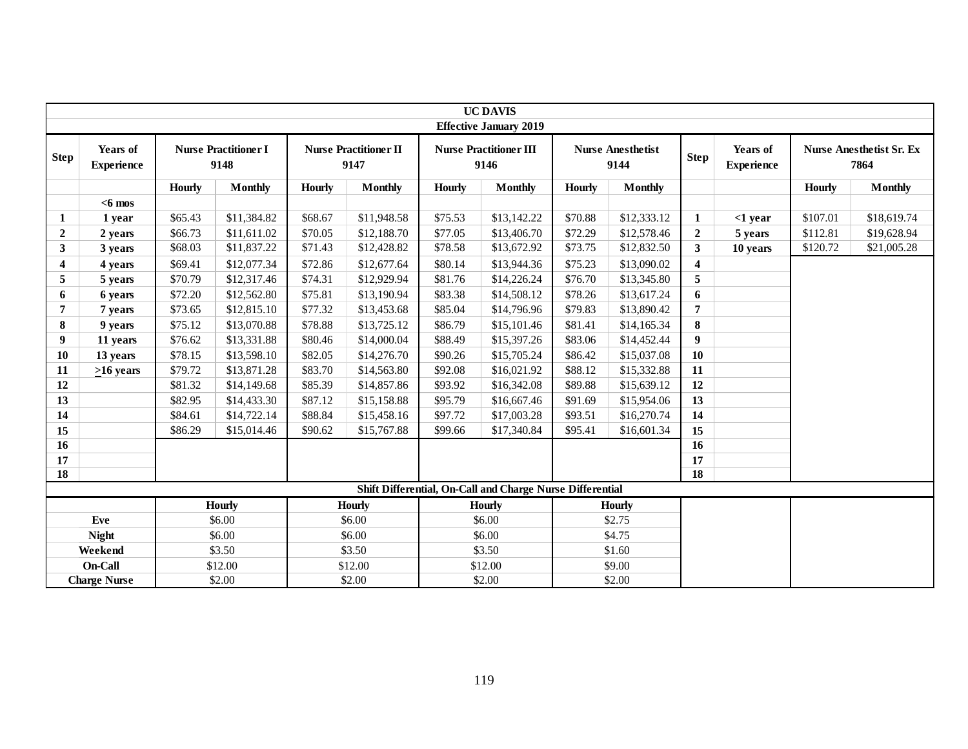|                |                               |         |                                     |               |                                      |               | <b>UC DAVIS</b><br><b>Effective January 2019</b>          |               |                                  |                         |                               |               |                                         |
|----------------|-------------------------------|---------|-------------------------------------|---------------|--------------------------------------|---------------|-----------------------------------------------------------|---------------|----------------------------------|-------------------------|-------------------------------|---------------|-----------------------------------------|
| <b>Step</b>    | Years of<br><b>Experience</b> |         | <b>Nurse Practitioner I</b><br>9148 |               | <b>Nurse Practitioner II</b><br>9147 |               | <b>Nurse Practitioner III</b><br>9146                     |               | <b>Nurse Anesthetist</b><br>9144 | <b>Step</b>             | Years of<br><b>Experience</b> |               | <b>Nurse Anesthetist Sr. Ex</b><br>7864 |
|                |                               | Hourly  | <b>Monthly</b>                      | <b>Hourly</b> | <b>Monthly</b>                       | <b>Hourly</b> | <b>Monthly</b>                                            | <b>Hourly</b> | <b>Monthly</b>                   |                         |                               | <b>Hourly</b> | <b>Monthly</b>                          |
|                | $<$ 6 mos                     |         |                                     |               |                                      |               |                                                           |               |                                  |                         |                               |               |                                         |
| 1              | 1 year                        | \$65.43 | \$11,384.82                         | \$68.67       | \$11,948.58                          | \$75.53       | \$13,142.22                                               | \$70.88       | \$12,333.12                      | 1                       | $<$ 1 year                    | \$107.01      | \$18,619.74                             |
| $\overline{2}$ | 2 years                       | \$66.73 | \$11,611.02                         | \$70.05       | \$12,188.70                          | \$77.05       | \$13,406.70                                               | \$72.29       | \$12,578.46                      | $\overline{2}$          | 5 years                       | \$112.81      | \$19,628.94                             |
| 3              | 3 years                       | \$68.03 | \$11,837.22                         | \$71.43       | \$12,428.82                          | \$78.58       | \$13,672.92                                               | \$73.75       | \$12,832.50                      | 3                       | 10 years                      | \$120.72      | \$21,005.28                             |
| 4              | 4 years                       | \$69.41 | \$12,077.34                         | \$72.86       | \$12,677.64                          | \$80.14       | \$13,944.36                                               | \$75.23       | \$13,090.02                      | $\overline{\mathbf{4}}$ |                               |               |                                         |
| 5              | 5 years                       | \$70.79 | \$12,317.46                         | \$74.31       | \$12,929.94                          | \$81.76       | \$14,226.24                                               | \$76.70       | \$13,345.80                      | 5                       |                               |               |                                         |
| 6              | 6 years                       | \$72.20 | \$12,562.80                         | \$75.81       | \$13,190.94                          | \$83.38       | \$14,508.12                                               | \$78.26       | \$13,617.24                      | 6                       |                               |               |                                         |
| 7              | 7 years                       | \$73.65 | \$12,815.10                         | \$77.32       | \$13,453.68                          | \$85.04       | \$14,796.96                                               | \$79.83       | \$13,890.42                      | 7                       |                               |               |                                         |
| 8              | 9 years                       | \$75.12 | \$13,070.88                         | \$78.88       | \$13,725.12                          | \$86.79       | \$15,101.46                                               | \$81.41       | \$14,165.34                      | 8                       |                               |               |                                         |
| 9              | 11 years                      | \$76.62 | \$13,331.88                         | \$80.46       | \$14,000.04                          | \$88.49       | \$15,397.26                                               | \$83.06       | \$14,452.44                      | 9                       |                               |               |                                         |
| 10             | 13 years                      | \$78.15 | \$13,598.10                         | \$82.05       | \$14,276.70                          | \$90.26       | \$15,705.24                                               | \$86.42       | \$15,037.08                      | 10                      |                               |               |                                         |
| 11             | $>16$ years                   | \$79.72 | \$13,871.28                         | \$83.70       | \$14,563.80                          | \$92.08       | \$16,021.92                                               | \$88.12       | \$15,332.88                      | 11                      |                               |               |                                         |
| 12             |                               | \$81.32 | \$14,149.68                         | \$85.39       | \$14,857.86                          | \$93.92       | \$16,342.08                                               | \$89.88       | \$15,639.12                      | 12                      |                               |               |                                         |
| 13             |                               | \$82.95 | \$14,433.30                         | \$87.12       | \$15,158.88                          | \$95.79       | \$16,667.46                                               | \$91.69       | \$15,954.06                      | 13                      |                               |               |                                         |
| 14             |                               | \$84.61 | \$14,722.14                         | \$88.84       | \$15,458.16                          | \$97.72       | \$17,003.28                                               | \$93.51       | \$16,270.74                      | 14                      |                               |               |                                         |
| 15             |                               | \$86.29 | \$15,014.46                         | \$90.62       | \$15,767.88                          | \$99.66       | \$17,340.84                                               | \$95.41       | \$16,601.34                      | 15                      |                               |               |                                         |
| 16             |                               |         |                                     |               |                                      |               |                                                           |               |                                  | 16                      |                               |               |                                         |
| 17             |                               |         |                                     |               |                                      |               |                                                           |               |                                  | 17                      |                               |               |                                         |
| 18             |                               |         |                                     |               |                                      |               |                                                           |               |                                  | 18                      |                               |               |                                         |
|                |                               |         |                                     |               |                                      |               | Shift Differential, On-Call and Charge Nurse Differential |               |                                  |                         |                               |               |                                         |
|                |                               |         | <b>Hourly</b>                       |               | <b>Hourly</b>                        |               | <b>Hourly</b>                                             |               | <b>Hourly</b>                    |                         |                               |               |                                         |
|                | Eve                           |         | \$6.00                              |               | \$6.00                               |               | \$6.00                                                    |               | \$2.75                           |                         |                               |               |                                         |
|                | <b>Night</b>                  |         | \$6.00                              |               | \$6.00                               |               | \$6.00                                                    |               | \$4.75                           |                         |                               |               |                                         |
|                | Weekend                       |         | \$3.50                              |               | \$3.50                               |               | \$3.50                                                    |               | \$1.60                           |                         |                               |               |                                         |
|                | On-Call                       |         | \$12.00                             |               | \$12.00                              |               | \$12.00                                                   |               | \$9.00                           |                         |                               |               |                                         |
|                | <b>Charge Nurse</b>           |         | \$2.00                              |               | \$2.00                               |               | \$2.00                                                    |               | \$2.00                           |                         |                               |               |                                         |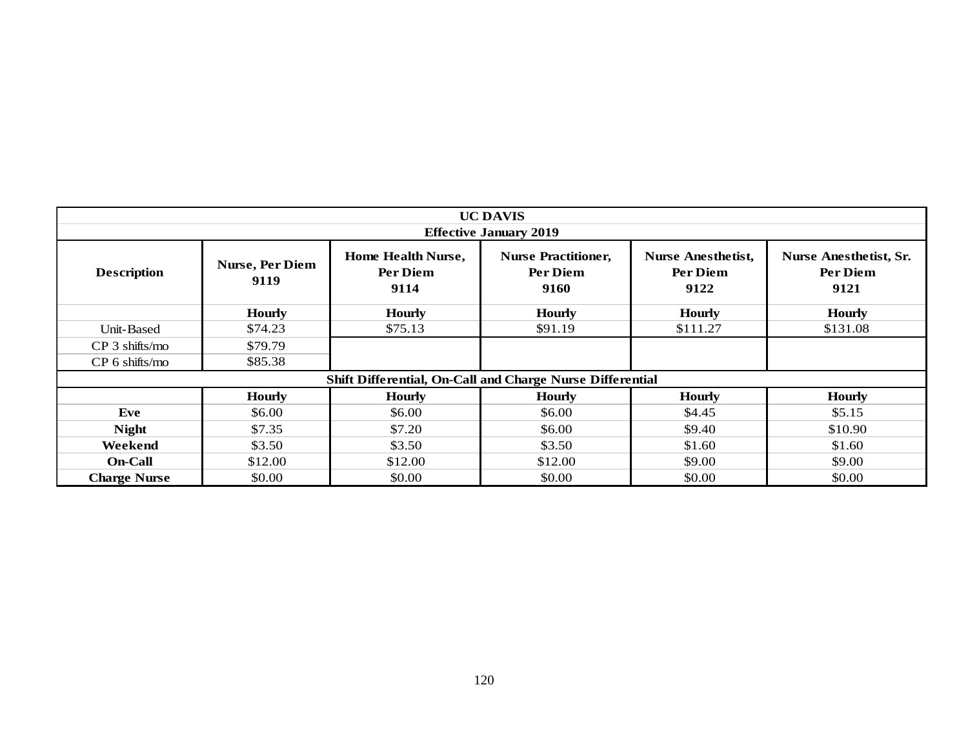|                     |                         |                                                           | <b>UC DAVIS</b>                                |                                               |                                                   |
|---------------------|-------------------------|-----------------------------------------------------------|------------------------------------------------|-----------------------------------------------|---------------------------------------------------|
|                     |                         |                                                           | <b>Effective January 2019</b>                  |                                               |                                                   |
| <b>Description</b>  | Nurse, Per Diem<br>9119 | Home Health Nurse,<br>Per Diem<br>9114                    | <b>Nurse Practitioner,</b><br>Per Diem<br>9160 | <b>Nurse Anesthetist,</b><br>Per Diem<br>9122 | <b>Nurse Anesthetist, Sr.</b><br>Per Diem<br>9121 |
|                     | <b>Hourly</b>           | <b>Hourly</b>                                             | <b>Hourly</b>                                  | <b>Hourly</b>                                 | <b>Hourly</b>                                     |
| Unit-Based          | \$74.23                 | \$75.13                                                   | \$91.19                                        | \$111.27                                      | \$131.08                                          |
| $CP$ 3 shifts/mo    | \$79.79                 |                                                           |                                                |                                               |                                                   |
| CP 6 shifts/mo      | \$85.38                 |                                                           |                                                |                                               |                                                   |
|                     |                         | Shift Differential, On-Call and Charge Nurse Differential |                                                |                                               |                                                   |
|                     | <b>Hourly</b>           | <b>Hourly</b>                                             | <b>Hourly</b>                                  | <b>Hourly</b>                                 | <b>Hourly</b>                                     |
| Eve                 | \$6.00                  | \$6.00                                                    | \$6.00                                         | \$4.45                                        | \$5.15                                            |
| <b>Night</b>        | \$7.35                  | \$7.20                                                    | \$6.00                                         | \$9.40                                        | \$10.90                                           |
| Weekend             | \$3.50                  | \$3.50                                                    | \$3.50                                         | \$1.60                                        | \$1.60                                            |
| <b>On-Call</b>      | \$12.00                 | \$12.00                                                   | \$12.00                                        | \$9.00                                        | \$9.00                                            |
| <b>Charge Nurse</b> | \$0.00                  | \$0.00                                                    | \$0.00                                         | \$0.00                                        | \$0.00                                            |
|                     |                         |                                                           |                                                |                                               |                                                   |
|                     |                         |                                                           |                                                |                                               |                                                   |
|                     |                         |                                                           | 120                                            |                                               |                                                   |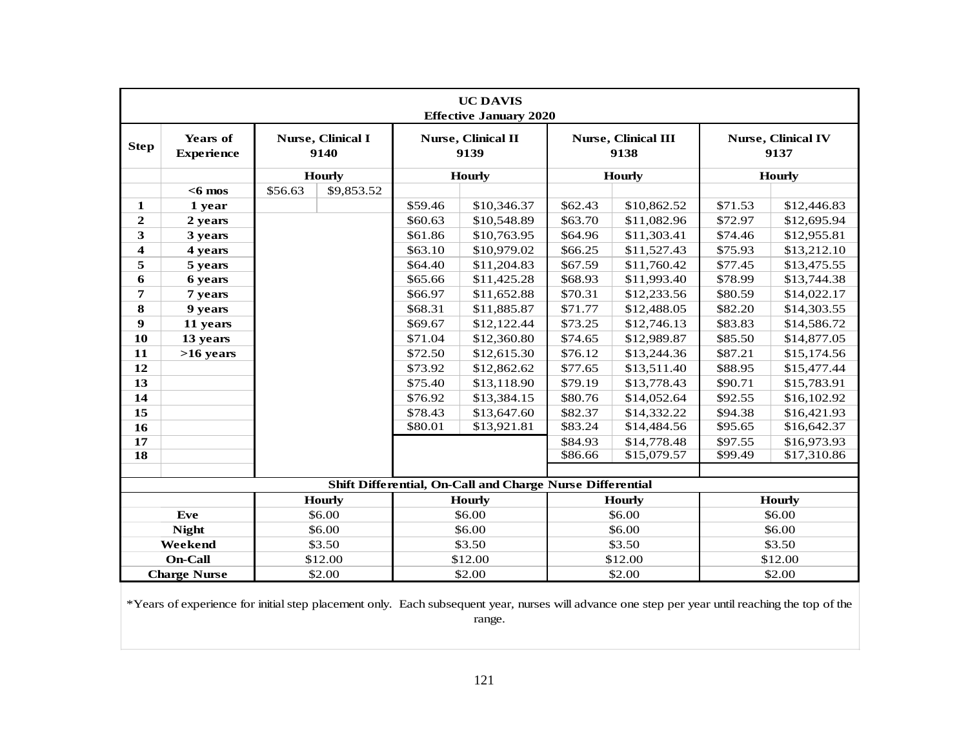|                         |                                      |         |                           |         | <b>UC DAVIS</b><br><b>Effective January 2020</b>                 |         |                                    |         |                                   |
|-------------------------|--------------------------------------|---------|---------------------------|---------|------------------------------------------------------------------|---------|------------------------------------|---------|-----------------------------------|
| <b>Step</b>             | <b>Years of</b><br><b>Experience</b> |         | Nurse, Clinical I<br>9140 |         | Nurse, Clinical II<br>9139                                       |         | <b>Nurse, Clinical III</b><br>9138 |         | <b>Nurse, Clinical IV</b><br>9137 |
|                         |                                      |         | <b>Hourly</b>             |         | <b>Hourly</b>                                                    |         | <b>Hourly</b>                      |         | <b>Hourly</b>                     |
|                         | $<$ 6 mos                            | \$56.63 | \$9,853.52                |         |                                                                  |         |                                    |         |                                   |
| 1                       | 1 year                               |         |                           | \$59.46 | \$10,346.37                                                      | \$62.43 | \$10,862.52                        | \$71.53 | \$12,446.83                       |
| $\boldsymbol{2}$        | 2 years                              |         |                           | \$60.63 | \$10,548.89                                                      | \$63.70 | \$11,082.96                        | \$72.97 | \$12,695.94                       |
| 3                       | 3 years                              |         |                           | \$61.86 | \$10,763.95                                                      | \$64.96 | \$11,303.41                        | \$74.46 | \$12,955.81                       |
| $\overline{\mathbf{4}}$ | 4 years                              |         |                           | \$63.10 | \$10,979.02                                                      | \$66.25 | \$11,527.43                        | \$75.93 | \$13,212.10                       |
| 5                       | 5 years                              |         |                           | \$64.40 | \$11,204.83                                                      | \$67.59 | \$11,760.42                        | \$77.45 | \$13,475.55                       |
| 6                       | 6 years                              |         |                           | \$65.66 | \$11,425.28                                                      | \$68.93 | \$11,993.40                        | \$78.99 | \$13,744.38                       |
| 7                       | 7 years                              |         |                           | \$66.97 | \$11,652.88                                                      | \$70.31 | \$12,233.56                        | \$80.59 | \$14,022.17                       |
| 8                       | 9 years                              |         |                           | \$68.31 | \$11,885.87                                                      | \$71.77 | \$12,488.05                        | \$82.20 | \$14,303.55                       |
| 9                       | 11 years                             |         |                           | \$69.67 | \$12,122.44                                                      | \$73.25 | \$12,746.13                        | \$83.83 | \$14,586.72                       |
| 10                      | 13 years                             |         |                           | \$71.04 | \$12,360.80                                                      | \$74.65 | \$12,989.87                        | \$85.50 | \$14,877.05                       |
| 11                      | $>16$ years                          |         |                           | \$72.50 | \$12,615.30                                                      | \$76.12 | \$13,244.36                        | \$87.21 | \$15,174.56                       |
| 12                      |                                      |         |                           | \$73.92 | \$12,862.62                                                      | \$77.65 | \$13,511.40                        | \$88.95 | \$15,477.44                       |
| 13                      |                                      |         |                           | \$75.40 | \$13,118.90                                                      | \$79.19 | \$13,778.43                        | \$90.71 | \$15,783.91                       |
| 14                      |                                      |         |                           | \$76.92 | \$13,384.15                                                      | \$80.76 | \$14,052.64                        | \$92.55 | \$16,102.92                       |
| 15                      |                                      |         |                           | \$78.43 | \$13,647.60                                                      | \$82.37 | \$14,332.22                        | \$94.38 | \$16,421.93                       |
| 16                      |                                      |         |                           | \$80.01 | \$13,921.81                                                      | \$83.24 | \$14,484.56                        | \$95.65 | \$16,642.37                       |
| 17                      |                                      |         |                           |         |                                                                  | \$84.93 | \$14,778.48                        | \$97.55 | \$16,973.93                       |
| 18                      |                                      |         |                           |         |                                                                  | \$86.66 | \$15,079.57                        | \$99.49 | \$17,310.86                       |
|                         |                                      |         |                           |         |                                                                  |         |                                    |         |                                   |
|                         |                                      |         |                           |         | <b>Shift Differential, On-Call and Charge Nurse Differential</b> |         |                                    |         |                                   |
|                         |                                      |         | <b>Hourly</b>             |         | <b>Hourly</b>                                                    |         | Hourly                             |         | <b>Hourly</b>                     |
|                         | Eve                                  |         | \$6.00                    |         | \$6.00                                                           |         | \$6.00                             |         | \$6.00                            |
|                         | <b>Night</b>                         |         | \$6.00                    |         | \$6.00                                                           |         | \$6.00                             |         | \$6.00                            |
|                         | Weekend                              |         | \$3.50                    |         | \$3.50                                                           |         | \$3.50                             |         | \$3.50                            |
|                         | <b>On-Call</b>                       |         | \$12.00                   |         | \$12.00                                                          |         | \$12.00                            |         | \$12.00                           |
|                         | <b>Charge Nurse</b>                  |         | \$2.00                    |         | \$2.00                                                           |         | \$2.00                             | \$2.00  |                                   |

range.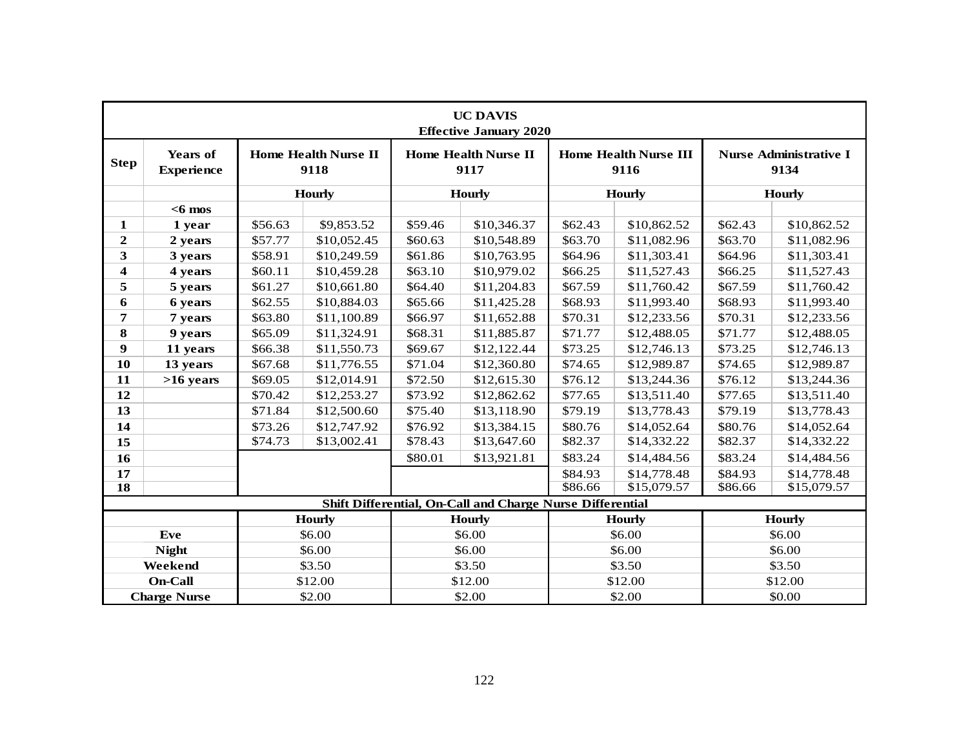|                     |                                      |                        |                                     |         | <b>UC DAVIS</b><br><b>Effective January 2020</b>          |         |                                      |         |                                       |  |
|---------------------|--------------------------------------|------------------------|-------------------------------------|---------|-----------------------------------------------------------|---------|--------------------------------------|---------|---------------------------------------|--|
| <b>Step</b>         | <b>Years of</b><br><b>Experience</b> |                        | <b>Home Health Nurse II</b><br>9118 |         | <b>Home Health Nurse II</b><br>9117                       |         | <b>Home Health Nurse III</b><br>9116 |         | <b>Nurse Administrative I</b><br>9134 |  |
|                     |                                      |                        | <b>Hourly</b>                       |         | <b>Hourly</b>                                             |         | <b>Hourly</b>                        |         | <b>Hourly</b>                         |  |
|                     | $<$ 6 mos                            |                        |                                     |         |                                                           |         |                                      |         |                                       |  |
| 1                   | 1 year                               | \$56.63                | \$9,853.52                          | \$59.46 | \$10,346.37                                               | \$62.43 | \$10,862.52                          | \$62.43 | \$10,862.52                           |  |
| $\boldsymbol{2}$    | 2 years                              | \$57.77                | \$10,052.45                         | \$60.63 | \$10,548.89                                               | \$63.70 | \$11,082.96                          | \$63.70 | \$11,082.96                           |  |
| 3                   | 3 years                              | \$58.91                | \$10,249.59                         | \$61.86 | \$10,763.95                                               | \$64.96 | \$11,303.41                          | \$64.96 | \$11,303.41                           |  |
| 4                   | 4 years                              | \$60.11                | \$10,459.28                         | \$63.10 | \$10,979.02                                               | \$66.25 | \$11,527.43                          | \$66.25 | \$11,527.43                           |  |
| 5                   | 5 years                              | \$61.27                | \$10,661.80                         | \$64.40 | \$11,204.83                                               | \$67.59 | \$11,760.42                          | \$67.59 | \$11,760.42                           |  |
| 6                   | 6 years                              | \$62.55                | \$10,884.03                         | \$65.66 | \$11,425.28                                               | \$68.93 | \$11,993.40                          | \$68.93 | \$11,993.40                           |  |
| 7                   | 7 years                              | \$63.80                | \$11,100.89                         | \$66.97 | \$11,652.88                                               | \$70.31 | \$12,233.56                          | \$70.31 | \$12,233.56                           |  |
| 8                   | 9 years                              | \$65.09                | \$11,324.91                         | \$68.31 | \$11,885.87                                               | \$71.77 | \$12,488.05                          | \$71.77 | \$12,488.05                           |  |
| $\boldsymbol{9}$    | 11 years                             | \$66.38<br>\$11,550.73 |                                     | \$69.67 | \$12,122.44                                               | \$73.25 | \$12,746.13                          | \$73.25 | \$12,746.13                           |  |
| 10                  | 13 years                             | \$67.68                | \$11,776.55                         | \$71.04 | \$12,360.80                                               | \$74.65 | \$12,989.87                          | \$74.65 | \$12,989.87                           |  |
| 11                  | $>16$ years                          | \$69.05                | \$12,014.91                         | \$72.50 | \$12,615.30                                               | \$76.12 | \$13,244.36                          | \$76.12 | \$13,244.36                           |  |
| 12                  |                                      | \$70.42                | \$12,253.27                         | \$73.92 | \$12,862.62                                               | \$77.65 | \$13,511.40                          | \$77.65 | \$13,511.40                           |  |
| 13                  |                                      | \$71.84                | \$12,500.60                         | \$75.40 | \$13,118.90                                               | \$79.19 | \$13,778.43                          | \$79.19 | \$13,778.43                           |  |
| 14                  |                                      | \$73.26                | \$12,747.92                         | \$76.92 | \$13,384.15                                               | \$80.76 | \$14,052.64                          | \$80.76 | \$14,052.64                           |  |
| 15                  |                                      | \$74.73                | \$13,002.41                         | \$78.43 | \$13,647.60                                               | \$82.37 | \$14,332.22                          | \$82.37 | \$14,332.22                           |  |
| 16                  |                                      |                        |                                     | \$80.01 | \$13,921.81                                               | \$83.24 | \$14,484.56                          | \$83.24 | \$14,484.56                           |  |
| 17                  |                                      |                        |                                     |         |                                                           | \$84.93 | \$14,778.48                          | \$84.93 | \$14,778.48                           |  |
| $\overline{\bf 18}$ |                                      |                        |                                     |         |                                                           | \$86.66 | \$15,079.57                          | \$86.66 | \$15,079.57                           |  |
|                     |                                      |                        |                                     |         | Shift Differential, On-Call and Charge Nurse Differential |         |                                      |         |                                       |  |
|                     |                                      |                        | <b>Hourly</b>                       |         | <b>Hourly</b>                                             |         | <b>Hourly</b>                        |         | <b>Hourly</b>                         |  |
|                     | Eve                                  |                        | \$6.00                              |         | \$6.00                                                    |         | \$6.00                               |         | \$6.00                                |  |
|                     | <b>Night</b>                         |                        | \$6.00                              |         | \$6.00                                                    |         | \$6.00                               |         | \$6.00                                |  |
|                     | Weekend                              |                        | \$3.50                              |         | \$3.50                                                    |         | \$3.50                               |         | \$3.50                                |  |
|                     | <b>On-Call</b>                       |                        | \$12.00                             |         | \$12.00                                                   |         | \$12.00                              |         | \$12.00                               |  |
|                     | <b>Charge Nurse</b>                  |                        | \$2.00                              |         | \$2.00                                                    |         | \$2.00                               | \$0.00  |                                       |  |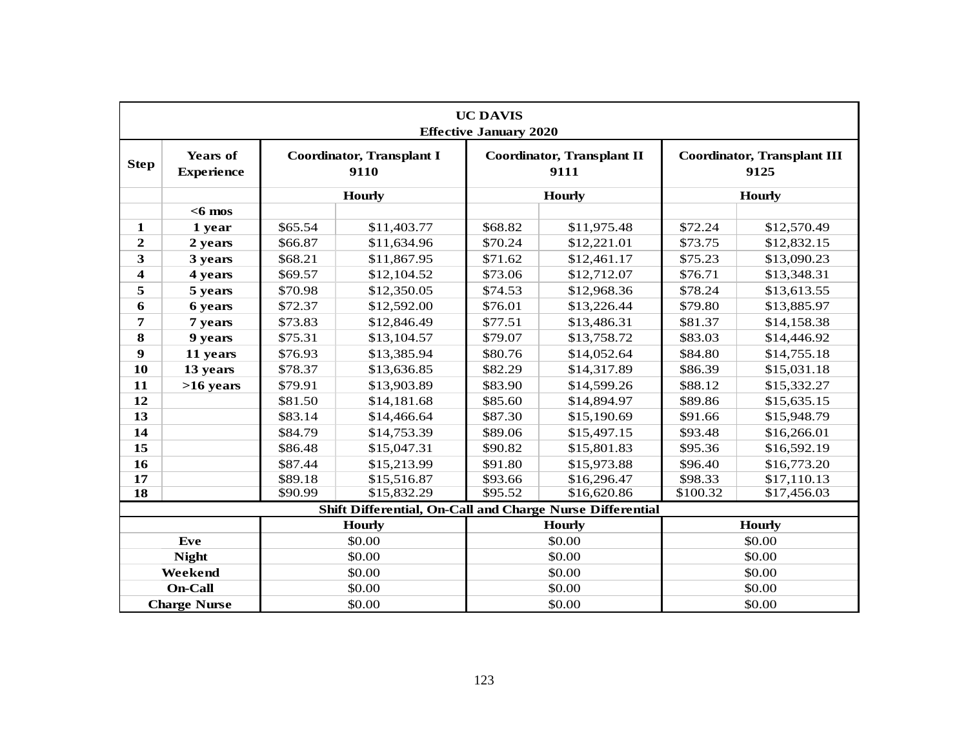|              |                                      |         |                                                           | <b>UC DAVIS</b><br><b>Effective January 2020</b> |                                    |                         |                                            |  |
|--------------|--------------------------------------|---------|-----------------------------------------------------------|--------------------------------------------------|------------------------------------|-------------------------|--------------------------------------------|--|
| <b>Step</b>  | <b>Years of</b><br><b>Experience</b> |         | <b>Coordinator, Transplant I</b><br>9110                  |                                                  | Coordinator, Transplant II<br>9111 |                         | <b>Coordinator, Transplant III</b><br>9125 |  |
|              |                                      |         | <b>Hourly</b>                                             |                                                  | <b>Hourly</b>                      |                         | <b>Hourly</b>                              |  |
|              | $<$ 6 mos                            |         |                                                           |                                                  |                                    |                         |                                            |  |
| $\mathbf{1}$ | 1 year                               | \$65.54 | \$11,403.77                                               | \$68.82                                          | \$11,975.48                        | \$72.24                 | \$12,570.49                                |  |
| $\mathbf{2}$ | 2 years                              | \$66.87 | \$11,634.96                                               | \$70.24                                          | \$12,221.01                        | \$73.75                 | \$12,832.15                                |  |
| 3            | 3 years                              | \$68.21 | \$11,867.95                                               | \$71.62                                          | \$12,461.17                        | \$75.23                 | \$13,090.23                                |  |
| 4            | 4 years                              | \$69.57 | \$12,104.52                                               | \$73.06                                          | \$12,712.07                        | \$76.71                 | \$13,348.31                                |  |
| 5            | 5 years                              | \$70.98 | \$12,350.05                                               | \$74.53                                          | \$12,968.36                        | \$78.24                 | \$13,613.55                                |  |
| 6            | 6 years                              | \$72.37 | \$12,592.00                                               | \$76.01                                          | \$13,226.44                        | \$79.80                 | \$13,885.97                                |  |
| 7            | 7 years                              | \$73.83 | \$12,846.49                                               | \$77.51                                          | \$13,486.31                        | \$81.37                 | \$14,158.38                                |  |
| 8            | 9 years                              | \$75.31 | \$13,104.57                                               | \$79.07                                          | \$13,758.72                        | \$83.03                 | \$14,446.92                                |  |
| 9            | 11 years                             | \$76.93 | \$13,385.94                                               | \$80.76                                          | \$14,052.64                        | \$84.80                 | \$14,755.18                                |  |
| 10           | 13 years                             | \$78.37 | \$13,636.85                                               | \$82.29                                          | \$14,317.89                        | \$86.39                 | \$15,031.18                                |  |
| 11           | $>16$ years                          | \$79.91 | \$13,903.89                                               | \$83.90                                          | \$14,599.26                        | \$88.12                 | \$15,332.27                                |  |
| 12           |                                      | \$81.50 | \$14,181.68                                               | \$85.60                                          | \$14,894.97                        | \$89.86                 | \$15,635.15                                |  |
| 13           |                                      | \$83.14 | \$14,466.64                                               | \$87.30                                          | \$15,190.69                        | \$91.66                 | \$15,948.79                                |  |
| 14           |                                      | \$84.79 | \$14,753.39                                               | \$89.06                                          | \$15,497.15                        | \$93.48                 | \$16,266.01                                |  |
| 15           |                                      | \$86.48 | \$15,047.31                                               | \$90.82                                          | \$15,801.83                        | \$95.36                 | \$16,592.19                                |  |
| 16           |                                      | \$87.44 | \$15,213.99                                               | \$91.80                                          | \$15,973.88                        | \$96.40                 | \$16,773.20                                |  |
| 17           |                                      | \$89.18 | \$15,516.87                                               | \$93.66                                          | \$16,296.47                        | \$98.33                 | \$17,110.13                                |  |
| 18           |                                      | \$90.99 | \$15,832.29                                               | \$95.52                                          | \$16,620.86                        | \$100.32<br>\$17,456.03 |                                            |  |
|              |                                      |         | Shift Differential, On-Call and Charge Nurse Differential |                                                  |                                    |                         |                                            |  |
|              |                                      |         | <b>Hourly</b>                                             |                                                  | <b>Hourly</b>                      | <b>Hourly</b>           |                                            |  |
|              | Eve                                  |         | \$0.00                                                    |                                                  | \$0.00                             | \$0.00                  |                                            |  |
|              | <b>Night</b>                         |         | \$0.00                                                    |                                                  | \$0.00                             |                         | \$0.00                                     |  |
|              | Weekend                              |         | \$0.00                                                    |                                                  | \$0.00                             |                         | \$0.00                                     |  |
|              | <b>On-Call</b>                       |         | \$0.00                                                    |                                                  | \$0.00                             |                         | \$0.00                                     |  |
|              | <b>Charge Nurse</b>                  |         | \$0.00                                                    |                                                  | \$0.00                             |                         | \$0.00                                     |  |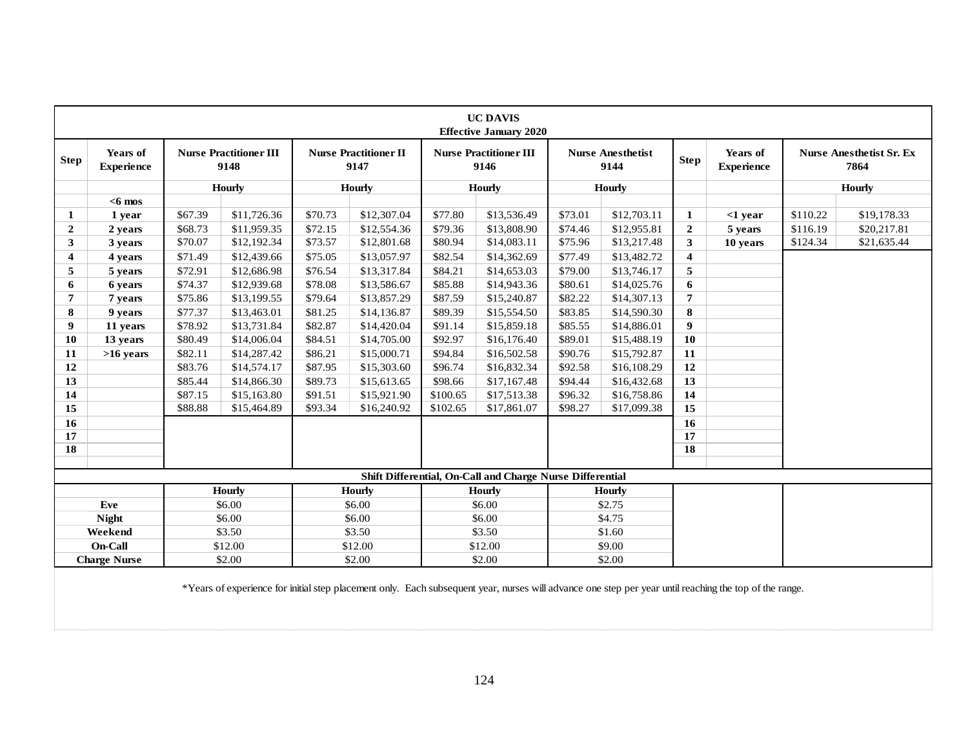|                         |                                      |         |                                       |         |                                      |          | <b>UC DAVIS</b><br><b>Effective January 2020</b>          |         |                                  |                  |                                      |          |                                         |
|-------------------------|--------------------------------------|---------|---------------------------------------|---------|--------------------------------------|----------|-----------------------------------------------------------|---------|----------------------------------|------------------|--------------------------------------|----------|-----------------------------------------|
| <b>Step</b>             | <b>Years of</b><br><b>Experience</b> |         | <b>Nurse Practitioner III</b><br>9148 |         | <b>Nurse Practitioner II</b><br>9147 |          | <b>Nurse Practitioner III</b><br>9146                     |         | <b>Nurse Anesthetist</b><br>9144 | <b>Step</b>      | <b>Years of</b><br><b>Experience</b> |          | <b>Nurse Anesthetist Sr. Ex</b><br>7864 |
|                         |                                      |         | Hourly                                |         | Hourly                               |          | <b>Hourly</b>                                             |         | <b>Hourly</b>                    |                  |                                      |          | Hourly                                  |
|                         | $<$ 6 mos                            |         |                                       |         |                                      |          |                                                           |         |                                  |                  |                                      |          |                                         |
| 1                       | 1 year                               | \$67.39 | \$11,726.36                           | \$70.73 | \$12,307.04                          | \$77.80  | \$13,536.49                                               | \$73.01 | \$12,703.11                      | 1                | $<$ 1 vear                           | \$110.22 | \$19,178.33                             |
| $\mathbf{2}$            | 2 years                              | \$68.73 | \$11,959.35                           | \$72.15 | \$12,554.36                          | \$79.36  | \$13,808.90                                               | \$74.46 | \$12,955.81                      | $\overline{2}$   | 5 years                              | \$116.19 | \$20,217.81                             |
| 3                       | 3 years                              | \$70.07 | \$12,192.34                           | \$73.57 | \$12,801.68                          | \$80.94  | \$14,083.11                                               | \$75.96 | \$13,217.48                      | $\mathbf{3}$     | 10 years                             | \$124.34 | \$21,635.44                             |
| $\overline{\mathbf{4}}$ | 4 years                              | \$71.49 | \$12,439.66                           | \$75.05 | \$13,057.97                          | \$82.54  | \$14,362.69                                               | \$77.49 | \$13,482.72                      | 4                |                                      |          |                                         |
| 5                       | 5 years                              | \$72.91 | \$12,686.98                           | \$76.54 | \$13,317.84                          | \$84.21  | \$14,653.03                                               | \$79.00 | \$13,746.17                      | 5                |                                      |          |                                         |
| 6                       | 6 years                              | \$74.37 | \$12,939.68                           | \$78.08 | \$13,586.67                          | \$85.88  | \$14,943.36                                               | \$80.61 | \$14,025.76                      | 6                |                                      |          |                                         |
| 7                       | 7 years                              | \$75.86 | \$13,199.55                           | \$79.64 | \$13,857.29                          | \$87.59  | \$15,240.87                                               | \$82.22 | \$14,307.13                      | 7                |                                      |          |                                         |
| 8                       | 9 years                              | \$77.37 | \$13,463.01                           | \$81.25 | \$14,136.87                          | \$89.39  | \$15,554.50                                               | \$83.85 | \$14,590.30                      | 8                |                                      |          |                                         |
| 9                       | 11 years                             | \$78.92 | \$13,731.84                           | \$82.87 | \$14,420.04                          | \$91.14  | \$15,859.18                                               | \$85.55 | \$14,886.01                      | $\boldsymbol{9}$ |                                      |          |                                         |
| <b>10</b>               | 13 years                             | \$80.49 | \$14,006.04                           | \$84.51 | \$14,705.00                          | \$92.97  | \$16,176.40                                               | \$89.01 | \$15,488.19                      | 10               |                                      |          |                                         |
| 11                      | $>16$ years                          | \$82.11 | \$14,287.42                           | \$86.21 | \$15,000.71                          | \$94.84  | \$16,502.58                                               | \$90.76 | \$15,792.87                      | 11               |                                      |          |                                         |
| 12                      |                                      | \$83.76 | \$14,574.17                           | \$87.95 | \$15,303.60                          | \$96.74  | \$16,832.34                                               | \$92.58 | \$16,108.29                      | 12               |                                      |          |                                         |
| 13                      |                                      | \$85.44 | \$14,866.30                           | \$89.73 | \$15,613.65                          | \$98.66  | \$17,167.48                                               | \$94.44 | \$16,432.68                      | 13               |                                      |          |                                         |
| 14                      |                                      | \$87.15 | \$15,163.80                           | \$91.51 | \$15,921.90                          | \$100.65 | \$17,513.38                                               | \$96.32 | \$16,758.86                      | 14               |                                      |          |                                         |
| 15                      |                                      | \$88.88 | \$15,464.89                           | \$93.34 | \$16,240.92                          | \$102.65 | \$17,861.07                                               | \$98.27 | \$17,099.38                      | 15               |                                      |          |                                         |
| 16                      |                                      |         |                                       |         |                                      |          |                                                           |         |                                  | 16               |                                      |          |                                         |
| 17                      |                                      |         |                                       |         |                                      |          |                                                           |         |                                  | 17               |                                      |          |                                         |
| 18                      |                                      |         |                                       |         |                                      |          |                                                           |         |                                  | 18               |                                      |          |                                         |
|                         |                                      |         |                                       |         |                                      |          |                                                           |         |                                  |                  |                                      |          |                                         |
|                         |                                      |         |                                       |         |                                      |          | Shift Differential, On-Call and Charge Nurse Differential |         |                                  |                  |                                      |          |                                         |
|                         |                                      |         | <b>Hourly</b>                         |         | <b>Hourly</b>                        |          | <b>Hourly</b>                                             |         | <b>Hourly</b>                    |                  |                                      |          |                                         |
|                         | Eve                                  |         | \$6.00                                |         | \$6.00                               |          | \$6.00                                                    |         | \$2.75                           |                  |                                      |          |                                         |
|                         | <b>Night</b>                         |         | \$6.00                                |         | \$6.00                               |          | \$6.00                                                    |         | \$4.75                           |                  |                                      |          |                                         |
|                         | Weekend                              |         | \$3.50                                |         | \$3.50                               |          | \$3.50                                                    |         | \$1.60                           |                  |                                      |          |                                         |
|                         | <b>On-Call</b>                       |         | \$12.00                               |         | \$12.00                              |          | \$12.00                                                   |         | \$9.00                           |                  |                                      |          |                                         |
|                         | <b>Charge Nurse</b>                  |         | \$2.00                                |         | \$2.00                               |          | \$2.00                                                    |         | \$2.00                           |                  |                                      |          |                                         |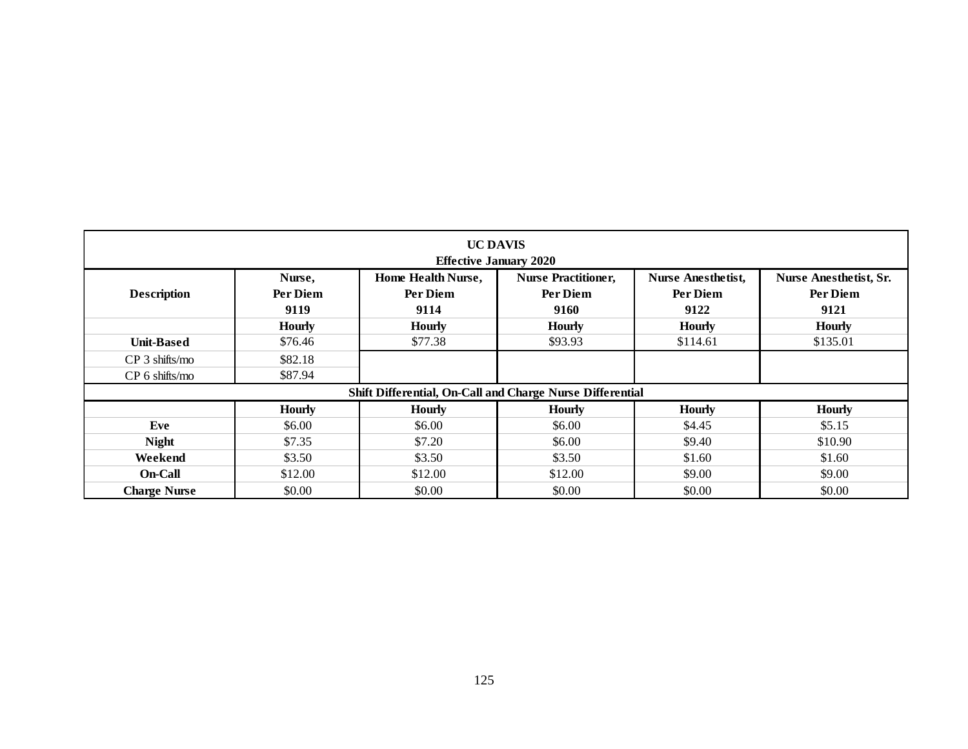| <b>Description</b><br><b>Unit-Based</b> | Nurse,<br>Per Diem<br>9119<br><b>Hourly</b> | <b>Effective January 2020</b><br>Home Health Nurse,<br>Per Diem<br>9114 | <b>Nurse Practitioner,</b><br>Per Diem<br>9160 | <b>Nurse Anesthetist,</b><br>Per Diem | <b>Nurse Anesthetist, Sr.</b> |
|-----------------------------------------|---------------------------------------------|-------------------------------------------------------------------------|------------------------------------------------|---------------------------------------|-------------------------------|
|                                         |                                             |                                                                         |                                                | 9122                                  | Per Diem<br>9121              |
|                                         |                                             | <b>Hourly</b>                                                           | <b>Hourly</b>                                  | <b>Hourly</b>                         | <b>Hourly</b>                 |
|                                         | \$76.46                                     | \$77.38                                                                 | \$93.93                                        | \$114.61                              | \$135.01                      |
| CP 3 shifts/mo                          | \$82.18                                     |                                                                         |                                                |                                       |                               |
| CP 6 shifts/mo                          | \$87.94                                     |                                                                         |                                                |                                       |                               |
|                                         |                                             | Shift Differential, On-Call and Charge Nurse Differential               |                                                |                                       |                               |
|                                         | <b>Hourly</b>                               | <b>Hourly</b>                                                           | <b>Hourly</b>                                  | <b>Hourly</b>                         | <b>Hourly</b>                 |
| Eve                                     | \$6.00                                      | \$6.00                                                                  | \$6.00                                         | \$4.45                                | \$5.15                        |
| <b>Night</b>                            | \$7.35                                      | \$7.20                                                                  | \$6.00                                         | \$9.40                                | \$10.90                       |
| Weekend                                 | \$3.50                                      | \$3.50                                                                  | \$3.50                                         | \$1.60                                | \$1.60                        |
| On-Call                                 | \$12.00                                     | \$12.00                                                                 | \$12.00                                        | \$9.00                                | \$9.00                        |
| <b>Charge Nurse</b>                     | \$0.00                                      | \$0.00                                                                  | \$0.00                                         | \$0.00                                | \$0.00                        |
|                                         |                                             |                                                                         |                                                |                                       |                               |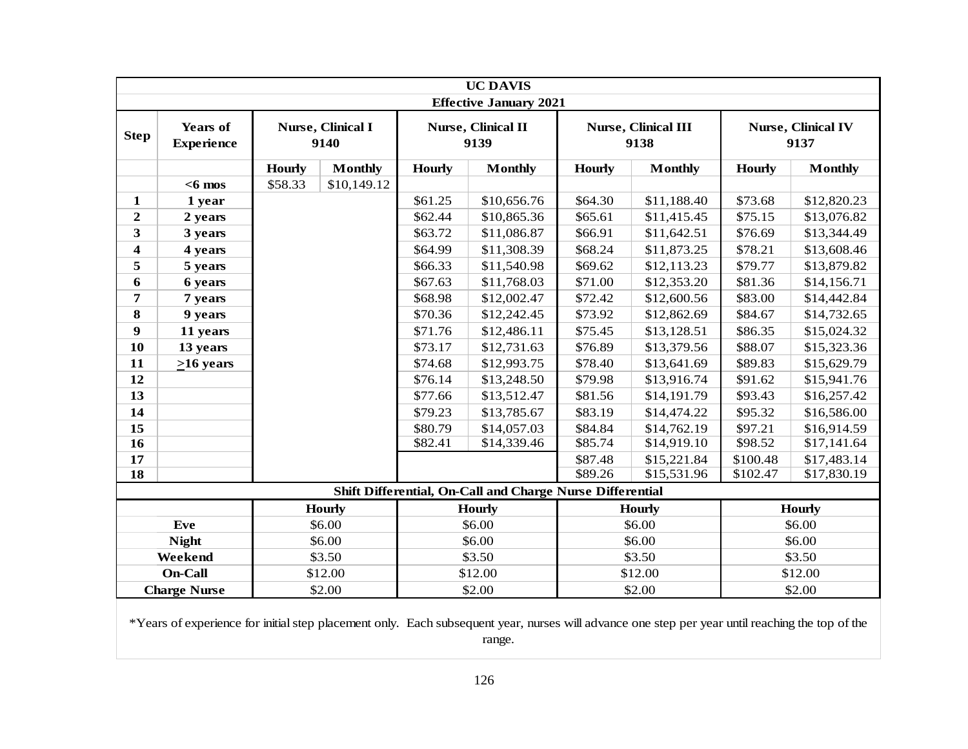|                         |                                                                                                                                                 |               |                           |               | <b>UC DAVIS</b><br><b>Effective January 2021</b>          |               |                                    |               |                                   |
|-------------------------|-------------------------------------------------------------------------------------------------------------------------------------------------|---------------|---------------------------|---------------|-----------------------------------------------------------|---------------|------------------------------------|---------------|-----------------------------------|
| <b>Step</b>             | <b>Years of</b><br><b>Experience</b>                                                                                                            |               | Nurse, Clinical I<br>9140 |               | Nurse, Clinical II<br>9139                                |               | <b>Nurse, Clinical III</b><br>9138 |               | <b>Nurse, Clinical IV</b><br>9137 |
|                         |                                                                                                                                                 | <b>Hourly</b> | <b>Monthly</b>            | <b>Hourly</b> | <b>Monthly</b>                                            | <b>Hourly</b> | <b>Monthly</b>                     | <b>Hourly</b> | <b>Monthly</b>                    |
|                         | $<$ 6 mos                                                                                                                                       | \$58.33       | \$10,149.12               |               |                                                           |               |                                    |               |                                   |
| $\mathbf{1}$            | 1 year                                                                                                                                          |               |                           | \$61.25       | \$10,656.76                                               | \$64.30       | \$11,188.40                        | \$73.68       | \$12,820.23                       |
| $\overline{2}$          | 2 years                                                                                                                                         |               |                           | \$62.44       | \$10,865.36                                               | \$65.61       | \$11,415.45                        | \$75.15       | \$13,076.82                       |
| 3                       | 3 years                                                                                                                                         |               |                           | \$63.72       | \$11,086.87                                               | \$66.91       | \$11,642.51                        | \$76.69       | \$13,344.49                       |
| $\overline{\mathbf{4}}$ | 4 years                                                                                                                                         |               |                           | \$64.99       | \$11,308.39                                               | \$68.24       | \$11,873.25                        | \$78.21       | \$13,608.46                       |
| 5                       | 5 years                                                                                                                                         |               |                           | \$66.33       | \$11,540.98                                               | \$69.62       | \$12,113.23                        | \$79.77       | \$13,879.82                       |
| 6                       | 6 years                                                                                                                                         |               |                           | \$67.63       | \$11,768.03                                               | \$71.00       | \$12,353.20                        | \$81.36       | \$14,156.71                       |
| 7                       | 7 years                                                                                                                                         |               |                           | \$68.98       | \$12,002.47                                               | \$72.42       | \$12,600.56                        | \$83.00       | \$14,442.84                       |
| $\bf{8}$                | 9 years                                                                                                                                         |               |                           | \$70.36       | \$12,242.45                                               | \$73.92       | \$12,862.69                        | \$84.67       | \$14,732.65                       |
| 9                       | 11 years                                                                                                                                        |               |                           | \$71.76       | \$12,486.11                                               | \$75.45       | \$13,128.51                        | \$86.35       | \$15,024.32                       |
| 10                      | 13 years                                                                                                                                        |               |                           | \$73.17       | \$12,731.63                                               | \$76.89       | \$13,379.56                        | \$88.07       | \$15,323.36                       |
| 11                      | $\geq 16$ years                                                                                                                                 |               |                           | \$74.68       | \$12,993.75                                               | \$78.40       | \$13,641.69                        | \$89.83       | \$15,629.79                       |
| 12                      |                                                                                                                                                 |               |                           | \$76.14       | \$13,248.50                                               | \$79.98       | \$13,916.74                        | \$91.62       | \$15,941.76                       |
| 13                      |                                                                                                                                                 |               |                           | \$77.66       | \$13,512.47                                               | \$81.56       | \$14,191.79                        | \$93.43       | \$16,257.42                       |
| 14                      |                                                                                                                                                 |               |                           | \$79.23       | \$13,785.67                                               | \$83.19       | \$14,474.22                        | \$95.32       | \$16,586.00                       |
| 15                      |                                                                                                                                                 |               |                           | \$80.79       | \$14,057.03                                               | \$84.84       | \$14,762.19                        | \$97.21       | \$16,914.59                       |
| $\overline{16}$         |                                                                                                                                                 |               |                           | \$82.41       | \$14,339.46                                               | \$85.74       | \$14,919.10                        | \$98.52       | \$17,141.64                       |
| 17                      |                                                                                                                                                 |               |                           |               |                                                           | \$87.48       | \$15,221.84                        | \$100.48      | \$17,483.14                       |
| 18                      |                                                                                                                                                 |               |                           |               |                                                           | \$89.26       | \$15,531.96                        | \$102.47      | \$17,830.19                       |
|                         |                                                                                                                                                 |               |                           |               | Shift Differential, On-Call and Charge Nurse Differential |               |                                    |               |                                   |
|                         |                                                                                                                                                 |               | <b>Hourly</b>             |               | <b>Hourly</b>                                             |               | <b>Hourly</b>                      |               | <b>Hourly</b>                     |
|                         | Eve                                                                                                                                             |               | \$6.00                    |               | \$6.00                                                    |               | \$6.00                             |               | \$6.00                            |
|                         | <b>Night</b>                                                                                                                                    |               | \$6.00                    |               | \$6.00                                                    |               | \$6.00                             |               | \$6.00                            |
|                         | Weekend                                                                                                                                         |               | \$3.50                    |               | \$3.50                                                    |               | \$3.50                             |               | \$3.50                            |
|                         | <b>On-Call</b>                                                                                                                                  |               | \$12.00                   |               | \$12.00                                                   |               | \$12.00                            |               | \$12.00                           |
|                         | <b>Charge Nurse</b>                                                                                                                             |               | \$2.00                    |               | \$2.00                                                    |               | \$2.00                             |               | \$2.00                            |
|                         | *Years of experience for initial step placement only. Each subsequent year, nurses will advance one step per year until reaching the top of the |               |                           |               |                                                           |               |                                    |               |                                   |

range.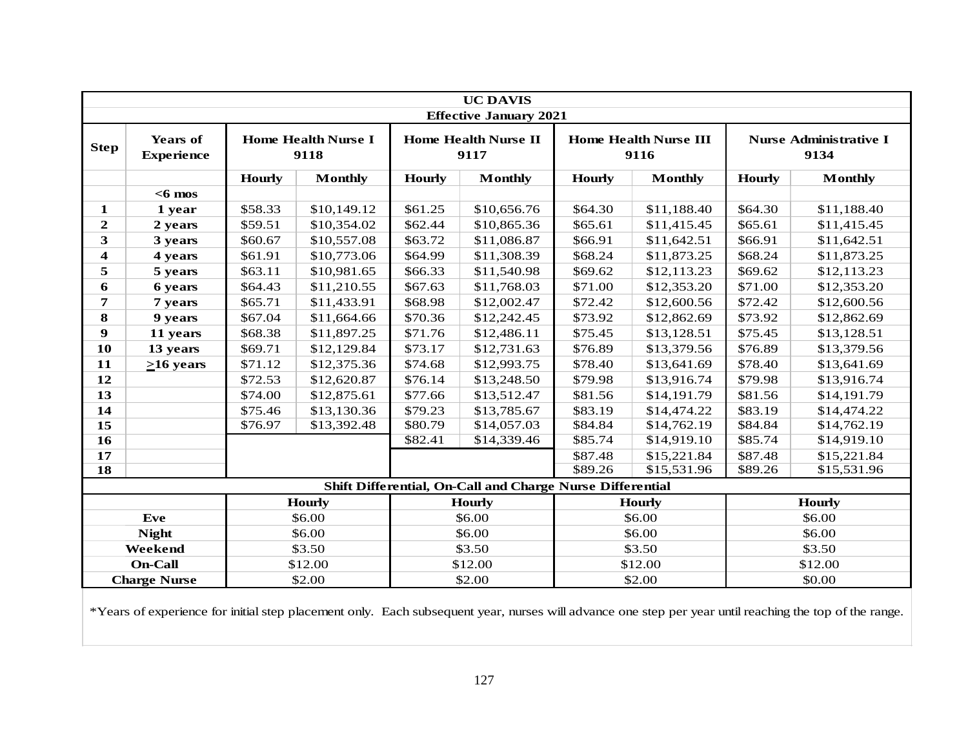|                         |                                      |               |                                    |               | <b>UC DAVIS</b>                                           |               |                                      |               |                                       |
|-------------------------|--------------------------------------|---------------|------------------------------------|---------------|-----------------------------------------------------------|---------------|--------------------------------------|---------------|---------------------------------------|
|                         |                                      |               |                                    |               | <b>Effective January 2021</b>                             |               |                                      |               |                                       |
| <b>Step</b>             | <b>Years of</b><br><b>Experience</b> |               | <b>Home Health Nurse I</b><br>9118 |               | <b>Home Health Nurse II</b><br>9117                       |               | <b>Home Health Nurse III</b><br>9116 |               | <b>Nurse Administrative I</b><br>9134 |
|                         |                                      | <b>Hourly</b> | <b>Monthly</b>                     | <b>Hourly</b> | <b>Monthly</b>                                            | <b>Hourly</b> | <b>Monthly</b>                       | <b>Hourly</b> | <b>Monthly</b>                        |
|                         | $<$ 6 mos                            |               |                                    |               |                                                           |               |                                      |               |                                       |
| 1                       | 1 year                               | \$58.33       | \$10,149.12                        | \$61.25       | \$10,656.76                                               | \$64.30       | \$11,188.40                          | \$64.30       | \$11,188.40                           |
| $\overline{2}$          | 2 years                              | \$59.51       | \$10,354.02                        | \$62.44       | \$10,865.36                                               | \$65.61       | \$11,415.45                          | \$65.61       | \$11,415.45                           |
| 3                       | 3 years                              | \$60.67       | \$10,557.08                        | \$63.72       | \$11,086.87                                               | \$66.91       | \$11,642.51                          | \$66.91       | \$11,642.51                           |
| $\overline{\mathbf{4}}$ | 4 years                              | \$61.91       | \$10,773.06                        | \$64.99       | \$11,308.39                                               | \$68.24       | \$11,873.25                          | \$68.24       | \$11,873.25                           |
| 5                       | 5 years                              | \$63.11       | \$10,981.65                        | \$66.33       | \$11,540.98                                               | \$69.62       | \$12,113.23                          | \$69.62       | \$12,113.23                           |
| 6                       | 6 years                              | \$64.43       | \$11,210.55                        | \$67.63       | \$11,768.03                                               | \$71.00       | \$12,353.20                          | \$71.00       | \$12,353.20                           |
| 7                       | 7 years                              | \$65.71       | \$11,433.91                        | \$68.98       | \$12,002.47                                               | \$72.42       | \$12,600.56                          | \$72.42       | \$12,600.56                           |
| 8                       | 9 years                              | \$67.04       | \$11,664.66                        | \$70.36       | \$12,242.45                                               | \$73.92       | \$12,862.69                          | \$73.92       | \$12,862.69                           |
| 9                       | 11 years                             | \$68.38       | \$11,897.25                        | \$71.76       | \$12,486.11                                               | \$75.45       | \$13,128.51                          | \$75.45       | \$13,128.51                           |
| 10                      | 13 years                             | \$69.71       | \$12,129.84                        | \$73.17       | \$12,731.63                                               | \$76.89       | \$13,379.56                          | \$76.89       | \$13,379.56                           |
| 11                      | $>16$ years                          | \$71.12       | \$12,375.36                        | \$74.68       | \$12,993.75                                               | \$78.40       | \$13,641.69                          | \$78.40       | \$13,641.69                           |
| 12                      |                                      | \$72.53       | \$12,620.87                        | \$76.14       | \$13,248.50                                               | \$79.98       | \$13,916.74                          | \$79.98       | \$13,916.74                           |
| 13                      |                                      | \$74.00       | \$12,875.61                        | \$77.66       | \$13,512.47                                               | \$81.56       | \$14,191.79                          | \$81.56       | \$14,191.79                           |
| 14                      |                                      | \$75.46       | \$13,130.36                        | \$79.23       | \$13,785.67                                               | \$83.19       | \$14,474.22                          | \$83.19       | \$14,474.22                           |
| 15                      |                                      | \$76.97       | \$13,392.48                        | \$80.79       | \$14,057.03                                               | \$84.84       | \$14,762.19                          | \$84.84       | \$14,762.19                           |
| $\overline{16}$         |                                      |               |                                    | \$82.41       | \$14,339.46                                               | \$85.74       | \$14,919.10                          | \$85.74       | \$14,919.10                           |
| 17                      |                                      |               |                                    |               |                                                           | \$87.48       | \$15,221.84                          | \$87.48       | \$15,221.84                           |
| 18                      |                                      |               |                                    |               |                                                           | \$89.26       | \$15,531.96                          | \$89.26       | \$15,531.96                           |
|                         |                                      |               |                                    |               | Shift Differential, On-Call and Charge Nurse Differential |               |                                      |               |                                       |
|                         |                                      |               | <b>Hourly</b>                      |               | <b>Hourly</b>                                             |               | <b>Hourly</b>                        |               | <b>Hourly</b>                         |
|                         | Eve                                  |               | \$6.00                             |               | \$6.00                                                    |               | \$6.00                               |               | \$6.00                                |
|                         | <b>Night</b>                         |               | \$6.00                             |               | \$6.00                                                    |               | \$6.00                               |               | \$6.00                                |
|                         | Weekend                              |               | \$3.50                             |               | \$3.50                                                    |               | \$3.50                               |               | \$3.50                                |
|                         | <b>On-Call</b>                       |               | \$12.00                            |               | \$12.00                                                   |               | \$12.00                              |               | \$12.00                               |
|                         | <b>Charge Nurse</b>                  |               | \$2.00                             |               | \$2.00                                                    |               | \$2.00                               |               | \$0.00                                |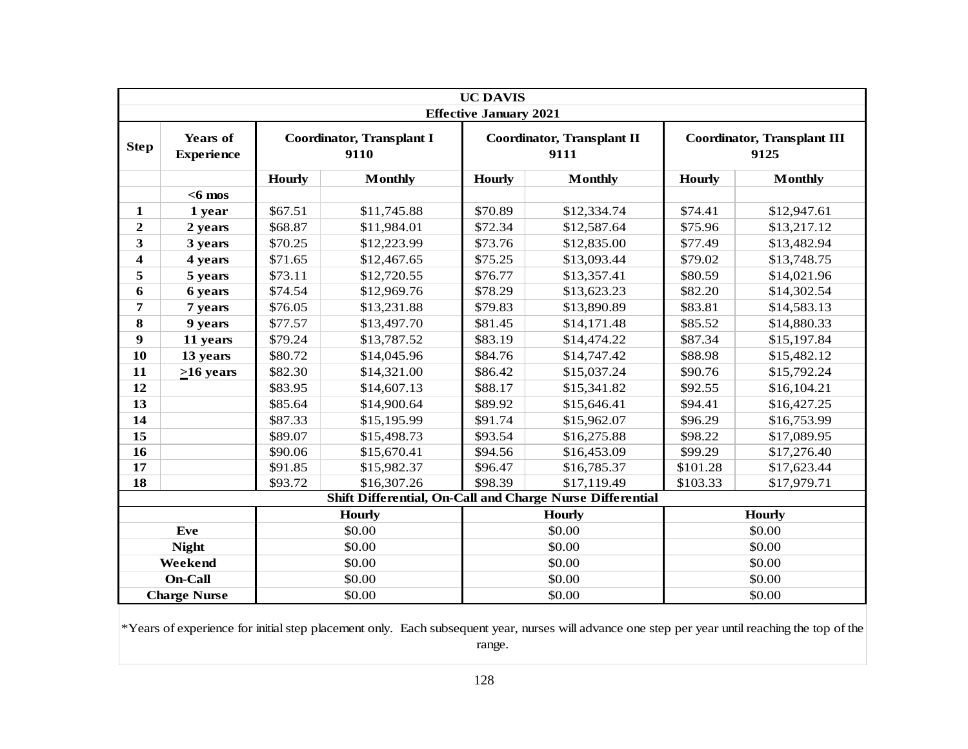|                  |                                      |               |                                                           | <b>UC DAVIS</b>               |                                           |               |                                            |  |
|------------------|--------------------------------------|---------------|-----------------------------------------------------------|-------------------------------|-------------------------------------------|---------------|--------------------------------------------|--|
|                  |                                      |               |                                                           | <b>Effective January 2021</b> |                                           |               |                                            |  |
| <b>Step</b>      | <b>Years of</b><br><b>Experience</b> |               | <b>Coordinator, Transplant I</b><br>9110                  |                               | <b>Coordinator, Transplant II</b><br>9111 |               | <b>Coordinator, Transplant III</b><br>9125 |  |
|                  |                                      | <b>Hourly</b> | <b>Monthly</b>                                            | <b>Hourly</b>                 | <b>Monthly</b>                            | <b>Hourly</b> | <b>Monthly</b>                             |  |
|                  | $<$ 6 mos                            |               |                                                           |                               |                                           |               |                                            |  |
| 1                | 1 year                               | \$67.51       | \$11,745.88                                               | \$70.89                       | \$12,334.74                               | \$74.41       | \$12,947.61                                |  |
| $\overline{2}$   | 2 years                              | \$68.87       | \$11,984.01                                               | \$72.34                       | \$12,587.64                               | \$75.96       | \$13,217.12                                |  |
| 3                | 3 years                              | \$70.25       | \$12,223.99                                               | \$73.76                       | \$12,835.00                               | \$77.49       | \$13,482.94                                |  |
| 4                | 4 years                              | \$71.65       | \$12,467.65                                               | \$75.25                       | \$13,093.44                               | \$79.02       | \$13,748.75                                |  |
| 5                | 5 years                              | \$73.11       | \$12,720.55                                               | \$76.77                       | \$13,357.41                               | \$80.59       | \$14,021.96                                |  |
| 6                | 6 years                              | \$74.54       | \$12,969.76                                               | \$78.29                       | \$13,623.23                               | \$82.20       | \$14,302.54                                |  |
| 7                | 7 years                              | \$76.05       | \$13,231.88                                               | \$79.83                       | \$13,890.89                               | \$83.81       | \$14,583.13                                |  |
| $\bf{8}$         | 9 years                              | \$77.57       | \$13,497.70                                               | \$81.45                       | \$14,171.48                               | \$85.52       | \$14,880.33                                |  |
| $\boldsymbol{9}$ | 11 years                             | \$79.24       | \$13,787.52                                               | \$83.19                       | \$14,474.22                               | \$87.34       | \$15,197.84                                |  |
| 10               | 13 years                             | \$80.72       | \$14,045.96                                               | \$84.76                       | \$14,747.42                               | \$88.98       | \$15,482.12                                |  |
| 11               | $>16$ years                          | \$82.30       | \$14,321.00                                               | \$86.42                       | \$15,037.24                               | \$90.76       | \$15,792.24                                |  |
| 12               |                                      | \$83.95       | \$14,607.13                                               | \$88.17                       | \$15,341.82                               | \$92.55       | \$16,104.21                                |  |
| 13               |                                      | \$85.64       | \$14,900.64                                               | \$89.92                       | \$15,646.41                               | \$94.41       | \$16,427.25                                |  |
| 14               |                                      | \$87.33       | \$15,195.99                                               | \$91.74                       | \$15,962.07                               | \$96.29       | \$16,753.99                                |  |
| 15               |                                      | \$89.07       | \$15,498.73                                               | \$93.54                       | \$16,275.88                               | \$98.22       | \$17,089.95                                |  |
| 16               |                                      | \$90.06       | \$15,670.41                                               | \$94.56                       | \$16,453.09                               | \$99.29       | \$17,276.40                                |  |
| 17               |                                      | \$91.85       | \$15,982.37                                               | \$96.47                       | \$16,785.37                               | \$101.28      | \$17,623.44                                |  |
| 18               |                                      | \$93.72       | \$16,307.26                                               | \$98.39                       | \$17,119.49                               | \$103.33      | \$17,979.71                                |  |
|                  |                                      |               | Shift Differential, On-Call and Charge Nurse Differential |                               |                                           |               |                                            |  |
|                  |                                      |               | <b>Hourly</b>                                             |                               | <b>Hourly</b>                             |               | <b>Hourly</b>                              |  |
|                  | Eve                                  |               | \$0.00                                                    |                               | \$0.00                                    |               | \$0.00                                     |  |
|                  | <b>Night</b>                         |               | \$0.00                                                    |                               | \$0.00                                    |               | \$0.00                                     |  |
|                  | Weekend                              |               | \$0.00                                                    |                               | \$0.00                                    |               | \$0.00                                     |  |
|                  | <b>On-Call</b>                       |               | \$0.00                                                    |                               | \$0.00                                    |               | \$0.00                                     |  |
|                  | <b>Charge Nurse</b>                  |               | \$0.00                                                    |                               | \$0.00                                    | \$0.00        |                                            |  |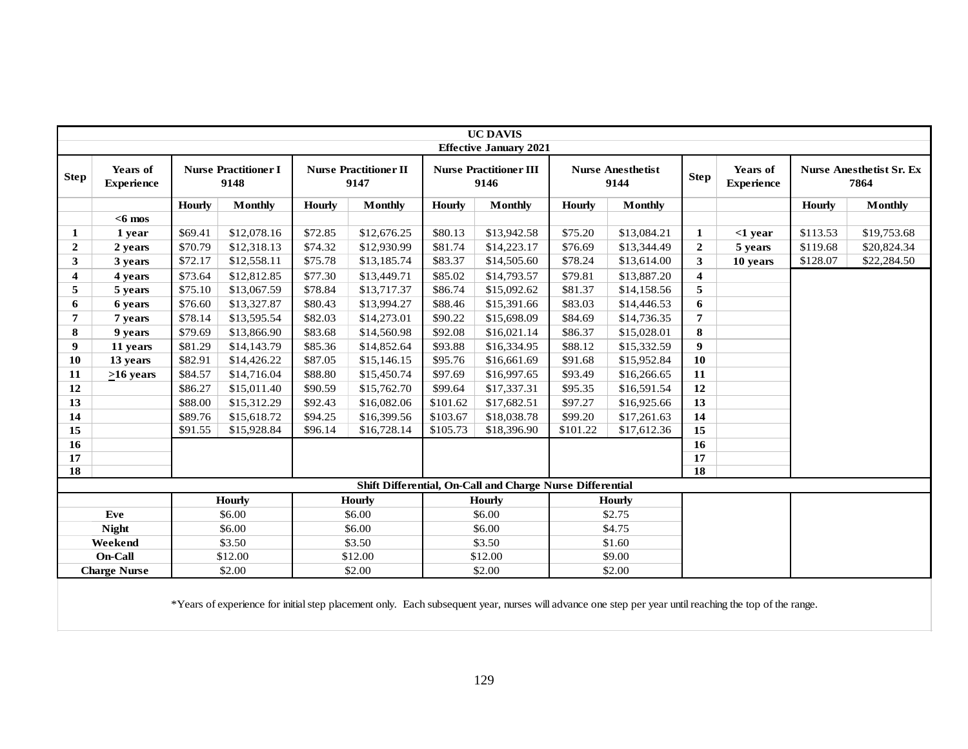|                |                               |               |                                                                                                                                                        |               |                                      |               | <b>UC DAVIS</b><br><b>Effective January 2021</b>          |               |                                  |                         |                               |               |                                         |
|----------------|-------------------------------|---------------|--------------------------------------------------------------------------------------------------------------------------------------------------------|---------------|--------------------------------------|---------------|-----------------------------------------------------------|---------------|----------------------------------|-------------------------|-------------------------------|---------------|-----------------------------------------|
| <b>Step</b>    | Years of<br><b>Experience</b> |               | <b>Nurse Practitioner I</b><br>9148                                                                                                                    |               | <b>Nurse Practitioner II</b><br>9147 |               | <b>Nurse Practitioner III</b><br>9146                     |               | <b>Nurse Anesthetist</b><br>9144 | <b>Step</b>             | Years of<br><b>Experience</b> |               | <b>Nurse Anesthetist Sr. Ex</b><br>7864 |
|                |                               | <b>Hourly</b> | <b>Monthly</b>                                                                                                                                         | <b>Hourly</b> | <b>Monthly</b>                       | <b>Hourly</b> | <b>Monthly</b>                                            | <b>Hourly</b> | <b>Monthly</b>                   |                         |                               | <b>Hourly</b> | <b>Monthly</b>                          |
|                | $<$ 6 mos                     |               |                                                                                                                                                        |               |                                      |               |                                                           |               |                                  |                         |                               |               |                                         |
| 1              | 1 year                        | \$69.41       | \$12,078.16                                                                                                                                            | \$72.85       | \$12,676.25                          | \$80.13       | \$13,942.58                                               | \$75.20       | \$13,084.21                      | $\mathbf{1}$            | $<$ 1 year                    | \$113.53      | \$19,753.68                             |
| $\overline{2}$ | 2 years                       | \$70.79       | \$12,318.13                                                                                                                                            | \$74.32       | \$12,930.99                          | \$81.74       | \$14,223.17                                               | \$76.69       | \$13,344.49                      | $\mathbf{2}$            | 5 years                       | \$119.68      | \$20,824.34                             |
| 3              | 3 years                       | \$72.17       | \$12,558.11                                                                                                                                            | \$75.78       | \$13,185.74                          | \$83.37       | \$14,505.60                                               | \$78.24       | \$13,614.00                      | 3                       | 10 years                      | \$128.07      | \$22,284.50                             |
| 4              | 4 years                       | \$73.64       | \$12,812.85                                                                                                                                            | \$77.30       | \$13,449.71                          | \$85.02       | \$14,793.57                                               | \$79.81       | \$13,887.20                      | $\overline{\mathbf{4}}$ |                               |               |                                         |
| 5              | 5 years                       | \$75.10       | \$13,067.59                                                                                                                                            | \$78.84       | \$13,717.37                          | \$86.74       | \$15,092.62                                               | \$81.37       | \$14,158.56                      | 5                       |                               |               |                                         |
| 6              | 6 years                       | \$76.60       | \$13,327.87                                                                                                                                            | \$80.43       | \$13,994.27                          | \$88.46       | \$15,391.66                                               | \$83.03       | \$14,446.53                      | 6                       |                               |               |                                         |
| $\overline{7}$ | 7 years                       | \$78.14       | \$13,595.54                                                                                                                                            | \$82.03       | \$14,273.01                          | \$90.22       | \$15,698.09                                               | \$84.69       | \$14,736.35                      | $\overline{7}$          |                               |               |                                         |
| 8              | 9 years                       | \$79.69       | \$13,866.90                                                                                                                                            | \$83.68       | \$14,560.98                          | \$92.08       | \$16,021.14                                               | \$86.37       | \$15,028.01                      | 8                       |                               |               |                                         |
| 9              | 11 years                      | \$81.29       | \$14,143.79                                                                                                                                            | \$85.36       | \$14,852.64                          | \$93.88       | \$16,334.95                                               | \$88.12       | \$15,332.59                      | $\boldsymbol{9}$        |                               |               |                                         |
| 10             | 13 years                      | \$82.91       | \$14,426.22                                                                                                                                            | \$87.05       | \$15,146.15                          | \$95.76       | \$16,661.69                                               | \$91.68       | \$15,952.84                      | <b>10</b>               |                               |               |                                         |
| 11             | $>16$ years                   | \$84.57       | \$14,716.04                                                                                                                                            | \$88.80       | \$15,450.74                          | \$97.69       | \$16,997.65                                               | \$93.49       | \$16,266.65                      | 11                      |                               |               |                                         |
| 12             |                               | \$86.27       | \$15,011.40                                                                                                                                            | \$90.59       | \$15,762.70                          | \$99.64       | \$17,337.31                                               | \$95.35       | \$16,591.54                      | 12                      |                               |               |                                         |
| 13             |                               | \$88.00       | \$15,312.29                                                                                                                                            | \$92.43       | \$16,082.06                          | \$101.62      | \$17,682.51                                               | \$97.27       | \$16,925.66                      | 13                      |                               |               |                                         |
| 14             |                               | \$89.76       | \$15,618.72                                                                                                                                            | \$94.25       | \$16,399.56                          | \$103.67      | \$18,038.78                                               | \$99.20       | \$17,261.63                      | 14                      |                               |               |                                         |
| 15             |                               | \$91.55       | \$15,928.84                                                                                                                                            | \$96.14       | \$16,728.14                          | \$105.73      | \$18,396.90                                               | \$101.22      | \$17,612.36                      | 15                      |                               |               |                                         |
| 16             |                               |               |                                                                                                                                                        |               |                                      |               |                                                           |               |                                  | $\overline{16}$         |                               |               |                                         |
| 17             |                               |               |                                                                                                                                                        |               |                                      |               |                                                           |               |                                  | 17                      |                               |               |                                         |
| 18             |                               |               |                                                                                                                                                        |               |                                      |               |                                                           |               |                                  | $\overline{18}$         |                               |               |                                         |
|                |                               |               |                                                                                                                                                        |               |                                      |               | Shift Differential, On-Call and Charge Nurse Differential |               |                                  |                         |                               |               |                                         |
|                |                               |               | <b>Hourly</b>                                                                                                                                          |               | <b>Hourly</b>                        |               | <b>Hourly</b>                                             |               | <b>Hourly</b>                    |                         |                               |               |                                         |
|                | Eve                           |               | \$6.00                                                                                                                                                 |               | \$6.00                               |               | \$6.00                                                    |               | \$2.75                           |                         |                               |               |                                         |
|                | <b>Night</b>                  |               | \$6.00                                                                                                                                                 |               | \$6.00                               |               | \$6.00                                                    |               | \$4.75                           |                         |                               |               |                                         |
|                | Weekend                       |               | \$3.50                                                                                                                                                 |               | \$3.50                               |               | \$3.50                                                    |               | \$1.60                           |                         |                               |               |                                         |
|                | On-Call                       |               | \$12.00                                                                                                                                                |               | \$12.00                              |               | \$12.00                                                   |               | \$9.00                           |                         |                               |               |                                         |
|                | <b>Charge Nurse</b>           |               | \$2.00                                                                                                                                                 |               | \$2.00                               |               | \$2.00                                                    |               | \$2.00                           |                         |                               |               |                                         |
|                |                               |               | *Years of experience for initial step placement only. Each subsequent year, nurses will advance one step per year until reaching the top of the range. |               |                                      |               |                                                           |               |                                  |                         |                               |               |                                         |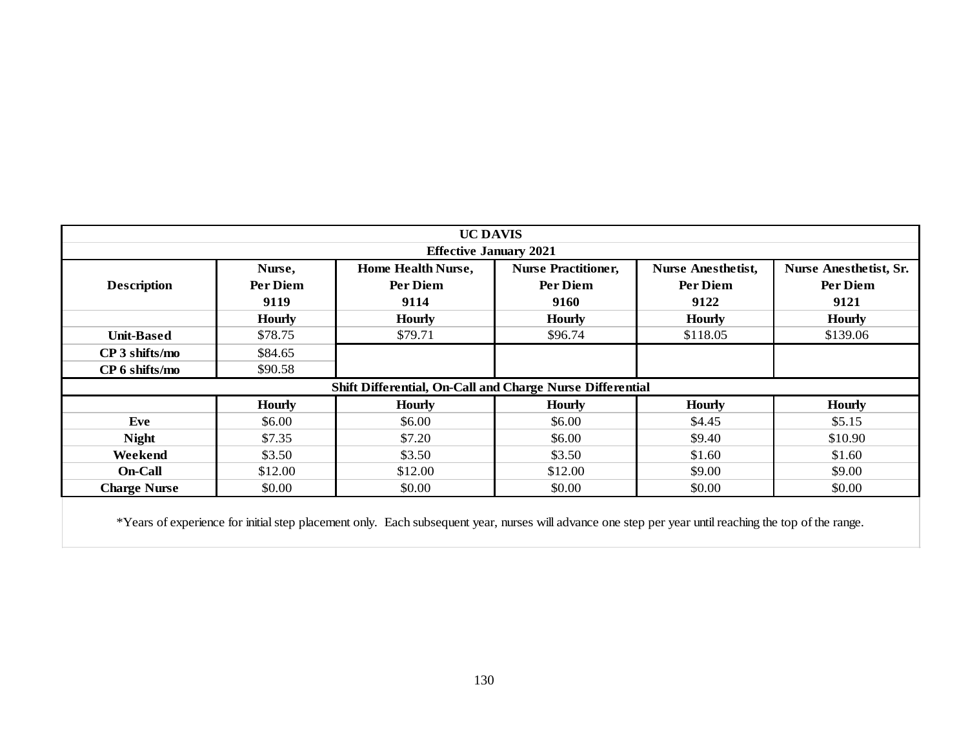|                     |               | <b>UC DAVIS</b>                                                                                                                                        |                            |                           |                               |
|---------------------|---------------|--------------------------------------------------------------------------------------------------------------------------------------------------------|----------------------------|---------------------------|-------------------------------|
|                     |               | <b>Effective January 2021</b>                                                                                                                          |                            |                           |                               |
|                     | Nurse,        | Home Health Nurse,                                                                                                                                     | <b>Nurse Practitioner,</b> | <b>Nurse Anesthetist,</b> | <b>Nurse Anesthetist, Sr.</b> |
| <b>Description</b>  | Per Diem      | Per Diem                                                                                                                                               | Per Diem                   | Per Diem                  | Per Diem                      |
|                     | 9119          | 9114                                                                                                                                                   | 9160                       | 9122                      | 9121                          |
|                     | <b>Hourly</b> | <b>Hourly</b>                                                                                                                                          | <b>Hourly</b>              | <b>Hourly</b>             | <b>Hourly</b>                 |
| <b>Unit-Based</b>   | \$78.75       | \$79.71                                                                                                                                                | \$96.74                    | \$118.05                  | \$139.06                      |
| CP 3 shifts/mo      | \$84.65       |                                                                                                                                                        |                            |                           |                               |
| CP 6 shifts/mo      | \$90.58       |                                                                                                                                                        |                            |                           |                               |
|                     |               | Shift Differential, On-Call and Charge Nurse Differential                                                                                              |                            |                           |                               |
|                     | <b>Hourly</b> | <b>Hourly</b>                                                                                                                                          | <b>Hourly</b>              | <b>Hourly</b>             | <b>Hourly</b>                 |
| Eve                 | \$6.00        | \$6.00                                                                                                                                                 | \$6.00                     | \$4.45                    | \$5.15                        |
| <b>Night</b>        | \$7.35        | \$7.20                                                                                                                                                 | \$6.00                     | \$9.40                    | \$10.90                       |
| Weekend             | \$3.50        | \$3.50                                                                                                                                                 | \$3.50                     | \$1.60                    | \$1.60                        |
| <b>On-Call</b>      | \$12.00       | \$12.00                                                                                                                                                | \$12.00                    | \$9.00                    | \$9.00                        |
| <b>Charge Nurse</b> | \$0.00        | \$0.00                                                                                                                                                 | \$0.00                     | \$0.00                    | \$0.00                        |
|                     |               | *Years of experience for initial step placement only. Each subsequent year, nurses will advance one step per year until reaching the top of the range. |                            |                           |                               |
|                     |               |                                                                                                                                                        |                            |                           |                               |
|                     |               |                                                                                                                                                        |                            |                           |                               |
|                     |               |                                                                                                                                                        |                            |                           |                               |
|                     |               |                                                                                                                                                        |                            |                           |                               |
|                     |               |                                                                                                                                                        |                            |                           |                               |
|                     |               |                                                                                                                                                        |                            |                           |                               |
|                     |               |                                                                                                                                                        |                            |                           |                               |
|                     |               | 130                                                                                                                                                    |                            |                           |                               |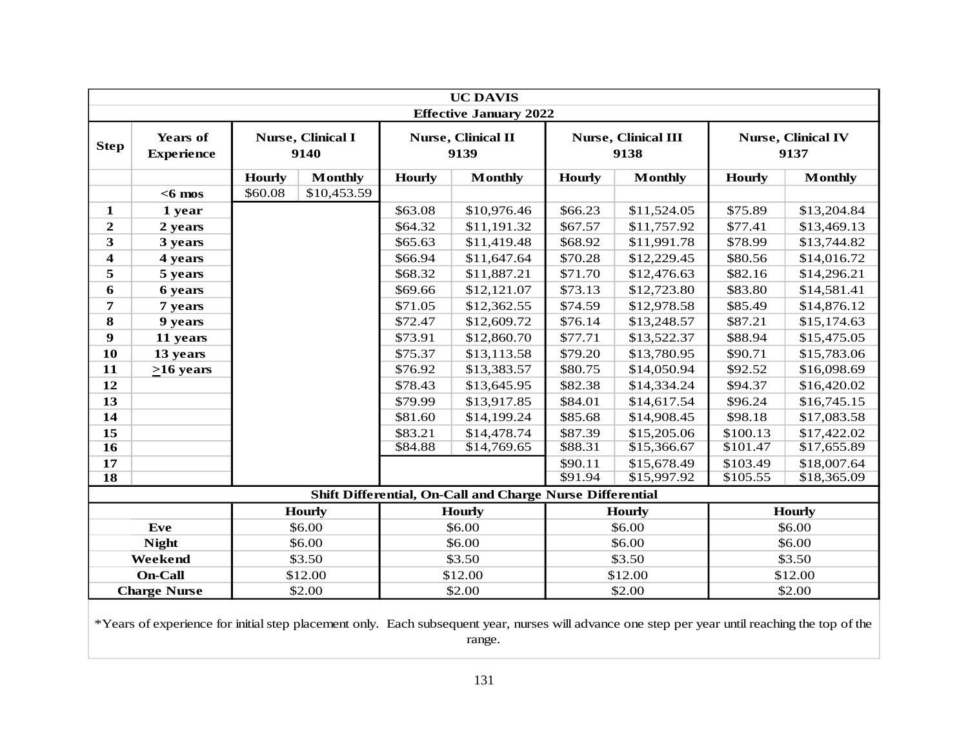|                         |                                                                                                                                                 |               |                           |                        | <b>UC DAVIS</b>                                             |                        |                                    |               |                                   |
|-------------------------|-------------------------------------------------------------------------------------------------------------------------------------------------|---------------|---------------------------|------------------------|-------------------------------------------------------------|------------------------|------------------------------------|---------------|-----------------------------------|
| <b>Step</b>             | <b>Years of</b><br><b>Experience</b>                                                                                                            |               | Nurse, Clinical I<br>9140 |                        | <b>Effective January 2022</b><br>Nurse, Clinical II<br>9139 |                        | <b>Nurse, Clinical III</b><br>9138 |               | <b>Nurse, Clinical IV</b><br>9137 |
|                         |                                                                                                                                                 | <b>Hourly</b> | <b>Monthly</b>            | <b>Hourly</b>          | <b>Monthly</b>                                              | <b>Hourly</b>          | <b>Monthly</b>                     | <b>Hourly</b> | <b>Monthly</b>                    |
|                         | $<$ 6 mos                                                                                                                                       | \$60.08       | \$10,453.59               |                        |                                                             |                        |                                    |               |                                   |
| 1                       | 1 year                                                                                                                                          |               |                           | \$63.08                | \$10,976.46                                                 | \$66.23                | \$11,524.05                        | \$75.89       | \$13,204.84                       |
| $\overline{2}$          | 2 years                                                                                                                                         |               |                           | \$64.32                | \$11,191.32                                                 | \$67.57                | \$11,757.92                        | \$77.41       | \$13,469.13                       |
| 3                       | 3 years                                                                                                                                         |               |                           | \$65.63                | \$11,419.48                                                 | \$68.92                | \$11,991.78                        | \$78.99       | \$13,744.82                       |
| $\overline{\mathbf{4}}$ | 4 years                                                                                                                                         |               |                           | \$66.94                | \$11,647.64                                                 | \$70.28                | \$12,229.45                        | \$80.56       | \$14,016.72                       |
| 5                       | 5 years                                                                                                                                         |               |                           | \$68.32                | \$11,887.21                                                 | \$71.70                | \$12,476.63                        | \$82.16       | \$14,296.21                       |
| 6                       | 6 years                                                                                                                                         |               |                           | \$69.66                | \$12,121.07                                                 | \$73.13                | \$12,723.80                        | \$83.80       | \$14,581.41                       |
| 7                       | 7 years                                                                                                                                         |               |                           | \$71.05                | \$12,362.55                                                 | \$74.59                | \$12,978.58                        | \$85.49       | \$14,876.12                       |
| 8                       | 9 years                                                                                                                                         |               |                           | \$72.47                | \$12,609.72                                                 | \$76.14<br>\$13,248.57 |                                    | \$87.21       | \$15,174.63                       |
| $\boldsymbol{9}$        | 11 years                                                                                                                                        |               |                           | \$73.91<br>\$12,860.70 |                                                             | \$77.71                | \$13,522.37                        | \$88.94       | \$15,475.05                       |
| 10                      | 13 years                                                                                                                                        |               |                           | \$75.37                | \$13,113.58                                                 | \$79.20                | \$13,780.95                        | \$90.71       | \$15,783.06                       |
| 11                      | $\geq 16$ years                                                                                                                                 |               |                           | \$76.92                | \$13,383.57                                                 | \$80.75                | \$14,050.94                        | \$92.52       | \$16,098.69                       |
| 12                      |                                                                                                                                                 |               |                           | \$78.43                | \$13,645.95                                                 | \$82.38                | \$14,334.24                        | \$94.37       | \$16,420.02                       |
| 13                      |                                                                                                                                                 |               |                           | \$79.99                | \$13,917.85                                                 | \$84.01                | \$14,617.54                        | \$96.24       | \$16,745.15                       |
| 14                      |                                                                                                                                                 |               |                           | \$81.60                | \$14,199.24                                                 | \$85.68                | \$14,908.45                        | \$98.18       | \$17,083.58                       |
| 15                      |                                                                                                                                                 |               |                           | \$83.21                | \$14,478.74                                                 | \$87.39                | \$15,205.06                        | \$100.13      | \$17,422.02                       |
| 16                      |                                                                                                                                                 |               |                           | \$84.88                | \$14,769.65                                                 | \$88.31                | \$15,366.67                        | \$101.47      | \$17,655.89                       |
| 17                      |                                                                                                                                                 |               |                           |                        |                                                             | \$90.11                | \$15,678.49                        | \$103.49      | \$18,007.64                       |
| $\overline{18}$         |                                                                                                                                                 |               |                           |                        |                                                             | \$91.94                | \$15,997.92                        | \$105.55      | \$18,365.09                       |
|                         |                                                                                                                                                 |               |                           |                        | Shift Differential, On-Call and Charge Nurse Differential   |                        |                                    |               |                                   |
|                         |                                                                                                                                                 |               | <b>Hourly</b>             |                        | <b>Hourly</b>                                               |                        | <b>Hourly</b>                      |               | <b>Hourly</b>                     |
|                         | <b>Eve</b>                                                                                                                                      |               | \$6.00                    |                        | \$6.00                                                      | \$6.00                 |                                    |               | \$6.00                            |
|                         | <b>Night</b>                                                                                                                                    |               | \$6.00                    |                        | \$6.00                                                      | \$6.00                 |                                    |               | \$6.00                            |
|                         | Weekend                                                                                                                                         |               | \$3.50                    |                        | \$3.50                                                      | \$3.50                 |                                    |               | \$3.50                            |
|                         | <b>On-Call</b>                                                                                                                                  |               | \$12.00                   |                        | \$12.00                                                     |                        | \$12.00                            |               | \$12.00                           |
|                         | <b>Charge Nurse</b>                                                                                                                             |               | \$2.00                    |                        | \$2.00                                                      |                        | \$2.00                             |               | \$2.00                            |
|                         | *Years of experience for initial step placement only. Each subsequent year, nurses will advance one step per year until reaching the top of the |               |                           |                        |                                                             |                        |                                    |               |                                   |

range.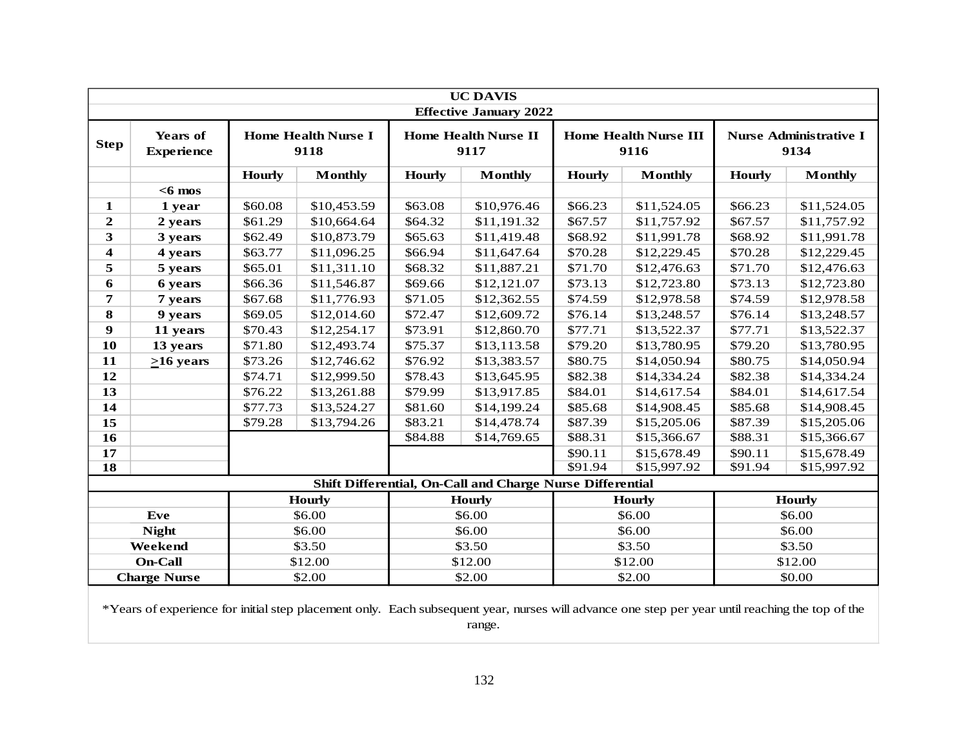|               | <b>UC DAVIS</b><br><b>Effective January 2022</b> |               |                                    |               |                                                           |               |                                      |               |                                       |  |  |
|---------------|--------------------------------------------------|---------------|------------------------------------|---------------|-----------------------------------------------------------|---------------|--------------------------------------|---------------|---------------------------------------|--|--|
| <b>Step</b>   | <b>Years of</b><br><b>Experience</b>             |               | <b>Home Health Nurse I</b><br>9118 |               | <b>Home Health Nurse II</b><br>9117                       |               | <b>Home Health Nurse III</b><br>9116 |               | <b>Nurse Administrative I</b><br>9134 |  |  |
|               |                                                  | <b>Hourly</b> | <b>Monthly</b>                     | <b>Hourly</b> | <b>Monthly</b>                                            | <b>Hourly</b> | <b>Monthly</b>                       | <b>Hourly</b> | <b>Monthly</b>                        |  |  |
|               | $<$ 6 mos                                        |               |                                    |               |                                                           |               |                                      |               |                                       |  |  |
| 1             | 1 year                                           | \$60.08       | \$10,453.59                        | \$63.08       | \$10,976.46                                               | \$66.23       | \$11,524.05                          | \$66.23       | \$11,524.05                           |  |  |
| $\mathbf{2}$  | 2 years                                          | \$61.29       | \$10,664.64                        | \$64.32       | \$11,191.32                                               | \$67.57       | \$11,757.92                          | \$67.57       | \$11,757.92                           |  |  |
| 3             | 3 years                                          | \$62.49       | \$10,873.79                        | \$65.63       | \$11,419.48                                               | \$68.92       | \$11,991.78                          | \$68.92       | \$11,991.78                           |  |  |
| 4             | 4 years                                          | \$63.77       | \$11,096.25                        | \$66.94       | \$11,647.64                                               | \$70.28       | \$12,229.45                          | \$70.28       | \$12,229.45                           |  |  |
| 5             | 5 years                                          | \$65.01       | \$11,311.10                        | \$68.32       | \$11,887.21                                               | \$71.70       | \$12,476.63                          | \$71.70       | \$12,476.63                           |  |  |
| 6             | 6 years                                          | \$66.36       | \$11,546.87                        | \$69.66       | \$12,121.07                                               | \$73.13       | \$12,723.80                          | \$73.13       | \$12,723.80                           |  |  |
| 7             | 7 years                                          | \$67.68       | \$11,776.93                        | \$71.05       | \$12,362.55                                               | \$74.59       | \$12,978.58                          | \$74.59       | \$12,978.58                           |  |  |
| 8             | 9 years                                          | \$69.05       | \$12,014.60                        | \$72.47       | \$12,609.72                                               | \$76.14       | \$13,248.57                          | \$76.14       | \$13,248.57                           |  |  |
| 9             | 11 years                                         | \$70.43       | \$12,254.17                        | \$73.91       | \$12,860.70                                               | \$77.71       | \$13,522.37                          | \$77.71       | \$13,522.37                           |  |  |
| 10            | 13 years                                         | \$71.80       | \$12,493.74                        | \$75.37       | \$13,113.58                                               | \$79.20       | \$13,780.95                          | \$79.20       | \$13,780.95                           |  |  |
| 11            | $>16$ years                                      | \$73.26       | \$12,746.62                        | \$76.92       | \$13,383.57                                               | \$80.75       | \$14,050.94                          | \$80.75       | \$14,050.94                           |  |  |
| 12            |                                                  | \$74.71       | \$12,999.50                        | \$78.43       | \$13,645.95                                               | \$82.38       | \$14,334.24                          | \$82.38       | \$14,334.24                           |  |  |
| 13            |                                                  | \$76.22       | \$13,261.88                        | \$79.99       | \$13,917.85                                               | \$84.01       | \$14,617.54                          | \$84.01       | \$14,617.54                           |  |  |
| 14            |                                                  | \$77.73       | \$13,524.27                        | \$81.60       | \$14,199.24                                               | \$85.68       | \$14,908.45                          | \$85.68       | \$14,908.45                           |  |  |
| 15            |                                                  | \$79.28       | \$13,794.26                        | \$83.21       | \$14,478.74                                               | \$87.39       | \$15,205.06                          | \$87.39       | \$15,205.06                           |  |  |
| 16            |                                                  |               |                                    | \$84.88       | \$14,769.65                                               | \$88.31       | \$15,366.67                          | \$88.31       | \$15,366.67                           |  |  |
| 17            |                                                  |               |                                    |               |                                                           | \$90.11       | \$15,678.49                          | \$90.11       | \$15,678.49                           |  |  |
| 18            |                                                  |               |                                    |               |                                                           | \$91.94       | \$15,997.92                          | \$91.94       | \$15,997.92                           |  |  |
|               |                                                  |               |                                    |               | Shift Differential, On-Call and Charge Nurse Differential |               |                                      |               |                                       |  |  |
| <b>Hourly</b> |                                                  |               |                                    |               | <b>Hourly</b>                                             |               | <b>Hourly</b>                        |               | Hourly                                |  |  |
|               | Eve                                              |               | \$6.00                             |               | \$6.00                                                    |               | \$6.00                               |               | \$6.00                                |  |  |
|               | <b>Night</b>                                     |               | \$6.00                             |               | \$6.00                                                    |               | \$6.00                               |               | \$6.00                                |  |  |
|               | Weekend                                          |               | \$3.50                             |               | \$3.50                                                    |               | \$3.50                               |               | \$3.50                                |  |  |
|               | <b>On-Call</b>                                   |               | \$12.00                            |               | \$12.00                                                   |               | \$12.00                              |               | \$12.00                               |  |  |
|               | <b>Charge Nurse</b>                              |               | \$2.00                             |               | \$2.00                                                    |               | \$2.00                               |               | \$0.00                                |  |  |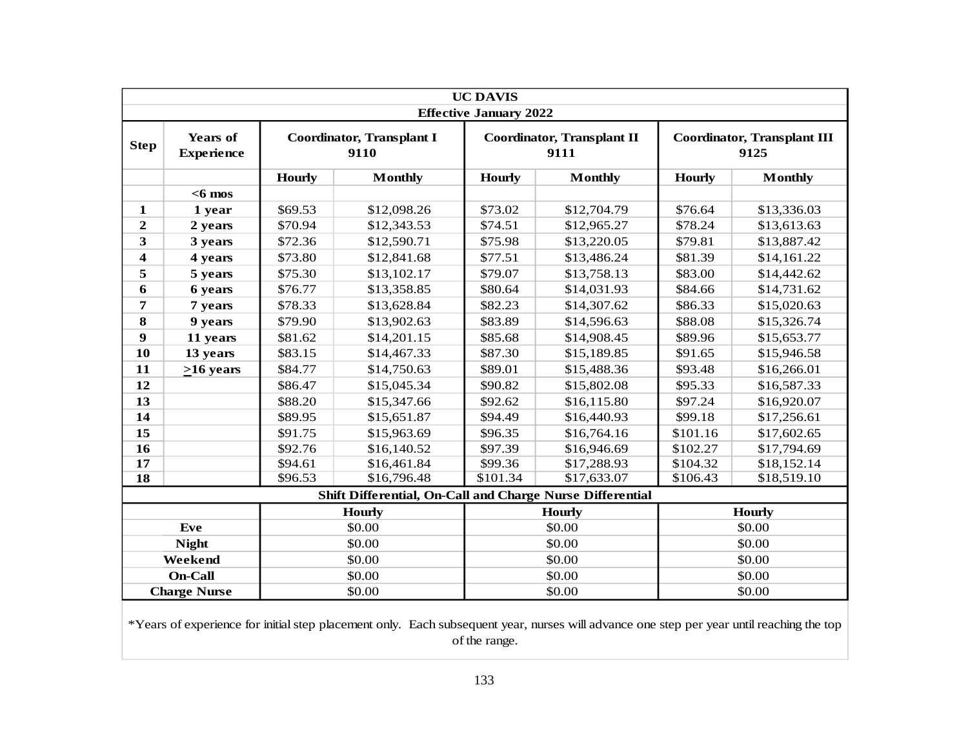|                         |                                      |               |                                                           | <b>UC DAVIS</b><br><b>Effective January 2022</b> |                                           |               |                                            |  |  |
|-------------------------|--------------------------------------|---------------|-----------------------------------------------------------|--------------------------------------------------|-------------------------------------------|---------------|--------------------------------------------|--|--|
| <b>Step</b>             | <b>Years of</b><br><b>Experience</b> |               | <b>Coordinator, Transplant I</b><br>9110                  |                                                  | <b>Coordinator, Transplant II</b><br>9111 |               | <b>Coordinator, Transplant III</b><br>9125 |  |  |
|                         |                                      | <b>Hourly</b> | <b>Monthly</b>                                            | <b>Hourly</b>                                    | <b>Monthly</b>                            | <b>Hourly</b> | <b>Monthly</b>                             |  |  |
|                         | $<$ 6 mos                            |               |                                                           |                                                  |                                           |               |                                            |  |  |
| 1                       | 1 year                               | \$69.53       | \$12,098.26                                               | \$73.02                                          | \$12,704.79                               | \$76.64       | \$13,336.03                                |  |  |
| $\boldsymbol{2}$        | 2 years                              | \$70.94       | \$12,343.53                                               | \$74.51                                          | \$12,965.27                               | \$78.24       | \$13,613.63                                |  |  |
| 3                       | 3 years                              | \$72.36       | \$12,590.71                                               | \$75.98                                          | \$13,220.05                               | \$79.81       | \$13,887.42                                |  |  |
| $\overline{\mathbf{4}}$ | 4 years                              | \$73.80       | \$12,841.68                                               | \$77.51                                          | \$13,486.24                               | \$81.39       | \$14,161.22                                |  |  |
| 5                       | 5 years                              | \$75.30       | \$13,102.17                                               | \$79.07                                          | \$13,758.13                               | \$83.00       | \$14,442.62                                |  |  |
| 6                       | 6 years                              | \$76.77       | \$13,358.85                                               | \$80.64                                          | \$14,031.93                               | \$84.66       | \$14,731.62                                |  |  |
| 7                       | 7 years                              | \$78.33       | \$13,628.84                                               | \$82.23                                          | \$14,307.62                               | \$86.33       | \$15,020.63                                |  |  |
| 8                       | 9 years                              | \$79.90       | \$13,902.63                                               | \$83.89                                          | \$14,596.63                               | \$88.08       | \$15,326.74                                |  |  |
| $\boldsymbol{9}$        | 11 years                             | \$81.62       | \$14,201.15                                               | \$85.68                                          | \$14,908.45                               | \$89.96       | \$15,653.77                                |  |  |
| 10                      | 13 years                             | \$83.15       | \$14,467.33                                               | \$87.30                                          | \$15,189.85                               | \$91.65       | \$15,946.58                                |  |  |
| 11                      | $>16$ years                          | \$84.77       | \$14,750.63                                               | \$89.01                                          | \$15,488.36                               | \$93.48       | \$16,266.01                                |  |  |
| 12                      |                                      | \$86.47       | \$15,045.34                                               | \$90.82                                          | \$15,802.08                               | \$95.33       | \$16,587.33                                |  |  |
| 13                      |                                      | \$88.20       | \$15,347.66                                               | \$92.62                                          | \$16,115.80                               | \$97.24       | \$16,920.07                                |  |  |
| 14                      |                                      | \$89.95       | \$15,651.87                                               | \$94.49                                          | \$16,440.93                               | \$99.18       | \$17,256.61                                |  |  |
| 15                      |                                      | \$91.75       | \$15,963.69                                               | \$96.35                                          | \$16,764.16                               | \$101.16      | \$17,602.65                                |  |  |
| 16                      |                                      | \$92.76       | \$16,140.52                                               | \$97.39                                          | \$16,946.69                               | \$102.27      | \$17,794.69                                |  |  |
| 17                      |                                      | \$94.61       | \$16,461.84                                               | \$99.36                                          | \$17,288.93                               | \$104.32      | \$18,152.14                                |  |  |
| 18                      |                                      | \$96.53       | \$16,796.48                                               | \$101.34                                         | \$17,633.07                               | \$106.43      | \$18,519.10                                |  |  |
|                         |                                      |               | Shift Differential, On-Call and Charge Nurse Differential |                                                  |                                           |               |                                            |  |  |
|                         |                                      |               | <b>Hourly</b>                                             |                                                  | <b>Hourly</b>                             |               | <b>Hourly</b>                              |  |  |
|                         | Eve                                  |               | \$0.00                                                    |                                                  | \$0.00                                    |               | \$0.00                                     |  |  |
|                         | <b>Night</b>                         |               | \$0.00                                                    |                                                  | \$0.00                                    |               | \$0.00                                     |  |  |
|                         | Weekend                              |               | \$0.00                                                    |                                                  | \$0.00                                    |               | \$0.00                                     |  |  |
|                         | <b>On-Call</b>                       |               | \$0.00                                                    |                                                  | \$0.00                                    | \$0.00        |                                            |  |  |
|                         | <b>Charge Nurse</b>                  |               | \$0.00                                                    |                                                  | \$0.00                                    | \$0.00        |                                            |  |  |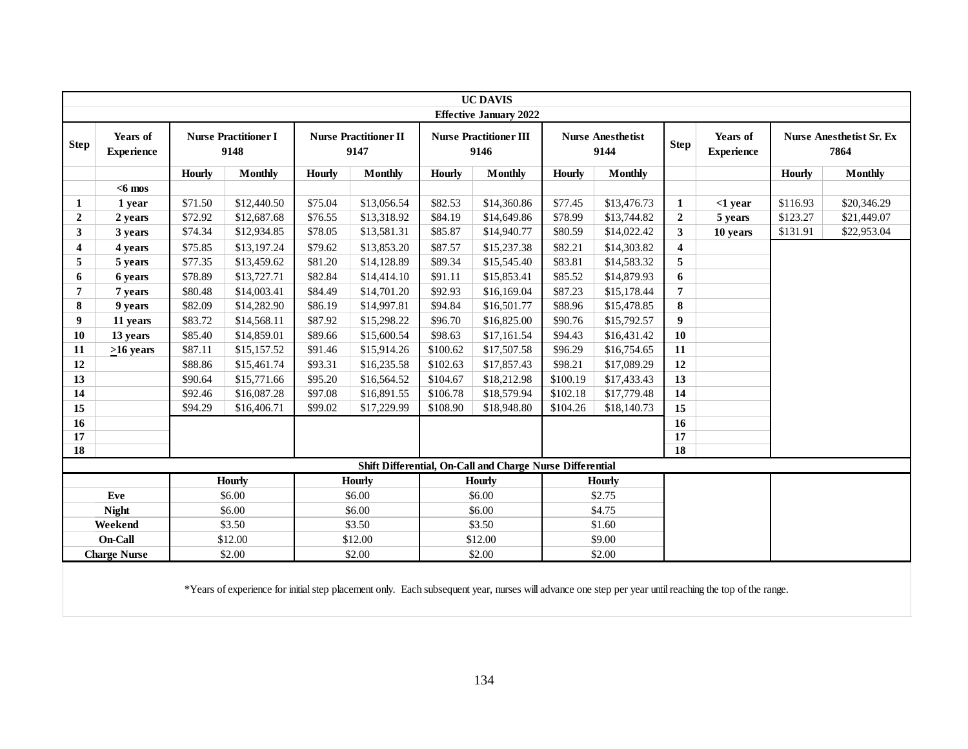|                         |                                                             |                                                           |                                     |               |                                      |                  | <b>UC DAVIS</b><br><b>Effective January 2022</b> |               |                                  |                         |                               |               |                                         |
|-------------------------|-------------------------------------------------------------|-----------------------------------------------------------|-------------------------------------|---------------|--------------------------------------|------------------|--------------------------------------------------|---------------|----------------------------------|-------------------------|-------------------------------|---------------|-----------------------------------------|
| <b>Step</b>             | Years of<br><b>Experience</b>                               |                                                           | <b>Nurse Practitioner I</b><br>9148 |               | <b>Nurse Practitioner II</b><br>9147 |                  | <b>Nurse Practitioner III</b><br>9146            |               | <b>Nurse Anesthetist</b><br>9144 | <b>Step</b>             | Years of<br><b>Experience</b> |               | <b>Nurse Anesthetist Sr. Ex</b><br>7864 |
|                         |                                                             | <b>Hourly</b>                                             | <b>Monthly</b>                      | <b>Hourly</b> | <b>Monthly</b>                       | <b>Hourly</b>    | <b>Monthly</b>                                   | <b>Hourly</b> | <b>Monthly</b>                   |                         |                               | <b>Hourly</b> | <b>Monthly</b>                          |
|                         | $< 6$ mos                                                   |                                                           |                                     |               |                                      |                  |                                                  |               |                                  |                         |                               |               |                                         |
| 1                       | 1 year                                                      | \$71.50                                                   | \$12,440.50                         | \$75.04       | \$13,056.54                          | \$82.53          | \$14,360.86                                      | \$77.45       | \$13,476.73                      | $\mathbf{1}$            | $<$ 1 year                    | \$116.93      | \$20,346.29                             |
| $\overline{2}$          | 2 years                                                     | \$72.92                                                   | \$12,687.68                         | \$76.55       | \$13,318.92                          | \$84.19          | \$14,649.86                                      | \$78.99       | \$13,744.82                      | $\overline{2}$          | 5 years                       | \$123.27      | \$21,449.07                             |
| 3                       | 3 years                                                     | \$74.34                                                   | \$12,934.85                         | \$78.05       | \$13,581.31                          | \$85.87          | \$14,940.77                                      | \$80.59       | \$14,022.42                      | 3                       | 10 years                      | \$131.91      | \$22,953.04                             |
| $\overline{\mathbf{4}}$ | 4 years                                                     | \$75.85                                                   | \$13,197.24                         | \$79.62       | \$13,853.20                          | \$87.57          | \$15,237.38                                      | \$82.21       | \$14,303.82                      | $\overline{\mathbf{4}}$ |                               |               |                                         |
| 5                       | 5 years                                                     | \$77.35                                                   | \$13,459.62                         | \$81.20       | \$14,128.89                          | \$89.34          | \$15,545.40                                      | \$83.81       | \$14,583.32                      | 5                       |                               |               |                                         |
| 6                       | 6 years                                                     | \$78.89                                                   | \$13,727.71                         | \$82.84       | \$14,414.10                          | \$91.11          | \$15,853.41                                      | \$85.52       | \$14,879.93                      | 6                       |                               |               |                                         |
| $\overline{7}$          | 7 years                                                     | \$80.48                                                   | \$14,003.41                         | \$84.49       | \$14,701.20                          | \$92.93          | \$16,169.04                                      | \$87.23       | \$15,178.44                      | 7                       |                               |               |                                         |
| 8                       | 9 years                                                     | \$82.09                                                   | \$14,282.90                         | \$86.19       | \$14,997.81                          | \$94.84          | \$16,501.77                                      | \$88.96       | \$15,478.85                      | 8                       |                               |               |                                         |
| 9                       | 11 years                                                    | \$83.72                                                   | \$14,568.11                         | \$87.92       | \$15,298.22                          | \$96.70          | \$16,825.00                                      | \$90.76       | \$15,792.57                      | 9                       |                               |               |                                         |
| 10                      | 13 years                                                    | \$85.40                                                   | \$14,859.01                         | \$89.66       | \$15,600.54                          | \$98.63          | \$17,161.54                                      | \$94.43       | \$16,431.42                      | 10                      |                               |               |                                         |
| 11                      | $>16$ years                                                 | \$87.11                                                   | \$15,157.52                         | \$91.46       | \$15,914.26                          | \$100.62         | \$17,507.58                                      | \$96.29       | \$16,754.65                      | 11                      |                               |               |                                         |
| 12                      |                                                             | \$88.86                                                   | \$15,461.74                         | \$93.31       | \$16,235.58                          | \$102.63         | \$17,857.43                                      | \$98.21       | \$17,089.29                      | 12                      |                               |               |                                         |
| 13                      |                                                             | \$90.64                                                   | \$15,771.66                         | \$95.20       | \$16,564.52                          | \$104.67         | \$18,212.98                                      | \$100.19      | \$17,433.43                      | 13                      |                               |               |                                         |
| 14                      |                                                             | \$92.46                                                   | \$16,087.28                         | \$97.08       | \$16,891.55                          | \$106.78         | \$18,579.94                                      | \$102.18      | \$17,779.48                      | 14                      |                               |               |                                         |
| 15                      |                                                             | \$94.29                                                   | \$16,406.71                         | \$99.02       | \$17,229.99                          | \$108.90         | \$18,948.80                                      | \$104.26      | \$18,140.73                      | 15                      |                               |               |                                         |
| 16                      |                                                             |                                                           |                                     |               |                                      |                  |                                                  |               |                                  | 16                      |                               |               |                                         |
| 17                      |                                                             |                                                           |                                     |               |                                      |                  |                                                  |               |                                  | 17                      |                               |               |                                         |
| $\overline{18}$         |                                                             |                                                           |                                     |               |                                      |                  |                                                  |               |                                  | 18                      |                               |               |                                         |
|                         |                                                             | Shift Differential, On-Call and Charge Nurse Differential |                                     |               |                                      |                  |                                                  |               |                                  |                         |                               |               |                                         |
|                         |                                                             |                                                           | <b>Hourly</b>                       |               | <b>Hourly</b>                        |                  | <b>Hourly</b>                                    |               | <b>Hourly</b>                    |                         |                               |               |                                         |
|                         | Eve                                                         |                                                           | \$6.00                              |               | \$6.00                               | \$6.00           |                                                  |               | \$2.75                           |                         |                               |               |                                         |
|                         | <b>Night</b>                                                |                                                           | \$6.00                              |               | \$6.00                               | \$6.00<br>\$4.75 |                                                  |               |                                  |                         |                               |               |                                         |
|                         | Weekend                                                     |                                                           | \$3.50                              |               | \$3.50                               |                  | \$3.50                                           |               | \$1.60                           |                         |                               |               |                                         |
|                         | On-Call                                                     |                                                           | \$12.00                             |               | \$12.00                              |                  | \$12.00                                          |               | \$9.00                           |                         |                               |               |                                         |
|                         | \$2.00<br>\$2.00<br>\$2.00<br><b>Charge Nurse</b><br>\$2.00 |                                                           |                                     |               |                                      |                  |                                                  |               |                                  |                         |                               |               |                                         |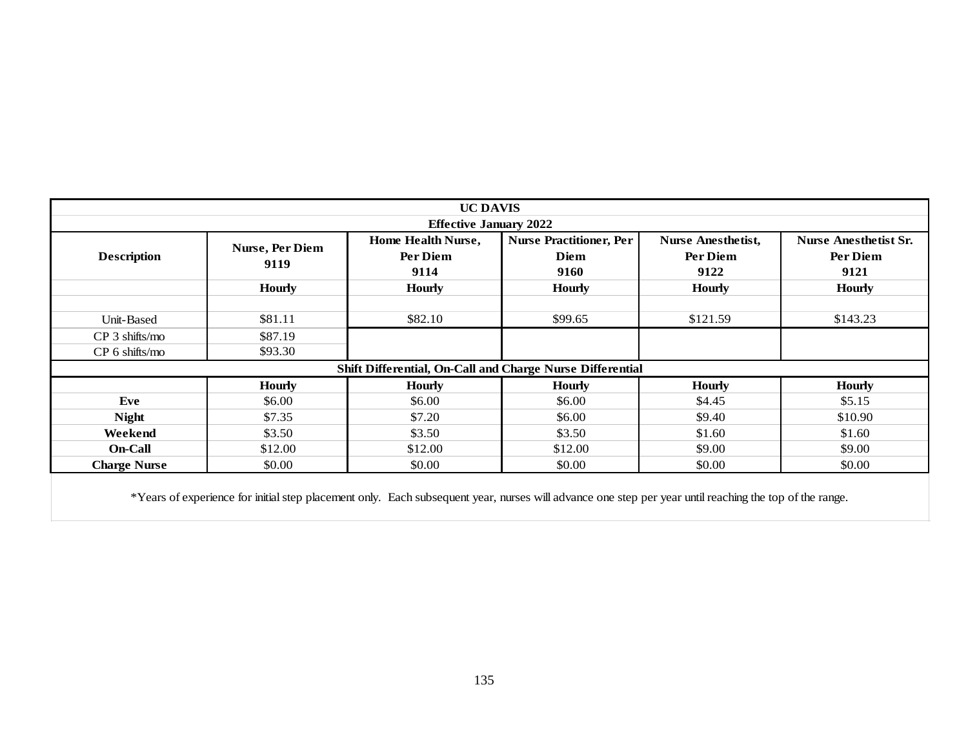|                     |                 | <b>UC DAVIS</b>                                                                                                                                        |                                |                           |                              |
|---------------------|-----------------|--------------------------------------------------------------------------------------------------------------------------------------------------------|--------------------------------|---------------------------|------------------------------|
|                     |                 | <b>Effective January 2022</b>                                                                                                                          |                                |                           |                              |
|                     | Nurse, Per Diem | Home Health Nurse,                                                                                                                                     | <b>Nurse Practitioner, Per</b> | <b>Nurse Anesthetist,</b> | <b>Nurse Anesthetist Sr.</b> |
| <b>Description</b>  | 9119            | Per Diem                                                                                                                                               | <b>Diem</b>                    | Per Diem                  | Per Diem                     |
|                     |                 | 9114                                                                                                                                                   | 9160                           | 9122                      | 9121                         |
|                     | <b>Hourly</b>   | <b>Hourly</b>                                                                                                                                          | <b>Hourly</b>                  | <b>Hourly</b>             | <b>Hourly</b>                |
| Unit-Based          | \$81.11         | \$82.10                                                                                                                                                | \$99.65                        | \$121.59                  | \$143.23                     |
| CP 3 shifts/mo      | \$87.19         |                                                                                                                                                        |                                |                           |                              |
| CP 6 shifts/mo      | \$93.30         |                                                                                                                                                        |                                |                           |                              |
|                     |                 | Shift Differential, On-Call and Charge Nurse Differential                                                                                              |                                |                           |                              |
|                     | <b>Hourly</b>   | <b>Hourly</b>                                                                                                                                          | <b>Hourly</b>                  | <b>Hourly</b>             | <b>Hourly</b>                |
| Eve                 | \$6.00          | \$6.00                                                                                                                                                 | \$6.00                         | \$4.45                    | \$5.15                       |
| <b>Night</b>        | \$7.35          | \$7.20                                                                                                                                                 | \$6.00                         | \$9.40                    | \$10.90                      |
| Weekend             | \$3.50          | \$3.50                                                                                                                                                 | \$3.50                         | \$1.60                    | \$1.60                       |
| On-Call             | \$12.00         | \$12.00                                                                                                                                                | \$12.00                        | \$9.00                    | \$9.00                       |
| <b>Charge Nurse</b> | \$0.00          | \$0.00                                                                                                                                                 | \$0.00                         | \$0.00                    | \$0.00                       |
|                     |                 | *Years of experience for initial step placement only. Each subsequent year, nurses will advance one step per year until reaching the top of the range. |                                |                           |                              |
|                     |                 |                                                                                                                                                        |                                |                           |                              |
|                     |                 |                                                                                                                                                        |                                |                           |                              |
|                     |                 |                                                                                                                                                        |                                |                           |                              |
|                     |                 |                                                                                                                                                        |                                |                           |                              |
|                     |                 |                                                                                                                                                        |                                |                           |                              |
|                     |                 |                                                                                                                                                        |                                |                           |                              |
|                     |                 |                                                                                                                                                        |                                |                           |                              |
|                     |                 |                                                                                                                                                        |                                |                           |                              |
|                     |                 | 135                                                                                                                                                    |                                |                           |                              |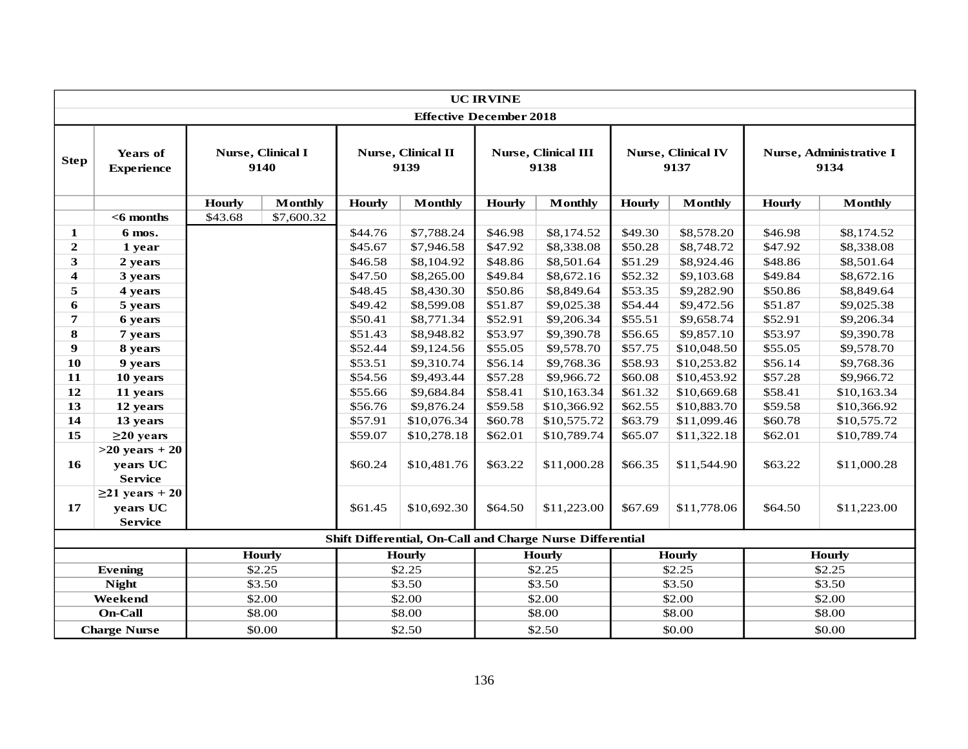|                         |                               |                            |                           |               |                                                           | <b>UC IRVINE</b>                   |                |               |                                   |               |                                 |
|-------------------------|-------------------------------|----------------------------|---------------------------|---------------|-----------------------------------------------------------|------------------------------------|----------------|---------------|-----------------------------------|---------------|---------------------------------|
|                         |                               |                            |                           |               | <b>Effective December 2018</b>                            |                                    |                |               |                                   |               |                                 |
| <b>Step</b>             | Years of<br><b>Experience</b> |                            | Nurse, Clinical I<br>9140 |               | Nurse, Clinical II<br>9139                                | <b>Nurse, Clinical III</b><br>9138 |                |               | <b>Nurse, Clinical IV</b><br>9137 |               | Nurse, Administrative I<br>9134 |
|                         |                               | <b>Hourly</b>              | <b>Monthly</b>            | <b>Hourly</b> | <b>Monthly</b>                                            | <b>Hourly</b>                      | <b>Monthly</b> | <b>Hourly</b> | <b>Monthly</b>                    | <b>Hourly</b> | <b>Monthly</b>                  |
|                         | $<$ 6 months                  | \$43.68                    | \$7,600.32                |               |                                                           |                                    |                |               |                                   |               |                                 |
| 1                       | 6 mos.                        |                            |                           | \$44.76       | \$7,788.24                                                | \$46.98                            | \$8,174.52     | \$49.30       | \$8,578.20                        | \$46.98       | \$8,174.52                      |
| $\boldsymbol{2}$        | 1 year                        |                            |                           | \$45.67       | \$7,946.58                                                | \$47.92                            | \$8,338.08     | \$50.28       | \$8,748.72                        | \$47.92       | \$8,338.08                      |
| 3                       | 2 years                       |                            |                           | \$46.58       | \$8,104.92                                                | \$48.86                            | \$8,501.64     | \$51.29       | \$8,924.46                        | \$48.86       | \$8,501.64                      |
| $\overline{\mathbf{4}}$ | 3 years                       |                            |                           | \$47.50       | \$8,265.00                                                | \$49.84                            | \$8,672.16     | \$52.32       | \$9,103.68                        | \$49.84       | \$8,672.16                      |
| 5                       | 4 years                       |                            |                           | \$48.45       | \$8,430.30                                                | \$50.86                            | \$8,849.64     | \$53.35       | \$9,282.90                        | \$50.86       | \$8,849.64                      |
| 6                       | 5 years                       |                            |                           | \$49.42       | \$8,599.08                                                | \$51.87                            | \$9,025.38     | \$54.44       | \$9,472.56                        | \$51.87       | \$9,025.38                      |
| $\boldsymbol{7}$        | 6 years                       |                            |                           | \$50.41       | \$8,771.34                                                | \$52.91                            | \$9,206.34     | \$55.51       | \$9,658.74                        | \$52.91       | \$9,206.34                      |
| 8                       | 7 years                       |                            |                           | \$51.43       | \$8,948.82                                                | \$53.97                            | \$9,390.78     | \$56.65       | \$9,857.10                        | \$53.97       | \$9,390.78                      |
| $\boldsymbol{9}$        | 8 years                       |                            |                           | \$52.44       | \$9,124.56                                                | \$55.05                            | \$9,578.70     | \$57.75       | \$10,048.50                       | \$55.05       | \$9,578.70                      |
| 10                      | 9 years                       |                            |                           | \$53.51       | \$9,310.74                                                | \$56.14                            | \$9,768.36     | \$58.93       | \$10,253.82                       | \$56.14       | \$9,768.36                      |
| 11                      | 10 years                      |                            |                           | \$54.56       | \$9,493.44                                                | \$57.28                            | \$9,966.72     | \$60.08       | \$10,453.92                       | \$57.28       | \$9,966.72                      |
| 12                      | 11 years                      |                            |                           | \$55.66       | \$9,684.84                                                | \$58.41                            | \$10,163.34    | \$61.32       | \$10,669.68                       | \$58.41       | \$10,163.34                     |
| 13                      | 12 years                      |                            |                           | \$56.76       | \$9,876.24                                                | \$59.58                            | \$10,366.92    | \$62.55       | \$10,883.70                       | \$59.58       | \$10,366.92                     |
| 14                      | 13 years                      |                            |                           | \$57.91       | \$10,076.34                                               | \$60.78                            | \$10,575.72    | \$63.79       | \$11,099.46                       | \$60.78       | \$10,575.72                     |
| 15                      | $\geq$ 20 years               |                            |                           | \$59.07       | \$10,278.18                                               | \$62.01                            | \$10,789.74    | \$65.07       | \$11,322.18                       | \$62.01       | \$10,789.74                     |
|                         | $>20$ years $+20$             |                            |                           |               |                                                           |                                    |                |               |                                   |               |                                 |
| 16                      | years UC                      |                            |                           | \$60.24       | \$10,481.76                                               | \$63.22                            | \$11,000.28    | \$66.35       | \$11,544.90                       | \$63.22       | \$11,000.28                     |
|                         | <b>Service</b>                |                            |                           |               |                                                           |                                    |                |               |                                   |               |                                 |
|                         | $\geq$ 21 years + 20          |                            |                           |               |                                                           |                                    |                |               |                                   |               |                                 |
| 17                      | years UC                      |                            |                           | \$61.45       | \$10,692.30                                               | \$64.50                            | \$11,223.00    | \$67.69       | \$11,778.06                       | \$64.50       | \$11,223.00                     |
|                         | <b>Service</b>                |                            |                           |               |                                                           |                                    |                |               |                                   |               |                                 |
|                         |                               |                            |                           |               | Shift Differential, On-Call and Charge Nurse Differential |                                    |                |               |                                   |               |                                 |
|                         | <b>Hourly</b>                 |                            |                           |               | <b>Hourly</b>                                             |                                    | <b>Hourly</b>  |               | <b>Hourly</b>                     |               | <b>Hourly</b>                   |
|                         | <b>Evening</b>                |                            | \$2.25                    |               | \$2.25                                                    |                                    | \$2.25         |               | \$2.25                            |               | \$2.25                          |
|                         | <b>Night</b>                  |                            | \$3.50                    |               | \$3.50                                                    |                                    | \$3.50         |               | \$3.50                            |               | \$3.50                          |
|                         | Weekend                       |                            | \$2.00                    |               | \$2.00                                                    |                                    | \$2.00         |               | \$2.00                            |               | \$2.00                          |
|                         | <b>On-Call</b>                |                            | \$8.00                    |               | \$8.00                                                    |                                    | \$8.00         |               | \$8.00                            |               | \$8.00                          |
|                         | <b>Charge Nurse</b>           | \$0.00<br>\$2.50<br>\$2.50 |                           |               | \$0.00                                                    |                                    | \$0.00         |               |                                   |               |                                 |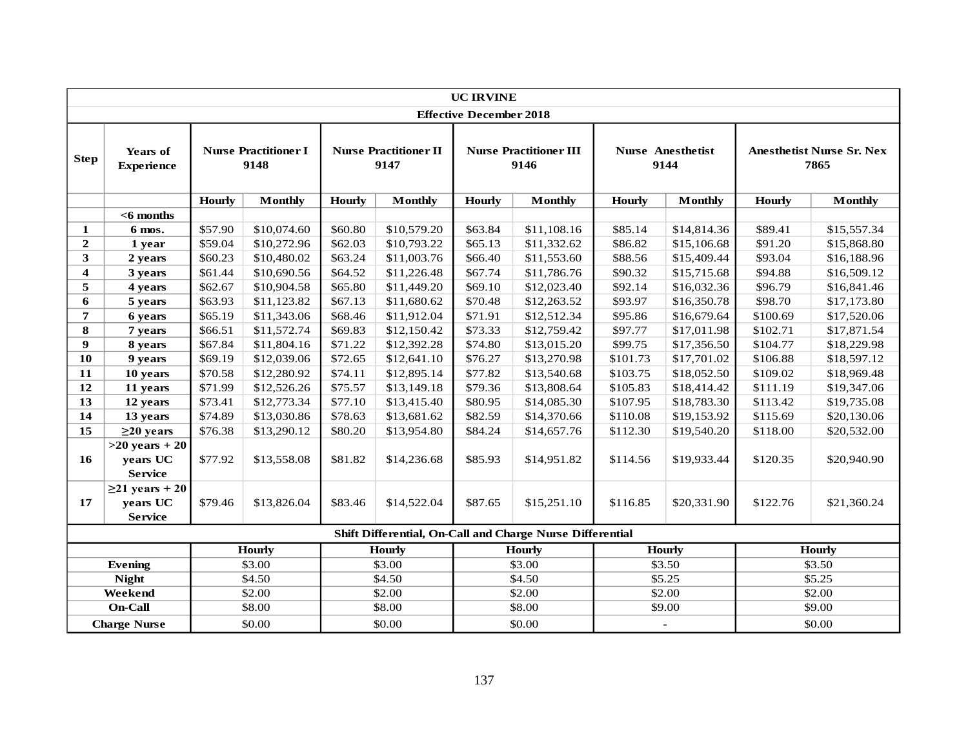|                  |                               |                                     |                |               |                                      | <b>UC IRVINE</b>               |                                                           |               |                                  |               |                                          |
|------------------|-------------------------------|-------------------------------------|----------------|---------------|--------------------------------------|--------------------------------|-----------------------------------------------------------|---------------|----------------------------------|---------------|------------------------------------------|
|                  |                               |                                     |                |               |                                      | <b>Effective December 2018</b> |                                                           |               |                                  |               |                                          |
| <b>Step</b>      | Years of<br><b>Experience</b> | <b>Nurse Practitioner I</b><br>9148 |                |               | <b>Nurse Practitioner II</b><br>9147 |                                | <b>Nurse Practitioner III</b><br>9146                     |               | <b>Nurse Anesthetist</b><br>9144 |               | <b>Anesthetist Nurse Sr. Nex</b><br>7865 |
|                  |                               | <b>Hourly</b>                       | <b>Monthly</b> | <b>Hourly</b> | <b>Monthly</b>                       | <b>Hourly</b>                  | <b>Monthly</b>                                            | <b>Hourly</b> | <b>Monthly</b>                   | <b>Hourly</b> | <b>Monthly</b>                           |
|                  | $<$ 6 months                  |                                     |                |               |                                      |                                |                                                           |               |                                  |               |                                          |
| 1                | 6 mos.                        | \$57.90                             | \$10,074.60    | \$60.80       | \$10,579.20                          | \$63.84                        | \$11,108.16                                               | \$85.14       | \$14,814.36                      | \$89.41       | \$15,557.34                              |
| $\mathbf 2$      | 1 year                        | \$59.04                             | \$10,272.96    | \$62.03       | \$10,793.22                          | \$65.13                        | \$11,332.62                                               | \$86.82       | \$15,106.68                      | \$91.20       | \$15,868.80                              |
| $\mathbf{3}$     | 2 years                       | \$60.23                             | \$10,480.02    | \$63.24       | \$11,003.76                          | \$66.40                        | \$11,553.60                                               | \$88.56       | \$15,409.44                      | \$93.04       | \$16,188.96                              |
| $\boldsymbol{4}$ | 3 years                       | \$61.44                             | \$10,690.56    | \$64.52       | \$11,226.48                          | \$67.74                        | \$11,786.76                                               | \$90.32       | \$15,715.68                      | \$94.88       | \$16,509.12                              |
| 5                | 4 years                       | \$62.67                             | \$10,904.58    | \$65.80       | \$11,449.20                          | \$69.10                        | \$12,023.40                                               | \$92.14       | \$16,032.36                      | \$96.79       | \$16,841.46                              |
| 6                | 5 years                       | \$63.93                             | \$11,123.82    | \$67.13       | \$11,680.62                          | \$70.48                        | \$12,263.52                                               | \$93.97       | \$16,350.78                      | \$98.70       | \$17,173.80                              |
| $\overline{7}$   | 6 years                       | \$65.19                             | \$11,343.06    | \$68.46       | \$11,912.04                          | \$71.91                        | \$12,512.34                                               | \$95.86       | \$16,679.64                      | \$100.69      | \$17,520.06                              |
| 8                | 7 years                       | \$66.51                             | \$11,572.74    | \$69.83       | \$12,150.42                          | \$73.33                        | \$12,759.42                                               | \$97.77       | \$17,011.98                      | \$102.71      | \$17,871.54                              |
| $\boldsymbol{9}$ | 8 years                       | \$67.84                             | \$11,804.16    | \$71.22       | \$12,392.28                          | \$74.80                        | \$13,015.20                                               | \$99.75       | \$17,356.50                      | \$104.77      | \$18,229.98                              |
| 10               | 9 years                       | \$69.19                             | \$12,039.06    | \$72.65       | \$12,641.10                          | \$76.27                        | \$13,270.98                                               | \$101.73      | \$17,701.02                      | \$106.88      | \$18,597.12                              |
| 11               | 10 years                      | \$70.58                             | \$12,280.92    | \$74.11       | \$12,895.14                          | \$77.82                        | \$13,540.68                                               | \$103.75      | \$18,052.50                      | \$109.02      | \$18,969.48                              |
| 12               | 11 years                      | \$71.99                             | \$12,526.26    | \$75.57       | \$13,149.18                          | \$79.36                        | \$13,808.64                                               | \$105.83      | \$18,414.42                      | \$111.19      | \$19,347.06                              |
| 13               | 12 years                      | \$73.41                             | \$12,773.34    | \$77.10       | \$13,415.40                          | \$80.95                        | \$14,085.30                                               | \$107.95      | \$18,783.30                      | \$113.42      | \$19,735.08                              |
| 14               | 13 years                      | \$74.89                             | \$13,030.86    | \$78.63       | \$13,681.62                          | \$82.59                        | \$14,370.66                                               | \$110.08      | \$19,153.92                      | \$115.69      | \$20,130.06                              |
| 15               | $\geq$ 20 years               | \$76.38                             | \$13,290.12    | \$80.20       | \$13,954.80                          | \$84.24                        | \$14,657.76                                               | \$112.30      | \$19,540.20                      | \$118.00      | \$20,532.00                              |
|                  | $>20$ years $+20$             |                                     |                |               |                                      |                                |                                                           |               |                                  |               |                                          |
| 16               | years UC                      | \$77.92                             | \$13,558.08    | \$81.82       | \$14,236.68                          | \$85.93                        | \$14,951.82                                               | \$114.56      | \$19,933.44                      | \$120.35      | \$20,940.90                              |
|                  | <b>Service</b>                |                                     |                |               |                                      |                                |                                                           |               |                                  |               |                                          |
|                  | $\geq$ 21 years + 20          |                                     |                |               |                                      |                                |                                                           |               |                                  |               |                                          |
| 17               | years UC                      | \$79.46                             | \$13,826.04    | \$83.46       | \$14,522.04                          | \$87.65                        | \$15,251.10                                               | \$116.85      | \$20,331.90                      | \$122.76      | \$21,360.24                              |
|                  | <b>Service</b>                |                                     |                |               |                                      |                                |                                                           |               |                                  |               |                                          |
|                  |                               |                                     |                |               |                                      |                                | Shift Differential, On-Call and Charge Nurse Differential |               |                                  |               |                                          |
|                  | <b>Hourly</b>                 |                                     |                |               | <b>Hourly</b>                        |                                | <b>Hourly</b>                                             |               | <b>Hourly</b>                    |               | Hourly                                   |
|                  | <b>Evening</b>                |                                     | \$3.00         |               | \$3.00                               |                                | \$3.00                                                    |               | \$3.50                           |               | \$3.50                                   |
|                  | <b>Night</b>                  |                                     | \$4.50         |               | \$4.50                               |                                | \$4.50                                                    |               | \$5.25                           |               | \$5.25                                   |
|                  | Weekend                       |                                     | \$2.00         |               | \$2.00                               |                                | \$2.00                                                    |               | \$2.00                           |               | \$2.00                                   |
|                  | On-Call                       |                                     | \$8.00         |               | \$8.00                               |                                | \$8.00                                                    |               | \$9.00                           |               | \$9.00                                   |
|                  | <b>Charge Nurse</b>           |                                     | \$0.00         |               | \$0.00                               |                                | \$0.00                                                    |               | $\sim$                           | \$0.00        |                                          |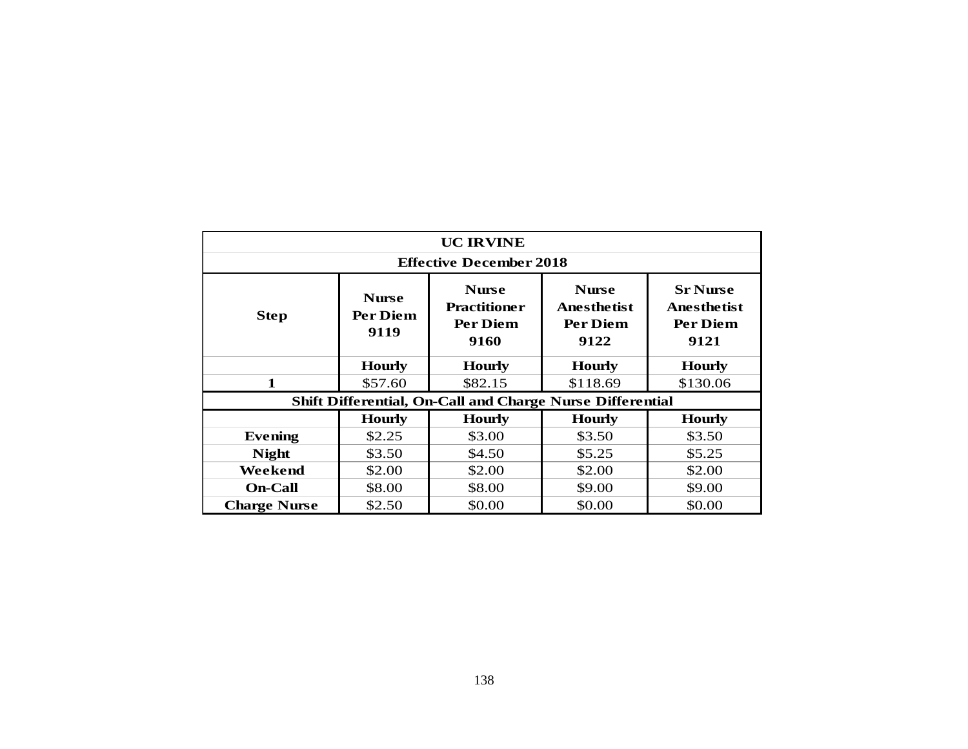|                     |                                  | <b>UC IRVINE</b>                                          |                                                               |                                                                  |
|---------------------|----------------------------------|-----------------------------------------------------------|---------------------------------------------------------------|------------------------------------------------------------------|
|                     |                                  | <b>Effective December 2018</b>                            |                                                               |                                                                  |
| <b>Step</b>         | <b>Nurse</b><br>Per Diem<br>9119 | <b>Nurse</b><br><b>Practitioner</b><br>Per Diem<br>9160   | <b>Nurse</b><br><b>Anesthetist</b><br><b>Per Diem</b><br>9122 | <b>Sr Nurse</b><br><b>Anesthetist</b><br><b>Per Diem</b><br>9121 |
|                     | <b>Hourly</b>                    | <b>Hourly</b>                                             | <b>Hourly</b>                                                 | <b>Hourly</b>                                                    |
| $\mathbf{1}$        | \$57.60                          | \$82.15                                                   | \$118.69                                                      | \$130.06                                                         |
|                     |                                  | Shift Differential, On-Call and Charge Nurse Differential |                                                               |                                                                  |
|                     | <b>Hourly</b>                    | <b>Hourly</b>                                             | <b>Hourly</b>                                                 | <b>Hourly</b>                                                    |
| <b>Evening</b>      | \$2.25                           | \$3.00                                                    | \$3.50                                                        | \$3.50                                                           |
| <b>Night</b>        | \$3.50                           | \$4.50                                                    | \$5.25                                                        | \$5.25                                                           |
| Weekend             | \$2.00                           | \$2.00                                                    | \$2.00                                                        | \$2.00                                                           |
| <b>On-Call</b>      | \$8.00                           | \$8.00                                                    | \$9.00                                                        | \$9.00                                                           |
| <b>Charge Nurse</b> | \$2.50                           | \$0.00                                                    | \$0.00                                                        | \$0.00                                                           |
|                     |                                  |                                                           |                                                               |                                                                  |
|                     |                                  | 138                                                       |                                                               |                                                                  |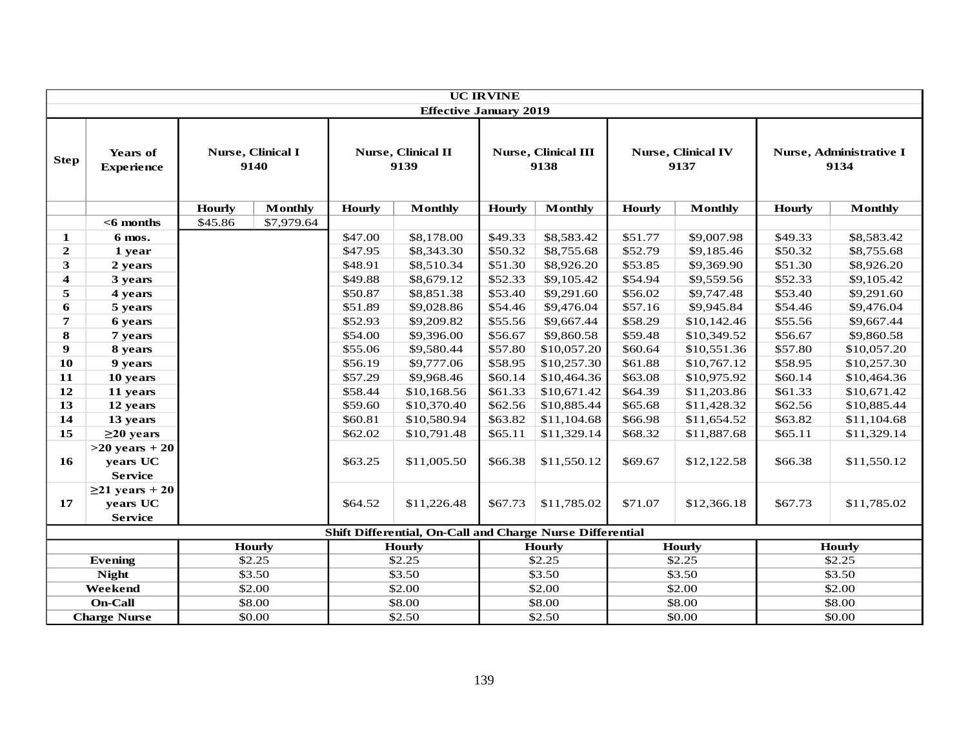|                         |                                      |               |                           |                                   |                                                           | <b>UC IRVINE</b>                   |                |               |                                   |                                 |                |
|-------------------------|--------------------------------------|---------------|---------------------------|-----------------------------------|-----------------------------------------------------------|------------------------------------|----------------|---------------|-----------------------------------|---------------------------------|----------------|
|                         |                                      |               |                           |                                   | <b>Effective January 2019</b>                             |                                    |                |               |                                   |                                 |                |
| <b>Step</b>             | <b>Years of</b><br><b>Experience</b> |               | Nurse, Clinical I<br>9140 | <b>Nurse, Clinical II</b><br>9139 |                                                           | <b>Nurse, Clinical III</b><br>9138 |                |               | <b>Nurse, Clinical IV</b><br>9137 | Nurse, Administrative I<br>9134 |                |
|                         |                                      | <b>Hourly</b> | <b>Monthly</b>            | <b>Hourly</b>                     | <b>Monthly</b>                                            | <b>Hourly</b>                      | <b>Monthly</b> | <b>Hourly</b> | <b>Monthly</b>                    | <b>Hourly</b>                   | <b>Monthly</b> |
|                         | $<$ 6 months                         | \$45.86       | \$7,979.64                |                                   |                                                           |                                    |                |               |                                   |                                 |                |
| 1                       | 6 mos.                               |               |                           | \$47.00                           | \$8,178.00                                                | \$49.33                            | \$8,583.42     | \$51.77       | \$9,007.98                        | \$49.33                         | \$8,583.42     |
| $\mathbf{2}$            | 1 year                               |               |                           | \$47.95                           | \$8,343.30                                                | \$50.32                            | \$8,755.68     | \$52.79       | \$9,185.46                        | \$50.32                         | \$8,755.68     |
| 3                       | 2 years                              |               |                           | \$48.91                           | \$8,510.34                                                | \$51.30                            | \$8,926.20     | \$53.85       | \$9,369.90                        | \$51.30                         | \$8,926.20     |
| $\overline{\mathbf{4}}$ | 3 years                              |               |                           | \$49.88                           | \$8,679.12                                                | \$52.33                            | \$9,105.42     | \$54.94       | \$9,559.56                        | \$52.33                         | \$9,105.42     |
| 5                       | 4 years                              |               |                           | \$50.87                           | \$8,851.38                                                | \$53.40                            | \$9,291.60     | \$56.02       | \$9,747.48                        | \$53.40                         | \$9,291.60     |
| 6                       | 5 years                              |               |                           | \$51.89                           | \$9,028.86                                                | \$54.46                            | \$9,476.04     | \$57.16       | \$9,945.84                        | \$54.46                         | \$9,476.04     |
| $\overline{7}$          | 6 years                              |               |                           | \$52.93                           | \$9,209.82                                                | \$55.56                            | \$9,667.44     | \$58.29       | \$10,142.46                       | \$55.56                         | \$9,667.44     |
| $\bf{8}$                | 7 years                              |               |                           | \$54.00                           | \$9,396.00                                                | \$56.67                            | \$9,860.58     | \$59.48       | \$10,349.52                       | \$56.67                         | \$9,860.58     |
| $\boldsymbol{9}$        | 8 years                              |               |                           | \$55.06                           | \$9,580.44                                                | \$57.80                            | \$10,057.20    | \$60.64       | \$10,551.36                       | \$57.80                         | \$10,057.20    |
| 10                      | 9 years                              |               |                           | \$56.19                           | \$9,777.06                                                | \$58.95                            | \$10,257.30    | \$61.88       | \$10,767.12                       | \$58.95                         | \$10,257.30    |
| 11                      | 10 years                             |               |                           | \$57.29                           | \$9,968.46                                                | \$60.14                            | \$10,464.36    | \$63.08       | \$10,975.92                       | \$60.14                         | \$10,464.36    |
| 12                      | 11 years                             |               |                           | \$58.44                           | \$10,168.56                                               | \$61.33                            | \$10,671.42    | \$64.39       | \$11,203.86                       | \$61.33                         | \$10,671.42    |
| 13                      | 12 years                             |               |                           | \$59.60                           | \$10,370.40                                               | \$62.56                            | \$10,885.44    | \$65.68       | \$11,428.32                       | \$62.56                         | \$10,885.44    |
| 14                      | 13 years                             |               |                           | \$60.81                           | \$10,580.94                                               | \$63.82                            | \$11,104.68    | \$66.98       | \$11,654.52                       | \$63.82                         | \$11,104.68    |
| 15                      | $\geq$ 20 years                      |               |                           | \$62.02                           | \$10,791.48                                               | \$65.11                            | \$11,329.14    | \$68.32       | \$11,887.68                       | \$65.11                         | \$11,329.14    |
|                         | $>20$ years $+20$                    |               |                           |                                   |                                                           |                                    |                |               |                                   |                                 |                |
| 16                      | years UC                             |               |                           | \$63.25                           | \$11,005.50                                               | \$66.38                            | \$11,550.12    | \$69.67       | \$12,122.58                       | \$66.38                         | \$11,550.12    |
|                         | <b>Service</b>                       |               |                           |                                   |                                                           |                                    |                |               |                                   |                                 |                |
|                         | $\geq$ 21 years + 20                 |               |                           |                                   |                                                           |                                    |                |               |                                   |                                 |                |
| 17                      | years UC                             |               |                           | \$64.52                           | \$11,226.48                                               | \$67.73                            | \$11,785.02    | \$71.07       | \$12,366.18                       | \$67.73                         | \$11,785.02    |
|                         | <b>Service</b>                       |               |                           |                                   |                                                           |                                    |                |               |                                   |                                 |                |
|                         |                                      |               |                           |                                   | Shift Differential, On-Call and Charge Nurse Differential |                                    |                |               |                                   |                                 |                |
|                         |                                      |               | <b>Hourly</b>             |                                   | <b>Hourly</b>                                             |                                    | <b>Hourly</b>  |               | <b>Hourly</b>                     |                                 | <b>Hourly</b>  |
|                         | <b>Evening</b>                       |               | \$2.25                    |                                   | \$2.25                                                    |                                    | \$2.25         |               | \$2.25                            |                                 | \$2.25         |
|                         | <b>Night</b>                         |               | \$3.50                    |                                   | \$3.50                                                    |                                    | \$3.50         |               | \$3.50                            |                                 | \$3.50         |
|                         | Weekend                              |               | \$2.00                    |                                   | \$2.00                                                    |                                    | \$2.00         |               | \$2.00                            |                                 | \$2.00         |
|                         | <b>On-Call</b>                       |               | \$8.00                    |                                   | \$8.00                                                    |                                    | \$8.00         |               | \$8.00                            |                                 | \$8.00         |
|                         | <b>Charge Nurse</b><br>\$0.00        |               |                           |                                   | \$2.50                                                    |                                    | \$2.50         | \$0.00        |                                   | \$0.00                          |                |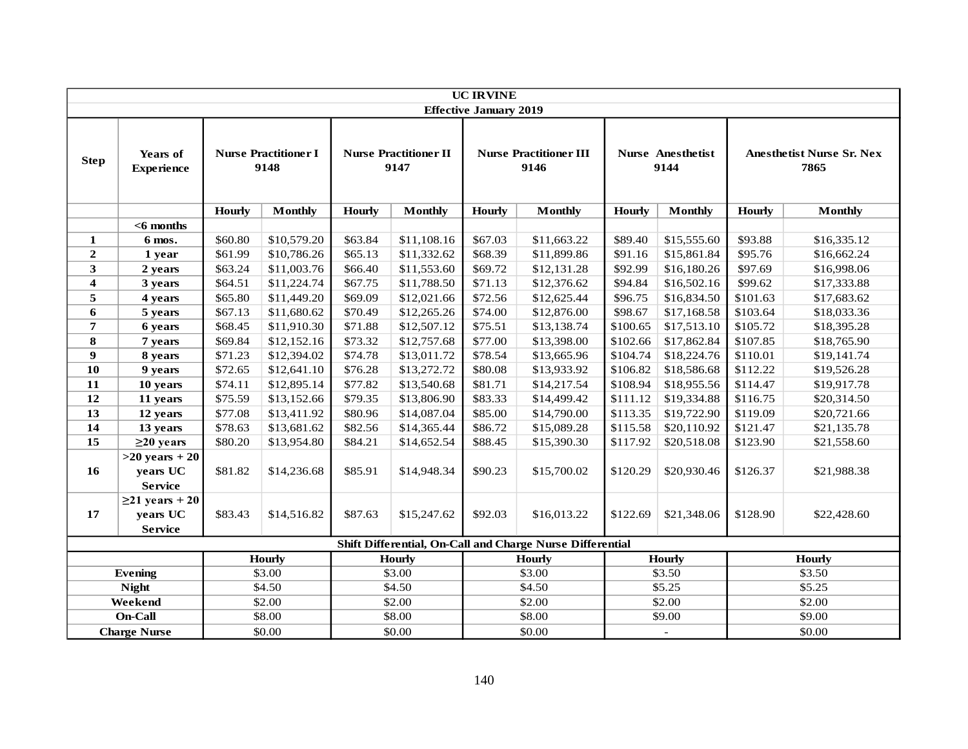|                     | <b>UC IRVINE</b>                                   |               |                                     |                                      |                |                               |                                                           |                                  |                |                                          |                |
|---------------------|----------------------------------------------------|---------------|-------------------------------------|--------------------------------------|----------------|-------------------------------|-----------------------------------------------------------|----------------------------------|----------------|------------------------------------------|----------------|
|                     |                                                    |               |                                     |                                      |                | <b>Effective January 2019</b> |                                                           |                                  |                |                                          |                |
| <b>Step</b>         | Years of<br><b>Experience</b>                      |               | <b>Nurse Practitioner I</b><br>9148 | <b>Nurse Practitioner II</b><br>9147 |                |                               | <b>Nurse Practitioner III</b><br>9146                     | <b>Nurse Anesthetist</b><br>9144 |                | <b>Anesthetist Nurse Sr. Nex</b><br>7865 |                |
|                     |                                                    | <b>Hourly</b> | <b>Monthly</b>                      | <b>Hourly</b>                        | <b>Monthly</b> | <b>Hourly</b>                 | <b>Monthly</b>                                            | <b>Hourly</b>                    | <b>Monthly</b> | <b>Hourly</b>                            | <b>Monthly</b> |
|                     | $<$ 6 months                                       |               |                                     |                                      |                |                               |                                                           |                                  |                |                                          |                |
| 1                   | 6 mos.                                             | \$60.80       | \$10,579.20                         | \$63.84                              | \$11,108.16    | \$67.03                       | \$11,663.22                                               | \$89.40                          | \$15,555.60    | \$93.88                                  | \$16,335.12    |
| $\boldsymbol{2}$    | 1 year                                             | \$61.99       | \$10,786.26                         | \$65.13                              | \$11,332.62    | \$68.39                       | \$11,899.86                                               | \$91.16                          | \$15,861.84    | \$95.76                                  | \$16,662.24    |
| $\mathbf{3}$        | 2 years                                            | \$63.24       | \$11,003.76                         | \$66.40                              | \$11,553.60    | \$69.72                       | \$12,131.28                                               | \$92.99                          | \$16,180.26    | \$97.69                                  | \$16,998.06    |
| $\boldsymbol{4}$    | 3 years                                            | \$64.51       | \$11,224.74                         | \$67.75                              | \$11,788.50    | \$71.13                       | \$12,376.62                                               | \$94.84                          | \$16,502.16    | \$99.62                                  | \$17,333.88    |
| 5                   | 4 years                                            | \$65.80       | \$11,449.20                         | \$69.09                              | \$12,021.66    | \$72.56                       | \$12,625.44                                               | \$96.75                          | \$16,834.50    | \$101.63                                 | \$17,683.62    |
| 6                   | 5 years                                            | \$67.13       | \$11,680.62                         | \$70.49                              | \$12,265.26    | \$74.00                       | \$12,876.00                                               | \$98.67                          | \$17,168.58    | \$103.64                                 | \$18,033.36    |
| $\pmb{7}$           | 6 years                                            | \$68.45       | \$11,910.30                         | \$71.88                              | \$12,507.12    | \$75.51                       | \$13,138.74                                               | \$100.65                         | \$17,513.10    | \$105.72                                 | \$18,395.28    |
| 8                   | 7 years                                            | \$69.84       | \$12,152.16                         | \$73.32                              | \$12,757.68    | \$77.00                       | \$13,398.00                                               | \$102.66                         | \$17,862.84    | \$107.85                                 | \$18,765.90    |
| 9                   | 8 years                                            | \$71.23       | \$12,394.02                         | \$74.78                              | \$13,011.72    | \$78.54                       | \$13,665.96                                               | \$104.74                         | \$18,224.76    | \$110.01                                 | \$19,141.74    |
| 10                  | 9 years                                            | \$72.65       | \$12,641.10                         | \$76.28                              | \$13,272.72    | \$80.08                       | \$13,933.92                                               | \$106.82                         | \$18,586.68    | \$112.22                                 | \$19,526.28    |
| 11                  | 10 years                                           | \$74.11       | \$12,895.14                         | \$77.82                              | \$13,540.68    | \$81.71                       | \$14,217.54                                               | \$108.94                         | \$18,955.56    | \$114.47                                 | \$19,917.78    |
| 12                  | 11 years                                           | \$75.59       | \$13,152.66                         | \$79.35                              | \$13,806.90    | \$83.33                       | \$14,499.42                                               | \$111.12                         | \$19,334.88    | \$116.75                                 | \$20,314.50    |
| 13                  | 12 years                                           | \$77.08       | \$13,411.92                         | \$80.96                              | \$14,087.04    | \$85.00                       | \$14,790.00                                               | \$113.35                         | \$19,722.90    | \$119.09                                 | \$20,721.66    |
| 14                  | 13 years                                           | \$78.63       | \$13,681.62                         | \$82.56                              | \$14,365.44    | \$86.72                       | \$15,089.28                                               | \$115.58                         | \$20,110.92    | \$121.47                                 | \$21,135.78    |
| 15                  | $\geq$ 20 years                                    | \$80.20       | \$13,954.80                         | \$84.21                              | \$14,652.54    | \$88.45                       | \$15,390.30                                               | \$117.92                         | \$20,518.08    | \$123.90                                 | \$21,558.60    |
| 16                  | $>20$ years + 20<br>years UC<br><b>Service</b>     | \$81.82       | \$14,236.68                         | \$85.91                              | \$14,948.34    | \$90.23                       | \$15,700.02                                               | \$120.29                         | \$20,930.46    | \$126.37                                 | \$21,988.38    |
| 17                  | $\geq$ 21 years + 20<br>years UC<br><b>Service</b> | \$83.43       | \$14,516.82                         | \$87.63                              | \$15,247.62    | \$92.03                       | \$16,013.22                                               | \$122.69                         | \$21,348.06    | \$128.90                                 | \$22,428.60    |
|                     |                                                    |               |                                     |                                      |                |                               | Shift Differential, On-Call and Charge Nurse Differential |                                  |                |                                          |                |
|                     |                                                    |               | <b>Hourly</b>                       |                                      | <b>Hourly</b>  |                               | <b>Hourly</b>                                             |                                  | <b>Hourly</b>  |                                          | <b>Hourly</b>  |
|                     | <b>Evening</b>                                     |               | \$3.00                              |                                      | \$3.00         |                               | \$3.00                                                    |                                  | \$3.50         |                                          | \$3.50         |
|                     | <b>Night</b>                                       |               | \$4.50                              |                                      | \$4.50         |                               | \$4.50                                                    |                                  | \$5.25         |                                          | \$5.25         |
|                     | Weekend                                            |               | \$2.00                              |                                      | \$2.00         |                               | \$2.00                                                    |                                  | \$2.00         |                                          | \$2.00         |
|                     | On-Call                                            |               | \$8.00                              |                                      | \$8.00         |                               | \$8.00                                                    |                                  | \$9.00         |                                          | \$9.00         |
| <b>Charge Nurse</b> |                                                    |               | \$0.00                              |                                      | \$0.00         |                               | \$0.00                                                    |                                  |                | \$0.00                                   |                |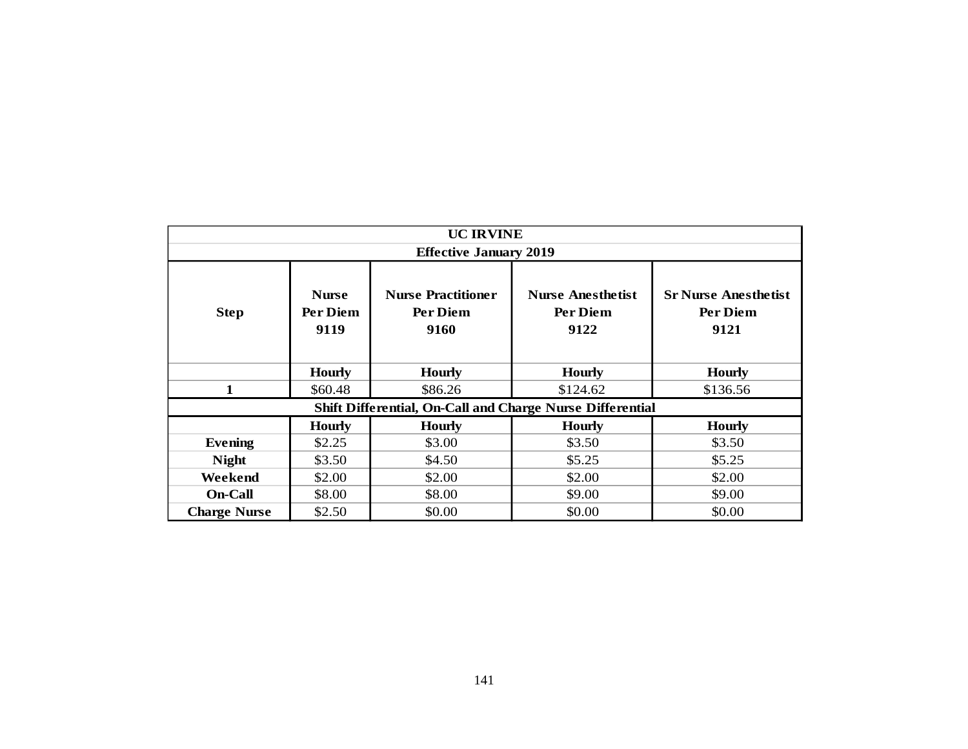| <b>UC IRVINE</b>    |                                  |                                               |                                                           |                                                 |  |  |  |  |  |  |
|---------------------|----------------------------------|-----------------------------------------------|-----------------------------------------------------------|-------------------------------------------------|--|--|--|--|--|--|
|                     |                                  | <b>Effective January 2019</b>                 |                                                           |                                                 |  |  |  |  |  |  |
| <b>Step</b>         | <b>Nurse</b><br>Per Diem<br>9119 | <b>Nurse Practitioner</b><br>Per Diem<br>9160 | <b>Nurse Anesthetist</b><br>Per Diem<br>9122              | <b>Sr Nurse Anesthetist</b><br>Per Diem<br>9121 |  |  |  |  |  |  |
|                     | <b>Hourly</b>                    | <b>Hourly</b>                                 | <b>Hourly</b>                                             | <b>Hourly</b>                                   |  |  |  |  |  |  |
| $\mathbf{1}$        | \$60.48                          | \$86.26                                       | \$124.62                                                  | \$136.56                                        |  |  |  |  |  |  |
|                     |                                  |                                               | Shift Differential, On-Call and Charge Nurse Differential |                                                 |  |  |  |  |  |  |
|                     | <b>Hourly</b>                    | <b>Hourly</b>                                 | <b>Hourly</b>                                             | <b>Hourly</b>                                   |  |  |  |  |  |  |
| <b>Evening</b>      | \$2.25                           | \$3.00                                        | \$3.50                                                    | \$3.50                                          |  |  |  |  |  |  |
| <b>Night</b>        | \$3.50                           | \$4.50                                        | \$5.25                                                    | \$5.25                                          |  |  |  |  |  |  |
| Weekend             | \$2.00                           | \$2.00                                        | \$2.00                                                    | \$2.00                                          |  |  |  |  |  |  |
| <b>On-Call</b>      | \$8.00                           | \$8.00                                        | \$9.00                                                    | \$9.00                                          |  |  |  |  |  |  |
| <b>Charge Nurse</b> | \$2.50                           | \$0.00                                        | \$0.00                                                    | \$0.00                                          |  |  |  |  |  |  |
|                     |                                  | 141                                           |                                                           |                                                 |  |  |  |  |  |  |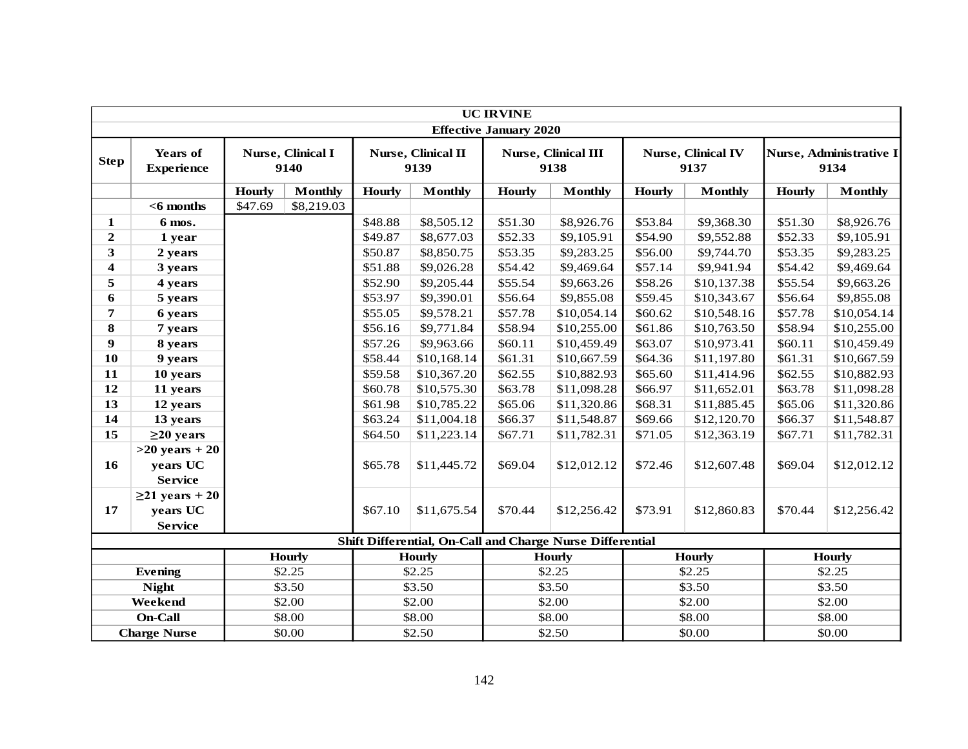|                         |                                                    |         |                                                                                   |               |                            | <b>UC IRVINE</b>              |                                                           |               |                                   |               |                                 |  |
|-------------------------|----------------------------------------------------|---------|-----------------------------------------------------------------------------------|---------------|----------------------------|-------------------------------|-----------------------------------------------------------|---------------|-----------------------------------|---------------|---------------------------------|--|
|                         |                                                    |         |                                                                                   |               |                            | <b>Effective January 2020</b> |                                                           |               |                                   |               |                                 |  |
| <b>Step</b>             | Years of<br><b>Experience</b>                      |         | Nurse, Clinical I<br>9140                                                         |               | Nurse, Clinical II<br>9139 |                               | <b>Nurse, Clinical III</b><br>9138                        |               | <b>Nurse, Clinical IV</b><br>9137 |               | Nurse, Administrative I<br>9134 |  |
|                         |                                                    | Hourly  | <b>Monthly</b>                                                                    | <b>Hourly</b> | <b>Monthly</b>             | <b>Hourly</b>                 | <b>Monthly</b>                                            | <b>Hourly</b> | <b>Monthly</b>                    | <b>Hourly</b> | <b>Monthly</b>                  |  |
|                         | $<$ 6 months                                       | \$47.69 | \$8,219.03                                                                        |               |                            |                               |                                                           |               |                                   |               |                                 |  |
| $\mathbf{1}$            | 6 mos.                                             |         |                                                                                   | \$48.88       | \$8,505.12                 | \$51.30                       | \$8,926.76                                                | \$53.84       | \$9,368.30                        | \$51.30       | \$8,926.76                      |  |
| $\boldsymbol{2}$        | 1 year                                             |         |                                                                                   | \$49.87       | \$8,677.03                 | \$52.33                       | \$9,105.91                                                | \$54.90       | \$9,552.88                        | \$52.33       | \$9,105.91                      |  |
| $\overline{\mathbf{3}}$ | 2 years                                            |         |                                                                                   | \$50.87       | \$8,850.75                 | \$53.35                       | \$9,283.25                                                | \$56.00       | \$9,744.70                        | \$53.35       | \$9,283.25                      |  |
| $\overline{\mathbf{4}}$ | 3 years                                            |         |                                                                                   | \$51.88       | \$9,026.28                 | \$54.42                       | \$9,469.64                                                | \$57.14       | \$9,941.94                        | \$54.42       | \$9,469.64                      |  |
| 5                       | 4 years                                            |         |                                                                                   | \$52.90       | \$9,205.44                 | \$55.54                       | \$9,663.26                                                | \$58.26       | \$10,137.38                       | \$55.54       | \$9,663.26                      |  |
| 6                       | 5 years                                            |         |                                                                                   | \$53.97       | \$9,390.01                 | \$56.64                       | \$9,855.08                                                | \$59.45       | \$10,343.67                       | \$56.64       | \$9,855.08                      |  |
| $\overline{\mathbf{7}}$ | 6 years                                            |         |                                                                                   | \$55.05       | \$9,578.21                 | \$57.78                       | \$10,054.14                                               | \$60.62       | \$10,548.16                       | \$57.78       | \$10,054.14                     |  |
| 8                       | 7 years                                            |         |                                                                                   | \$56.16       | \$9,771.84                 | \$58.94                       | \$10,255.00                                               | \$61.86       | \$10,763.50                       | \$58.94       | \$10,255.00                     |  |
| 9                       | 8 years                                            |         | \$57.26                                                                           |               | \$9,963.66                 | \$60.11                       | \$10,459.49                                               | \$63.07       | \$10,973.41                       | \$60.11       | \$10,459.49                     |  |
| 10                      | 9 years                                            |         |                                                                                   | \$58.44       | \$10,168.14                | \$61.31                       | \$10,667.59                                               | \$64.36       | \$11,197.80                       | \$61.31       | \$10,667.59                     |  |
| 11                      | 10 years                                           |         |                                                                                   | \$59.58       | \$10,367.20                | \$62.55                       | \$10,882.93                                               | \$65.60       | \$11,414.96                       | \$62.55       | \$10,882.93                     |  |
| 12                      | 11 years                                           |         |                                                                                   | \$60.78       | \$10,575.30                | \$63.78                       | \$11,098.28                                               | \$66.97       | \$11,652.01                       | \$63.78       | \$11,098.28                     |  |
| 13                      | 12 years                                           |         |                                                                                   | \$61.98       | \$10,785.22                | \$65.06                       | \$11,320.86                                               | \$68.31       | \$11,885.45                       | \$65.06       | \$11,320.86                     |  |
| 14                      | 13 years                                           |         |                                                                                   | \$63.24       | \$11,004.18                | \$66.37                       | \$11,548.87                                               | \$69.66       | \$12,120.70                       | \$66.37       | \$11,548.87                     |  |
| 15                      | $\geq$ 20 years                                    |         |                                                                                   | \$64.50       | \$11,223.14                | \$67.71                       | \$11,782.31                                               | \$71.05       | \$12,363.19                       | \$67.71       | \$11,782.31                     |  |
| 16                      | $>20$ years $+20$<br>years UC<br><b>Service</b>    |         |                                                                                   | \$65.78       | \$11,445.72                | \$69.04                       | \$12,012.12                                               | \$72.46       | \$12,607.48                       | \$69.04       | \$12,012.12                     |  |
| 17                      | $\geq$ 21 years + 20<br>years UC<br><b>Service</b> |         |                                                                                   | \$67.10       | \$11,675.54                | \$70.44                       | \$12,256.42                                               | \$73.91       | \$12,860.83                       | \$70.44       | \$12,256.42                     |  |
|                         |                                                    |         |                                                                                   |               |                            |                               | Shift Differential, On-Call and Charge Nurse Differential |               |                                   |               |                                 |  |
|                         |                                                    |         | <b>Hourly</b><br><b>Hourly</b><br><b>Hourly</b><br><b>Hourly</b><br><b>Hourly</b> |               |                            |                               |                                                           |               |                                   |               |                                 |  |
|                         | <b>Evening</b>                                     |         | \$2.25                                                                            |               | \$2.25                     |                               | \$2.25                                                    |               | \$2.25                            | \$2.25        |                                 |  |
|                         | <b>Night</b>                                       |         | \$3.50                                                                            |               | \$3.50                     |                               | \$3.50                                                    |               | \$3.50                            | \$3.50        |                                 |  |
|                         | Weekend                                            |         | \$2.00                                                                            |               | \$2.00                     |                               | \$2.00                                                    |               | \$2.00                            |               | \$2.00                          |  |
|                         | On-Call                                            |         | \$8.00                                                                            |               | \$8.00                     |                               | \$8.00                                                    |               | \$8.00                            |               | \$8.00                          |  |
|                         | <b>Charge Nurse</b>                                |         | \$0.00                                                                            |               | \$2.50                     |                               | \$2.50                                                    |               | \$0.00                            | \$0.00        |                                 |  |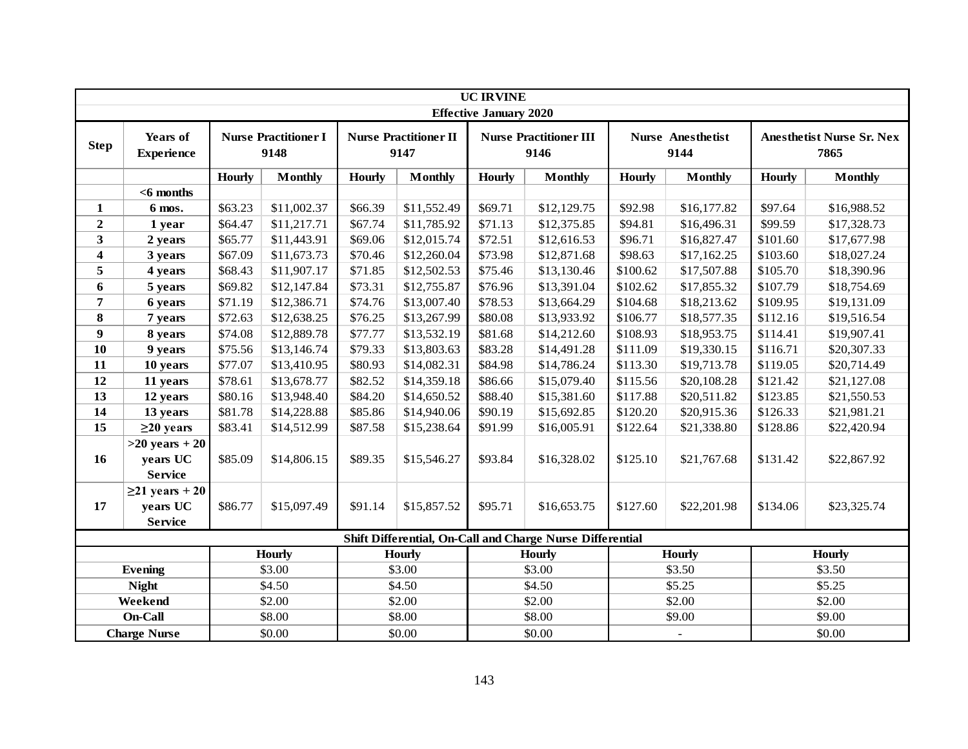|                         |                                                    |               |                                     |               |                                      | <b>UC IRVINE</b>              |                                                           |                         |                                  |                         |                                          |
|-------------------------|----------------------------------------------------|---------------|-------------------------------------|---------------|--------------------------------------|-------------------------------|-----------------------------------------------------------|-------------------------|----------------------------------|-------------------------|------------------------------------------|
|                         |                                                    |               |                                     |               |                                      | <b>Effective January 2020</b> |                                                           |                         |                                  |                         |                                          |
| <b>Step</b>             | Years of<br><b>Experience</b>                      |               | <b>Nurse Practitioner I</b><br>9148 |               | <b>Nurse Practitioner II</b><br>9147 |                               | <b>Nurse Practitioner III</b><br>9146                     |                         | <b>Nurse Anesthetist</b><br>9144 |                         | <b>Anesthetist Nurse Sr. Nex</b><br>7865 |
|                         |                                                    | <b>Hourly</b> | <b>Monthly</b>                      | <b>Hourly</b> | <b>Monthly</b>                       | <b>Hourly</b>                 | <b>Monthly</b>                                            | <b>Hourly</b>           | <b>Monthly</b>                   | <b>Hourly</b>           | <b>Monthly</b>                           |
|                         | $<$ 6 months                                       |               |                                     |               |                                      |                               |                                                           |                         |                                  |                         |                                          |
| $\mathbf{1}$            | 6 mos.                                             | \$63.23       | \$11,002.37                         | \$66.39       | \$11,552.49                          | \$69.71                       | \$12,129.75                                               | \$92.98                 | \$16,177.82                      | \$97.64                 | \$16,988.52                              |
| $\overline{2}$          | 1 year                                             | \$64.47       | \$11,217.71                         | \$67.74       | \$11,785.92                          | \$71.13                       | \$12,375.85                                               | \$94.81                 | \$16,496.31                      | \$99.59                 | \$17,328.73                              |
| $\overline{\mathbf{3}}$ | 2 years                                            | \$65.77       | \$11,443.91                         | \$69.06       | \$12,015.74                          | \$72.51                       | \$12,616.53                                               | \$96.71                 | \$16,827.47                      | \$101.60                | \$17,677.98                              |
| $\overline{\mathbf{4}}$ | 3 years                                            | \$67.09       | \$11,673.73                         | \$70.46       | \$12,260.04                          | \$73.98                       | \$12,871.68                                               | \$98.63                 | \$17,162.25                      | \$103.60                | \$18,027.24                              |
| 5                       | 4 years                                            | \$68.43       | \$11,907.17                         | \$71.85       | \$12,502.53                          | \$75.46                       | \$13,130.46                                               | \$100.62                | \$17,507.88                      | \$105.70<br>\$18,390.96 |                                          |
| 6                       | 5 years                                            | \$69.82       | \$12,147.84                         | \$73.31       | \$12,755.87                          | \$76.96                       | \$13,391.04                                               | \$102.62                | \$17,855.32                      | \$107.79<br>\$18,754.69 |                                          |
| $\overline{7}$          | 6 years                                            | \$71.19       | \$12,386.71                         | \$74.76       | \$13,007.40                          | \$78.53                       | \$13,664.29                                               | \$104.68                | \$18,213.62                      | \$19,131.09<br>\$109.95 |                                          |
| 8                       | 7 years                                            | \$72.63       | \$12,638.25                         | \$76.25       | \$13,267.99                          | \$80.08                       | \$13,933.92                                               | \$106.77                | \$18,577.35                      | \$112.16                | \$19,516.54                              |
| $\boldsymbol{9}$        | 8 years                                            | \$74.08       | \$12,889.78                         | \$77.77       | \$13,532.19                          | \$81.68                       | \$14,212.60                                               | \$108.93                | \$18,953.75                      | \$114.41                | \$19,907.41                              |
| 10                      | 9 years                                            | \$75.56       | \$13,146.74                         | \$79.33       | \$13,803.63                          | \$83.28                       | \$14,491.28                                               | \$111.09<br>\$19,330.15 |                                  | \$116.71                | \$20,307.33                              |
| 11                      | 10 years                                           | \$77.07       | \$13,410.95                         | \$80.93       | \$14,082.31                          | \$84.98                       | \$14,786.24                                               | \$113.30<br>\$19,713.78 |                                  | \$119.05                | \$20,714.49                              |
| 12                      | 11 years                                           | \$78.61       | \$13,678.77                         | \$82.52       | \$14,359.18                          | \$86.66                       | \$15,079.40                                               | \$115.56                | \$20,108.28                      | \$121.42                | \$21,127.08                              |
| 13                      | 12 years                                           | \$80.16       | \$13,948.40                         | \$84.20       | \$14,650.52                          | \$88.40                       | \$15,381.60                                               | \$117.88                | \$20,511.82                      | \$123.85                | \$21,550.53                              |
| 14                      | 13 years                                           | \$81.78       | \$14,228.88                         | \$85.86       | \$14,940.06                          | \$90.19                       | \$15,692.85                                               | \$120.20                | \$20,915.36                      | \$126.33                | \$21,981.21                              |
| 15                      | $\geq$ 20 years                                    | \$83.41       | \$14,512.99                         | \$87.58       | \$15,238.64                          | \$91.99                       | \$16,005.91                                               | \$122.64                | \$21,338.80                      | \$128.86                | \$22,420.94                              |
| 16                      | $>20$ years + 20<br>years UC<br><b>Service</b>     | \$85.09       | \$14,806.15                         | \$89.35       | \$15,546.27                          | \$93.84                       | \$16,328.02                                               | \$125.10                | \$21,767.68                      | \$131.42                | \$22,867.92                              |
| 17                      | $\geq$ 21 years + 20<br>years UC<br><b>Service</b> | \$86.77       | \$15,097.49                         | \$91.14       | \$15,857.52                          | \$95.71                       | \$16,653.75                                               | \$127.60                | \$22,201.98                      | \$134.06                | \$23,325.74                              |
|                         |                                                    |               |                                     |               |                                      |                               | Shift Differential, On-Call and Charge Nurse Differential |                         |                                  |                         |                                          |
|                         |                                                    |               | <b>Hourly</b>                       |               | <b>Hourly</b>                        |                               | <b>Hourly</b>                                             |                         | <b>Hourly</b>                    | <b>Hourly</b>           |                                          |
|                         | <b>Evening</b>                                     |               | \$3.00                              |               | \$3.00                               |                               | \$3.00                                                    |                         | \$3.50                           | \$3.50                  |                                          |
|                         | <b>Night</b>                                       |               | \$4.50                              |               | \$4.50                               |                               | \$4.50                                                    |                         | \$5.25                           | \$5.25                  |                                          |
|                         | Weekend                                            |               | \$2.00                              |               | \$2.00                               |                               | \$2.00                                                    |                         | \$2.00                           | \$2.00                  |                                          |
|                         | On-Call<br>\$8.00<br>\$8.00<br>\$8.00<br>\$9.00    |               | \$9.00                              |               |                                      |                               |                                                           |                         |                                  |                         |                                          |
|                         | <b>Charge Nurse</b>                                |               | \$0.00                              |               | \$0.00                               |                               | \$0.00                                                    |                         | $\mathbb{L}$                     |                         | \$0.00                                   |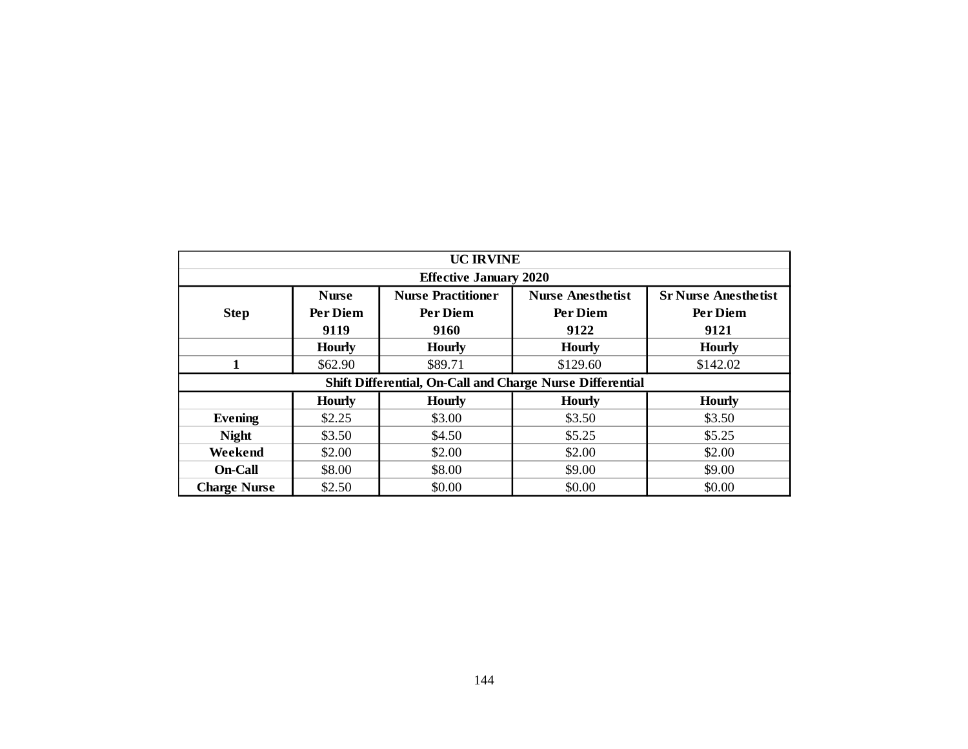| <b>UC IRVINE</b>                                                 |               |                               |                                                           |                             |  |  |  |  |  |  |  |  |
|------------------------------------------------------------------|---------------|-------------------------------|-----------------------------------------------------------|-----------------------------|--|--|--|--|--|--|--|--|
|                                                                  |               | <b>Effective January 2020</b> |                                                           |                             |  |  |  |  |  |  |  |  |
|                                                                  | <b>Nurse</b>  | <b>Nurse Practitioner</b>     | <b>Nurse Anesthetist</b>                                  | <b>Sr Nurse Anesthetist</b> |  |  |  |  |  |  |  |  |
| <b>Step</b>                                                      | Per Diem      | Per Diem                      | Per Diem                                                  | Per Diem                    |  |  |  |  |  |  |  |  |
|                                                                  | 9119          | 9160                          | 9122                                                      | 9121                        |  |  |  |  |  |  |  |  |
|                                                                  | <b>Hourly</b> | <b>Hourly</b>                 | <b>Hourly</b>                                             | <b>Hourly</b>               |  |  |  |  |  |  |  |  |
| $\mathbf{1}$                                                     | \$62.90       | \$89.71                       | \$129.60                                                  | \$142.02                    |  |  |  |  |  |  |  |  |
|                                                                  |               |                               | Shift Differential, On-Call and Charge Nurse Differential |                             |  |  |  |  |  |  |  |  |
| <b>Hourly</b><br><b>Hourly</b><br><b>Hourly</b><br><b>Hourly</b> |               |                               |                                                           |                             |  |  |  |  |  |  |  |  |
| <b>Evening</b>                                                   | \$2.25        | \$3.00                        | \$3.50                                                    | \$3.50                      |  |  |  |  |  |  |  |  |
| <b>Night</b>                                                     | \$3.50        | \$4.50                        | \$5.25                                                    | \$5.25                      |  |  |  |  |  |  |  |  |
| Weekend                                                          | \$2.00        | \$2.00                        | \$2.00                                                    | \$2.00                      |  |  |  |  |  |  |  |  |
| On-Call                                                          | \$8.00        | \$8.00                        | \$9.00                                                    | \$9.00                      |  |  |  |  |  |  |  |  |
| <b>Charge Nurse</b>                                              | \$2.50        | \$0.00                        | \$0.00                                                    | \$0.00                      |  |  |  |  |  |  |  |  |
|                                                                  |               |                               |                                                           |                             |  |  |  |  |  |  |  |  |
|                                                                  |               |                               |                                                           |                             |  |  |  |  |  |  |  |  |
|                                                                  |               |                               |                                                           |                             |  |  |  |  |  |  |  |  |
|                                                                  |               |                               |                                                           |                             |  |  |  |  |  |  |  |  |
|                                                                  |               |                               |                                                           |                             |  |  |  |  |  |  |  |  |
|                                                                  |               |                               |                                                           |                             |  |  |  |  |  |  |  |  |
|                                                                  |               |                               |                                                           |                             |  |  |  |  |  |  |  |  |
|                                                                  |               |                               |                                                           |                             |  |  |  |  |  |  |  |  |
|                                                                  |               |                               |                                                           |                             |  |  |  |  |  |  |  |  |
|                                                                  |               |                               |                                                           |                             |  |  |  |  |  |  |  |  |
|                                                                  |               |                               |                                                           |                             |  |  |  |  |  |  |  |  |
|                                                                  |               | 144                           |                                                           |                             |  |  |  |  |  |  |  |  |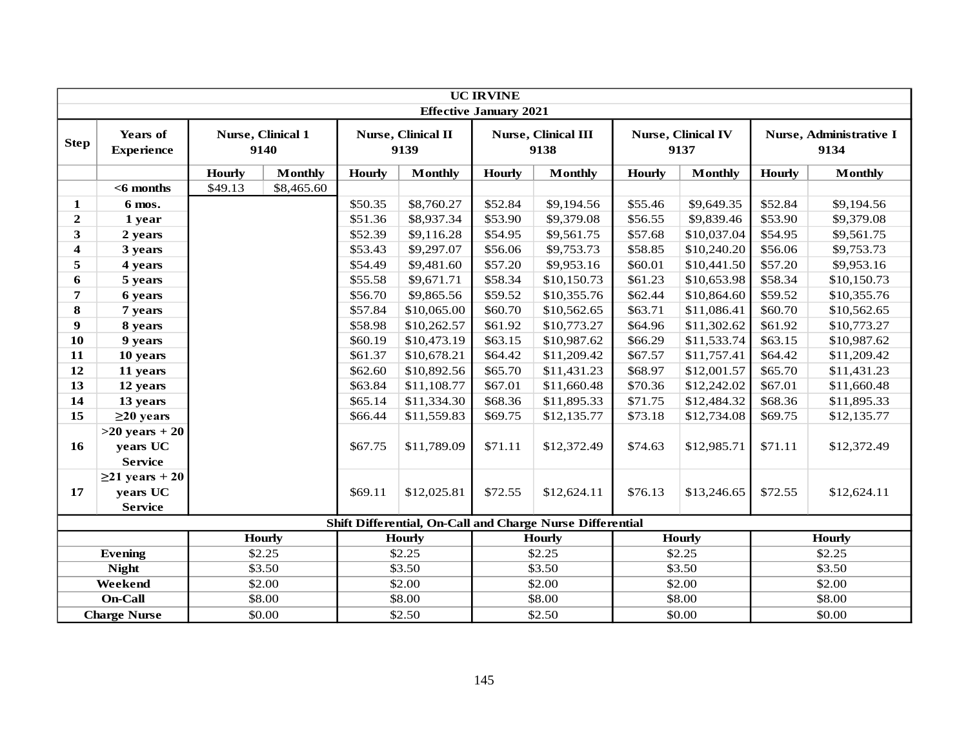|                         |                                                    |               |                           |               |                            | <b>UC IRVINE</b>              |                                                           |               |                                   |               |                                 |
|-------------------------|----------------------------------------------------|---------------|---------------------------|---------------|----------------------------|-------------------------------|-----------------------------------------------------------|---------------|-----------------------------------|---------------|---------------------------------|
|                         |                                                    |               |                           |               |                            | <b>Effective January 2021</b> |                                                           |               |                                   |               |                                 |
| <b>Step</b>             | <b>Years of</b><br><b>Experience</b>               |               | Nurse, Clinical 1<br>9140 |               | Nurse, Clinical II<br>9139 |                               | <b>Nurse, Clinical III</b><br>9138                        |               | <b>Nurse, Clinical IV</b><br>9137 |               | Nurse, Administrative I<br>9134 |
|                         |                                                    | <b>Hourly</b> | <b>Monthly</b>            | <b>Hourly</b> | <b>Monthly</b>             | <b>Hourly</b>                 | <b>Monthly</b>                                            | <b>Hourly</b> | <b>Monthly</b>                    | <b>Hourly</b> | <b>Monthly</b>                  |
|                         | $<$ 6 months                                       | \$49.13       | \$8,465.60                |               |                            |                               |                                                           |               |                                   |               |                                 |
| $\mathbf{1}$            | 6 mos.                                             |               |                           | \$50.35       | \$8,760.27                 | \$52.84                       | \$9,194.56                                                | \$55.46       | \$9,649.35                        | \$52.84       | \$9,194.56                      |
| $\overline{2}$          | 1 year                                             |               |                           | \$51.36       | \$8,937.34                 | \$53.90                       | \$9,379.08                                                | \$56.55       | \$9,839.46                        | \$53.90       | \$9,379.08                      |
| 3                       | 2 years                                            |               |                           | \$52.39       | \$9,116.28                 | \$54.95                       | \$9,561.75                                                | \$57.68       | \$10,037.04                       | \$54.95       | \$9,561.75                      |
| $\overline{\mathbf{4}}$ | 3 years                                            |               |                           | \$53.43       | \$9,297.07                 | \$56.06                       | \$9,753.73                                                | \$58.85       | \$10,240.20                       | \$56.06       | \$9,753.73                      |
| 5                       | 4 years                                            |               |                           | \$54.49       | \$9,481.60                 | \$57.20                       | \$9,953.16                                                | \$60.01       | \$10,441.50                       | \$57.20       | \$9,953.16                      |
| 6                       | 5 years                                            |               |                           | \$55.58       | \$9,671.71                 | \$58.34                       | \$10,150.73                                               | \$61.23       | \$10,653.98                       | \$58.34       | \$10,150.73                     |
| $\overline{7}$          | 6 years                                            |               |                           | \$56.70       | \$9,865.56                 | \$59.52                       | \$10,355.76                                               | \$62.44       | \$10,864.60                       | \$59.52       | \$10,355.76                     |
| 8                       | 7 years                                            |               |                           | \$57.84       | \$10,065.00                | \$60.70                       | \$10,562.65                                               | \$63.71       | \$11,086.41                       | \$60.70       | \$10,562.65                     |
| $\boldsymbol{9}$        | 8 years                                            |               |                           | \$58.98       | \$10,262.57                | \$61.92                       | \$10,773.27                                               | \$64.96       | \$11,302.62                       | \$61.92       | \$10,773.27                     |
| 10                      | 9 years                                            |               |                           | \$60.19       | \$10,473.19                | \$63.15                       | \$10,987.62                                               | \$66.29       | \$11,533.74                       | \$63.15       | \$10,987.62                     |
| 11                      | 10 years                                           |               |                           | \$61.37       | \$10,678.21                | \$64.42                       | \$11,209.42                                               | \$67.57       | \$11,757.41                       | \$64.42       | \$11,209.42                     |
| 12                      | 11 years                                           |               |                           | \$62.60       | \$10,892.56                | \$65.70                       | \$11,431.23                                               | \$68.97       | \$12,001.57                       | \$65.70       | \$11,431.23                     |
| 13                      | 12 years                                           |               |                           | \$63.84       | \$11,108.77                | \$67.01                       | \$11,660.48                                               | \$70.36       | \$12,242.02                       | \$67.01       | \$11,660.48                     |
| 14                      | 13 years                                           |               |                           | \$65.14       | \$11,334.30                | \$68.36                       | \$11,895.33                                               | \$71.75       | \$12,484.32                       | \$68.36       | \$11,895.33                     |
| 15                      | $\geq$ 20 years                                    |               |                           | \$66.44       | \$11,559.83                | \$69.75                       | \$12,135.77                                               | \$73.18       | \$12,734.08                       | \$69.75       | \$12,135.77                     |
| 16                      | $>20$ years + 20<br>years UC<br><b>Service</b>     |               |                           | \$67.75       | \$11,789.09                | \$71.11                       | \$12,372.49                                               | \$74.63       | \$12,985.71                       | \$71.11       | \$12,372.49                     |
| 17                      | $\geq$ 21 years + 20<br>years UC<br><b>Service</b> |               |                           | \$69.11       | \$12,025.81                | \$72.55                       | \$12,624.11                                               | \$76.13       | \$13,246.65                       | \$72.55       | \$12,624.11                     |
|                         |                                                    |               |                           |               |                            |                               | Shift Differential, On-Call and Charge Nurse Differential |               |                                   |               |                                 |
|                         |                                                    |               | <b>Hourly</b>             |               | <b>Hourly</b>              |                               | <b>Hourly</b>                                             |               | <b>Hourly</b>                     |               | <b>Hourly</b>                   |
|                         | <b>Evening</b>                                     |               | \$2.25                    |               | \$2.25                     |                               | \$2.25                                                    |               | \$2.25                            | \$2.25        |                                 |
|                         | <b>Night</b>                                       |               | \$3.50                    |               | \$3.50                     |                               | \$3.50                                                    |               | \$3.50                            | \$3.50        |                                 |
|                         | Weekend                                            |               | \$2.00                    |               | \$2.00                     |                               | \$2.00                                                    |               | \$2.00                            | \$2.00        |                                 |
|                         | <b>On-Call</b>                                     |               | \$8.00                    |               | \$8.00                     |                               | \$8.00                                                    |               | \$8.00                            | \$8.00        |                                 |
|                         | <b>Charge Nurse</b>                                |               | \$0.00                    |               | \$2.50                     |                               | \$2.50                                                    |               | \$0.00                            |               | \$0.00                          |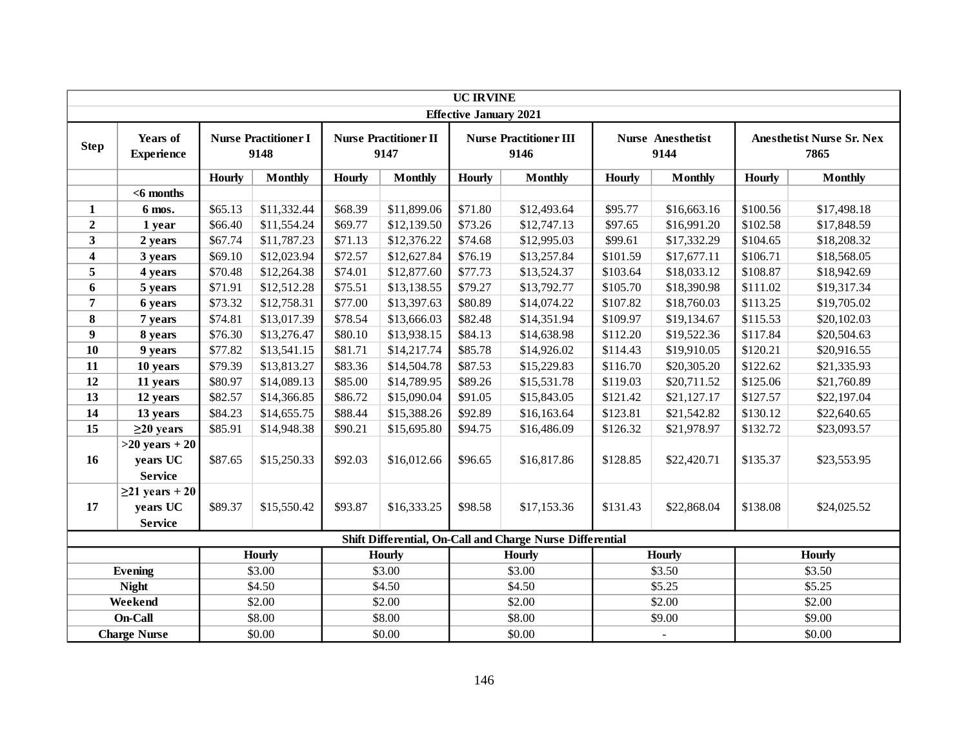|                  |                               |                        |                                     |         |                                      | <b>UC IRVINE</b>              |                                                           |                         |                                  |                         |                                          |
|------------------|-------------------------------|------------------------|-------------------------------------|---------|--------------------------------------|-------------------------------|-----------------------------------------------------------|-------------------------|----------------------------------|-------------------------|------------------------------------------|
|                  |                               |                        |                                     |         |                                      | <b>Effective January 2021</b> |                                                           |                         |                                  |                         |                                          |
| <b>Step</b>      | Years of<br><b>Experience</b> |                        | <b>Nurse Practitioner I</b><br>9148 |         | <b>Nurse Practitioner II</b><br>9147 |                               | <b>Nurse Practitioner III</b><br>9146                     |                         | <b>Nurse Anesthetist</b><br>9144 |                         | <b>Anesthetist Nurse Sr. Nex</b><br>7865 |
|                  |                               |                        |                                     |         |                                      |                               |                                                           |                         |                                  |                         |                                          |
|                  |                               | Hourly                 | <b>Monthly</b>                      | Hourly  | <b>Monthly</b>                       | <b>Hourly</b>                 | <b>Monthly</b>                                            | <b>Hourly</b>           | <b>Monthly</b>                   | <b>Hourly</b>           | <b>Monthly</b>                           |
|                  | $<$ 6 months                  |                        |                                     |         |                                      |                               |                                                           |                         |                                  |                         |                                          |
| $\mathbf{1}$     | 6 mos.                        | \$65.13                | \$11,332.44                         | \$68.39 | \$11,899.06                          | \$71.80                       | \$12,493.64                                               | \$95.77                 | \$16,663.16                      | \$100.56                | \$17,498.18                              |
| $\boldsymbol{2}$ | 1 year                        | \$66.40                | \$11,554.24                         | \$69.77 | \$12,139.50                          | \$73.26                       | \$12,747.13                                               | \$97.65                 | \$16,991.20                      | \$102.58                | \$17,848.59                              |
| 3                | 2 years                       | \$67.74                | \$11,787.23                         | \$71.13 | \$12,376.22                          | \$74.68                       | \$12,995.03                                               | \$99.61                 | \$17,332.29                      | \$104.65                | \$18,208.32                              |
| 4                | 3 years                       | \$69.10                | \$12,023.94                         | \$72.57 | \$12,627.84                          | \$76.19                       | \$13,257.84                                               | \$101.59                | \$17,677.11                      | \$106.71                | \$18,568.05                              |
| 5                | 4 years                       | \$70.48                | \$12,264.38                         | \$74.01 | \$12,877.60                          | \$77.73                       | \$13,524.37                                               | \$103.64                | \$18,033.12                      | \$108.87                | \$18,942.69                              |
| 6                | 5 years                       | \$71.91                | \$12,512.28                         | \$75.51 | \$13,138.55                          | \$79.27                       | \$13,792.77                                               | \$105.70                | \$18,390.98                      | \$19,317.34<br>\$111.02 |                                          |
| $\overline{7}$   | 6 years                       | \$73.32                | \$12,758.31                         | \$77.00 | \$13,397.63                          | \$80.89                       | \$14,074.22                                               | \$107.82                | \$18,760.03                      | \$113.25<br>\$19,705.02 |                                          |
| 8                | 7 years                       | \$74.81                | \$13,017.39                         | \$78.54 | \$13,666.03                          | \$82.48                       | \$14,351.94                                               | \$109.97                | \$19,134.67                      | \$20,102.03<br>\$115.53 |                                          |
| 9                | 8 years                       | \$76.30                | \$13,276.47                         | \$80.10 | \$13,938.15                          | \$84.13                       | \$14,638.98                                               | \$112.20                | \$19,522.36                      | \$117.84                | \$20,504.63                              |
| 10               | 9 years                       | \$77.82<br>\$13,541.15 |                                     | \$81.71 | \$14,217.74                          | \$85.78                       | \$14,926.02                                               | \$114.43                | \$19,910.05                      | \$120.21                | \$20,916.55                              |
| 11               | 10 years                      | \$79.39                | \$13,813.27                         | \$83.36 | \$14,504.78                          | \$87.53                       | \$15,229.83                                               | \$116.70<br>\$20,305.20 |                                  | \$122.62                | \$21,335.93                              |
| 12               | 11 years                      | \$80.97                | \$14,089.13                         | \$85.00 | \$14,789.95                          | \$89.26                       | \$15,531.78                                               | \$119.03                | \$20,711.52                      | \$125.06                | \$21,760.89                              |
| 13               | 12 years                      | \$82.57                | \$14,366.85                         | \$86.72 | \$15,090.04                          | \$91.05                       | \$15,843.05                                               | \$121.42                | \$21,127.17                      | \$127.57                | \$22,197.04                              |
| 14               | 13 years                      | \$84.23                | \$14,655.75                         | \$88.44 | \$15,388.26                          | \$92.89                       | \$16,163.64                                               | \$123.81                | \$21,542.82                      | \$130.12                | \$22,640.65                              |
| 15               | $\geq$ 20 years               | \$85.91                | \$14,948.38                         | \$90.21 | \$15,695.80                          | \$94.75                       | \$16,486.09                                               | \$126.32                | \$21,978.97                      | \$132.72                | \$23,093.57                              |
|                  | $>20$ years + 20              |                        |                                     |         |                                      |                               |                                                           |                         |                                  |                         |                                          |
| 16               | years UC                      | \$87.65                | \$15,250.33                         | \$92.03 | \$16,012.66                          | \$96.65                       | \$16,817.86                                               | \$128.85                | \$22,420.71                      | \$135.37                | \$23,553.95                              |
|                  | <b>Service</b>                |                        |                                     |         |                                      |                               |                                                           |                         |                                  |                         |                                          |
|                  | $\geq$ 21 years + 20          |                        |                                     |         |                                      |                               |                                                           |                         |                                  |                         |                                          |
| 17               | years UC                      | \$89.37                | \$15,550.42                         | \$93.87 | \$16,333.25                          | \$98.58                       | \$17,153.36                                               | \$131.43                | \$22,868.04                      | \$138.08                | \$24,025.52                              |
|                  | <b>Service</b>                |                        |                                     |         |                                      |                               |                                                           |                         |                                  |                         |                                          |
|                  |                               |                        |                                     |         |                                      |                               | Shift Differential, On-Call and Charge Nurse Differential |                         |                                  |                         |                                          |
|                  |                               |                        | <b>Hourly</b>                       |         | <b>Hourly</b>                        |                               | Hourly                                                    |                         | Hourly                           |                         | Hourly                                   |
|                  | Evening                       |                        | \$3.00                              |         | \$3.00                               |                               | \$3.00                                                    |                         | \$3.50                           |                         | \$3.50                                   |
|                  | <b>Night</b>                  |                        | \$4.50                              |         | \$4.50                               |                               | \$4.50                                                    |                         | \$5.25                           |                         | \$5.25                                   |
|                  | Weekend                       |                        | \$2.00                              |         | \$2.00                               |                               | \$2.00                                                    |                         | \$2.00                           |                         | \$2.00                                   |
|                  | On-Call                       |                        | \$8.00                              |         | \$8.00                               |                               | \$8.00                                                    |                         | \$9.00<br>\$9.00                 |                         |                                          |
|                  | <b>Charge Nurse</b>           |                        | \$0.00                              |         | \$0.00                               |                               | \$0.00                                                    |                         | $\mathbb{Z}$                     |                         | \$0.00                                   |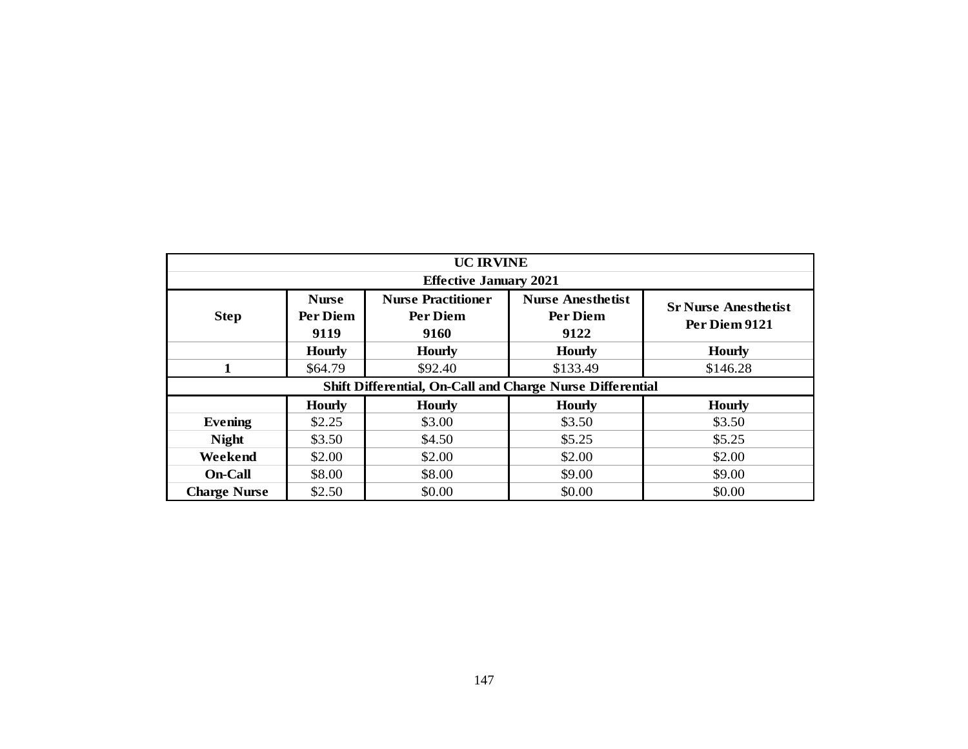|                                                                  |                                  | <b>UC IRVINE</b>                              |                                              |                                              |  |  |  |  |  |  |  |  |  |
|------------------------------------------------------------------|----------------------------------|-----------------------------------------------|----------------------------------------------|----------------------------------------------|--|--|--|--|--|--|--|--|--|
|                                                                  |                                  | <b>Effective January 2021</b>                 |                                              |                                              |  |  |  |  |  |  |  |  |  |
| <b>Step</b>                                                      | <b>Nurse</b><br>Per Diem<br>9119 | <b>Nurse Practitioner</b><br>Per Diem<br>9160 | <b>Nurse Anesthetist</b><br>Per Diem<br>9122 | <b>Sr Nurse Anesthetist</b><br>Per Diem 9121 |  |  |  |  |  |  |  |  |  |
|                                                                  | <b>Hourly</b>                    | <b>Hourly</b>                                 | <b>Hourly</b>                                | <b>Hourly</b>                                |  |  |  |  |  |  |  |  |  |
| $\mathbf{1}$                                                     | \$64.79                          | \$92.40                                       | \$133.49                                     | \$146.28                                     |  |  |  |  |  |  |  |  |  |
| Shift Differential, On-Call and Charge Nurse Differential        |                                  |                                               |                                              |                                              |  |  |  |  |  |  |  |  |  |
| <b>Hourly</b><br><b>Hourly</b><br><b>Hourly</b><br><b>Hourly</b> |                                  |                                               |                                              |                                              |  |  |  |  |  |  |  |  |  |
| <b>Evening</b>                                                   | \$2.25                           | \$3.00                                        | \$3.50                                       | \$3.50                                       |  |  |  |  |  |  |  |  |  |
| <b>Night</b>                                                     | \$3.50                           | \$4.50                                        | \$5.25                                       | \$5.25                                       |  |  |  |  |  |  |  |  |  |
| Weekend                                                          | \$2.00                           | \$2.00                                        | \$2.00                                       | \$2.00                                       |  |  |  |  |  |  |  |  |  |
| On-Call                                                          | \$8.00                           | \$8.00                                        | \$9.00                                       | \$9.00                                       |  |  |  |  |  |  |  |  |  |
| <b>Charge Nurse</b>                                              | \$2.50                           | \$0.00                                        | \$0.00                                       | \$0.00                                       |  |  |  |  |  |  |  |  |  |
|                                                                  |                                  |                                               |                                              |                                              |  |  |  |  |  |  |  |  |  |
|                                                                  |                                  | 147                                           |                                              |                                              |  |  |  |  |  |  |  |  |  |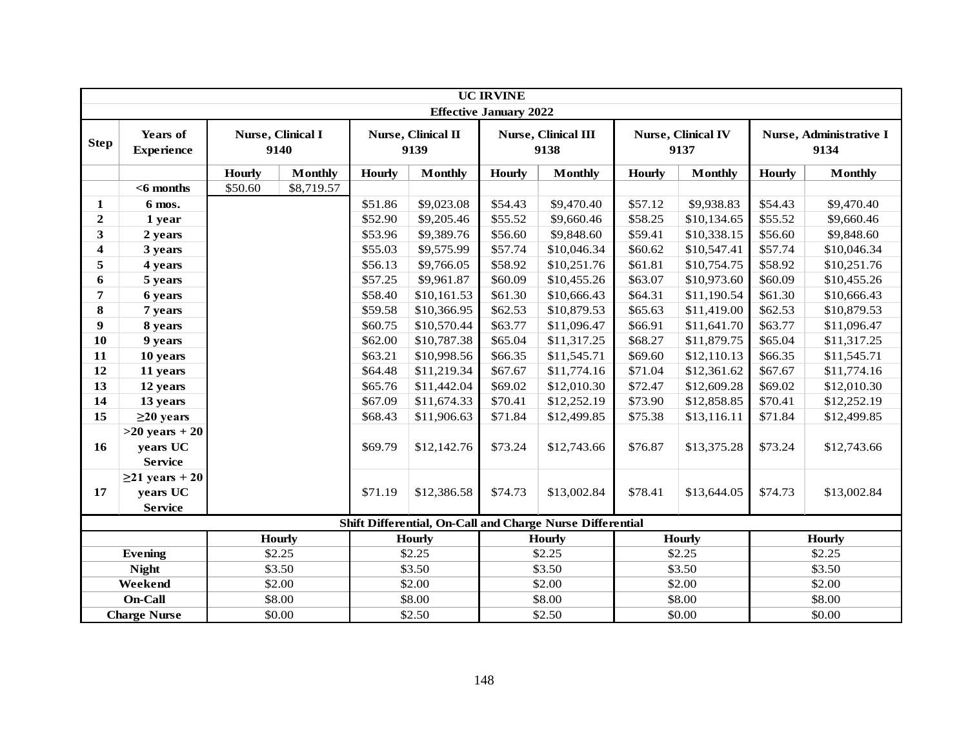|                         | <b>UC IRVINE</b>              |               |                           |               |                            |                               |                                                           |               |                                   |                        |                                 |  |
|-------------------------|-------------------------------|---------------|---------------------------|---------------|----------------------------|-------------------------------|-----------------------------------------------------------|---------------|-----------------------------------|------------------------|---------------------------------|--|
|                         |                               |               |                           |               |                            | <b>Effective January 2022</b> |                                                           |               |                                   |                        |                                 |  |
| <b>Step</b>             | Years of<br><b>Experience</b> |               | Nurse, Clinical I<br>9140 |               | Nurse, Clinical II<br>9139 |                               | Nurse, Clinical III<br>9138                               |               | <b>Nurse, Clinical IV</b><br>9137 |                        | Nurse, Administrative I<br>9134 |  |
|                         |                               | <b>Hourly</b> | <b>Monthly</b>            | <b>Hourly</b> | <b>Monthly</b>             | <b>Hourly</b>                 | <b>Monthly</b>                                            | <b>Hourly</b> | <b>Monthly</b>                    | <b>Hourly</b>          | <b>Monthly</b>                  |  |
|                         | $<$ 6 months                  | \$50.60       | \$8,719.57                |               |                            |                               |                                                           |               |                                   |                        |                                 |  |
| 1                       | 6 mos.                        |               |                           | \$51.86       | \$9,023.08                 | \$54.43                       | \$9,470.40                                                | \$57.12       | \$9,938.83                        | \$54.43                | \$9,470.40                      |  |
| $\overline{2}$          | 1 year                        |               |                           | \$52.90       | \$9,205.46                 | \$55.52                       | \$9,660.46                                                | \$58.25       | \$10,134.65                       | \$55.52                | \$9,660.46                      |  |
| 3                       | 2 years                       |               |                           | \$53.96       | \$9,389.76                 | \$56.60                       | \$9,848.60                                                | \$59.41       | \$10,338.15                       | \$56.60                | \$9,848.60                      |  |
| $\overline{\mathbf{4}}$ | 3 years                       |               |                           | \$55.03       | \$9,575.99                 | \$57.74                       | \$10,046.34                                               | \$60.62       | \$10,547.41                       | \$57.74                | \$10,046.34                     |  |
| 5                       | 4 years                       |               |                           | \$56.13       | \$9,766.05                 | \$58.92                       | \$10,251.76                                               | \$61.81       | \$10,754.75                       | \$58.92                | \$10,251.76                     |  |
| 6                       | 5 years                       |               |                           | \$57.25       | \$9,961.87                 | \$60.09                       | \$10,455.26                                               | \$63.07       | \$10,973.60                       | \$60.09                | \$10,455.26                     |  |
| 7                       | 6 years                       |               |                           | \$58.40       | \$10,161.53                | \$61.30                       | \$10,666.43                                               | \$64.31       | \$11,190.54                       | \$61.30                | \$10,666.43                     |  |
| 8                       | 7 years                       |               |                           | \$59.58       | \$10,366.95                | \$62.53                       | \$10,879.53                                               | \$65.63       | \$11,419.00                       | \$62.53<br>\$10,879.53 |                                 |  |
| $\boldsymbol{9}$        | 8 years                       |               |                           | \$60.75       | \$10,570.44                | \$63.77                       | \$11,096.47                                               | \$66.91       | \$11,641.70                       | \$63.77                | \$11,096.47                     |  |
| 10                      | 9 years                       |               |                           | \$62.00       | \$10,787.38                | \$65.04                       | \$11,317.25                                               | \$68.27       | \$11,879.75                       | \$65.04                | \$11,317.25                     |  |
| 11                      | 10 years                      |               |                           | \$63.21       | \$10,998.56                | \$66.35                       | \$11,545.71                                               | \$69.60       | \$12,110.13                       | \$66.35                | \$11,545.71                     |  |
| 12                      | 11 years                      |               |                           | \$64.48       | \$11,219.34                | \$67.67                       | \$11,774.16                                               | \$71.04       | \$12,361.62                       | \$67.67                | \$11,774.16                     |  |
| 13                      | 12 years                      |               |                           | \$65.76       | \$11,442.04                | \$69.02                       | \$12,010.30                                               | \$72.47       | \$12,609.28                       | \$69.02                | \$12,010.30                     |  |
| 14                      | 13 years                      |               |                           | \$67.09       | \$11,674.33                | \$70.41                       | \$12,252.19                                               | \$73.90       | \$12,858.85                       | \$70.41                | \$12,252.19                     |  |
| 15                      | $\geq$ 20 years               |               |                           | \$68.43       | \$11,906.63                | \$71.84                       | \$12,499.85                                               | \$75.38       | \$13,116.11                       | \$71.84                | \$12,499.85                     |  |
|                         | $>20$ years + 20              |               |                           |               |                            |                               |                                                           |               |                                   |                        |                                 |  |
| 16                      | years UC                      |               |                           | \$69.79       | \$12,142.76                | \$73.24                       | \$12,743.66                                               | \$76.87       | \$13,375.28                       | \$73.24                | \$12,743.66                     |  |
|                         | <b>Service</b>                |               |                           |               |                            |                               |                                                           |               |                                   |                        |                                 |  |
|                         | $\geq$ 21 years + 20          |               |                           |               |                            |                               |                                                           |               |                                   |                        |                                 |  |
| 17                      | years UC                      |               |                           | \$71.19       | \$12,386.58                | \$74.73                       | \$13,002.84                                               | \$78.41       | \$13,644.05                       | \$74.73                | \$13,002.84                     |  |
|                         | <b>Service</b>                |               |                           |               |                            |                               |                                                           |               |                                   |                        |                                 |  |
|                         |                               |               |                           |               |                            |                               | Shift Differential, On-Call and Charge Nurse Differential |               |                                   |                        |                                 |  |
|                         |                               |               | <b>Hourly</b>             |               | Hourly                     |                               | <b>Hourly</b>                                             |               | <b>Hourly</b>                     | <b>Hourly</b>          |                                 |  |
|                         | <b>Evening</b>                |               | \$2.25                    |               | \$2.25                     |                               | \$2.25                                                    |               | \$2.25                            | \$2.25                 |                                 |  |
|                         | <b>Night</b>                  |               | \$3.50                    |               | \$3.50                     |                               | \$3.50                                                    |               | \$3.50                            | \$3.50                 |                                 |  |
|                         | Weekend                       |               | \$2.00                    | \$2.00        |                            |                               | \$2.00                                                    |               | \$2.00                            | \$2.00                 |                                 |  |
|                         | On-Call                       |               | \$8.00                    |               | \$8.00                     |                               | \$8.00                                                    |               | \$8.00                            | \$8.00                 |                                 |  |
|                         | <b>Charge Nurse</b>           |               | \$0.00                    |               | \$2.50                     |                               | \$2.50                                                    |               | \$0.00                            |                        | \$0.00                          |  |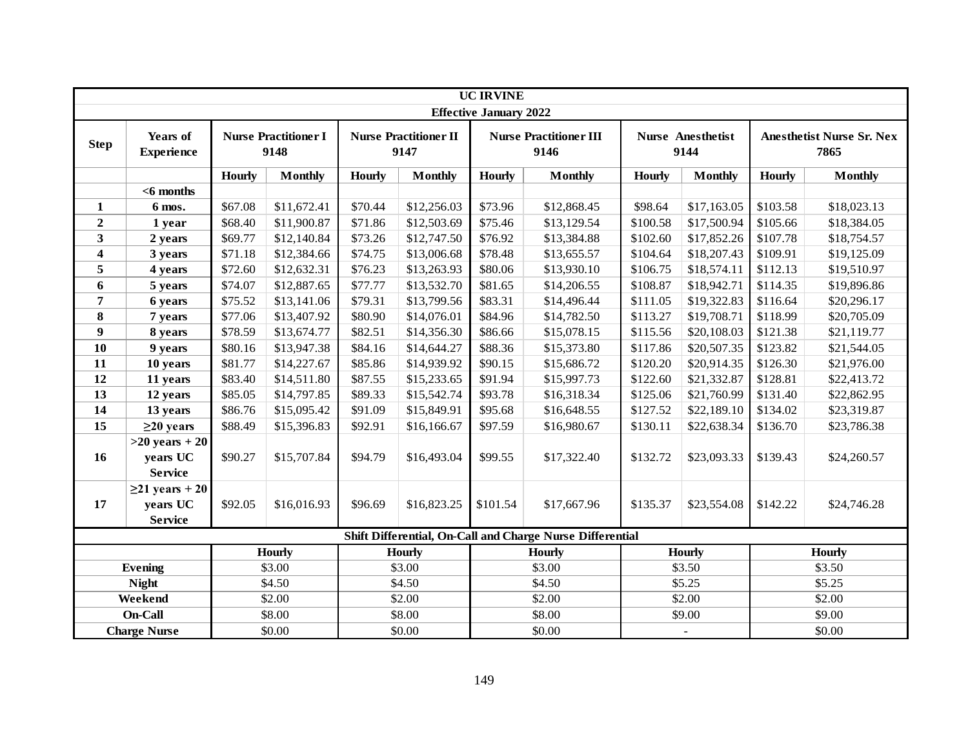|                         |                                                |                        |                                     |         |                                      | <b>UC IRVINE</b>              |                                                           |               |                                  |               |                                          |
|-------------------------|------------------------------------------------|------------------------|-------------------------------------|---------|--------------------------------------|-------------------------------|-----------------------------------------------------------|---------------|----------------------------------|---------------|------------------------------------------|
|                         |                                                |                        |                                     |         |                                      | <b>Effective January 2022</b> |                                                           |               |                                  |               |                                          |
| <b>Step</b>             | <b>Years of</b><br><b>Experience</b>           |                        | <b>Nurse Practitioner I</b><br>9148 |         | <b>Nurse Practitioner II</b><br>9147 |                               | <b>Nurse Practitioner III</b><br>9146                     |               | <b>Nurse Anesthetist</b><br>9144 |               | <b>Anesthetist Nurse Sr. Nex</b><br>7865 |
|                         |                                                | Hourly                 | <b>Monthly</b>                      | Hourly  | <b>Monthly</b>                       | <b>Hourly</b>                 | <b>Monthly</b>                                            | <b>Hourly</b> | <b>Monthly</b>                   | <b>Hourly</b> | <b>Monthly</b>                           |
|                         | $<$ 6 months                                   |                        |                                     |         |                                      |                               |                                                           |               |                                  |               |                                          |
| $\mathbf{1}$            | 6 mos.                                         | \$67.08                | \$11,672.41                         | \$70.44 | \$12,256.03                          | \$73.96                       | \$12,868.45                                               | \$98.64       | \$17,163.05                      | \$103.58      | \$18,023.13                              |
| $\overline{2}$          | 1 year                                         | \$68.40                | \$11,900.87                         | \$71.86 | \$12,503.69                          | \$75.46                       | \$13,129.54                                               | \$100.58      | \$17,500.94                      | \$105.66      | \$18,384.05                              |
| $\overline{\mathbf{3}}$ | 2 years                                        | \$69.77                | \$12,140.84                         | \$73.26 | \$12,747.50                          | \$76.92                       | \$13,384.88                                               | \$102.60      | \$17,852.26                      | \$107.78      | \$18,754.57                              |
| 4                       | 3 years                                        | \$71.18                | \$12,384.66                         | \$74.75 | \$13,006.68                          | \$78.48                       | \$13,655.57                                               | \$104.64      | \$18,207.43                      | \$109.91      | \$19,125.09                              |
| 5                       | 4 years                                        | \$72.60                | \$12,632.31                         | \$76.23 | \$13,263.93                          | \$80.06                       | \$13,930.10                                               | \$106.75      | \$18,574.11                      | \$112.13      | \$19,510.97                              |
| 6                       | 5 years                                        | \$74.07                | \$12,887.65                         | \$77.77 | \$13,532.70                          | \$81.65                       | \$14,206.55                                               | \$108.87      | \$18,942.71                      | \$114.35      | \$19,896.86                              |
| $\overline{\mathbf{7}}$ | 6 years                                        | \$75.52                | \$13,141.06                         | \$79.31 | \$13,799.56                          | \$83.31                       | \$14,496.44                                               | \$111.05      | \$19,322.83                      | \$116.64      | \$20,296.17                              |
| 8                       | 7 years                                        | \$77.06                | \$13,407.92                         | \$80.90 | \$14,076.01                          | \$84.96                       | \$14,782.50                                               | \$113.27      | \$19,708.71                      | \$118.99      | \$20,705.09                              |
| $\boldsymbol{9}$        | 8 years                                        | \$78.59                | \$13,674.77                         | \$82.51 | \$14,356.30                          | \$86.66                       | \$15,078.15                                               | \$115.56      | \$20,108.03                      | \$121.38      | \$21,119.77                              |
| 10                      | 9 years                                        | \$80.16<br>\$13,947.38 |                                     | \$84.16 | \$14,644.27                          | \$88.36                       | \$15,373.80                                               | \$117.86      | \$20,507.35                      | \$123.82      | \$21,544.05                              |
| 11                      | 10 years                                       | \$81.77                | \$14,227.67                         | \$85.86 | \$14,939.92                          | \$90.15                       | \$15,686.72                                               | \$120.20      | \$20,914.35                      | \$126.30      | \$21,976.00                              |
| 12                      | 11 years                                       | \$83.40                | \$14,511.80                         | \$87.55 | \$15,233.65                          | \$91.94                       | \$15,997.73                                               | \$122.60      | \$21,332.87                      | \$128.81      | \$22,413.72                              |
| 13                      | 12 years                                       | \$85.05                | \$14,797.85                         | \$89.33 | \$15,542.74                          | \$93.78                       | \$16,318.34                                               | \$125.06      | \$21,760.99                      | \$131.40      | \$22,862.95                              |
| 14                      | 13 years                                       | \$86.76                | \$15,095.42                         | \$91.09 | \$15,849.91                          | \$95.68                       | \$16,648.55                                               | \$127.52      | \$22,189.10                      | \$134.02      | \$23,319.87                              |
| 15                      | $\geq$ 20 years                                | \$88.49                | \$15,396.83                         | \$92.91 | \$16,166.67                          | \$97.59                       | \$16,980.67                                               | \$130.11      | \$22,638.34                      | \$136.70      | \$23,786.38                              |
| 16                      | $>20$ years + 20<br>years UC<br><b>Service</b> | \$90.27                | \$15,707.84                         | \$94.79 | \$16,493.04                          | \$99.55                       | \$17,322.40                                               | \$132.72      | \$23,093.33                      | \$139.43      | \$24,260.57                              |
|                         | $\geq$ 21 years + 20                           |                        |                                     |         |                                      |                               |                                                           |               |                                  |               |                                          |
| 17                      | years UC                                       | \$92.05                | \$16,016.93                         | \$96.69 | \$16,823.25                          | \$101.54                      | \$17,667.96                                               | \$135.37      | \$23,554.08                      | \$142.22      | \$24,746.28                              |
|                         | <b>Service</b>                                 |                        |                                     |         |                                      |                               |                                                           |               |                                  |               |                                          |
|                         |                                                |                        |                                     |         |                                      |                               | Shift Differential, On-Call and Charge Nurse Differential |               |                                  |               |                                          |
|                         |                                                |                        | <b>Hourly</b>                       |         | <b>Hourly</b>                        |                               | Hourly                                                    |               | Hourly                           |               | <b>Hourly</b>                            |
|                         | <b>Evening</b>                                 |                        | \$3.00                              |         | \$3.00                               |                               | \$3.00                                                    |               | \$3.50                           | \$3.50        |                                          |
|                         | <b>Night</b>                                   |                        | \$4.50                              |         | \$4.50                               |                               | \$4.50                                                    |               | \$5.25                           | \$5.25        |                                          |
|                         | Weekend                                        |                        | \$2.00                              | \$2.00  |                                      |                               | \$2.00                                                    |               | \$2.00                           | \$2.00        |                                          |
|                         | On-Call                                        |                        | \$8.00                              |         | \$8.00                               |                               | \$8.00                                                    |               | \$9.00                           |               | \$9.00                                   |
|                         | <b>Charge Nurse</b>                            |                        | \$0.00                              |         | \$0.00                               |                               | \$0.00                                                    |               |                                  |               | \$0.00                                   |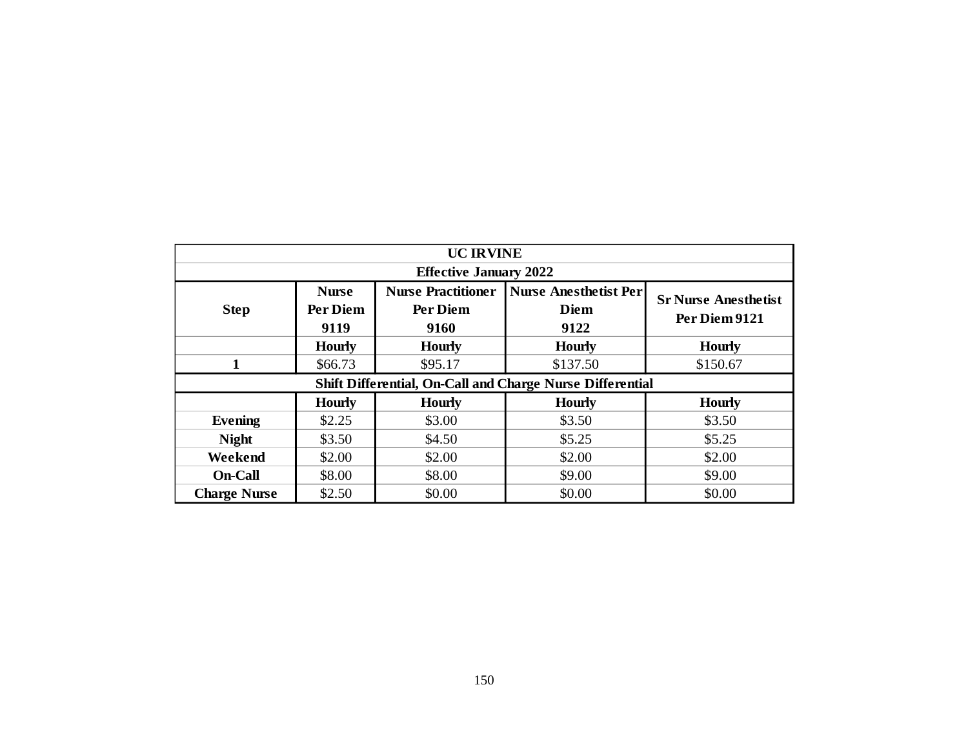|                     |                          | <b>UC IRVINE</b>                      |                                                           |                                              |
|---------------------|--------------------------|---------------------------------------|-----------------------------------------------------------|----------------------------------------------|
|                     |                          | <b>Effective January 2022</b>         |                                                           |                                              |
| <b>Step</b>         | <b>Nurse</b><br>Per Diem | <b>Nurse Practitioner</b><br>Per Diem | <b>Nurse Anesthetist Per</b><br><b>Diem</b>               | <b>Sr Nurse Anesthetist</b><br>Per Diem 9121 |
|                     | 9119                     | 9160                                  | 9122                                                      |                                              |
|                     | <b>Hourly</b>            | <b>Hourly</b>                         | <b>Hourly</b>                                             | <b>Hourly</b>                                |
| $\mathbf{1}$        | \$66.73                  | \$95.17                               | \$137.50                                                  | \$150.67                                     |
|                     |                          |                                       | Shift Differential, On-Call and Charge Nurse Differential |                                              |
|                     | <b>Hourly</b>            | <b>Hourly</b>                         | <b>Hourly</b>                                             | <b>Hourly</b>                                |
| <b>Evening</b>      | \$2.25                   | \$3.00                                | \$3.50                                                    | \$3.50                                       |
| <b>Night</b>        | \$3.50                   | \$4.50                                | \$5.25                                                    | \$5.25                                       |
| Weekend             | \$2.00                   | \$2.00                                | \$2.00                                                    | \$2.00                                       |
| <b>On-Call</b>      | \$8.00                   | \$8.00                                | \$9.00                                                    | \$9.00                                       |
| <b>Charge Nurse</b> | \$2.50                   | \$0.00                                | \$0.00                                                    | \$0.00                                       |
|                     |                          |                                       |                                                           |                                              |
|                     |                          |                                       |                                                           |                                              |
|                     |                          |                                       |                                                           |                                              |
|                     |                          |                                       |                                                           |                                              |
|                     |                          |                                       |                                                           |                                              |
|                     |                          |                                       |                                                           |                                              |
|                     |                          |                                       |                                                           |                                              |
|                     |                          |                                       |                                                           |                                              |
|                     |                          | 150                                   |                                                           |                                              |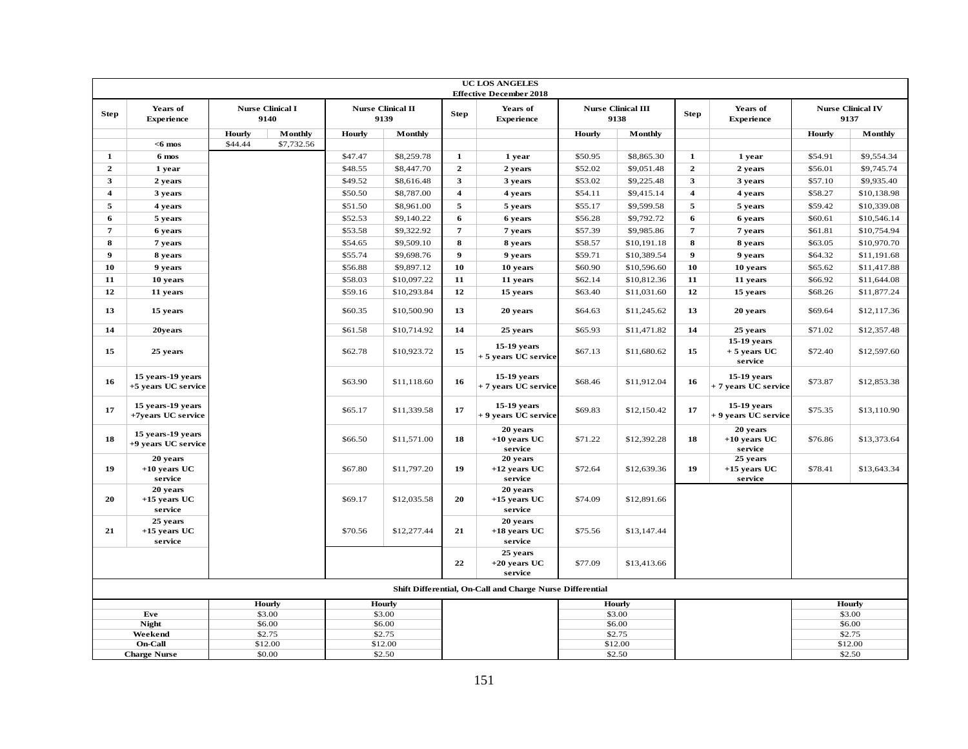|                         |                                                             |               |                                 |         |                                  |                         | <b>UC LOS ANGELES</b><br><b>Effective December 2018</b>   |         |                                   |                         |                                         |         |                                  |
|-------------------------|-------------------------------------------------------------|---------------|---------------------------------|---------|----------------------------------|-------------------------|-----------------------------------------------------------|---------|-----------------------------------|-------------------------|-----------------------------------------|---------|----------------------------------|
| Step                    | Years of<br><b>Experience</b>                               |               | <b>Nurse Clinical I</b><br>9140 |         | <b>Nurse Clinical II</b><br>9139 | <b>Step</b>             | Years of<br><b>Experience</b>                             |         | <b>Nurse Clinical III</b><br>9138 | <b>Step</b>             | Years of<br><b>Experience</b>           |         | <b>Nurse Clinical IV</b><br>9137 |
|                         |                                                             | <b>Hourly</b> | Monthly                         | Hourly  | Monthly                          |                         |                                                           | Hourly  | Monthly                           |                         |                                         | Hourly  | Monthly                          |
|                         | $<$ 6 mos                                                   | \$44.44       | \$7,732.56                      |         |                                  |                         |                                                           |         |                                   |                         |                                         |         |                                  |
| $\mathbf{1}$            | 6 mos                                                       |               |                                 | \$47.47 | \$8,259.78                       | $\mathbf{1}$            | 1 year                                                    | \$50.95 | \$8,865.30                        | $\mathbf{1}$            | 1 year                                  | \$54.91 | \$9,554.34                       |
| $\overline{2}$          | 1 year                                                      |               |                                 | \$48.55 | \$8,447.70                       | $\overline{2}$          | 2 years                                                   | \$52.02 | \$9,051.48                        | $\overline{2}$          | 2 years                                 | \$56.01 | \$9,745.74                       |
| 3                       | 2 years                                                     |               |                                 | \$49.52 | \$8,616.48                       | $\mathbf{3}$            | 3 years                                                   | \$53.02 | \$9,225.48                        | $\mathbf{3}$            | 3 years                                 | \$57.10 | \$9,935.40                       |
| $\overline{\mathbf{4}}$ | 3 years                                                     |               |                                 | \$50.50 | \$8,787.00                       | $\overline{\mathbf{4}}$ | 4 years                                                   | \$54.11 | \$9,415.14                        | $\overline{\mathbf{4}}$ | 4 years                                 | \$58.27 | \$10,138.98                      |
| 5                       | 4 years                                                     |               |                                 | \$51.50 | \$8,961.00                       | $\overline{5}$          | 5 years                                                   | \$55.17 | \$9,599.58                        | 5                       | 5 years                                 | \$59.42 | \$10,339.08                      |
| 6                       | 5 years                                                     |               |                                 | \$52.53 | \$9,140.22                       | 6                       | 6 years                                                   | \$56.28 | \$9,792.72                        | 6                       | 6 years                                 | \$60.61 | \$10,546.14                      |
| $\overline{7}$          | 6 years                                                     |               |                                 | \$53.58 | \$9,322.92                       | $\overline{7}$          | 7 years                                                   | \$57.39 | \$9,985.86                        | $\overline{7}$          | 7 years                                 | \$61.81 | \$10,754.94                      |
| 8                       | 7 years                                                     |               |                                 | \$54.65 | \$9,509.10                       | 8                       | 8 years                                                   | \$58.57 | \$10,191.18                       | 8                       | 8 years                                 | \$63.05 | \$10,970.70                      |
| $\boldsymbol{9}$        | 8 years                                                     |               |                                 | \$55.74 | \$9,698.76                       | $\boldsymbol{9}$        | 9 years                                                   | \$59.71 | \$10,389.54                       | $\overline{9}$          | 9 years                                 | \$64.32 | \$11,191.68                      |
| 10                      | 9 years                                                     |               |                                 | \$56.88 | \$9,897.12                       | 10                      | 10 years                                                  | \$60.90 | \$10,596.60                       | 10                      | 10 years                                | \$65.62 | \$11,417.88                      |
| 11                      | 10 years                                                    |               |                                 | \$58.03 | \$10,097.22                      | 11                      | 11 years                                                  | \$62.14 | \$10,812.36                       | 11                      | 11 years                                | \$66.92 | \$11,644.08                      |
| 12                      | 11 years                                                    |               |                                 | \$59.16 | \$10,293.84                      | 12                      | 15 years                                                  | \$63.40 | \$11,031.60                       | 12                      | 15 years                                | \$68.26 | \$11,877.24                      |
| 13                      | 15 years                                                    |               |                                 | \$60.35 | \$10,500.90                      | 13                      | 20 years                                                  | \$64.63 | \$11,245.62                       | 13                      | 20 years                                | \$69.64 | \$12,117.36                      |
| 14                      | 20years                                                     |               |                                 | \$61.58 | \$10,714.92                      | 14                      | 25 years                                                  | \$65.93 | \$11,471.82                       | 14                      | 25 years                                | \$71.02 | \$12,357.48                      |
| 15                      | 25 years                                                    |               |                                 | \$62.78 | \$10,923.72                      | 15                      | 15-19 years<br>+ 5 years UC service                       | \$67.13 | \$11,680.62                       | 15                      | 15-19 years<br>$+5$ years UC<br>service | \$72.40 | \$12,597.60                      |
| 16                      | 15 years-19 years<br>+5 years UC service                    |               |                                 | \$63.90 | \$11,118.60                      | 16                      | 15-19 years<br>+ 7 years UC service                       | \$68.46 | \$11,912.04                       | 16                      | 15-19 years<br>+ 7 years UC service     | \$73.87 | \$12,853.38                      |
| 17                      | 15 years-19 years<br>+7years UC service                     |               |                                 | \$65.17 | \$11,339.58                      | 17                      | 15-19 years<br>+ 9 years UC service                       | \$69.83 | \$12,150.42                       | 17                      | 15-19 years<br>+ 9 years UC service     | \$75.35 | \$13,110.90                      |
| 18                      | 15 years-19 years<br>+9 years UC service                    |               |                                 | \$66.50 | \$11,571.00                      | 18                      | 20 years<br>$+10$ years UC<br>service                     | \$71.22 | \$12,392.28                       | 18                      | 20 years<br>$+10$ years UC<br>service   | \$76.86 | \$13,373.64                      |
| 19                      | 20 years<br>$+10$ years UC<br>service                       |               |                                 | \$67.80 | \$11,797.20                      | 19                      | 20 years<br>$+12$ years UC<br>service                     | \$72.64 | \$12,639.36                       | 19                      | 25 years<br>$+15$ years UC<br>service   | \$78.41 | \$13,643.34                      |
| 20                      | 20 years<br>$+15$ years UC<br>service                       |               |                                 | \$69.17 | \$12,035.58                      | 20                      | 20 years<br>$+15$ years UC<br>service                     | \$74.09 | \$12,891.66                       |                         |                                         |         |                                  |
| 21                      | 25 years<br>$+15$ years UC<br>service                       |               |                                 | \$70.56 | \$12,277.44                      | 21                      | 20 years<br>$+18$ years UC<br>service                     | \$75.56 | \$13,147.44                       |                         |                                         |         |                                  |
|                         |                                                             |               |                                 |         |                                  | 22                      | 25 years<br>$+20$ years UC<br>service                     | \$77.09 | \$13,413.66                       |                         |                                         |         |                                  |
|                         |                                                             |               |                                 |         |                                  |                         | Shift Differential, On-Call and Charge Nurse Differential |         |                                   |                         |                                         |         |                                  |
|                         |                                                             |               | Hourly                          |         | Hourly                           |                         |                                                           |         | Hourly                            |                         |                                         |         | Hourly                           |
|                         | Eve                                                         |               | \$3.00                          |         | \$3.00                           |                         |                                                           |         | \$3.00                            |                         |                                         |         | \$3.00                           |
|                         | <b>Night</b>                                                |               | \$6.00                          |         | \$6.00                           |                         |                                                           |         | \$6.00                            |                         |                                         |         | \$6.00                           |
|                         | Weekend                                                     |               | \$2.75                          |         | \$2.75                           |                         |                                                           |         | \$2.75                            |                         |                                         |         | \$2.75                           |
|                         | <b>On-Call</b>                                              |               | \$12.00                         |         | \$12.00                          |                         |                                                           |         | \$12.00                           |                         |                                         |         | \$12.00                          |
|                         | \$2.50<br>\$0.00<br>\$2.50<br>\$2.50<br><b>Charge Nurse</b> |               |                                 |         |                                  |                         |                                                           |         |                                   |                         |                                         |         |                                  |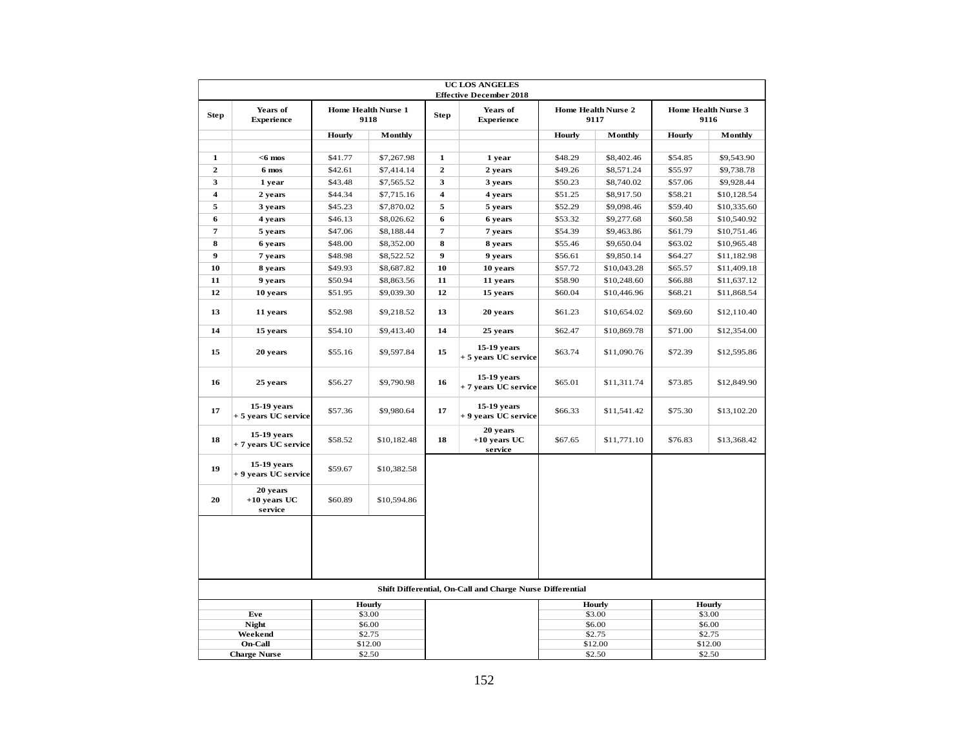|                         |                                       |               |                                    |                         | <b>UC LOS ANGELES</b><br><b>Effective December 2018</b>   |               |                                    |               |                             |  |
|-------------------------|---------------------------------------|---------------|------------------------------------|-------------------------|-----------------------------------------------------------|---------------|------------------------------------|---------------|-----------------------------|--|
| <b>Step</b>             | Years of<br><b>Experience</b>         |               | <b>Home Health Nurse 1</b><br>9118 | <b>Step</b>             | Years of<br><b>Experience</b>                             |               | <b>Home Health Nurse 2</b><br>9117 |               | Home Health Nurse 3<br>9116 |  |
|                         |                                       | <b>Hourly</b> | <b>Monthly</b>                     |                         |                                                           | <b>Hourly</b> | Monthly                            | <b>Hourly</b> | <b>Monthly</b>              |  |
| $\mathbf{1}$            | $<$ 6 mos                             | \$41.77       | \$7,267.98                         | $\mathbf{1}$            | 1 year                                                    | \$48.29       | \$8,402.46                         | \$54.85       | \$9,543.90                  |  |
| $\overline{2}$          | 6 mos                                 | \$42.61       | \$7,414.14                         | $\mathbf{2}$            | 2 years                                                   | \$49.26       | \$8,571.24                         | \$55.97       | \$9,738.78                  |  |
| 3                       | 1 year                                | \$43.48       | \$7,565.52                         | 3                       | 3 years                                                   | \$50.23       | \$8,740.02                         | \$57.06       | \$9,928.44                  |  |
| $\overline{\mathbf{4}}$ | 2 years                               | \$44.34       | \$7,715.16                         | $\overline{\mathbf{4}}$ | 4 years                                                   | \$51.25       | \$8,917.50                         | \$58.21       | \$10,128.54                 |  |
| 5                       | 3 years                               | \$45.23       | \$7,870.02                         | 5                       | 5 years                                                   | \$52.29       | \$9,098.46                         | \$59.40       | \$10,335.60                 |  |
| 6                       | 4 years                               | \$46.13       | \$8,026.62                         | 6                       | 6 years                                                   | \$53.32       | \$9,277.68                         | \$60.58       | \$10,540.92                 |  |
| 7                       | 5 years                               | \$47.06       | \$8,188.44                         | 7                       | 7 years                                                   | \$54.39       | \$9,463.86                         | \$61.79       | \$10,751.46                 |  |
| 8                       | 6 years                               | \$48.00       | \$8,352.00                         | 8                       | 8 years                                                   | \$55.46       | \$9,650.04                         | \$63.02       | \$10,965.48                 |  |
| 9                       | 7 years                               | \$48.98       | \$8,522.52                         | 9                       | 9 years                                                   | \$56.61       | \$9,850.14                         | \$64.27       | \$11,182.98                 |  |
| 10                      | 8 years                               | \$49.93       | \$8,687.82                         | 10                      | 10 years                                                  | \$57.72       | \$10,043.28                        | \$65.57       | \$11,409.18                 |  |
| 11                      | 9 years                               | \$50.94       | \$8,863.56                         | 11                      | 11 years                                                  | \$58.90       | \$10,248.60                        | \$66.88       | \$11,637.12                 |  |
| 12                      | 10 years                              | \$51.95       | \$9,039.30                         | 12                      | 15 years                                                  | \$60.04       | \$10,446.96                        | \$68.21       | \$11,868.54                 |  |
| 13                      | 11 years                              | \$52.98       | \$9,218.52                         | 13                      | 20 years                                                  | \$61.23       | \$10,654.02                        | \$69.60       | \$12,110.40                 |  |
| 14                      | 15 years                              | \$54.10       | \$9,413.40                         | 14                      | 25 years                                                  | \$62.47       | \$10,869.78                        | \$71.00       | \$12,354.00                 |  |
| 15                      | 20 years                              | \$55.16       | \$9,597.84                         | 15                      | 15-19 years<br>+ 5 years UC service                       | \$63.74       | \$11,090.76                        | \$72.39       | \$12,595.86                 |  |
| 16                      | 25 years                              | \$56.27       | \$9,790.98                         | 16                      | $15-19$ years<br>+ 7 years UC service                     | \$65.01       | \$11,311.74                        | \$73.85       | \$12,849.90                 |  |
| 17                      | $15-19$ years<br>+5 years UC service  | \$57.36       | \$9,980.64                         | 17                      | $15-19$ years<br>+ 9 years UC service                     | \$66.33       | \$11,541.42                        | \$75.30       | \$13,102.20                 |  |
| 18                      | 15-19 years<br>+ 7 years UC service   | \$58.52       | \$10,182.48                        | 18                      | 20 years<br>$+10$ years UC<br>service                     | \$67.65       | \$11,771.10                        | \$76.83       | \$13,368.42                 |  |
| 19                      | 15-19 years<br>+ 9 years UC service   | \$59.67       | \$10,382.58                        |                         |                                                           |               |                                    |               |                             |  |
| 20                      | 20 years<br>$+10$ years UC<br>service | \$60.89       | \$10,594.86                        |                         |                                                           |               |                                    |               |                             |  |
|                         |                                       |               |                                    |                         |                                                           |               |                                    |               |                             |  |
|                         |                                       |               |                                    |                         | Shift Differential, On-Call and Charge Nurse Differential |               |                                    |               |                             |  |
|                         | Hourly                                |               |                                    |                         |                                                           |               | Hourly                             |               | Hourly                      |  |
|                         | Eve                                   |               | \$3.00                             |                         |                                                           |               | \$3.00                             |               | \$3.00                      |  |
|                         | <b>Night</b><br>Weekend               |               | \$6.00<br>\$2.75                   |                         |                                                           |               | \$6.00<br>\$2.75                   |               | \$6.00<br>\$2.75            |  |
|                         | <b>On-Call</b>                        |               | \$12.00                            |                         |                                                           |               | \$12.00                            |               | \$12.00                     |  |
|                         | <b>Charge Nurse</b>                   |               | \$2.50                             |                         |                                                           | \$2.50        |                                    |               | \$2.50                      |  |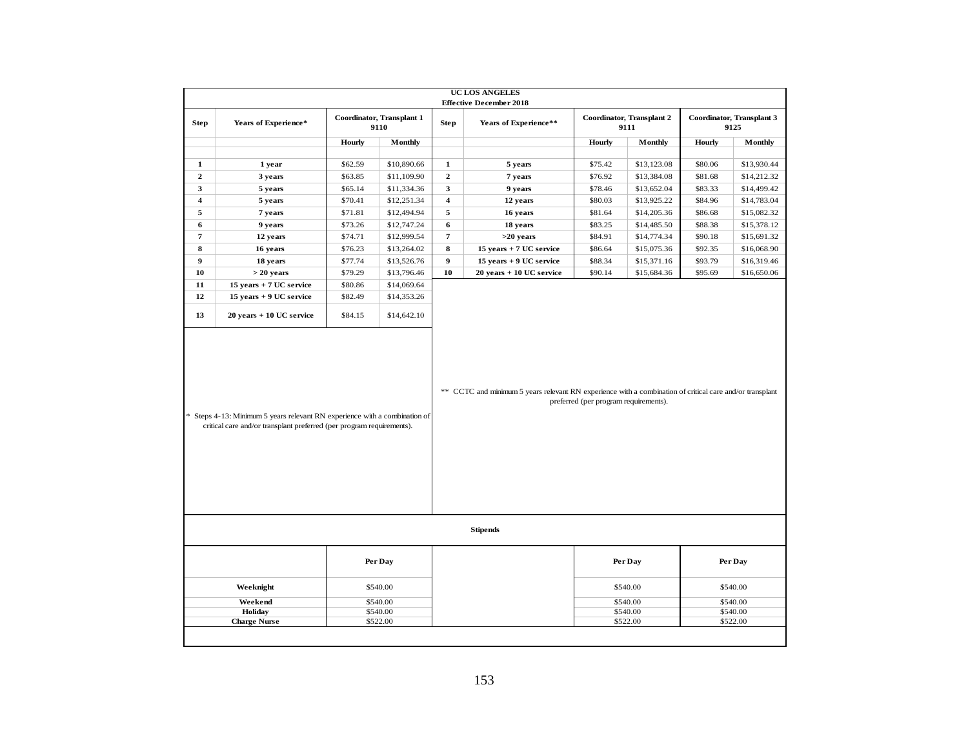|                         |                                                                                                                                                     |         |                                                                                                          |                                       | <b>UC LOS ANGELES</b><br><b>Effective December 2018</b> |         |                                   |         |                                   |
|-------------------------|-----------------------------------------------------------------------------------------------------------------------------------------------------|---------|----------------------------------------------------------------------------------------------------------|---------------------------------------|---------------------------------------------------------|---------|-----------------------------------|---------|-----------------------------------|
| <b>Step</b>             | Years of Experience*                                                                                                                                |         | Coordinator, Transplant 1<br>9110                                                                        | <b>Step</b>                           | Years of Experience**                                   |         | Coordinator, Transplant 2<br>9111 |         | Coordinator, Transplant 3<br>9125 |
|                         |                                                                                                                                                     | Hourly  | Monthly                                                                                                  |                                       |                                                         | Hourly  | Monthly                           | Hourly  | Monthly                           |
| $\mathbf{1}$            | 1 year                                                                                                                                              | \$62.59 | \$10,890.66                                                                                              | $\mathbf 1$                           | 5 years                                                 | \$75.42 | \$13,123.08                       | \$80.06 | \$13,930.44                       |
| $\mathbf{2}$            | 3 years                                                                                                                                             | \$63.85 | \$11,109.90                                                                                              | $\mathbf 2$                           | 7 years                                                 | \$76.92 | \$13,384.08                       | \$81.68 | \$14,212.32                       |
| 3                       | 5 years                                                                                                                                             | \$65.14 | \$11,334.36                                                                                              | $\overline{\mathbf{3}}$               | 9 years                                                 | \$78.46 | \$13,652.04                       | \$83.33 | \$14,499.42                       |
| $\overline{\mathbf{4}}$ | 5 years                                                                                                                                             | \$70.41 | \$12,251.34                                                                                              | $\overline{\mathbf{4}}$               | 12 years                                                | \$80.03 | \$13,925.22                       | \$84.96 | \$14,783.04                       |
| 5                       | 7 years                                                                                                                                             | \$71.81 | \$12,494.94                                                                                              | 5                                     | 16 years                                                | \$81.64 | \$14,205.36                       | \$86.68 | \$15,082.32                       |
| 6                       | 9 years                                                                                                                                             | \$73.26 | \$12,747.24                                                                                              | $6\phantom{1}$                        | 18 years                                                | \$83.25 | \$14,485.50                       | \$88.38 | \$15,378.12                       |
| 7                       | 12 years                                                                                                                                            | \$74.71 | \$12,999.54                                                                                              | $\overline{7}$                        | $>20$ years                                             | \$84.91 | \$14,774.34                       | \$90.18 | \$15,691.32                       |
| 8                       | 16 years                                                                                                                                            | \$76.23 | \$13,264.02                                                                                              | 8                                     | 15 years + 7 UC service                                 | \$86.64 | \$15,075.36                       | \$92.35 | \$16,068.90                       |
| 9                       | 18 years                                                                                                                                            | \$77.74 | \$13,526.76                                                                                              | 9                                     | 15 years + 9 UC service                                 | \$88.34 | \$15,371.16                       | \$93.79 | \$16,319.46                       |
| 10                      | $> 20$ years                                                                                                                                        | \$79.29 | \$13,796.46                                                                                              | 10                                    | $20$ years $+10$ UC service                             | \$90.14 | \$15,684.36                       | \$95.69 | \$16,650.06                       |
| 11                      | 15 years + 7 UC service                                                                                                                             | \$80.86 | \$14,069.64                                                                                              |                                       |                                                         |         |                                   |         |                                   |
| 12                      | 15 years + 9 UC service                                                                                                                             | \$82.49 | \$14,353.26                                                                                              |                                       |                                                         |         |                                   |         |                                   |
| 13                      | 20 years + 10 UC service                                                                                                                            | \$84.15 | \$14,642.10                                                                                              |                                       |                                                         |         |                                   |         |                                   |
|                         | * Steps 4-13: Minimum 5 years relevant RN experience with a combination of<br>critical care and/or transplant preferred (per program requirements). |         | ** CCTC and minimum 5 years relevant RN experience with a combination of critical care and/or transplant | preferred (per program requirements). |                                                         |         |                                   |         |                                   |
|                         |                                                                                                                                                     |         |                                                                                                          |                                       | <b>Stipends</b>                                         |         |                                   |         |                                   |
|                         |                                                                                                                                                     |         | Per Day                                                                                                  |                                       |                                                         |         | Per Day                           |         | Per Day                           |
|                         | Weeknight                                                                                                                                           |         | \$540.00                                                                                                 |                                       |                                                         |         | \$540.00                          |         | \$540.00                          |
| \$540.00<br>Weekend     |                                                                                                                                                     |         |                                                                                                          |                                       |                                                         |         | \$540.00                          |         | \$540.00                          |
| Holiday<br>\$540.00     |                                                                                                                                                     |         |                                                                                                          |                                       |                                                         |         | \$540.00                          |         | \$540.00                          |
|                         | <b>Charge Nurse</b>                                                                                                                                 |         | \$522.00                                                                                                 |                                       |                                                         |         | \$522.00                          |         | \$522.00                          |
|                         |                                                                                                                                                     |         |                                                                                                          |                                       |                                                         |         |                                   |         |                                   |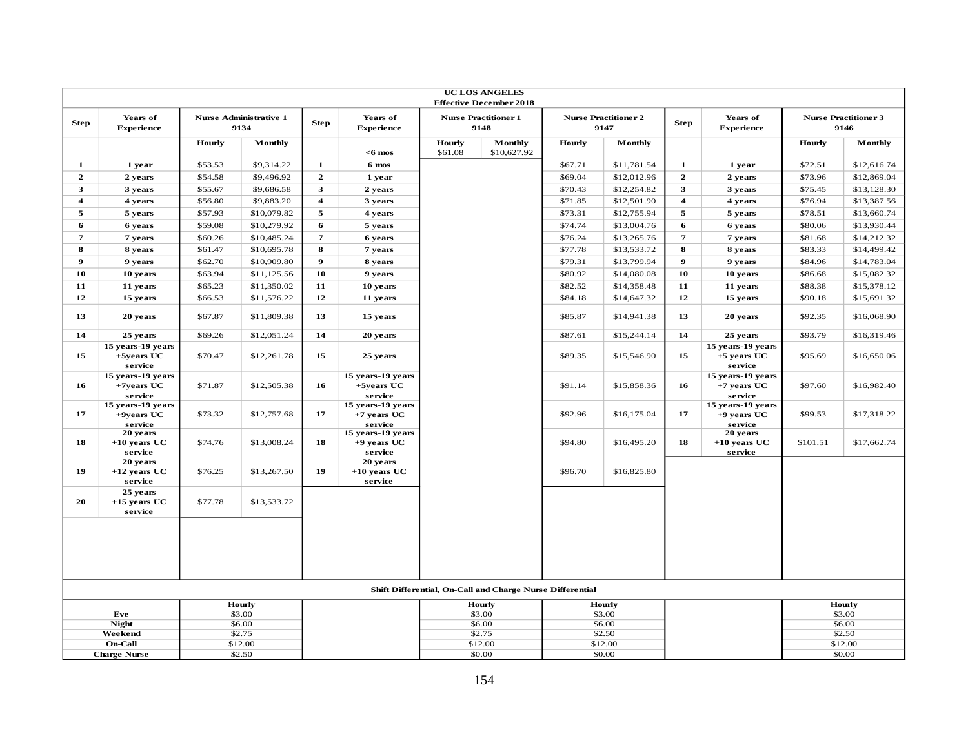|                         |                                               |                    |                                       |                                           |                                               |         | <b>UC LOS ANGELES</b><br><b>Effective December 2018</b>   |                    |                                     |                         |                                               |                    |                                     |
|-------------------------|-----------------------------------------------|--------------------|---------------------------------------|-------------------------------------------|-----------------------------------------------|---------|-----------------------------------------------------------|--------------------|-------------------------------------|-------------------------|-----------------------------------------------|--------------------|-------------------------------------|
| <b>Step</b>             | Years of<br><b>Experience</b>                 |                    | <b>Nurse Administrative 1</b><br>9134 | <b>Step</b>                               | Years of<br><b>Experience</b>                 |         | <b>Nurse Practitioner 1</b><br>9148                       |                    | <b>Nurse Practitioner 2</b><br>9147 | <b>Step</b>             | Years of<br><b>Experience</b>                 |                    | <b>Nurse Practitioner 3</b><br>9146 |
|                         |                                               | Hourly             | Monthly                               |                                           |                                               | Hourly  | Monthly                                                   | Hourly             | Monthly                             |                         |                                               | <b>Hourly</b>      | Monthly                             |
|                         |                                               |                    |                                       |                                           | $<$ 6 mos                                     | \$61.08 | \$10,627.92                                               |                    |                                     |                         |                                               |                    |                                     |
| $\mathbf{1}$            | 1 year                                        | \$53.53            | \$9,314.22                            | $\mathbf{1}$                              | 6 mos                                         |         |                                                           | \$67.71            | \$11,781.54                         | $\mathbf{1}$            | 1 year                                        | \$72.51            | \$12,616.74                         |
| $\mathbf{2}$<br>3       | 2 years                                       | \$54.58            | \$9,496.92                            | $\mathbf{2}$<br>$\mathbf{3}$              | 1 year                                        |         |                                                           | \$69.04            | \$12,012.96                         | $\mathbf{2}$            | 2 years                                       | \$73.96            | \$12,869.04                         |
|                         | 3 years                                       | \$55.67            | \$9,686.58                            |                                           | 2 years                                       |         |                                                           | \$70.43            | \$12,254.82                         | $\mathbf{3}$            | 3 years                                       | \$75.45            | \$13,128.30                         |
| $\overline{\mathbf{4}}$ | 4 years                                       | \$56.80<br>\$57.93 | \$9,883.20<br>\$10,079.82             | $\overline{\mathbf{4}}$<br>$\overline{5}$ | 3 years                                       |         |                                                           | \$71.85<br>\$73.31 | \$12,501.90                         | $\overline{\mathbf{4}}$ | 4 years                                       | \$76.94            | \$13,387.56<br>\$13,660.74          |
| 5<br>6                  | 5 years                                       | \$59.08            | \$10,279.92                           | 6                                         | 4 years                                       |         |                                                           | \$74.74            | \$12,755.94<br>\$13,004.76          | 5<br>6                  | 5 years                                       | \$78.51<br>\$80.06 | \$13,930.44                         |
| $\overline{7}$          | 6 years<br>7 years                            | \$60.26            | \$10,485.24                           | $\overline{7}$                            | 5 years<br>6 years                            |         |                                                           | \$76.24            | \$13,265.76                         | $\overline{7}$          | 6 years<br>7 years                            | \$81.68            | \$14,212.32                         |
| 8                       | 8 years                                       | \$61.47            | \$10,695.78                           | 8                                         | 7 years                                       |         |                                                           | \$77.78            | \$13,533.72                         | 8                       | 8 years                                       | \$83.33            | \$14,499.42                         |
| $\boldsymbol{9}$        | 9 years                                       | \$62.70            | \$10,909.80                           | $\boldsymbol{9}$                          | 8 years                                       |         |                                                           | \$79.31            | \$13,799.94                         | $\boldsymbol{9}$        | 9 years                                       | \$84.96            | \$14,783.04                         |
| 10                      | 10 years                                      | \$63.94            | \$11,125.56                           | 10                                        | 9 years                                       |         |                                                           | \$80.92            | \$14,080.08                         | 10                      | 10 years                                      | \$86.68            | \$15,082.32                         |
| 11                      | 11 years                                      | \$65.23            | \$11,350.02                           | 11                                        | 10 years                                      |         |                                                           | \$82.52            | \$14,358.48                         | 11                      | 11 years                                      | \$88.38            | \$15,378.12                         |
| 12                      | 15 years                                      | \$66.53            | \$11,576.22                           | 12                                        | 11 years                                      |         |                                                           | \$84.18            | \$14,647.32                         | 12                      | 15 years                                      | \$90.18            | \$15,691.32                         |
| 13                      | 20 years                                      | \$67.87            | \$11,809.38                           | 13                                        | 15 years                                      |         |                                                           | \$85.87            | \$14,941.38                         | 13                      | 20 years                                      | \$92.35            | \$16,068.90                         |
| 14                      | 25 years                                      | \$69.26            | \$12,051.24                           | 14                                        | 20 years                                      |         |                                                           | \$87.61            | \$15,244.14                         | 14                      | 25 years                                      | \$93.79            | \$16,319.46                         |
| 15                      | 15 years-19 years<br>+5years UC<br>service    | \$70.47            | \$12,261.78                           | 15                                        | 25 years                                      |         |                                                           | \$89.35            | \$15,546.90                         | 15                      | 15 years-19 years<br>$+5$ years UC<br>service | \$95.69            | \$16,650.06                         |
| 16                      | 15 years-19 years<br>$+7$ years UC<br>service | \$71.87            | \$12,505.38                           | 16                                        | 15 years-19 years<br>$+5$ vears UC<br>service |         |                                                           | \$91.14            | \$15,858.36                         | 16                      | 15 years-19 years<br>$+7$ years UC<br>service | \$97.60            | \$16,982.40                         |
| 17                      | 15 years-19 years<br>$+9$ years UC<br>service | \$73.32            | \$12,757.68                           | 17                                        | 15 years-19 years<br>$+7$ vears UC<br>service |         |                                                           | \$92.96            | \$16,175.04                         | 17                      | 15 years-19 years<br>$+9$ years UC<br>service | \$99.53            | \$17,318.22                         |
| 18                      | 20 years<br>$+10$ years UC<br>service         | \$74.76            | \$13,008.24                           | 18                                        | 15 years-19 years<br>$+9$ years UC<br>service |         |                                                           | \$94.80            | \$16,495.20                         | 18                      | 20 years<br>$+10$ years UC<br>service         | \$101.51           | \$17,662.74                         |
| 19                      | 20 years<br>$+12$ years UC<br>service         | \$76.25            | \$13,267.50                           | 19                                        | 20 years<br>$+10$ years UC<br>service         |         |                                                           | \$96.70            | \$16,825.80                         |                         |                                               |                    |                                     |
| 20                      | 25 years<br>$+15$ years UC<br>service         | \$77.78            | \$13,533.72                           |                                           |                                               |         |                                                           |                    |                                     |                         |                                               |                    |                                     |
|                         |                                               |                    |                                       |                                           |                                               |         |                                                           |                    |                                     |                         |                                               |                    |                                     |
|                         |                                               |                    |                                       |                                           |                                               |         | Shift Differential, On-Call and Charge Nurse Differential |                    |                                     |                         |                                               |                    |                                     |
|                         |                                               |                    | <b>Hourly</b>                         |                                           |                                               |         | <b>Hourly</b>                                             |                    | <b>Hourly</b>                       |                         |                                               |                    | <b>Hourly</b>                       |
|                         | Eve<br><b>Night</b>                           |                    | \$3.00<br>\$6.00                      |                                           |                                               |         | \$3.00<br>\$6.00                                          |                    | \$3.00<br>\$6.00                    |                         |                                               |                    | \$3.00<br>\$6.00                    |
|                         | Weekend                                       |                    | \$2.75                                |                                           |                                               |         | \$2.75                                                    |                    | \$2.50                              |                         |                                               |                    | \$2.50                              |
|                         | <b>On-Call</b>                                |                    | \$12.00                               |                                           |                                               |         | \$12.00                                                   |                    | \$12.00                             |                         |                                               |                    | \$12.00                             |
|                         | <b>Charge Nurse</b>                           |                    | \$2.50                                |                                           |                                               |         | \$0.00                                                    |                    | \$0.00                              |                         |                                               |                    | \$0.00                              |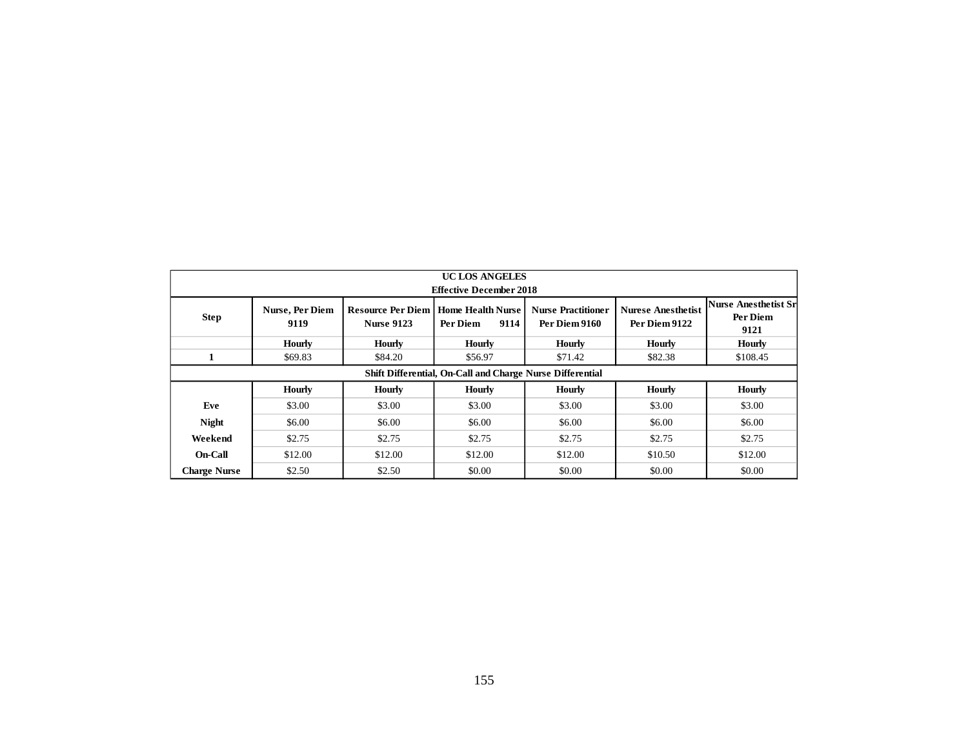|                     | <b>UC LOS ANGELES</b><br><b>Effective December 2018</b> |                                               |                                                           |                                            |                                            |                                                 |  |  |  |  |  |  |  |  |
|---------------------|---------------------------------------------------------|-----------------------------------------------|-----------------------------------------------------------|--------------------------------------------|--------------------------------------------|-------------------------------------------------|--|--|--|--|--|--|--|--|
| <b>Step</b>         | Nurse, Per Diem<br>9119                                 | <b>Resource Per Diem</b><br><b>Nurse 9123</b> | <b>Home Health Nurse</b><br>Per Diem<br>9114              | <b>Nurse Practitioner</b><br>Per Diem 9160 | <b>Nurese Anesthetist</b><br>Per Diem 9122 | <b>Nurse Anesthetist Sr</b><br>Per Diem<br>9121 |  |  |  |  |  |  |  |  |
|                     | <b>Hourly</b>                                           | <b>Hourly</b>                                 | <b>Hourly</b>                                             | <b>Hourly</b>                              | <b>Hourly</b>                              | <b>Hourly</b>                                   |  |  |  |  |  |  |  |  |
| $\mathbf{1}$        | \$69.83                                                 | \$84.20                                       | \$56.97                                                   | \$71.42                                    | \$82.38                                    | \$108.45                                        |  |  |  |  |  |  |  |  |
|                     |                                                         |                                               | Shift Differential, On-Call and Charge Nurse Differential |                                            |                                            |                                                 |  |  |  |  |  |  |  |  |
|                     | <b>Hourly</b>                                           | <b>Hourly</b>                                 | <b>Hourly</b>                                             | Hourly                                     | <b>Hourly</b>                              | <b>Hourly</b>                                   |  |  |  |  |  |  |  |  |
| Eve                 | \$3.00                                                  | \$3.00                                        | \$3.00                                                    | \$3.00                                     | \$3.00                                     | \$3.00                                          |  |  |  |  |  |  |  |  |
| <b>Night</b>        | \$6.00                                                  | \$6.00                                        | \$6.00                                                    | \$6.00                                     | \$6.00                                     | \$6.00                                          |  |  |  |  |  |  |  |  |
| Weekend             | \$2.75                                                  | \$2.75                                        | \$2.75                                                    | \$2.75                                     | \$2.75                                     | \$2.75                                          |  |  |  |  |  |  |  |  |
| On-Call             | \$12.00                                                 | \$12.00                                       | \$12.00                                                   | \$12.00                                    | \$10.50                                    | \$12.00                                         |  |  |  |  |  |  |  |  |
| <b>Charge Nurse</b> | \$2.50                                                  | \$2.50                                        | \$0.00                                                    | \$0.00                                     | \$0.00                                     | \$0.00                                          |  |  |  |  |  |  |  |  |
|                     |                                                         |                                               |                                                           |                                            |                                            |                                                 |  |  |  |  |  |  |  |  |
|                     |                                                         |                                               | 155                                                       |                                            |                                            |                                                 |  |  |  |  |  |  |  |  |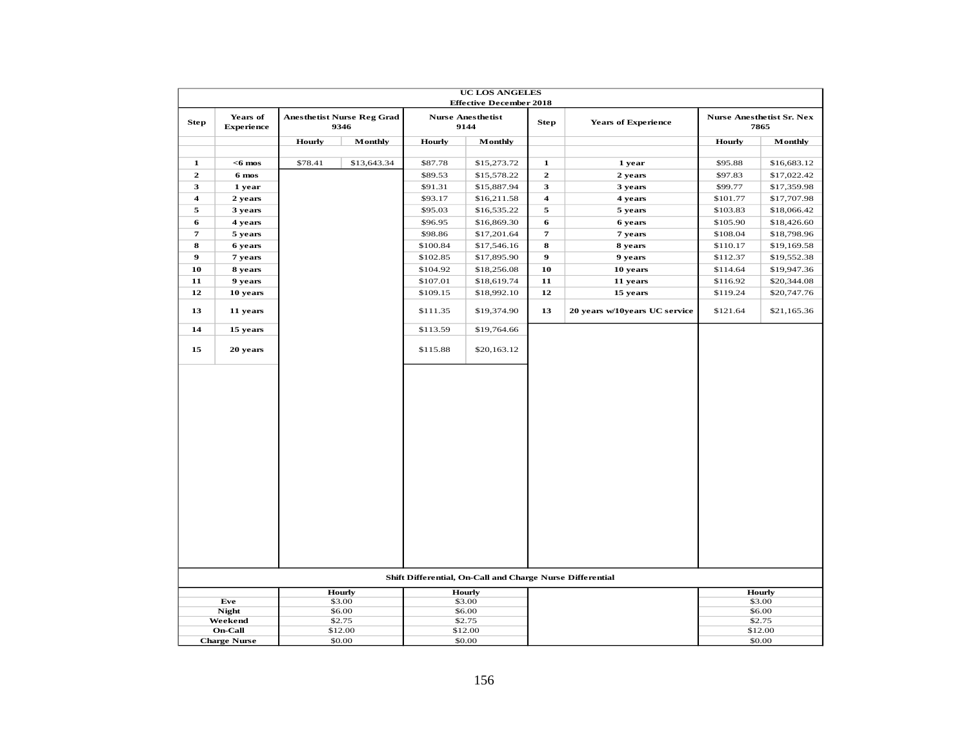|                         |                               |               |                                           |               | <b>UC LOS ANGELES</b><br><b>Effective December 2018</b>   |                         |                               |               |                                          |
|-------------------------|-------------------------------|---------------|-------------------------------------------|---------------|-----------------------------------------------------------|-------------------------|-------------------------------|---------------|------------------------------------------|
| <b>Step</b>             | Years of<br><b>Experience</b> |               | <b>Anesthetist Nurse Reg Grad</b><br>9346 |               | <b>Nurse Anesthetist</b><br>9144                          | <b>Step</b>             | <b>Years of Experience</b>    |               | <b>Nurse Anesthetist Sr. Nex</b><br>7865 |
|                         |                               | <b>Hourly</b> | Monthly                                   | <b>Hourly</b> | Monthly                                                   |                         |                               | <b>Hourly</b> | Monthly                                  |
| $\mathbf{1}$            | $<$ 6 mos                     | \$78.41       | \$13,643.34                               | \$87.78       | \$15,273.72                                               | $\mathbf{1}$            | 1 year                        | \$95.88       | \$16,683.12                              |
| $\mathbf{2}$            | 6 mos                         |               |                                           | \$89.53       | \$15,578.22                                               | $\overline{2}$          | 2 years                       | \$97.83       | \$17,022.42                              |
| 3                       | 1 year                        |               |                                           | \$91.31       | \$15,887.94                                               | 3                       | 3 years                       | \$99.77       | \$17,359.98                              |
| $\overline{\mathbf{4}}$ | 2 years                       |               |                                           | \$93.17       | \$16,211.58                                               | $\overline{\mathbf{4}}$ | 4 years                       | \$101.77      | \$17,707.98                              |
| 5                       | 3 years                       |               |                                           | \$95.03       | \$16,535.22                                               | 5                       | 5 years                       | \$103.83      | \$18,066.42                              |
| 6                       | 4 years                       |               |                                           | \$96.95       | \$16,869.30                                               | 6                       | 6 years                       | \$105.90      | \$18,426.60                              |
| $\boldsymbol{\tau}$     | 5 years                       |               |                                           | \$98.86       | \$17,201.64                                               | $\pmb{\tau}$            | 7 years                       | \$108.04      | \$18,798.96                              |
| 8                       | 6 years                       |               |                                           | \$100.84      | \$17,546.16                                               | ${\bf 8}$               | 8 years                       | \$110.17      | \$19,169.58                              |
| $\boldsymbol{9}$        | 7 years                       |               |                                           | \$102.85      | \$17,895.90                                               | $\boldsymbol{9}$        | 9 years                       | \$112.37      | \$19,552.38                              |
| 10                      | 8 years                       |               |                                           | \$104.92      | \$18,256.08                                               | 10                      | 10 years                      | \$114.64      | \$19,947.36                              |
| 11                      | 9 years                       |               |                                           | \$107.01      | \$18,619.74                                               | 11                      | 11 years                      | \$116.92      | \$20,344.08                              |
| 12                      | 10 years                      |               |                                           | \$109.15      | \$18,992.10                                               | 12                      | 15 years                      | \$119.24      | \$20,747.76                              |
| 13                      | 11 years                      |               |                                           | \$111.35      | \$19,374.90                                               | 13                      | 20 years w/10years UC service | \$121.64      | \$21,165.36                              |
| 14                      | 15 years                      |               |                                           | \$113.59      | \$19,764.66                                               |                         |                               |               |                                          |
| 15                      | 20 years                      |               |                                           | \$115.88      | \$20,163.12                                               |                         |                               |               |                                          |
|                         |                               |               |                                           |               |                                                           |                         |                               |               |                                          |
|                         |                               |               |                                           |               | Shift Differential, On-Call and Charge Nurse Differential |                         |                               |               |                                          |
|                         |                               |               | <b>Hourly</b>                             |               | Hourly                                                    |                         |                               |               | <b>Hourly</b>                            |
|                         | Eve<br><b>Night</b>           |               | \$3.00<br>\$6.00                          |               | \$3.00<br>\$6.00                                          |                         |                               |               | \$3.00<br>\$6.00                         |
|                         | Weekend                       |               | \$2.75                                    |               | \$2.75                                                    |                         |                               |               | \$2.75                                   |
|                         | <b>On-Call</b>                |               | \$12.00                                   |               | \$12.00                                                   |                         |                               |               | \$12.00                                  |
|                         | <b>Charge Nurse</b>           |               | \$0.00                                    |               | \$0.00                                                    |                         |                               |               | \$0.00                                   |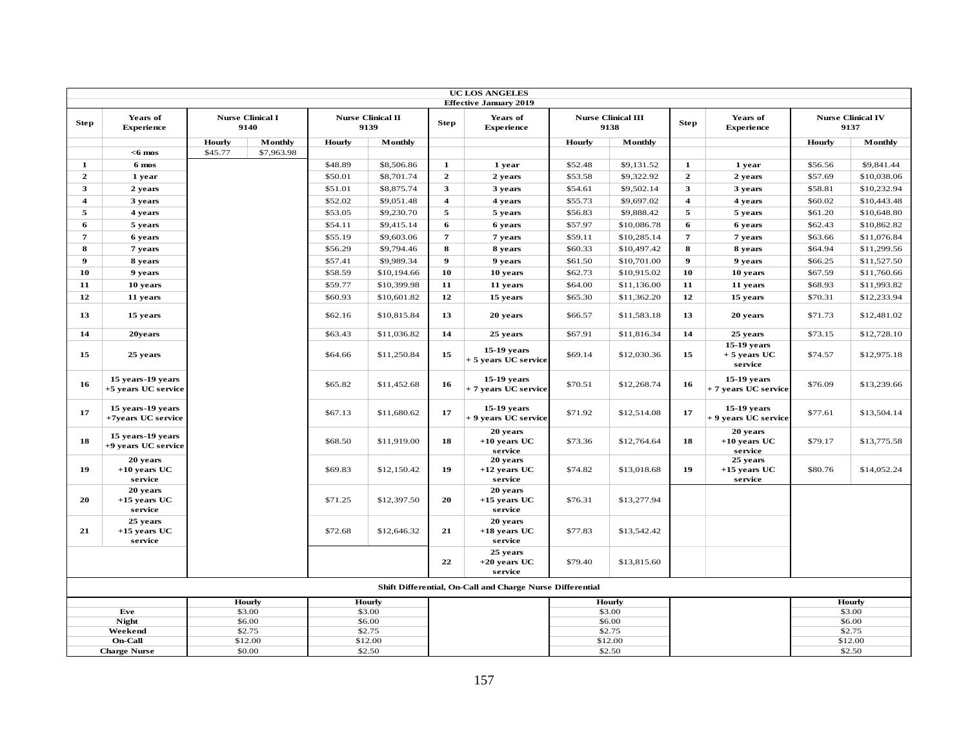|                         |                                          |         |                                 |         |                                  |                         | <b>UC LOS ANGELES</b>                                     |               |                                   |                  |                                         |         |                                  |
|-------------------------|------------------------------------------|---------|---------------------------------|---------|----------------------------------|-------------------------|-----------------------------------------------------------|---------------|-----------------------------------|------------------|-----------------------------------------|---------|----------------------------------|
|                         |                                          |         |                                 |         |                                  |                         | <b>Effective January 2019</b>                             |               |                                   |                  |                                         |         |                                  |
| <b>Step</b>             | Years of<br><b>Experience</b>            |         | <b>Nurse Clinical I</b><br>9140 |         | <b>Nurse Clinical II</b><br>9139 | <b>Step</b>             | Years of<br><b>Experience</b>                             |               | <b>Nurse Clinical III</b><br>9138 | <b>Step</b>      | Years of<br><b>Experience</b>           |         | <b>Nurse Clinical IV</b><br>9137 |
|                         |                                          | Hourly  | Monthly                         | Hourly  | Monthly                          |                         |                                                           | <b>Hourly</b> | Monthly                           |                  |                                         | Hourly  | Monthly                          |
|                         | $<$ 6 mos                                | \$45.77 | \$7,963.98                      |         |                                  |                         |                                                           |               |                                   |                  |                                         |         |                                  |
| $\mathbf{1}$            | 6 mos                                    |         |                                 | \$48.89 | \$8,506.86                       | $\mathbf{1}$            | 1 year                                                    | \$52.48       | \$9,131.52                        | $\mathbf{1}$     | 1 year                                  | \$56.56 | \$9,841.44                       |
| $\mathbf{2}$            | 1 year                                   |         |                                 | \$50.01 | \$8,701.74                       | $\mathbf{2}$            | 2 years                                                   | \$53.58       | \$9,322.92                        | $\overline{2}$   | 2 years                                 | \$57.69 | \$10,038.06                      |
| 3                       | 2 years                                  |         |                                 | \$51.01 | \$8,875.74                       | $\mathbf{3}$            | 3 years                                                   | \$54.61       | \$9,502.14                        | $\mathbf{3}$     | 3 years                                 | \$58.81 | \$10,232.94                      |
| $\overline{\mathbf{4}}$ | 3 years                                  |         |                                 | \$52.02 | \$9,051.48                       | $\overline{\mathbf{4}}$ | 4 years                                                   | \$55.73       | \$9,697.02                        | $\overline{4}$   | 4 years                                 | \$60.02 | \$10,443.48                      |
| 5                       | 4 years                                  |         |                                 | \$53.05 | \$9,230.70                       | 5                       | 5 years                                                   | \$56.83       | \$9,888.42                        | 5                | 5 years                                 | \$61.20 | \$10,648.80                      |
| 6                       | 5 years                                  |         |                                 | \$54.11 | \$9,415.14                       | 6                       | 6 years                                                   | \$57.97       | \$10,086.78                       | 6                | 6 years                                 | \$62.43 | \$10,862.82                      |
| 7                       | 6 years                                  |         |                                 | \$55.19 | \$9,603.06                       | $\overline{7}$          | 7 years                                                   | \$59.11       | \$10,285.14                       | $\overline{7}$   | 7 years                                 | \$63.66 | \$11,076.84                      |
| 8                       | 7 years                                  |         |                                 | \$56.29 | \$9,794.46                       | 8                       | 8 years                                                   | \$60.33       | \$10,497.42                       | 8                | 8 years                                 | \$64.94 | \$11,299.56                      |
| $\boldsymbol{9}$        | 8 years                                  |         |                                 | \$57.41 | \$9,989.34                       | $\boldsymbol{9}$        | 9 years                                                   | \$61.50       | \$10,701.00                       | $\boldsymbol{9}$ | 9 years                                 | \$66.25 | \$11,527.50                      |
| 10                      | 9 years                                  |         |                                 | \$58.59 | \$10,194.66                      | 10                      | 10 years                                                  | \$62.73       | \$10,915.02                       | 10               | 10 years                                | \$67.59 | \$11,760.66                      |
| 11                      | 10 years                                 |         |                                 | \$59.77 | \$10,399.98                      | 11                      | 11 years                                                  | \$64.00       | \$11,136.00                       | 11               | 11 years                                | \$68.93 | \$11,993.82                      |
| 12                      | 11 years                                 |         |                                 | \$60.93 | \$10,601.82                      | 12                      | 15 years                                                  | \$65.30       | \$11,362.20                       | 12               | 15 years                                | \$70.31 | \$12,233.94                      |
| 13                      | 15 years                                 |         |                                 | \$62.16 | \$10,815.84                      | 13                      | 20 years                                                  | \$66.57       | \$11,583.18                       | 13               | 20 years                                | \$71.73 | \$12,481.02                      |
| 14                      | 20years                                  |         |                                 | \$63.43 | \$11,036.82                      | 14                      | 25 years                                                  | \$67.91       | \$11,816.34                       | 14               | 25 years                                | \$73.15 | \$12,728.10                      |
| 15                      | 25 years                                 |         |                                 | \$64.66 | \$11,250.84                      | 15                      | $15-19$ years<br>+ 5 years UC service                     | \$69.14       | \$12,030.36                       | 15               | 15-19 years<br>$+5$ years UC<br>service | \$74.57 | \$12,975.18                      |
| 16                      | 15 years-19 years<br>+5 years UC service |         |                                 | \$65.82 | \$11,452.68                      | 16                      | 15-19 years<br>+ 7 years UC service                       | \$70.51       | \$12,268.74                       | 16               | 15-19 years<br>+ 7 years UC service     | \$76.09 | \$13,239.66                      |
| 17                      | 15 years-19 years<br>+7years UC service  |         |                                 | \$67.13 | \$11,680.62                      | 17                      | $15-19$ years<br>+ 9 years UC service                     | \$71.92       | \$12,514.08                       | 17               | $15-19$ years<br>+ 9 years UC service   | \$77.61 | \$13,504.14                      |
| 18                      | 15 years-19 years<br>+9 years UC service |         |                                 | \$68.50 | \$11,919.00                      | 18                      | 20 years<br>$+10$ years UC<br>service                     | \$73.36       | \$12,764.64                       | 18               | 20 years<br>$+10$ years UC<br>service   | \$79.17 | \$13,775.58                      |
| 19                      | 20 years<br>$+10$ years UC<br>service    |         |                                 | \$69.83 | \$12,150.42                      | 19                      | 20 years<br>$+12$ years UC<br>service                     | \$74.82       | \$13,018.68                       | 19               | 25 years<br>$+15$ years UC<br>service   | \$80.76 | \$14,052.24                      |
| 20                      | 20 years<br>$+15$ years UC<br>service    |         |                                 | \$71.25 | \$12,397.50                      | 20                      | 20 years<br>$+15$ years UC<br>service                     | \$76.31       | \$13,277.94                       |                  |                                         |         |                                  |
| 21                      | 25 years<br>$+15$ years UC<br>service    |         |                                 | \$72.68 | \$12,646.32                      | 21                      | 20 years<br>$+18$ years UC<br>service                     | \$77.83       | \$13,542.42                       |                  |                                         |         |                                  |
|                         |                                          |         |                                 |         |                                  | 22                      | 25 years<br>$+20$ years UC<br>service                     | \$79.40       | \$13,815.60                       |                  |                                         |         |                                  |
|                         |                                          |         |                                 |         |                                  |                         | Shift Differential, On-Call and Charge Nurse Differential |               |                                   |                  |                                         |         |                                  |
|                         |                                          |         | Hourly                          |         | Hourly                           |                         |                                                           |               | Hourly                            |                  |                                         |         | Hourly                           |
|                         | Eve                                      |         | \$3.00                          |         | \$3.00                           |                         |                                                           |               | \$3.00                            |                  |                                         |         | \$3.00                           |
|                         | <b>Night</b><br>Weekend                  |         | \$6.00<br>\$2.75                |         | \$6.00<br>\$2.75                 |                         |                                                           |               | \$6.00<br>\$2.75                  |                  |                                         |         | \$6.00<br>\$2.75                 |
|                         | <b>On-Call</b>                           |         | \$12.00                         |         | \$12.00                          |                         |                                                           |               | \$12.00                           |                  |                                         |         | \$12.00                          |
|                         | <b>Charge Nurse</b>                      |         | \$0.00                          |         | \$2.50                           |                         |                                                           |               | \$2.50                            |                  |                                         |         | \$2.50                           |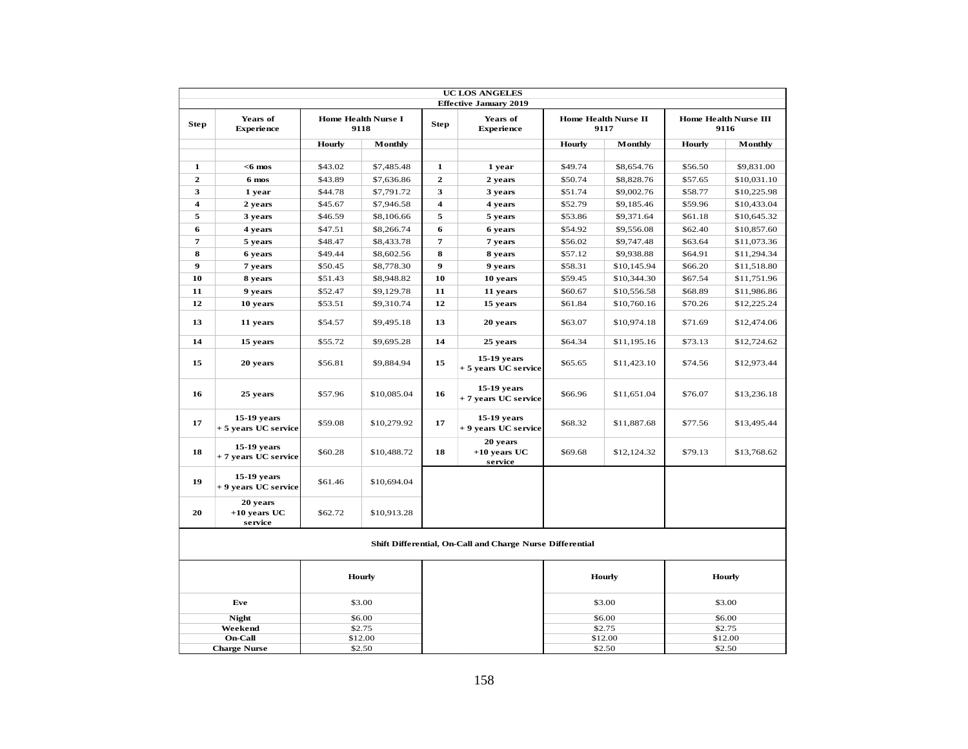|                         |                                       |                            |                                    |                         | <b>UC LOS ANGELES</b><br><b>Effective January 2019</b>    |         |                              |               |                               |
|-------------------------|---------------------------------------|----------------------------|------------------------------------|-------------------------|-----------------------------------------------------------|---------|------------------------------|---------------|-------------------------------|
| <b>Step</b>             | Years of<br><b>Experience</b>         |                            | <b>Home Health Nurse I</b><br>9118 | <b>Step</b>             | Years of<br><b>Experience</b>                             |         | Home Health Nurse II<br>9117 |               | Home Health Nurse III<br>9116 |
|                         |                                       | Hourly                     | Monthly                            |                         |                                                           | Hourly  | Monthly                      | <b>Hourly</b> | Monthly                       |
| $\mathbf{1}$            | $<$ 6 mos                             | \$43.02                    | \$7,485.48                         | $\mathbf{1}$            |                                                           | \$49.74 | \$8,654.76                   | \$56.50       | \$9,831.00                    |
| $\overline{2}$          | 6 mos                                 | \$43.89                    | \$7,636.86                         | $\mathbf{2}$            | 1 year<br>2 years                                         | \$50.74 | \$8,828.76                   | \$57.65       | \$10,031.10                   |
| 3                       | 1 year                                | \$44.78                    | \$7,791.72                         | 3                       | 3 years                                                   | \$51.74 | \$9,002.76                   | \$58.77       | \$10,225.98                   |
| $\overline{\mathbf{4}}$ | 2 years                               | \$45.67                    | \$7,946.58                         | $\overline{\mathbf{4}}$ | 4 years                                                   | \$52.79 | \$9,185.46                   | \$59.96       | \$10,433.04                   |
| 5                       | 3 years                               | \$46.59                    | \$8,106.66                         | 5                       | 5 years                                                   | \$53.86 | \$9,371.64                   | \$61.18       | \$10,645.32                   |
| 6                       | 4 years                               | \$47.51                    | \$8,266.74                         | 6                       | 6 years                                                   | \$54.92 | \$9,556.08                   | \$62.40       | \$10,857.60                   |
| $\overline{7}$          | 5 years                               | \$48.47                    | \$8,433.78                         | $\overline{7}$          | 7 years                                                   | \$56.02 | \$9,747.48                   | \$63.64       | \$11,073.36                   |
| 8                       | 6 years                               | \$49.44                    | \$8,602.56                         | 8                       | 8 years                                                   | \$57.12 | \$9,938.88                   | \$64.91       | \$11,294.34                   |
| $\boldsymbol{9}$        | 7 years                               | \$50.45                    | \$8,778.30                         | $\boldsymbol{9}$        | 9 years                                                   | \$58.31 | \$10,145.94                  | \$66.20       | \$11,518.80                   |
| 10                      | 8 years                               | \$51.43                    | \$8,948.82                         | 10                      | 10 years                                                  | \$59.45 | \$10,344.30                  | \$67.54       | \$11,751.96                   |
| 11                      | 9 years                               | \$52.47                    | \$9,129.78                         | 11                      | 11 years                                                  | \$60.67 | \$10,556.58                  | \$68.89       | \$11,986.86                   |
| 12                      | 10 years                              | \$53.51                    | \$9,310.74                         | 12                      | 15 years                                                  | \$61.84 | \$10,760.16                  | \$70.26       | \$12,225.24                   |
| 13                      | 11 years                              | \$54.57                    | \$9,495.18                         | 13                      | 20 years                                                  | \$63.07 | \$10,974.18                  | \$71.69       | \$12,474.06                   |
| 14                      | 15 years                              | \$55.72                    | \$9,695.28                         | 14                      | 25 years                                                  | \$64.34 | \$11,195.16                  | \$73.13       | \$12,724.62                   |
| 15                      | 20 years                              | \$56.81                    | \$9,884.94                         | 15                      | 15-19 years<br>+ 5 years UC service                       | \$65.65 | \$11,423.10                  | \$74.56       | \$12,973.44                   |
| 16                      | 25 years                              | \$57.96                    | \$10,085.04                        | 16                      | 15-19 years<br>+ 7 years UC service                       | \$66.96 | \$11,651.04                  | \$76.07       | \$13,236.18                   |
| 17                      | 15-19 years<br>+ 5 years UC service   | \$59.08                    | \$10,279.92                        | 17                      | 15-19 years<br>+ 9 years UC service                       | \$68.32 | \$11,887.68                  | \$77.56       | \$13,495.44                   |
| 18                      | 15-19 years<br>+ 7 years UC service   | \$60.28                    | \$10,488.72                        | 18                      | 20 years<br>$+10$ years UC<br>service                     | \$69.68 | \$12,124.32                  | \$79.13       | \$13,768.62                   |
| 19                      | 15-19 years<br>+ 9 years UC service   | \$61.46                    | \$10,694.04                        |                         |                                                           |         |                              |               |                               |
| 20                      | 20 years<br>$+10$ vears UC<br>service | \$62.72                    | \$10,913.28                        |                         |                                                           |         |                              |               |                               |
|                         |                                       |                            |                                    |                         | Shift Differential, On-Call and Charge Nurse Differential |         |                              |               |                               |
|                         |                                       |                            | Hourly                             |                         |                                                           |         | <b>Hourly</b>                |               | Hourly                        |
|                         | Eve                                   |                            | \$3.00                             |                         |                                                           |         | \$3.00                       |               | \$3.00                        |
|                         | <b>Night</b>                          |                            | \$6.00                             |                         |                                                           |         | \$6.00                       |               | \$6.00                        |
|                         | Weekend                               |                            | \$2.75                             |                         |                                                           |         | \$2.75                       |               | \$2.75                        |
|                         | <b>On-Call</b>                        |                            | \$12.00                            |                         |                                                           |         | \$12.00                      | \$12.00       |                               |
|                         | <b>Charge Nurse</b>                   | \$2.50<br>\$2.50<br>\$2.50 |                                    |                         |                                                           |         |                              |               |                               |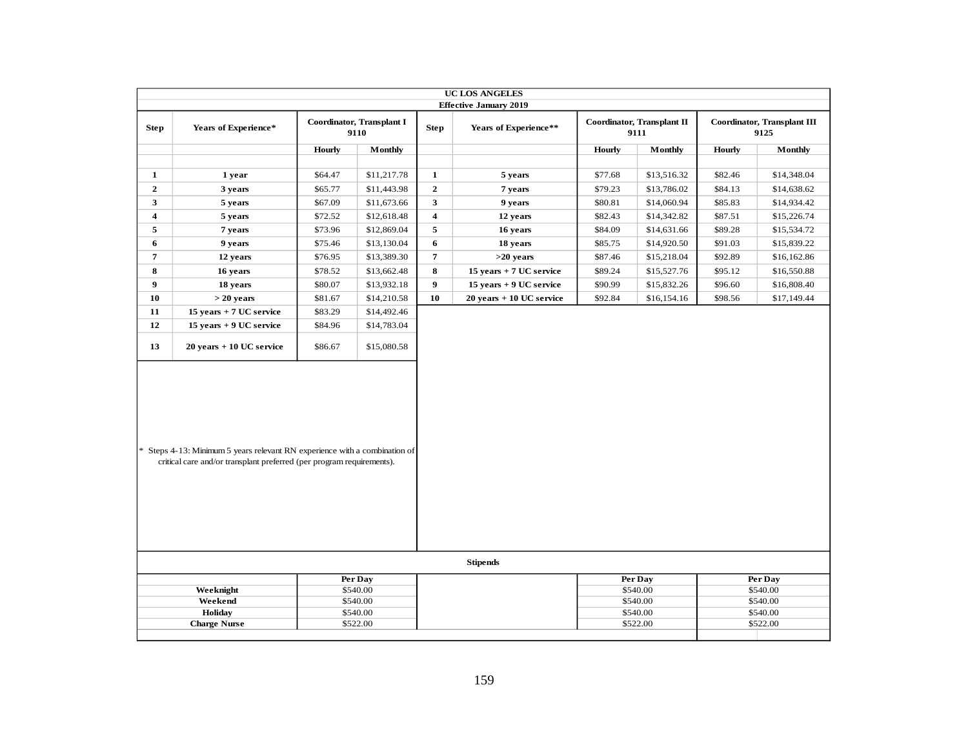|                | <b>UC LOS ANGELES</b><br><b>Effective January 2019</b>                                                                                                                                                |               |                      |                  |                             |               |                      |               |                      |  |  |  |
|----------------|-------------------------------------------------------------------------------------------------------------------------------------------------------------------------------------------------------|---------------|----------------------|------------------|-----------------------------|---------------|----------------------|---------------|----------------------|--|--|--|
|                | Coordinator, Transplant I<br>Coordinator, Transplant II<br><b>Coordinator</b> , Transplant III<br>Years of Experience*<br>Years of Experience**<br><b>Step</b><br><b>Step</b><br>9110<br>9111<br>9125 |               |                      |                  |                             |               |                      |               |                      |  |  |  |
|                |                                                                                                                                                                                                       |               |                      |                  |                             |               |                      |               |                      |  |  |  |
|                |                                                                                                                                                                                                       | <b>Hourly</b> | Monthly              |                  |                             | <b>Hourly</b> | Monthly              | <b>Hourly</b> | Monthly              |  |  |  |
|                |                                                                                                                                                                                                       |               |                      |                  |                             |               |                      |               |                      |  |  |  |
| $\mathbf{1}$   | 1 year                                                                                                                                                                                                | \$64.47       | \$11,217.78          | $\mathbf{1}$     | 5 years                     | \$77.68       | \$13,516.32          | \$82.46       | \$14,348.04          |  |  |  |
| $\overline{2}$ | 3 years                                                                                                                                                                                               | \$65.77       | \$11,443.98          | $\mathbf{2}$     | 7 years                     | \$79.23       | \$13,786.02          | \$84.13       | \$14,638.62          |  |  |  |
| 3              | 5 years                                                                                                                                                                                               | \$67.09       | \$11,673.66          | $\mathbf{3}$     | 9 years                     | \$80.81       | \$14,060.94          | \$85.83       | \$14,934.42          |  |  |  |
| 4              | 5 years                                                                                                                                                                                               | \$72.52       | \$12,618.48          | 4                | 12 years                    | \$82.43       | \$14,342.82          | \$87.51       | \$15,226.74          |  |  |  |
| 5              | 7 years                                                                                                                                                                                               | \$73.96       | \$12,869.04          | $\sqrt{5}$       | 16 years                    | \$84.09       | \$14,631.66          | \$89.28       | \$15,534.72          |  |  |  |
| 6              | 9 years                                                                                                                                                                                               | \$75.46       | \$13,130.04          | 6                | 18 years                    | \$85.75       | \$14,920.50          | \$91.03       | \$15,839.22          |  |  |  |
| $\overline{7}$ | 12 years                                                                                                                                                                                              | \$76.95       | \$13,389.30          | $\boldsymbol{7}$ | $>20$ years                 | \$87.46       | \$15,218.04          | \$92.89       | \$16,162.86          |  |  |  |
| 8              | 16 years                                                                                                                                                                                              | \$78.52       | \$13,662.48          | 8                | 15 years + 7 UC service     | \$89.24       | \$15,527.76          | \$95.12       | \$16,550.88          |  |  |  |
| 9              | 18 years                                                                                                                                                                                              | \$80.07       | \$13,932.18          | $\boldsymbol{9}$ | 15 years + 9 UC service     | \$90.99       | \$15,832.26          | \$96.60       | \$16,808.40          |  |  |  |
| 10             | $> 20$ years                                                                                                                                                                                          | \$81.67       | \$14,210.58          | 10               | $20$ years $+10$ UC service | \$92.84       | \$16,154.16          | \$98.56       | \$17,149.44          |  |  |  |
| 11             | 15 years + 7 UC service                                                                                                                                                                               | \$83.29       | \$14,492.46          |                  |                             |               |                      |               |                      |  |  |  |
| 12             | 15 years + 9 UC service                                                                                                                                                                               | \$84.96       | \$14,783.04          |                  |                             |               |                      |               |                      |  |  |  |
| 13             | $20$ years $+10$ UC service                                                                                                                                                                           | \$86.67       | \$15,080.58          |                  |                             |               |                      |               |                      |  |  |  |
|                | * Steps 4-13: Minimum 5 years relevant RN experience with a combination of<br>critical care and/or transplant preferred (per program requirements).                                                   |               |                      |                  |                             |               |                      |               |                      |  |  |  |
|                |                                                                                                                                                                                                       |               |                      |                  | <b>Stipends</b>             |               |                      |               |                      |  |  |  |
|                |                                                                                                                                                                                                       |               | Per Day              |                  |                             |               | Per Day              |               | Per Day              |  |  |  |
|                | Weeknight<br>Weekend                                                                                                                                                                                  |               | \$540.00<br>\$540.00 |                  |                             |               | \$540.00<br>\$540.00 |               | \$540.00<br>\$540.00 |  |  |  |
|                | Holiday                                                                                                                                                                                               |               | \$540.00             |                  |                             |               | \$540.00             |               | \$540.00             |  |  |  |
|                | <b>Charge Nurse</b>                                                                                                                                                                                   |               | \$522.00             |                  |                             |               | \$522.00             |               | \$522.00             |  |  |  |
|                |                                                                                                                                                                                                       |               |                      |                  |                             |               |                      |               |                      |  |  |  |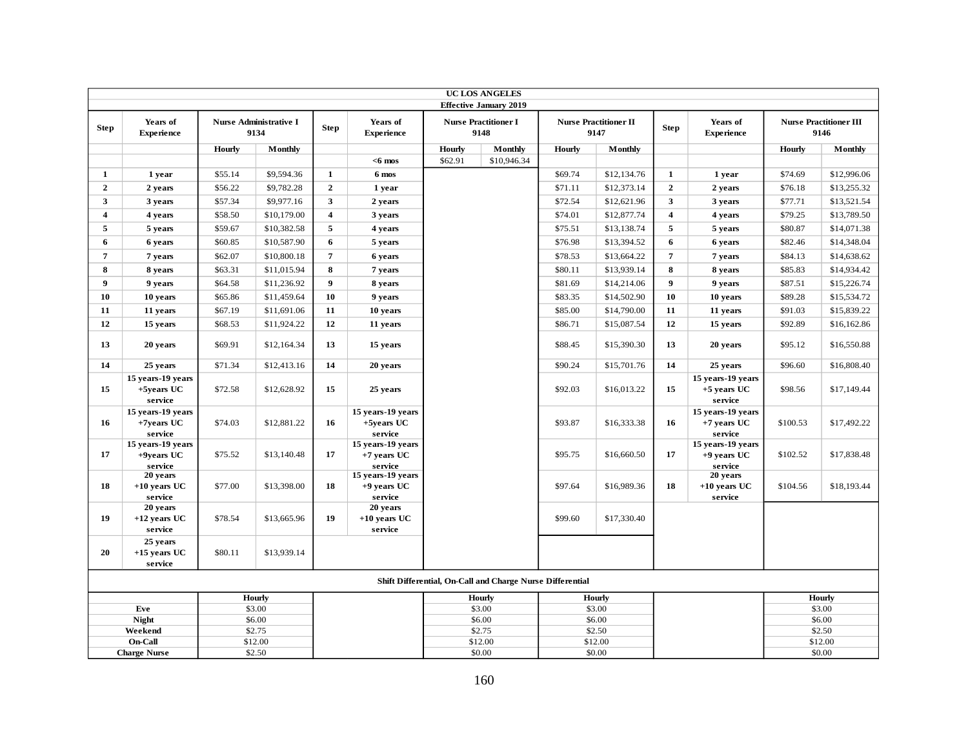|                         | <b>UC LOS ANGELES</b><br><b>Effective January 2019</b> |         |                                       |                  |                                                           |               |                                     |         |                                      |                         |                                             |               |                                       |
|-------------------------|--------------------------------------------------------|---------|---------------------------------------|------------------|-----------------------------------------------------------|---------------|-------------------------------------|---------|--------------------------------------|-------------------------|---------------------------------------------|---------------|---------------------------------------|
|                         |                                                        |         |                                       |                  |                                                           |               |                                     |         |                                      |                         |                                             |               |                                       |
| <b>Step</b>             | Years of<br><b>Experience</b>                          |         | <b>Nurse Administrative I</b><br>9134 | <b>Step</b>      | Years of<br><b>Experience</b>                             |               | <b>Nurse Practitioner I</b><br>9148 |         | <b>Nurse Practitioner II</b><br>9147 | <b>Step</b>             | Years of<br><b>Experience</b>               |               | <b>Nurse Practitioner III</b><br>9146 |
|                         |                                                        | Hourly  | Monthly                               |                  |                                                           | Hourly        | Monthly                             | Hourly  | Monthly                              |                         |                                             | <b>Hourly</b> | Monthly                               |
|                         |                                                        |         |                                       |                  | $<$ 6 mos                                                 | \$62.91       | \$10,946.34                         |         |                                      |                         |                                             |               |                                       |
| 1                       | 1 year                                                 | \$55.14 | \$9,594.36                            | $\mathbf{1}$     | 6 mos                                                     |               |                                     | \$69.74 | \$12,134.76                          | 1                       | 1 year                                      | \$74.69       | \$12,996.06                           |
| $\overline{2}$          | 2 years                                                | \$56.22 | \$9,782.28                            | $\overline{2}$   | 1 year                                                    |               |                                     | \$71.11 | \$12,373.14                          | $\mathbf{2}$            | 2 years                                     | \$76.18       | \$13,255.32                           |
| $\overline{\mathbf{3}}$ | 3 years                                                | \$57.34 | \$9,977.16                            | $\mathbf{3}$     | 2 years                                                   |               |                                     | \$72.54 | \$12,621.96                          | 3                       | 3 years                                     | \$77.71       | \$13,521.54                           |
| $\overline{4}$          | 4 years                                                | \$58.50 | \$10,179.00                           | $\overline{4}$   | 3 years                                                   |               |                                     | \$74.01 | \$12,877.74                          | $\overline{\mathbf{4}}$ | 4 years                                     | \$79.25       | \$13,789.50                           |
| $\overline{5}$          | 5 years                                                | \$59.67 | \$10,382.58                           | 5                | 4 years                                                   |               |                                     | \$75.51 | \$13,138.74                          | $\sqrt{5}$              | 5 years                                     | \$80.87       | \$14,071.38                           |
| 6                       | 6 years                                                | \$60.85 | \$10,587.90                           | 6                | 5 years                                                   |               |                                     | \$76.98 | \$13,394.52                          | 6                       | 6 years                                     | \$82.46       | \$14,348.04                           |
| $\overline{7}$          | 7 years                                                | \$62.07 | \$10,800.18                           | $\overline{7}$   | 6 years                                                   |               |                                     | \$78.53 | \$13,664.22                          | $\overline{7}$          | 7 years                                     | \$84.13       | \$14,638.62                           |
| 8                       | 8 years                                                | \$63.31 | \$11,015.94                           | 8                | 7 years                                                   |               |                                     | \$80.11 | \$13,939.14                          | 8                       | 8 years                                     | \$85.83       | \$14,934.42                           |
| 9                       | 9 years                                                | \$64.58 | \$11,236.92                           | $\boldsymbol{9}$ | 8 years                                                   |               |                                     | \$81.69 | \$14,214.06                          | 9                       | 9 years                                     | \$87.51       | \$15,226.74                           |
| 10                      | 10 years                                               | \$65.86 | \$11,459.64                           | 10               | 9 years                                                   |               |                                     | \$83.35 | \$14,502.90                          | 10                      | 10 years                                    | \$89.28       | \$15,534.72                           |
| 11                      | 11 years                                               | \$67.19 | \$11,691.06                           | 11               | 10 years                                                  |               |                                     | \$85.00 | \$14,790.00                          | 11                      | 11 years                                    | \$91.03       | \$15,839.22                           |
| 12                      | 15 years                                               | \$68.53 | \$11,924.22                           | 12               | 11 years                                                  |               |                                     | \$86.71 | \$15,087.54                          | 12                      | 15 years                                    | \$92.89       | \$16,162.86                           |
| 13                      | 20 years                                               | \$69.91 | \$12,164.34                           | 13               | 15 years                                                  |               |                                     | \$88.45 | \$15,390.30                          | 13                      | 20 years                                    | \$95.12       | \$16,550.88                           |
| 14                      | 25 years                                               | \$71.34 | \$12,413.16                           | 14               | 20 years                                                  |               |                                     | \$90.24 | \$15,701.76                          | 14                      | 25 years                                    | \$96.60       | \$16,808.40                           |
| 15                      | 15 years-19 years<br>+5years UC<br>service             | \$72.58 | \$12,628.92                           | 15               | 25 years                                                  |               |                                     | \$92.03 | \$16,013.22                          | 15                      | 15 years-19 years<br>+5 years UC<br>service | \$98.56       | \$17,149.44                           |
| 16                      | 15 years-19 years<br>+7years UC<br>service             | \$74.03 | \$12,881.22                           | 16               | 15 years-19 years<br>+5years UC<br>service                |               |                                     | \$93.87 | \$16,333.38                          | 16                      | 15 years-19 years<br>+7 years UC<br>service | \$100.53      | \$17,492.22                           |
| 17                      | 15 years-19 years<br>+9years UC<br>service             | \$75.52 | \$13,140.48                           | 17               | 15 years-19 years<br>$+7$ years UC<br>service             |               |                                     | \$95.75 | \$16,660.50                          | 17                      | 15 years-19 years<br>+9 years UC<br>service | \$102.52      | \$17,838.48                           |
| 18                      | 20 years<br>$+10$ years UC<br>service                  | \$77.00 | \$13,398.00                           | 18               | 15 years-19 years<br>$+9$ years UC<br>service             |               |                                     | \$97.64 | \$16,989.36                          | 18                      | 20 years<br>$+10$ years UC<br>service       | \$104.56      | \$18,193.44                           |
| 19                      | 20 years<br>$+12$ vears UC<br>service                  | \$78.54 | \$13,665.96                           | 19               | 20 years<br>$+10$ years UC<br>service                     |               |                                     | \$99.60 | \$17,330.40                          |                         |                                             |               |                                       |
| 20                      | 25 years<br>$+15$ years UC<br>service                  | \$80.11 | \$13,939.14                           |                  |                                                           |               |                                     |         |                                      |                         |                                             |               |                                       |
|                         |                                                        |         |                                       |                  | Shift Differential, On-Call and Charge Nurse Differential |               |                                     |         |                                      |                         |                                             |               |                                       |
|                         | Hourly                                                 |         |                                       | Hourly           |                                                           | <b>Hourly</b> |                                     |         |                                      | <b>Hourly</b>           |                                             |               |                                       |
|                         | Eve<br><b>Night</b>                                    |         | \$3.00<br>\$6.00                      |                  |                                                           |               | \$3.00<br>\$6.00                    |         | \$3.00<br>\$6.00                     |                         |                                             |               | \$3.00<br>\$6.00                      |
|                         | Weekend                                                |         | \$2.75                                |                  |                                                           |               | \$2.75                              |         | \$2.50                               |                         |                                             |               | \$2.50                                |
|                         | On-Call                                                |         | \$12.00                               |                  |                                                           |               | \$12.00                             |         | \$12.00                              |                         |                                             |               | \$12.00                               |
|                         | <b>Charge Nurse</b>                                    |         | \$2.50                                |                  |                                                           |               | \$0.00                              |         | \$0.00                               |                         |                                             |               | \$0.00                                |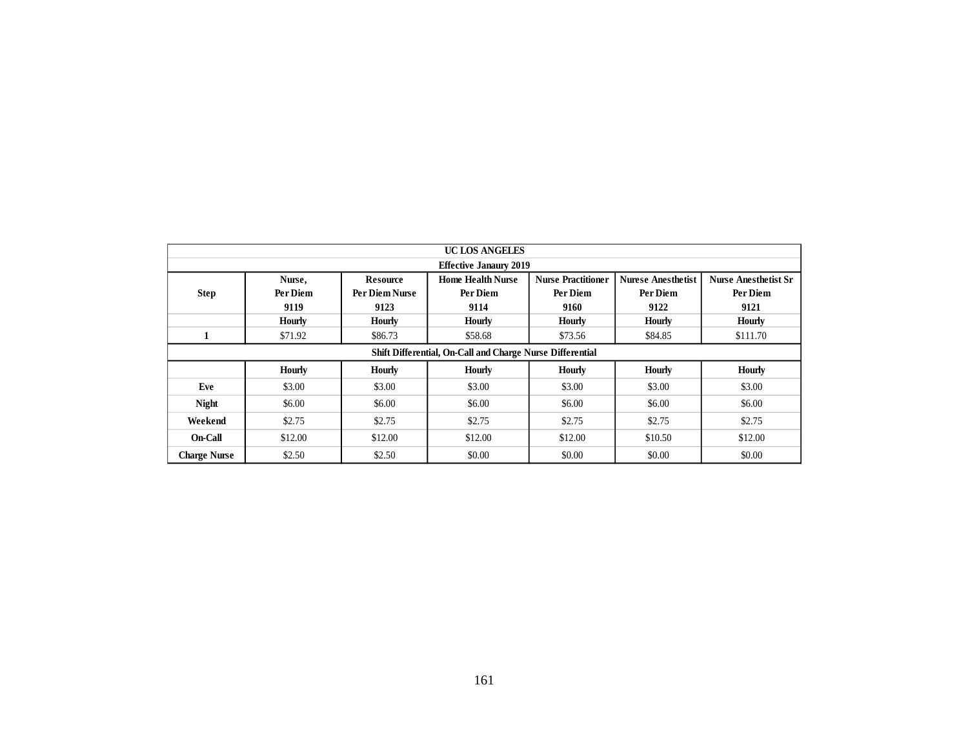|                     | <b>UC LOS ANGELES</b><br><b>Effective Janaury 2019</b> |                                           |                                                           |                                               |                                               |                                                 |  |  |  |  |  |  |  |  |
|---------------------|--------------------------------------------------------|-------------------------------------------|-----------------------------------------------------------|-----------------------------------------------|-----------------------------------------------|-------------------------------------------------|--|--|--|--|--|--|--|--|
|                     |                                                        |                                           |                                                           |                                               |                                               |                                                 |  |  |  |  |  |  |  |  |
| <b>Step</b>         | Nurse,<br>Per Diem<br>9119                             | <b>Resource</b><br>Per Diem Nurse<br>9123 | <b>Home Health Nurse</b><br>Per Diem<br>9114              | <b>Nurse Practitioner</b><br>Per Diem<br>9160 | <b>Nurese Anesthetist</b><br>Per Diem<br>9122 | <b>Nurse Anesthetist Sr</b><br>Per Diem<br>9121 |  |  |  |  |  |  |  |  |
|                     | <b>Hourly</b>                                          | <b>Hourly</b>                             | Hourly                                                    | Hourly                                        | <b>Hourly</b>                                 | Hourly                                          |  |  |  |  |  |  |  |  |
| $\mathbf 1$         | \$71.92                                                | \$86.73                                   | \$58.68                                                   | \$73.56                                       | \$84.85                                       | \$111.70                                        |  |  |  |  |  |  |  |  |
|                     |                                                        |                                           | Shift Differential, On-Call and Charge Nurse Differential |                                               |                                               |                                                 |  |  |  |  |  |  |  |  |
|                     | Hourly                                                 | <b>Hourly</b>                             | Hourly                                                    | <b>Hourly</b>                                 | Hourly                                        |                                                 |  |  |  |  |  |  |  |  |
| Eve                 | \$3.00                                                 | \$3.00                                    | \$3.00                                                    | \$3.00                                        | \$3.00                                        | \$3.00                                          |  |  |  |  |  |  |  |  |
| <b>Night</b>        | \$6.00                                                 | \$6.00                                    | \$6.00                                                    | \$6.00                                        | \$6.00                                        | \$6.00                                          |  |  |  |  |  |  |  |  |
| Weekend             | \$2.75                                                 | \$2.75                                    | \$2.75                                                    | \$2.75                                        | \$2.75                                        | \$2.75                                          |  |  |  |  |  |  |  |  |
| On-Call             | \$12.00                                                | \$12.00                                   | \$12.00                                                   | \$12.00                                       | \$10.50                                       | \$12.00                                         |  |  |  |  |  |  |  |  |
| <b>Charge Nurse</b> | \$2.50                                                 | \$2.50                                    | \$0.00                                                    | \$0.00                                        | \$0.00                                        | \$0.00                                          |  |  |  |  |  |  |  |  |
|                     |                                                        |                                           |                                                           |                                               |                                               |                                                 |  |  |  |  |  |  |  |  |
|                     |                                                        |                                           | 161                                                       |                                               |                                               |                                                 |  |  |  |  |  |  |  |  |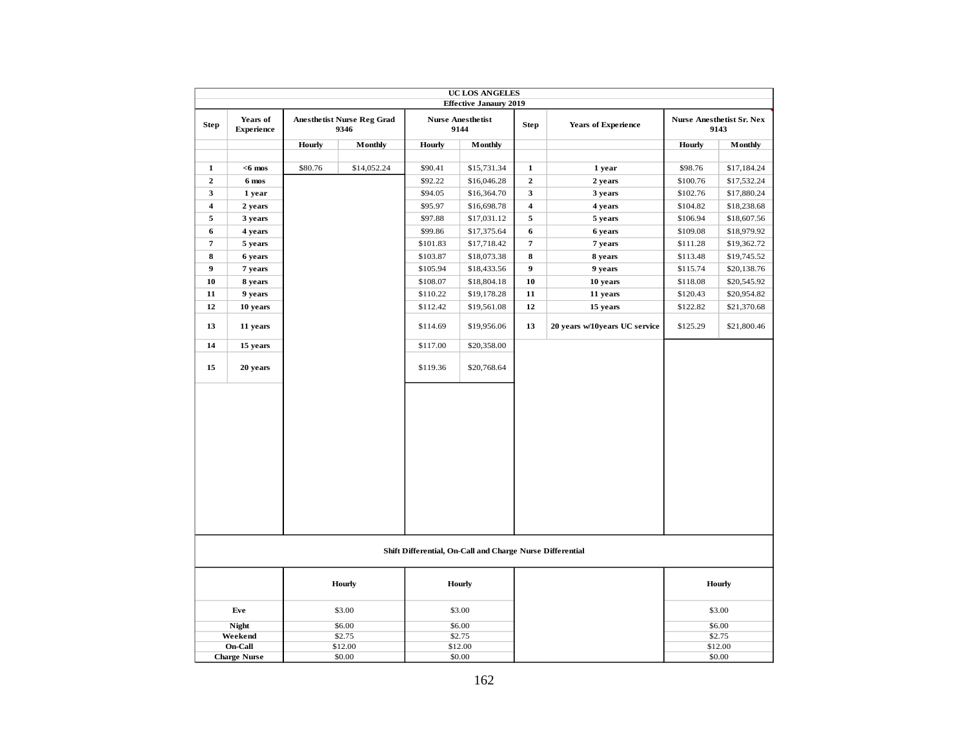|                         |                               |               |                                           |          | UC LOS ANGELES                                            |                         |                               |               |                                          |
|-------------------------|-------------------------------|---------------|-------------------------------------------|----------|-----------------------------------------------------------|-------------------------|-------------------------------|---------------|------------------------------------------|
|                         |                               |               |                                           |          | <b>Effective Janaury 2019</b>                             |                         |                               |               |                                          |
| <b>Step</b>             | Years of<br><b>Experience</b> |               | <b>Anesthetist Nurse Reg Grad</b><br>9346 |          | <b>Nurse Anesthetist</b><br>9144                          | <b>Step</b>             | <b>Years of Experience</b>    |               | <b>Nurse Anesthetist Sr. Nex</b><br>9143 |
|                         |                               | <b>Hourly</b> | Monthly                                   | Hourly   | <b>Monthly</b>                                            |                         |                               | <b>Hourly</b> | Monthly                                  |
|                         |                               |               |                                           |          |                                                           |                         |                               |               |                                          |
| $\mathbf{1}$            | $<$ 6 mos                     | \$80.76       | \$14,052.24                               | \$90.41  | \$15,731.34                                               | $\mathbf{1}$            | 1 year                        | \$98.76       | \$17,184.24                              |
| $\mathbf 2$             | 6 mos                         |               |                                           | \$92.22  | \$16,046.28                                               | $\overline{2}$          | 2 years                       | \$100.76      | \$17,532.24                              |
| 3                       | 1 year                        |               |                                           | \$94.05  | \$16,364.70                                               | $\mathbf{3}$            | 3 years                       | \$102.76      | \$17,880.24                              |
| $\overline{\mathbf{4}}$ | 2 years                       |               |                                           | \$95.97  | \$16,698.78                                               | $\overline{\mathbf{4}}$ | 4 years                       | \$104.82      | \$18,238.68                              |
| 5                       | 3 years                       |               |                                           | \$97.88  | \$17,031.12                                               | 5                       | 5 years                       | \$106.94      | \$18,607.56                              |
| 6                       | 4 years                       |               |                                           | \$99.86  | \$17,375.64                                               | $\bf{6}$                | 6 years                       | \$109.08      | \$18,979.92                              |
| $\overline{\mathbf{7}}$ | 5 years                       |               |                                           | \$101.83 | \$17,718.42                                               | $\overline{\mathbf{7}}$ | 7 years                       | \$111.28      | \$19,362.72                              |
| 8                       | 6 years                       |               |                                           | \$103.87 | \$18,073.38                                               | 8                       | 8 years                       | \$113.48      | \$19,745.52                              |
| 9                       | 7 years                       |               |                                           | \$105.94 | \$18,433.56                                               | $\boldsymbol{9}$        | 9 years                       | \$115.74      | \$20,138.76                              |
| 10                      | 8 years                       |               |                                           | \$108.07 | \$18,804.18                                               | 10                      | 10 years                      | \$118.08      | \$20,545.92                              |
| 11                      | 9 years                       |               |                                           | \$110.22 | \$19,178.28                                               | 11                      | 11 years                      | \$120.43      | \$20,954.82                              |
| 12                      | 10 years                      |               |                                           | \$112.42 | \$19,561.08                                               | 12                      | 15 years                      | \$122.82      | \$21,370.68                              |
| 13                      | 11 years                      |               |                                           | \$114.69 | \$19,956.06                                               | 13                      | 20 years w/10years UC service | \$125.29      | \$21,800.46                              |
| 14                      | 15 years                      |               |                                           | \$117.00 | \$20,358.00                                               |                         |                               |               |                                          |
| 15                      | 20 years                      |               |                                           | \$119.36 | \$20,768.64                                               |                         |                               |               |                                          |
|                         |                               |               |                                           |          |                                                           |                         |                               |               |                                          |
|                         |                               |               |                                           |          | Shift Differential, On-Call and Charge Nurse Differential |                         |                               |               |                                          |
|                         |                               |               | Hourly                                    |          | <b>Hourly</b>                                             |                         |                               |               | Hourly                                   |
|                         | Eve                           |               | \$3.00                                    |          | \$3.00                                                    |                         |                               |               | \$3.00                                   |
|                         | <b>Night</b>                  |               | \$6.00                                    |          | \$6.00                                                    |                         |                               |               | \$6.00                                   |
|                         | Weekend                       |               | \$2.75                                    |          | \$2.75                                                    |                         |                               |               | \$2.75                                   |
|                         | On-Call                       |               | \$12.00                                   |          | \$12.00                                                   |                         |                               |               | \$12.00                                  |
|                         | <b>Charge Nurse</b>           |               | \$0.00                                    |          | \$0.00                                                    |                         |                               |               | \$0.00                                   |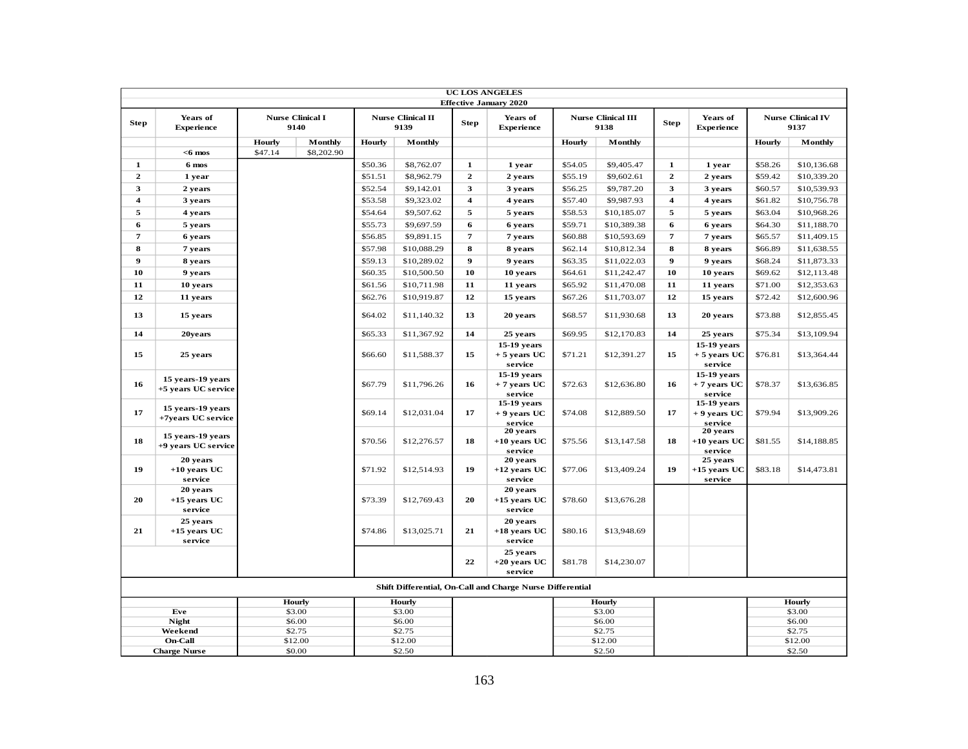|                         |                                                    |               |                                 |         |                                  |                         | <b>UC LOS ANGELES</b>                                     |         |                                   |                         |                                                    |         |                                  |
|-------------------------|----------------------------------------------------|---------------|---------------------------------|---------|----------------------------------|-------------------------|-----------------------------------------------------------|---------|-----------------------------------|-------------------------|----------------------------------------------------|---------|----------------------------------|
|                         |                                                    |               |                                 |         |                                  |                         | <b>Effective January 2020</b>                             |         |                                   |                         |                                                    |         |                                  |
| <b>Step</b>             | Years of<br><b>Experience</b>                      |               | <b>Nurse Clinical I</b><br>9140 |         | <b>Nurse Clinical II</b><br>9139 | <b>Step</b>             | Years of<br><b>Experience</b>                             |         | <b>Nurse Clinical III</b><br>9138 | <b>Step</b>             | Years of<br><b>Experience</b>                      |         | <b>Nurse Clinical IV</b><br>9137 |
|                         |                                                    | <b>Hourly</b> | <b>Monthly</b>                  | Hourly  | Monthly                          |                         |                                                           | Hourly  | Monthly                           |                         |                                                    | Hourly  | Monthly                          |
|                         | $<$ 6 mos                                          | \$47.14       | \$8,202.90                      |         |                                  |                         |                                                           |         |                                   |                         |                                                    |         |                                  |
| $\mathbf{1}$            | 6 mos                                              |               |                                 | \$50.36 | \$8,762.07                       | $\mathbf{1}$            | 1 year                                                    | \$54.05 | \$9,405.47                        | $\mathbf{1}$            | 1 year                                             | \$58.26 | \$10,136.68                      |
| $\mathbf{2}$            | 1 year                                             |               |                                 | \$51.51 | \$8,962.79                       | $\mathbf{2}$            | 2 years                                                   | \$55.19 | \$9,602.61                        | $\overline{2}$          | 2 years                                            | \$59.42 | \$10,339.20                      |
| 3                       | 2 years                                            |               |                                 | \$52.54 | \$9,142.01                       | 3                       | 3 years                                                   | \$56.25 | \$9,787.20                        | $\overline{\mathbf{3}}$ | 3 years                                            | \$60.57 | \$10,539.93                      |
| $\overline{\mathbf{4}}$ | 3 years                                            |               |                                 | \$53.58 | \$9,323.02                       | $\overline{\mathbf{4}}$ | 4 years                                                   | \$57.40 | \$9,987.93                        | $\overline{4}$          | 4 years                                            | \$61.82 | \$10,756.78                      |
| 5                       | 4 years                                            |               |                                 | \$54.64 | \$9,507.62                       | 5                       | 5 years                                                   | \$58.53 | \$10,185.07                       | 5                       | 5 years                                            | \$63.04 | \$10,968.26                      |
| 6                       | 5 years                                            |               |                                 | \$55.73 | \$9,697.59                       | 6                       | 6 years                                                   | \$59.71 | \$10,389.38                       | 6                       | 6 years                                            | \$64.30 | \$11,188.70                      |
| 7                       | 6 years                                            |               |                                 | \$56.85 | \$9,891.15                       | 7                       | 7 years                                                   | \$60.88 | \$10,593.69                       | $\overline{7}$          | 7 years                                            | \$65.57 | \$11,409.15                      |
| 8                       | 7 years                                            |               |                                 | \$57.98 | \$10,088.29                      | 8                       | 8 years                                                   | \$62.14 | \$10,812.34                       | 8                       | 8 years                                            | \$66.89 | \$11,638.55                      |
| 9                       | 8 years                                            |               |                                 | \$59.13 | \$10,289.02                      | $\boldsymbol{9}$        | 9 years                                                   | \$63.35 | \$11,022.03                       | 9                       | 9 years                                            | \$68.24 | \$11,873.33                      |
| 10                      | 9 years                                            |               |                                 | \$60.35 | \$10,500.50                      | 10                      | 10 years                                                  | \$64.61 | \$11,242.47                       | 10                      | 10 years                                           | \$69.62 | \$12,113.48                      |
| 11                      | 10 years                                           |               |                                 | \$61.56 | \$10,711.98                      | 11                      | 11 years                                                  | \$65.92 | \$11,470.08                       | 11                      | 11 years                                           | \$71.00 | \$12,353.63                      |
| 12                      | 11 years                                           |               |                                 | \$62.76 | \$10,919.87                      | 12                      | 15 years                                                  | \$67.26 | \$11,703.07                       | 12                      | 15 years                                           | \$72.42 | \$12,600.96                      |
| 13                      | 15 years                                           |               |                                 | \$64.02 | \$11,140.32                      | 13                      | 20 years                                                  | \$68.57 | \$11,930.68                       | 13                      | 20 years                                           | \$73.88 | \$12,855.45                      |
| 14                      | 20years                                            |               |                                 | \$65.33 | \$11,367.92                      | 14                      | 25 years                                                  | \$69.95 | \$12,170.83                       | 14                      | 25 years                                           | \$75.34 | \$13,109.94                      |
| 15                      | 25 years                                           |               |                                 | \$66.60 | \$11,588.37                      | 15                      | 15-19 years<br>$+5$ years UC                              | \$71.21 | \$12,391.27                       | 15                      | 15-19 years<br>$+5$ years UC                       | \$76.81 | \$13,364.44                      |
| 16                      | 15 years-19 years<br>+5 years UC service           |               |                                 | \$67.79 | \$11,796.26                      | 16                      | service<br>15-19 years<br>$+7$ years UC<br>service        | \$72.63 | \$12,636.80                       | 16                      | service<br>15-19 years<br>$+7$ years UC<br>service | \$78.37 | \$13,636.85                      |
| 17                      | 15 years-19 years<br>+7years UC service            |               |                                 | \$69.14 | \$12,031.04                      | 17                      | $15-19$ years<br>$+9$ years UC<br>service                 | \$74.08 | \$12,889.50                       | 17                      | 15-19 years<br>$+9$ years UC<br>service            | \$79.94 | \$13,909.26                      |
| 18                      | 15 years-19 years<br>+9 years UC service           |               |                                 | \$70.56 | \$12,276.57                      | 18                      | 20 years<br>$+10$ years UC<br>service                     | \$75.56 | \$13,147.58                       | 18                      | 20 years<br>$+10$ years UC<br>service              | \$81.55 | \$14,188.85                      |
| 19                      | 20 years<br>$+10$ years UC<br>service              |               |                                 | \$71.92 | \$12,514.93                      | 19                      | 20 years<br>$+12$ years UC<br>service                     | \$77.06 | \$13,409.24                       | 19                      | 25 years<br>+15 years UC<br>service                | \$83.18 | \$14,473.81                      |
| 20                      | 20 years<br>$+15$ years UC<br>service              |               |                                 | \$73.39 | \$12,769.43                      | 20                      | 20 years<br>$+15$ years UC<br>service                     | \$78.60 | \$13,676.28                       |                         |                                                    |         |                                  |
| 21                      | 25 years<br>$+15$ years UC<br>service              |               |                                 | \$74.86 | \$13,025.71                      | 21                      | 20 years<br>$+18$ years UC<br>service                     | \$80.16 | \$13,948.69                       |                         |                                                    |         |                                  |
|                         |                                                    |               |                                 |         |                                  | 22                      | 25 years<br>$+20$ years UC<br>service                     | \$81.78 | \$14,230.07                       |                         |                                                    |         |                                  |
|                         |                                                    |               |                                 |         |                                  |                         | Shift Differential, On-Call and Charge Nurse Differential |         |                                   |                         |                                                    |         |                                  |
|                         | Hourly<br>Hourly<br><b>Hourly</b><br><b>Hourly</b> |               |                                 |         |                                  |                         |                                                           |         |                                   |                         |                                                    |         |                                  |
|                         | Eve                                                |               | \$3.00<br>\$6.00                |         | \$3.00<br>\$6.00                 |                         |                                                           |         | \$3.00                            |                         |                                                    |         | \$3.00                           |
|                         | <b>Night</b><br>Weekend                            |               | \$2.75                          |         | \$2.75                           |                         |                                                           |         | \$6.00<br>\$2.75                  |                         |                                                    |         | \$6.00<br>\$2.75                 |
|                         | On-Call                                            |               | \$12.00                         |         | \$12.00                          |                         |                                                           |         | \$12.00                           |                         |                                                    |         | \$12.00                          |
|                         | <b>Charge Nurse</b>                                |               | \$0.00                          |         | \$2.50                           |                         |                                                           |         | \$2.50                            |                         |                                                    |         | \$2.50                           |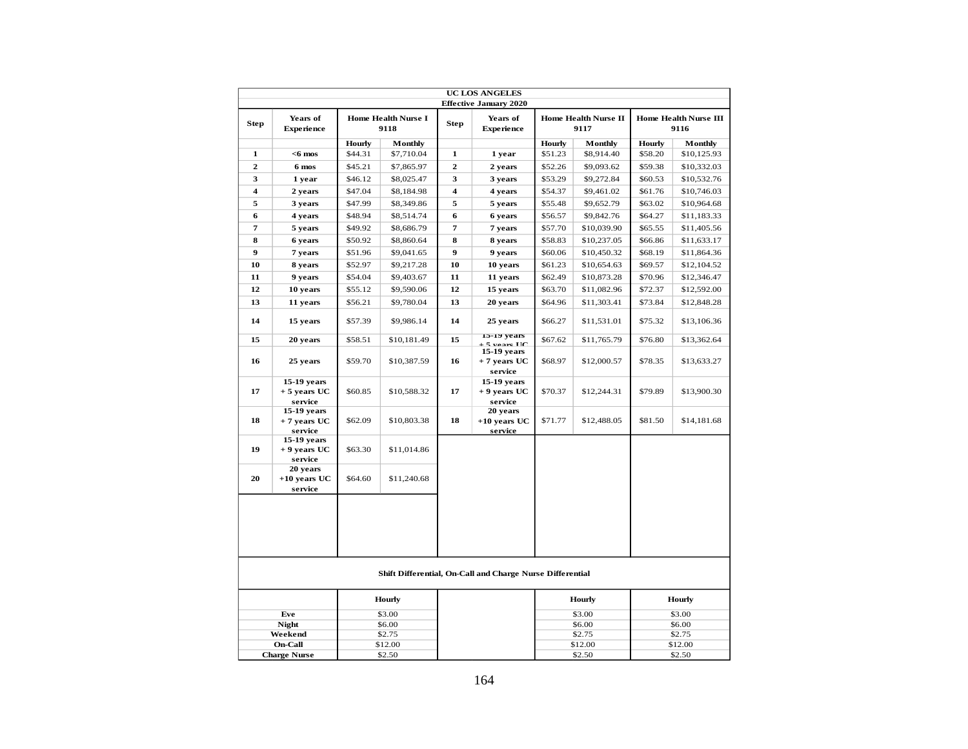|                         |                                          |                                                         |                  |                         | <b>UC LOS ANGELES</b><br><b>Effective January 2020</b>                               |         |                              |         |                                      |
|-------------------------|------------------------------------------|---------------------------------------------------------|------------------|-------------------------|--------------------------------------------------------------------------------------|---------|------------------------------|---------|--------------------------------------|
| <b>Step</b>             | Years of<br><b>Experience</b>            | Home Health Nurse I<br>9118<br>Hourly<br><b>Monthly</b> |                  | <b>Step</b>             | Years of<br><b>Experience</b>                                                        |         | Home Health Nurse II<br>9117 |         | <b>Home Health Nurse III</b><br>9116 |
|                         |                                          |                                                         |                  |                         |                                                                                      | Hourly  | Monthly                      | Hourly  | Monthly                              |
| 1                       | $<$ 6 mos                                | \$44.31                                                 | \$7,710.04       | $\mathbf{1}$            | 1 year                                                                               | \$51.23 | \$8,914.40                   | \$58.20 | \$10,125.93                          |
| $\overline{2}$          | 6 mos                                    | \$45.21                                                 | \$7,865.97       | $\mathbf{2}$            | 2 years                                                                              | \$52.26 | \$9,093.62                   | \$59.38 | \$10,332.03                          |
| 3                       | 1 year                                   | \$46.12                                                 | \$8,025.47       | 3                       | 3 years                                                                              | \$53.29 | \$9,272.84                   | \$60.53 | \$10,532.76                          |
| $\overline{\mathbf{4}}$ | 2 years                                  | \$47.04                                                 | \$8,184.98       | $\overline{\mathbf{4}}$ | 4 years                                                                              | \$54.37 | \$9,461.02                   | \$61.76 | \$10,746.03                          |
| 5                       | 3 years                                  | \$47.99                                                 | \$8,349.86       | 5                       | 5 years                                                                              | \$55.48 | \$9,652.79                   | \$63.02 | \$10,964.68                          |
| 6                       | 4 years                                  | \$48.94                                                 | \$8,514.74       | 6                       | 6 years                                                                              | \$56.57 | \$9,842.76                   | \$64.27 | \$11,183.33                          |
| 7                       | 5 years                                  | \$49.92                                                 | \$8,686.79       | $\overline{7}$          | 7 years                                                                              | \$57.70 | \$10,039.90                  | \$65.55 | \$11,405.56                          |
| 8                       | 6 years                                  | \$50.92                                                 | \$8,860.64       | 8                       | 8 years                                                                              | \$58.83 | \$10,237.05                  | \$66.86 | \$11,633.17                          |
| 9                       | 7 years                                  | \$51.96                                                 | \$9,041.65       | 9                       | 9 years                                                                              | \$60.06 | \$10,450.32                  | \$68.19 | \$11,864.36                          |
| 10                      | 8 years                                  | \$52.97                                                 | \$9,217.28       | 10                      | 10 years                                                                             | \$61.23 | \$10,654.63                  | \$69.57 | \$12,104.52                          |
| 11                      | 9 years                                  | \$54.04                                                 | \$9,403.67       | 11                      | 11 years                                                                             | \$62.49 | \$10,873.28                  | \$70.96 | \$12,346.47                          |
| 12                      | 10 years                                 | \$55.12                                                 | \$9,590.06       | 12                      | 15 years                                                                             | \$63.70 | \$11,082.96                  | \$72.37 | \$12,592.00                          |
| 13                      | 11 years                                 | \$56.21                                                 | \$9,780.04       | 13                      | 20 years                                                                             | \$64.96 | \$11,303.41                  | \$73.84 | \$12,848.28                          |
| 14                      | 15 years                                 | \$57.39                                                 | \$9,986.14       | 14                      | 25 years                                                                             | \$66.27 | \$11,531.01                  | \$75.32 | \$13,106.36                          |
| 15                      | 20 years                                 | \$58.51                                                 | \$10,181.49      | 15                      | 15-19 years                                                                          | \$67.62 | \$11,765.79                  | \$76.80 | \$13,362.64                          |
| 16                      | 25 years                                 | \$59.70                                                 | \$10,387.59      | 16                      | $\mathcal{L}$ vanne $\mathbf{H}\mathbf{C}$<br>15-19 years<br>+ 7 years UC<br>service | \$68.97 | \$12,000.57                  | \$78.35 | \$13,633.27                          |
| 17                      | 15-19 years<br>$+5$ years UC<br>service  | \$60.85                                                 | \$10,588.32      | 17                      | 15-19 years<br>+ 9 years UC<br>service                                               | \$70.37 | \$12,244.31                  | \$79.89 | \$13,900.30                          |
| 18                      | $15-19$ years<br>+ 7 years UC<br>service | \$62.09                                                 | \$10,803.38      | 18                      | 20 years<br>$+10$ years UC<br>service                                                | \$71.77 | \$12,488.05                  | \$81.50 | \$14,181.68                          |
| 19                      | 15-19 years<br>+ 9 years UC<br>service   | \$63.30                                                 | \$11,014.86      |                         |                                                                                      |         |                              |         |                                      |
| 20                      | 20 years<br>$+10$ years UC<br>service    | \$64.60                                                 | \$11,240.68      |                         |                                                                                      |         |                              |         |                                      |
|                         |                                          |                                                         |                  |                         |                                                                                      |         |                              |         |                                      |
|                         |                                          |                                                         |                  |                         | Shift Differential, On-Call and Charge Nurse Differential                            |         |                              |         |                                      |
|                         |                                          |                                                         | Hourly           |                         |                                                                                      |         | <b>Hourly</b>                |         | <b>Hourly</b>                        |
|                         | Eve                                      |                                                         | \$3.00           |                         |                                                                                      |         | \$3.00                       |         | \$3.00                               |
|                         | Night<br>Weekend                         |                                                         | \$6.00<br>\$2.75 |                         |                                                                                      |         | \$6.00                       |         | \$6.00<br>\$2.75                     |
|                         | On-Call                                  |                                                         | \$12.00          |                         |                                                                                      |         | \$2.75<br>\$12.00            |         | \$12.00                              |
|                         | <b>Charge Nurse</b>                      |                                                         | \$2.50           |                         |                                                                                      | \$2.50  |                              | \$2.50  |                                      |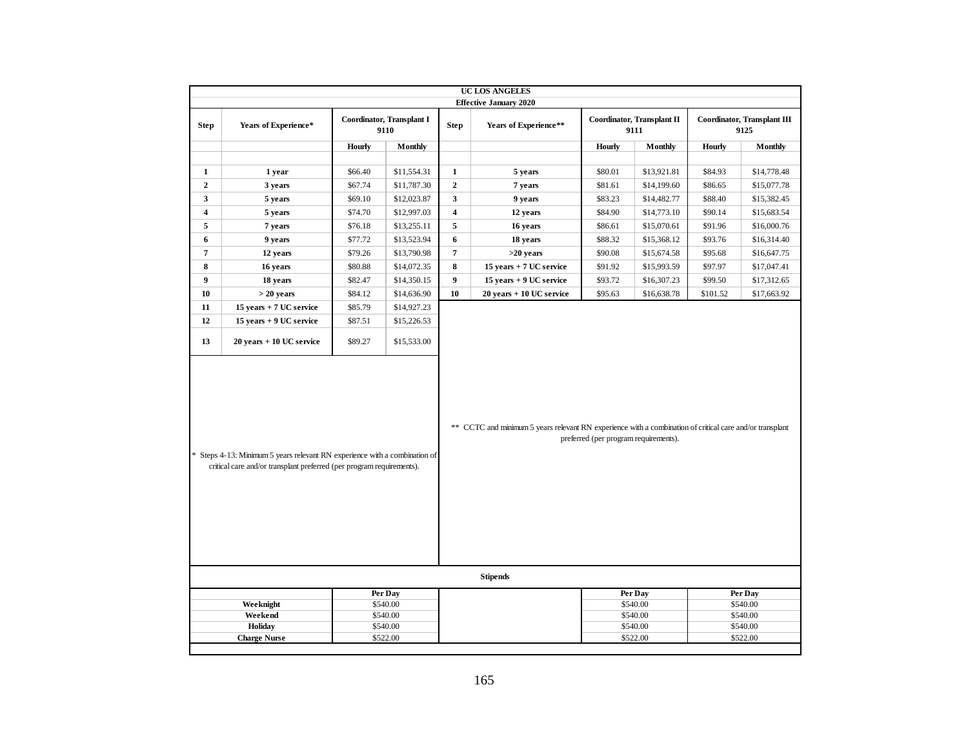|                                 |                                                                                                                                                                                                                                                                                                          |         |                     |                         | UC LOS ANGELES              |         |                     |          |                     |  |  |  |
|---------------------------------|----------------------------------------------------------------------------------------------------------------------------------------------------------------------------------------------------------------------------------------------------------------------------------------------------------|---------|---------------------|-------------------------|-----------------------------|---------|---------------------|----------|---------------------|--|--|--|
|                                 | <b>Effective January 2020</b><br>Coordinator, Transplant I<br>Coordinator, Transplant II<br>Coordinator, Transplant III                                                                                                                                                                                  |         |                     |                         |                             |         |                     |          |                     |  |  |  |
| <b>Step</b>                     | Years of Experience*                                                                                                                                                                                                                                                                                     |         | 9110                | <b>Step</b>             | Years of Experience**       |         | 9111                |          | 9125                |  |  |  |
|                                 |                                                                                                                                                                                                                                                                                                          | Hourly  | Monthly             |                         |                             | Hourly  | Monthly             | Hourly   | Monthly             |  |  |  |
|                                 |                                                                                                                                                                                                                                                                                                          |         |                     |                         |                             |         |                     |          |                     |  |  |  |
| $\mathbf{1}$                    | 1 year                                                                                                                                                                                                                                                                                                   | \$66.40 | \$11,554.31         | $\mathbf{1}$            | 5 years                     | \$80.01 | \$13,921.81         | \$84.93  | \$14,778.48         |  |  |  |
| $\mathbf 2$                     | 3 years                                                                                                                                                                                                                                                                                                  | \$67.74 | \$11,787.30         | $\mathbf 2$             | 7 years                     | \$81.61 | \$14,199.60         | \$86.65  | \$15,077.78         |  |  |  |
| $\mathbf{3}$                    | 5 years                                                                                                                                                                                                                                                                                                  | \$69.10 | \$12,023.87         | $\mathbf{3}$            | 9 years                     | \$83.23 | \$14,482.77         | \$88.40  | \$15,382.45         |  |  |  |
| $\overline{\mathbf{4}}$         | 5 years                                                                                                                                                                                                                                                                                                  | \$74.70 | \$12,997.03         | $\overline{\mathbf{4}}$ | 12 years                    | \$84.90 | \$14,773.10         | \$90.14  | \$15,683.54         |  |  |  |
| 5                               | 7 years                                                                                                                                                                                                                                                                                                  | \$76.18 | \$13,255.11         | $\sqrt{5}$              | 16 years                    | \$86.61 | \$15,070.61         | \$91.96  | \$16,000.76         |  |  |  |
| 6                               | 9 years                                                                                                                                                                                                                                                                                                  | \$77.72 | \$13,523.94         | 6                       | 18 years                    | \$88.32 | \$15,368.12         | \$93.76  | \$16,314.40         |  |  |  |
| $\pmb{7}$                       | 12 years                                                                                                                                                                                                                                                                                                 | \$79.26 | \$13,790.98         | $\overline{7}$          | $>20$ years                 | \$90.08 | \$15,674.58         | \$95.68  | \$16,647.75         |  |  |  |
| 8                               | 16 years                                                                                                                                                                                                                                                                                                 | \$80.88 | \$14,072.35         | 8                       | 15 years + 7 UC service     | \$91.92 | \$15,993.59         | \$97.97  | \$17,047.41         |  |  |  |
| $\boldsymbol{9}$                | 18 years                                                                                                                                                                                                                                                                                                 | \$82.47 | \$14,350.15         | $\boldsymbol{9}$        | 15 years + 9 UC service     | \$93.72 | \$16,307.23         | \$99.50  | \$17,312.65         |  |  |  |
| 10                              | $> 20$ years                                                                                                                                                                                                                                                                                             | \$84.12 | \$14,636.90         | 10                      | $20$ years $+10$ UC service | \$95.63 | \$16,638.78         | \$101.52 | \$17,663.92         |  |  |  |
| 11                              | 15 years + 7 UC service                                                                                                                                                                                                                                                                                  | \$85.79 | \$14,927.23         |                         |                             |         |                     |          |                     |  |  |  |
| 12                              | 15 years + 9 UC service                                                                                                                                                                                                                                                                                  | \$87.51 | \$15,226.53         |                         |                             |         |                     |          |                     |  |  |  |
| 13                              | $20$ years $+10$ UC service                                                                                                                                                                                                                                                                              | \$89.27 | \$15,533.00         |                         |                             |         |                     |          |                     |  |  |  |
|                                 | ** CCTC and minimum 5 years relevant RN experience with a combination of critical care and/or transplant<br>preferred (per program requirements).<br>* Steps 4-13: Minimum 5 years relevant RN experience with a combination of<br>critical care and/or transplant preferred (per program requirements). |         |                     |                         |                             |         |                     |          |                     |  |  |  |
|                                 |                                                                                                                                                                                                                                                                                                          |         |                     |                         | <b>Stipends</b>             |         |                     |          |                     |  |  |  |
|                                 | Weeknight                                                                                                                                                                                                                                                                                                |         | Per Day<br>\$540.00 |                         |                             |         | Per Day<br>\$540.00 |          | Per Day<br>\$540.00 |  |  |  |
|                                 | Weekend                                                                                                                                                                                                                                                                                                  |         | \$540.00            |                         |                             |         | \$540.00            |          | \$540.00            |  |  |  |
|                                 | Holiday                                                                                                                                                                                                                                                                                                  |         | \$540.00            |                         |                             |         | \$540.00            |          | \$540.00            |  |  |  |
| <b>Charge Nurse</b><br>\$522.00 |                                                                                                                                                                                                                                                                                                          |         |                     |                         |                             |         | \$522.00            |          | \$522.00            |  |  |  |
|                                 |                                                                                                                                                                                                                                                                                                          |         |                     |                         |                             |         |                     |          |                     |  |  |  |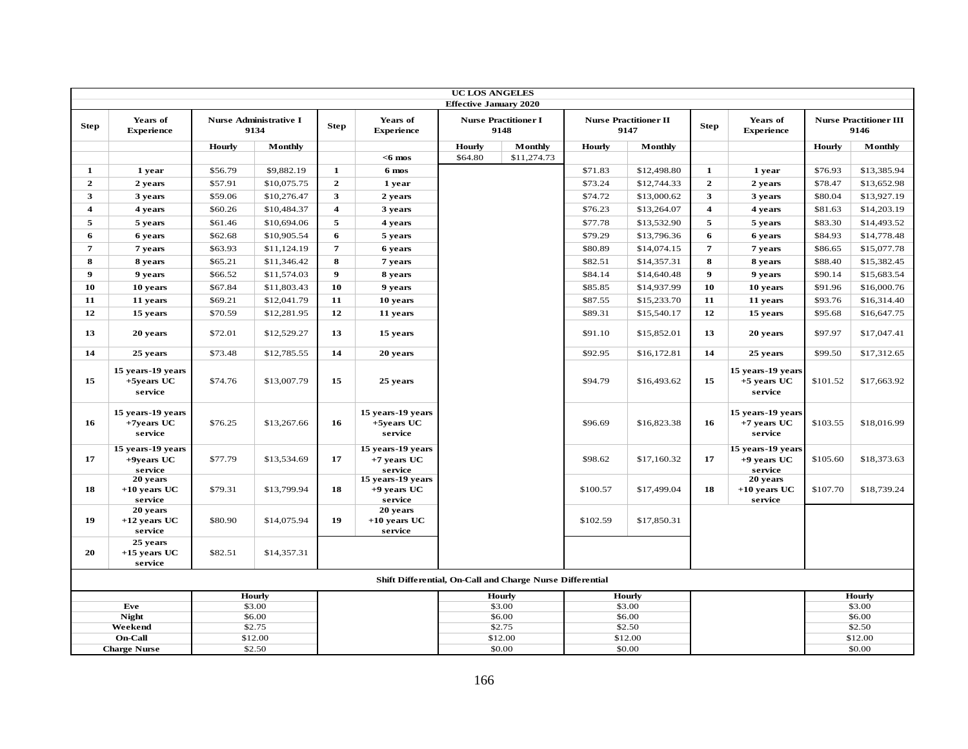|                         |                                               |         |                                       |                         |                                               | <b>UC LOS ANGELES</b>         |                                                           |                   |                                      |                         |                                               |          |                                       |
|-------------------------|-----------------------------------------------|---------|---------------------------------------|-------------------------|-----------------------------------------------|-------------------------------|-----------------------------------------------------------|-------------------|--------------------------------------|-------------------------|-----------------------------------------------|----------|---------------------------------------|
| <b>Step</b>             | Years of<br><b>Experience</b>                 |         | <b>Nurse Administrative I</b><br>9134 | <b>Step</b>             | Years of<br><b>Experience</b>                 | <b>Effective January 2020</b> | <b>Nurse Practitioner I</b><br>9148                       |                   | <b>Nurse Practitioner II</b><br>9147 | <b>Step</b>             | Years of<br><b>Experience</b>                 |          | <b>Nurse Practitioner III</b><br>9146 |
|                         |                                               | Hourly  | <b>Monthly</b>                        |                         |                                               | Hourly                        | Monthly                                                   | Hourly            | Monthly                              |                         |                                               | Hourly   | <b>Monthly</b>                        |
|                         |                                               |         |                                       |                         | $<$ 6 mos                                     | \$64.80                       | \$11,274.73                                               |                   |                                      |                         |                                               |          |                                       |
| 1                       | 1 year                                        | \$56.79 | \$9,882.19                            | $\mathbf 1$             | 6 mos                                         |                               |                                                           | \$71.83           | \$12,498.80                          | $\mathbf 1$             | 1 year                                        | \$76.93  | \$13,385.94                           |
| $\overline{2}$          | 2 years                                       | \$57.91 | \$10,075.75                           | $\mathbf{2}$            | 1 year                                        |                               |                                                           | \$73.24           | \$12,744.33                          | $\mathbf{2}$            | 2 years                                       | \$78.47  | \$13,652.98                           |
| $\mathbf{3}$            | 3 years                                       | \$59.06 | \$10,276.47                           | $\mathbf{3}$            | 2 years                                       |                               |                                                           | \$74.72           | \$13,000.62                          | $\overline{\mathbf{3}}$ | 3 years                                       | \$80.04  | \$13,927.19                           |
| $\overline{\mathbf{4}}$ | 4 years                                       | \$60.26 | \$10,484.37                           | $\overline{\mathbf{4}}$ | 3 years                                       |                               |                                                           | \$76.23           | \$13,264.07                          | $\overline{\mathbf{4}}$ | 4 years                                       | \$81.63  | \$14,203.19                           |
| 5                       | 5 years                                       | \$61.46 | \$10,694.06                           | 5                       | 4 years                                       |                               |                                                           | \$77.78           | \$13,532.90                          | 5                       | 5 years                                       | \$83.30  | \$14,493.52                           |
| 6                       | 6 years                                       | \$62.68 | \$10,905.54                           | 6                       | 5 years                                       |                               |                                                           | \$79.29           | \$13,796.36                          | 6                       | 6 years                                       | \$84.93  | \$14,778.48                           |
| $\overline{7}$          | 7 years                                       | \$63.93 | \$11,124.19                           | $\overline{7}$          | 6 years                                       |                               |                                                           | \$80.89           | \$14,074.15                          | $\overline{7}$          | 7 years                                       | \$86.65  | \$15,077.78                           |
| 8                       | 8 years                                       | \$65.21 | \$11,346.42                           | 8                       | 7 years                                       |                               |                                                           | \$82.51           | \$14,357.31                          | 8                       | 8 years                                       | \$88.40  | \$15,382.45                           |
| 9                       | 9 years                                       | \$66.52 | \$11,574.03                           | $\boldsymbol{9}$        | 8 years                                       |                               |                                                           | \$84.14           | \$14,640.48                          | $\boldsymbol{9}$        | 9 years                                       | \$90.14  | \$15,683.54                           |
| 10                      | 10 years                                      | \$67.84 | \$11,803.43                           | 10                      | 9 years                                       |                               |                                                           | \$85.85           | \$14,937.99                          | 10                      | 10 years                                      | \$91.96  | \$16,000.76                           |
| 11                      | 11 years                                      | \$69.21 | \$12,041.79                           | 11                      | 10 years                                      |                               |                                                           | \$87.55           | \$15,233.70                          | 11                      | 11 years                                      | \$93.76  | \$16,314.40                           |
| 12                      | 15 years                                      | \$70.59 | \$12,281.95                           | 12                      | 11 years                                      |                               |                                                           | \$89.31           | \$15,540.17                          | 12                      | 15 years                                      | \$95.68  | \$16,647.75                           |
| 13                      | 20 years                                      | \$72.01 | \$12,529.27                           | 13                      | 15 years                                      |                               |                                                           | \$91.10           | \$15,852.01                          | 13                      | 20 years                                      | \$97.97  | \$17,047.41                           |
| 14                      | 25 years                                      | \$73.48 | \$12,785.55                           | 14                      | 20 years                                      |                               |                                                           | \$92.95           | \$16,172.81                          | 14                      | 25 years                                      | \$99.50  | \$17,312.65                           |
| 15                      | 15 years-19 years<br>+5years UC<br>service    | \$74.76 | \$13,007.79                           | 15                      | 25 years                                      |                               |                                                           | \$94.79           | \$16,493.62                          | 15                      | 15 years-19 years<br>$+5$ years UC<br>service | \$101.52 | \$17,663.92                           |
| 16                      | 15 years-19 years<br>$+7$ vears UC<br>service | \$76.25 | \$13,267.66                           | 16                      | 15 years-19 years<br>+5years UC<br>service    |                               |                                                           | \$96.69           | \$16,823.38                          | 16                      | 15 years-19 years<br>$+7$ years UC<br>service | \$103.55 | \$18,016.99                           |
| 17                      | 15 years-19 years<br>$+9$ years UC<br>service | \$77.79 | \$13,534.69                           | 17                      | 15 years-19 years<br>$+7$ years UC<br>service |                               |                                                           | \$98.62           | \$17,160.32                          | 17                      | 15 years-19 years<br>$+9$ years UC<br>service | \$105.60 | \$18,373.63                           |
| 18                      | 20 years<br>$+10$ vears UC<br>service         | \$79.31 | \$13,799.94                           | 18                      | 15 years-19 years<br>$+9$ vears UC<br>service |                               |                                                           | \$100.57          | \$17,499.04                          | 18                      | 20 years<br>$+10$ years UC<br>service         | \$107.70 | \$18,739.24                           |
| 19                      | 20 years<br>$+12$ years UC<br>service         | \$80.90 | \$14,075.94                           | 19                      | 20 years<br>$+10$ years UC<br>service         |                               |                                                           | \$102.59          | \$17,850.31                          |                         |                                               |          |                                       |
| 20                      | 25 years<br>$+15$ years UC<br>service         | \$82.51 | \$14,357.31                           |                         |                                               |                               |                                                           |                   |                                      |                         |                                               |          |                                       |
|                         |                                               |         |                                       |                         |                                               |                               | Shift Differential, On-Call and Charge Nurse Differential |                   |                                      |                         |                                               |          |                                       |
|                         |                                               |         | <b>Hourly</b>                         |                         |                                               |                               | <b>Hourly</b>                                             |                   | <b>Hourly</b>                        |                         |                                               |          | <b>Hourly</b>                         |
|                         | Eve                                           |         | \$3.00                                |                         |                                               |                               | \$3.00                                                    |                   | \$3.00                               |                         |                                               |          | \$3.00                                |
|                         | <b>Night</b><br>Weekend                       |         | \$6.00<br>\$2.75                      |                         |                                               |                               | \$6.00<br>\$2.75                                          |                   | \$6.00                               |                         |                                               |          | \$6.00<br>\$2.50                      |
|                         | On-Call                                       |         | \$12.00                               |                         |                                               |                               | \$12.00                                                   | \$2.50<br>\$12.00 |                                      |                         |                                               |          | \$12.00                               |
|                         | <b>Charge Nurse</b>                           |         | \$2.50                                |                         |                                               |                               | \$0.00                                                    |                   | \$0.00                               |                         |                                               |          | \$0.00                                |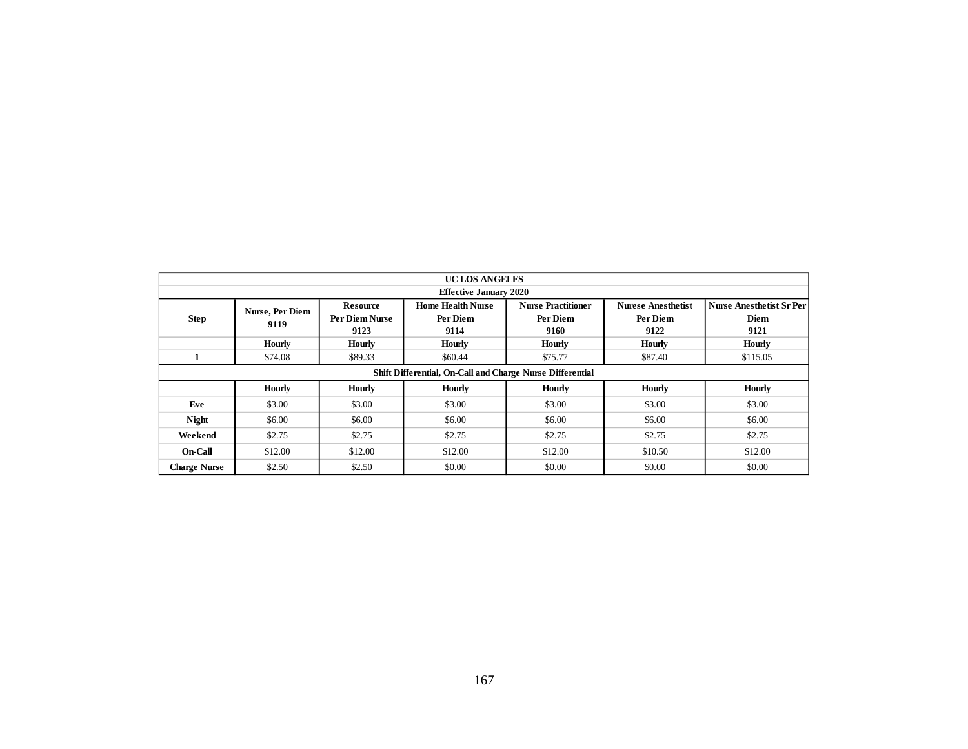|                     | UC LOS ANGELES<br><b>Effective January 2020</b>                                                                                                                |                 |                                                           |                           |                           |                                 |  |  |  |  |  |  |  |  |
|---------------------|----------------------------------------------------------------------------------------------------------------------------------------------------------------|-----------------|-----------------------------------------------------------|---------------------------|---------------------------|---------------------------------|--|--|--|--|--|--|--|--|
|                     |                                                                                                                                                                |                 |                                                           |                           |                           |                                 |  |  |  |  |  |  |  |  |
|                     | Nurse, Per Diem                                                                                                                                                | <b>Resource</b> | <b>Home Health Nurse</b>                                  | <b>Nurse Practitioner</b> | <b>Nurese Anesthetist</b> | <b>Nurse Anesthetist Sr Per</b> |  |  |  |  |  |  |  |  |
| <b>Step</b>         | 9119                                                                                                                                                           | Per Diem Nurse  | Per Diem                                                  | Per Diem                  | Per Diem                  | <b>Diem</b>                     |  |  |  |  |  |  |  |  |
|                     |                                                                                                                                                                | 9123            | 9114                                                      | 9160                      | 9122                      | 9121                            |  |  |  |  |  |  |  |  |
|                     | <b>Hourly</b>                                                                                                                                                  | <b>Hourly</b>   | <b>Hourly</b>                                             | <b>Hourly</b>             | <b>Hourly</b>             | <b>Hourly</b>                   |  |  |  |  |  |  |  |  |
| $\mathbf{1}$        | \$74.08                                                                                                                                                        | \$89.33         | \$60.44                                                   | \$75.77                   | \$87.40                   | \$115.05                        |  |  |  |  |  |  |  |  |
|                     |                                                                                                                                                                |                 | Shift Differential, On-Call and Charge Nurse Differential |                           |                           |                                 |  |  |  |  |  |  |  |  |
|                     | <b>Hourly</b><br><b>Hourly</b><br><b>Hourly</b><br><b>Hourly</b><br><b>Hourly</b><br>Hourly<br>\$3.00<br>\$3.00<br>\$3.00<br>\$3.00<br>\$3.00<br>\$3.00<br>Eve |                 |                                                           |                           |                           |                                 |  |  |  |  |  |  |  |  |
|                     |                                                                                                                                                                |                 |                                                           |                           |                           |                                 |  |  |  |  |  |  |  |  |
| <b>Night</b>        | \$6.00                                                                                                                                                         | \$6.00          | \$6.00                                                    | \$6.00                    | \$6.00                    | \$6.00                          |  |  |  |  |  |  |  |  |
| Weekend             | \$2.75                                                                                                                                                         | \$2.75          | \$2.75                                                    | \$2.75                    | \$2.75                    | \$2.75                          |  |  |  |  |  |  |  |  |
| On-Call             | \$12.00                                                                                                                                                        | \$12.00         | \$12.00                                                   | \$12.00                   | \$10.50                   | \$12.00                         |  |  |  |  |  |  |  |  |
| <b>Charge Nurse</b> | \$2.50                                                                                                                                                         | \$2.50          | \$0.00                                                    | \$0.00                    | \$0.00                    | \$0.00                          |  |  |  |  |  |  |  |  |
|                     |                                                                                                                                                                |                 |                                                           |                           |                           |                                 |  |  |  |  |  |  |  |  |
|                     |                                                                                                                                                                |                 | 167                                                       |                           |                           |                                 |  |  |  |  |  |  |  |  |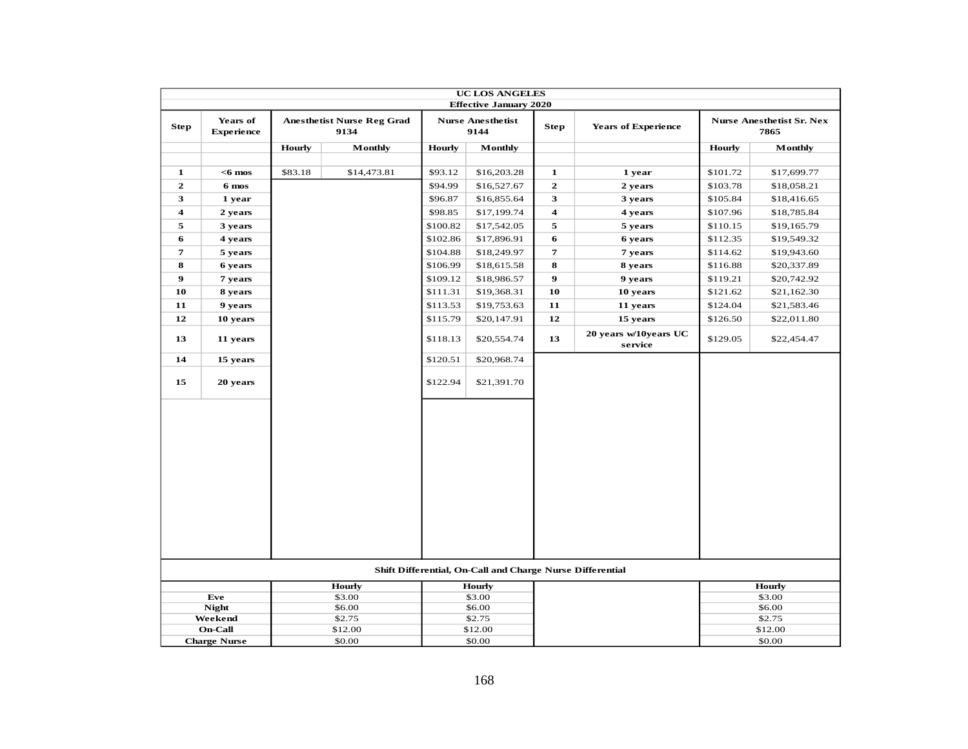|                         |                               |         |                                           |               | <b>UC LOS ANGELES</b>                                     |                         |                                  |               |                                          |
|-------------------------|-------------------------------|---------|-------------------------------------------|---------------|-----------------------------------------------------------|-------------------------|----------------------------------|---------------|------------------------------------------|
|                         |                               |         |                                           |               | <b>Effective January 2020</b>                             |                         |                                  |               |                                          |
| <b>Step</b>             | Years of<br><b>Experience</b> |         | <b>Anesthetist Nurse Reg Grad</b><br>9134 |               | <b>Nurse Anesthetist</b><br>9144                          | <b>Step</b>             | <b>Years of Experience</b>       |               | <b>Nurse Anesthetist Sr. Nex</b><br>7865 |
|                         |                               | Hourly  | Monthly                                   | <b>Hourly</b> | Monthly                                                   |                         |                                  | <b>Hourly</b> | Monthly                                  |
|                         |                               |         |                                           |               |                                                           |                         |                                  |               |                                          |
| 1                       | $<$ 6 mos                     | \$83.18 | \$14,473.81                               | \$93.12       | \$16,203.28                                               | 1                       | 1 year                           | \$101.72      | \$17,699.77                              |
| $\mathbf{2}$            | 6 mos                         |         |                                           | \$94.99       | \$16,527.67                                               | $\mathbf{z}$            | 2 years                          | \$103.78      | \$18,058.21                              |
| 3                       | 1 year                        |         |                                           | \$96.87       | \$16,855.64                                               | 3                       | 3 years                          | \$105.84      | \$18,416.65                              |
| $\overline{\mathbf{4}}$ | 2 years                       |         |                                           | \$98.85       | \$17,199.74                                               | $\overline{\mathbf{4}}$ | 4 years                          | \$107.96      | \$18,785.84                              |
| 5                       | 3 years                       |         |                                           | \$100.82      | \$17,542.05                                               | 5                       | 5 years                          | \$110.15      | \$19,165.79                              |
| 6                       | 4 years                       |         |                                           | \$102.86      | \$17,896.91                                               | 6                       | 6 years                          | \$112.35      | \$19,549.32                              |
| 7                       | 5 years                       |         |                                           | \$104.88      | \$18,249.97                                               | 7                       | 7 years                          | \$114.62      | \$19,943.60                              |
| 8                       | 6 years                       |         |                                           | \$106.99      | \$18,615.58                                               | 8                       | 8 years                          | \$116.88      | \$20,337.89                              |
| $\boldsymbol{9}$        | 7 years                       |         |                                           | \$109.12      | \$18,986.57                                               | 9                       | 9 years                          | \$119.21      | \$20,742.92                              |
| 10                      | 8 years                       |         |                                           | \$111.31      | \$19,368.31                                               | 10                      | 10 years                         | \$121.62      | \$21,162.30                              |
| 11                      | 9 years                       |         |                                           | \$113.53      | \$19,753.63                                               | 11                      | 11 years                         | \$124.04      | \$21,583.46                              |
| 12                      | 10 years                      |         |                                           | \$115.79      | \$20,147.91                                               | 12                      | 15 years                         | \$126.50      | \$22,011.80                              |
| 13                      | 11 years                      |         |                                           | \$118.13      | \$20,554.74                                               | 13                      | 20 years w/10years UC<br>service | \$129.05      | \$22,454.47                              |
| 14                      | 15 years                      |         |                                           | \$120.51      | \$20,968.74                                               |                         |                                  |               |                                          |
| 15                      | 20 years                      |         |                                           | \$122.94      | \$21,391.70                                               |                         |                                  |               |                                          |
|                         |                               |         |                                           |               |                                                           |                         |                                  |               |                                          |
|                         |                               |         |                                           |               | Shift Differential, On-Call and Charge Nurse Differential |                         |                                  |               |                                          |
|                         |                               |         | <b>Hourly</b>                             |               | <b>Hourly</b>                                             |                         |                                  |               | <b>Hourly</b>                            |
|                         | Eve                           |         | \$3.00                                    |               | \$3.00                                                    |                         |                                  |               | \$3.00                                   |
|                         | <b>Night</b><br>Weekend       |         | \$6.00<br>\$2.75                          |               | \$6.00<br>\$2.75                                          |                         |                                  |               | \$6.00<br>\$2.75                         |
|                         | <b>On-Call</b>                |         | \$12.00                                   |               | \$12.00                                                   |                         |                                  |               | \$12.00                                  |
|                         | <b>Charge Nurse</b>           |         | \$0.00                                    |               | \$0.00                                                    |                         |                                  |               | \$0.00                                   |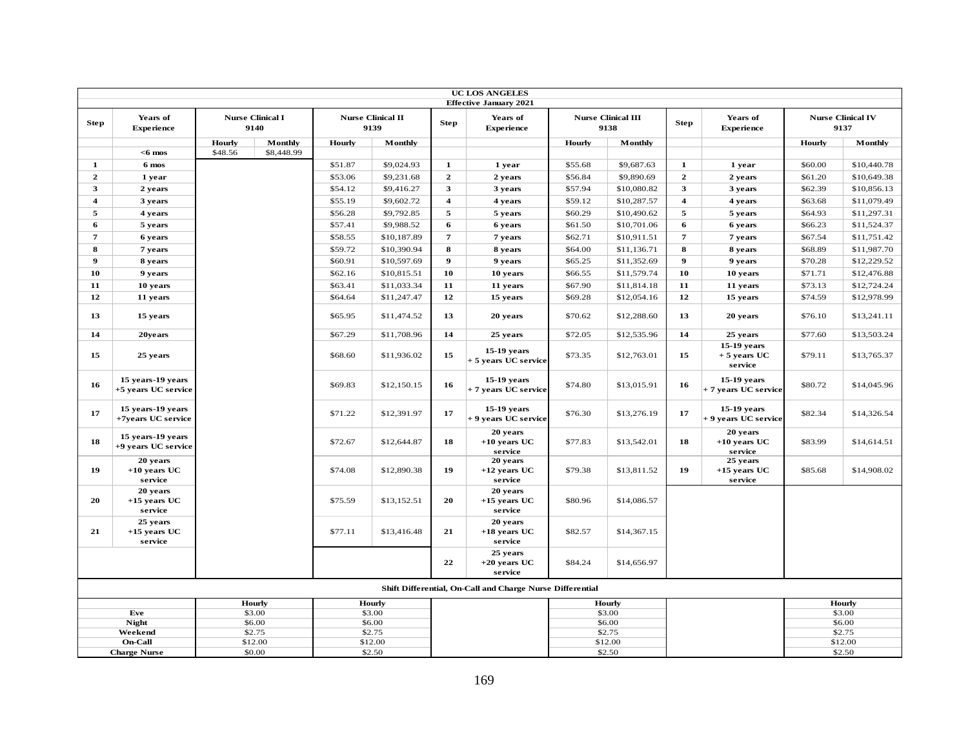|                         |                                          |         |                                 |         |                                  |                         | <b>UC LOS ANGELES</b>                                     |               |                                   |                         |                                         |         |                                  |
|-------------------------|------------------------------------------|---------|---------------------------------|---------|----------------------------------|-------------------------|-----------------------------------------------------------|---------------|-----------------------------------|-------------------------|-----------------------------------------|---------|----------------------------------|
|                         |                                          |         |                                 |         |                                  |                         | <b>Effective January 2021</b>                             |               |                                   |                         |                                         |         |                                  |
| <b>Step</b>             | Years of<br><b>Experience</b>            |         | <b>Nurse Clinical I</b><br>9140 |         | <b>Nurse Clinical II</b><br>9139 | <b>Step</b>             | Years of<br><b>Experience</b>                             |               | <b>Nurse Clinical III</b><br>9138 | <b>Step</b>             | Years of<br><b>Experience</b>           |         | <b>Nurse Clinical IV</b><br>9137 |
|                         |                                          | Hourly  | Monthly                         | Hourly  | Monthly                          |                         |                                                           | Hourly        | Monthly                           |                         |                                         | Hourly  | Monthly                          |
|                         | $<$ 6 mos                                | \$48.56 | \$8,448.99                      |         |                                  |                         |                                                           |               |                                   |                         |                                         |         |                                  |
| $\mathbf{1}$            | 6 mos                                    |         |                                 | \$51.87 | \$9,024.93                       | $\mathbf{1}$            | 1 year                                                    | \$55.68       | \$9,687.63                        | $\mathbf{1}$            | 1 year                                  | \$60.00 | \$10,440.78                      |
| $\overline{2}$          | 1 year                                   |         |                                 | \$53.06 | \$9,231.68                       | $\overline{2}$          | 2 years                                                   | \$56.84       | \$9,890.69                        | $\overline{2}$          | 2 years                                 | \$61.20 | \$10,649.38                      |
| 3                       | 2 years                                  |         |                                 | \$54.12 | \$9,416.27                       | 3                       | 3 years                                                   | \$57.94       | \$10,080.82                       | 3                       | 3 years                                 | \$62.39 | \$10,856.13                      |
| $\overline{\mathbf{4}}$ | 3 years                                  |         |                                 | \$55.19 | \$9,602.72                       | $\overline{\mathbf{4}}$ | 4 years                                                   | \$59.12       | \$10,287.57                       | $\overline{\mathbf{4}}$ | 4 years                                 | \$63.68 | \$11,079.49                      |
| 5                       | 4 years                                  |         |                                 | \$56.28 | \$9,792.85                       | 5                       | 5 years                                                   | \$60.29       | \$10,490.62                       | 5                       | 5 years                                 | \$64.93 | \$11,297.31                      |
| 6                       | 5 years                                  |         |                                 | \$57.41 | \$9,988.52                       | 6                       | 6 years                                                   | \$61.50       | \$10,701.06                       | 6                       | 6 years                                 | \$66.23 | \$11,524.37                      |
| 7                       | 6 years                                  |         |                                 | \$58.55 | \$10,187.89                      | 7                       | 7 years                                                   | \$62.71       | \$10,911.51                       | $\overline{7}$          | 7 years                                 | \$67.54 | \$11,751.42                      |
| 8                       | 7 years                                  |         |                                 | \$59.72 | \$10,390.94                      | 8                       | 8 years                                                   | \$64.00       | \$11,136.71                       | 8                       | 8 years                                 | \$68.89 | \$11,987.70                      |
| $\boldsymbol{9}$        | 8 years                                  |         |                                 | \$60.91 | \$10,597.69                      | $\boldsymbol{9}$        | 9 years                                                   | \$65.25       | \$11,352.69                       | $\boldsymbol{9}$        | 9 years                                 | \$70.28 | \$12,229.52                      |
| 10                      | 9 years                                  |         |                                 | \$62.16 | \$10,815.51                      | 10                      | 10 years                                                  | \$66.55       | \$11,579.74                       | 10                      | 10 years                                | \$71.71 | \$12,476.88                      |
| 11                      | 10 years                                 |         |                                 | \$63.41 | \$11,033.34                      | 11                      | 11 years                                                  | \$67.90       | \$11,814.18                       | 11                      | 11 years                                | \$73.13 | \$12,724.24                      |
| 12                      | 11 years                                 |         |                                 | \$64.64 | \$11,247.47                      | 12                      | 15 years                                                  | \$69.28       | \$12,054.16                       | 12                      | 15 years                                | \$74.59 | \$12,978.99                      |
| 13                      | 15 years                                 |         |                                 | \$65.95 | \$11,474.52                      | 13                      | 20 years                                                  | \$70.62       | \$12,288.60                       | 13                      | 20 years                                | \$76.10 | \$13,241.11                      |
| 14                      | 20years                                  |         |                                 | \$67.29 | \$11,708.96                      | 14                      | 25 years                                                  | \$72.05       | \$12,535.96                       | 14                      | 25 years                                | \$77.60 | \$13,503.24                      |
| 15                      | 25 years                                 |         |                                 | \$68.60 | \$11,936.02                      | 15                      | 15-19 years<br>+ 5 years UC service                       | \$73.35       | \$12,763.01                       | 15                      | 15-19 years<br>$+5$ years UC<br>service | \$79.11 | \$13,765.37                      |
| 16                      | 15 years-19 years<br>+5 years UC service |         |                                 | \$69.83 | \$12,150.15                      | 16                      | 15-19 years<br>+ 7 years UC service                       | \$74.80       | \$13,015.91                       | 16                      | 15-19 years<br>+ 7 years UC service     | \$80.72 | \$14,045.96                      |
| 17                      | 15 years-19 years<br>+7years UC service  |         |                                 | \$71.22 | \$12,391.97                      | 17                      | $15-19$ years<br>+ 9 years UC service                     | \$76.30       | \$13,276.19                       | 17                      | 15-19 years<br>+ 9 years UC service     | \$82.34 | \$14,326.54                      |
| 18                      | 15 years-19 years<br>+9 years UC service |         |                                 | \$72.67 | \$12,644.87                      | 18                      | 20 years<br>$+10$ vears UC<br>service                     | \$77.83       | \$13,542.01                       | 18                      | 20 years<br>$+10$ years UC<br>service   | \$83.99 | \$14,614.51                      |
| 19                      | 20 years<br>$+10$ years UC<br>service    |         |                                 | \$74.08 | \$12,890.38                      | 19                      | 20 years<br>$+12$ years UC<br>service                     | \$79.38       | \$13,811.52                       | 19                      | 25 years<br>$+15$ years UC<br>service   | \$85.68 | \$14,908.02                      |
| 20                      | 20 years<br>$+15$ years UC<br>service    |         |                                 | \$75.59 | \$13,152.51                      | 20                      | 20 years<br>$+15$ years UC<br>service                     | \$80.96       | \$14,086.57                       |                         |                                         |         |                                  |
| 21                      | 25 years<br>$+15$ years UC<br>service    |         |                                 | \$77.11 | \$13,416.48                      | 21                      | 20 years<br>$+18$ years UC<br>service                     | \$82.57       | \$14,367.15                       |                         |                                         |         |                                  |
|                         |                                          |         |                                 |         |                                  | 22                      | 25 years<br>$+20$ years UC<br>service                     | \$84.24       | \$14,656.97                       |                         |                                         |         |                                  |
|                         |                                          |         |                                 |         |                                  |                         | Shift Differential, On-Call and Charge Nurse Differential |               |                                   |                         |                                         |         |                                  |
|                         | Hourly<br><b>Hourly</b>                  |         |                                 |         |                                  |                         |                                                           | <b>Hourly</b> |                                   |                         |                                         | Hourly  |                                  |
|                         | Eve                                      |         | \$3.00                          |         | \$3.00                           |                         |                                                           |               | \$3.00                            |                         |                                         |         | \$3.00                           |
|                         | <b>Night</b>                             |         | \$6.00                          |         | \$6.00                           |                         |                                                           |               | \$6.00                            |                         |                                         |         | \$6.00                           |
|                         | Weekend<br><b>On-Call</b>                |         | \$2.75<br>\$12.00               |         | \$2.75<br>\$12.00                |                         |                                                           |               | \$2.75<br>\$12.00                 |                         |                                         |         | \$2.75<br>\$12.00                |
|                         | <b>Charge Nurse</b>                      |         | \$0.00                          |         | \$2.50                           |                         |                                                           |               | \$2.50                            |                         |                                         |         | \$2.50                           |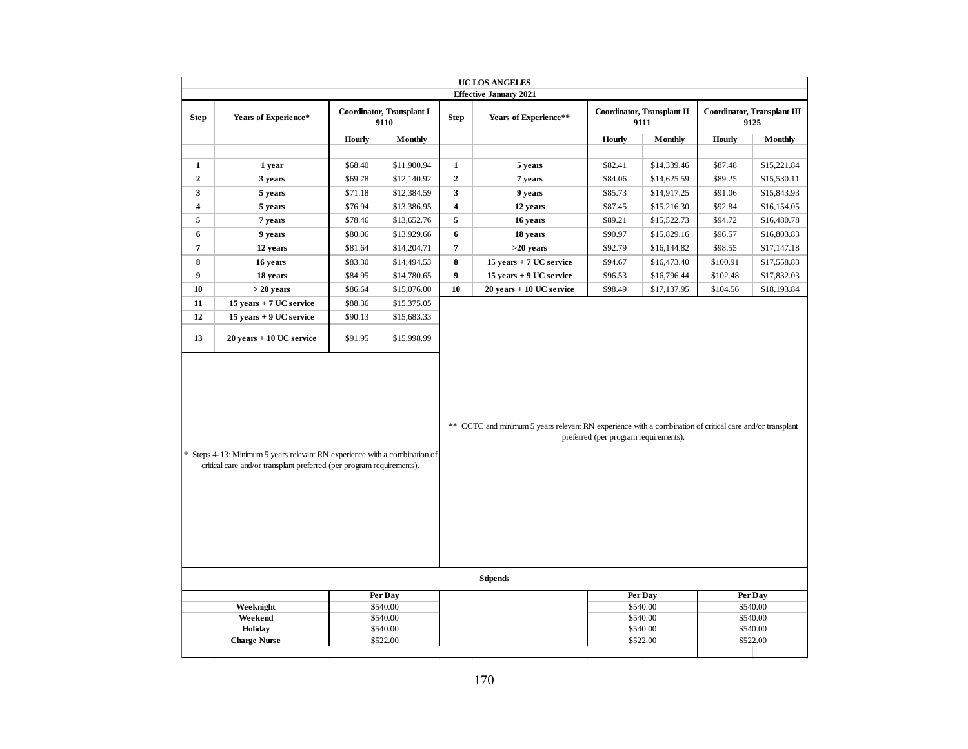|                     |                                                                                                                                                     |               |                                   |                         | UC LOS ANGELES                                                                                           |                                       |                                    |          |                                     |
|---------------------|-----------------------------------------------------------------------------------------------------------------------------------------------------|---------------|-----------------------------------|-------------------------|----------------------------------------------------------------------------------------------------------|---------------------------------------|------------------------------------|----------|-------------------------------------|
|                     |                                                                                                                                                     |               |                                   |                         | <b>Effective January 2021</b>                                                                            |                                       |                                    |          |                                     |
| <b>Step</b>         | Years of Experience*                                                                                                                                |               | Coordinator, Transplant I<br>9110 | <b>Step</b>             | Years of Experience**                                                                                    |                                       | Coordinator, Transplant II<br>9111 |          | Coordinator, Transplant III<br>9125 |
|                     |                                                                                                                                                     | <b>Hourly</b> | Monthly                           |                         |                                                                                                          | Hourly                                | <b>Monthly</b>                     | Hourly   | Monthly                             |
|                     |                                                                                                                                                     |               |                                   |                         |                                                                                                          |                                       |                                    |          |                                     |
| $\mathbf{1}$        | 1 year                                                                                                                                              | \$68.40       | \$11,900.94                       | $\mathbf{1}$            | 5 years                                                                                                  | \$82.41                               | \$14,339.46                        | \$87.48  | \$15,221.84                         |
| $\mathbf{2}$        | 3 years                                                                                                                                             | \$69.78       | \$12,140.92                       | $\overline{2}$          | 7 years                                                                                                  | \$84.06                               | \$14,625.59                        | \$89.25  | \$15,530.11                         |
| 3                   | 5 years                                                                                                                                             | \$71.18       | \$12,384.59                       | $\overline{\mathbf{3}}$ | 9 years                                                                                                  | \$85.73                               | \$14,917.25                        | \$91.06  | \$15,843.93                         |
| 4                   | 5 years                                                                                                                                             | \$76.94       | \$13,386.95                       | $\overline{\mathbf{4}}$ | 12 years                                                                                                 | \$87.45                               | \$15,216.30                        | \$92.84  | \$16,154.05                         |
| 5                   | 7 years                                                                                                                                             | \$78.46       | \$13,652.76                       | 5                       | 16 years                                                                                                 | \$89.21                               | \$15,522.73                        | \$94.72  | \$16,480.78                         |
| 6                   | 9 years                                                                                                                                             | \$80.06       | \$13,929.66                       | 6                       | 18 years                                                                                                 | \$90.97                               | \$15,829.16                        | \$96.57  | \$16,803.83                         |
| $\overline{7}$      | 12 years                                                                                                                                            | \$81.64       | \$14,204.71                       | $\overline{\mathbf{7}}$ | $>20$ years                                                                                              | \$92.79                               | \$16,144.82                        | \$98.55  | \$17,147.18                         |
| 8                   | 16 years                                                                                                                                            | \$83.30       | \$14,494.53                       | 8                       | $15$ years $\pm$ 7 UC service                                                                            | \$94.67                               | \$16,473.40                        | \$100.91 | \$17,558.83                         |
| 9                   | 18 years                                                                                                                                            | \$84.95       | \$14,780.65                       | 9                       | 15 years + 9 UC service                                                                                  | \$96.53                               | \$16,796.44                        | \$102.48 | \$17,832.03                         |
| 10                  | $>$ 20 years                                                                                                                                        | \$86.64       | \$15,076.00                       | 10                      | 20 years + 10 UC service                                                                                 | \$98.49                               | \$17,137.95                        | \$104.56 | \$18,193.84                         |
| 11                  | 15 years + 7 UC service                                                                                                                             | \$88.36       | \$15,375.05                       |                         |                                                                                                          |                                       |                                    |          |                                     |
| 12                  | 15 years + 9 UC service                                                                                                                             | \$90.13       | \$15,683.33                       |                         |                                                                                                          |                                       |                                    |          |                                     |
| 13                  | $20$ years $+10$ UC service                                                                                                                         | \$91.95       | \$15,998.99                       |                         |                                                                                                          |                                       |                                    |          |                                     |
|                     | * Steps 4-13: Minimum 5 years relevant RN experience with a combination of<br>critical care and/or transplant preferred (per program requirements). |               |                                   |                         | ** CCTC and minimum 5 years relevant RN experience with a combination of critical care and/or transplant | preferred (per program requirements). |                                    |          |                                     |
|                     |                                                                                                                                                     |               |                                   |                         | <b>Stipends</b>                                                                                          |                                       |                                    |          |                                     |
| Per Day<br>\$540.00 |                                                                                                                                                     |               |                                   |                         |                                                                                                          |                                       | Per Day<br>\$540.00                |          | Per Day<br>\$540.00                 |
|                     | Weeknight<br>Weekend                                                                                                                                |               | \$540.00                          |                         |                                                                                                          |                                       | \$540.00                           |          | \$540.00                            |
|                     | Holiday                                                                                                                                             |               | \$540.00                          |                         |                                                                                                          |                                       | \$540.00                           |          | \$540.00                            |
|                     | <b>Charge Nurse</b>                                                                                                                                 |               | \$522.00                          |                         |                                                                                                          |                                       | \$522.00                           |          | \$522.00                            |
|                     |                                                                                                                                                     |               |                                   |                         |                                                                                                          |                                       |                                    |          |                                     |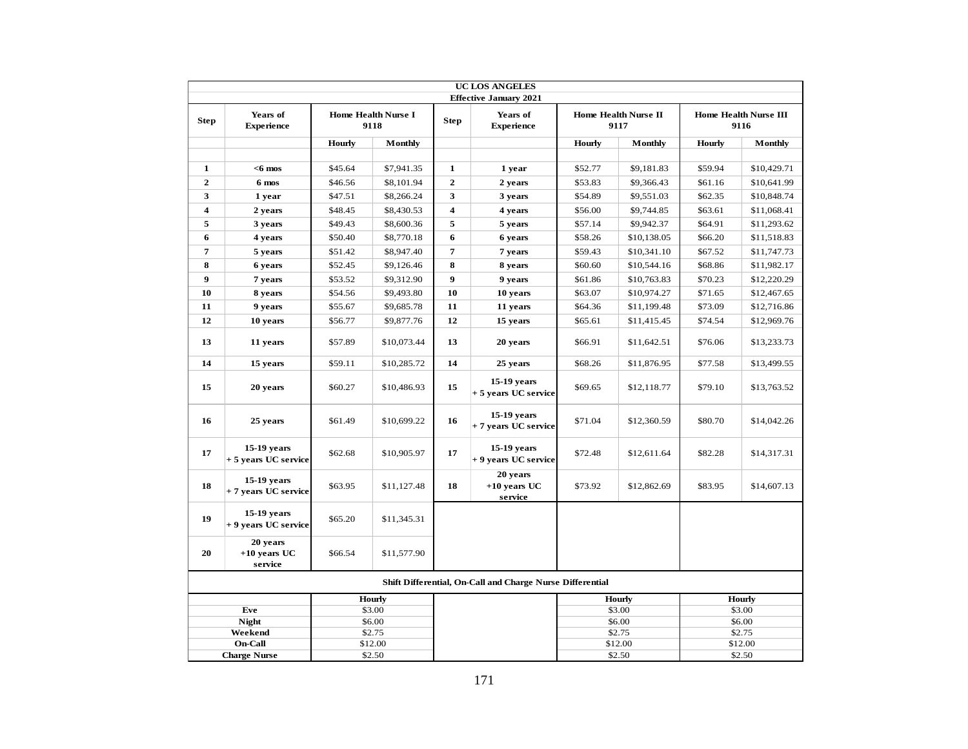|                         |                                       |         |                                    |                                                           | <b>UC LOS ANGELES</b>                 |         |                              |               |                                      |
|-------------------------|---------------------------------------|---------|------------------------------------|-----------------------------------------------------------|---------------------------------------|---------|------------------------------|---------------|--------------------------------------|
|                         |                                       |         |                                    |                                                           | <b>Effective January 2021</b>         |         |                              |               |                                      |
| <b>Step</b>             | Years of<br><b>Experience</b>         |         | <b>Home Health Nurse I</b><br>9118 | <b>Step</b>                                               | Years of<br><b>Experience</b>         |         | Home Health Nurse II<br>9117 |               | <b>Home Health Nurse III</b><br>9116 |
|                         |                                       | Hourly  | Monthly                            |                                                           |                                       | Hourly  | Monthly                      | <b>Hourly</b> | Monthly                              |
|                         |                                       |         |                                    |                                                           |                                       |         |                              |               |                                      |
| 1                       | $<$ 6 mos                             | \$45.64 | \$7,941.35                         | $\mathbf{1}$                                              | 1 year                                | \$52.77 | \$9,181.83                   | \$59.94       | \$10,429.71                          |
| $\overline{2}$          | 6 mos                                 | \$46.56 | \$8,101.94                         | $\mathbf{2}$                                              | 2 years                               | \$53.83 | \$9,366.43                   | \$61.16       | \$10,641.99                          |
| 3                       | 1 year                                | \$47.51 | \$8,266.24                         | 3                                                         | 3 years                               | \$54.89 | \$9,551.03                   | \$62.35       | \$10,848.74                          |
| $\overline{\mathbf{4}}$ | 2 years                               | \$48.45 | \$8,430.53                         | $\overline{\mathbf{4}}$                                   | 4 years                               | \$56.00 | \$9,744.85                   | \$63.61       | \$11,068.41                          |
| 5                       | 3 years                               | \$49.43 | \$8,600.36                         | 5                                                         | 5 years                               | \$57.14 | \$9,942.37                   | \$64.91       | \$11,293.62                          |
| 6                       | 4 years                               | \$50.40 | \$8,770.18                         | 6                                                         | 6 years                               | \$58.26 | \$10,138.05                  | \$66.20       | \$11,518.83                          |
| $\overline{7}$          | 5 years                               | \$51.42 | \$8,947.40                         | $\overline{7}$                                            | 7 years                               | \$59.43 | \$10,341.10                  | \$67.52       | \$11,747.73                          |
| 8                       | 6 years                               | \$52.45 | \$9,126.46                         | 8                                                         | 8 years                               | \$60.60 | \$10,544.16                  | \$68.86       | \$11,982.17                          |
| $\boldsymbol{9}$        | 7 years                               | \$53.52 | \$9,312.90                         | 9                                                         | 9 years                               | \$61.86 | \$10,763.83                  | \$70.23       | \$12,220.29                          |
| 10                      | 8 years                               | \$54.56 | \$9,493.80                         | 10                                                        | 10 years                              | \$63.07 | \$10,974.27                  | \$71.65       | \$12,467.65                          |
| 11                      | 9 years                               | \$55.67 | \$9,685.78                         | 11                                                        | 11 years                              | \$64.36 | \$11,199.48                  | \$73.09       | \$12,716.86                          |
| 12                      | 10 years                              | \$56.77 | \$9,877.76                         | 12                                                        | 15 years                              | \$65.61 | \$11,415.45                  | \$74.54       | \$12,969.76                          |
| 13                      | 11 years                              | \$57.89 | \$10,073.44                        | 13                                                        | 20 years                              | \$66.91 | \$11,642.51                  | \$76.06       | \$13,233.73                          |
| 14                      | 15 years                              | \$59.11 | \$10,285.72                        | 14                                                        | 25 years                              | \$68.26 | \$11,876.95                  | \$77.58       | \$13,499.55                          |
| 15                      | 20 years                              | \$60.27 | \$10,486.93                        | 15                                                        | $15-19$ years<br>+ 5 years UC service | \$69.65 | \$12,118.77                  | \$79.10       | \$13,763.52                          |
| 16                      | 25 years                              | \$61.49 | \$10,699.22                        | 16                                                        | 15-19 years<br>+ 7 years UC service   | \$71.04 | \$12,360.59                  | \$80.70       | \$14,042.26                          |
| 17                      | $15-19$ years<br>+ 5 years UC service | \$62.68 | \$10,905.97                        | 17                                                        | 15-19 years<br>+ 9 years UC service   | \$72.48 | \$12,611.64                  | \$82.28       | \$14,317.31                          |
| 18                      | $15-19$ years<br>+ 7 years UC service | \$63.95 | \$11,127.48                        | 18                                                        | 20 years<br>$+10$ years UC<br>service | \$73.92 | \$12,862.69                  | \$83.95       | \$14,607.13                          |
| 19                      | 15-19 years<br>+ 9 years UC service   | \$65.20 | \$11,345.31                        |                                                           |                                       |         |                              |               |                                      |
| 20                      | 20 years<br>$+10$ years UC<br>service | \$66.54 | \$11,577.90                        |                                                           |                                       |         |                              |               |                                      |
|                         |                                       |         |                                    | Shift Differential, On-Call and Charge Nurse Differential |                                       |         |                              |               |                                      |
|                         |                                       |         | <b>Hourly</b>                      |                                                           |                                       |         | <b>Hourly</b>                |               | <b>Hourly</b>                        |
|                         | Eve                                   |         | \$3.00                             |                                                           |                                       |         | \$3.00                       |               | \$3.00                               |
|                         | <b>Night</b><br>Weekend               |         | \$6.00<br>\$2.75                   |                                                           |                                       |         | \$6.00<br>\$2.75             |               | \$6.00<br>\$2.75                     |
|                         | <b>On-Call</b>                        |         | \$12.00                            |                                                           |                                       |         | \$12.00                      |               | \$12.00                              |
|                         | <b>Charge Nurse</b>                   |         | \$2.50                             |                                                           |                                       |         | \$2.50                       |               | \$2.50                               |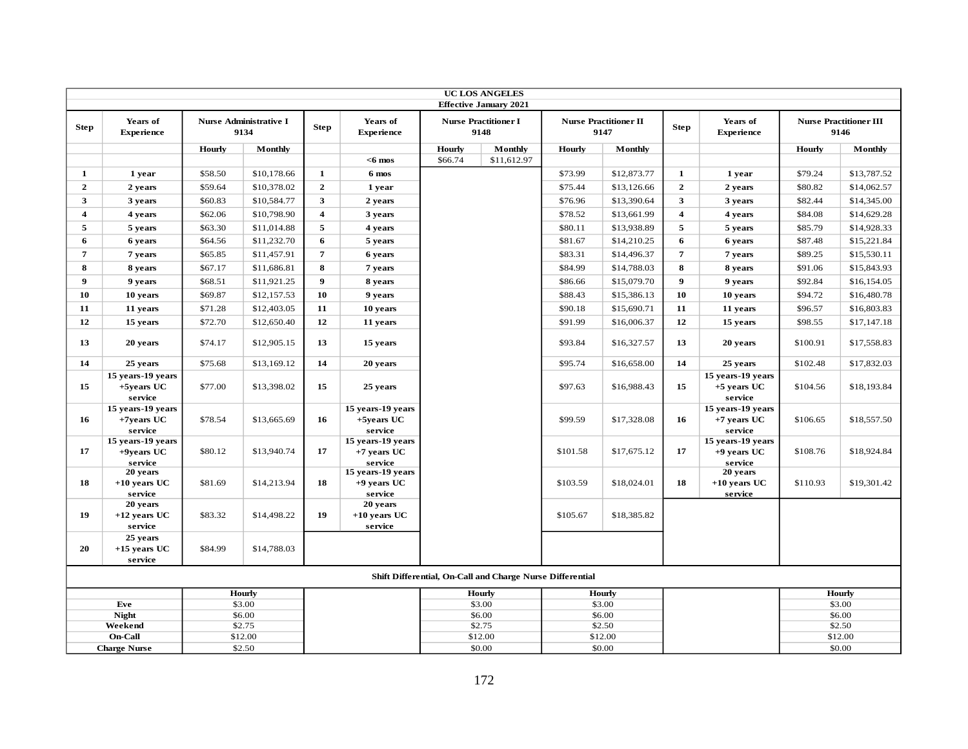|                         | <b>UC LOS ANGELES</b><br><b>Effective January 2021</b>                                                                                                            |         |                  |                         |                                               |         |                                                           |          |                  |                         |                                               |          |                  |
|-------------------------|-------------------------------------------------------------------------------------------------------------------------------------------------------------------|---------|------------------|-------------------------|-----------------------------------------------|---------|-----------------------------------------------------------|----------|------------------|-------------------------|-----------------------------------------------|----------|------------------|
|                         | Years of<br><b>Nurse Administrative I</b><br>Years of<br><b>Nurse Practitioner I</b><br><b>Nurse Practitioner II</b><br>Years of<br><b>Nurse Practitioner III</b> |         |                  |                         |                                               |         |                                                           |          |                  |                         |                                               |          |                  |
| <b>Step</b>             | <b>Experience</b>                                                                                                                                                 |         | 9134             | <b>Step</b>             | <b>Experience</b>                             |         | 9148                                                      |          | 9147             | <b>Step</b>             | <b>Experience</b>                             |          | 9146             |
|                         |                                                                                                                                                                   | Hourly  | Monthly          |                         |                                               | Hourly  | Monthly                                                   | Hourly   | Monthly          |                         |                                               | Hourly   | Monthly          |
|                         |                                                                                                                                                                   |         |                  |                         | $<$ 6 mos                                     | \$66.74 | \$11,612.97                                               |          |                  |                         |                                               |          |                  |
| 1                       | 1 year                                                                                                                                                            | \$58.50 | \$10,178.66      | $\mathbf{1}$            | 6 mos                                         |         |                                                           | \$73.99  | \$12,873.77      | 1                       | 1 year                                        | \$79.24  | \$13,787.52      |
| $\overline{2}$          | 2 years                                                                                                                                                           | \$59.64 | \$10,378.02      | $\overline{2}$          | 1 year                                        |         |                                                           | \$75.44  | \$13,126.66      | $\overline{2}$          | 2 years                                       | \$80.82  | \$14,062.57      |
| 3                       | 3 years                                                                                                                                                           | \$60.83 | \$10,584.77      | $\mathbf{3}$            | 2 years                                       |         |                                                           | \$76.96  | \$13,390.64      | 3                       | 3 years                                       | \$82.44  | \$14,345.00      |
| $\overline{\mathbf{4}}$ | 4 years                                                                                                                                                           | \$62.06 | \$10,798.90      | $\overline{\mathbf{4}}$ | 3 years                                       |         |                                                           | \$78.52  | \$13,661.99      | $\overline{\mathbf{4}}$ | 4 years                                       | \$84.08  | \$14,629.28      |
| 5                       | 5 years                                                                                                                                                           | \$63.30 | \$11,014.88      | $\overline{5}$          | 4 years                                       |         |                                                           | \$80.11  | \$13,938.89      | 5                       | 5 years                                       | \$85.79  | \$14,928.33      |
| 6                       | 6 years                                                                                                                                                           | \$64.56 | \$11,232.70      | 6                       | 5 years                                       |         |                                                           | \$81.67  | \$14,210.25      | 6                       | 6 years                                       | \$87.48  | \$15,221.84      |
| $\overline{7}$          | 7 years                                                                                                                                                           | \$65.85 | \$11,457.91      | $\overline{7}$          | 6 years                                       |         |                                                           | \$83.31  | \$14,496.37      | $\overline{7}$          | 7 years                                       | \$89.25  | \$15,530.11      |
| 8                       | 8 years                                                                                                                                                           | \$67.17 | \$11,686.81      | 8                       | 7 years                                       |         |                                                           | \$84.99  | \$14,788.03      | 8                       | 8 years                                       | \$91.06  | \$15,843.93      |
| $\boldsymbol{9}$        | 9 years                                                                                                                                                           | \$68.51 | \$11,921.25      | $\boldsymbol{9}$        | 8 years                                       |         |                                                           | \$86.66  | \$15,079.70      | 9                       | 9 years                                       | \$92.84  | \$16,154.05      |
| 10                      | 10 years                                                                                                                                                          | \$69.87 | \$12,157.53      | 10                      | 9 years                                       |         |                                                           | \$88.43  | \$15,386.13      | 10                      | 10 years                                      | \$94.72  | \$16,480.78      |
| 11                      | 11 years                                                                                                                                                          | \$71.28 | \$12,403.05      | 11                      | 10 years                                      |         |                                                           | \$90.18  | \$15,690.71      | 11                      | 11 years                                      | \$96.57  | \$16,803.83      |
| 12                      | 15 years                                                                                                                                                          | \$72.70 | \$12,650.40      | 12                      | 11 years                                      |         |                                                           | \$91.99  | \$16,006.37      | 12                      | 15 years                                      | \$98.55  | \$17,147.18      |
| 13                      | 20 years                                                                                                                                                          | \$74.17 | \$12,905.15      | 13                      | 15 years                                      |         |                                                           | \$93.84  | \$16,327.57      | 13                      | 20 years                                      | \$100.91 | \$17,558.83      |
| 14                      | 25 years                                                                                                                                                          | \$75.68 | \$13,169.12      | 14                      | 20 years                                      |         |                                                           | \$95.74  | \$16,658.00      | 14                      | 25 years                                      | \$102.48 | \$17,832.03      |
| 15                      | 15 years-19 years<br>+5years UC<br>service                                                                                                                        | \$77.00 | \$13,398.02      | 15                      | 25 years                                      |         |                                                           | \$97.63  | \$16,988.43      | 15                      | 15 years-19 years<br>$+5$ years UC<br>service | \$104.56 | \$18,193.84      |
| 16                      | 15 years-19 years<br>$+7$ years UC<br>service                                                                                                                     | \$78.54 | \$13,665.69      | 16                      | 15 years-19 years<br>$+5$ vears UC<br>service |         |                                                           | \$99.59  | \$17,328.08      | 16                      | 15 years-19 years<br>+7 years UC<br>service   | \$106.65 | \$18,557.50      |
| 17                      | 15 years-19 years<br>$+9$ years UC<br>service                                                                                                                     | \$80.12 | \$13,940.74      | 17                      | 15 years-19 years<br>$+7$ years UC<br>service |         |                                                           | \$101.58 | \$17,675.12      | 17                      | 15 years-19 years<br>$+9$ years UC<br>service | \$108.76 | \$18,924.84      |
| 18                      | 20 years<br>$+10$ years UC<br>service                                                                                                                             | \$81.69 | \$14,213.94      | 18                      | 15 years-19 years<br>$+9$ years UC<br>service |         |                                                           | \$103.59 | \$18,024.01      | 18                      | 20 years<br>$+10$ years UC<br>service         | \$110.93 | \$19,301.42      |
| 19                      | 20 years<br>$+12$ years UC<br>service                                                                                                                             | \$83.32 | \$14,498.22      | 19 <sup>°</sup>         | 20 years<br>$+10$ years UC<br>service         |         |                                                           | \$105.67 | \$18,385.82      |                         |                                               |          |                  |
| 20                      | 25 years<br>$+15$ years UC<br>service                                                                                                                             | \$84.99 | \$14,788.03      |                         |                                               |         |                                                           |          |                  |                         |                                               |          |                  |
|                         |                                                                                                                                                                   |         |                  |                         |                                               |         | Shift Differential, On-Call and Charge Nurse Differential |          |                  |                         |                                               |          |                  |
|                         |                                                                                                                                                                   |         | Hourly           |                         |                                               |         | Hourly                                                    |          | <b>Hourly</b>    |                         |                                               |          | <b>Hourly</b>    |
|                         | Eve<br><b>Night</b>                                                                                                                                               |         | \$3.00<br>\$6.00 |                         |                                               |         | \$3.00<br>\$6.00                                          |          | \$3.00<br>\$6.00 |                         |                                               |          | \$3.00<br>\$6.00 |
|                         | Weekend                                                                                                                                                           |         | \$2.75           |                         |                                               |         | \$2.75                                                    |          | \$2.50           |                         |                                               |          | \$2.50           |
|                         | On-Call                                                                                                                                                           |         | \$12.00          |                         |                                               |         | \$12.00                                                   |          | \$12.00          |                         |                                               |          | \$12.00          |
|                         | <b>Charge Nurse</b>                                                                                                                                               |         | \$2.50           |                         |                                               |         | \$0.00                                                    |          | \$0.00           |                         |                                               |          | \$0.00           |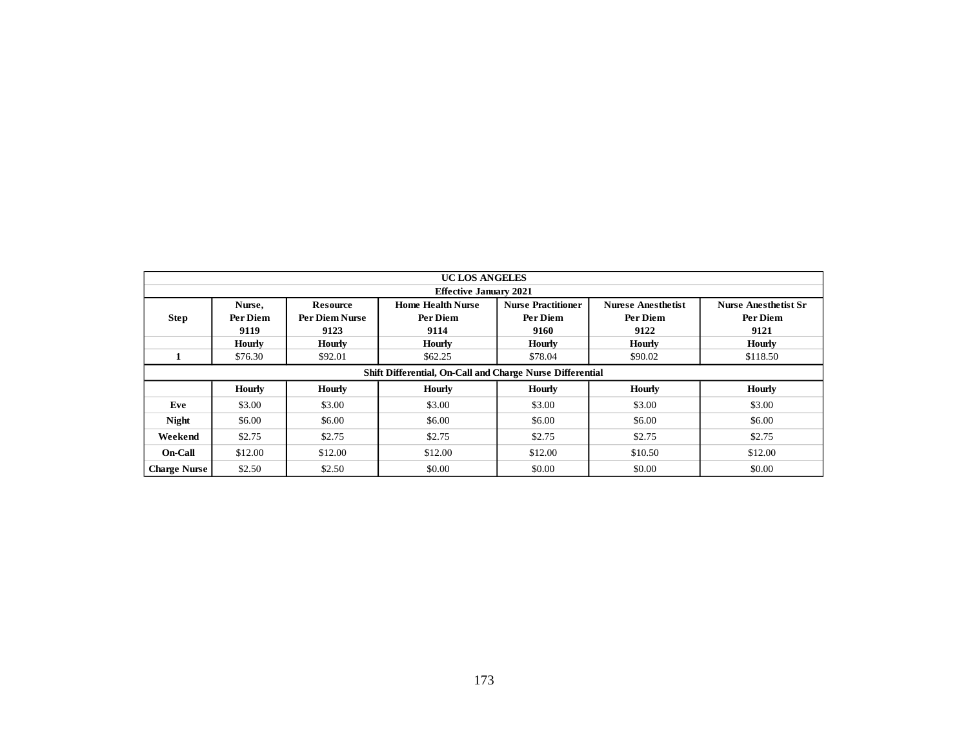|                     | UC LOS ANGELES<br><b>Effective January 2021</b>                                                                                                |                |                                                           |               |               |               |  |  |  |  |  |  |  |  |
|---------------------|------------------------------------------------------------------------------------------------------------------------------------------------|----------------|-----------------------------------------------------------|---------------|---------------|---------------|--|--|--|--|--|--|--|--|
|                     | <b>Home Health Nurse</b><br><b>Nurse Practitioner</b><br><b>Nurese Anesthetist</b><br><b>Resource</b><br><b>Nurse Anesthetist Sr</b><br>Nurse, |                |                                                           |               |               |               |  |  |  |  |  |  |  |  |
| Step                | Per Diem                                                                                                                                       | Per Diem Nurse | Per Diem                                                  | Per Diem      | Per Diem      | Per Diem      |  |  |  |  |  |  |  |  |
|                     | 9119                                                                                                                                           | 9123           | 9114                                                      | 9160          | 9122          | 9121          |  |  |  |  |  |  |  |  |
|                     | <b>Hourly</b>                                                                                                                                  | <b>Hourly</b>  | <b>Hourly</b>                                             | <b>Hourly</b> | <b>Hourly</b> | <b>Hourly</b> |  |  |  |  |  |  |  |  |
| $\mathbf{1}$        | \$76.30                                                                                                                                        | \$92.01        | \$62.25                                                   | \$78.04       | \$90.02       | \$118.50      |  |  |  |  |  |  |  |  |
|                     |                                                                                                                                                |                | Shift Differential, On-Call and Charge Nurse Differential |               |               |               |  |  |  |  |  |  |  |  |
|                     | <b>Hourly</b>                                                                                                                                  | <b>Hourly</b>  | <b>Hourly</b>                                             | <b>Hourly</b> | <b>Hourly</b> | <b>Hourly</b> |  |  |  |  |  |  |  |  |
| Eve                 | \$3.00                                                                                                                                         | \$3.00         | \$3.00                                                    | \$3.00        | \$3.00        | \$3.00        |  |  |  |  |  |  |  |  |
| <b>Night</b>        | \$6.00                                                                                                                                         | \$6.00         | \$6.00                                                    | \$6.00        | \$6.00        | \$6.00        |  |  |  |  |  |  |  |  |
| Weekend             | \$2.75                                                                                                                                         | \$2.75         | \$2.75                                                    | \$2.75        | \$2.75        | \$2.75        |  |  |  |  |  |  |  |  |
| $On-Call$           | \$12.00                                                                                                                                        | \$12.00        | \$12.00                                                   | \$12.00       | \$10.50       | \$12.00       |  |  |  |  |  |  |  |  |
| <b>Charge Nurse</b> | \$2.50                                                                                                                                         | \$2.50         | \$0.00                                                    | \$0.00        | \$0.00        | \$0.00        |  |  |  |  |  |  |  |  |
|                     |                                                                                                                                                |                |                                                           |               |               |               |  |  |  |  |  |  |  |  |
|                     |                                                                                                                                                |                | 173                                                       |               |               |               |  |  |  |  |  |  |  |  |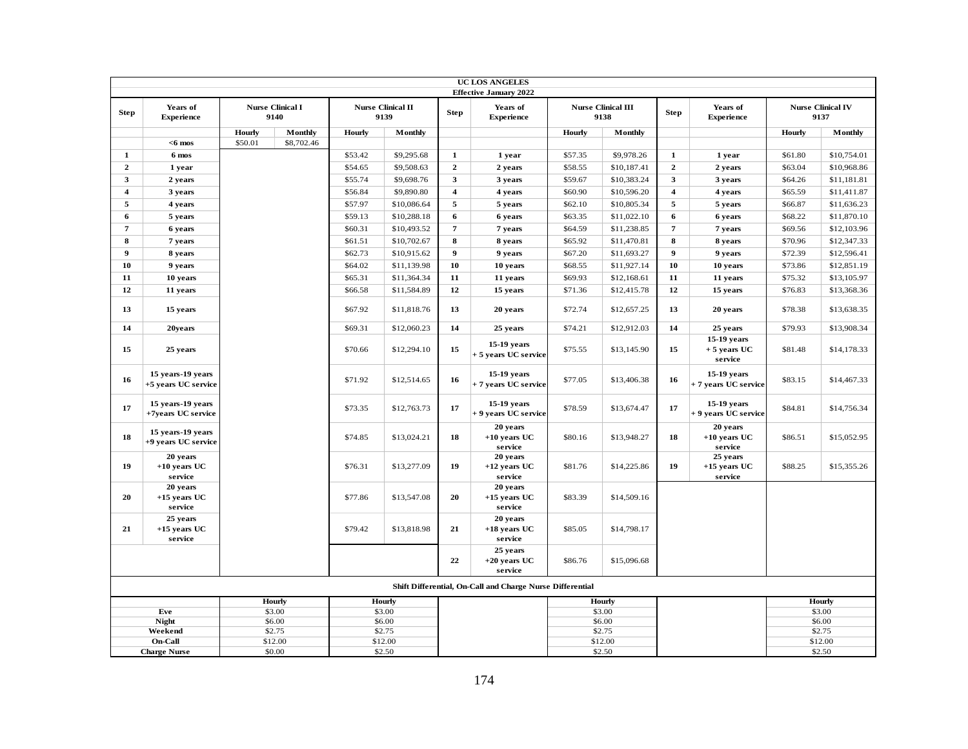|                         |                                          |         |                                 |         |                                  |                         | <b>UC LOS ANGELES</b><br><b>Effective January 2022</b>    |         |                                   |                         |                                               |               |                                  |
|-------------------------|------------------------------------------|---------|---------------------------------|---------|----------------------------------|-------------------------|-----------------------------------------------------------|---------|-----------------------------------|-------------------------|-----------------------------------------------|---------------|----------------------------------|
| <b>Step</b>             | Years of<br><b>Experience</b>            |         | <b>Nurse Clinical I</b><br>9140 |         | <b>Nurse Clinical II</b><br>9139 | <b>Step</b>             | Years of<br><b>Experience</b>                             |         | <b>Nurse Clinical III</b><br>9138 | <b>Step</b>             | Years of<br><b>Experience</b>                 |               | <b>Nurse Clinical IV</b><br>9137 |
|                         |                                          | Hourly  | Monthly                         | Hourly  | Monthly                          |                         |                                                           | Hourly  | Monthly                           |                         |                                               | Hourly        | Monthly                          |
|                         | $<$ 6 mos                                | \$50.01 | \$8,702.46                      |         |                                  |                         |                                                           |         |                                   |                         |                                               |               |                                  |
| $\mathbf{1}$            | 6 mos                                    |         |                                 | \$53.42 | \$9,295.68                       | $\mathbf{1}$            | 1 year                                                    | \$57.35 | \$9,978.26                        | $\mathbf{1}$            | 1 year                                        | \$61.80       | \$10,754.01                      |
| $\overline{2}$          | 1 year                                   |         |                                 | \$54.65 | \$9,508.63                       | $\overline{2}$          | 2 years                                                   | \$58.55 | \$10,187.41                       | $\overline{2}$          | 2 years                                       | \$63.04       | \$10,968.86                      |
| $\overline{\mathbf{3}}$ | 2 years                                  |         |                                 | \$55.74 | \$9,698.76                       | 3                       | 3 years                                                   | \$59.67 | \$10,383.24                       | 3                       | 3 years                                       | \$64.26       | \$11,181.81                      |
| $\overline{\mathbf{4}}$ | 3 years                                  |         |                                 | \$56.84 | \$9,890.80                       | $\overline{\mathbf{4}}$ | 4 years                                                   | \$60.90 | \$10,596.20                       | $\overline{\mathbf{4}}$ | 4 years                                       | \$65.59       | \$11,411.87                      |
| 5                       | 4 years                                  |         |                                 | \$57.97 | \$10,086.64                      | 5                       | 5 years                                                   | \$62.10 | \$10,805.34                       | 5                       | 5 years                                       | \$66.87       | \$11,636.23                      |
| 6                       | 5 years                                  |         |                                 | \$59.13 | \$10,288.18                      | 6                       | 6 years                                                   | \$63.35 | \$11,022.10                       | 6                       | 6 years                                       | \$68.22       | \$11,870.10                      |
| $\overline{7}$          | 6 years                                  |         |                                 | \$60.31 | \$10,493.52                      | $\overline{7}$          | 7 years                                                   | \$64.59 | \$11,238.85                       | 7                       | 7 years                                       | \$69.56       | \$12,103.96                      |
| 8                       | 7 years                                  |         |                                 | \$61.51 | \$10,702.67                      | 8                       | 8 years                                                   | \$65.92 | \$11,470.81                       | 8                       | 8 years                                       | \$70.96       | \$12,347.33                      |
| $\boldsymbol{9}$        | 8 years                                  |         |                                 | \$62.73 | \$10,915.62                      | $\boldsymbol{9}$        | 9 years                                                   | \$67.20 | \$11,693.27                       | $\boldsymbol{9}$        | 9 years                                       | \$72.39       | \$12,596.41                      |
| 10                      | 9 years                                  |         |                                 | \$64.02 | \$11,139.98                      | 10                      | 10 years                                                  | \$68.55 | \$11,927.14                       | 10                      | 10 years                                      | \$73.86       | \$12,851.19                      |
| 11                      | 10 years                                 |         |                                 | \$65.31 | \$11,364.34                      | 11                      | 11 years                                                  | \$69.93 | \$12,168.61                       | 11                      | 11 years                                      | \$75.32       | \$13,105.97                      |
| 12                      | 11 years                                 |         |                                 | \$66.58 | \$11,584.89                      | 12                      | 15 years                                                  | \$71.36 | \$12,415.78                       | 12                      | 15 years                                      | \$76.83       | \$13,368.36                      |
| 13                      | 15 years                                 |         |                                 | \$67.92 | \$11,818.76                      | 13                      | 20 years                                                  | \$72.74 | \$12,657.25                       | 13                      | 20 years                                      | \$78.38       | \$13,638.35                      |
| 14                      | 20years                                  |         |                                 | \$69.31 | \$12,060.23                      | 14                      | 25 years                                                  | \$74.21 | \$12,912.03                       | 14                      | 25 years                                      | \$79.93       | \$13,908.34                      |
| 15                      | 25 years                                 |         |                                 | \$70.66 | \$12,294.10                      | 15                      | 15-19 years<br>+ 5 years UC service                       | \$75.55 | \$13,145.90                       | 15                      | 15-19 years<br>$+$ 5 years UC $\,$<br>service | \$81.48       | \$14,178.33                      |
| 16                      | 15 years-19 years<br>+5 years UC service |         |                                 | \$71.92 | \$12,514.65                      | 16                      | 15-19 years<br>+ 7 years UC service                       | \$77.05 | \$13,406.38                       | 16                      | 15-19 years<br>+ 7 years UC service           | \$83.15       | \$14,467.33                      |
| 17                      | 15 years-19 years<br>+7years UC service  |         |                                 | \$73.35 | \$12,763.73                      | 17                      | 15-19 years<br>+ 9 years UC service                       | \$78.59 | \$13,674.47                       | 17                      | 15-19 years<br>+ 9 years UC service           | \$84.81       | \$14,756.34                      |
| 18                      | 15 years-19 years<br>+9 years UC service |         |                                 | \$74.85 | \$13,024.21                      | 18                      | 20 years<br>$+10$ years UC<br>service                     | \$80.16 | \$13,948.27                       | 18                      | 20 years<br>$+10$ years UC<br>service         | \$86.51       | \$15,052.95                      |
| 19                      | 20 years<br>$+10$ years UC<br>service    |         |                                 | \$76.31 | \$13,277.09                      | 19                      | 20 years<br>$+12$ years UC<br>service                     | \$81.76 | \$14,225.86                       | 19                      | 25 years<br>$+15$ years UC<br>service         | \$88.25       | \$15,355.26                      |
| 20                      | 20 years<br>$+15$ years UC<br>service    |         |                                 | \$77.86 | \$13,547.08                      | 20                      | 20 years<br>$+15$ years UC<br>service                     | \$83.39 | \$14,509.16                       |                         |                                               |               |                                  |
| 21                      | 25 years<br>$+15$ years UC<br>service    |         |                                 | \$79.42 | \$13,818.98                      | 21                      | 20 years<br>$+18$ years UC<br>service                     | \$85.05 | \$14,798.17                       |                         |                                               |               |                                  |
|                         |                                          |         |                                 |         |                                  | 22                      | 25 years<br>$+20$ years UC<br>service                     | \$86.76 | \$15,096.68                       |                         |                                               |               |                                  |
|                         |                                          |         |                                 |         |                                  |                         | Shift Differential, On-Call and Charge Nurse Differential |         |                                   |                         |                                               |               |                                  |
| Hourly<br>Hourly        |                                          |         |                                 |         |                                  |                         |                                                           | Hourly  |                                   |                         |                                               | <b>Hourly</b> |                                  |
|                         | Eve                                      |         | \$3.00                          |         | \$3.00                           |                         |                                                           |         | \$3.00                            |                         |                                               |               | \$3.00                           |
|                         | <b>Night</b>                             |         | \$6.00                          |         | \$6.00                           |                         |                                                           |         | \$6.00                            |                         |                                               |               | \$6.00                           |
|                         | Weekend<br>On-Call                       |         | \$2.75<br>\$12.00               |         | \$2.75<br>\$12.00                |                         |                                                           |         | \$2.75<br>\$12.00                 |                         |                                               |               | \$2.75<br>\$12.00                |
|                         | <b>Charge Nurse</b>                      |         | \$0.00                          |         | \$2.50                           |                         |                                                           |         | \$2.50                            |                         |                                               |               | \$2.50                           |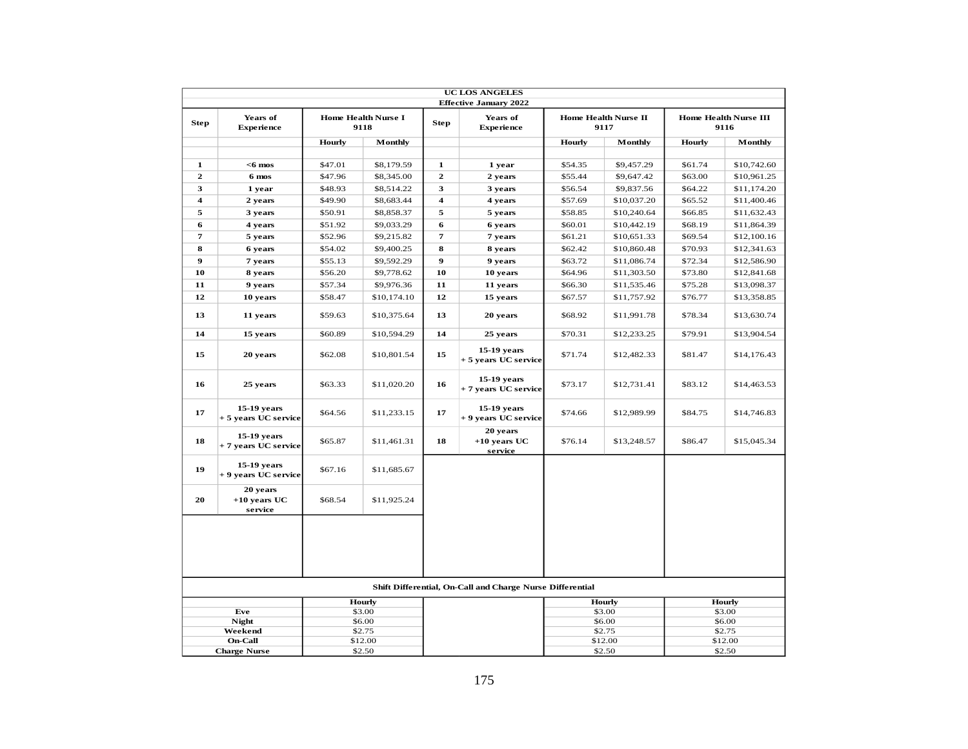|                         |                                       |               |                                    |                         | <b>UC LOS ANGELES</b>                                     |                  |                                     |         |                                      |
|-------------------------|---------------------------------------|---------------|------------------------------------|-------------------------|-----------------------------------------------------------|------------------|-------------------------------------|---------|--------------------------------------|
|                         |                                       |               |                                    |                         | <b>Effective January 2022</b>                             |                  |                                     |         |                                      |
| <b>Step</b>             | Years of<br><b>Experience</b>         |               | <b>Home Health Nurse I</b><br>9118 | <b>Step</b>             | Years of<br><b>Experience</b>                             |                  | <b>Home Health Nurse II</b><br>9117 |         | <b>Home Health Nurse III</b><br>9116 |
|                         |                                       | <b>Hourly</b> | Monthly                            |                         |                                                           | Hourly           | Monthly                             | Hourly  | Monthly                              |
| 1                       | $<$ 6 mos                             | \$47.01       | \$8,179.59                         | $\mathbf{1}$            | 1 year                                                    | \$54.35          | \$9,457.29                          | \$61.74 | \$10,742.60                          |
| $\mathbf{z}$            | 6 mos                                 | \$47.96       | \$8,345.00                         | $\mathbf{2}$            | 2 years                                                   | \$55.44          | \$9,647.42                          | \$63.00 | \$10,961.25                          |
| 3                       | 1 year                                | \$48.93       | \$8,514.22                         | 3                       | 3 years                                                   | \$56.54          | \$9,837.56                          | \$64.22 | \$11,174.20                          |
| $\overline{\mathbf{4}}$ | 2 years                               | \$49.90       | \$8,683.44                         | $\overline{\mathbf{4}}$ | 4 years                                                   | \$57.69          | \$10,037.20                         | \$65.52 | \$11,400.46                          |
| 5                       | 3 years                               | \$50.91       | \$8,858.37                         | 5                       | 5 years                                                   | \$58.85          | \$10,240.64                         | \$66.85 | \$11,632.43                          |
| 6                       | 4 years                               | \$51.92       | \$9,033.29                         | 6                       | 6 years                                                   | \$60.01          | \$10,442.19                         | \$68.19 | \$11,864.39                          |
| 7                       | 5 years                               | \$52.96       | \$9,215.82                         | $\overline{7}$          | 7 years                                                   | \$61.21          | \$10,651.33                         | \$69.54 | \$12,100.16                          |
| 8                       | 6 years                               | \$54.02       | \$9,400.25                         | 8                       | 8 years                                                   | \$62.42          | \$10,860.48                         | \$70.93 | \$12,341.63                          |
| 9                       | 7 years                               | \$55.13       | \$9,592.29                         | $\boldsymbol{9}$        | 9 years                                                   | \$63.72          | \$11,086.74                         | \$72.34 | \$12,586.90                          |
| 10                      | 8 years                               | \$56.20       | \$9,778.62                         | 10                      | 10 years                                                  | \$64.96          | \$11,303.50                         | \$73.80 | \$12,841.68                          |
| 11                      | 9 years                               | \$57.34       | \$9,976.36                         | 11                      | 11 years                                                  | \$66.30          | \$11,535.46                         | \$75.28 | \$13,098.37                          |
| 12                      | 10 years                              | \$58.47       | \$10,174.10                        | 12                      | 15 years                                                  | \$67.57          | \$11,757.92                         | \$76.77 | \$13,358.85                          |
| 13                      | 11 years                              | \$59.63       | \$10,375.64                        | 13                      | 20 years                                                  | \$68.92          | \$11,991.78                         | \$78.34 | \$13,630.74                          |
| 14                      | 15 years                              | \$60.89       | \$10,594.29                        | 14                      | 25 years                                                  | \$70.31          | \$12,233.25                         | \$79.91 | \$13,904.54                          |
| 15                      | 20 years                              | \$62.08       | \$10,801.54                        | 15                      | 15-19 years<br>+ 5 years UC service                       | \$71.74          | \$12,482.33                         | \$81.47 | \$14,176.43                          |
| 16                      | 25 years                              | \$63.33       | \$11,020.20                        | 16                      | 15-19 years<br>+ 7 years UC service                       | \$73.17          | \$12,731.41                         | \$83.12 | \$14,463.53                          |
| 17                      | 15-19 years<br>+ 5 years UC service   | \$64.56       | \$11,233.15                        | 17                      | 15-19 vears<br>+ 9 years UC service                       | \$74.66          | \$12,989.99                         | \$84.75 | \$14,746.83                          |
| 18                      | $15-19$ years<br>+ 7 years UC service | \$65.87       | \$11,461.31                        | 18                      | 20 years<br>$+10$ years UC<br>service                     | \$76.14          | \$13,248.57                         | \$86.47 | \$15,045.34                          |
| 19                      | 15-19 years<br>+ 9 years UC service   | \$67.16       | \$11,685.67                        |                         |                                                           |                  |                                     |         |                                      |
| 20                      | 20 years<br>$+10$ years UC<br>service | \$68.54       | \$11,925.24                        |                         |                                                           |                  |                                     |         |                                      |
|                         |                                       |               |                                    |                         |                                                           |                  |                                     |         |                                      |
|                         |                                       |               |                                    |                         | Shift Differential, On-Call and Charge Nurse Differential |                  |                                     |         |                                      |
|                         | Hourly                                |               |                                    |                         |                                                           |                  | <b>Hourly</b>                       |         | Hourly                               |
|                         | Eve                                   |               | \$3.00                             |                         |                                                           |                  | \$3.00                              |         | \$3.00                               |
|                         | <b>Night</b><br>Weekend               |               | \$6.00<br>\$2.75                   |                         |                                                           |                  | \$6.00<br>\$2.75                    |         | \$6.00<br>\$2.75                     |
|                         | <b>On-Call</b>                        |               | \$12.00                            |                         |                                                           |                  | \$12.00                             |         | \$12.00                              |
|                         | <b>Charge Nurse</b>                   |               | \$2.50                             |                         |                                                           | \$2.50<br>\$2.50 |                                     |         |                                      |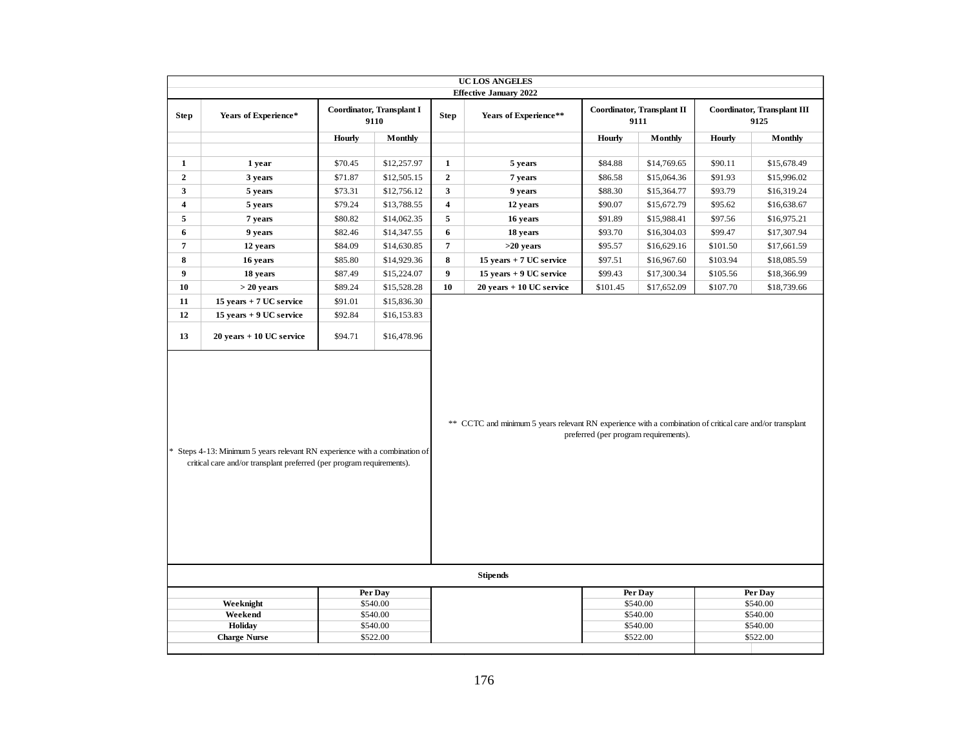|                                                                                                                                                                                                                                                                                                          |                             |               |                                   |                         | UC LOS ANGELES                |          |                                    |               |                                     |
|----------------------------------------------------------------------------------------------------------------------------------------------------------------------------------------------------------------------------------------------------------------------------------------------------------|-----------------------------|---------------|-----------------------------------|-------------------------|-------------------------------|----------|------------------------------------|---------------|-------------------------------------|
|                                                                                                                                                                                                                                                                                                          |                             |               |                                   |                         | <b>Effective January 2022</b> |          |                                    |               |                                     |
| <b>Step</b>                                                                                                                                                                                                                                                                                              | Years of Experience*        |               | Coordinator, Transplant I<br>9110 | <b>Step</b>             | Years of Experience**         |          | Coordinator, Transplant II<br>9111 |               | Coordinator, Transplant III<br>9125 |
|                                                                                                                                                                                                                                                                                                          |                             | <b>Hourly</b> | <b>Monthly</b>                    |                         |                               | Hourly   | Monthly                            | <b>Hourly</b> | <b>Monthly</b>                      |
|                                                                                                                                                                                                                                                                                                          |                             |               |                                   |                         |                               |          |                                    |               |                                     |
| 1                                                                                                                                                                                                                                                                                                        | 1 year                      | \$70.45       | \$12,257.97                       | $\mathbf{1}$            | 5 years                       | \$84.88  | \$14,769.65                        | \$90.11       | \$15,678.49                         |
| $\mathbf{2}$                                                                                                                                                                                                                                                                                             | 3 years                     | \$71.87       | \$12,505.15                       | $\mathbf 2$             | 7 years                       | \$86.58  | \$15,064.36                        | \$91.93       | \$15,996.02                         |
| 3                                                                                                                                                                                                                                                                                                        | 5 years                     | \$73.31       | \$12,756.12                       | 3                       | 9 years                       | \$88.30  | \$15,364.77                        | \$93.79       | \$16,319.24                         |
| $\overline{\mathbf{4}}$                                                                                                                                                                                                                                                                                  | 5 years                     | \$79.24       | \$13,788.55                       | $\overline{\mathbf{4}}$ | 12 years                      | \$90.07  | \$15,672.79                        | \$95.62       | \$16,638.67                         |
| 5                                                                                                                                                                                                                                                                                                        | 7 years                     | \$80.82       | \$14,062.35                       | $\sqrt{5}$              | 16 years                      | \$91.89  | \$15,988.41                        | \$97.56       | \$16,975.21                         |
| 6                                                                                                                                                                                                                                                                                                        | 9 years                     | \$82.46       | \$14,347.55                       | $\boldsymbol{6}$        | 18 years                      | \$93.70  | \$16,304.03                        | \$99.47       | \$17,307.94                         |
| $\overline{7}$                                                                                                                                                                                                                                                                                           | 12 years                    | \$84.09       | \$14,630.85                       | $\boldsymbol{7}$        | $>20$ years                   | \$95.57  | \$16,629.16                        | \$101.50      | \$17,661.59                         |
| ${\bf 8}$                                                                                                                                                                                                                                                                                                | 16 years                    | \$85.80       | \$14,929.36                       | $\pmb{8}$               | 15 years + 7 UC service       | \$97.51  | \$16,967.60                        | \$103.94      | \$18,085.59                         |
| 9                                                                                                                                                                                                                                                                                                        | 18 years                    | \$87.49       | \$15,224.07                       | $\boldsymbol{9}$        | 15 years + 9 UC service       | \$99.43  | \$17,300.34                        | \$105.56      | \$18,366.99                         |
| 10                                                                                                                                                                                                                                                                                                       | $> 20$ years                | \$89.24       | \$15,528.28                       | 10                      | $20$ years $+10$ UC service   | \$101.45 | \$17,652.09                        | \$107.70      | \$18,739.66                         |
| 11                                                                                                                                                                                                                                                                                                       | 15 years + 7 UC service     | \$91.01       | \$15,836.30                       |                         |                               |          |                                    |               |                                     |
| 12                                                                                                                                                                                                                                                                                                       | 15 years + 9 UC service     | \$92.84       | \$16,153.83                       |                         |                               |          |                                    |               |                                     |
| 13                                                                                                                                                                                                                                                                                                       | $20$ years $+10$ UC service | \$94.71       | \$16,478.96                       |                         |                               |          |                                    |               |                                     |
| ** CCTC and minimum 5 years relevant RN experience with a combination of critical care and/or transplant<br>preferred (per program requirements).<br>* Steps 4-13: Minimum 5 years relevant RN experience with a combination of<br>critical care and/or transplant preferred (per program requirements). |                             |               |                                   |                         |                               |          |                                    |               |                                     |
|                                                                                                                                                                                                                                                                                                          |                             |               |                                   |                         | <b>Stipends</b>               |          |                                    |               |                                     |
|                                                                                                                                                                                                                                                                                                          |                             |               | Per Day                           |                         |                               |          | Per Day                            |               | Per Day                             |
|                                                                                                                                                                                                                                                                                                          | Weeknight<br>Weekend        |               | \$540.00<br>\$540.00              |                         |                               |          | \$540.00<br>\$540.00               |               | \$540.00<br>\$540.00                |
|                                                                                                                                                                                                                                                                                                          | Holiday                     |               | \$540.00                          |                         |                               |          | \$540.00                           |               | \$540.00                            |
|                                                                                                                                                                                                                                                                                                          | <b>Charge Nurse</b>         |               | \$522.00                          |                         |                               |          | \$522.00                           |               | \$522.00                            |
|                                                                                                                                                                                                                                                                                                          |                             |               |                                   |                         |                               |          |                                    |               |                                     |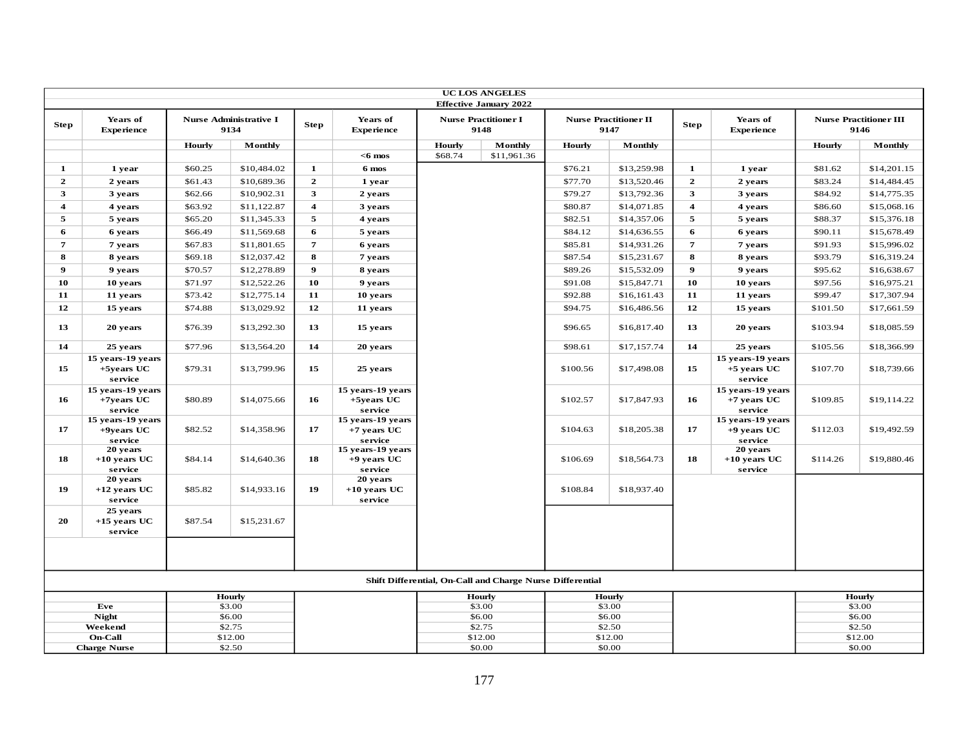|                         |                                               |         |                                |                         |                                               |               | <b>UC LOS ANGELES</b>                                     |               |                                      |                         |                                               |          |                                       |
|-------------------------|-----------------------------------------------|---------|--------------------------------|-------------------------|-----------------------------------------------|---------------|-----------------------------------------------------------|---------------|--------------------------------------|-------------------------|-----------------------------------------------|----------|---------------------------------------|
|                         |                                               |         |                                |                         |                                               |               | <b>Effective January 2022</b>                             |               |                                      |                         |                                               |          |                                       |
| <b>Step</b>             | Years of<br><b>Experience</b>                 |         | Nurse Administrative I<br>9134 | <b>Step</b>             | Years of<br><b>Experience</b>                 |               | <b>Nurse Practitioner I</b><br>9148                       |               | <b>Nurse Practitioner II</b><br>9147 | <b>Step</b>             | Years of<br><b>Experience</b>                 |          | <b>Nurse Practitioner III</b><br>9146 |
|                         |                                               | Hourly  | Monthly                        |                         |                                               | <b>Hourly</b> | Monthly                                                   | <b>Hourly</b> | Monthly                              |                         |                                               | Hourly   | Monthly                               |
|                         |                                               |         |                                |                         | $<$ 6 mos                                     | \$68.74       | \$11,961.36                                               |               |                                      |                         |                                               |          |                                       |
| 1                       | 1 year                                        | \$60.25 | \$10,484.02                    | $\mathbf{1}$            | 6 mos                                         |               |                                                           | \$76.21       | \$13,259.98                          | $\mathbf{1}$            | 1 year                                        | \$81.62  | \$14,201.15                           |
| $\mathbf{2}$            | 2 years                                       | \$61.43 | \$10,689.36                    | $\mathbf{2}$            | 1 year                                        |               |                                                           | \$77.70       | \$13,520.46                          | $\mathbf{2}$            | 2 years                                       | \$83.24  | \$14,484.45                           |
| 3                       | 3 years                                       | \$62.66 | \$10,902.31                    | $\mathbf{3}$            | 2 years                                       |               |                                                           | \$79.27       | \$13,792.36                          | 3                       | 3 years                                       | \$84.92  | \$14,775.35                           |
| $\overline{\mathbf{4}}$ | 4 years                                       | \$63.92 | \$11,122.87                    | $\overline{\mathbf{4}}$ | 3 years                                       |               |                                                           | \$80.87       | \$14,071.85                          | $\overline{\mathbf{4}}$ | 4 years                                       | \$86.60  | \$15,068.16                           |
| 5                       | 5 years                                       | \$65.20 | \$11,345.33                    | 5                       | 4 years                                       |               |                                                           | \$82.51       | \$14,357.06                          | 5                       | 5 years                                       | \$88.37  | \$15,376.18                           |
| 6                       | 6 years                                       | \$66.49 | \$11,569.68                    | 6                       | 5 years                                       |               |                                                           | \$84.12       | \$14,636.55                          | 6                       | 6 years                                       | \$90.11  | \$15,678.49                           |
| $\overline{7}$          | 7 years                                       | \$67.83 | \$11,801.65                    | $\overline{7}$          | 6 years                                       |               |                                                           | \$85.81       | \$14,931.26                          | $\overline{7}$          | 7 years                                       | \$91.93  | \$15,996.02                           |
| 8                       | 8 years                                       | \$69.18 | \$12,037.42                    | 8                       | 7 years                                       |               |                                                           | \$87.54       | \$15,231.67                          | 8                       | 8 years                                       | \$93.79  | \$16,319.24                           |
| $\boldsymbol{9}$        | 9 years                                       | \$70.57 | \$12,278.89                    | $\boldsymbol{9}$        | 8 years                                       |               |                                                           | \$89.26       | \$15,532.09                          | $\boldsymbol{9}$        | 9 years                                       | \$95.62  | \$16,638.67                           |
| 10                      | 10 years                                      | \$71.97 | \$12,522.26                    | 10                      | 9 years                                       |               |                                                           | \$91.08       | \$15,847.71                          | 10                      | 10 years                                      | \$97.56  | \$16,975.21                           |
| 11                      | 11 years                                      | \$73.42 | \$12,775.14                    | 11                      | 10 years                                      |               |                                                           | \$92.88       | \$16,161.43                          | 11                      | 11 years                                      | \$99.47  | \$17,307.94                           |
| 12                      | 15 years                                      | \$74.88 | \$13,029.92                    | 12                      | 11 years                                      |               |                                                           | \$94.75       | \$16,486.56                          | 12                      | 15 years                                      | \$101.50 | \$17,661.59                           |
| 13                      | 20 years                                      | \$76.39 | \$13,292.30                    | 13                      | 15 years                                      |               |                                                           | \$96.65       | \$16,817.40                          | 13                      | 20 years                                      | \$103.94 | \$18,085.59                           |
| 14                      | 25 years                                      | \$77.96 | \$13,564.20                    | 14                      | 20 years                                      |               |                                                           | \$98.61       | \$17,157.74                          | 14                      | 25 years                                      | \$105.56 | \$18,366.99                           |
| 15                      | 15 years-19 years<br>$+5$ years UC<br>service | \$79.31 | \$13,799.96                    | 15                      | 25 years                                      |               |                                                           | \$100.56      | \$17,498.08                          | 15                      | 15 years-19 years<br>$+5$ years UC<br>service | \$107.70 | \$18,739.66                           |
| 16                      | 15 years-19 years<br>$+7$ years UC<br>service | \$80.89 | \$14,075.66                    | 16                      | 15 years-19 years<br>$+5$ vears UC<br>service |               |                                                           | \$102.57      | \$17,847.93                          | 16                      | 15 years-19 years<br>$+7$ vears UC<br>service | \$109.85 | \$19,114.22                           |
| 17                      | 15 years-19 years<br>$+9$ years UC<br>service | \$82.52 | \$14,358.96                    | 17                      | 15 years-19 years<br>$+7$ years UC<br>service |               |                                                           | \$104.63      | \$18,205.38                          | 17                      | 15 years-19 years<br>$+9$ years UC<br>service | \$112.03 | \$19,492.59                           |
| 18                      | 20 years<br>$+10$ years UC<br>service         | \$84.14 | \$14,640.36                    | 18                      | 15 years-19 years<br>$+9$ vears UC<br>service |               |                                                           | \$106.69      | \$18,564.73                          | 18                      | 20 years<br>$+10$ years UC<br>service         | \$114.26 | \$19,880.46                           |
| 19                      | 20 years<br>$+12$ years UC<br>service         | \$85.82 | \$14,933.16                    | 19                      | 20 years<br>$+10$ years UC<br>service         |               |                                                           | \$108.84      | \$18,937.40                          |                         |                                               |          |                                       |
| 20                      | 25 years<br>$+15$ years UC<br>service         | \$87.54 | \$15,231.67                    |                         |                                               |               |                                                           |               |                                      |                         |                                               |          |                                       |
|                         |                                               |         |                                |                         |                                               |               |                                                           |               |                                      |                         |                                               |          |                                       |
|                         |                                               |         |                                |                         |                                               |               | Shift Differential, On-Call and Charge Nurse Differential |               |                                      |                         |                                               |          |                                       |
|                         |                                               |         | Hourly                         |                         |                                               |               | <b>Hourly</b>                                             |               | Hourly                               |                         |                                               |          | Hourly                                |
|                         | Eve<br><b>Night</b>                           |         | \$3.00<br>\$6.00               |                         |                                               |               | \$3.00<br>\$6.00                                          |               | \$3.00<br>\$6.00                     |                         |                                               |          | \$3.00<br>\$6.00                      |
|                         | Weekend                                       |         | \$2.75                         |                         |                                               |               | \$2.75                                                    |               | \$2.50                               |                         |                                               |          | \$2.50                                |
|                         | On-Call                                       |         | \$12.00                        |                         |                                               |               | \$12.00                                                   |               | \$12.00                              |                         |                                               |          | \$12.00                               |
|                         | <b>Charge Nurse</b>                           |         | \$2.50                         |                         |                                               |               | \$0.00                                                    |               | \$0.00                               |                         |                                               |          | \$0.00                                |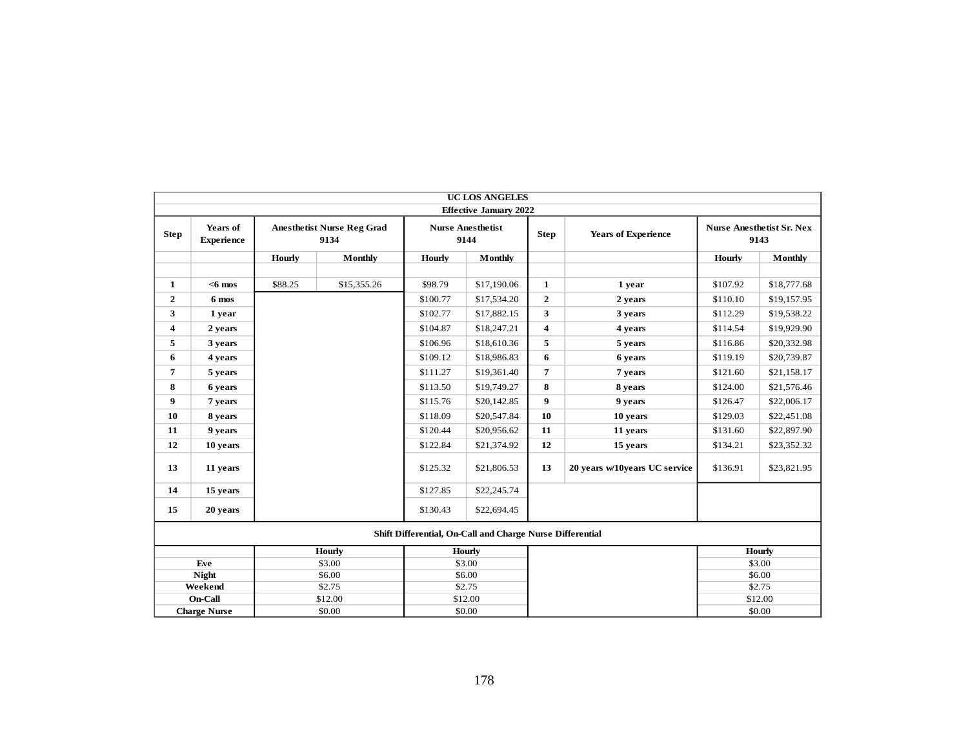|              |                               |         |                                           |               | <b>UC LOS ANGELES</b><br><b>Effective January 2022</b>    |                         |                               |               |                                          |
|--------------|-------------------------------|---------|-------------------------------------------|---------------|-----------------------------------------------------------|-------------------------|-------------------------------|---------------|------------------------------------------|
| <b>Step</b>  | Years of<br><b>Experience</b> |         | <b>Anesthetist Nurse Reg Grad</b><br>9134 |               | <b>Nurse Anesthetist</b><br>9144                          | <b>Step</b>             | <b>Years of Experience</b>    |               | <b>Nurse Anesthetist Sr. Nex</b><br>9143 |
|              |                               | Hourly  | <b>Monthly</b>                            | <b>Hourly</b> | Monthly                                                   |                         |                               | <b>Hourly</b> | <b>Monthly</b>                           |
|              |                               |         |                                           |               |                                                           |                         |                               |               |                                          |
| 1            | $<6$ mos                      | \$88.25 | \$15,355.26                               | \$98.79       | \$17,190.06                                               | $\mathbf{1}$            | 1 year                        | \$107.92      | \$18,777.68                              |
| $\mathbf{2}$ | 6 mos                         |         |                                           | \$100.77      | \$17,534.20                                               | $\boldsymbol{2}$        | 2 years                       | \$110.10      | \$19,157.95                              |
| 3            | 1 year                        |         |                                           | \$102.77      | \$17,882.15                                               | 3                       | 3 years                       | \$112.29      | \$19,538.22                              |
| 4            | 2 years                       |         |                                           | \$104.87      | \$18,247.21                                               | $\overline{\mathbf{4}}$ | 4 years                       | \$114.54      | \$19,929.90                              |
| 5            | 3 years                       |         |                                           | \$106.96      | \$18,610.36                                               | 5                       | 5 years                       | \$116.86      | \$20,332.98                              |
| 6            | 4 years                       |         |                                           | \$109.12      | \$18,986.83                                               | 6                       | 6 years                       | \$119.19      | \$20,739.87                              |
| 7            | 5 years                       |         |                                           | \$111.27      | \$19,361.40                                               | $\overline{7}$          | 7 years                       | \$121.60      | \$21,158.17                              |
| 8            | 6 years                       |         |                                           | \$113.50      | \$19,749.27                                               | 8                       | 8 years                       | \$124.00      | \$21,576.46                              |
| 9            | 7 years                       |         |                                           | \$115.76      | \$20,142.85                                               | 9                       | 9 years                       | \$126.47      | \$22,006.17                              |
| 10           | 8 years                       |         |                                           | \$118.09      | \$20,547.84                                               | 10                      | 10 years                      | \$129.03      | \$22,451.08                              |
| 11           | 9 years                       |         |                                           | \$120.44      | \$20,956.62                                               | 11                      | 11 years                      | \$131.60      | \$22,897.90                              |
| 12           | 10 years                      |         |                                           | \$122.84      | \$21,374.92                                               | 12                      | 15 years                      | \$134.21      | \$23,352.32                              |
| 13           | 11 years                      |         |                                           | \$125.32      | \$21,806.53                                               | 13                      | 20 years w/10years UC service | \$136.91      | \$23,821.95                              |
| 14           | 15 years                      |         |                                           | \$127.85      | \$22,245.74                                               |                         |                               |               |                                          |
| 15           | 20 years                      |         |                                           | \$130.43      | \$22,694.45                                               |                         |                               |               |                                          |
|              |                               |         |                                           |               | Shift Differential, On-Call and Charge Nurse Differential |                         |                               |               |                                          |
|              |                               |         | <b>Hourly</b>                             |               | <b>Hourly</b>                                             |                         |                               |               | <b>Hourly</b>                            |
|              | Eve                           |         | \$3.00                                    |               | \$3.00                                                    |                         |                               |               | \$3.00                                   |
|              | <b>Night</b>                  |         | \$6.00                                    |               | \$6.00                                                    |                         |                               |               | \$6.00                                   |
|              | Weekend<br>On-Call            |         | \$2.75<br>\$12.00                         |               | \$2.75<br>\$12.00                                         |                         |                               |               | \$2.75<br>\$12.00                        |
|              | <b>Charge Nurse</b>           |         | \$0.00                                    |               | \$0.00                                                    |                         |                               |               | \$0.00                                   |
|              |                               |         |                                           |               |                                                           |                         |                               |               |                                          |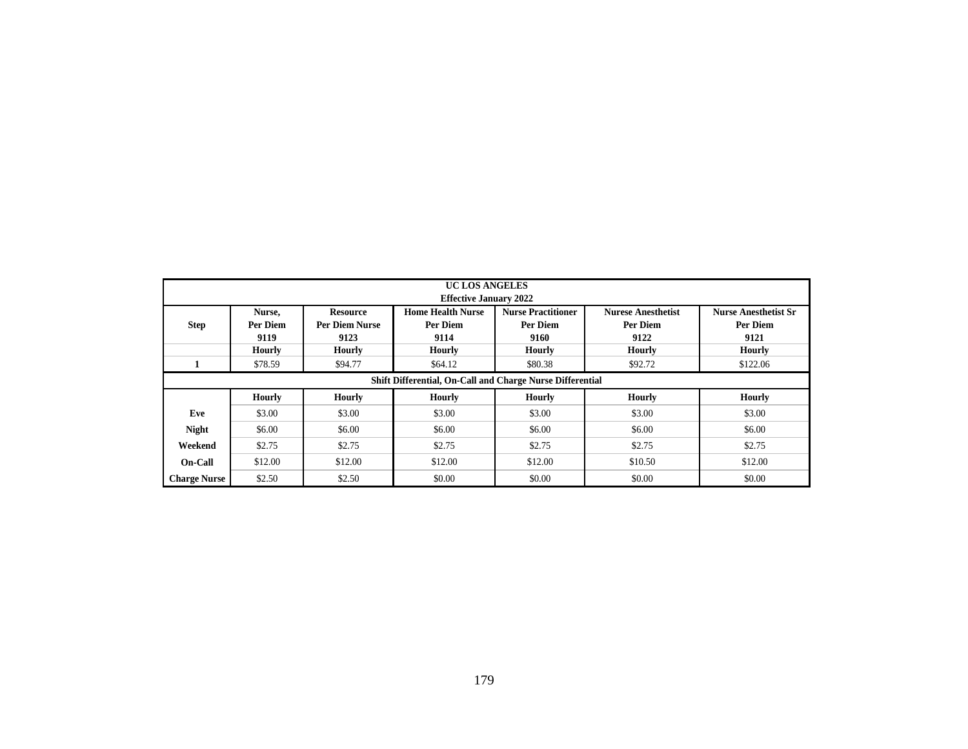|                     |                                                                               |                                                  | <b>UC LOS ANGELES</b><br><b>Effective January 2022</b> |                                               |                                               |                                                 |  |  |  |  |  |  |  |  |  |
|---------------------|-------------------------------------------------------------------------------|--------------------------------------------------|--------------------------------------------------------|-----------------------------------------------|-----------------------------------------------|-------------------------------------------------|--|--|--|--|--|--|--|--|--|
| <b>Step</b>         | Nurse,<br>Per Diem<br>9119                                                    | <b>Resource</b><br><b>Per Diem Nurse</b><br>9123 | <b>Home Health Nurse</b><br>Per Diem<br>9114           | <b>Nurse Practitioner</b><br>Per Diem<br>9160 | <b>Nurese Anesthetist</b><br>Per Diem<br>9122 | <b>Nurse Anesthetist Sr</b><br>Per Diem<br>9121 |  |  |  |  |  |  |  |  |  |
|                     | Hourly                                                                        | Hourly                                           | <b>Hourly</b>                                          | Hourly                                        | <b>Hourly</b>                                 | Hourly                                          |  |  |  |  |  |  |  |  |  |
|                     | \$78.59                                                                       | \$94.77                                          | \$64.12                                                | \$80.38                                       | \$92.72                                       | \$122.06                                        |  |  |  |  |  |  |  |  |  |
|                     | Shift Differential, On-Call and Charge Nurse Differential                     |                                                  |                                                        |                                               |                                               |                                                 |  |  |  |  |  |  |  |  |  |
|                     | Hourly<br><b>Hourly</b><br>Hourly<br><b>Hourly</b><br>Hourly<br><b>Hourly</b> |                                                  |                                                        |                                               |                                               |                                                 |  |  |  |  |  |  |  |  |  |
| Eve                 | \$3.00                                                                        | \$3.00                                           | \$3.00                                                 | \$3.00                                        | \$3.00                                        | \$3.00                                          |  |  |  |  |  |  |  |  |  |
| <b>Night</b>        | \$6.00                                                                        | \$6.00                                           | \$6.00                                                 | \$6.00                                        | \$6.00                                        | \$6.00                                          |  |  |  |  |  |  |  |  |  |
| Weekend             | \$2.75                                                                        | \$2.75                                           | \$2.75                                                 | \$2.75                                        | \$2.75                                        | \$2.75                                          |  |  |  |  |  |  |  |  |  |
| <b>On-Call</b>      | \$12.00                                                                       | \$12.00                                          | \$12.00                                                | \$12.00                                       | \$10.50                                       | \$12.00                                         |  |  |  |  |  |  |  |  |  |
| <b>Charge Nurse</b> | \$2.50                                                                        | \$2.50                                           | \$0.00                                                 | \$0.00                                        | \$0.00                                        | \$0.00                                          |  |  |  |  |  |  |  |  |  |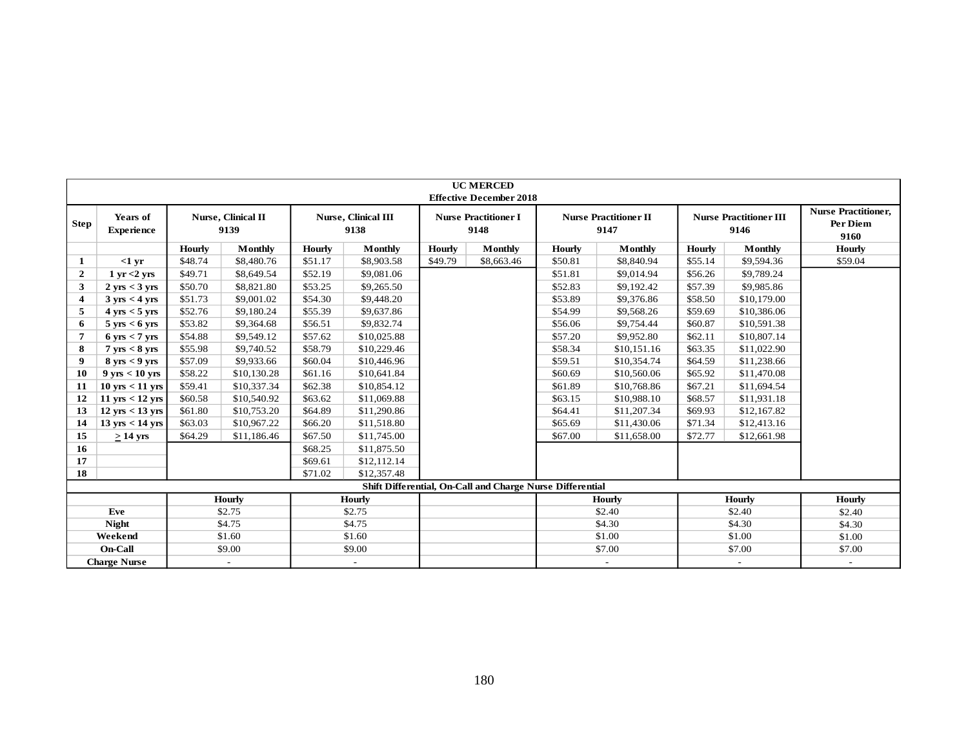|              |                                   |         |                            |               |                                    |               | <b>UC MERCED</b><br><b>Effective December 2018</b>        |         |                                      |         |                                       |                                                |
|--------------|-----------------------------------|---------|----------------------------|---------------|------------------------------------|---------------|-----------------------------------------------------------|---------|--------------------------------------|---------|---------------------------------------|------------------------------------------------|
| Step         | Years of<br><b>Experience</b>     |         | Nurse, Clinical II<br>9139 |               | <b>Nurse, Clinical III</b><br>9138 |               | <b>Nurse Practitioner I</b><br>9148                       |         | <b>Nurse Practitioner II</b><br>9147 |         | <b>Nurse Practitioner III</b><br>9146 | <b>Nurse Practitioner,</b><br>Per Diem<br>9160 |
|              |                                   | Hourly  | Monthly                    | <b>Hourly</b> | Monthly                            | <b>Hourly</b> | Monthly                                                   | Hourly  | Monthly                              | Hourly  | Monthly                               | <b>Hourly</b>                                  |
| 1            | $<1$ yr                           | \$48.74 | \$8,480.76                 | \$51.17       | \$8,903.58                         | \$49.79       | \$8,663.46                                                | \$50.81 | \$8,840.94                           | \$55.14 | \$9,594.36                            | \$59.04                                        |
| $\mathbf{2}$ | $1 \text{ yr} < 2 \text{ yrs}$    | \$49.71 | \$8,649.54                 | \$52.19       | \$9,081.06                         |               |                                                           | \$51.81 | \$9,014.94                           | \$56.26 | \$9,789.24                            |                                                |
| 3            | $2 \text{ yrs} < 3 \text{ yrs}$   | \$50.70 | \$8,821.80                 | \$53.25       | \$9,265.50                         |               |                                                           | \$52.83 | \$9,192.42                           | \$57.39 | \$9,985.86                            |                                                |
| 4            | $3 \text{ yrs} < 4 \text{ yrs}$   | \$51.73 | \$9,001.02                 | \$54.30       | \$9,448.20                         |               |                                                           | \$53.89 | \$9,376.86                           | \$58.50 | \$10,179.00                           |                                                |
| 5            | $4 \text{ yrs} < 5 \text{ yrs}$   | \$52.76 | \$9,180.24                 | \$55.39       | \$9,637.86                         |               |                                                           | \$54.99 | \$9,568.26                           | \$59.69 | \$10,386.06                           |                                                |
| 6            | $5 \text{ yrs} < 6 \text{ yrs}$   | \$53.82 | \$9,364.68                 | \$56.51       | \$9,832.74                         |               |                                                           | \$56.06 | \$9,754.44                           | \$60.87 | \$10,591.38                           |                                                |
| 7            | $6 \text{ yrs} < 7 \text{ yrs}$   | \$54.88 | \$9,549.12                 | \$57.62       | \$10,025.88                        |               |                                                           | \$57.20 | \$9,952.80                           | \$62.11 | \$10,807.14                           |                                                |
| 8            | $7 \text{ yrs} < 8 \text{ yrs}$   | \$55.98 | \$9,740.52                 | \$58.79       | \$10,229.46                        |               |                                                           | \$58.34 | \$10,151.16                          | \$63.35 | \$11,022.90                           |                                                |
| 9            | $8 \text{ yrs} < 9 \text{ yrs}$   | \$57.09 | \$9,933.66                 | \$60.04       | \$10,446.96                        |               |                                                           | \$59.51 | \$10,354.74                          | \$64.59 | \$11,238.66                           |                                                |
| 10           | $9 \text{ yrs} < 10 \text{ yrs}$  | \$58.22 | \$10,130.28                | \$61.16       | \$10,641.84                        |               |                                                           | \$60.69 | \$10,560.06                          | \$65.92 | \$11,470.08                           |                                                |
| 11           | $10 \text{ yrs} < 11 \text{ yrs}$ | \$59.41 | \$10,337.34                | \$62.38       | \$10,854.12                        |               |                                                           | \$61.89 | \$10,768.86                          | \$67.21 | \$11,694.54                           |                                                |
| 12           | $11 \text{ yrs} < 12 \text{ yrs}$ | \$60.58 | \$10,540.92                | \$63.62       | \$11,069.88                        |               |                                                           | \$63.15 | \$10,988.10                          | \$68.57 | \$11,931.18                           |                                                |
| 13           | $12 \text{ yrs} < 13 \text{ yrs}$ | \$61.80 | \$10,753.20                | \$64.89       | \$11,290.86                        |               |                                                           | \$64.41 | \$11,207.34                          | \$69.93 | \$12,167.82                           |                                                |
| 14           | $13 \text{ yrs} < 14 \text{ yrs}$ | \$63.03 | \$10,967.22                | \$66.20       | \$11,518.80                        |               |                                                           | \$65.69 | \$11,430.06                          | \$71.34 | \$12,413.16                           |                                                |
| 15           | $>14$ yrs                         | \$64.29 | \$11,186.46                | \$67.50       | \$11,745.00                        |               |                                                           | \$67.00 | \$11,658.00                          | \$72.77 | \$12,661.98                           |                                                |
| 16           |                                   |         |                            | \$68.25       | \$11,875.50                        |               |                                                           |         |                                      |         |                                       |                                                |
| 17           |                                   |         |                            | \$69.61       | \$12,112.14                        |               |                                                           |         |                                      |         |                                       |                                                |
| 18           |                                   |         |                            | \$71.02       | \$12,357.48                        |               |                                                           |         |                                      |         |                                       |                                                |
|              |                                   |         |                            |               |                                    |               | Shift Differential, On-Call and Charge Nurse Differential |         |                                      |         |                                       |                                                |
|              |                                   |         | <b>Hourly</b>              |               | <b>Hourly</b>                      |               |                                                           |         | Hourly                               |         | <b>Hourly</b>                         | <b>Hourly</b>                                  |
|              | Eve                               |         | \$2.75                     |               | \$2.75                             |               |                                                           |         | \$2.40                               |         | \$2.40                                | \$2.40                                         |
|              | <b>Night</b>                      |         | \$4.75                     |               | \$4.75                             |               |                                                           |         | \$4.30                               |         | \$4.30                                | \$4.30                                         |
|              | Weekend                           |         | \$1.60                     |               | \$1.60                             |               |                                                           |         | \$1.00                               |         | \$1.00                                | \$1.00                                         |
|              | On-Call                           |         | \$9.00                     |               | \$9.00                             |               |                                                           |         | \$7.00                               |         | \$7.00                                | \$7.00                                         |
|              | <b>Charge Nurse</b>               |         | $\overline{\phantom{a}}$   |               |                                    |               |                                                           |         | $\overline{\phantom{a}}$             |         | $\sim$                                | $\overline{\phantom{a}}$                       |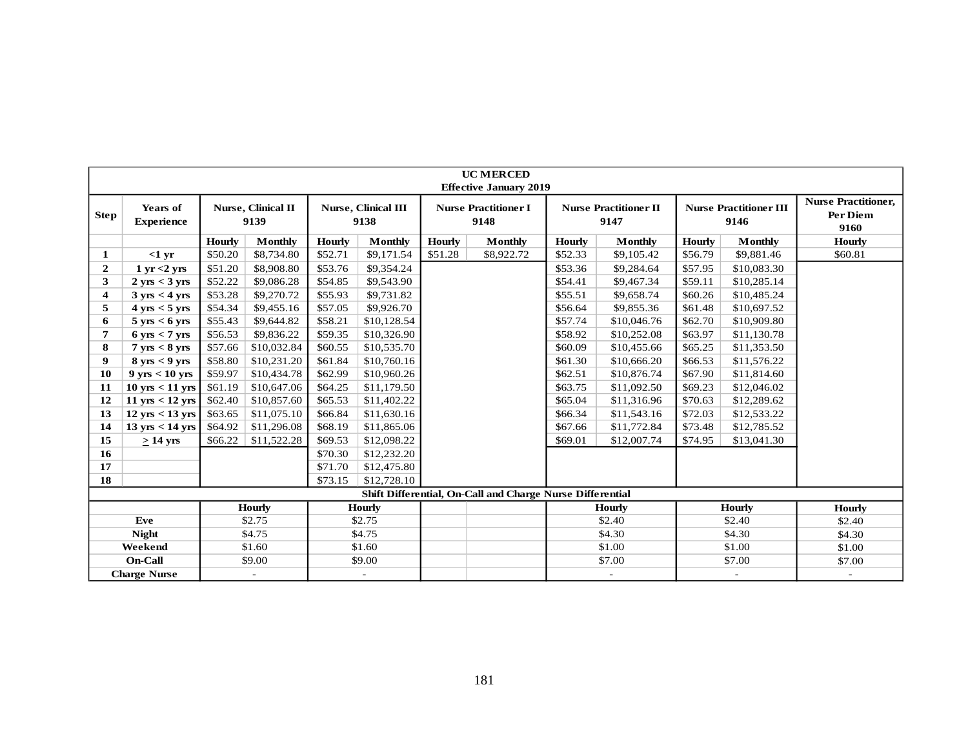|                         |                                   |         |                            |               |                             |               | <b>UC MERCED</b><br><b>Effective January 2019</b>         |         |                                      |         |                                       |                                                |
|-------------------------|-----------------------------------|---------|----------------------------|---------------|-----------------------------|---------------|-----------------------------------------------------------|---------|--------------------------------------|---------|---------------------------------------|------------------------------------------------|
| <b>Step</b>             | Years of<br><b>Experience</b>     |         | Nurse, Clinical II<br>9139 |               | Nurse, Clinical III<br>9138 |               | <b>Nurse Practitioner I</b><br>9148                       |         | <b>Nurse Practitioner II</b><br>9147 |         | <b>Nurse Practitioner III</b><br>9146 | <b>Nurse Practitioner,</b><br>Per Diem<br>9160 |
|                         |                                   | Hourly  | <b>Monthly</b>             | <b>Hourly</b> | Monthly                     | <b>Hourly</b> | Monthly                                                   | Hourly  | <b>Monthly</b>                       | Hourly  | <b>Monthly</b>                        | Hourly                                         |
| 1                       | $<1$ yr                           | \$50.20 | \$8,734.80                 | \$52.71       | \$9,171.54                  | \$51.28       | \$8,922.72                                                | \$52.33 | \$9,105.42                           | \$56.79 | \$9,881.46                            | \$60.81                                        |
| $\overline{2}$          | $1 \text{ yr} < 2 \text{ yrs}$    | \$51.20 | \$8,908.80                 | \$53.76       | \$9,354.24                  |               |                                                           | \$53.36 | \$9,284.64                           | \$57.95 | \$10,083.30                           |                                                |
| 3                       | $2 \text{ yrs} < 3 \text{ yrs}$   | \$52.22 | \$9,086.28                 | \$54.85       | \$9,543.90                  |               |                                                           | \$54.41 | \$9,467.34                           | \$59.11 | \$10,285.14                           |                                                |
| $\overline{\mathbf{4}}$ | $3 \text{ yrs} < 4 \text{ yrs}$   | \$53.28 | \$9,270.72                 | \$55.93       | \$9,731.82                  |               |                                                           | \$55.51 | \$9,658.74                           | \$60.26 | \$10,485.24                           |                                                |
| 5                       | $4 \text{ yrs} < 5 \text{ yrs}$   | \$54.34 | \$9,455.16                 | \$57.05       | \$9,926.70                  |               |                                                           | \$56.64 | \$9,855.36                           | \$61.48 | \$10,697.52                           |                                                |
| 6                       | $5 \text{ yrs} < 6 \text{ yrs}$   | \$55.43 | \$9,644.82                 | \$58.21       | \$10,128.54                 |               |                                                           | \$57.74 | \$10,046.76                          | \$62.70 | \$10,909.80                           |                                                |
| 7                       | $6 \text{ yrs} < 7 \text{ yrs}$   | \$56.53 | \$9,836.22                 | \$59.35       | \$10,326.90                 |               |                                                           | \$58.92 | \$10,252.08                          | \$63.97 | \$11,130.78                           |                                                |
| 8                       | $7 \text{ yrs} < 8 \text{ yrs}$   | \$57.66 | \$10,032.84                | \$60.55       | \$10,535.70                 |               |                                                           | \$60.09 | \$10,455.66                          | \$65.25 | \$11,353.50                           |                                                |
| 9                       | $8 \text{ vrs} < 9 \text{ vrs}$   | \$58.80 | \$10,231.20                | \$61.84       | \$10,760.16                 |               |                                                           | \$61.30 | \$10,666.20                          | \$66.53 | \$11,576.22                           |                                                |
| 10                      | $9 \text{ yrs} < 10 \text{ yrs}$  | \$59.97 | \$10,434.78                | \$62.99       | \$10,960.26                 |               |                                                           | \$62.51 | \$10,876.74                          | \$67.90 | \$11,814.60                           |                                                |
| 11                      | $10 \text{ yrs} < 11 \text{ yrs}$ | \$61.19 | \$10,647.06                | \$64.25       | \$11,179.50                 |               |                                                           | \$63.75 | \$11,092.50                          | \$69.23 | \$12,046.02                           |                                                |
| 12                      | $11 \text{ yrs} < 12 \text{ yrs}$ | \$62.40 | \$10,857.60                | \$65.53       | \$11,402.22                 |               |                                                           | \$65.04 | \$11,316.96                          | \$70.63 | \$12,289.62                           |                                                |
| 13                      | $12 \text{ yrs} < 13 \text{ yrs}$ | \$63.65 | \$11,075.10                | \$66.84       | \$11,630.16                 |               |                                                           | \$66.34 | \$11,543.16                          | \$72.03 | \$12,533.22                           |                                                |
| 14                      | $13 \text{ yrs} < 14 \text{ yrs}$ | \$64.92 | \$11,296.08                | \$68.19       | \$11,865.06                 |               |                                                           | \$67.66 | \$11,772.84                          | \$73.48 | \$12,785.52                           |                                                |
| 15                      | $> 14$ yrs                        | \$66.22 | \$11,522.28                | \$69.53       | \$12,098.22                 |               |                                                           | \$69.01 | \$12,007.74                          | \$74.95 | \$13,041.30                           |                                                |
| 16                      |                                   |         |                            | \$70.30       | \$12,232.20                 |               |                                                           |         |                                      |         |                                       |                                                |
| 17                      |                                   |         |                            | \$71.70       | \$12,475.80                 |               |                                                           |         |                                      |         |                                       |                                                |
| 18                      |                                   |         |                            | \$73.15       | \$12,728.10                 |               |                                                           |         |                                      |         |                                       |                                                |
|                         |                                   |         |                            |               |                             |               | Shift Differential, On-Call and Charge Nurse Differential |         |                                      |         |                                       |                                                |
|                         |                                   |         | <b>Hourly</b>              |               | <b>Hourly</b>               |               |                                                           |         | Hourly                               |         | Hourly                                | <b>Hourly</b>                                  |
|                         | Eve                               |         | \$2.75                     |               | \$2.75                      |               |                                                           |         | \$2.40                               |         | \$2.40                                | \$2.40                                         |
|                         | <b>Night</b>                      |         | \$4.75                     |               | \$4.75                      |               |                                                           |         | \$4.30                               |         | \$4.30                                | \$4.30                                         |
|                         | Weekend                           |         | \$1.60                     |               | \$1.60                      |               |                                                           |         | \$1.00                               |         | \$1.00                                | \$1.00                                         |
|                         | On-Call                           |         | \$9.00                     |               | \$9.00                      |               |                                                           |         | \$7.00                               |         | \$7.00                                | \$7.00                                         |
|                         | <b>Charge Nurse</b>               |         |                            |               |                             |               |                                                           |         |                                      |         |                                       |                                                |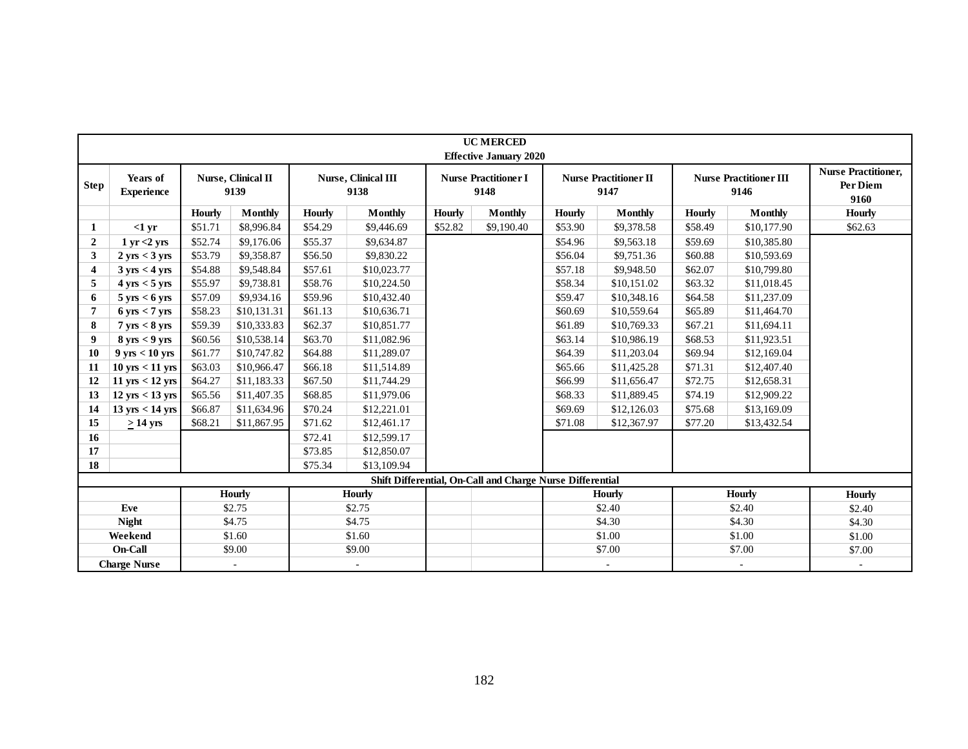|                         |                                   |               |                            |               |                             |               | <b>UC MERCED</b><br><b>Effective January 2020</b>         |               |                                      |               |                                       |                                                |
|-------------------------|-----------------------------------|---------------|----------------------------|---------------|-----------------------------|---------------|-----------------------------------------------------------|---------------|--------------------------------------|---------------|---------------------------------------|------------------------------------------------|
| <b>Step</b>             | Years of<br><b>Experience</b>     |               | Nurse, Clinical II<br>9139 |               | Nurse, Clinical III<br>9138 |               | <b>Nurse Practitioner I</b><br>9148                       |               | <b>Nurse Practitioner II</b><br>9147 |               | <b>Nurse Practitioner III</b><br>9146 | <b>Nurse Practitioner,</b><br>Per Diem<br>9160 |
|                         |                                   | <b>Hourly</b> | <b>Monthly</b>             | <b>Hourly</b> | <b>Monthly</b>              | <b>Hourly</b> | <b>Monthly</b>                                            | <b>Hourly</b> | <b>Monthly</b>                       | <b>Hourly</b> | <b>Monthly</b>                        | <b>Hourly</b>                                  |
| 1                       | $<1$ yr                           | \$51.71       | \$8,996.84                 | \$54.29       | \$9,446.69                  | \$52.82       | \$9,190.40                                                | \$53.90       | \$9,378.58                           | \$58.49       | \$10,177.90                           | \$62.63                                        |
| $\overline{2}$          | $1 \text{ yr} < 2 \text{ yrs}$    | \$52.74       | \$9,176.06                 | \$55.37       | \$9,634.87                  |               |                                                           | \$54.96       | \$9,563.18                           | \$59.69       | \$10,385.80                           |                                                |
| 3                       | $2 \text{ yrs} < 3 \text{ yrs}$   | \$53.79       | \$9,358.87                 | \$56.50       | \$9,830.22                  |               |                                                           | \$56.04       | \$9,751.36                           | \$60.88       | \$10,593.69                           |                                                |
| $\overline{\mathbf{4}}$ | $3 \text{ yrs} < 4 \text{ yrs}$   | \$54.88       | \$9,548.84                 | \$57.61       | \$10,023.77                 |               |                                                           | \$57.18       | \$9,948.50                           | \$62.07       | \$10,799.80                           |                                                |
| 5                       | $4 \text{ yrs} < 5 \text{ yrs}$   | \$55.97       | \$9,738.81                 | \$58.76       | \$10,224.50                 |               |                                                           | \$58.34       | \$10,151.02                          | \$63.32       | \$11,018.45                           |                                                |
| 6                       | $5 \text{ yrs} < 6 \text{ yrs}$   | \$57.09       | \$9,934.16                 | \$59.96       | \$10,432.40                 |               |                                                           | \$59.47       | \$10,348.16                          | \$64.58       | \$11,237.09                           |                                                |
| 7                       | $6 \text{ yrs} < 7 \text{ yrs}$   | \$58.23       | \$10,131.31                | \$61.13       | \$10,636.71                 |               |                                                           | \$60.69       | \$10,559.64                          | \$65.89       | \$11,464.70                           |                                                |
| 8                       | $7 \text{ yrs} < 8 \text{ yrs}$   | \$59.39       | \$10,333.83                | \$62.37       | \$10,851.77                 |               |                                                           | \$61.89       | \$10,769.33                          | \$67.21       | \$11,694.11                           |                                                |
| 9                       | $8 \text{ yrs} < 9 \text{ yrs}$   | \$60.56       | \$10,538.14                | \$63.70       | \$11,082.96                 |               |                                                           | \$63.14       | \$10,986.19                          | \$68.53       | \$11,923.51                           |                                                |
| 10                      | $9 \text{ yrs} < 10 \text{ yrs}$  | \$61.77       | \$10,747.82                | \$64.88       | \$11,289.07                 |               |                                                           | \$64.39       | \$11,203.04                          | \$69.94       | \$12,169.04                           |                                                |
| 11                      | $10$ yrs $< 11$ yrs               | \$63.03       | \$10,966.47                | \$66.18       | \$11,514.89                 |               |                                                           | \$65.66       | \$11,425.28                          | \$71.31       | \$12,407.40                           |                                                |
| 12                      | $11 \text{ yrs} < 12 \text{ yrs}$ | \$64.27       | \$11,183.33                | \$67.50       | \$11,744.29                 |               |                                                           | \$66.99       | \$11,656.47                          | \$72.75       | \$12,658.31                           |                                                |
| 13                      | $12 \text{ yrs} < 13 \text{ yrs}$ | \$65.56       | \$11,407.35                | \$68.85       | \$11,979.06                 |               |                                                           | \$68.33       | \$11,889.45                          | \$74.19       | \$12,909.22                           |                                                |
| 14                      | 13 yrs < 14 yrs                   | \$66.87       | \$11,634.96                | \$70.24       | \$12,221.01                 |               |                                                           | \$69.69       | \$12,126.03                          | \$75.68       | \$13,169.09                           |                                                |
| 15                      | $\geq$ 14 yrs                     | \$68.21       | \$11,867.95                | \$71.62       | \$12,461.17                 |               |                                                           | \$71.08       | \$12,367.97                          | \$77.20       | \$13,432.54                           |                                                |
| 16                      |                                   |               |                            | \$72.41       | \$12,599.17                 |               |                                                           |               |                                      |               |                                       |                                                |
| 17                      |                                   |               |                            | \$73.85       | \$12,850.07                 |               |                                                           |               |                                      |               |                                       |                                                |
| 18                      |                                   |               |                            | \$75.34       | \$13,109.94                 |               |                                                           |               |                                      |               |                                       |                                                |
|                         |                                   |               |                            |               |                             |               | Shift Differential, On-Call and Charge Nurse Differential |               |                                      |               |                                       |                                                |
|                         |                                   |               | <b>Hourly</b>              |               | <b>Hourly</b>               |               |                                                           |               | Hourly                               |               | <b>Hourly</b>                         | <b>Hourly</b>                                  |
|                         | Eve                               |               | \$2.75                     |               | \$2.75                      |               |                                                           |               | \$2.40                               |               | \$2.40                                | \$2.40                                         |
|                         | <b>Night</b>                      |               | \$4.75                     |               | \$4.75                      |               |                                                           |               | \$4.30                               |               | \$4.30                                | \$4.30                                         |
|                         | Weekend                           |               | \$1.60                     |               | \$1.60                      |               |                                                           |               | \$1.00                               |               | \$1.00                                | \$1.00                                         |
|                         | On-Call                           |               | \$9.00                     |               | \$9.00                      |               |                                                           |               | \$7.00                               |               | \$7.00                                | \$7.00                                         |
|                         | <b>Charge Nurse</b>               |               | $\omega$                   |               | $\omega$                    |               |                                                           |               | $\sim$                               |               | $\blacksquare$                        | $\sim$                                         |
|                         |                                   |               |                            |               |                             |               |                                                           |               |                                      |               |                                       |                                                |
|                         |                                   |               |                            |               |                             |               | 182                                                       |               |                                      |               |                                       |                                                |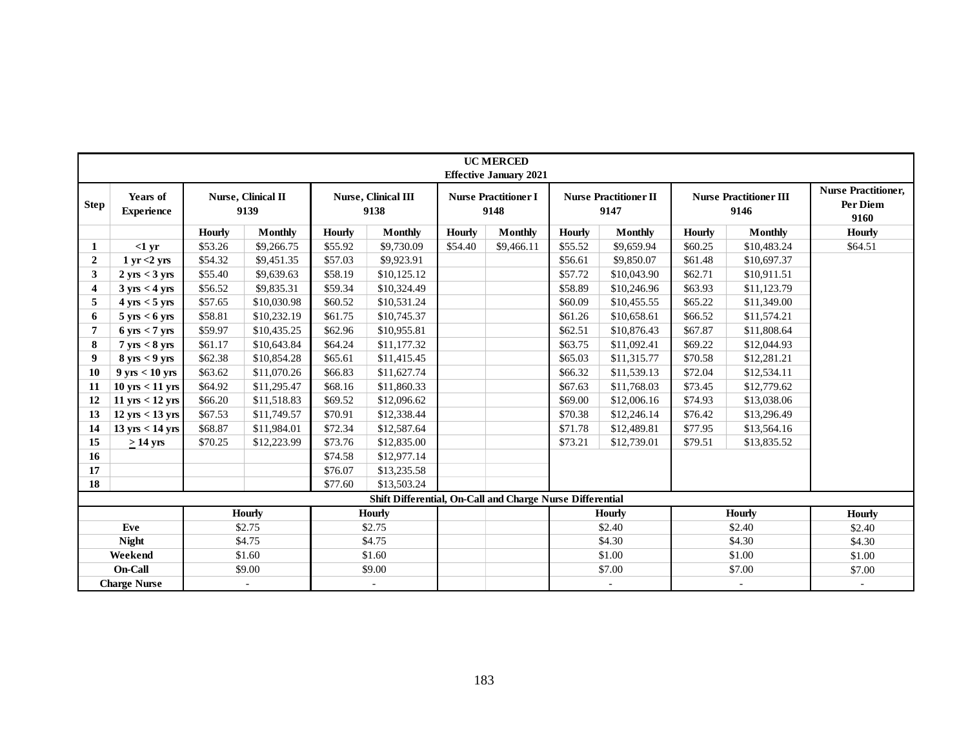|                         |                                   |               |                            |               |                                                           |               | <b>UC MERCED</b><br><b>Effective January 2021</b> |         |                                      |               |                                       |                                                |
|-------------------------|-----------------------------------|---------------|----------------------------|---------------|-----------------------------------------------------------|---------------|---------------------------------------------------|---------|--------------------------------------|---------------|---------------------------------------|------------------------------------------------|
| <b>Step</b>             | Years of<br><b>Experience</b>     |               | Nurse, Clinical II<br>9139 |               | Nurse, Clinical III<br>9138                               |               | <b>Nurse Practitioner I</b><br>9148               |         | <b>Nurse Practitioner II</b><br>9147 |               | <b>Nurse Practitioner III</b><br>9146 | <b>Nurse Practitioner,</b><br>Per Diem<br>9160 |
|                         |                                   | <b>Hourly</b> | <b>Monthly</b>             | <b>Hourly</b> | <b>Monthly</b>                                            | <b>Hourly</b> | <b>Monthly</b>                                    | Hourly  | <b>Monthly</b>                       | <b>Hourly</b> | <b>Monthly</b>                        | <b>Hourly</b>                                  |
| 1                       | $<1$ yr                           | \$53.26       | \$9,266.75                 | \$55.92       | \$9,730.09                                                | \$54.40       | \$9,466.11                                        | \$55.52 | \$9,659.94                           | \$60.25       | \$10,483.24                           | \$64.51                                        |
| $\overline{2}$          | $1 \text{ yr} < 2 \text{ yrs}$    | \$54.32       | \$9,451.35                 | \$57.03       | \$9,923.91                                                |               |                                                   | \$56.61 | \$9,850.07                           | \$61.48       | \$10,697.37                           |                                                |
| 3                       | $2 \text{ yrs} < 3 \text{ yrs}$   | \$55.40       | \$9,639.63                 | \$58.19       | \$10,125.12                                               |               |                                                   | \$57.72 | \$10,043.90                          | \$62.71       | \$10,911.51                           |                                                |
| $\overline{\mathbf{4}}$ | $3 \text{ yrs} < 4 \text{ yrs}$   | \$56.52       | \$9,835.31                 | \$59.34       | \$10,324.49                                               |               |                                                   | \$58.89 | \$10,246.96                          | \$63.93       | \$11,123.79                           |                                                |
| 5                       | $4 \text{ yrs} < 5 \text{ yrs}$   | \$57.65       | \$10,030.98                | \$60.52       | \$10,531.24                                               |               |                                                   | \$60.09 | \$10,455.55                          | \$65.22       | \$11,349.00                           |                                                |
| 6                       | $5 \text{ yrs} < 6 \text{ yrs}$   | \$58.81       | \$10,232.19                | \$61.75       | \$10,745.37                                               |               |                                                   | \$61.26 | \$10,658.61                          | \$66.52       | \$11,574.21                           |                                                |
| $\overline{7}$          | $6 \text{ yrs} < 7 \text{ yrs}$   | \$59.97       | \$10,435.25                | \$62.96       | \$10,955.81                                               |               |                                                   | \$62.51 | \$10,876.43                          | \$67.87       | \$11,808.64                           |                                                |
| 8                       | $7 \text{ yrs} < 8 \text{ yrs}$   | \$61.17       | \$10,643.84                | \$64.24       | \$11,177.32                                               |               |                                                   | \$63.75 | \$11,092.41                          | \$69.22       | \$12,044.93                           |                                                |
| 9                       | $8 \text{ yrs} < 9 \text{ yrs}$   | \$62.38       | \$10,854.28                | \$65.61       | \$11,415.45                                               |               |                                                   | \$65.03 | \$11,315.77                          | \$70.58       | \$12,281.21                           |                                                |
| 10                      | $9 \text{ yrs} < 10 \text{ yrs}$  | \$63.62       | \$11,070.26                | \$66.83       | \$11,627.74                                               |               |                                                   | \$66.32 | \$11,539.13                          | \$72.04       | \$12,534.11                           |                                                |
| 11                      | $10$ yrs $< 11$ yrs               | \$64.92       | \$11,295.47                | \$68.16       | \$11,860.33                                               |               |                                                   | \$67.63 | \$11,768.03                          | \$73.45       | \$12,779.62                           |                                                |
| 12                      | $11 \text{ yrs} < 12 \text{ yrs}$ | \$66.20       | \$11,518.83                | \$69.52       | \$12,096.62                                               |               |                                                   | \$69.00 | \$12,006.16                          | \$74.93       | \$13,038.06                           |                                                |
| 13                      | $12 \text{ yrs} < 13 \text{ yrs}$ | \$67.53       | \$11,749.57                | \$70.91       | \$12,338.44                                               |               |                                                   | \$70.38 | \$12,246.14                          | \$76.42       | \$13,296.49                           |                                                |
| 14                      | $13 \text{ yrs} < 14 \text{ yrs}$ | \$68.87       | \$11,984.01                | \$72.34       | \$12,587.64                                               |               |                                                   | \$71.78 | \$12,489.81                          | \$77.95       | \$13,564.16                           |                                                |
| 15                      | $\geq$ 14 yrs                     | \$70.25       | \$12,223.99                | \$73.76       | \$12,835.00                                               |               |                                                   | \$73.21 | \$12,739.01                          | \$79.51       | \$13,835.52                           |                                                |
| 16                      |                                   |               |                            | \$74.58       | \$12,977.14                                               |               |                                                   |         |                                      |               |                                       |                                                |
| 17                      |                                   |               |                            | \$76.07       | \$13,235.58                                               |               |                                                   |         |                                      |               |                                       |                                                |
| 18                      |                                   |               |                            | \$77.60       | \$13,503.24                                               |               |                                                   |         |                                      |               |                                       |                                                |
|                         |                                   |               |                            |               | Shift Differential, On-Call and Charge Nurse Differential |               |                                                   |         |                                      |               |                                       |                                                |
|                         |                                   |               | <b>Hourly</b>              |               | Hourly                                                    |               |                                                   |         | <b>Hourly</b>                        |               | <b>Hourly</b>                         | <b>Hourly</b>                                  |
|                         | Eve                               |               | \$2.75                     |               | \$2.75                                                    |               |                                                   |         | \$2.40                               |               | \$2.40                                | \$2.40                                         |
|                         | <b>Night</b>                      |               | \$4.75                     |               | \$4.75                                                    |               |                                                   |         | \$4.30                               |               | \$4.30                                | \$4.30                                         |
|                         | Weekend                           |               | \$1.60                     |               | \$1.60                                                    |               |                                                   |         | \$1.00                               |               | \$1.00                                | \$1.00                                         |
|                         | On-Call                           |               | \$9.00                     |               | \$9.00                                                    |               |                                                   |         | \$7.00                               |               | \$7.00                                | \$7.00                                         |
|                         | <b>Charge Nurse</b>               |               | $\blacksquare$             |               | $\omega$                                                  |               |                                                   |         | $\sim$                               |               | $\omega$                              | $\omega$                                       |
|                         |                                   |               |                            |               |                                                           | 183           |                                                   |         |                                      |               |                                       |                                                |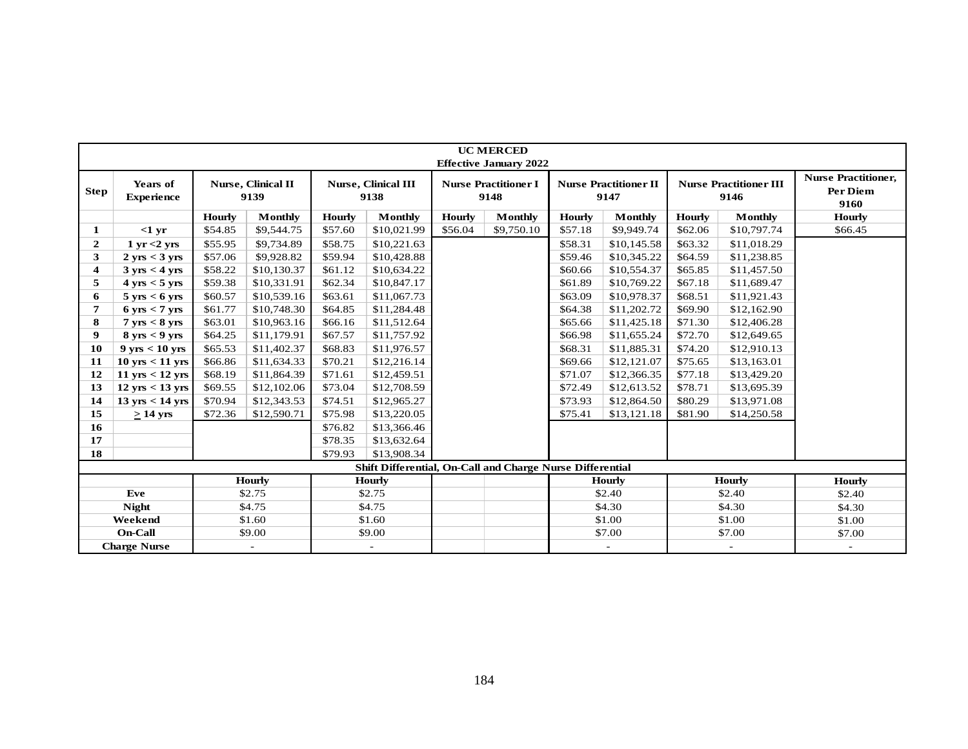|                         | <b>UC MERCED</b><br><b>Effective January 2022</b><br><b>Nurse Practitioner,</b><br>Nurse, Clinical II<br>Nurse, Clinical III<br><b>Nurse Practitioner III</b><br>Years of<br><b>Nurse Practitioner I</b><br><b>Nurse Practitioner II</b><br>Per Diem |               |                          |               |                                                           |         |                |         |                          |               |                          |          |  |  |  |
|-------------------------|------------------------------------------------------------------------------------------------------------------------------------------------------------------------------------------------------------------------------------------------------|---------------|--------------------------|---------------|-----------------------------------------------------------|---------|----------------|---------|--------------------------|---------------|--------------------------|----------|--|--|--|
| <b>Step</b>             | <b>Experience</b>                                                                                                                                                                                                                                    |               | 9139                     |               | 9138                                                      |         | 9148           |         | 9147                     |               | 9146                     | 9160     |  |  |  |
|                         |                                                                                                                                                                                                                                                      | <b>Hourly</b> | <b>Monthly</b>           | <b>Hourly</b> | Monthly                                                   | Hourly  | <b>Monthly</b> | Hourly  | Monthly                  | <b>Hourly</b> | Monthly                  | Hourly   |  |  |  |
| 1                       | $<1$ yr                                                                                                                                                                                                                                              | \$54.85       | \$9,544.75               | \$57.60       | \$10,021.99                                               | \$56.04 | \$9,750.10     | \$57.18 | \$9,949.74               | \$62.06       | \$10,797.74              | \$66.45  |  |  |  |
| $\mathbf{2}$            | $1 \text{ yr} < 2 \text{ yrs}$                                                                                                                                                                                                                       | \$55.95       | \$9,734.89               | \$58.75       | \$10,221.63                                               |         |                | \$58.31 | \$10,145.58              | \$63.32       | \$11,018.29              |          |  |  |  |
| 3                       | $2 \text{ yrs} < 3 \text{ yrs}$                                                                                                                                                                                                                      | \$57.06       | \$9,928.82               | \$59.94       | \$10,428.88                                               |         |                | \$59.46 | \$10,345.22              | \$64.59       | \$11,238.85              |          |  |  |  |
| $\overline{\mathbf{4}}$ | $3 \text{ yrs} < 4 \text{ yrs}$                                                                                                                                                                                                                      | \$58.22       | \$10,130.37              | \$61.12       | \$10,634.22                                               |         |                | \$60.66 | \$10,554.37              | \$65.85       | \$11,457.50              |          |  |  |  |
| 5                       | $4 \text{ yrs} < 5 \text{ yrs}$                                                                                                                                                                                                                      | \$59.38       | \$10,331.91              | \$62.34       | \$10,847.17                                               |         |                | \$61.89 | \$10,769.22              | \$67.18       | \$11,689.47              |          |  |  |  |
| 6                       | $5 \text{ yrs} < 6 \text{ yrs}$                                                                                                                                                                                                                      | \$60.57       | \$10,539.16              | \$63.61       | \$11,067.73                                               |         |                | \$63.09 | \$10,978.37              | \$68.51       | \$11,921.43              |          |  |  |  |
| 7                       | $6 \text{ yrs} < 7 \text{ yrs}$                                                                                                                                                                                                                      | \$61.77       | \$10,748.30              | \$64.85       | \$11,284.48                                               |         |                | \$64.38 | \$11,202.72              | \$69.90       | \$12,162.90              |          |  |  |  |
| 8                       | $7 \text{ yrs} < 8 \text{ yrs}$                                                                                                                                                                                                                      | \$63.01       | \$10,963.16              | \$66.16       | \$11,512.64                                               |         |                | \$65.66 | \$11,425.18              | \$71.30       | \$12,406.28              |          |  |  |  |
| 9                       | $8 \text{ yrs} < 9 \text{ yrs}$                                                                                                                                                                                                                      | \$64.25       | \$11,179.91              | \$67.57       | \$11,757.92                                               |         |                | \$66.98 | \$11,655.24              | \$72.70       | \$12,649.65              |          |  |  |  |
| 10                      | $9 \text{ yrs} < 10 \text{ yrs}$                                                                                                                                                                                                                     | \$65.53       | \$11,402.37              | \$68.83       | \$11,976.57                                               |         |                | \$68.31 | \$11,885.31              | \$74.20       | \$12,910.13              |          |  |  |  |
| 11                      | $10$ yrs $< 11$ yrs                                                                                                                                                                                                                                  | \$66.86       | \$11,634.33              | \$70.21       | \$12,216.14                                               |         |                | \$69.66 | \$12,121.07              | \$75.65       | \$13,163.01              |          |  |  |  |
| 12                      | $11 \text{ yrs} < 12 \text{ yrs}$                                                                                                                                                                                                                    | \$68.19       | \$11,864.39              | \$71.61       | \$12,459.51                                               |         |                | \$71.07 | \$12,366.35              | \$77.18       | \$13,429.20              |          |  |  |  |
| 13                      | $12 \text{ yrs} < 13 \text{ yrs}$                                                                                                                                                                                                                    | \$69.55       | \$12,102.06              | \$73.04       | \$12,708.59                                               |         |                | \$72.49 | \$12,613.52              | \$78.71       | \$13,695.39              |          |  |  |  |
| 14                      | $13 \text{ yrs} < 14 \text{ yrs}$                                                                                                                                                                                                                    | \$70.94       | \$12,343.53              | \$74.51       | \$12,965.27                                               |         |                | \$73.93 | \$12,864.50              | \$80.29       | \$13,971.08              |          |  |  |  |
| 15                      | $\geq$ 14 yrs                                                                                                                                                                                                                                        | \$72.36       | \$12,590.71              | \$75.98       | \$13,220.05                                               |         |                | \$75.41 | \$13,121.18              | \$81.90       | \$14,250.58              |          |  |  |  |
| 16                      |                                                                                                                                                                                                                                                      |               |                          | \$76.82       | \$13,366.46                                               |         |                |         |                          |               |                          |          |  |  |  |
| 17                      |                                                                                                                                                                                                                                                      |               |                          | \$78.35       | \$13,632.64                                               |         |                |         |                          |               |                          |          |  |  |  |
| 18                      |                                                                                                                                                                                                                                                      |               |                          | \$79.93       | \$13,908.34                                               |         |                |         |                          |               |                          |          |  |  |  |
|                         |                                                                                                                                                                                                                                                      |               |                          |               | Shift Differential, On-Call and Charge Nurse Differential |         |                |         |                          |               |                          |          |  |  |  |
|                         |                                                                                                                                                                                                                                                      |               | Hourly                   |               | Hourly                                                    |         |                |         | <b>Hourly</b>            |               | Hourly                   | Hourly   |  |  |  |
|                         | Eve                                                                                                                                                                                                                                                  |               | \$2.75                   |               | \$2.75                                                    |         |                |         | \$2.40                   |               | \$2.40                   | \$2.40   |  |  |  |
|                         | <b>Night</b>                                                                                                                                                                                                                                         |               | \$4.75                   |               | \$4.75                                                    |         |                |         | \$4.30                   |               | \$4.30                   | \$4.30   |  |  |  |
|                         | Weekend                                                                                                                                                                                                                                              |               | \$1.60                   |               | \$1.60                                                    |         |                |         | \$1.00                   |               | \$1.00                   | \$1.00   |  |  |  |
|                         | On-Call                                                                                                                                                                                                                                              |               | \$9.00                   |               | \$9.00                                                    |         |                |         | \$7.00                   |               | \$7.00                   | \$7.00   |  |  |  |
|                         | <b>Charge Nurse</b>                                                                                                                                                                                                                                  |               | $\overline{\phantom{a}}$ |               | $\overline{\phantom{a}}$                                  |         |                |         | $\overline{\phantom{a}}$ |               | $\overline{\phantom{a}}$ | $\omega$ |  |  |  |
|                         |                                                                                                                                                                                                                                                      |               |                          |               |                                                           |         |                |         |                          |               |                          |          |  |  |  |
|                         |                                                                                                                                                                                                                                                      |               |                          |               |                                                           |         | 184            |         |                          |               |                          |          |  |  |  |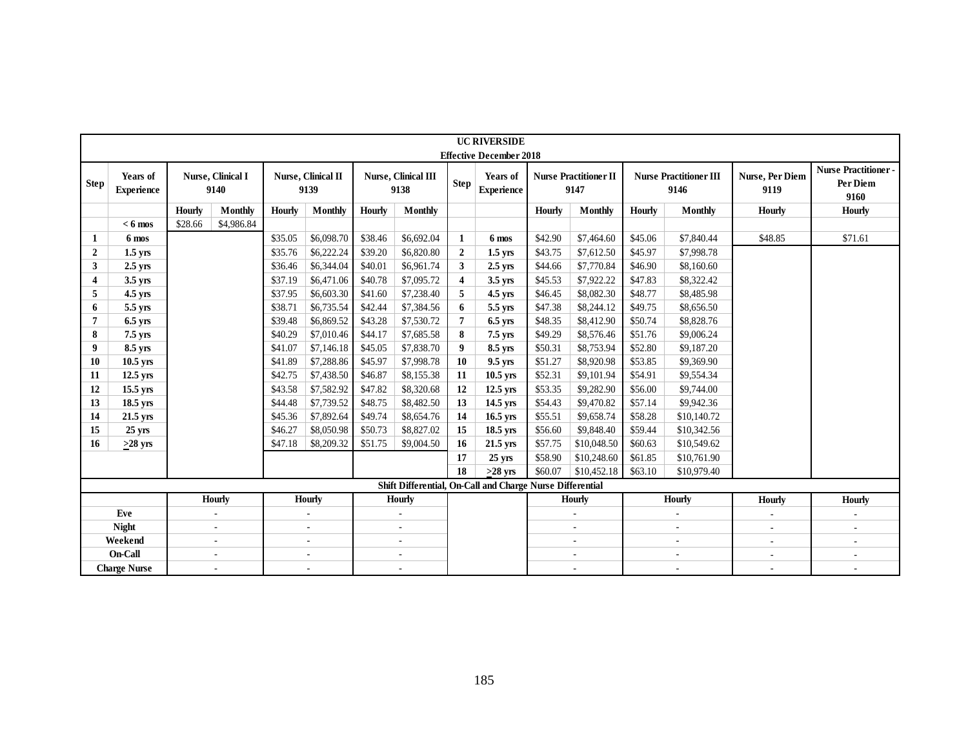| Years of<br><b>Step</b><br><b>Experience</b><br>$< 6$ mos<br>6 mos<br>$\mathbf{1}$<br>$\overline{2}$<br>$1.5$ yrs<br>$\mathbf{3}$<br>$2.5$ yrs<br>3.5 yrs<br>4<br>5<br>4.5 yrs<br>5.5 yrs<br>6<br>7<br>6.5 yrs<br>8<br>7.5 yrs<br>9<br>8.5 yrs<br>10.5 yrs<br>10<br>12.5 yrs<br>11<br>15.5 yrs<br>12<br>18.5 yrs<br>13 | <b>Hourly</b><br>\$28.66 | Nurse, Clinical I<br>9140<br><b>Monthly</b><br>\$4,986.84 | Hourly<br>\$35.05<br>\$35.76<br>\$36.46<br>\$37.19<br>\$37.95<br>\$38.71<br>\$39.48<br>\$40.29<br>\$41.07 | Nurse, Clinical II<br>9139<br>Monthly<br>\$6,098.70<br>\$6,222.24<br>\$6,344.04<br>\$6,471.06<br>\$6,603.30<br>\$6,735.54<br>\$6,869.52<br>\$7,010.46 | <b>Hourly</b><br>\$38.46<br>\$39.20<br>\$40.01<br>\$40.78<br>\$41.60 | Nurse, Clinical III<br>9138<br><b>Monthly</b><br>\$6,692.04<br>\$6,820.80<br>\$6,961.74<br>\$7,095.72 | <b>Step</b><br>$\mathbf{1}$<br>$\overline{2}$<br>$\mathbf{3}$ | <b>Effective December 2018</b><br>Years of<br><b>Experience</b><br>6 mos<br>$1.5$ yrs | Hourly<br>\$42.90<br>\$43.75 | <b>Nurse Practitioner II</b><br>9147<br>Monthly<br>\$7,464.60 | <b>Hourly</b><br>\$45.06 | <b>Nurse Practitioner III</b><br>9146<br>Monthly<br>\$7,840.44 | <b>Nurse, Per Diem</b><br>9119<br><b>Hourly</b><br>\$48.85 | <b>Nurse Practitioner-</b><br>Per Diem<br>9160<br>Hourly<br>\$71.61 |
|------------------------------------------------------------------------------------------------------------------------------------------------------------------------------------------------------------------------------------------------------------------------------------------------------------------------|--------------------------|-----------------------------------------------------------|-----------------------------------------------------------------------------------------------------------|-------------------------------------------------------------------------------------------------------------------------------------------------------|----------------------------------------------------------------------|-------------------------------------------------------------------------------------------------------|---------------------------------------------------------------|---------------------------------------------------------------------------------------|------------------------------|---------------------------------------------------------------|--------------------------|----------------------------------------------------------------|------------------------------------------------------------|---------------------------------------------------------------------|
|                                                                                                                                                                                                                                                                                                                        |                          |                                                           |                                                                                                           |                                                                                                                                                       |                                                                      |                                                                                                       |                                                               |                                                                                       |                              |                                                               |                          |                                                                |                                                            |                                                                     |
|                                                                                                                                                                                                                                                                                                                        |                          |                                                           |                                                                                                           |                                                                                                                                                       |                                                                      |                                                                                                       |                                                               |                                                                                       |                              |                                                               |                          |                                                                |                                                            |                                                                     |
|                                                                                                                                                                                                                                                                                                                        |                          |                                                           |                                                                                                           |                                                                                                                                                       |                                                                      |                                                                                                       |                                                               |                                                                                       |                              |                                                               |                          |                                                                |                                                            |                                                                     |
|                                                                                                                                                                                                                                                                                                                        |                          |                                                           |                                                                                                           |                                                                                                                                                       |                                                                      |                                                                                                       |                                                               |                                                                                       |                              |                                                               |                          |                                                                |                                                            |                                                                     |
|                                                                                                                                                                                                                                                                                                                        |                          |                                                           |                                                                                                           |                                                                                                                                                       |                                                                      |                                                                                                       |                                                               |                                                                                       |                              | \$7,612.50                                                    | \$45.97                  | \$7,998.78                                                     |                                                            |                                                                     |
|                                                                                                                                                                                                                                                                                                                        |                          |                                                           |                                                                                                           |                                                                                                                                                       |                                                                      |                                                                                                       |                                                               | $2.5$ yrs                                                                             | \$44.66                      | \$7,770.84                                                    | \$46.90                  | \$8,160.60                                                     |                                                            |                                                                     |
|                                                                                                                                                                                                                                                                                                                        |                          |                                                           |                                                                                                           |                                                                                                                                                       |                                                                      |                                                                                                       | $\overline{\mathbf{4}}$                                       | $3.5$ yrs                                                                             | \$45.53                      | \$7,922.22                                                    | \$47.83                  | \$8,322.42                                                     |                                                            |                                                                     |
|                                                                                                                                                                                                                                                                                                                        |                          |                                                           |                                                                                                           |                                                                                                                                                       |                                                                      | \$7,238.40                                                                                            | 5                                                             | 4.5 yrs                                                                               | \$46.45                      | \$8,082.30                                                    | \$48.77                  | \$8,485.98                                                     |                                                            |                                                                     |
|                                                                                                                                                                                                                                                                                                                        |                          |                                                           |                                                                                                           |                                                                                                                                                       | \$42.44                                                              | \$7,384.56                                                                                            | 6                                                             | 5.5 yrs                                                                               | \$47.38                      | \$8,244.12                                                    | \$49.75                  | \$8,656.50                                                     |                                                            |                                                                     |
|                                                                                                                                                                                                                                                                                                                        |                          |                                                           |                                                                                                           |                                                                                                                                                       | \$43.28                                                              | \$7,530.72                                                                                            | $\overline{7}$                                                | $6.5$ yrs                                                                             | \$48.35                      | \$8,412.90                                                    | \$50.74                  | \$8,828.76                                                     |                                                            |                                                                     |
|                                                                                                                                                                                                                                                                                                                        |                          |                                                           |                                                                                                           |                                                                                                                                                       | \$44.17                                                              | \$7,685.58                                                                                            | 8                                                             | 7.5 yrs                                                                               | \$49.29                      | \$8,576.46                                                    | \$51.76                  | \$9,006.24                                                     |                                                            |                                                                     |
|                                                                                                                                                                                                                                                                                                                        |                          |                                                           |                                                                                                           | \$7,146.18                                                                                                                                            | \$45.05                                                              | \$7,838.70                                                                                            | 9                                                             | 8.5 yrs                                                                               | \$50.31                      | \$8,753.94                                                    | \$52.80                  | \$9,187.20                                                     |                                                            |                                                                     |
|                                                                                                                                                                                                                                                                                                                        |                          |                                                           | \$41.89                                                                                                   | \$7,288.86                                                                                                                                            | \$45.97                                                              | \$7,998.78                                                                                            | 10                                                            | 9.5 yrs                                                                               | \$51.27                      | \$8,920.98                                                    | \$53.85                  | \$9,369.90                                                     |                                                            |                                                                     |
|                                                                                                                                                                                                                                                                                                                        |                          |                                                           | \$42.75                                                                                                   | \$7,438.50                                                                                                                                            | \$46.87                                                              | \$8,155.38                                                                                            | 11                                                            | $10.5$ yrs                                                                            | \$52.31                      | \$9,101.94                                                    | \$54.91                  | \$9,554.34                                                     |                                                            |                                                                     |
|                                                                                                                                                                                                                                                                                                                        |                          |                                                           | \$43.58                                                                                                   | \$7,582.92                                                                                                                                            | \$47.82                                                              | \$8,320.68                                                                                            | 12                                                            | 12.5 yrs                                                                              | \$53.35                      | \$9,282.90                                                    | \$56.00                  | \$9,744.00                                                     |                                                            |                                                                     |
|                                                                                                                                                                                                                                                                                                                        |                          |                                                           | \$44.48                                                                                                   | \$7,739.52                                                                                                                                            | \$48.75                                                              | \$8,482.50                                                                                            | 13                                                            | $14.5$ yrs                                                                            | \$54.43                      | \$9,470.82                                                    | \$57.14                  | \$9,942.36                                                     |                                                            |                                                                     |
| 21.5 yrs<br>14                                                                                                                                                                                                                                                                                                         |                          |                                                           | \$45.36                                                                                                   | \$7,892.64                                                                                                                                            | \$49.74                                                              | \$8,654.76                                                                                            | 14                                                            | 16.5 yrs                                                                              | \$55.51                      | \$9,658.74                                                    | \$58.28                  | \$10,140.72                                                    |                                                            |                                                                     |
| $25 \text{ yrs}$<br>15                                                                                                                                                                                                                                                                                                 |                          |                                                           | \$46.27                                                                                                   | \$8,050.98                                                                                                                                            | \$50.73                                                              | \$8,827.02                                                                                            | 15                                                            | 18.5 yrs                                                                              | \$56.60                      | \$9,848.40                                                    | \$59.44                  | \$10,342.56                                                    |                                                            |                                                                     |
| 16<br>$>28$ yrs                                                                                                                                                                                                                                                                                                        |                          |                                                           | \$47.18                                                                                                   | \$8,209.32                                                                                                                                            | \$51.75                                                              | \$9,004.50                                                                                            | 16                                                            | 21.5 yrs                                                                              | \$57.75                      | \$10,048.50                                                   | \$60.63                  | \$10,549.62                                                    |                                                            |                                                                     |
|                                                                                                                                                                                                                                                                                                                        |                          |                                                           |                                                                                                           |                                                                                                                                                       |                                                                      |                                                                                                       | 17                                                            | 25 yrs                                                                                | \$58.90                      | \$10,248.60                                                   | \$61.85                  | \$10,761.90                                                    |                                                            |                                                                     |
|                                                                                                                                                                                                                                                                                                                        |                          |                                                           |                                                                                                           |                                                                                                                                                       |                                                                      |                                                                                                       | 18                                                            | $>28$ yrs                                                                             | \$60.07                      | \$10,452.18                                                   | \$63.10                  | \$10,979.40                                                    |                                                            |                                                                     |
|                                                                                                                                                                                                                                                                                                                        |                          |                                                           |                                                                                                           |                                                                                                                                                       |                                                                      |                                                                                                       |                                                               | Shift Differential, On-Call and Charge Nurse Differential                             |                              |                                                               |                          |                                                                |                                                            |                                                                     |
|                                                                                                                                                                                                                                                                                                                        |                          | Hourly                                                    |                                                                                                           | Hourly                                                                                                                                                |                                                                      | <b>Hourly</b>                                                                                         |                                                               |                                                                                       |                              | Hourly                                                        |                          | Hourly                                                         | <b>Hourly</b>                                              | Hourly                                                              |
| Eve                                                                                                                                                                                                                                                                                                                    |                          | $\sim$                                                    |                                                                                                           | $\sim$                                                                                                                                                |                                                                      | $\mathcal{L}_{\mathcal{A}}$                                                                           |                                                               |                                                                                       |                              | $\sim$                                                        |                          | $\overline{\phantom{a}}$                                       | $\blacksquare$                                             | $\mathcal{L}_{\mathcal{A}}$                                         |
| <b>Night</b>                                                                                                                                                                                                                                                                                                           |                          | $\blacksquare$                                            |                                                                                                           | $\sim$                                                                                                                                                |                                                                      | $\sim$                                                                                                |                                                               |                                                                                       |                              | $\overline{\phantom{a}}$                                      |                          | $\sim$                                                         | $\sim$                                                     | $\sim$                                                              |
| Weekend                                                                                                                                                                                                                                                                                                                |                          | $\sim$                                                    |                                                                                                           | $\sim$                                                                                                                                                |                                                                      | $\sim$                                                                                                |                                                               |                                                                                       |                              | $\sim$                                                        |                          | $\sim$                                                         | ÷,                                                         | $\blacksquare$                                                      |
| On-Call                                                                                                                                                                                                                                                                                                                |                          | $\blacksquare$                                            |                                                                                                           | ×.                                                                                                                                                    |                                                                      | $\sim$                                                                                                |                                                               |                                                                                       |                              | $\sim$                                                        |                          | ÷.                                                             | $\sim$                                                     | $\blacksquare$                                                      |
| <b>Charge Nurse</b>                                                                                                                                                                                                                                                                                                    |                          | $\sim$                                                    |                                                                                                           | ×.                                                                                                                                                    |                                                                      | $\sim$                                                                                                |                                                               |                                                                                       |                              | $\sim$                                                        |                          | $\sim$                                                         | $\sim$                                                     | ä,                                                                  |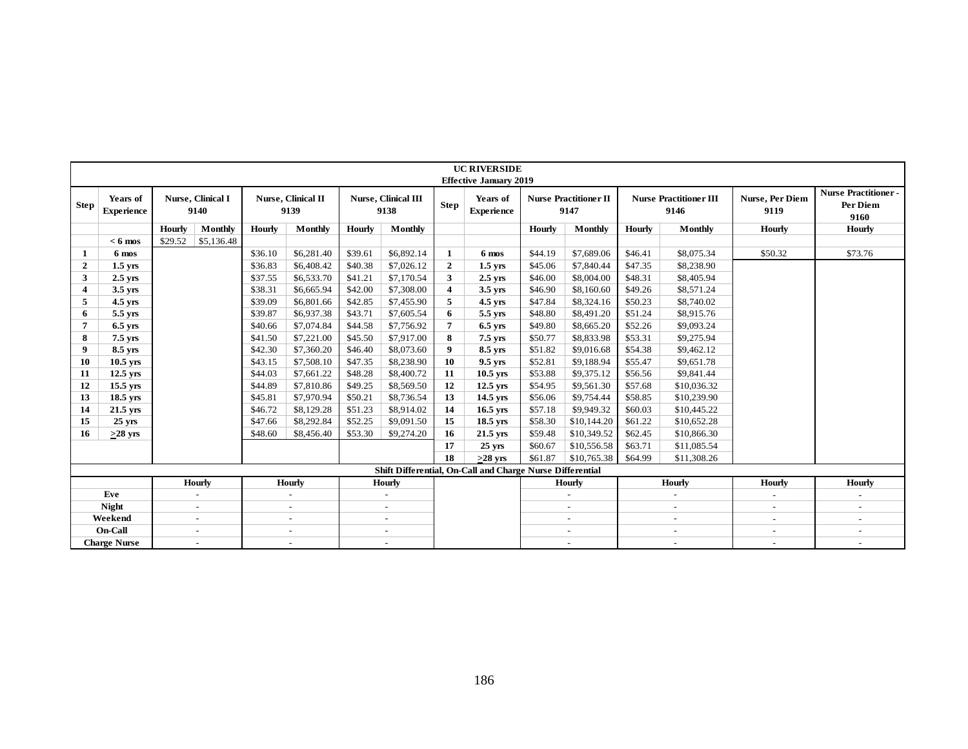|                |                               |         |                           |                    |                            |                    |                                    |                         | <b>UC RIVERSIDE</b><br><b>Effective January 2019</b>      |                    |                                      |                    |                                       |                         |                                                |
|----------------|-------------------------------|---------|---------------------------|--------------------|----------------------------|--------------------|------------------------------------|-------------------------|-----------------------------------------------------------|--------------------|--------------------------------------|--------------------|---------------------------------------|-------------------------|------------------------------------------------|
| <b>Step</b>    | Years of<br><b>Experience</b> |         | Nurse, Clinical I<br>9140 |                    | Nurse, Clinical II<br>9139 |                    | <b>Nurse, Clinical III</b><br>9138 | <b>Step</b>             | Years of<br><b>Experience</b>                             |                    | <b>Nurse Practitioner II</b><br>9147 |                    | <b>Nurse Practitioner III</b><br>9146 | Nurse, Per Diem<br>9119 | <b>Nurse Practitioner-</b><br>Per Diem<br>9160 |
|                |                               | Hourly  | <b>Monthly</b>            | Hourly             | Monthly                    | <b>Hourly</b>      | Monthly                            |                         |                                                           | <b>Hourly</b>      | Monthly                              | <b>Hourly</b>      | Monthly                               | Hourly                  | Hourly                                         |
|                | $< 6$ mos                     | \$29.52 | \$5,136.48                |                    |                            |                    |                                    |                         |                                                           |                    |                                      |                    |                                       |                         |                                                |
| 1              | 6 mos                         |         |                           | \$36.10            | \$6,281.40                 | \$39.61            | \$6,892.14                         | $\mathbf{1}$            | 6 mos                                                     | \$44.19            | \$7,689.06                           | \$46.41            | \$8,075.34                            | \$50.32                 | \$73.76                                        |
| $\overline{2}$ | $1.5$ yrs                     |         |                           | \$36.83            | \$6,408.42                 | \$40.38            | \$7,026.12                         | $\mathbf{2}$            | $1.5$ yrs                                                 | \$45.06            | \$7,840.44                           | \$47.35            | \$8,238.90                            |                         |                                                |
| 3              | $2.5$ yrs                     |         |                           | \$37.55            | \$6,533.70                 | \$41.21            | \$7,170.54                         | 3                       | $2.5$ yrs                                                 | \$46.00            | \$8,004.00                           | \$48.31            | \$8,405.94                            |                         |                                                |
| $\overline{4}$ | $3.5$ yrs                     |         |                           | \$38.31            | \$6,665.94                 | \$42.00            | \$7,308.00                         | $\overline{\mathbf{4}}$ | $3.5$ yrs                                                 | \$46.90            | \$8,160.60                           | \$49.26            | \$8,571.24                            |                         |                                                |
| 5              | $4.5$ yrs                     |         |                           | \$39.09            | \$6,801.66                 | \$42.85            | \$7,455.90                         | 5                       | $4.5$ yrs                                                 | \$47.84            | \$8,324.16                           | \$50.23            | \$8,740.02                            |                         |                                                |
| 6              | 5.5 yrs                       |         |                           | \$39.87            | \$6,937.38                 | \$43.71            | \$7,605.54                         | 6                       | 5.5 yrs                                                   | \$48.80            | \$8,491.20                           | \$51.24            | \$8,915.76                            |                         |                                                |
| $\overline{7}$ | $6.5$ yrs                     |         |                           | \$40.66            | \$7,074.84                 | \$44.58            | \$7,756.92                         | $\overline{7}$          | $6.5$ yrs                                                 | \$49.80            | \$8,665.20                           | \$52.26            | \$9,093.24                            |                         |                                                |
| 8              | $7.5$ yrs                     |         |                           | \$41.50            | \$7,221.00                 | \$45.50            | \$7,917.00                         | 8<br>$\boldsymbol{9}$   | 7.5 yrs                                                   | \$50.77            | \$8,833.98                           | \$53.31            | \$9,275.94                            |                         |                                                |
| 9              | 8.5 yrs                       |         |                           | \$42.30<br>\$43.15 | \$7,360.20<br>\$7,508.10   | \$46.40<br>\$47.35 | \$8,073.60<br>\$8,238.90           | 10                      | 8.5 yrs<br>9.5 yrs                                        | \$51.82<br>\$52.81 | \$9,016.68<br>\$9,188.94             | \$54.38            | \$9,462.12<br>\$9,651.78              |                         |                                                |
| 10<br>11       | $10.5$ yrs<br>$12.5$ yrs      |         |                           | \$44.03            | \$7,661.22                 | \$48.28            | \$8,400.72                         | 11                      | $10.5$ yrs                                                | \$53.88            | \$9,375.12                           | \$55.47<br>\$56.56 | \$9,841.44                            |                         |                                                |
| 12             | $15.5$ yrs                    |         |                           | \$44.89            | \$7,810.86                 | \$49.25            | \$8,569.50                         | 12                      | $12.5$ yrs                                                | \$54.95            | \$9,561.30                           | \$57.68            | \$10,036.32                           |                         |                                                |
| 13             | $18.5$ yrs                    |         |                           | \$45.81            | \$7,970.94                 | \$50.21            | \$8,736.54                         | 13                      | $14.5$ yrs                                                | \$56.06            | \$9,754.44                           | \$58.85            | \$10,239.90                           |                         |                                                |
| 14             | $21.5$ yrs                    |         |                           | \$46.72            | \$8,129.28                 | \$51.23            | \$8,914.02                         | 14                      | $16.5$ yrs                                                | \$57.18            | \$9,949.32                           | \$60.03            | \$10,445.22                           |                         |                                                |
| 15             | $25$ yrs                      |         |                           | \$47.66            | \$8,292.84                 | \$52.25            | \$9,091.50                         | 15                      | $18.5$ yrs                                                | \$58.30            | \$10,144.20                          | \$61.22            | \$10,652.28                           |                         |                                                |
| 16             | $>28$ yrs                     |         |                           | \$48.60            | \$8,456.40                 | \$53.30            | \$9,274.20                         | 16                      | $21.5$ yrs                                                | \$59.48            | \$10,349.52                          | \$62.45            | \$10,866.30                           |                         |                                                |
|                |                               |         |                           |                    |                            |                    |                                    | 17                      | $25$ yrs                                                  | \$60.67            | \$10,556.58                          | \$63.71            | \$11,085.54                           |                         |                                                |
|                |                               |         |                           |                    |                            |                    |                                    | 18                      | $>28$ yrs                                                 | \$61.87            | \$10,765.38                          | \$64.99            | \$11,308.26                           |                         |                                                |
|                |                               |         |                           |                    |                            |                    |                                    |                         | Shift Differential, On-Call and Charge Nurse Differential |                    |                                      |                    |                                       |                         |                                                |
|                |                               |         | Hourly                    |                    | <b>Hourly</b>              |                    | Hourly                             |                         |                                                           |                    | <b>Hourly</b>                        |                    | <b>Hourly</b>                         | Hourly                  | Hourly                                         |
|                | Eve                           |         | $\sim$                    |                    | $\sim$                     |                    | $\mathbf{r}$                       |                         |                                                           |                    | $\equiv$                             |                    | $\equiv$                              | $\omega$                | $\mathcal{L}_{\mathcal{A}}$                    |
|                | Night                         |         | $\sim$                    |                    | $\sim$                     |                    | $\sim$                             |                         |                                                           |                    | $\sim$                               |                    | $\sim$                                | $\sim$                  | $\sim$                                         |
|                | Weekend                       |         | $\sim$                    |                    | $\sim$                     |                    | $\sim$                             |                         |                                                           |                    | $\sim$                               |                    | $\sim$                                | $\blacksquare$          | $\blacksquare$                                 |
|                | On-Call                       |         | $\sim$                    |                    | $\sim$                     |                    | $\sim$                             |                         |                                                           |                    | $\overline{a}$                       |                    | $\sim$                                | $\sim$                  | $\sim$                                         |
|                | <b>Charge Nurse</b>           |         | $\sim$                    |                    | $\sim$                     |                    | $\sim$                             |                         |                                                           |                    | $\sim$                               |                    | $\sim$                                | $\sim$                  | $\sim$                                         |
|                |                               |         |                           |                    |                            |                    |                                    |                         | 186                                                       |                    |                                      |                    |                                       |                         |                                                |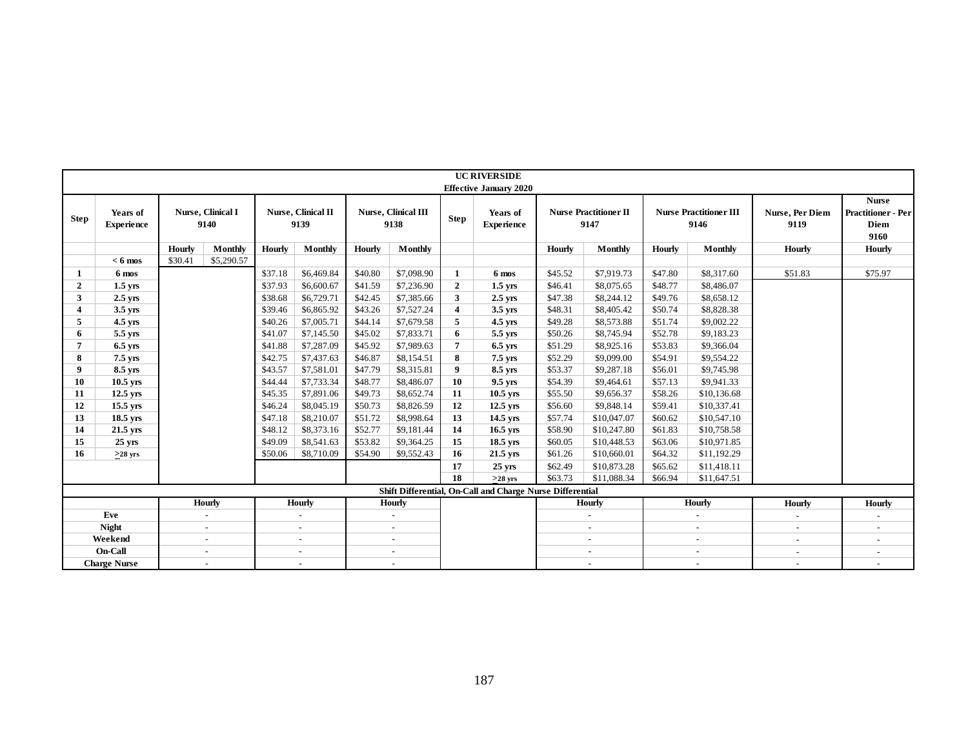|                         |                               |               |                           |         |                            |         |                             |                  | <b>UC RIVERSIDE</b>                                       |         |                                      |         |                                       |                         |                                                           |
|-------------------------|-------------------------------|---------------|---------------------------|---------|----------------------------|---------|-----------------------------|------------------|-----------------------------------------------------------|---------|--------------------------------------|---------|---------------------------------------|-------------------------|-----------------------------------------------------------|
|                         |                               |               |                           |         |                            |         |                             |                  | <b>Effective January 2020</b>                             |         |                                      |         |                                       |                         |                                                           |
| <b>Step</b>             | Years of<br><b>Experience</b> |               | Nurse, Clinical I<br>9140 |         | Nurse, Clinical II<br>9139 |         | Nurse, Clinical III<br>9138 | <b>Step</b>      | Years of<br><b>Experience</b>                             |         | <b>Nurse Practitioner II</b><br>9147 |         | <b>Nurse Practitioner III</b><br>9146 | Nurse, Per Diem<br>9119 | <b>Nurse</b><br><b>Practitioner - Per</b><br>Diem<br>9160 |
|                         |                               | <b>Hourly</b> | Monthly                   | Hourly  | Monthly                    | Hourly  | Monthly                     |                  |                                                           | Hourly  | Monthly                              | Hourly  | Monthly                               | Hourly                  | Hourly                                                    |
|                         | $< 6$ mos                     | \$30.41       | \$5,290.57                |         |                            |         |                             |                  |                                                           |         |                                      |         |                                       |                         |                                                           |
| 1                       | 6 mos                         |               |                           | \$37.18 | \$6,469.84                 | \$40.80 | \$7,098.90                  | 1                | 6 mos                                                     | \$45.52 | \$7,919.73                           | \$47.80 | \$8,317.60                            | \$51.83                 | \$75.97                                                   |
| $\overline{2}$          | $1.5$ yrs                     |               |                           | \$37.93 | \$6,600.67                 | \$41.59 | \$7,236.90                  | $\overline{2}$   | $1.5$ yrs                                                 | \$46.41 | \$8,075.65                           | \$48.77 | \$8,486.07                            |                         |                                                           |
| $\mathbf{3}$            | $2.5$ vrs                     |               |                           | \$38.68 | \$6,729.71                 | \$42.45 | \$7,385.66                  | 3                | $2.5$ vrs                                                 | \$47.38 | \$8,244.12                           | \$49.76 | \$8,658.12                            |                         |                                                           |
| $\overline{\mathbf{4}}$ | 3.5 yrs                       |               |                           | \$39.46 | \$6,865.92                 | \$43.26 | \$7,527.24                  | $\boldsymbol{4}$ | $3.5$ yrs                                                 | \$48.31 | \$8,405.42                           | \$50.74 | \$8,828.38                            |                         |                                                           |
| 5                       | $4.5$ yrs                     |               |                           | \$40.26 | \$7,005.71                 | \$44.14 | \$7,679.58                  | 5                | 4.5 vrs                                                   | \$49.28 | \$8,573.88                           | \$51.74 | \$9,002.22                            |                         |                                                           |
| 6                       | 5.5 yrs                       |               |                           | \$41.07 | \$7,145.50                 | \$45.02 | \$7,833.71                  | 6                | 5.5 yrs                                                   | \$50.26 | \$8,745.94                           | \$52.78 | \$9,183.23                            |                         |                                                           |
| 7                       | $6.5$ yrs                     |               |                           | \$41.88 | \$7,287.09                 | \$45.92 | \$7,989.63                  | 7                | 6.5 yrs                                                   | \$51.29 | \$8,925.16                           | \$53.83 | \$9,366.04                            |                         |                                                           |
| 8                       | $7.5$ yrs                     |               |                           | \$42.75 | \$7,437.63                 | \$46.87 | \$8,154.51                  | 8                | 7.5 vrs                                                   | \$52.29 | \$9,099.00                           | \$54.91 | \$9,554.22                            |                         |                                                           |
| 9                       | 8.5 yrs                       |               |                           | \$43.57 | \$7,581.01                 | \$47.79 | \$8,315.81                  | 9                | 8.5 yrs                                                   | \$53.37 | \$9,287.18                           | \$56.01 | \$9,745.98                            |                         |                                                           |
| 10                      | 10.5 yrs                      |               |                           | \$44.44 | \$7,733.34                 | \$48.77 | \$8,486.07                  | 10               | 9.5 yrs                                                   | \$54.39 | \$9,464.61                           | \$57.13 | \$9,941.33                            |                         |                                                           |
| 11                      | $12.5$ yrs                    |               |                           | \$45.35 | \$7,891.06                 | \$49.73 | \$8,652.74                  | 11               | $10.5$ yrs                                                | \$55.50 | \$9,656.37                           | \$58.26 | \$10,136.68                           |                         |                                                           |
| 12                      | $15.5$ yrs                    |               |                           | \$46.24 | \$8,045.19                 | \$50.73 | \$8,826.59                  | 12               | $12.5$ yrs                                                | \$56.60 | \$9,848.14                           | \$59.41 | \$10,337.41                           |                         |                                                           |
| 13                      | 18.5 yrs                      |               |                           | \$47.18 | \$8,210.07                 | \$51.72 | \$8,998.64                  | 13               | 14.5 yrs                                                  | \$57.74 | \$10,047.07                          | \$60.62 | \$10,547.10                           |                         |                                                           |
| 14                      | $21.5$ yrs                    |               |                           | \$48.12 | \$8,373.16                 | \$52.77 | \$9,181.44                  | 14               | $16.5$ yrs                                                | \$58.90 | \$10,247.80                          | \$61.83 | \$10,758.58                           |                         |                                                           |
| 15                      | $25 \text{ yrs}$              |               |                           | \$49.09 | \$8,541.63                 | \$53.82 | \$9,364.25                  | 15               | 18.5 yrs                                                  | \$60.05 | \$10,448.53                          | \$63.06 | \$10,971.85                           |                         |                                                           |
| 16                      | $>28$ yrs                     |               |                           | \$50.06 | \$8,710.09                 | \$54.90 | \$9,552.43                  | 16               | $21.5$ yrs                                                | \$61.26 | \$10,660.01                          | \$64.32 | \$11,192.29                           |                         |                                                           |
|                         |                               |               |                           |         |                            |         |                             | 17               | $25$ yrs                                                  | \$62.49 | \$10,873.28                          | \$65.62 | \$11,418.11                           |                         |                                                           |
|                         |                               |               |                           |         |                            |         |                             | 18               | $>28$ yrs                                                 | \$63.73 | \$11,088.34                          | \$66.94 | \$11,647.51                           |                         |                                                           |
|                         |                               |               |                           |         |                            |         |                             |                  | Shift Differential, On-Call and Charge Nurse Differential |         |                                      |         |                                       |                         |                                                           |
|                         |                               |               | <b>Hourly</b>             |         | Hourly                     |         | <b>Hourly</b>               |                  |                                                           |         | Hourly                               |         | Hourly                                | Hourly                  | <b>Hourly</b>                                             |
|                         | Eve                           |               | $\sim$                    |         | $\sim$                     |         | $\sim$                      |                  |                                                           |         | $\overline{\phantom{a}}$             |         | $\bar{a}$                             | $\blacksquare$          |                                                           |
|                         | <b>Night</b>                  |               | $\sim$                    |         | $\sim$                     |         | $\overline{a}$              |                  |                                                           |         | $\sim$                               |         |                                       | $\sim$                  |                                                           |
|                         | Weekend                       |               | $\sim$                    |         | $\sim$                     |         | $\mathbf{r}$                |                  |                                                           |         | $\mathbf{r}$                         |         | $\bar{a}$                             | $\sim$                  | $\sim$                                                    |
|                         | On-Call                       |               | $\sim$                    |         | $\sim$                     |         | $\blacksquare$              |                  |                                                           |         | $\sim$                               |         | $\sim$                                | $\sim$                  | $\sim$                                                    |
|                         | <b>Charge Nurse</b>           |               | $\sim$                    |         |                            |         | $\overline{a}$              |                  |                                                           |         | $\overline{a}$                       |         | $\sim$                                | $\overline{a}$          | $\sim$                                                    |
|                         |                               |               |                           |         |                            |         |                             |                  | 187                                                       |         |                                      |         |                                       |                         |                                                           |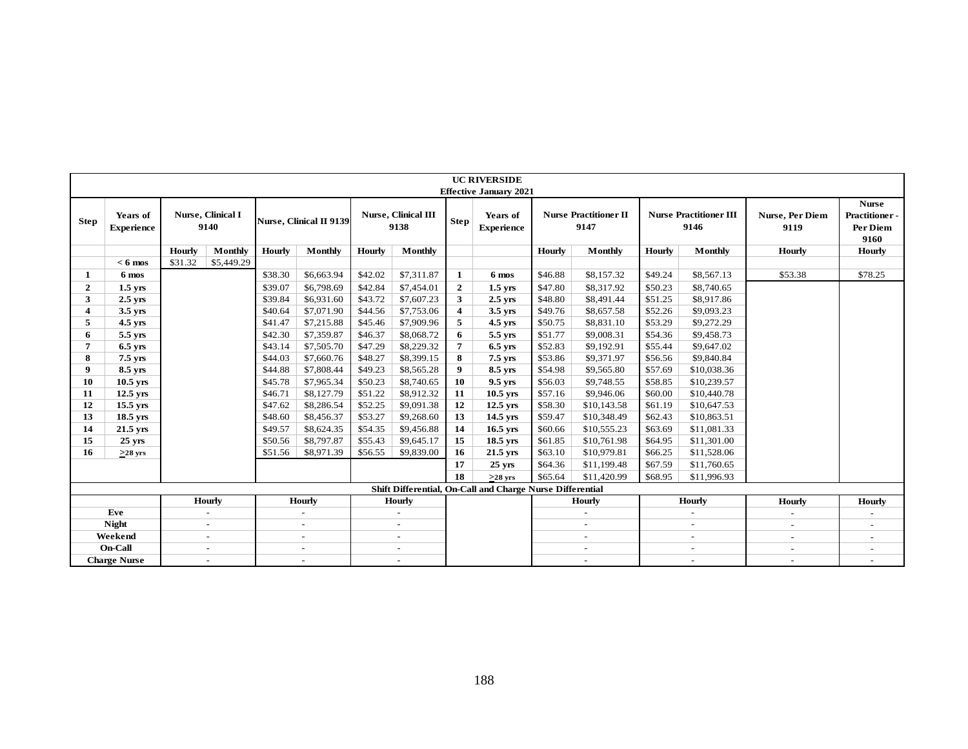|                |                               |               |                           |         |                                |               |                                    |                | <b>UC RIVERSIDE</b>                                       |         |                                      |         |                                       |                                |                                                    |
|----------------|-------------------------------|---------------|---------------------------|---------|--------------------------------|---------------|------------------------------------|----------------|-----------------------------------------------------------|---------|--------------------------------------|---------|---------------------------------------|--------------------------------|----------------------------------------------------|
|                |                               |               |                           |         |                                |               |                                    |                | <b>Effective January 2021</b>                             |         |                                      |         |                                       |                                |                                                    |
| <b>Step</b>    | Years of<br><b>Experience</b> |               | Nurse, Clinical I<br>9140 |         | <b>Nurse, Clinical II 9139</b> |               | <b>Nurse, Clinical III</b><br>9138 | <b>Step</b>    | Years of<br><b>Experience</b>                             |         | <b>Nurse Practitioner II</b><br>9147 |         | <b>Nurse Practitioner III</b><br>9146 | <b>Nurse, Per Diem</b><br>9119 | <b>Nurse</b><br>Practitioner -<br>Per Diem<br>9160 |
|                |                               | <b>Hourly</b> | Monthly                   | Hourly  | Monthly                        | <b>Hourly</b> | Monthly                            |                |                                                           | Hourly  | Monthly                              | Hourly  | Monthly                               | Hourly                         | <b>Hourly</b>                                      |
|                | $< 6$ mos                     | \$31.32       | \$5,449.29                |         |                                |               |                                    |                |                                                           |         |                                      |         |                                       |                                |                                                    |
| 1              | 6 mos                         |               |                           | \$38.30 | \$6,663.94                     | \$42.02       | \$7,311.87                         | $\mathbf{1}$   | 6 mos                                                     | \$46.88 | \$8,157.32                           | \$49.24 | \$8,567.13                            | \$53.38                        | \$78.25                                            |
| $\overline{2}$ | $1.5$ yrs                     |               |                           | \$39.07 | \$6,798.69                     | \$42.84       | \$7,454.01                         | $\mathbf{2}$   | $1.5$ yrs                                                 | \$47.80 | \$8,317.92                           | \$50.23 | \$8,740.65                            |                                |                                                    |
| 3              | $2.5$ yrs                     |               |                           | \$39.84 | \$6,931.60                     | \$43.72       | \$7,607.23                         | 3 <sup>1</sup> | $2.5$ yrs                                                 | \$48.80 | \$8,491.44                           | \$51.25 | \$8,917.86                            |                                |                                                    |
| $\overline{4}$ | 3.5 yrs                       |               |                           | \$40.64 | \$7,071.90                     | \$44.56       | \$7,753.06                         | 4              | $3.5$ yrs                                                 | \$49.76 | \$8,657.58                           | \$52.26 | \$9,093.23                            |                                |                                                    |
| 5              | 4.5 yrs                       |               |                           | \$41.47 | \$7,215.88                     | \$45.46       | \$7,909.96                         | 5              | $4.5$ yrs                                                 | \$50.75 | \$8,831.10                           | \$53.29 | \$9,272.29                            |                                |                                                    |
| 6              | 5.5 yrs                       |               |                           | \$42.30 | \$7,359.87                     | \$46.37       | \$8,068.72                         | 6              | 5.5 yrs                                                   | \$51.77 | \$9,008.31                           | \$54.36 | \$9,458.73                            |                                |                                                    |
| $\overline{7}$ | $6.5$ yrs                     |               |                           | \$43.14 | \$7,505.70                     | \$47.29       | \$8,229.32                         | 7              | $6.5$ yrs                                                 | \$52.83 | \$9,192.91                           | \$55.44 | \$9,647.02                            |                                |                                                    |
| 8              | 7.5 yrs                       |               |                           | \$44.03 | \$7,660.76                     | \$48.27       | \$8,399.15                         | 8              | 7.5 yrs                                                   | \$53.86 | \$9,371.97                           | \$56.56 | \$9,840.84                            |                                |                                                    |
| 9              | 8.5 vrs                       |               |                           | \$44.88 | \$7,808.44                     | \$49.23       | \$8,565.28                         | 9              | 8.5 yrs                                                   | \$54.98 | \$9,565.80                           | \$57.69 | \$10,038.36                           |                                |                                                    |
| 10             | $10.5$ yrs                    |               |                           | \$45.78 | \$7,965.34                     | \$50.23       | \$8,740.65                         | 10             | 9.5 yrs                                                   | \$56.03 | \$9,748.55                           | \$58.85 | \$10,239.57                           |                                |                                                    |
| 11             | $12.5$ yrs                    |               |                           | \$46.71 | \$8,127.79                     | \$51.22       | \$8,912.32                         | 11             | $10.5$ yrs                                                | \$57.16 | \$9,946.06                           | \$60.00 | \$10,440.78                           |                                |                                                    |
| 12             | 15.5 yrs                      |               |                           | \$47.62 | \$8,286.54                     | \$52.25       | \$9,091.38                         | 12             | $12.5$ yrs                                                | \$58.30 | \$10,143.58                          | \$61.19 | \$10,647.53                           |                                |                                                    |
| 13             | $18.5$ yrs                    |               |                           | \$48.60 | \$8,456.37                     | \$53.27       | \$9,268.60                         | 13             | $14.5$ yrs                                                | \$59.47 | \$10,348.49                          | \$62.43 | \$10,863.51                           |                                |                                                    |
| 14             | $21.5$ yrs                    |               |                           | \$49.57 | \$8,624.35                     | \$54.35       | \$9,456.88                         | 14             | $16.5$ yrs                                                | \$60.66 | \$10,555.23                          | \$63.69 | \$11,081.33                           |                                |                                                    |
| 15             | 25 yrs                        |               |                           | \$50.56 | \$8,797.87                     | \$55.43       | \$9,645.17                         | 15             | $18.5$ yrs                                                | \$61.85 | \$10,761.98                          | \$64.95 | \$11,301.00                           |                                |                                                    |
| 16             | $>28$ yrs                     |               |                           | \$51.56 | \$8,971.39                     | \$56.55       | \$9,839.00                         | 16             | $21.5$ yrs                                                | \$63.10 | \$10,979.81                          | \$66.25 | \$11,528.06                           |                                |                                                    |
|                |                               |               |                           |         |                                |               |                                    | 17             | $25 \text{ yrs}$                                          | \$64.36 | \$11,199.48                          | \$67.59 | \$11,760.65                           |                                |                                                    |
|                |                               |               |                           |         |                                |               |                                    | 18             | $>28$ yrs                                                 | \$65.64 | \$11,420.99                          | \$68.95 | \$11,996.93                           |                                |                                                    |
|                |                               |               |                           |         |                                |               |                                    |                | Shift Differential, On-Call and Charge Nurse Differential |         |                                      |         |                                       |                                |                                                    |
|                |                               |               | <b>Hourly</b>             |         | <b>Hourly</b>                  |               | <b>Hourly</b>                      |                |                                                           |         | <b>Hourly</b>                        |         | <b>Hourly</b>                         | Hourly                         | <b>Hourly</b>                                      |
|                | Eve                           |               | $\sim$                    |         | $\omega$                       |               | $\sim$                             |                |                                                           |         | $\sim$                               |         | $\blacksquare$                        | $\omega$                       |                                                    |
|                | <b>Night</b>                  |               | $\blacksquare$            |         | $\blacksquare$                 |               | $\sim$                             |                |                                                           |         | $\sim$                               |         | $\blacksquare$                        | $\sim$                         | $\sim$                                             |
|                | Weekend                       |               | $\sim$                    |         | $\blacksquare$                 |               | $\sim$                             |                |                                                           |         | $\sim$                               |         | $\sim$                                | $\bar{a}$                      | $\sim$                                             |
|                | On-Call                       |               | $\sim$                    |         | $\overline{\phantom{a}}$       |               | $\sim$                             |                |                                                           |         | $\sim$                               |         | $\overline{\phantom{a}}$              | $\overline{\phantom{a}}$       |                                                    |
|                | <b>Charge Nurse</b>           |               | $\blacksquare$            |         | $\blacksquare$                 |               | $\sim$                             |                |                                                           |         | $\sim$                               |         | $\sim$                                | $\sim$                         | $\sim$                                             |
|                |                               |               |                           |         |                                |               |                                    |                |                                                           |         |                                      |         |                                       |                                |                                                    |
|                |                               | 188           |                           |         |                                |               |                                    |                |                                                           |         |                                      |         |                                       |                                |                                                    |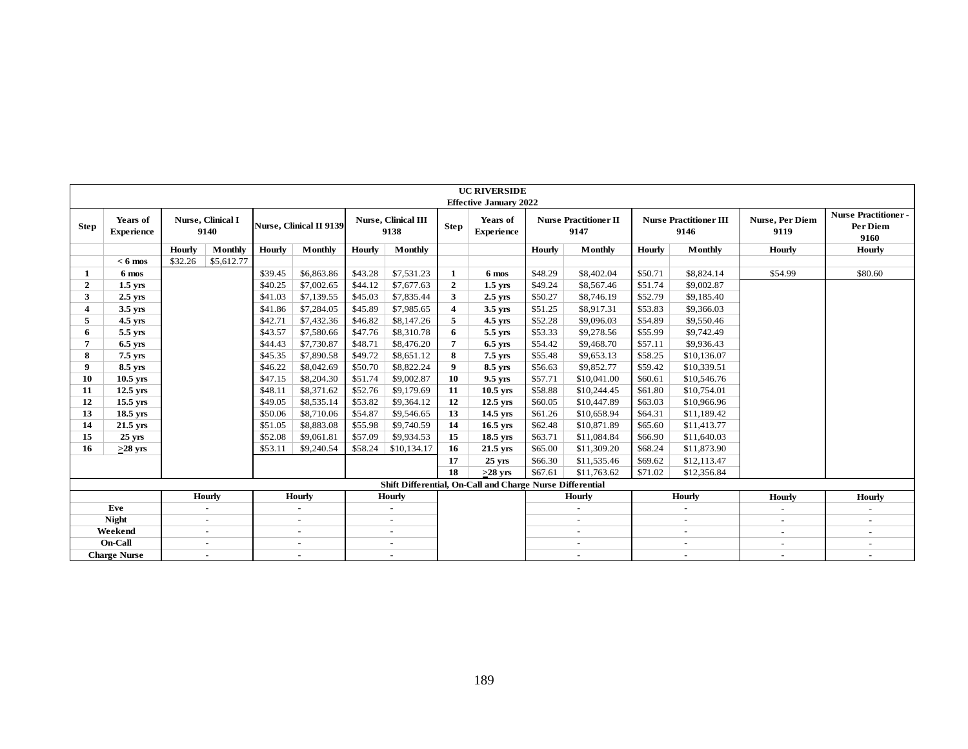|                         |                               |               |                           |               |                                |         |                             |                  | <b>UC RIVERSIDE</b>                                       |               |                                      |               |                                       |                          |                                                |
|-------------------------|-------------------------------|---------------|---------------------------|---------------|--------------------------------|---------|-----------------------------|------------------|-----------------------------------------------------------|---------------|--------------------------------------|---------------|---------------------------------------|--------------------------|------------------------------------------------|
|                         |                               |               |                           |               |                                |         |                             |                  | <b>Effective January 2022</b>                             |               |                                      |               |                                       |                          |                                                |
| Step                    | Years of<br><b>Experience</b> |               | Nurse, Clinical I<br>9140 |               | <b>Nurse, Clinical II 9139</b> |         | Nurse, Clinical III<br>9138 | Step             | Years of<br><b>Experience</b>                             |               | <b>Nurse Practitioner II</b><br>9147 |               | <b>Nurse Practitioner III</b><br>9146 | Nurse, Per Diem<br>9119  | <b>Nurse Practitioner-</b><br>Per Diem<br>9160 |
|                         |                               | <b>Hourly</b> | Monthly                   | <b>Hourly</b> | Monthly                        | Hourly  | Monthly                     |                  |                                                           | <b>Hourly</b> | Monthly                              | <b>Hourly</b> | Monthly                               | <b>Hourly</b>            | <b>Hourly</b>                                  |
|                         | $< 6$ mos                     | \$32.26       | \$5,612.77                |               |                                |         |                             |                  |                                                           |               |                                      |               |                                       |                          |                                                |
| 1                       | 6 mos                         |               |                           | \$39.45       | \$6,863.86                     | \$43.28 | \$7,531.23                  | $\mathbf{1}$     | 6 mos                                                     | \$48.29       | \$8,402.04                           | \$50.71       | \$8,824.14                            | \$54.99                  | \$80.60                                        |
| $\overline{2}$          | $1.5$ yrs                     |               |                           | \$40.25       | \$7,002.65                     | \$44.12 | \$7,677.63                  | $\mathbf{2}$     | $1.5$ yrs                                                 | \$49.24       | \$8,567.46                           | \$51.74       | \$9,002.87                            |                          |                                                |
| 3                       | $2.5$ vrs                     |               |                           | \$41.03       | \$7,139.55                     | \$45.03 | \$7,835.44                  | $\mathbf{3}$     | $2.5$ vrs                                                 | \$50.27       | \$8,746.19                           | \$52.79       | \$9,185.40                            |                          |                                                |
| $\overline{\mathbf{4}}$ | $3.5$ yrs                     |               |                           | \$41.86       | \$7,284.05                     | \$45.89 | \$7,985.65                  | $\boldsymbol{4}$ | $3.5$ yrs                                                 | \$51.25       | \$8,917.31                           | \$53.83       | \$9,366.03                            |                          |                                                |
| 5                       | $4.5$ yrs                     |               |                           | \$42.71       | \$7,432.36                     | \$46.82 | \$8,147.26                  | 5                | 4.5 yrs                                                   | \$52.28       | \$9,096.03                           | \$54.89       | \$9,550.46                            |                          |                                                |
| 6                       | 5.5 yrs                       |               |                           | \$43.57       | \$7,580.66                     | \$47.76 | \$8,310.78                  | 6                | 5.5 yrs                                                   | \$53.33       | \$9,278.56                           | \$55.99       | \$9,742.49                            |                          |                                                |
| $\overline{7}$          | $6.5$ yrs                     |               |                           | \$44.43       | \$7,730.87                     | \$48.71 | \$8,476.20                  | $\overline{7}$   | $6.5$ yrs                                                 | \$54.42       | \$9,468.70                           | \$57.11       | \$9,936.43                            |                          |                                                |
| 8                       | 7.5 yrs                       |               |                           | \$45.35       | \$7,890.58                     | \$49.72 | \$8,651.12                  | 8                | 7.5 yrs                                                   | \$55.48       | \$9,653.13                           | \$58.25       | \$10,136.07                           |                          |                                                |
| 9                       | 8.5 yrs                       |               |                           | \$46.22       | \$8,042.69                     | \$50.70 | \$8,822.24                  | 9                | 8.5 yrs                                                   | \$56.63       | \$9,852.77                           | \$59.42       | \$10,339.51                           |                          |                                                |
| 10                      | $10.5$ yrs                    |               |                           | \$47.15       | \$8,204.30                     | \$51.74 | \$9,002.87                  | 10               | 9.5 yrs                                                   | \$57.71       | \$10,041.00                          | \$60.61       | \$10,546.76                           |                          |                                                |
| 11                      | $12.5$ yrs                    |               |                           | \$48.11       | \$8,371.62                     | \$52.76 | \$9,179.69                  | 11               | $10.5$ yrs                                                | \$58.88       | \$10,244.45                          | \$61.80       | \$10,754.01                           |                          |                                                |
| 12                      | 15.5 yrs                      |               |                           | \$49.05       | \$8,535.14                     | \$53.82 | \$9,364.12                  | 12               | 12.5 yrs                                                  | \$60.05       | \$10,447.89                          | \$63.03       | \$10,966.96                           |                          |                                                |
| 13                      | $18.5$ yrs                    |               |                           | \$50.06       | \$8,710.06                     | \$54.87 | \$9,546.65                  | 13               | 14.5 yrs                                                  | \$61.26       | \$10,658.94                          | \$64.31       | \$11,189.42                           |                          |                                                |
| 14                      | $21.5$ yrs                    |               |                           | \$51.05       | \$8,883.08                     | \$55.98 | \$9,740.59                  | 14               | $16.5$ yrs                                                | \$62.48       | \$10,871.89                          | \$65.60       | \$11,413.77                           |                          |                                                |
| 15                      | $25$ yrs                      |               |                           | \$52.08       | \$9,061.81                     | \$57.09 | \$9,934.53                  | 15               | 18.5 yrs                                                  | \$63.71       | \$11,084.84                          | \$66.90       | \$11,640.03                           |                          |                                                |
| 16                      | $>28$ yrs                     |               |                           | \$53.11       | \$9,240.54                     | \$58.24 | \$10,134.17                 | 16               | 21.5 yrs                                                  | \$65.00       | \$11,309.20                          | \$68.24       | \$11,873.90                           |                          |                                                |
|                         |                               |               |                           |               |                                |         |                             | 17               | $25$ yrs                                                  | \$66.30       | \$11,535.46                          | \$69.62       | \$12,113.47                           |                          |                                                |
|                         |                               |               |                           |               |                                |         |                             | 18               | $>28$ yrs                                                 | \$67.61       | \$11,763.62                          | \$71.02       | \$12,356.84                           |                          |                                                |
|                         |                               |               |                           |               |                                |         |                             |                  | Shift Differential, On-Call and Charge Nurse Differential |               |                                      |               |                                       |                          |                                                |
|                         |                               |               | <b>Hourly</b>             |               | Hourly                         |         | <b>Hourly</b>               |                  |                                                           |               | <b>Hourly</b>                        |               | <b>Hourly</b>                         | <b>Hourly</b>            | <b>Hourly</b>                                  |
|                         | Eve                           |               | $\sim$                    |               | $\sim$                         |         | $\omega$                    |                  |                                                           |               | $\sim$                               |               | $\sim$                                | $\blacksquare$           | $\blacksquare$                                 |
|                         | <b>Night</b>                  |               | $\sim$                    |               | $\overline{\phantom{a}}$       |         | $\overline{\phantom{a}}$    |                  |                                                           |               | $\sim$                               |               | $\sim$                                | $\sim$                   | $\blacksquare$                                 |
|                         | Weekend                       |               | $\sim$                    |               | $\overline{\phantom{a}}$       |         | $\omega$                    |                  |                                                           |               | $\sim$                               |               | $\sim$                                | $\blacksquare$           | $\blacksquare$                                 |
|                         | On-Call                       |               | $\sim$                    |               | $\sim$                         |         | $\omega$                    |                  |                                                           |               | $\sim$                               |               | $\sim$                                | $\blacksquare$           | $\omega$                                       |
|                         | <b>Charge Nurse</b>           |               | $\sim$                    |               | $\overline{\phantom{a}}$       |         | $\overline{\phantom{a}}$    |                  |                                                           |               | $\overline{\phantom{a}}$             |               | $\overline{\phantom{a}}$              | $\overline{\phantom{a}}$ | $\blacksquare$                                 |
|                         |                               |               |                           |               |                                |         |                             |                  |                                                           |               |                                      |               |                                       |                          |                                                |
|                         |                               |               |                           |               |                                |         |                             |                  | 189                                                       |               |                                      |               |                                       |                          |                                                |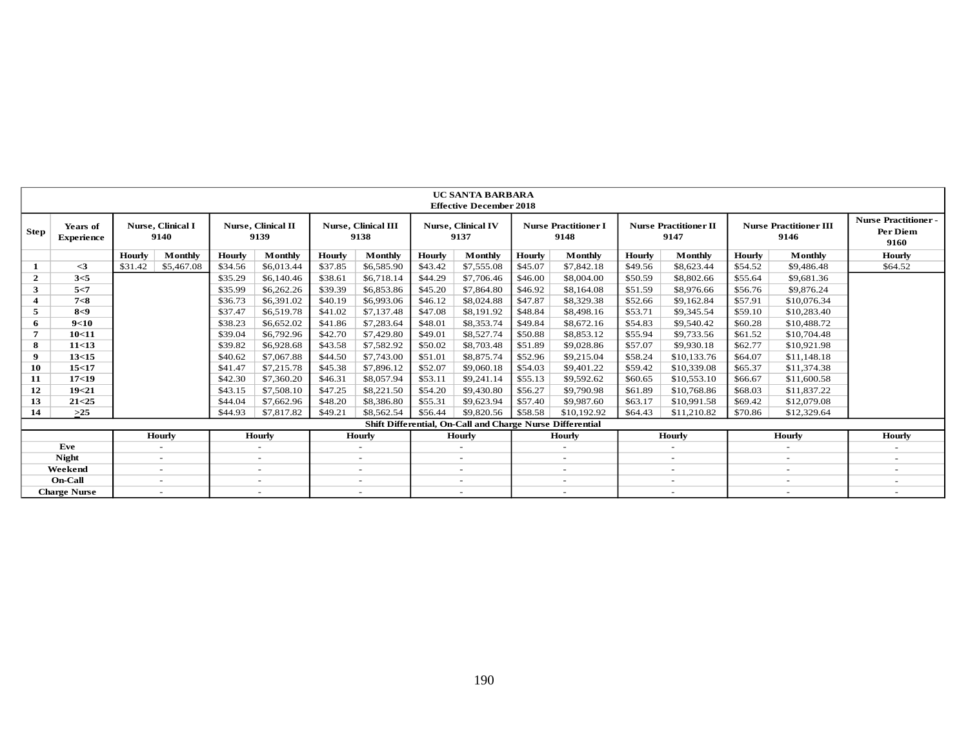|                  |                               |         |                                  |               |                                   |               |                                    |               | UC SANTA BARBARA<br><b>Effective December 2018</b>        |               |                                     |               |                                      |               |                                       |                                                |
|------------------|-------------------------------|---------|----------------------------------|---------------|-----------------------------------|---------------|------------------------------------|---------------|-----------------------------------------------------------|---------------|-------------------------------------|---------------|--------------------------------------|---------------|---------------------------------------|------------------------------------------------|
| <b>Step</b>      | Years of<br><b>Experience</b> |         | <b>Nurse, Clinical I</b><br>9140 |               | <b>Nurse, Clinical II</b><br>9139 |               | <b>Nurse, Clinical III</b><br>9138 |               | <b>Nurse, Clinical IV</b><br>9137                         |               | <b>Nurse Practitioner I</b><br>9148 |               | <b>Nurse Practitioner II</b><br>9147 |               | <b>Nurse Practitioner III</b><br>9146 | <b>Nurse Practitioner-</b><br>Per Diem<br>9160 |
|                  |                               | Hourly  | <b>Monthly</b>                   | <b>Hourly</b> | <b>Monthly</b>                    | <b>Hourly</b> | <b>Monthly</b>                     | <b>Hourly</b> | <b>Monthly</b>                                            | <b>Hourly</b> | Monthly                             | <b>Hourly</b> | Monthly                              | <b>Hourly</b> | Monthly                               | <b>Hourly</b>                                  |
|                  | $\leq$ 3                      | \$31.42 | \$5,467.08                       | \$34.56       | \$6,013.44                        | \$37.85       | \$6,585.90                         | \$43.42       | \$7,555.08                                                | \$45.07       | \$7,842.18                          | \$49.56       | \$8,623.44                           | \$54.52       | \$9,486.48                            | \$64.52                                        |
| $\overline{2}$   | 3<5                           |         |                                  | \$35.29       | \$6,140.46                        | \$38.61       | \$6,718.14                         | \$44.29       | \$7,706.46                                                | \$46.00       | \$8,004.00                          | \$50.59       | \$8,802.66                           | \$55.64       | \$9,681.36                            |                                                |
| 3                | 5 < 7                         |         |                                  | \$35.99       | \$6,262.26                        | \$39.39       | \$6,853.86                         | \$45.20       | \$7,864.80                                                | \$46.92       | \$8,164.08                          | \$51.59       | \$8,976.66                           | \$56.76       | \$9,876.24                            |                                                |
| $\boldsymbol{4}$ | 7 < 8                         |         |                                  | \$36.73       | \$6,391.02                        | \$40.19       | \$6,993.06                         | \$46.12       | \$8,024.88                                                | \$47.87       | \$8,329.38                          | \$52.66       | \$9,162.84                           | \$57.91       | \$10,076.34                           |                                                |
| 5                | 8<9                           |         |                                  | \$37.47       | \$6,519.78                        | \$41.02       | \$7,137.48                         | \$47.08       | \$8,191.92                                                | \$48.84       | \$8,498.16                          | \$53.71       | \$9,345.54                           | \$59.10       | \$10,283.40                           |                                                |
| 6                | 9<10                          |         |                                  | \$38.23       | \$6,652.02                        | \$41.86       | \$7,283.64                         | \$48.01       | \$8,353.74                                                | \$49.84       | \$8,672.16                          | \$54.83       | \$9,540.42                           | \$60.28       | \$10,488.72                           |                                                |
|                  | 10<11                         |         |                                  | \$39.04       | \$6,792.96                        | \$42.70       | \$7,429.80                         | \$49.01       | \$8,527.74                                                | \$50.88       | \$8,853.12                          | \$55.94       | \$9,733.56                           | \$61.52       | \$10,704.48                           |                                                |
| 8                | 11<13                         |         |                                  | \$39.82       | \$6,928.68                        | \$43.58       | \$7,582.92                         | \$50.02       | \$8,703.48                                                | \$51.89       | \$9,028.86                          | \$57.07       | \$9,930.18                           | \$62.77       | \$10,921.98                           |                                                |
| 9                | 13<15                         |         |                                  | \$40.62       | \$7,067.88                        | \$44.50       | \$7,743.00                         | \$51.01       | \$8,875.74                                                | \$52.96       | \$9,215.04                          | \$58.24       | \$10,133.76                          | \$64.07       | \$11,148.18                           |                                                |
| 10               | 15<17                         |         |                                  | \$41.47       | \$7,215.78                        | \$45.38       | \$7,896.12                         | \$52.07       | \$9,060.18                                                | \$54.03       | \$9,401.22                          | \$59.42       | \$10,339.08                          | \$65.37       | \$11,374.38                           |                                                |
| 11               | 17 <sub>19</sub>              |         |                                  | \$42.30       | \$7,360.20                        | \$46.31       | \$8,057.94                         | \$53.11       | \$9,241.14                                                | \$55.13       | \$9,592.62                          | \$60.65       | \$10,553.10                          | \$66.67       | \$11,600.58                           |                                                |
| 12               | 19<21                         |         |                                  | \$43.15       | \$7,508.10                        | \$47.25       | \$8,221.50                         | \$54.20       | \$9,430.80                                                | \$56.27       | \$9,790.98                          | \$61.89       | \$10,768.86                          | \$68.03       | \$11,837.22                           |                                                |
| 13               | 21<25                         |         |                                  | \$44.04       | \$7,662.96                        | \$48.20       | \$8,386.80                         | \$55.31       | \$9,623.94                                                | \$57.40       | \$9,987.60                          | \$63.17       | \$10,991.58                          | \$69.42       | \$12,079.08                           |                                                |
| 14               | $>25$                         |         |                                  | \$44.93       | \$7,817.82                        | \$49.21       | \$8,562.54                         | \$56.44       | \$9,820.56                                                | \$58.58       | \$10,192.92                         | \$64.43       | \$11,210.82                          | \$70.86       | \$12,329.64                           |                                                |
|                  |                               |         |                                  |               |                                   |               |                                    |               | Shift Differential, On-Call and Charge Nurse Differential |               |                                     |               |                                      |               |                                       |                                                |
|                  |                               |         | <b>Hourly</b>                    |               | <b>Hourly</b>                     |               | <b>Hourly</b>                      |               | <b>Hourly</b>                                             |               | <b>Hourly</b>                       |               | Hourly                               |               | <b>Hourly</b>                         | <b>Hourly</b>                                  |
|                  | Eve                           |         |                                  |               |                                   |               |                                    |               |                                                           |               |                                     |               |                                      |               | -                                     |                                                |
|                  | <b>Night</b>                  |         | $\overline{\phantom{a}}$         |               | $\overline{\phantom{a}}$          |               | $\overline{\phantom{a}}$           |               | $\overline{\phantom{a}}$                                  |               | $\sim$                              |               | $\sim$                               |               | $\overline{\phantom{a}}$              | $\overline{\phantom{a}}$                       |
|                  | Weekend                       |         | $\overline{a}$                   |               | $\overline{\phantom{0}}$          |               | $\overline{\phantom{a}}$           |               | $\overline{\phantom{a}}$                                  |               | $\sim$                              |               | $\sim$                               |               | $\overline{\phantom{a}}$              |                                                |
|                  | On-Call                       |         | $\overline{\phantom{a}}$         |               | $\overline{\phantom{a}}$          |               | $\overline{\phantom{a}}$           |               | $\overline{\phantom{a}}$                                  |               | $\overline{\phantom{a}}$            |               |                                      |               | $\overline{\phantom{a}}$              | ٠                                              |
|                  | <b>Charge Nurse</b>           |         | $\sim$                           |               | $\overline{a}$                    |               | $\overline{\phantom{0}}$           |               | $\overline{\phantom{a}}$                                  |               | $\overline{\phantom{a}}$            |               |                                      |               | $\overline{\phantom{a}}$              | $\overline{\phantom{a}}$                       |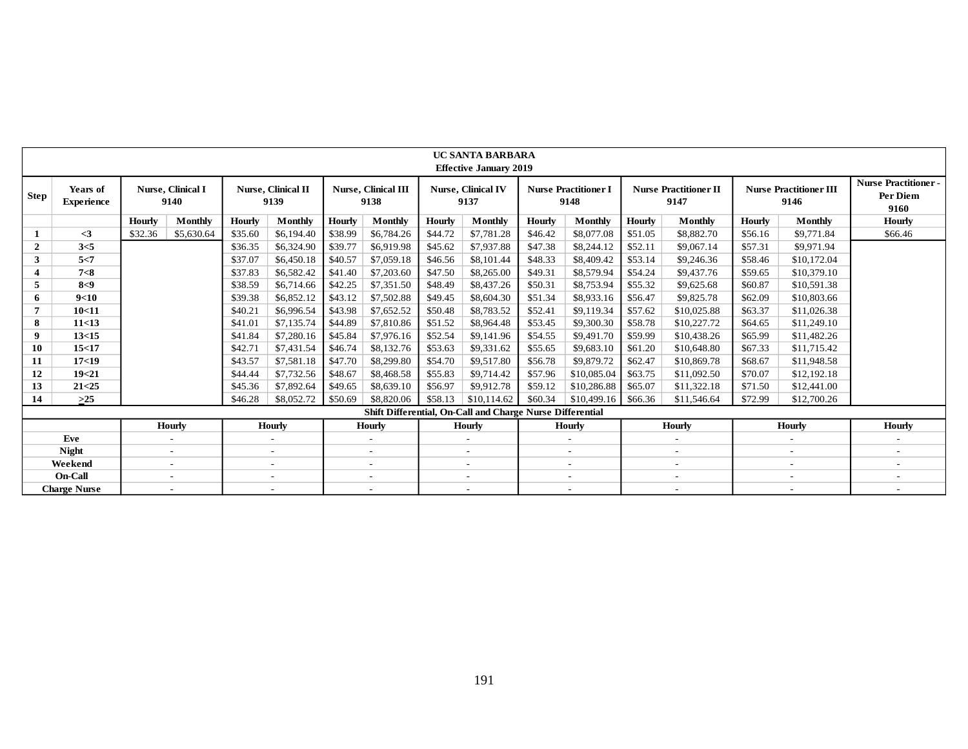|                |                                      |         |                           |         |                            |               |                             |               | <b>UC SANTA BARBARA</b><br><b>Effective January 2019</b>  |         |                                     |               |                                      |               |                                       |                                                       |
|----------------|--------------------------------------|---------|---------------------------|---------|----------------------------|---------------|-----------------------------|---------------|-----------------------------------------------------------|---------|-------------------------------------|---------------|--------------------------------------|---------------|---------------------------------------|-------------------------------------------------------|
| Step           | <b>Years of</b><br><b>Experience</b> |         | Nurse, Clinical I<br>9140 |         | Nurse, Clinical II<br>9139 |               | Nurse, Clinical III<br>9138 |               | Nurse, Clinical IV<br>9137                                |         | <b>Nurse Practitioner I</b><br>9148 |               | <b>Nurse Practitioner II</b><br>9147 |               | <b>Nurse Practitioner III</b><br>9146 | <b>Nurse Practitioner-</b><br><b>Per Diem</b><br>9160 |
|                |                                      | Hourly  | Monthly                   | Hourly  | Monthly                    | <b>Hourly</b> | Monthly                     | <b>Hourly</b> | <b>Monthly</b>                                            | Hourly  | <b>Monthly</b>                      | <b>Hourly</b> | Monthly                              | <b>Hourly</b> | <b>Monthly</b>                        | <b>Hourly</b>                                         |
| 1              | $\leq$ 3                             | \$32.36 | \$5,630.64                | \$35.60 | \$6,194.40                 | \$38.99       | \$6,784.26                  | \$44.72       | \$7,781.28                                                | \$46.42 | \$8,077.08                          | \$51.05       | \$8,882.70                           | \$56.16       | \$9,771.84                            | \$66.46                                               |
| $\mathbf{2}$   | 3<5                                  |         |                           | \$36.35 | \$6,324.90                 | \$39.77       | \$6,919.98                  | \$45.62       | \$7,937.88                                                | \$47.38 | \$8,244.12                          | \$52.11       | \$9,067.14                           | \$57.31       | \$9,971.94                            |                                                       |
| 3              | 5 < 7                                |         |                           | \$37.07 | \$6,450.18                 | \$40.57       | \$7,059.18                  | \$46.56       | \$8,101.44                                                | \$48.33 | \$8,409.42                          | \$53.14       | \$9,246.36                           | \$58.46       | \$10,172.04                           |                                                       |
| 4              | 7<8                                  |         |                           | \$37.83 | \$6,582.42                 | \$41.40       | \$7,203.60                  | \$47.50       | \$8,265.00                                                | \$49.31 | \$8,579.94                          | \$54.24       | \$9,437.76                           | \$59.65       | \$10,379.10                           |                                                       |
| 5              | 8<9                                  |         |                           | \$38.59 | \$6,714.66                 | \$42.25       | \$7,351.50                  | \$48.49       | \$8,437.26                                                | \$50.31 | \$8,753.94                          | \$55.32       | \$9,625.68                           | \$60.87       | \$10,591.38                           |                                                       |
| 6.             | 9<10                                 |         |                           | \$39.38 | \$6,852.12                 | \$43.12       | \$7,502.88                  | \$49.45       | \$8,604.30                                                | \$51.34 | \$8,933.16                          | \$56.47       | \$9,825.78                           | \$62.09       | \$10,803.66                           |                                                       |
| $\overline{7}$ | 10<11                                |         |                           | \$40.21 | \$6,996.54                 | \$43.98       | \$7,652.52                  | \$50.48       | \$8,783.52                                                | \$52.41 | \$9,119.34                          | \$57.62       | \$10,025.88                          | \$63.37       | \$11,026.38                           |                                                       |
| 8              | 11<13                                |         |                           | \$41.01 | \$7,135.74                 | \$44.89       | \$7,810.86                  | \$51.52       | \$8,964.48                                                | \$53.45 | \$9,300.30                          | \$58.78       | \$10,227.72                          | \$64.65       | \$11,249.10                           |                                                       |
| 9              | 13<15                                |         |                           | \$41.84 | \$7,280.16                 | \$45.84       | \$7,976.16                  | \$52.54       | \$9,141.96                                                | \$54.55 | \$9,491.70                          | \$59.99       | \$10,438.26                          | \$65.99       | \$11,482.26                           |                                                       |
| 10             | 15<17                                |         |                           | \$42.71 | \$7,431.54                 | \$46.74       | \$8,132.76                  | \$53.63       | \$9,331.62                                                | \$55.65 | \$9,683.10                          | \$61.20       | \$10,648.80                          | \$67.33       | \$11,715.42                           |                                                       |
| 11             | 17 <sub>19</sub>                     |         |                           | \$43.57 | \$7,581.18                 | \$47.70       | \$8,299.80                  | \$54.70       | \$9,517.80                                                | \$56.78 | \$9,879.72                          | \$62.47       | \$10,869.78                          | \$68.67       | \$11,948.58                           |                                                       |
| 12             | 19<21                                |         |                           | \$44.44 | \$7,732.56                 | \$48.67       | \$8,468.58                  | \$55.83       | \$9,714.42                                                | \$57.96 | \$10,085.04                         | \$63.75       | \$11,092.50                          | \$70.07       | \$12,192.18                           |                                                       |
| 13             | 21 < 25                              |         |                           | \$45.36 | \$7,892.64                 | \$49.65       | \$8,639.10                  | \$56.97       | \$9,912.78                                                | \$59.12 | \$10,286.88                         | \$65.07       | \$11,322.18                          | \$71.50       | \$12,441.00                           |                                                       |
| 14             | $>25$                                |         |                           | \$46.28 | \$8,052.72                 | \$50.69       | \$8,820.06                  | \$58.13       | \$10,114.62                                               | \$60.34 | \$10,499.16                         | \$66.36       | \$11,546.64                          | \$72.99       | \$12,700.26                           |                                                       |
|                |                                      |         |                           |         |                            |               |                             |               | Shift Differential, On-Call and Charge Nurse Differential |         |                                     |               |                                      |               |                                       |                                                       |
|                |                                      |         | <b>Hourly</b>             |         | Hourly                     |               | <b>Hourly</b>               |               | <b>Hourly</b>                                             |         | <b>Hourly</b>                       |               | <b>Hourly</b>                        |               | <b>Hourly</b>                         | Hourly                                                |
|                | Eve                                  |         |                           |         |                            |               |                             |               | $\qquad \qquad \blacksquare$                              |         | $\overline{\phantom{0}}$            |               |                                      |               | $\overline{a}$                        |                                                       |
|                | <b>Night</b>                         |         | $\overline{\phantom{a}}$  |         | $\overline{\phantom{a}}$   |               | $\overline{\phantom{a}}$    |               | $\overline{\phantom{a}}$                                  |         | $\overline{\phantom{a}}$            |               | $\overline{\phantom{a}}$             |               | $\overline{\phantom{a}}$              | $\overline{\phantom{a}}$                              |
|                | Weekend                              |         | $\overline{\phantom{a}}$  |         | $\overline{\phantom{a}}$   |               | $\sim$                      |               | $\sim$                                                    |         | $\sim$                              |               | $\overline{\phantom{a}}$             |               | $\overline{\phantom{a}}$              | $\overline{\phantom{a}}$                              |
|                | <b>On-Call</b>                       |         | $\overline{\phantom{a}}$  |         | $\overline{\phantom{a}}$   |               | $\sim$                      |               | $\sim$                                                    |         | $\sim$                              |               | $\overline{\phantom{a}}$             |               | $\overline{\phantom{a}}$              | $\sim$                                                |
|                | <b>Charge Nurse</b>                  |         | $\overline{\phantom{a}}$  |         | $\overline{\phantom{a}}$   |               | $\overline{\phantom{a}}$    |               | $\overline{\phantom{a}}$                                  |         | $\overline{\phantom{a}}$            |               | $\overline{\phantom{a}}$             |               | $\overline{\phantom{a}}$              | $\overline{\phantom{0}}$                              |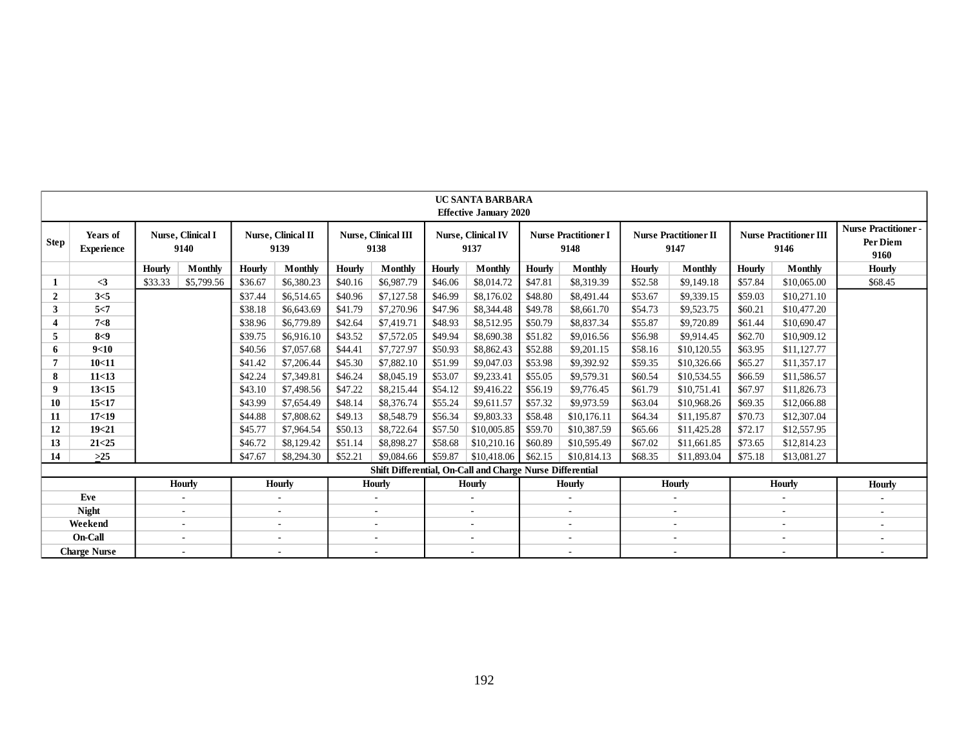|                |                               |               |                                  |         |                            |               |                                    |         | <b>UC SANTA BARBARA</b><br><b>Effective January 2020</b>  |               |                                     |               |                                      |         |                                       |                                                |
|----------------|-------------------------------|---------------|----------------------------------|---------|----------------------------|---------------|------------------------------------|---------|-----------------------------------------------------------|---------------|-------------------------------------|---------------|--------------------------------------|---------|---------------------------------------|------------------------------------------------|
| Step           | Years of<br><b>Experience</b> |               | <b>Nurse, Clinical I</b><br>9140 |         | Nurse, Clinical II<br>9139 |               | <b>Nurse, Clinical III</b><br>9138 |         | Nurse, Clinical IV<br>9137                                |               | <b>Nurse Practitioner I</b><br>9148 |               | <b>Nurse Practitioner II</b><br>9147 |         | <b>Nurse Practitioner III</b><br>9146 | <b>Nurse Practitioner-</b><br>Per Diem<br>9160 |
|                |                               | <b>Hourly</b> | <b>Monthly</b>                   | Hourly  | Monthly                    | <b>Hourly</b> | Monthly                            | Hourly  | Monthly                                                   | <b>Hourly</b> | Monthly                             | <b>Hourly</b> | Monthly                              | Hourly  | Monthly                               | <b>Hourly</b>                                  |
|                | $\leq$ 3                      | \$33.33       | \$5,799.56                       | \$36.67 | \$6,380.23                 | \$40.16       | \$6,987.79                         | \$46.06 | \$8,014.72                                                | \$47.81       | \$8,319.39                          | \$52.58       | \$9,149.18                           | \$57.84 | \$10,065.00                           | \$68.45                                        |
| $\overline{2}$ | 3<5                           |               |                                  | \$37.44 | \$6,514.65                 | \$40.96       | \$7,127.58                         | \$46.99 | \$8,176.02                                                | \$48.80       | \$8,491.44                          | \$53.67       | \$9,339.15                           | \$59.03 | \$10,271.10                           |                                                |
| 3              | 5<7                           |               |                                  | \$38.18 | \$6,643.69                 | \$41.79       | \$7,270.96                         | \$47.96 | \$8,344.48                                                | \$49.78       | \$8,661.70                          | \$54.73       | \$9,523.75                           | \$60.21 | \$10,477.20                           |                                                |
|                | 7 < 8                         |               |                                  | \$38.96 | \$6,779.89                 | \$42.64       | \$7,419.71                         | \$48.93 | \$8,512.95                                                | \$50.79       | \$8,837.34                          | \$55.87       | \$9,720.89                           | \$61.44 | \$10,690.47                           |                                                |
| 5              | 8<9                           |               |                                  | \$39.75 | \$6,916.10                 | \$43.52       | \$7,572.05                         | \$49.94 | \$8,690.38                                                | \$51.82       | \$9,016.56                          | \$56.98       | \$9,914.45                           | \$62.70 | \$10,909.12                           |                                                |
| 6              | 9<10                          |               |                                  | \$40.56 | \$7,057.68                 | \$44.41       | \$7,727.97                         | \$50.93 | \$8,862.43                                                | \$52.88       | \$9,201.15                          | \$58.16       | \$10,120.55                          | \$63.95 | \$11,127.77                           |                                                |
|                | 10<11                         |               |                                  | \$41.42 | \$7,206.44                 | \$45.30       | \$7,882.10                         | \$51.99 | \$9,047.03                                                | \$53.98       | \$9,392.92                          | \$59.35       | \$10,326.66                          | \$65.27 | \$11,357.17                           |                                                |
| 8              | 11<13                         |               |                                  | \$42.24 | \$7,349.81                 | \$46.24       | \$8,045.19                         | \$53.07 | \$9,233.41                                                | \$55.05       | \$9,579.31                          | \$60.54       | \$10,534.55                          | \$66.59 | \$11,586.57                           |                                                |
| 9              | 13<15                         |               |                                  | \$43.10 | \$7,498.56                 | \$47.22       | \$8,215.44                         | \$54.12 | \$9,416.22                                                | \$56.19       | \$9,776.45                          | \$61.79       | \$10,751.41                          | \$67.97 | \$11,826.73                           |                                                |
| 10             | 15<17                         |               |                                  | \$43.99 | \$7,654.49                 | \$48.14       | \$8,376.74                         | \$55.24 | \$9,611.57                                                | \$57.32       | \$9,973.59                          | \$63.04       | \$10,968.26                          | \$69.35 | \$12,066.88                           |                                                |
| 11             | 17 <sub>19</sub>              |               |                                  | \$44.88 | \$7,808.62                 | \$49.13       | \$8,548.79                         | \$56.34 | \$9,803.33                                                | \$58.48       | \$10,176.11                         | \$64.34       | \$11,195.87                          | \$70.73 | \$12,307.04                           |                                                |
| 12             | 19<21                         |               |                                  | \$45.77 | \$7,964.54                 | \$50.13       | \$8,722.64                         | \$57.50 | \$10,005.85                                               | \$59.70       | \$10,387.59                         | \$65.66       | \$11,425.28                          | \$72.17 | \$12,557.95                           |                                                |
| 13             | 21 < 25                       |               |                                  | \$46.72 | \$8,129.42                 | \$51.14       | \$8,898.27                         | \$58.68 | \$10,210.16                                               | \$60.89       | \$10,595.49                         | \$67.02       | \$11,661.85                          | \$73.65 | \$12,814.23                           |                                                |
| 14             | $>25$                         |               |                                  | \$47.67 | \$8,294.30                 | \$52.21       | \$9,084.66                         | \$59.87 | \$10,418.06                                               | \$62.15       | \$10,814.13                         | \$68.35       | \$11,893.04                          | \$75.18 | \$13,081.27                           |                                                |
|                |                               |               |                                  |         |                            |               |                                    |         | Shift Differential, On-Call and Charge Nurse Differential |               |                                     |               |                                      |         |                                       |                                                |
|                |                               |               | <b>Hourly</b>                    |         | Hourly                     |               | Hourly                             |         | Hourly                                                    |               | Hourly                              |               | <b>Hourly</b>                        |         | Hourly                                | <b>Hourly</b>                                  |
|                | Eve                           |               |                                  |         | $\sim$                     |               | $\overline{\phantom{a}}$           |         | $\sim$                                                    |               | ٠                                   |               | $\sim$                               |         | $\sim$                                | $\overline{\phantom{a}}$                       |
|                | <b>Night</b>                  |               |                                  |         |                            |               | ٠                                  |         |                                                           |               | ٠                                   |               |                                      |         |                                       | $\overline{\phantom{a}}$                       |
|                | Weekend                       |               | $\overline{\phantom{a}}$         |         | $\sim$                     |               | $\overline{\phantom{a}}$           |         | $\sim$                                                    |               | $\overline{\phantom{a}}$            |               |                                      |         | $\sim$                                | $\overline{\phantom{a}}$                       |
|                | On-Call                       |               | $\sim$                           |         | $\sim$                     |               | $\overline{\phantom{a}}$           |         | $\overline{\phantom{a}}$                                  |               | ٠                                   |               | $\overline{\phantom{a}}$             |         | $\overline{\phantom{a}}$              | ٠                                              |
|                | <b>Charge Nurse</b>           |               |                                  |         | $\sim$                     |               | $\sim$                             |         | $\sim$                                                    |               | $\sim$                              |               | $\overline{\phantom{a}}$             |         |                                       | $\sim$                                         |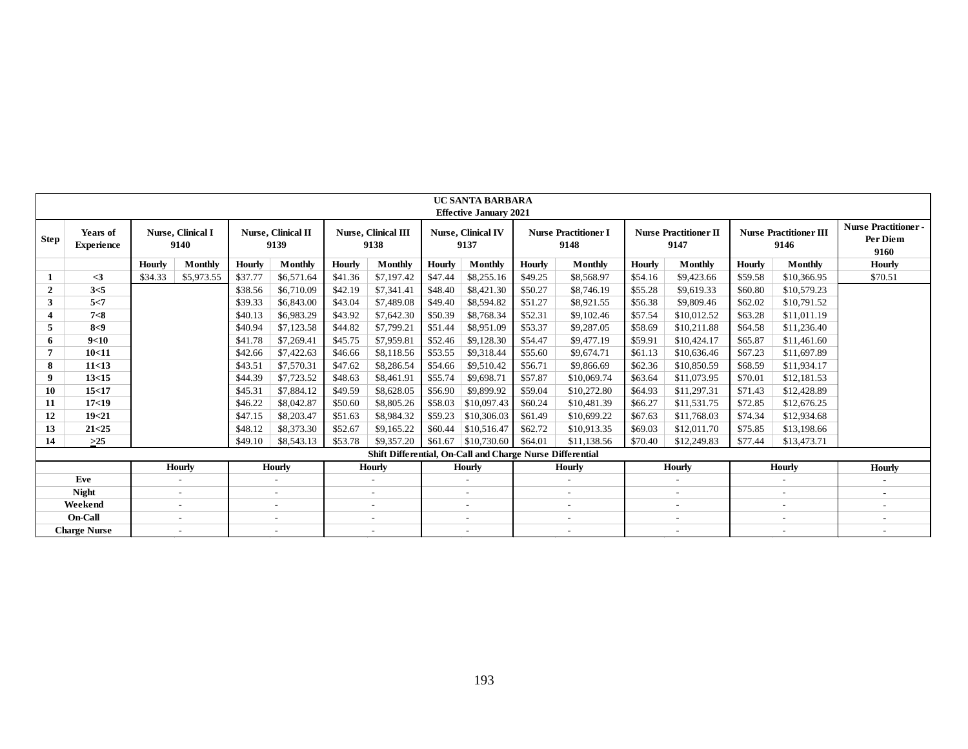|                |                               |               |                                   |         |                            |         |                             |         | <b>UC SANTA BARBARA</b><br><b>Effective January 2021</b>  |         |                                     |               |                                      |         |                                       |                                                |
|----------------|-------------------------------|---------------|-----------------------------------|---------|----------------------------|---------|-----------------------------|---------|-----------------------------------------------------------|---------|-------------------------------------|---------------|--------------------------------------|---------|---------------------------------------|------------------------------------------------|
| Step           | Years of<br><b>Experience</b> |               | <b>Nurse</b> , Clinical I<br>9140 |         | Nurse, Clinical II<br>9139 |         | Nurse, Clinical III<br>9138 |         | Nurse, Clinical IV<br>9137                                |         | <b>Nurse Practitioner I</b><br>9148 |               | <b>Nurse Practitioner II</b><br>9147 |         | <b>Nurse Practitioner III</b><br>9146 | <b>Nurse Practitioner-</b><br>Per Diem<br>9160 |
|                |                               | <b>Hourly</b> | Monthly                           | Hourly  | Monthly                    | Hourly  | Monthly                     | Hourly  | Monthly                                                   | Hourly  | <b>Monthly</b>                      | <b>Hourly</b> | <b>Monthly</b>                       | Hourly  | <b>Monthly</b>                        | <b>Hourly</b>                                  |
|                | $\leq$ 3                      | \$34.33       | \$5,973.55                        | \$37.77 | \$6,571.64                 | \$41.36 | \$7,197.42                  | \$47.44 | \$8,255.16                                                | \$49.25 | \$8,568.97                          | \$54.16       | \$9,423.66                           | \$59.58 | \$10,366.95                           | \$70.51                                        |
| $\overline{2}$ | 3<5                           |               |                                   | \$38.56 | \$6,710.09                 | \$42.19 | \$7,341.41                  | \$48.40 | \$8,421.30                                                | \$50.27 | \$8,746.19                          | \$55.28       | \$9,619.33                           | \$60.80 | \$10,579.23                           |                                                |
| 3              | 5 < 7                         |               |                                   | \$39.33 | \$6,843.00                 | \$43.04 | \$7,489.08                  | \$49.40 | \$8,594.82                                                | \$51.27 | \$8,921.55                          | \$56.38       | \$9,809.46                           | \$62.02 | \$10,791.52                           |                                                |
| 4              | 7 < 8                         |               |                                   | \$40.13 | \$6,983.29                 | \$43.92 | \$7,642.30                  | \$50.39 | \$8,768.34                                                | \$52.31 | \$9,102.46                          | \$57.54       | \$10,012.52                          | \$63.28 | \$11,011.19                           |                                                |
| 5              | 8<9                           |               |                                   | \$40.94 | \$7,123.58                 | \$44.82 | \$7,799.21                  | \$51.44 | \$8,951.09                                                | \$53.37 | \$9,287.05                          | \$58.69       | \$10,211.88                          | \$64.58 | \$11,236.40                           |                                                |
| 6              | 9<10                          |               |                                   | \$41.78 | \$7,269.41                 | \$45.75 | \$7,959.81                  | \$52.46 | \$9,128.30                                                | \$54.47 | \$9,477.19                          | \$59.91       | \$10,424.17                          | \$65.87 | \$11,461.60                           |                                                |
|                | 10<11                         |               |                                   | \$42.66 | \$7,422.63                 | \$46.66 | \$8,118.56                  | \$53.55 | \$9,318.44                                                | \$55.60 | \$9,674.71                          | \$61.13       | \$10,636.46                          | \$67.23 | \$11,697.89                           |                                                |
| 8              | 11<13                         |               |                                   | \$43.51 | \$7,570.31                 | \$47.62 | \$8,286.54                  | \$54.66 | \$9,510.42                                                | \$56.71 | \$9,866.69                          | \$62.36       | \$10,850.59                          | \$68.59 | \$11,934.17                           |                                                |
| 9              | 13<15                         |               |                                   | \$44.39 | \$7,723.52                 | \$48.63 | \$8,461.91                  | \$55.74 | \$9,698.71                                                | \$57.87 | \$10,069.74                         | \$63.64       | \$11,073.95                          | \$70.01 | \$12,181.53                           |                                                |
| 10             | 15<17                         |               |                                   | \$45.31 | \$7,884.12                 | \$49.59 | \$8,628.05                  | \$56.90 | \$9,899.92                                                | \$59.04 | \$10,272.80                         | \$64.93       | \$11,297.31                          | \$71.43 | \$12,428.89                           |                                                |
| 11             | 17 <sub>19</sub>              |               |                                   | \$46.22 | \$8,042.87                 | \$50.60 | \$8,805.26                  | \$58.03 | \$10,097.43                                               | \$60.24 | \$10,481.39                         | \$66.27       | \$11,531.75                          | \$72.85 | \$12,676.25                           |                                                |
| 12             | 19<21                         |               |                                   | \$47.15 | \$8,203.47                 | \$51.63 | \$8,984.32                  | \$59.23 | \$10,306.03                                               | \$61.49 | \$10,699.22                         | \$67.63       | \$11,768.03                          | \$74.34 | \$12,934.68                           |                                                |
| 13             | 21 < 25                       |               |                                   | \$48.12 | \$8,373.30                 | \$52.67 | \$9,165.22                  | \$60.44 | \$10,516.47                                               | \$62.72 | \$10,913.35                         | \$69.03       | \$12,011.70                          | \$75.85 | \$13,198.66                           |                                                |
| 14             | $>25$                         |               |                                   | \$49.10 | \$8,543.13                 | \$53.78 | \$9,357.20                  | \$61.67 | \$10,730.60                                               | \$64.01 | \$11,138.56                         | \$70.40       | \$12,249.83                          | \$77.44 | \$13,473.71                           |                                                |
|                |                               |               |                                   |         |                            |         |                             |         | Shift Differential, On-Call and Charge Nurse Differential |         |                                     |               |                                      |         |                                       |                                                |
|                |                               |               | <b>Hourly</b>                     |         | Hourly                     |         | <b>Hourly</b>               |         | <b>Hourly</b>                                             |         | <b>Hourly</b>                       |               | Hourly                               |         | <b>Hourly</b>                         | <b>Hourly</b>                                  |
|                | Eve                           |               | $\sim$                            |         | $\sim$                     |         | $\sim$                      |         | $\sim$                                                    |         | $\overline{\phantom{a}}$            |               | $\overline{\phantom{a}}$             |         | $\sim$                                |                                                |
|                | <b>Night</b>                  |               | $\overline{\phantom{a}}$          |         | $\overline{\phantom{a}}$   |         | $\overline{\phantom{a}}$    |         | $\sim$                                                    |         | $\overline{\phantom{a}}$            |               | $\overline{\phantom{a}}$             |         | $\overline{\phantom{a}}$              | $\sim$                                         |
|                | Weekend                       |               | $\overline{\phantom{a}}$          |         | $\overline{\phantom{a}}$   |         | $\overline{\phantom{a}}$    |         | $\overline{\phantom{a}}$                                  |         | $\overline{\phantom{a}}$            |               | $\overline{\phantom{a}}$             |         | $\overline{\phantom{a}}$              | $\overline{\phantom{a}}$                       |
|                | <b>On-Call</b>                |               | $\overline{\phantom{a}}$          |         | $\overline{\phantom{a}}$   |         | $\overline{\phantom{a}}$    |         | $\overline{\phantom{a}}$                                  |         |                                     |               | $\overline{\phantom{a}}$             |         |                                       | $\overline{\phantom{a}}$                       |
|                | <b>Charge Nurse</b>           |               | $\overline{\phantom{a}}$          |         | $\overline{\phantom{a}}$   |         | $\overline{\phantom{a}}$    |         | $\sim$                                                    |         | $\overline{\phantom{a}}$            |               | $\overline{\phantom{a}}$             |         | $\overline{\phantom{a}}$              | $\overline{\phantom{a}}$                       |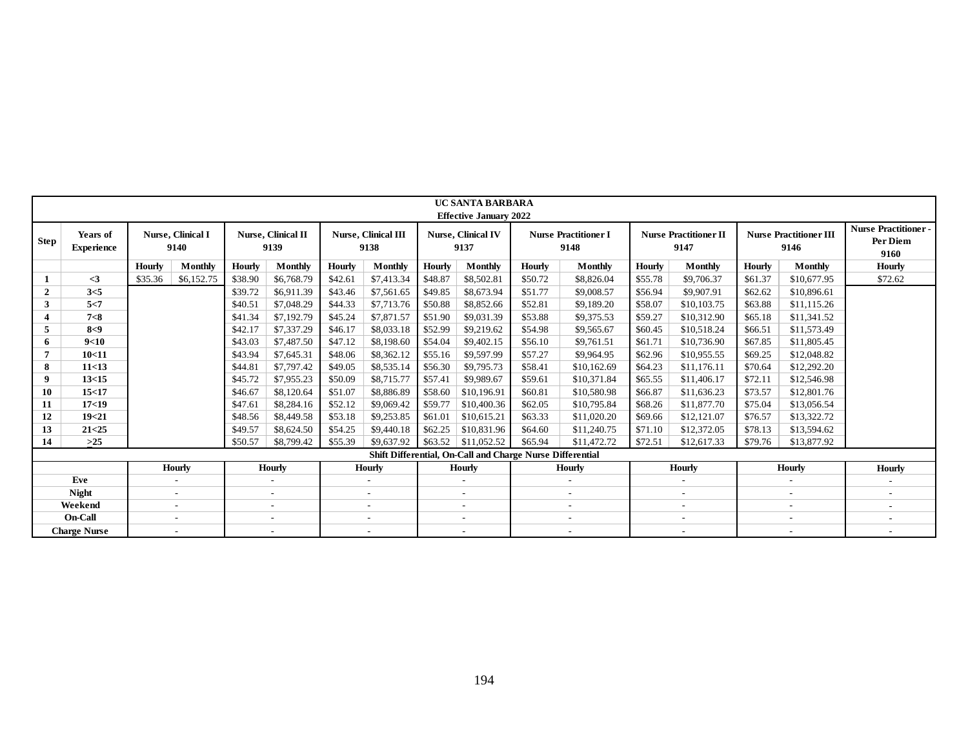|              |                               |         |                                  |         |                                   |               |                                    |               | <b>UC SANTA BARBARA</b>                                   |               |                                     |         |                                      |         |                                       |                                                 |
|--------------|-------------------------------|---------|----------------------------------|---------|-----------------------------------|---------------|------------------------------------|---------------|-----------------------------------------------------------|---------------|-------------------------------------|---------|--------------------------------------|---------|---------------------------------------|-------------------------------------------------|
|              |                               |         |                                  |         |                                   |               |                                    |               | <b>Effective January 2022</b>                             |               |                                     |         |                                      |         |                                       |                                                 |
| <b>Step</b>  | Years of<br><b>Experience</b> |         | <b>Nurse, Clinical I</b><br>9140 |         | <b>Nurse, Clinical II</b><br>9139 |               | <b>Nurse, Clinical III</b><br>9138 |               | <b>Nurse, Clinical IV</b><br>9137                         |               | <b>Nurse Practitioner I</b><br>9148 |         | <b>Nurse Practitioner II</b><br>9147 |         | <b>Nurse Practitioner III</b><br>9146 | <b>Nurse Practitioner -</b><br>Per Diem<br>9160 |
|              |                               | Hourly  | Monthly                          | Hourly  | <b>Monthly</b>                    | <b>Hourly</b> | Monthly                            | <b>Hourly</b> | <b>Monthly</b>                                            | <b>Hourly</b> | Monthly                             | Hourly  | Monthly                              | Hourly  | Monthly                               | <b>Hourly</b>                                   |
|              | $\leq$ 3                      | \$35.36 | \$6,152.75                       | \$38.90 | \$6,768.79                        | \$42.61       | \$7,413.34                         | \$48.87       | \$8,502.81                                                | \$50.72       | \$8,826.04                          | \$55.78 | \$9,706.37                           | \$61.37 | \$10,677.95                           | \$72.62                                         |
| $\mathbf{2}$ | 3<5                           |         |                                  | \$39.72 | \$6,911.39                        | \$43.46       | \$7,561.65                         | \$49.85       | \$8,673.94                                                | \$51.77       | \$9,008.57                          | \$56.94 | \$9,907.91                           | \$62.62 | \$10,896.61                           |                                                 |
| 3            | 5 < 7                         |         |                                  | \$40.51 | \$7,048.29                        | \$44.33       | \$7,713.76                         | \$50.88       | \$8,852.66                                                | \$52.81       | \$9,189.20                          | \$58.07 | \$10,103.75                          | \$63.88 | \$11,115.26                           |                                                 |
| 4            | 7 < 8                         |         |                                  | \$41.34 | \$7,192.79                        | \$45.24       | \$7,871.57                         | \$51.90       | \$9,031.39                                                | \$53.88       | \$9,375.53                          | \$59.27 | \$10,312.90                          | \$65.18 | \$11,341.52                           |                                                 |
| 5            | 8<9                           |         |                                  | \$42.17 | \$7,337.29                        | \$46.17       | \$8,033.18                         | \$52.99       | \$9,219.62                                                | \$54.98       | \$9,565.67                          | \$60.45 | \$10,518.24                          | \$66.51 | \$11,573.49                           |                                                 |
| 6            | 9<10                          |         |                                  | \$43.03 | \$7,487.50                        | \$47.12       | \$8,198.60                         | \$54.04       | \$9,402.15                                                | \$56.10       | \$9,761.51                          | \$61.71 | \$10,736.90                          | \$67.85 | \$11,805.45                           |                                                 |
|              | 10<11                         |         |                                  | \$43.94 | \$7,645.31                        | \$48.06       | \$8,362.12                         | \$55.16       | \$9,597.99                                                | \$57.27       | \$9,964.95                          | \$62.96 | \$10,955.55                          | \$69.25 | \$12,048.82                           |                                                 |
| 8            | 11<13                         |         |                                  | \$44.81 | \$7,797.42                        | \$49.05       | \$8,535.14                         | \$56.30       | \$9,795.73                                                | \$58.41       | \$10,162.69                         | \$64.23 | \$11,176.11                          | \$70.64 | \$12,292.20                           |                                                 |
| 9            | 13<15                         |         |                                  | \$45.72 | \$7,955.23                        | \$50.09       | \$8,715.77                         | \$57.41       | \$9,989.67                                                | \$59.61       | \$10,371.84                         | \$65.55 | \$11,406.17                          | \$72.11 | \$12,546.98                           |                                                 |
| 10           | 15<17                         |         |                                  | \$46.67 | \$8,120.64                        | \$51.07       | \$8,886.89                         | \$58.60       | \$10,196.91                                               | \$60.81       | \$10,580.98                         | \$66.87 | \$11,636.23                          | \$73.57 | \$12,801.76                           |                                                 |
| 11           | 17<19                         |         |                                  | \$47.61 | \$8,284.16                        | \$52.12       | \$9,069.42                         | \$59.77       | \$10,400.36                                               | \$62.05       | \$10,795.84                         | \$68.26 | \$11,877.70                          | \$75.04 | \$13,056.54                           |                                                 |
| 12           | 19<21                         |         |                                  | \$48.56 | \$8,449.58                        | \$53.18       | \$9,253.85                         | \$61.01       | \$10,615.21                                               | \$63.33       | \$11,020.20                         | \$69.66 | \$12,121.07                          | \$76.57 | \$13,322.72                           |                                                 |
| 13           | 21<25                         |         |                                  | \$49.57 | \$8,624.50                        | \$54.25       | \$9,440.18                         | \$62.25       | \$10,831.96                                               | \$64.60       | \$11,240.75                         | \$71.10 | \$12,372.05                          | \$78.13 | \$13,594.62                           |                                                 |
| 14           | $>25$                         |         |                                  | \$50.57 | \$8,799.42                        | \$55.39       | \$9,637.92                         | \$63.52       | \$11,052.52                                               | \$65.94       | \$11,472.72                         | \$72.51 | \$12,617.33                          | \$79.76 | \$13,877.92                           |                                                 |
|              |                               |         |                                  |         |                                   |               |                                    |               | Shift Differential, On-Call and Charge Nurse Differential |               |                                     |         |                                      |         |                                       |                                                 |
|              |                               |         | <b>Hourly</b>                    |         | <b>Hourly</b>                     |               | <b>Hourly</b>                      |               | <b>Hourly</b>                                             |               | <b>Hourly</b>                       |         | <b>Hourly</b>                        |         | <b>Hourly</b>                         | <b>Hourly</b>                                   |
|              | Eve                           |         |                                  |         | $\overline{\phantom{a}}$          |               | $\overline{\phantom{a}}$           |               | $\overline{\phantom{a}}$                                  |               | $\overline{\phantom{a}}$            |         | $\overline{\phantom{a}}$             |         |                                       |                                                 |
|              | <b>Night</b>                  |         | $\sim$                           |         | $\overline{\phantom{a}}$          |               | $\sim$                             |               | $\overline{\phantom{a}}$                                  |               | $\overline{\phantom{a}}$            |         | $\overline{\phantom{a}}$             |         | $\overline{\phantom{a}}$              | $\sim$                                          |
|              | Weekend                       |         | $\overline{\phantom{a}}$         |         | $\overline{\phantom{0}}$          |               | ٠                                  |               |                                                           |               | $\overline{\phantom{a}}$            |         | $\overline{\phantom{a}}$             |         |                                       | $\overline{\phantom{a}}$                        |
|              | On-Call                       |         | $\overline{\phantom{a}}$         |         | $\overline{\phantom{a}}$          |               | $\overline{\phantom{a}}$           |               | $\overline{\phantom{a}}$                                  |               | $\overline{\phantom{a}}$            |         | $\overline{\phantom{a}}$             |         |                                       | $\overline{\phantom{a}}$                        |
|              | <b>Charge Nurse</b>           |         | $\sim$                           |         | $\overline{\phantom{a}}$          |               | $\overline{\phantom{a}}$           |               | $\overline{\phantom{a}}$                                  |               | $\overline{\phantom{a}}$            |         | $\overline{\phantom{0}}$             |         |                                       | $\sim$                                          |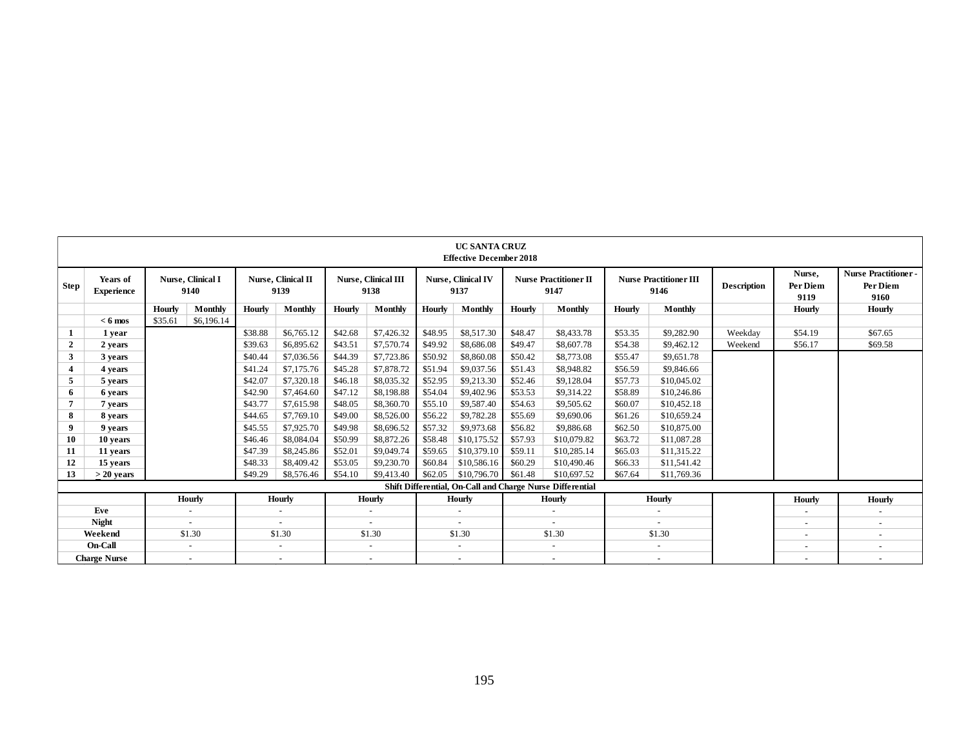|                |                               |         |                           |         |                                   |         |                             |         | <b>UC SANTA CRUZ</b><br><b>Effective December 2018</b> |         |                                                           |         |                                       |                    |                            |                                                |
|----------------|-------------------------------|---------|---------------------------|---------|-----------------------------------|---------|-----------------------------|---------|--------------------------------------------------------|---------|-----------------------------------------------------------|---------|---------------------------------------|--------------------|----------------------------|------------------------------------------------|
| <b>Step</b>    | Years of<br><b>Experience</b> |         | Nurse, Clinical I<br>9140 |         | <b>Nurse, Clinical II</b><br>9139 |         | Nurse, Clinical III<br>9138 |         | Nurse, Clinical IV<br>9137                             |         | <b>Nurse Practitioner II</b><br>9147                      |         | <b>Nurse Practitioner III</b><br>9146 | <b>Description</b> | Nurse,<br>Per Diem<br>9119 | <b>Nurse Practitioner-</b><br>Per Diem<br>9160 |
|                |                               | Hourly  | Monthly                   | Hourly  | Monthly                           | Hourly  | Monthly                     | Hourly  | Monthly                                                | Hourly  | Monthly                                                   | Hourly  | Monthly                               |                    | Hourly                     | <b>Hourly</b>                                  |
|                | $< 6$ mos                     | \$35.61 | \$6,196.14                |         |                                   |         |                             |         |                                                        |         |                                                           |         |                                       |                    |                            |                                                |
|                | 1 year                        |         |                           | \$38.88 | \$6,765.12                        | \$42.68 | \$7,426.32                  | \$48.95 | \$8,517.30                                             | \$48.47 | \$8,433.78                                                | \$53.35 | \$9,282.90                            | Weekdav            | \$54.19                    | \$67.65                                        |
| $\overline{2}$ | 2 years                       |         |                           | \$39.63 | \$6,895.62                        | \$43.51 | \$7,570.74                  | \$49.92 | \$8,686.08                                             | \$49.47 | \$8,607.78                                                | \$54.38 | \$9,462.12                            | Weekend            | \$56.17                    | \$69.58                                        |
| 3              | 3 years                       |         |                           | \$40.44 | \$7,036.56                        | \$44.39 | \$7,723.86                  | \$50.92 | \$8,860.08                                             | \$50.42 | \$8,773.08                                                | \$55.47 | \$9,651.78                            |                    |                            |                                                |
| 4              | 4 years                       |         |                           | \$41.24 | \$7,175.76                        | \$45.28 | \$7,878.72                  | \$51.94 | \$9,037.56                                             | \$51.43 | \$8,948.82                                                | \$56.59 | \$9,846.66                            |                    |                            |                                                |
| 5              | 5 years                       |         |                           | \$42.07 | \$7,320.18                        | \$46.18 | \$8,035.32                  | \$52.95 | \$9,213.30                                             | \$52.46 | \$9,128,04                                                | \$57.73 | \$10,045.02                           |                    |                            |                                                |
| 6              | 6 years                       |         |                           | \$42.90 | \$7,464.60                        | \$47.12 | \$8,198.88                  | \$54.04 | \$9,402.96                                             | \$53.53 | \$9,314.22                                                | \$58.89 | \$10,246.86                           |                    |                            |                                                |
| 7              | 7 years                       |         |                           | \$43.77 | \$7,615.98                        | \$48.05 | \$8,360.70                  | \$55.10 | \$9,587.40                                             | \$54.63 | \$9,505.62                                                | \$60.07 | \$10.452.18                           |                    |                            |                                                |
| 8              | 8 years                       |         |                           | \$44.65 | \$7,769.10                        | \$49.00 | \$8,526.00                  | \$56.22 | \$9,782.28                                             | \$55.69 | \$9,690.06                                                | \$61.26 | \$10,659.24                           |                    |                            |                                                |
| 9              | 9 years                       |         |                           | \$45.55 | \$7,925.70                        | \$49.98 | \$8,696.52                  | \$57.32 | \$9,973.68                                             | \$56.82 | \$9,886.68                                                | \$62.50 | \$10,875.00                           |                    |                            |                                                |
| 10             | 10 years                      |         |                           | \$46.46 | \$8,084.04                        | \$50.99 | \$8,872.26                  | \$58.48 | \$10,175.52                                            | \$57.93 | \$10,079.82                                               | \$63.72 | \$11,087.28                           |                    |                            |                                                |
| 11             | 11 years                      |         |                           | \$47.39 | \$8,245.86                        | \$52.01 | \$9,049.74                  | \$59.65 | \$10,379.10                                            | \$59.11 | \$10,285.14                                               | \$65.03 | \$11,315.22                           |                    |                            |                                                |
| 12             | 15 years                      |         |                           | \$48.33 | \$8,409.42                        | \$53.05 | \$9,230.70                  | \$60.84 | \$10,586.16                                            | \$60.29 | \$10,490.46                                               | \$66.33 | \$11,541.42                           |                    |                            |                                                |
| 13             | $>$ 20 vears                  |         |                           | \$49.29 | \$8,576.46                        | \$54.10 | \$9,413.40                  | \$62.05 | \$10,796.70                                            | \$61.48 | \$10,697.52                                               | \$67.64 | \$11,769.36                           |                    |                            |                                                |
|                |                               |         |                           |         |                                   |         |                             |         |                                                        |         | Shift Differential, On-Call and Charge Nurse Differential |         |                                       |                    |                            |                                                |
|                | Hourly                        |         |                           |         | Hourly                            |         | <b>Hourly</b>               |         | <b>Hourly</b>                                          |         | <b>Hourly</b>                                             |         | <b>Hourly</b>                         |                    | Hourly                     | <b>Hourly</b>                                  |
|                | Eve                           |         | $\sim$                    |         |                                   |         |                             |         |                                                        |         | $\blacksquare$                                            |         |                                       |                    |                            | $\overline{\phantom{a}}$                       |
|                | <b>Night</b>                  |         | $\sim$                    |         |                                   |         | $\sim$                      |         |                                                        |         | $\overline{\phantom{a}}$                                  |         | $\overline{\phantom{a}}$              |                    | $\overline{\phantom{0}}$   | $\overline{\phantom{a}}$                       |
|                | Weekend                       |         | \$1.30                    |         | \$1.30                            |         | \$1.30                      |         | \$1.30                                                 |         | \$1.30                                                    |         | \$1.30                                |                    |                            | $\overline{\phantom{a}}$                       |
|                | On-Call                       |         | $\sim$                    |         | $\overline{\phantom{a}}$          |         | $\overline{\phantom{a}}$    |         |                                                        |         | $\overline{\phantom{a}}$                                  |         | $\overline{\phantom{a}}$              |                    | $\overline{\phantom{a}}$   | $\overline{\phantom{a}}$                       |
|                | <b>Charge Nurse</b>           |         | $\sim$                    |         | $\sim$                            |         | $\sim$                      |         |                                                        |         | $\sim$                                                    |         | $\sim$                                |                    |                            | $\sim$                                         |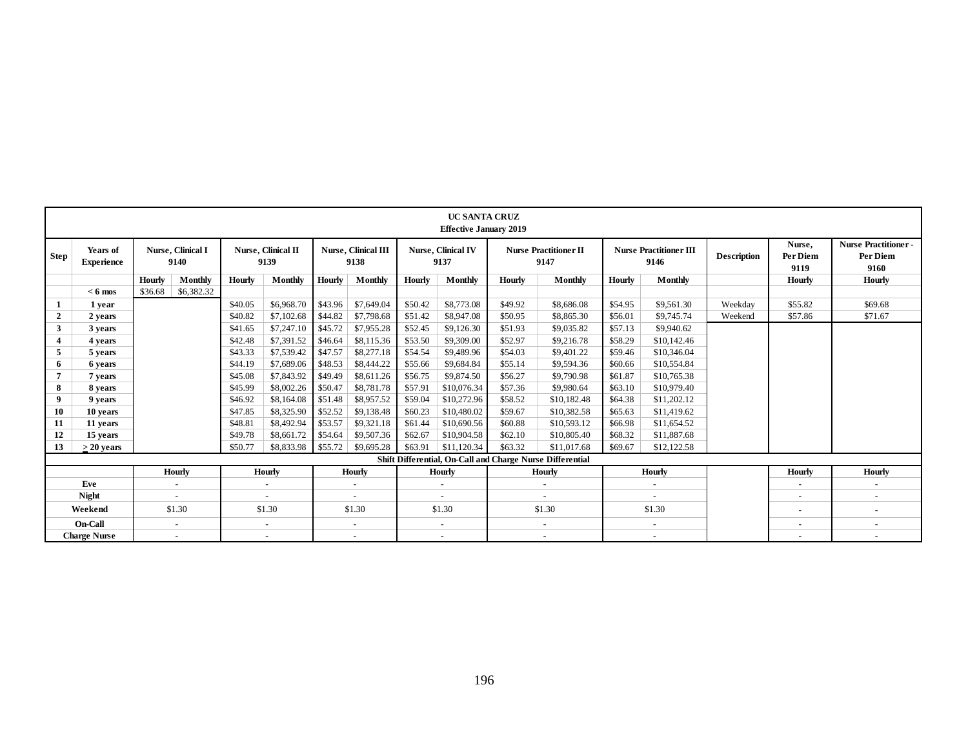|                |                               |         |                                   |         |                                   |         |                                    |         | <b>UC SANTA CRUZ</b><br><b>Effective January 2019</b> |         |                                                           |         |                                       |                    |                            |                                                |
|----------------|-------------------------------|---------|-----------------------------------|---------|-----------------------------------|---------|------------------------------------|---------|-------------------------------------------------------|---------|-----------------------------------------------------------|---------|---------------------------------------|--------------------|----------------------------|------------------------------------------------|
| <b>Step</b>    | Years of<br><b>Experience</b> |         | <b>Nurse</b> , Clinical I<br>9140 |         | <b>Nurse, Clinical II</b><br>9139 |         | <b>Nurse, Clinical III</b><br>9138 |         | <b>Nurse, Clinical IV</b><br>9137                     |         | <b>Nurse Practitioner II</b><br>9147                      |         | <b>Nurse Practitioner III</b><br>9146 | <b>Description</b> | Nurse.<br>Per Diem<br>9119 | <b>Nurse Practitioner-</b><br>Per Diem<br>9160 |
|                |                               | Hourly  | Monthly                           | Hourly  | Monthly                           | Hourly  | Monthly                            | Hourly  | Monthly                                               | Hourly  | Monthly                                                   | Hourly  | Monthly                               |                    | Hourly                     | Hourly                                         |
|                | $< 6$ mos                     | \$36.68 | \$6,382.32                        |         |                                   |         |                                    |         |                                                       |         |                                                           |         |                                       |                    |                            |                                                |
|                | 1 year                        |         |                                   | \$40.05 | \$6,968.70                        | \$43.96 | \$7,649.04                         | \$50.42 | \$8,773.08                                            | \$49.92 | \$8,686.08                                                | \$54.95 | \$9,561.30                            | Weekdav            | \$55.82                    | \$69.68                                        |
| $\overline{2}$ | 2 years                       |         |                                   | \$40.82 | \$7,102.68                        | \$44.82 | \$7,798.68                         | \$51.42 | \$8,947.08                                            | \$50.95 | \$8,865.30                                                | \$56.01 | \$9,745.74                            | Weekend            | \$57.86                    | \$71.67                                        |
| 3              | 3 years                       |         |                                   | \$41.65 | \$7,247.10                        | \$45.72 | \$7,955.28                         | \$52.45 | \$9,126.30                                            | \$51.93 | \$9,035.82                                                | \$57.13 | \$9,940.62                            |                    |                            |                                                |
| 4              | 4 years                       |         |                                   | \$42.48 | \$7,391.52                        | \$46.64 | \$8,115.36                         | \$53.50 | \$9,309.00                                            | \$52.97 | \$9,216.78                                                | \$58.29 | \$10,142.46                           |                    |                            |                                                |
| 5              | 5 years                       |         |                                   | \$43.33 | \$7,539.42                        | \$47.57 | \$8,277.18                         | \$54.54 | \$9,489.96                                            | \$54.03 | \$9,401.22                                                | \$59.46 | \$10,346.04                           |                    |                            |                                                |
| 6              | 6 years                       |         |                                   | \$44.19 | \$7,689.06                        | \$48.53 | \$8,444.22                         | \$55.66 | \$9,684.84                                            | \$55.14 | \$9,594.36                                                | \$60.66 | \$10,554.84                           |                    |                            |                                                |
| 7              | 7 years                       |         |                                   | \$45.08 | \$7,843.92                        | \$49.49 | \$8,611.26                         | \$56.75 | \$9,874.50                                            | \$56.27 | \$9,790.98                                                | \$61.87 | \$10,765.38                           |                    |                            |                                                |
| 8              | 8 years                       |         |                                   | \$45.99 | \$8,002.26                        | \$50.47 | \$8,781.78                         | \$57.91 | \$10,076.34                                           | \$57.36 | \$9,980.64                                                | \$63.10 | \$10,979.40                           |                    |                            |                                                |
| 9              | 9 years                       |         |                                   | \$46.92 | \$8,164.08                        | \$51.48 | \$8,957.52                         | \$59.04 | \$10,272.96                                           | \$58.52 | \$10,182.48                                               | \$64.38 | \$11,202.12                           |                    |                            |                                                |
| 10             | 10 years                      |         |                                   | \$47.85 | \$8,325.90                        | \$52.52 | \$9,138.48                         | \$60.23 | \$10,480.02                                           | \$59.67 | \$10,382.58                                               | \$65.63 | \$11,419.62                           |                    |                            |                                                |
| 11             | 11 years                      |         |                                   | \$48.81 | \$8,492.94                        | \$53.57 | \$9,321.18                         | \$61.44 | \$10,690.56                                           | \$60.88 | \$10,593.12                                               | \$66.98 | \$11,654.52                           |                    |                            |                                                |
| 12             | 15 years                      |         |                                   | \$49.78 | \$8,661.72                        | \$54.64 | \$9,507.36                         | \$62.67 | \$10,904.58                                           | \$62.10 | \$10,805.40                                               | \$68.32 | \$11,887.68                           |                    |                            |                                                |
| 13             | $> 20$ years                  |         |                                   | \$50.77 | \$8,833.98                        | \$55.72 | \$9,695.28                         | \$63.91 | \$11,120,34                                           | \$63.32 | \$11,017.68                                               | \$69.67 | \$12,122.58                           |                    |                            |                                                |
|                |                               |         |                                   |         |                                   |         |                                    |         |                                                       |         | Shift Differential, On-Call and Charge Nurse Differential |         |                                       |                    |                            |                                                |
|                |                               |         | Hourly                            |         | Hourly                            |         | Hourly                             |         | Hourly                                                |         | Hourly                                                    |         | Hourly                                |                    | Hourly                     | <b>Hourly</b>                                  |
|                | Eve                           |         | $\sim$                            |         | $\sim$                            |         | $\blacksquare$                     |         |                                                       |         | $\sim$                                                    |         | $\sim$                                |                    | $\overline{\phantom{a}}$   | $\sim$                                         |
|                | <b>Night</b>                  |         | $\overline{\phantom{a}}$          |         | $\overline{\phantom{a}}$          |         | $\overline{\phantom{a}}$           |         |                                                       |         |                                                           |         |                                       |                    | -                          | $\sim$                                         |
|                | Weekend                       |         | \$1.30                            |         | \$1.30                            |         | \$1.30                             |         | \$1.30                                                |         | \$1.30                                                    |         | \$1.30                                |                    | $\overline{\phantom{0}}$   | $\overline{\phantom{a}}$                       |
|                | On-Call                       |         | $\sim$                            |         | $\overline{\phantom{a}}$          |         | $\sim$                             |         | $\overline{\phantom{a}}$                              |         | $\overline{\phantom{a}}$                                  |         | $\overline{\phantom{a}}$              |                    | $\overline{\phantom{0}}$   | $\sim$                                         |
|                | <b>Charge Nurse</b>           |         | $\sim$                            |         | $\overline{\phantom{a}}$          |         | $\overline{\phantom{a}}$           |         | $\overline{\phantom{a}}$                              |         | $\overline{\phantom{a}}$                                  |         | $\overline{\phantom{a}}$              |                    | $\overline{\phantom{0}}$   | $\overline{\phantom{a}}$                       |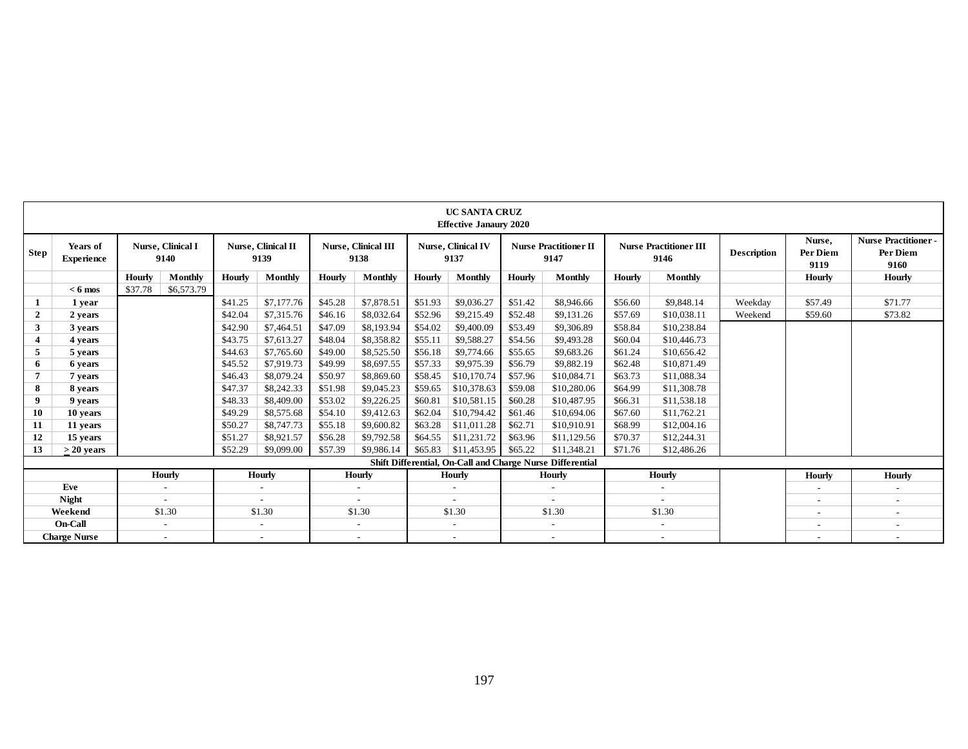|                |                               |         |                                   |                          |                            |                          |                             |         | <b>UC SANTA CRUZ</b><br><b>Effective Janaury 2020</b> |                          |                                                           |         |                                       |                    |                            |                                                |
|----------------|-------------------------------|---------|-----------------------------------|--------------------------|----------------------------|--------------------------|-----------------------------|---------|-------------------------------------------------------|--------------------------|-----------------------------------------------------------|---------|---------------------------------------|--------------------|----------------------------|------------------------------------------------|
| <b>Step</b>    | Years of<br><b>Experience</b> |         | <b>Nurse</b> , Clinical I<br>9140 |                          | Nurse, Clinical II<br>9139 |                          | Nurse, Clinical III<br>9138 |         | <b>Nurse, Clinical IV</b><br>9137                     |                          | <b>Nurse Practitioner II</b><br>9147                      |         | <b>Nurse Practitioner III</b><br>9146 | <b>Description</b> | Nurse.<br>Per Diem<br>9119 | <b>Nurse Practitioner-</b><br>Per Diem<br>9160 |
|                |                               | Hourly  | Monthly                           | Hourly                   | Monthly                    | Hourly                   | <b>Monthly</b>              | Hourly  | Monthly                                               | Hourly                   | Monthly                                                   | Hourly  | Monthly                               |                    | Hourly                     | <b>Hourly</b>                                  |
|                | $< 6$ mos                     | \$37.78 | \$6,573.79                        |                          |                            |                          |                             |         |                                                       |                          |                                                           |         |                                       |                    |                            |                                                |
|                | 1 year                        |         |                                   | \$41.25                  | \$7,177.76                 | \$45.28                  | \$7,878.51                  | \$51.93 | \$9,036.27                                            | \$51.42                  | \$8,946.66                                                | \$56.60 | \$9,848.14                            | Weekdav            | \$57.49                    | \$71.77                                        |
| $\overline{2}$ | 2 years                       |         |                                   | \$42.04                  | \$7,315.76                 | \$46.16                  | \$8,032.64                  | \$52.96 | \$9,215.49                                            | \$52.48                  | \$9,131.26                                                | \$57.69 | \$10,038.11                           | Weekend            | \$59.60                    | \$73.82                                        |
| 3              | 3 years                       |         |                                   | \$42.90                  | \$7,464.51                 | \$47.09                  | \$8,193.94                  | \$54.02 | \$9,400.09                                            | \$53.49                  | \$9,306.89                                                | \$58.84 | \$10,238.84                           |                    |                            |                                                |
| 4              | 4 years                       |         |                                   | \$43.75                  | \$7,613.27                 | \$48.04                  | \$8,358.82                  | \$55.11 | \$9,588.27                                            | \$54.56                  | \$9,493.28                                                | \$60.04 | \$10,446.73                           |                    |                            |                                                |
| 5              | 5 years                       |         |                                   | \$44.63                  | \$7,765.60                 | \$49.00                  | \$8,525.50                  | \$56.18 | \$9,774.66                                            | \$55.65                  | \$9,683.26                                                | \$61.24 | \$10,656.42                           |                    |                            |                                                |
| 6              | 6 years                       |         |                                   | \$45.52                  | \$7,919.73                 | \$49.99                  | \$8,697.55                  | \$57.33 | \$9,975.39                                            | \$56.79                  | \$9,882.19                                                | \$62.48 | \$10,871.49                           |                    |                            |                                                |
|                | 7 years                       |         |                                   | \$46.43                  | \$8,079.24                 | \$50.97                  | \$8,869.60                  | \$58.45 | \$10,170.74                                           | \$57.96                  | \$10,084.71                                               | \$63.73 | \$11,088.34                           |                    |                            |                                                |
| 8              | 8 years                       |         |                                   | \$47.37                  | \$8,242.33                 | \$51.98                  | \$9,045.23                  | \$59.65 | \$10,378.63                                           | \$59.08                  | \$10,280.06                                               | \$64.99 | \$11,308.78                           |                    |                            |                                                |
| 9              | 9 years                       |         |                                   | \$48.33                  | \$8,409.00                 | \$53.02                  | \$9,226.25                  | \$60.81 | \$10,581.15                                           | \$60.28                  | \$10,487.95                                               | \$66.31 | \$11.538.18                           |                    |                            |                                                |
| 10             | 10 years                      |         |                                   | \$49.29                  | \$8,575.68                 | \$54.10                  | \$9,412.63                  | \$62.04 | \$10,794.42                                           | \$61.46                  | \$10,694.06                                               | \$67.60 | \$11,762.21                           |                    |                            |                                                |
| 11             | 11 years                      |         |                                   | \$50.27                  | \$8,747.73                 | \$55.18                  | \$9,600.82                  | \$63.28 | \$11,011.28                                           | \$62.71                  | \$10,910.91                                               | \$68.99 | \$12,004.16                           |                    |                            |                                                |
| 12             | 15 years                      |         |                                   | \$51.27                  | \$8,921.57                 | \$56.28                  | \$9,792.58                  | \$64.55 | \$11,231.72                                           | \$63.96                  | \$11,129.56                                               | \$70.37 | \$12,244.31                           |                    |                            |                                                |
| 13             | $>$ 20 vears                  |         |                                   | \$52.29                  | \$9,099.00                 | \$57.39                  | \$9,986.14                  | \$65.83 | \$11,453.95                                           | \$65.22                  | \$11,348.21                                               | \$71.76 | \$12,486.26                           |                    |                            |                                                |
|                |                               |         |                                   |                          |                            |                          |                             |         |                                                       |                          | Shift Differential, On-Call and Charge Nurse Differential |         |                                       |                    |                            |                                                |
|                |                               | Hourly  |                                   | <b>Hourly</b>            |                            | Hourly                   |                             | Hourly  |                                                       | Hourly                   |                                                           | Hourly  |                                       | Hourly             | <b>Hourly</b>              |                                                |
|                | Eve                           |         | $\overline{\phantom{a}}$          |                          | $\overline{\phantom{a}}$   |                          | $\overline{\phantom{a}}$    |         |                                                       |                          | $\overline{\phantom{a}}$                                  |         |                                       |                    |                            | $\overline{\phantom{a}}$                       |
|                | <b>Night</b>                  |         |                                   |                          |                            |                          |                             |         |                                                       |                          |                                                           |         |                                       |                    | $\overline{\phantom{a}}$   | $\sim$                                         |
|                | Weekend                       |         | \$1.30                            |                          | \$1.30                     |                          | \$1.30                      |         | \$1.30                                                |                          | \$1.30                                                    |         | \$1.30                                |                    |                            | $\overline{\phantom{a}}$                       |
|                | <b>On-Call</b>                |         | $\sim$                            |                          | $\sim$                     |                          | $\sim$                      |         | $\sim$                                                |                          | $\sim$                                                    |         | $\sim$                                |                    | $\overline{\phantom{0}}$   | $\sim$                                         |
|                | <b>Charge Nurse</b>           | $\sim$  |                                   | $\overline{\phantom{a}}$ |                            | $\overline{\phantom{a}}$ |                             |         |                                                       | $\overline{\phantom{a}}$ |                                                           | $\sim$  |                                       |                    | $\overline{\phantom{a}}$   |                                                |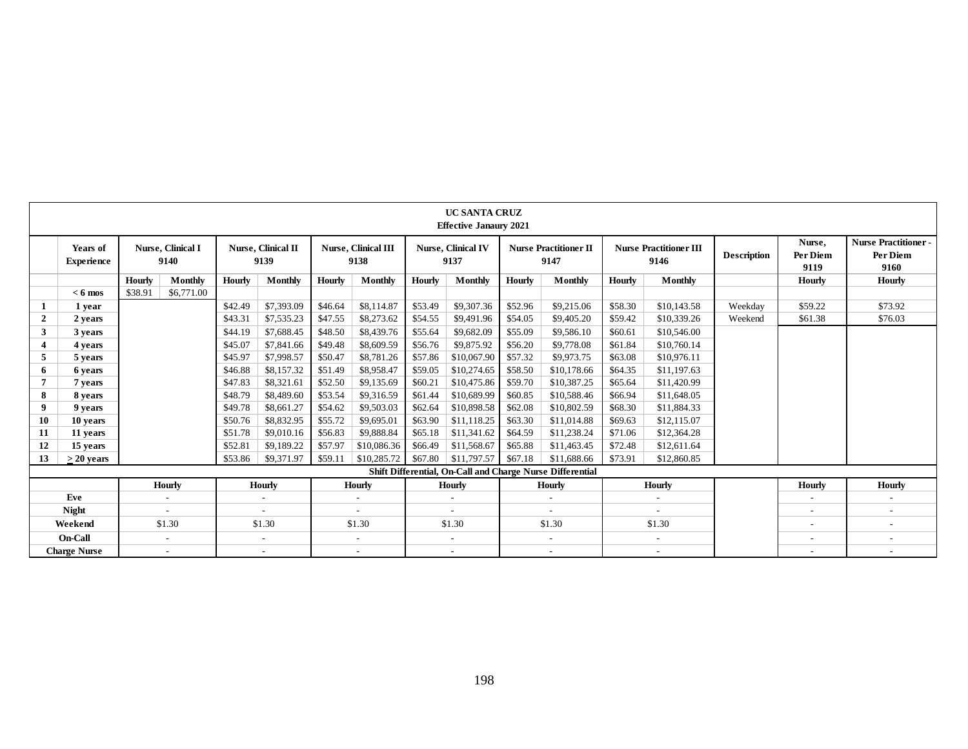|                |                               |         |                           |               |                            |               |                                    |         | <b>UC SANTA CRUZ</b><br><b>Effective Janaury 2021</b> |               |                                                           |         |                                       |                    |                            |                                                |
|----------------|-------------------------------|---------|---------------------------|---------------|----------------------------|---------------|------------------------------------|---------|-------------------------------------------------------|---------------|-----------------------------------------------------------|---------|---------------------------------------|--------------------|----------------------------|------------------------------------------------|
|                | Years of<br><b>Experience</b> |         | Nurse, Clinical I<br>9140 |               | Nurse, Clinical II<br>9139 |               | <b>Nurse, Clinical III</b><br>9138 |         | Nurse, Clinical IV<br>9137                            |               | <b>Nurse Practitioner II</b><br>9147                      |         | <b>Nurse Practitioner III</b><br>9146 | <b>Description</b> | Nurse,<br>Per Diem<br>9119 | <b>Nurse Practitioner-</b><br>Per Diem<br>9160 |
|                |                               | Hourly  | Monthly                   | <b>Hourly</b> | Monthly                    | <b>Hourly</b> | Monthly                            | Hourly  | <b>Monthly</b>                                        | <b>Hourly</b> | Monthly                                                   | Hourly  | <b>Monthly</b>                        |                    | Hourly                     | <b>Hourly</b>                                  |
|                | $< 6$ mos                     | \$38.91 | \$6,771.00                |               |                            |               |                                    |         |                                                       |               |                                                           |         |                                       |                    |                            |                                                |
|                | 1 year                        |         |                           | \$42.49       | \$7,393.09                 | \$46.64       | \$8,114.87                         | \$53.49 | \$9,307.36                                            | \$52.96       | \$9,215.06                                                | \$58.30 | \$10,143.58                           | Weekday            | \$59.22                    | \$73.92                                        |
| $\overline{2}$ | 2 years                       |         |                           | \$43.31       | \$7,535.23                 | \$47.55       | \$8,273.62                         | \$54.55 | \$9,491.96                                            | \$54.05       | \$9,405.20                                                | \$59.42 | \$10,339.26                           | Weekend            | \$61.38                    | \$76.03                                        |
| 3              | 3 years                       |         |                           | \$44.19       | \$7,688.45                 | \$48.50       | \$8,439.76                         | \$55.64 | \$9,682.09                                            | \$55.09       | \$9,586.10                                                | \$60.61 | \$10,546.00                           |                    |                            |                                                |
| 4              | 4 years                       |         |                           | \$45.07       | \$7,841.66                 | \$49.48       | \$8,609.59                         | \$56.76 | \$9,875.92                                            | \$56.20       | \$9,778.08                                                | \$61.84 | \$10,760.14                           |                    |                            |                                                |
| 5              | 5 years                       |         |                           | \$45.97       | \$7,998.57                 | \$50.47       | \$8,781.26                         | \$57.86 | \$10,067.90                                           | \$57.32       | \$9,973.75                                                | \$63.08 | \$10,976.11                           |                    |                            |                                                |
| 6              | 6 years                       |         |                           | \$46.88       | \$8,157.32                 | \$51.49       | \$8,958.47                         | \$59.05 | \$10,274.65                                           | \$58.50       | \$10,178.66                                               | \$64.35 | \$11,197.63                           |                    |                            |                                                |
|                | 7 years                       |         |                           | \$47.83       | \$8,321.61                 | \$52.50       | \$9,135.69                         | \$60.21 | \$10,475.86                                           | \$59.70       | \$10,387.25                                               | \$65.64 | \$11,420.99                           |                    |                            |                                                |
| 8              | 8 years                       |         |                           | \$48.79       | \$8,489.60                 | \$53.54       | \$9,316.59                         | \$61.44 | \$10,689.99                                           | \$60.85       | \$10,588.46                                               | \$66.94 | \$11,648.05                           |                    |                            |                                                |
| 9              | 9 years                       |         |                           | \$49.78       | \$8,661.27                 | \$54.62       | \$9,503.03                         | \$62.64 | \$10,898.58                                           | \$62.08       | \$10,802.59                                               | \$68.30 | \$11,884.33                           |                    |                            |                                                |
| 10             | 10 years                      |         |                           | \$50.76       | \$8,832.95                 | \$55.72       | \$9,695.01                         | \$63.90 | \$11,118.25                                           | \$63.30       | \$11,014.88                                               | \$69.63 | \$12,115.07                           |                    |                            |                                                |
| 11             | 11 years                      |         |                           | \$51.78       | \$9,010.16                 | \$56.83       | \$9,888.84                         | \$65.18 | \$11,341.62                                           | \$64.59       | \$11,238.24                                               | \$71.06 | \$12,364.28                           |                    |                            |                                                |
| 12             | 15 years                      |         |                           | \$52.81       | \$9,189.22                 | \$57.97       | \$10,086.36                        | \$66.49 | \$11,568.67                                           | \$65.88       | \$11,463.45                                               | \$72.48 | \$12,611.64                           |                    |                            |                                                |
| 13             | $> 20$ years                  |         |                           | \$53.86       | \$9,371.97                 | \$59.11       | \$10,285.72                        | \$67.80 | \$11,797.57                                           | \$67.18       | \$11,688.66                                               | \$73.91 | \$12,860.85                           |                    |                            |                                                |
|                |                               |         |                           |               |                            |               |                                    |         |                                                       |               | Shift Differential, On-Call and Charge Nurse Differential |         |                                       |                    |                            |                                                |
|                |                               |         | Hourly                    |               | <b>Hourly</b>              |               | Hourly                             |         | Hourly                                                |               | <b>Hourly</b>                                             |         | Hourly                                |                    | Hourly                     | <b>Hourly</b>                                  |
|                | Eve                           |         | $\overline{\phantom{a}}$  |               | $\sim$                     |               |                                    |         | $\overline{\phantom{a}}$                              |               | $\overline{\phantom{a}}$                                  |         |                                       |                    | $\overline{\phantom{a}}$   |                                                |
|                | <b>Night</b>                  |         | $\sim$                    |               | $\overline{\phantom{a}}$   |               | $\sim$                             |         | $\sim$                                                |               | $\sim$                                                    |         |                                       |                    | $\overline{\phantom{a}}$   | $\overline{\phantom{a}}$                       |
|                | Weekend                       |         | \$1.30                    |               | \$1.30                     |               | \$1.30                             |         | \$1.30                                                |               | \$1.30                                                    |         | \$1.30                                |                    | $\overline{\phantom{a}}$   | $\sim$                                         |
|                | <b>On-Call</b>                |         | $\sim$                    |               | $\sim$                     |               | $\sim$                             |         | $\sim$                                                |               | $\sim$                                                    |         | $\overline{\phantom{a}}$              |                    | $\overline{\phantom{a}}$   | $\sim$                                         |
|                | <b>Charge Nurse</b>           |         | $\overline{\phantom{a}}$  |               | $\overline{\phantom{a}}$   |               | $\overline{\phantom{a}}$           |         | $\overline{\phantom{a}}$                              |               | $\overline{\phantom{a}}$                                  |         |                                       |                    |                            |                                                |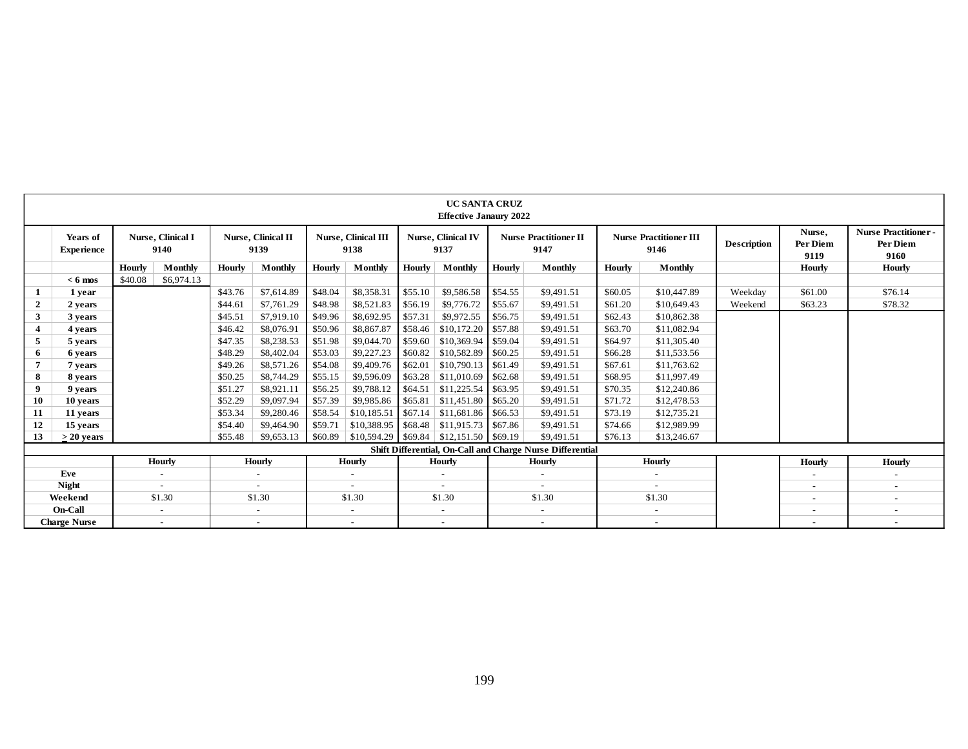|                |                               |         |                                   |         |                                   |         |                                    |         | <b>UC SANTA CRUZ</b><br><b>Effective Janaury 2022</b> |         |                                                           |         |                                       |                    |                            |                                                |
|----------------|-------------------------------|---------|-----------------------------------|---------|-----------------------------------|---------|------------------------------------|---------|-------------------------------------------------------|---------|-----------------------------------------------------------|---------|---------------------------------------|--------------------|----------------------------|------------------------------------------------|
|                | Years of<br><b>Experience</b> |         | <b>Nurse</b> , Clinical I<br>9140 |         | <b>Nurse, Clinical II</b><br>9139 |         | <b>Nurse, Clinical III</b><br>9138 |         | <b>Nurse, Clinical IV</b><br>9137                     |         | <b>Nurse Practitioner II</b><br>9147                      |         | <b>Nurse Practitioner III</b><br>9146 | <b>Description</b> | Nurse,<br>Per Diem<br>9119 | <b>Nurse Practitioner-</b><br>Per Diem<br>9160 |
|                |                               | Hourly  | Monthly                           | Hourly  | Monthly                           | Hourly  | <b>Monthly</b>                     | Hourly  | Monthly                                               | Hourly  | Monthly                                                   | Hourly  | Monthly                               |                    | Hourly                     | <b>Hourly</b>                                  |
|                | $< 6$ mos                     | \$40.08 | \$6,974.13                        |         |                                   |         |                                    |         |                                                       |         |                                                           |         |                                       |                    |                            |                                                |
| 1              | 1 year                        |         |                                   | \$43.76 | \$7,614.89                        | \$48.04 | \$8,358.31                         | \$55.10 | \$9,586.58                                            | \$54.55 | \$9,491.51                                                | \$60.05 | \$10,447.89                           | Weekdav            | \$61.00                    | \$76.14                                        |
| $\overline{2}$ | 2 years                       |         |                                   | \$44.61 | \$7,761.29                        | \$48.98 | \$8,521.83                         | \$56.19 | \$9,776.72                                            | \$55.67 | \$9,491.51                                                | \$61.20 | \$10,649.43                           | Weekend            | \$63.23                    | \$78.32                                        |
| 3              | 3 years                       |         |                                   | \$45.51 | \$7,919.10                        | \$49.96 | \$8,692.95                         | \$57.31 | \$9,972.55                                            | \$56.75 | \$9,491.51                                                | \$62.43 | \$10,862.38                           |                    |                            |                                                |
| 4              | 4 years                       |         |                                   | \$46.42 | \$8,076.91                        | \$50.96 | \$8,867.87                         | \$58.46 | \$10,172.20                                           | \$57.88 | \$9,491.51                                                | \$63.70 | \$11,082.94                           |                    |                            |                                                |
| 5              | 5 years                       |         |                                   | \$47.35 | \$8,238.53                        | \$51.98 | \$9,044.70                         | \$59.60 | \$10,369.94                                           | \$59.04 | \$9,491.51                                                | \$64.97 | \$11,305.40                           |                    |                            |                                                |
| 6              | 6 years                       |         |                                   | \$48.29 | \$8,402.04                        | \$53.03 | \$9,227.23                         | \$60.82 | \$10,582.89                                           | \$60.25 | \$9,491.51                                                | \$66.28 | \$11,533.56                           |                    |                            |                                                |
| $\overline{7}$ | 7 years                       |         |                                   | \$49.26 | \$8,571.26                        | \$54.08 | \$9,409.76                         | \$62.01 | \$10,790.13                                           | \$61.49 | \$9,491.51                                                | \$67.61 | \$11,763.62                           |                    |                            |                                                |
| -8             | 8 years                       |         |                                   | \$50.25 | \$8,744.29                        | \$55.15 | \$9,596.09                         | \$63.28 | \$11,010.69                                           | \$62.68 | \$9,491.51                                                | \$68.95 | \$11,997.49                           |                    |                            |                                                |
| 9              | 9 years                       |         |                                   | \$51.27 | \$8,921.1                         | \$56.25 | \$9,788.12                         | \$64.51 | \$11,225.54                                           | \$63.95 | \$9,491.51                                                | \$70.35 | \$12,240.86                           |                    |                            |                                                |
| 10             | 10 years                      |         |                                   | \$52.29 | \$9,097.94                        | \$57.39 | \$9,985.86                         | \$65.81 | \$11,451.80                                           | \$65.20 | \$9,491.51                                                | \$71.72 | \$12,478.53                           |                    |                            |                                                |
| 11             | 11 years                      |         |                                   | \$53.34 | \$9,280.46                        | \$58.54 | \$10,185.51                        | \$67.14 | \$11,681.86                                           | \$66.53 | \$9,491.51                                                | \$73.19 | \$12,735.21                           |                    |                            |                                                |
| 12             | 15 years                      |         |                                   | \$54.40 | \$9,464.90                        | \$59.71 | \$10,388.95                        | \$68.48 | \$11,915.73                                           | \$67.86 | \$9,491.51                                                | \$74.66 | \$12,989.99                           |                    |                            |                                                |
| 13             | $>$ 20 years                  |         |                                   | \$55.48 | \$9,653.13                        | \$60.89 | \$10,594.29                        | \$69.84 | $$12,151.50$ \$69.19                                  |         | \$9,491.51                                                | \$76.13 | \$13,246.67                           |                    |                            |                                                |
|                |                               |         |                                   |         |                                   |         |                                    |         |                                                       |         | Shift Differential, On-Call and Charge Nurse Differential |         |                                       |                    |                            |                                                |
|                |                               |         | <b>Hourly</b>                     |         | <b>Hourly</b>                     |         | Hourly                             |         | <b>Hourly</b>                                         |         | Hourly                                                    |         | <b>Hourly</b>                         |                    | <b>Hourly</b>              | <b>Hourly</b>                                  |
|                | Eve                           |         | $\sim$                            |         | $\overline{a}$                    |         |                                    |         | $\overline{\phantom{a}}$                              |         | $\sim$                                                    |         |                                       |                    | $\overline{\phantom{a}}$   |                                                |
|                | <b>Night</b>                  |         |                                   |         |                                   |         |                                    |         |                                                       |         |                                                           |         |                                       |                    | $\overline{\phantom{a}}$   | $\sim$                                         |
|                | Weekend                       |         | \$1.30                            |         | \$1.30                            |         | \$1.30                             |         | \$1.30                                                |         | \$1.30                                                    |         | \$1.30                                |                    | $\overline{\phantom{a}}$   | $\overline{\phantom{a}}$                       |
|                | On-Call                       |         | $\overline{\phantom{a}}$          |         | $\sim$                            |         | $\overline{\phantom{a}}$           |         | $\overline{\phantom{a}}$                              |         | $\sim$                                                    |         |                                       |                    | $\overline{\phantom{a}}$   | $\overline{\phantom{a}}$                       |
|                | <b>Charge Nurse</b>           |         | $\overline{\phantom{a}}$          |         | $\sim$                            |         | $\overline{\phantom{a}}$           |         | $\overline{\phantom{a}}$                              |         | $\sim$                                                    |         | $\overline{\phantom{a}}$              |                    | $\overline{\phantom{a}}$   |                                                |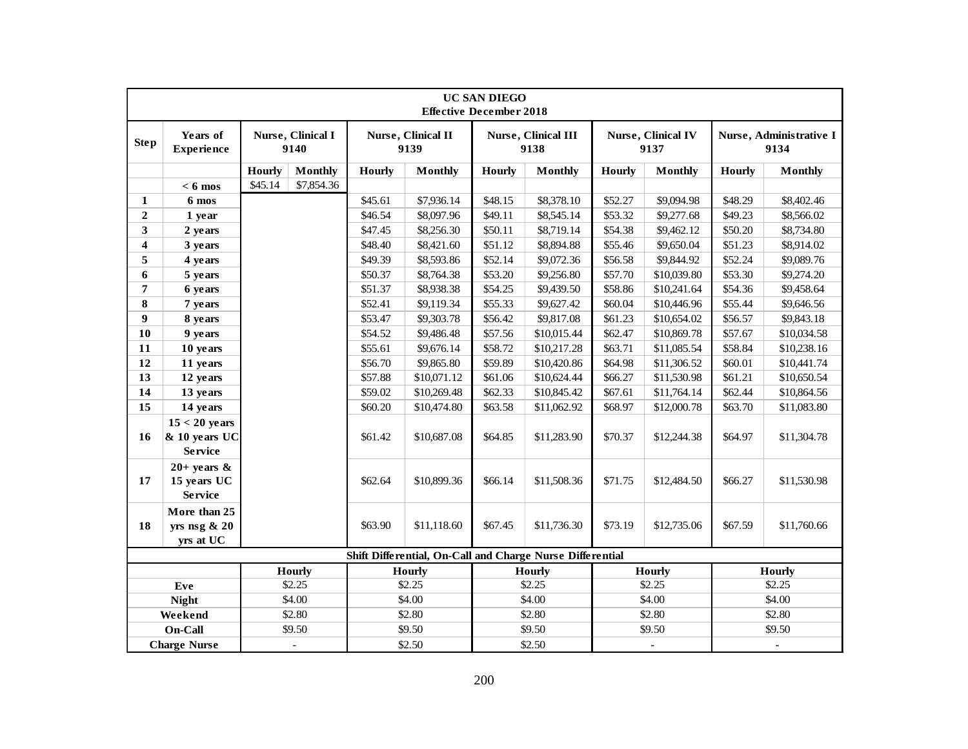|                         |                                                    |               |                           |               |                                                           | <b>UC SAN DIEGO</b><br><b>Effective December 2018</b> |                             |               |                                   |               |                                 |
|-------------------------|----------------------------------------------------|---------------|---------------------------|---------------|-----------------------------------------------------------|-------------------------------------------------------|-----------------------------|---------------|-----------------------------------|---------------|---------------------------------|
| <b>Step</b>             | Years of<br><b>Experience</b>                      |               | Nurse, Clinical I<br>9140 |               | Nurse, Clinical II<br>9139                                |                                                       | Nurse, Clinical III<br>9138 |               | <b>Nurse, Clinical IV</b><br>9137 |               | Nurse, Administrative I<br>9134 |
|                         |                                                    | <b>Hourly</b> | <b>Monthly</b>            | <b>Hourly</b> | <b>Monthly</b>                                            | <b>Hourly</b>                                         | <b>Monthly</b>              | <b>Hourly</b> | <b>Monthly</b>                    | <b>Hourly</b> | <b>Monthly</b>                  |
|                         | $< 6$ mos                                          | \$45.14       | \$7,854.36                |               |                                                           |                                                       |                             |               |                                   |               |                                 |
| 1                       | 6 mos                                              |               |                           | \$45.61       | \$7,936.14                                                | \$48.15                                               | \$8,378.10                  | \$52.27       | \$9,094.98                        | \$48.29       | \$8,402.46                      |
| $\boldsymbol{2}$        | 1 year                                             |               |                           | \$46.54       | \$8,097.96                                                | \$49.11                                               | \$8,545.14                  | \$53.32       | \$9,277.68                        | \$49.23       | \$8,566.02                      |
| 3                       | 2 years                                            |               |                           | \$47.45       | \$8,256.30                                                | \$50.11                                               | \$8,719.14                  | \$54.38       | \$9,462.12                        | \$50.20       | \$8,734.80                      |
| $\overline{\mathbf{4}}$ | 3 years                                            |               |                           | \$48.40       | \$8,421.60                                                | \$51.12                                               | \$8,894.88                  | \$55.46       | \$9,650.04                        | \$51.23       | \$8,914.02                      |
| 5                       | 4 years                                            |               |                           | \$49.39       | \$8,593.86                                                | \$52.14                                               | \$9,072.36                  | \$56.58       | \$9,844.92                        | \$52.24       | \$9,089.76                      |
| 6                       | 5 years                                            |               |                           | \$50.37       | \$8,764.38                                                | \$53.20                                               | \$9,256.80                  | \$57.70       | \$10,039.80                       | \$53.30       | \$9,274.20                      |
| 7                       | 6 years                                            |               |                           | \$51.37       | \$8,938.38                                                | \$54.25                                               | \$9,439.50                  | \$58.86       | \$10,241.64                       | \$54.36       | \$9,458.64                      |
| 8                       | 7 years                                            |               |                           | \$52.41       | \$9,119.34                                                | \$55.33                                               | \$9,627.42                  | \$60.04       | \$10,446.96                       | \$55.44       | \$9,646.56                      |
| 9                       | 8 years                                            |               |                           | \$53.47       | \$9,303.78                                                | \$56.42                                               | \$9,817.08                  | \$61.23       | \$10,654.02                       | \$56.57       | \$9,843.18                      |
| 10                      | 9 years                                            |               |                           | \$54.52       | \$9,486.48                                                | \$57.56                                               | \$10,015.44                 | \$62.47       | \$10,869.78                       | \$57.67       | \$10,034.58                     |
| 11                      | 10 years                                           |               |                           | \$55.61       | \$9,676.14                                                | \$58.72                                               | \$10,217.28                 | \$63.71       | \$11,085.54                       | \$58.84       | \$10,238.16                     |
| 12                      | 11 years                                           |               |                           | \$56.70       | \$9,865.80                                                | \$59.89                                               | \$10,420.86                 | \$64.98       | \$11,306.52                       | \$60.01       | \$10,441.74                     |
| 13                      | 12 years                                           |               |                           | \$57.88       | \$10,071.12                                               | \$61.06                                               | \$10,624.44                 | \$66.27       | \$11,530.98                       | \$61.21       | \$10,650.54                     |
| 14                      | 13 years                                           |               |                           | \$59.02       | \$10,269.48                                               | \$62.33                                               | \$10,845.42                 | \$67.61       | \$11,764.14                       | \$62.44       | \$10,864.56                     |
| 15                      | 14 years                                           |               |                           | \$60.20       | \$10,474.80                                               | \$63.58                                               | \$11,062.92                 | \$68.97       | \$12,000.78                       | \$63.70       | \$11,083.80                     |
| 16                      | $15 < 20$ years<br>& 10 years UC<br><b>Service</b> |               |                           | \$61.42       | \$10,687.08                                               | \$64.85                                               | \$11,283.90                 | \$70.37       | \$12,244.38                       | \$64.97       | \$11,304.78                     |
| 17                      | $20+$ years &<br>15 years UC<br><b>Service</b>     |               |                           | \$62.64       | \$10,899.36                                               | \$66.14                                               | \$11,508.36                 | \$71.75       | \$12,484.50                       | \$66.27       | \$11,530.98                     |
| 18                      | More than 25<br>yrs nsg & 20<br>yrs at UC          |               |                           | \$63.90       | \$11,118.60                                               | \$67.45                                               | \$11,736.30                 | \$73.19       | \$12,735.06                       | \$67.59       | \$11,760.66                     |
|                         |                                                    |               |                           |               | Shift Differential, On-Call and Charge Nurse Differential |                                                       |                             |               |                                   |               |                                 |
|                         |                                                    |               | <b>Hourly</b>             |               | <b>Hourly</b>                                             |                                                       | <b>Hourly</b>               |               | <b>Hourly</b>                     |               | <b>Hourly</b>                   |
|                         | Eve                                                |               | \$2.25                    |               | \$2.25                                                    |                                                       | \$2.25                      |               | \$2.25                            |               | \$2.25                          |
|                         | <b>Night</b>                                       |               | \$4.00                    |               | \$4.00                                                    |                                                       | \$4.00                      |               | \$4.00                            |               | \$4.00                          |
|                         | Weekend                                            |               | \$2.80                    |               | \$2.80                                                    |                                                       | \$2.80                      |               | \$2.80                            |               | \$2.80                          |
|                         | On-Call                                            |               | \$9.50                    |               | \$9.50                                                    |                                                       | \$9.50                      |               | \$9.50                            |               | \$9.50                          |
|                         | <b>Charge Nurse</b>                                |               |                           |               | \$2.50                                                    |                                                       | \$2.50                      |               |                                   |               |                                 |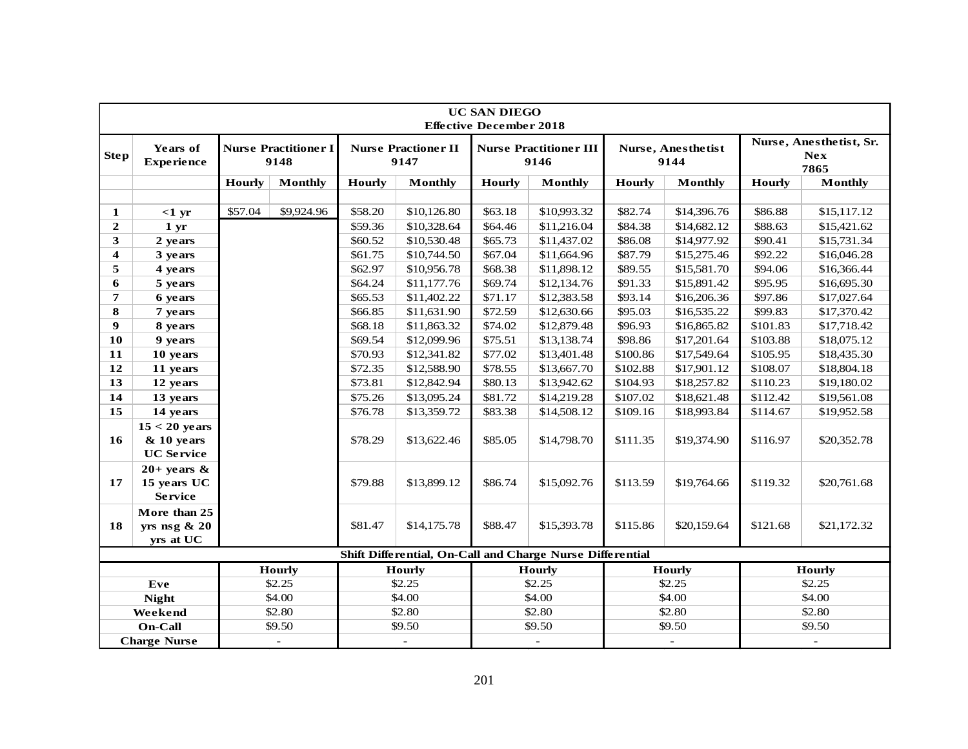|                         |                                                      |               |                                     |               |                                    | <b>UC SAN DIEGO</b><br><b>Effective December 2018</b> |                                                           |               |                            |               |                                               |
|-------------------------|------------------------------------------------------|---------------|-------------------------------------|---------------|------------------------------------|-------------------------------------------------------|-----------------------------------------------------------|---------------|----------------------------|---------------|-----------------------------------------------|
| <b>Step</b>             | Years of<br><b>Experience</b>                        |               | <b>Nurse Practitioner I</b><br>9148 |               | <b>Nurse Practioner II</b><br>9147 |                                                       | <b>Nurse Practitioner III</b><br>9146                     |               | Nurse, Anesthetist<br>9144 |               | Nurse, Anesthetist, Sr.<br><b>Nex</b><br>7865 |
|                         |                                                      | <b>Hourly</b> | Monthly                             | <b>Hourly</b> | <b>Monthly</b>                     | <b>Hourly</b>                                         | Monthly                                                   | <b>Hourly</b> | Monthly                    | <b>Hourly</b> | <b>Monthly</b>                                |
|                         |                                                      |               |                                     |               |                                    |                                                       |                                                           |               |                            |               |                                               |
| 1                       | $<1$ yr                                              | \$57.04       | \$9,924.96                          | \$58.20       | \$10,126.80                        | \$63.18                                               | \$10,993.32                                               | \$82.74       | \$14,396.76                | \$86.88       | \$15,117.12                                   |
| $\mathbf{2}$            | 1 <sub>yr</sub>                                      |               |                                     | \$59.36       | \$10,328.64                        | \$64.46                                               | \$11,216.04                                               | \$84.38       | \$14,682.12                | \$88.63       | \$15,421.62                                   |
| 3                       | 2 years                                              |               |                                     | \$60.52       | \$10,530.48                        | \$65.73                                               | \$11,437.02                                               | \$86.08       | \$14,977.92                | \$90.41       | \$15,731.34                                   |
| $\overline{\mathbf{4}}$ | 3 years                                              |               |                                     | \$61.75       | \$10,744.50                        | \$67.04                                               | \$11,664.96                                               | \$87.79       | \$15,275.46                | \$92.22       | \$16,046.28                                   |
| 5                       | 4 years                                              |               |                                     | \$62.97       | \$10,956.78                        | \$68.38                                               | \$11,898.12                                               | \$89.55       | \$15,581.70                | \$94.06       | \$16,366.44                                   |
| 6                       | 5 years                                              |               |                                     | \$64.24       | \$11,177.76                        | \$69.74                                               | \$12,134.76                                               | \$91.33       | \$15,891.42                | \$95.95       | \$16,695.30                                   |
| $\overline{7}$          | 6 years                                              |               |                                     | \$65.53       | \$11,402.22                        | \$71.17                                               | \$12,383.58                                               | \$93.14       | \$16,206.36                | \$97.86       | \$17,027.64                                   |
| 8                       | 7 years                                              |               |                                     | \$66.85       | \$11,631.90                        | \$72.59                                               | \$12,630.66                                               | \$95.03       | \$16,535.22                | \$99.83       | \$17,370.42                                   |
| $\boldsymbol{9}$        | 8 years                                              |               |                                     | \$68.18       | \$11,863.32                        | \$74.02                                               | \$12,879.48                                               | \$96.93       | \$16,865.82                | \$101.83      | \$17,718.42                                   |
| 10                      | 9 years                                              |               |                                     | \$69.54       | \$12,099.96                        | \$75.51                                               | \$13,138.74                                               | \$98.86       | \$17,201.64                | \$103.88      | \$18,075.12                                   |
| 11                      | 10 years                                             |               |                                     | \$70.93       | \$12,341.82                        | \$77.02                                               | \$13,401.48                                               | \$100.86      | \$17,549.64                | \$105.95      | \$18,435.30                                   |
| 12                      | 11 years                                             |               |                                     | \$72.35       | \$12,588.90                        | \$78.55                                               | \$13,667.70                                               | \$102.88      | \$17,901.12                | \$108.07      | \$18,804.18                                   |
| 13                      | 12 years                                             |               |                                     | \$73.81       | \$12,842.94                        | \$80.13                                               | \$13,942.62                                               | \$104.93      | \$18,257.82                | \$110.23      | \$19,180.02                                   |
| 14                      | 13 years                                             |               |                                     | \$75.26       | \$13,095.24                        | \$81.72                                               | \$14,219.28                                               | \$107.02      | \$18,621.48                | \$112.42      | \$19,561.08                                   |
| 15                      | 14 years                                             |               |                                     | \$76.78       | \$13,359.72                        | \$83.38                                               | \$14,508.12                                               | \$109.16      | \$18,993.84                | \$114.67      | \$19,952.58                                   |
| 16                      | $15 < 20$ years<br>$& 10$ years<br><b>UC Service</b> |               |                                     | \$78.29       | \$13,622.46                        | \$85.05                                               | \$14,798.70                                               | \$111.35      | \$19,374.90                | \$116.97      | \$20,352.78                                   |
| 17                      | $20+$ years &<br>15 years UC<br><b>Service</b>       |               |                                     | \$79.88       | \$13,899.12                        | \$86.74                                               | \$15,092.76                                               | \$113.59      | \$19,764.66                | \$119.32      | \$20,761.68                                   |
| 18                      | More than 25<br>yrs nsg $\& 20$<br>yrs at UC         |               |                                     | \$81.47       | \$14,175.78                        | \$88.47                                               | \$15,393.78                                               | \$115.86      | \$20,159.64                | \$121.68      | \$21,172.32                                   |
|                         |                                                      |               |                                     |               |                                    |                                                       | Shift Differential, On-Call and Charge Nurse Differential |               |                            |               |                                               |
|                         |                                                      |               | <b>Hourly</b>                       |               | <b>Hourly</b>                      |                                                       | <b>Hourly</b>                                             |               | <b>Hourly</b>              |               | <b>Hourly</b>                                 |
|                         | Eve                                                  |               | \$2.25                              |               | \$2.25                             |                                                       | \$2.25                                                    |               | \$2.25                     |               | \$2.25                                        |
|                         | <b>Night</b>                                         |               | \$4.00                              |               | \$4.00                             |                                                       | \$4.00                                                    |               | \$4.00                     |               | \$4.00                                        |
|                         | Weekend                                              |               | \$2.80                              |               | \$2.80                             |                                                       | \$2.80                                                    |               | \$2.80                     |               | \$2.80                                        |
|                         | On-Call                                              |               | \$9.50                              |               | \$9.50                             |                                                       | \$9.50                                                    |               | \$9.50                     |               | \$9.50                                        |
|                         | <b>Charge Nurse</b>                                  |               | $\omega$                            |               |                                    |                                                       |                                                           |               | $\omega$                   |               |                                               |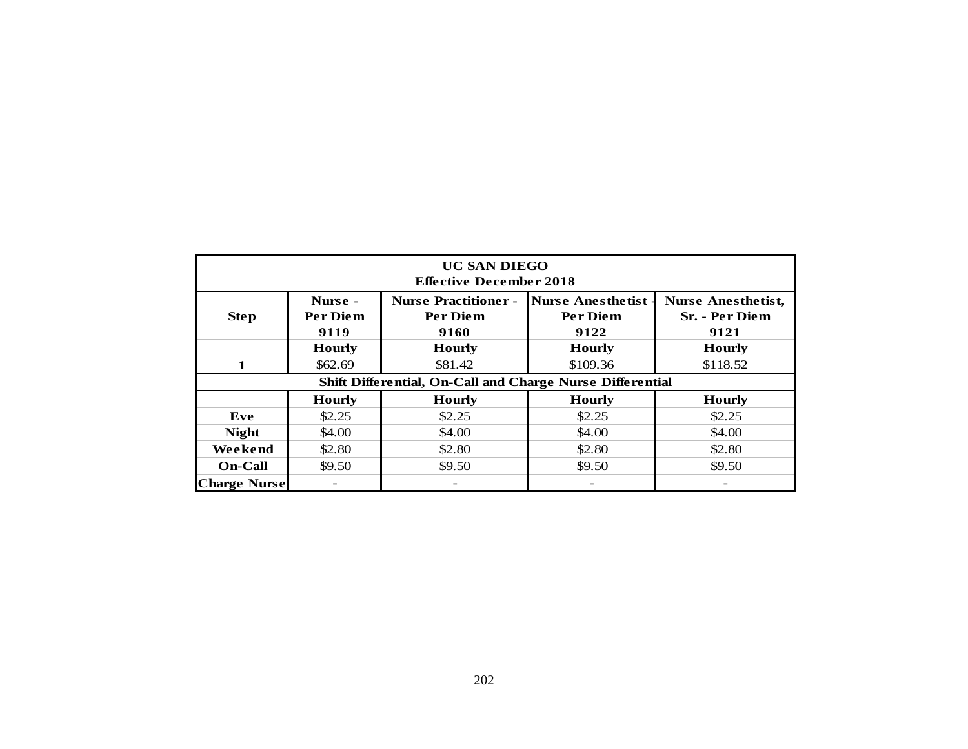| <b>UC SAN DIEGO</b><br><b>Effective December 2018</b>     |                             |                                                 |                                              |                                                     |  |  |  |  |  |  |  |  |
|-----------------------------------------------------------|-----------------------------|-------------------------------------------------|----------------------------------------------|-----------------------------------------------------|--|--|--|--|--|--|--|--|
| <b>Step</b>                                               | Nurse -<br>Per Diem<br>9119 | <b>Nurse Practitioner -</b><br>Per Diem<br>9160 | <b>Nurse Anesthetist</b><br>Per Diem<br>9122 | <b>Nurse Anesthetist,</b><br>Sr. - Per Diem<br>9121 |  |  |  |  |  |  |  |  |
|                                                           | <b>Hourly</b>               | <b>Hourly</b>                                   | <b>Hourly</b>                                | <b>Hourly</b>                                       |  |  |  |  |  |  |  |  |
| $\mathbf{1}$                                              | \$62.69                     | \$81.42                                         | \$109.36                                     | \$118.52                                            |  |  |  |  |  |  |  |  |
| Shift Differential, On-Call and Charge Nurse Differential |                             |                                                 |                                              |                                                     |  |  |  |  |  |  |  |  |
|                                                           | <b>Hourly</b>               | <b>Hourly</b>                                   | <b>Hourly</b>                                | <b>Hourly</b>                                       |  |  |  |  |  |  |  |  |
| Eve                                                       | \$2.25                      | \$2.25                                          | \$2.25                                       | \$2.25                                              |  |  |  |  |  |  |  |  |
| <b>Night</b>                                              | \$4.00                      | \$4.00                                          | \$4.00                                       | \$4.00                                              |  |  |  |  |  |  |  |  |
| Weekend                                                   | \$2.80                      | \$2.80                                          | \$2.80                                       | \$2.80                                              |  |  |  |  |  |  |  |  |
| <b>On-Call</b>                                            | \$9.50                      | \$9.50                                          | \$9.50                                       | \$9.50                                              |  |  |  |  |  |  |  |  |
| <b>Charge Nurse</b>                                       | -                           | $\frac{1}{2}$                                   | $\qquad \qquad \blacksquare$                 |                                                     |  |  |  |  |  |  |  |  |
|                                                           |                             |                                                 |                                              |                                                     |  |  |  |  |  |  |  |  |
|                                                           |                             | 202                                             |                                              |                                                     |  |  |  |  |  |  |  |  |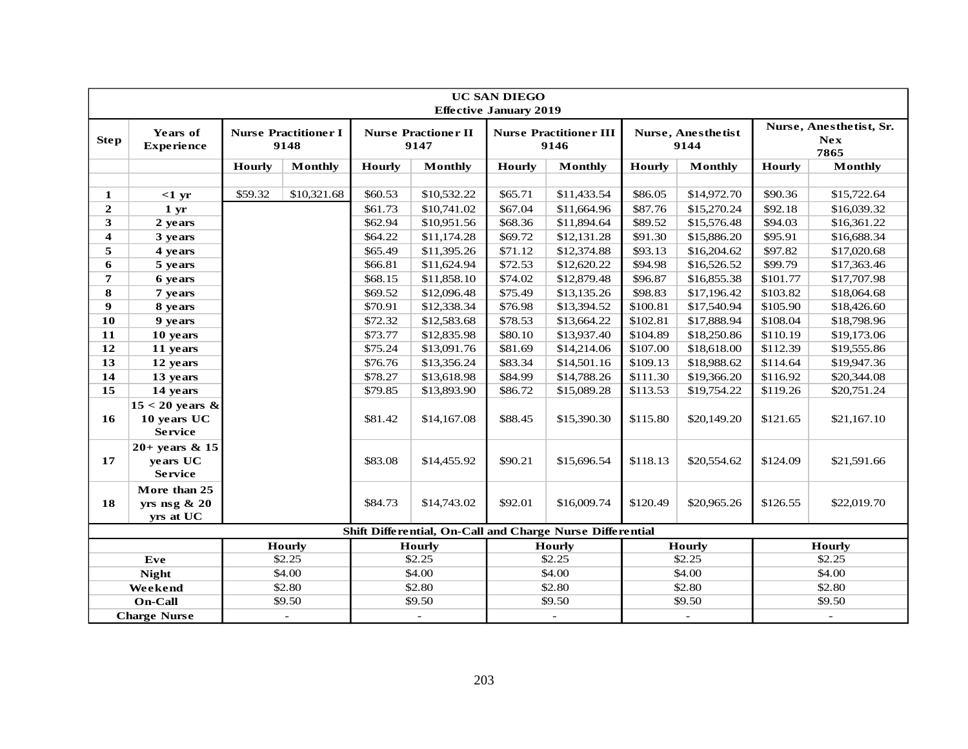|                     | <b>UC SAN DIEGO</b><br><b>Effective January 2019</b> |               |                                     |         |                                    |               |                                                           |                            |                |                          |                                               |
|---------------------|------------------------------------------------------|---------------|-------------------------------------|---------|------------------------------------|---------------|-----------------------------------------------------------|----------------------------|----------------|--------------------------|-----------------------------------------------|
| <b>Step</b>         | Years of<br><b>Experience</b>                        |               | <b>Nurse Practitioner I</b><br>9148 |         | <b>Nurse Practioner II</b><br>9147 |               | <b>Nurse Practitioner III</b><br>9146                     | Nurse, Anesthetist<br>9144 |                |                          | Nurse, Anesthetist, Sr.<br><b>Nex</b><br>7865 |
|                     |                                                      | <b>Hourly</b> | <b>Monthly</b>                      | Hourly  | <b>Monthly</b>                     | <b>Hourly</b> | <b>Monthly</b>                                            | <b>Hourly</b>              | <b>Monthly</b> | Hourly                   | <b>Monthly</b>                                |
|                     |                                                      |               |                                     |         |                                    |               |                                                           |                            |                |                          |                                               |
| 1                   | $<1$ yr                                              | \$59.32       | \$10,321.68                         | \$60.53 | \$10,532.22                        | \$65.71       | \$11,433.54                                               | \$86.05                    | \$14,972.70    | \$90.36                  | \$15,722.64                                   |
| $\boldsymbol{2}$    | 1 <sub>yr</sub>                                      |               |                                     | \$61.73 | \$10,741.02                        | \$67.04       | \$11,664.96                                               | \$87.76                    | \$15,270.24    | \$92.18                  | \$16,039.32                                   |
| 3                   | 2 years                                              |               |                                     | \$62.94 | \$10,951.56                        | \$68.36       | \$11,894.64                                               | \$89.52                    | \$15,576.48    | \$94.03                  | \$16,361.22                                   |
| 4                   | 3 years                                              |               |                                     | \$64.22 | \$11,174.28                        | \$69.72       | \$12,131.28                                               | \$91.30                    | \$15,886.20    | \$95.91                  | \$16,688.34                                   |
| 5                   | 4 years                                              |               |                                     | \$65.49 | \$11,395.26                        | \$71.12       | \$12,374.88                                               | \$93.13                    | \$16,204.62    | \$97.82                  | \$17,020.68                                   |
| 6                   | 5 years                                              |               |                                     | \$66.81 | \$11,624.94                        | \$72.53       | \$12,620.22                                               | \$94.98                    | \$16,526.52    | \$99.79                  | \$17,363.46                                   |
| $\overline{7}$      | 6 years                                              |               |                                     | \$68.15 | \$11,858.10                        | \$74.02       | \$12,879.48                                               | \$96.87                    | \$16,855.38    | \$101.77                 | \$17,707.98                                   |
| ${\bf 8}$           | 7 years                                              |               |                                     | \$69.52 | \$12,096.48                        | \$75.49       | \$13,135.26                                               | \$98.83                    | \$17,196.42    | \$103.82                 | \$18,064.68                                   |
| $\boldsymbol{9}$    | 8 years                                              |               |                                     | \$70.91 | \$12,338.34                        | \$76.98       | \$13,394.52                                               | \$100.81                   | \$17,540.94    | \$105.90                 | \$18,426.60                                   |
| 10                  | 9 years                                              |               |                                     | \$72.32 | \$12,583.68                        | \$78.53       | \$13,664.22                                               | \$102.81                   | \$17,888.94    | \$108.04                 | \$18,798.96                                   |
| 11                  | 10 years                                             |               |                                     | \$73.77 | \$12,835.98                        | \$80.10       | \$13,937.40                                               | \$104.89                   | \$18,250.86    | \$110.19                 | \$19,173.06                                   |
| 12                  | 11 years                                             |               |                                     | \$75.24 | \$13,091.76                        | \$81.69       | \$14,214.06                                               | \$107.00                   | \$18,618.00    | \$112.39                 | \$19,555.86                                   |
| 13                  | 12 years                                             |               |                                     | \$76.76 | \$13,356.24                        | \$83.34       | \$14,501.16                                               | \$109.13                   | \$18,988.62    | \$114.64                 | \$19,947.36                                   |
| 14                  | 13 years                                             |               |                                     | \$78.27 | \$13,618.98                        | \$84.99       | \$14,788.26                                               | \$111.30                   | \$19,366.20    | \$116.92                 | \$20,344.08                                   |
| 15                  | 14 years                                             |               |                                     | \$79.85 | \$13,893.90                        | \$86.72       | \$15,089.28                                               | \$113.53                   | \$19,754.22    | \$119.26                 | \$20,751.24                                   |
| 16                  | $15 < 20$ years &<br>10 years UC<br><b>Service</b>   |               |                                     | \$81.42 | \$14,167.08                        | \$88.45       | \$15,390.30                                               | \$115.80                   | \$20,149.20    | \$121.65                 | \$21,167.10                                   |
| 17                  | $20+$ years & 15<br>years UC<br><b>Service</b>       |               |                                     | \$83.08 | \$14,455.92                        | \$90.21       | \$15,696.54                                               | \$118.13                   | \$20,554.62    | \$124.09                 | \$21,591.66                                   |
| 18                  | More than 25<br>yrs nsg $\& 20$<br>yrs at UC         |               |                                     | \$84.73 | \$14,743.02                        | \$92.01       | \$16,009.74                                               | \$120.49                   | \$20,965.26    | \$126.55                 | \$22,019.70                                   |
|                     |                                                      |               |                                     |         |                                    |               | Shift Differential, On-Call and Charge Nurse Differential |                            |                |                          |                                               |
|                     |                                                      |               | <b>Hourly</b>                       |         | <b>Hourly</b>                      |               | <b>Hourly</b>                                             |                            | <b>Hourly</b>  |                          | <b>Hourly</b>                                 |
|                     | Eve                                                  |               | \$2.25                              |         | \$2.25                             |               | \$2.25                                                    |                            | \$2.25         |                          | \$2.25                                        |
|                     | <b>Night</b>                                         |               | \$4.00                              |         | \$4.00                             |               | \$4.00                                                    | \$4.00                     |                |                          | \$4.00                                        |
|                     | Weekend                                              |               | \$2.80                              |         | \$2.80                             |               | \$2.80                                                    |                            | \$2.80         |                          | \$2.80                                        |
|                     | On-Call                                              |               | \$9.50                              |         | \$9.50                             |               | \$9.50                                                    | \$9.50                     |                | \$9.50                   |                                               |
| <b>Charge Nurse</b> |                                                      |               | $\overline{\phantom{a}}$            |         | $\blacksquare$                     |               | $\overline{\phantom{a}}$                                  | $\overline{\phantom{a}}$   |                | $\overline{\phantom{a}}$ |                                               |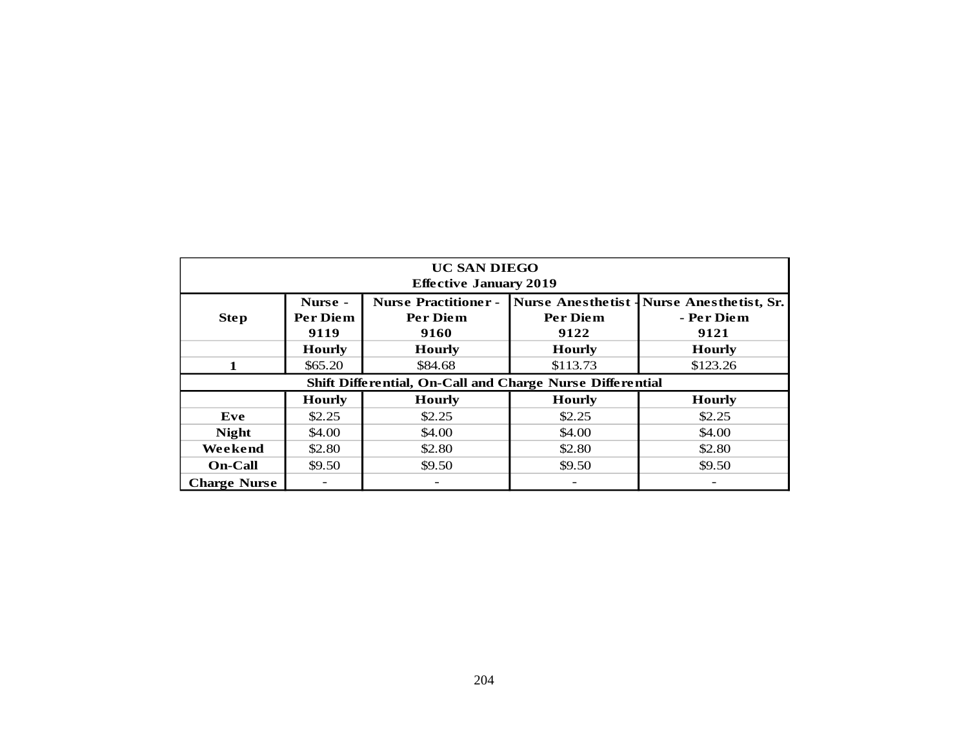| <b>UC SAN DIEGO</b><br><b>Effective January 2019</b>      |                     |                                         |                                              |                                             |  |  |  |  |  |  |  |  |
|-----------------------------------------------------------|---------------------|-----------------------------------------|----------------------------------------------|---------------------------------------------|--|--|--|--|--|--|--|--|
| <b>Step</b>                                               | Nurse -<br>Per Diem | <b>Nurse Practitioner -</b><br>Per Diem | <b>Nurse Anesthetist-</b><br><b>Per Diem</b> | <b>Nurse Anesthetist, Sr.</b><br>- Per Diem |  |  |  |  |  |  |  |  |
|                                                           | 9119                | 9160                                    | 9122                                         | 9121                                        |  |  |  |  |  |  |  |  |
|                                                           | <b>Hourly</b>       | <b>Hourly</b>                           | <b>Hourly</b>                                | <b>Hourly</b>                               |  |  |  |  |  |  |  |  |
| $\mathbf{1}$                                              | \$65.20             | \$84.68                                 | \$113.73                                     | \$123.26                                    |  |  |  |  |  |  |  |  |
| Shift Differential, On-Call and Charge Nurse Differential |                     |                                         |                                              |                                             |  |  |  |  |  |  |  |  |
|                                                           | <b>Hourly</b>       | <b>Hourly</b>                           | <b>Hourly</b>                                | <b>Hourly</b>                               |  |  |  |  |  |  |  |  |
| Eve                                                       | \$2.25              | \$2.25                                  | \$2.25                                       | \$2.25                                      |  |  |  |  |  |  |  |  |
| <b>Night</b>                                              | \$4.00              | \$4.00                                  | \$4.00                                       | \$4.00                                      |  |  |  |  |  |  |  |  |
| Weekend                                                   | \$2.80              | \$2.80                                  | \$2.80                                       | \$2.80                                      |  |  |  |  |  |  |  |  |
| <b>On-Call</b>                                            | \$9.50              | \$9.50                                  | \$9.50                                       | \$9.50                                      |  |  |  |  |  |  |  |  |
| <b>Charge Nurse</b>                                       |                     | $\overline{\phantom{a}}$                | $\equiv$                                     | $\overline{\phantom{a}}$                    |  |  |  |  |  |  |  |  |
|                                                           |                     |                                         |                                              |                                             |  |  |  |  |  |  |  |  |
|                                                           |                     |                                         |                                              |                                             |  |  |  |  |  |  |  |  |
|                                                           |                     |                                         |                                              |                                             |  |  |  |  |  |  |  |  |
|                                                           |                     |                                         |                                              |                                             |  |  |  |  |  |  |  |  |
|                                                           |                     |                                         |                                              |                                             |  |  |  |  |  |  |  |  |
|                                                           |                     |                                         |                                              |                                             |  |  |  |  |  |  |  |  |
|                                                           |                     |                                         |                                              |                                             |  |  |  |  |  |  |  |  |
|                                                           |                     |                                         |                                              |                                             |  |  |  |  |  |  |  |  |
|                                                           |                     |                                         |                                              |                                             |  |  |  |  |  |  |  |  |
|                                                           |                     |                                         |                                              |                                             |  |  |  |  |  |  |  |  |
|                                                           |                     |                                         |                                              |                                             |  |  |  |  |  |  |  |  |
|                                                           |                     |                                         |                                              |                                             |  |  |  |  |  |  |  |  |
|                                                           |                     | 204                                     |                                              |                                             |  |  |  |  |  |  |  |  |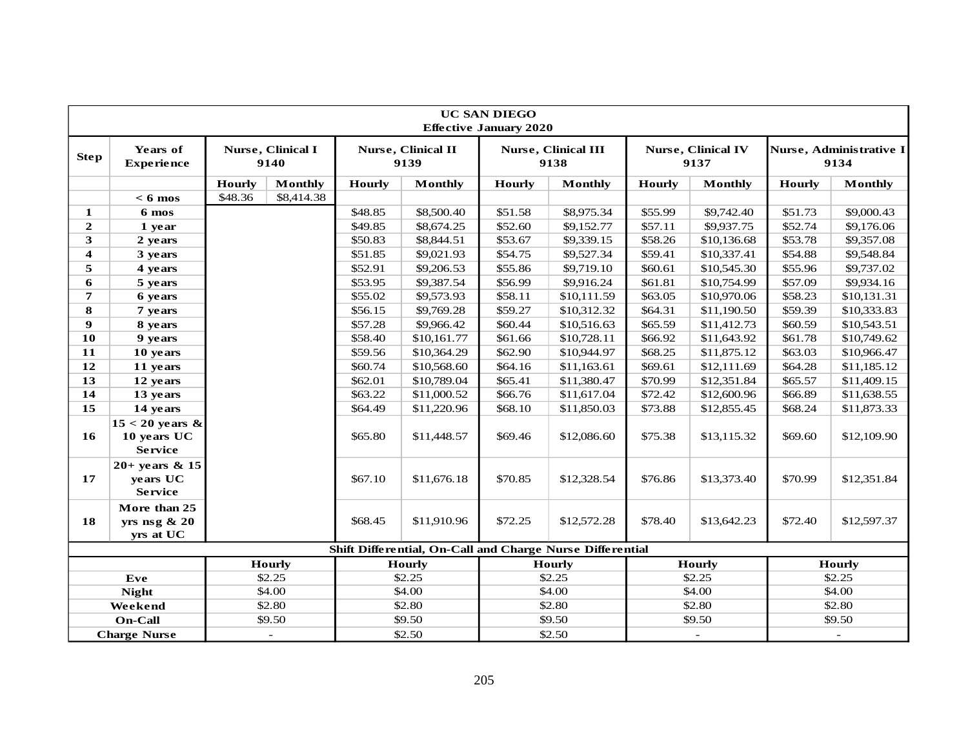|                     | <b>UC SAN DIEGO</b><br><b>Effective January 2020</b> |               |                           |             |                                   |               |                                                           |               |                                   |               |                                 |
|---------------------|------------------------------------------------------|---------------|---------------------------|-------------|-----------------------------------|---------------|-----------------------------------------------------------|---------------|-----------------------------------|---------------|---------------------------------|
| <b>Step</b>         | Years of<br><b>Experience</b>                        |               | Nurse, Clinical I<br>9140 |             | <b>Nurse, Clinical II</b><br>9139 |               | <b>Nurse, Clinical III</b><br>9138                        |               | <b>Nurse, Clinical IV</b><br>9137 |               | Nurse, Administrative I<br>9134 |
|                     |                                                      | <b>Hourly</b> | <b>Monthly</b>            | Hourly      | <b>Monthly</b>                    | <b>Hourly</b> | <b>Monthly</b>                                            | <b>Hourly</b> | <b>Monthly</b>                    | <b>Hourly</b> | <b>Monthly</b>                  |
|                     | $< 6$ mos                                            | \$48.36       | \$8,414.38                |             |                                   |               |                                                           |               |                                   |               |                                 |
| 1                   | 6 mos                                                |               |                           | \$48.85     | \$8,500.40                        | \$51.58       | \$8,975.34                                                | \$55.99       | \$9,742.40                        | \$51.73       | \$9,000.43                      |
| $\mathbf{2}$        | 1 year                                               |               |                           | \$49.85     | \$8,674.25                        | \$52.60       | \$9,152.77                                                | \$57.11       | \$9,937.75                        | \$52.74       | \$9,176.06                      |
| 3                   | 2 years                                              |               |                           | \$50.83     | \$8,844.51                        | \$53.67       | \$9,339.15                                                | \$58.26       | \$10,136.68                       | \$53.78       | \$9,357.08                      |
| 4                   | 3 years                                              |               |                           | \$51.85     | \$9,021.93                        | \$54.75       | \$9,527.34                                                | \$59.41       | \$10,337.41                       | \$54.88       | \$9,548.84                      |
| 5                   | 4 years                                              |               |                           | \$52.91     | \$9,206.53                        | \$55.86       | \$9,719.10                                                | \$60.61       | \$10,545.30                       | \$55.96       | \$9,737.02                      |
| 6                   | 5 years                                              |               |                           | \$53.95     | \$9,387.54                        | \$56.99       | \$9,916.24                                                | \$61.81       | \$10,754.99                       | \$57.09       | \$9,934.16                      |
| $\overline{7}$      | 6 years                                              |               |                           | \$55.02     | \$9,573.93                        | \$58.11       | \$10,111.59                                               | \$63.05       | \$10,970.06                       | \$58.23       | \$10,131.31                     |
| ${\bf 8}$           | 7 years                                              |               |                           | \$56.15     | \$9,769.28                        | \$59.27       | \$10,312.32                                               | \$64.31       | \$11,190.50                       | \$59.39       | \$10,333.83                     |
| $\boldsymbol{9}$    | 8 years                                              |               |                           | \$57.28     | \$9,966.42                        | \$60.44       | \$10,516.63                                               | \$65.59       | \$11,412.73                       | \$60.59       | \$10,543.51                     |
| 10                  | 9 years                                              |               |                           | \$58.40     | \$10,161.77                       | \$61.66       | \$10,728.11                                               | \$66.92       | \$11,643.92                       | \$61.78       | \$10,749.62                     |
| 11                  | 10 years                                             |               |                           | \$59.56     | \$10,364.29                       | \$62.90       | \$10,944.97                                               | \$68.25       | \$11,875.12                       | \$63.03       | \$10,966.47                     |
| 12                  | 11 years                                             |               |                           | \$60.74     | \$10,568.60                       | \$64.16       | \$11,163.61                                               | \$69.61       | \$12,111.69                       | \$64.28       | \$11,185.12                     |
| 13                  | 12 years                                             |               |                           | \$62.01     | \$10,789.04                       | \$65.41       | \$11,380.47                                               | \$70.99       | \$12,351.84                       | \$65.57       | \$11,409.15                     |
| 14                  | 13 years                                             |               |                           | \$63.22     | \$11,000.52                       | \$66.76       | \$11,617.04                                               | \$72.42       | \$12,600.96                       | \$66.89       | \$11,638.55                     |
| 15                  | 14 years                                             |               |                           | \$64.49     | \$11,220.96                       | \$68.10       | \$11,850.03                                               | \$73.88       | \$12,855.45                       | \$68.24       | \$11,873.33                     |
| <b>16</b>           | $15 < 20$ years &<br>10 years UC<br><b>Service</b>   |               |                           | \$65.80     | \$11,448.57                       | \$69.46       | \$12,086.60                                               | \$75.38       | \$13,115.32                       | \$69.60       | \$12,109.90                     |
| 17                  | $20+$ years & 15<br>years UC<br><b>Service</b>       |               |                           | \$67.10     | \$11,676.18                       | \$70.85       | \$12,328.54                                               | \$76.86       | \$13,373.40                       | \$70.99       | \$12,351.84                     |
| 18                  | More than 25<br>yrs nsg $\& 20$<br>yrs at UC         |               | \$68.45                   | \$11,910.96 | \$72.25                           | \$12,572.28   | \$78.40                                                   | \$13,642.23   | \$72.40                           | \$12,597.37   |                                 |
|                     |                                                      |               |                           |             |                                   |               | Shift Differential, On-Call and Charge Nurse Differential |               |                                   |               |                                 |
|                     |                                                      |               | <b>Hourly</b>             |             | <b>Hourly</b>                     |               | <b>Hourly</b>                                             |               | <b>Hourly</b>                     |               | <b>Hourly</b>                   |
|                     | Eve                                                  |               | \$2.25                    |             | \$2.25                            |               | \$2.25                                                    |               | \$2.25                            |               | \$2.25                          |
|                     | <b>Night</b>                                         |               | \$4.00                    |             | \$4.00                            |               | \$4.00                                                    |               | \$4.00                            |               | \$4.00                          |
|                     | Weekend                                              |               | \$2.80                    |             | \$2.80                            |               | \$2.80                                                    |               | \$2.80                            |               | \$2.80                          |
|                     | On-Call                                              |               | \$9.50                    |             | \$9.50                            |               | \$9.50                                                    |               | \$9.50                            |               | \$9.50                          |
| <b>Charge Nurse</b> |                                                      |               | $\overline{\phantom{a}}$  |             | \$2.50                            |               | \$2.50                                                    |               |                                   | $\omega$      |                                 |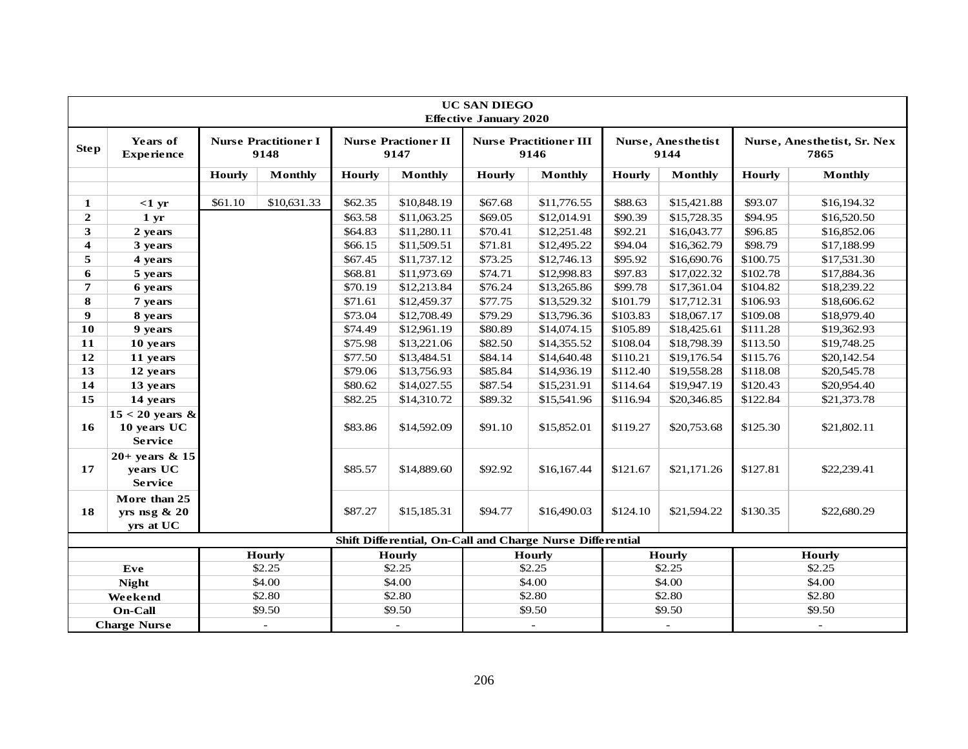|                         | <b>UC SAN DIEGO</b><br><b>Effective January 2020</b> |         |                                     |               |                                    |         |                                                           |                          |                            |               |                                     |
|-------------------------|------------------------------------------------------|---------|-------------------------------------|---------------|------------------------------------|---------|-----------------------------------------------------------|--------------------------|----------------------------|---------------|-------------------------------------|
| <b>Step</b>             | Years of<br><b>Experience</b>                        |         | <b>Nurse Practitioner I</b><br>9148 |               | <b>Nurse Practioner II</b><br>9147 |         | <b>Nurse Practitioner III</b><br>9146                     |                          | Nurse, Anesthetist<br>9144 |               | Nurse, Anesthetist, Sr. Nex<br>7865 |
|                         |                                                      | Hourly  | <b>Monthly</b>                      | <b>Hourly</b> | <b>Monthly</b>                     | Hourly  | <b>Monthly</b>                                            | Hourly                   | <b>Monthly</b>             | <b>Hourly</b> | <b>Monthly</b>                      |
|                         |                                                      |         |                                     |               |                                    |         |                                                           |                          |                            |               |                                     |
| 1                       | $<1$ yr                                              | \$61.10 | \$10,631.33                         | \$62.35       | \$10,848.19                        | \$67.68 | \$11,776.55                                               | \$88.63                  | \$15,421.88                | \$93.07       | \$16,194.32                         |
| $\overline{2}$          | 1 <sub>yr</sub>                                      |         |                                     | \$63.58       | \$11,063.25                        | \$69.05 | \$12,014.91                                               | \$90.39                  | \$15,728.35                | \$94.95       | \$16,520.50                         |
| 3                       | 2 years                                              |         |                                     | \$64.83       | \$11,280.11                        | \$70.41 | \$12,251.48                                               | \$92.21                  | \$16,043.77                | \$96.85       | \$16,852.06                         |
| $\overline{\mathbf{4}}$ | 3 years                                              |         |                                     | \$66.15       | \$11,509.51                        | \$71.81 | \$12,495.22                                               | \$94.04                  | \$16,362.79                | \$98.79       | \$17,188.99                         |
| 5                       | 4 years                                              |         |                                     | \$67.45       | \$11,737.12                        | \$73.25 | \$12,746.13                                               | \$95.92                  | \$16,690.76                | \$100.75      | \$17,531.30                         |
| 6                       | 5 years                                              |         |                                     | \$68.81       | \$11,973.69                        | \$74.71 | \$12,998.83                                               | \$97.83                  | \$17,022.32                | \$102.78      | \$17,884.36                         |
| $\overline{7}$          | 6 years                                              |         |                                     | \$70.19       | \$12,213.84                        | \$76.24 | \$13,265.86                                               | \$99.78                  | \$17,361.04                | \$104.82      | \$18,239.22                         |
| 8                       | 7 years                                              |         |                                     | \$71.61       | \$12,459.37                        | \$77.75 | \$13,529.32                                               | \$101.79                 | \$17,712.31                | \$106.93      | \$18,606.62                         |
| $\boldsymbol{9}$        | 8 years                                              |         |                                     | \$73.04       | \$12,708.49                        | \$79.29 | \$13,796.36                                               | \$103.83                 | \$18,067.17                | \$109.08      | \$18,979.40                         |
| 10                      | 9 years                                              |         |                                     | \$74.49       | \$12,961.19                        | \$80.89 | \$14,074.15                                               | \$105.89                 | \$18,425.61                | \$111.28      | \$19,362.93                         |
| 11                      | 10 years                                             |         |                                     | \$75.98       | \$13,221.06                        | \$82.50 | \$14,355.52                                               | \$108.04                 | \$18,798.39                | \$113.50      | \$19,748.25                         |
| 12                      | 11 years                                             |         |                                     | \$77.50       | \$13,484.51                        | \$84.14 | \$14,640.48                                               | \$110.21                 | \$19,176.54                | \$115.76      | \$20,142.54                         |
| 13                      | 12 years                                             |         |                                     | \$79.06       | \$13,756.93                        | \$85.84 | \$14,936.19                                               | \$112.40                 | \$19,558.28                | \$118.08      | \$20,545.78                         |
| 14                      | 13 years                                             |         |                                     | \$80.62       | \$14,027.55                        | \$87.54 | \$15,231.91                                               | \$114.64                 | \$19,947.19                | \$120.43      | \$20,954.40                         |
| 15                      | 14 years                                             |         |                                     | \$82.25       | \$14,310.72                        | \$89.32 | \$15,541.96                                               | \$116.94                 | \$20,346.85                | \$122.84      | \$21,373.78                         |
| 16                      | $15 < 20$ years &<br>10 years UC<br><b>Service</b>   |         |                                     | \$83.86       | \$14,592.09                        | \$91.10 | \$15,852.01                                               | \$119.27                 | \$20,753.68                | \$125.30      | \$21,802.11                         |
| 17                      | $20+$ years & 15<br>years UC<br><b>Service</b>       |         |                                     | \$85.57       | \$14,889.60                        | \$92.92 | \$16,167.44                                               | \$121.67                 | \$21,171.26                | \$127.81      | \$22,239.41                         |
| 18                      | More than 25<br>yrs nsg $& 20$<br>yrs at UC          |         |                                     | \$87.27       | \$15,185.31                        | \$94.77 | \$16,490.03                                               | \$124.10                 | \$21,594.22                | \$130.35      | \$22,680.29                         |
|                         |                                                      |         |                                     |               |                                    |         | Shift Differential, On-Call and Charge Nurse Differential |                          |                            |               |                                     |
|                         |                                                      |         | <b>Hourly</b>                       |               | <b>Hourly</b>                      |         | <b>Hourly</b>                                             |                          | <b>Hourly</b>              |               | <b>Hourly</b>                       |
|                         | Eve                                                  |         | \$2.25                              |               | \$2.25                             |         | \$2.25                                                    |                          | \$2.25                     |               | \$2.25                              |
|                         | <b>Night</b>                                         |         | \$4.00                              |               | \$4.00                             |         | \$4.00                                                    |                          | \$4.00                     |               | \$4.00                              |
|                         | Weekend                                              |         | \$2.80                              |               | \$2.80                             |         | \$2.80                                                    |                          | \$2.80                     |               | \$2.80                              |
|                         | On-Call                                              |         | \$9.50                              |               | \$9.50                             |         | \$9.50                                                    |                          | \$9.50                     |               | \$9.50                              |
| <b>Charge Nurse</b>     |                                                      |         | $\overline{\phantom{a}}$            |               | $\overline{\phantom{a}}$           |         | $\overline{\phantom{a}}$                                  | $\overline{\phantom{a}}$ |                            |               |                                     |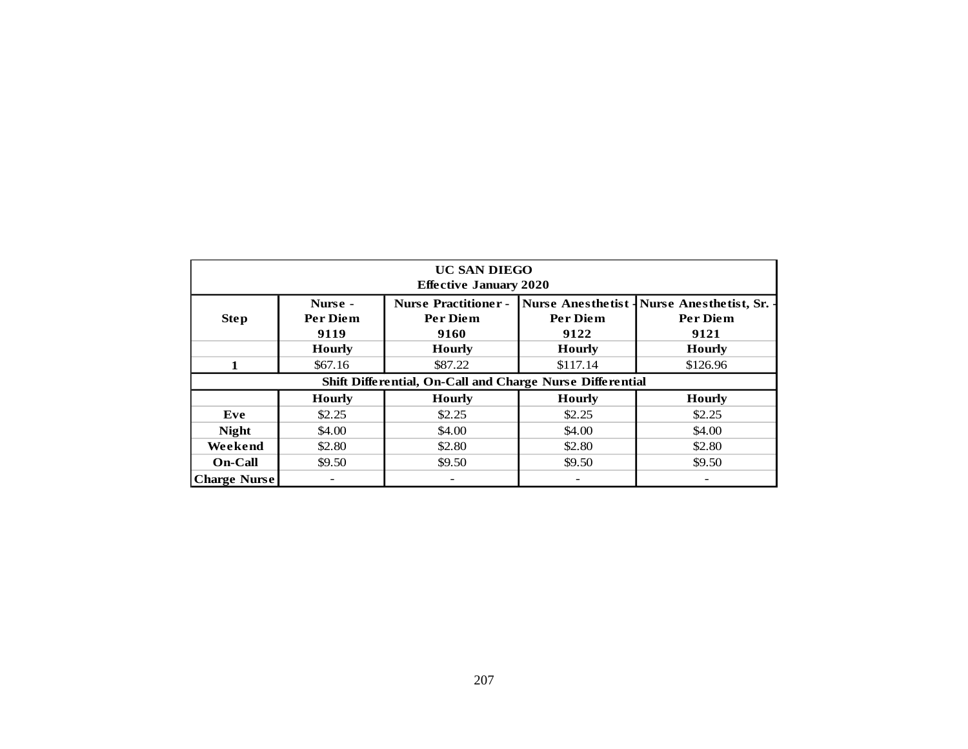| <b>UC SAN DIEGO</b>                                       |                          |                               |                           |                          |  |  |  |  |  |  |  |  |
|-----------------------------------------------------------|--------------------------|-------------------------------|---------------------------|--------------------------|--|--|--|--|--|--|--|--|
|                                                           |                          | <b>Effective January 2020</b> |                           |                          |  |  |  |  |  |  |  |  |
|                                                           | Nurse -                  | <b>Nurse Practitioner -</b>   | <b>Nurse Anesthetist-</b> | Nurse Anesthetist, Sr. - |  |  |  |  |  |  |  |  |
| <b>Step</b>                                               | Per Diem                 | Per Diem                      | Per Diem                  | Per Diem                 |  |  |  |  |  |  |  |  |
|                                                           | 9119                     | 9160                          | 9122                      | 9121                     |  |  |  |  |  |  |  |  |
|                                                           | <b>Hourly</b>            | <b>Hourly</b>                 | <b>Hourly</b>             | <b>Hourly</b>            |  |  |  |  |  |  |  |  |
| $\mathbf{1}$                                              | \$67.16                  | \$87.22                       | \$117.14                  | \$126.96                 |  |  |  |  |  |  |  |  |
| Shift Differential, On-Call and Charge Nurse Differential |                          |                               |                           |                          |  |  |  |  |  |  |  |  |
|                                                           | <b>Hourly</b>            | <b>Hourly</b>                 | <b>Hourly</b>             | <b>Hourly</b>            |  |  |  |  |  |  |  |  |
| Eve                                                       | \$2.25                   | \$2.25                        | \$2.25                    | \$2.25                   |  |  |  |  |  |  |  |  |
| <b>Night</b>                                              | \$4.00                   | \$4.00                        | \$4.00                    | \$4.00                   |  |  |  |  |  |  |  |  |
| Weekend                                                   | \$2.80                   | \$2.80                        | \$2.80                    | \$2.80                   |  |  |  |  |  |  |  |  |
| <b>On-Call</b>                                            | \$9.50                   | \$9.50                        | \$9.50                    | \$9.50                   |  |  |  |  |  |  |  |  |
| <b>Charge Nurse</b>                                       | $\overline{\phantom{a}}$ | $\overline{\phantom{m}}$      | $\overline{\phantom{a}}$  | $\overline{\phantom{a}}$ |  |  |  |  |  |  |  |  |
|                                                           |                          |                               |                           |                          |  |  |  |  |  |  |  |  |
|                                                           |                          | 207                           |                           |                          |  |  |  |  |  |  |  |  |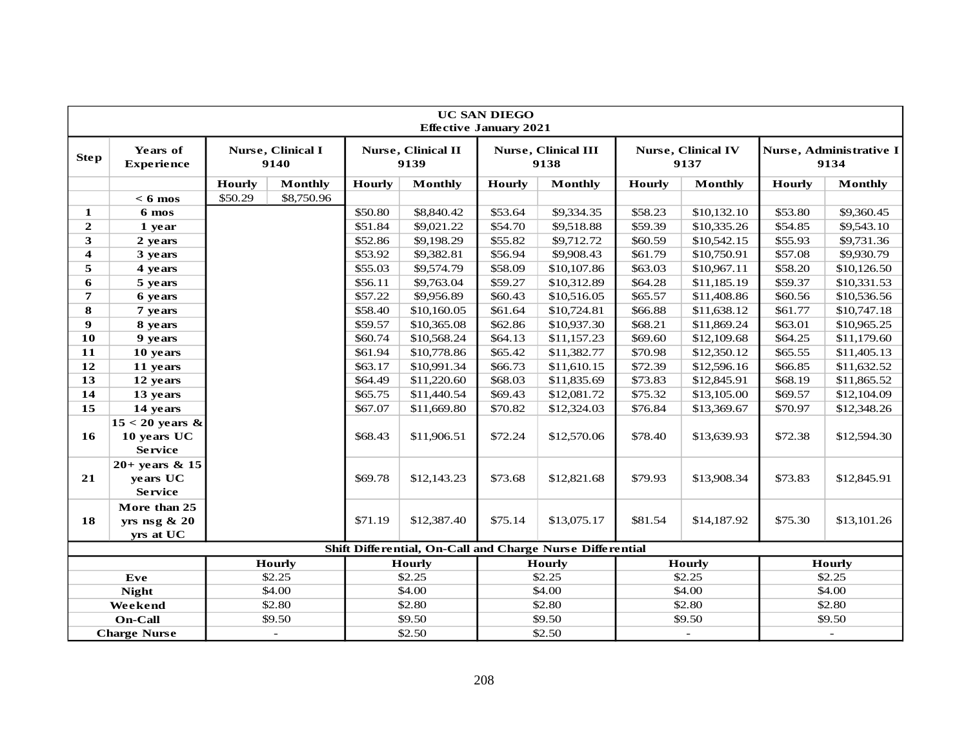|                     | <b>UC SAN DIEGO</b><br><b>Effective January 2021</b> |               |                           |               |                                   |               |                                                           |             |                                   |             |                                 |
|---------------------|------------------------------------------------------|---------------|---------------------------|---------------|-----------------------------------|---------------|-----------------------------------------------------------|-------------|-----------------------------------|-------------|---------------------------------|
| <b>Step</b>         | Years of<br><b>Experience</b>                        |               | Nurse, Clinical I<br>9140 |               | <b>Nurse, Clinical II</b><br>9139 |               | <b>Nurse, Clinical III</b><br>9138                        |             | <b>Nurse, Clinical IV</b><br>9137 |             | Nurse, Administrative I<br>9134 |
|                     |                                                      | <b>Hourly</b> | <b>Monthly</b>            | <b>Hourly</b> | <b>Monthly</b>                    | <b>Hourly</b> | <b>Monthly</b>                                            | Hourly      | <b>Monthly</b>                    | Hourly      | <b>Monthly</b>                  |
|                     | $< 6$ mos                                            | \$50.29       | \$8,750.96                |               |                                   |               |                                                           |             |                                   |             |                                 |
| 1                   | 6 mos                                                |               |                           | \$50.80       | \$8,840.42                        | \$53.64       | \$9,334.35                                                | \$58.23     | \$10,132.10                       | \$53.80     | \$9,360.45                      |
| $\mathbf{2}$        | 1 year                                               |               |                           | \$51.84       | \$9,021.22                        | \$54.70       | \$9,518.88                                                | \$59.39     | \$10,335.26                       | \$54.85     | \$9,543.10                      |
| 3                   | 2 years                                              |               |                           | \$52.86       | \$9,198.29                        | \$55.82       | \$9,712.72                                                | \$60.59     | \$10,542.15                       | \$55.93     | \$9,731.36                      |
| 4                   | 3 years                                              |               |                           | \$53.92       | \$9,382.81                        | \$56.94       | \$9,908.43                                                | \$61.79     | \$10,750.91                       | \$57.08     | \$9,930.79                      |
| 5                   | 4 years                                              |               |                           | \$55.03       | \$9,574.79                        | \$58.09       | \$10,107.86                                               | \$63.03     | \$10,967.11                       | \$58.20     | \$10,126.50                     |
| 6                   | 5 years                                              |               |                           | \$56.11       | \$9,763.04                        | \$59.27       | \$10,312.89                                               | \$64.28     | \$11,185.19                       | \$59.37     | \$10,331.53                     |
| 7                   | 6 years                                              |               |                           | \$57.22       | \$9,956.89                        | \$60.43       | \$10,516.05                                               | \$65.57     | \$11,408.86                       | \$60.56     | \$10,536.56                     |
| 8                   | 7 years                                              |               |                           | \$58.40       | \$10,160.05                       | \$61.64       | \$10,724.81                                               | \$66.88     | \$11,638.12                       | \$61.77     | \$10,747.18                     |
| $\boldsymbol{9}$    | 8 years                                              |               |                           | \$59.57       | \$10,365.08                       | \$62.86       | \$10,937.30                                               | \$68.21     | \$11,869.24                       | \$63.01     | \$10,965.25                     |
| 10                  | 9 years                                              |               |                           | \$60.74       | \$10,568.24                       | \$64.13       | \$11,157.23                                               | \$69.60     | \$12,109.68                       | \$64.25     | \$11,179.60                     |
| 11                  | 10 years                                             |               |                           | \$61.94       | \$10,778.86                       | \$65.42       | \$11,382.77                                               | \$70.98     | \$12,350.12                       | \$65.55     | \$11,405.13                     |
| 12                  | 11 years                                             |               |                           | \$63.17       | \$10,991.34                       | \$66.73       | \$11,610.15                                               | \$72.39     | \$12,596.16                       | \$66.85     | \$11,632.52                     |
| 13                  | 12 years                                             |               |                           | \$64.49       | \$11,220.60                       | \$68.03       | \$11,835.69                                               | \$73.83     | \$12,845.91                       | \$68.19     | \$11,865.52                     |
| 14                  | 13 years                                             |               |                           | \$65.75       | \$11,440.54                       | \$69.43       | \$12,081.72                                               | \$75.32     | \$13,105.00                       | \$69.57     | \$12,104.09                     |
| 15                  | 14 years                                             |               |                           | \$67.07       | \$11,669.80                       | \$70.82       | \$12,324.03                                               | \$76.84     | \$13,369.67                       | \$70.97     | \$12,348.26                     |
| 16                  | $15 < 20$ years &<br>10 years UC<br><b>Service</b>   |               |                           | \$68.43       | \$11,906.51                       | \$72.24       | \$12,570.06                                               | \$78.40     | \$13,639.93                       | \$72.38     | \$12,594.30                     |
| 21                  | $20+$ years & 15<br>years UC<br><b>Service</b>       |               |                           | \$69.78       | \$12,143.23                       | \$73.68       | \$12,821.68                                               | \$79.93     | \$13,908.34                       | \$73.83     | \$12,845.91                     |
| 18                  | More than 25<br>yrs nsg $\& 20$<br>yrs at UC         |               | \$71.19                   | \$12,387.40   | \$75.14                           | \$13,075.17   | \$81.54                                                   | \$14,187.92 | \$75.30                           | \$13,101.26 |                                 |
|                     |                                                      |               |                           |               |                                   |               | Shift Differential, On-Call and Charge Nurse Differential |             |                                   |             |                                 |
|                     |                                                      |               | <b>Hourly</b>             |               | <b>Hourly</b>                     |               | <b>Hourly</b>                                             |             | <b>Hourly</b>                     |             | <b>Hourly</b>                   |
|                     | Eve                                                  |               | \$2.25                    |               | \$2.25                            |               | \$2.25                                                    |             | \$2.25                            |             | \$2.25                          |
|                     | <b>Night</b>                                         |               | \$4.00                    |               | \$4.00                            |               | \$4.00                                                    |             | \$4.00                            |             | \$4.00                          |
|                     | Weekend                                              |               | \$2.80                    |               | \$2.80                            |               | \$2.80                                                    |             | \$2.80                            |             | \$2.80                          |
|                     | On-Call                                              |               | \$9.50                    |               | \$9.50                            |               | \$9.50                                                    |             | \$9.50                            |             | \$9.50                          |
| <b>Charge Nurse</b> |                                                      |               | $\overline{\phantom{a}}$  |               | \$2.50                            |               | \$2.50                                                    |             |                                   |             |                                 |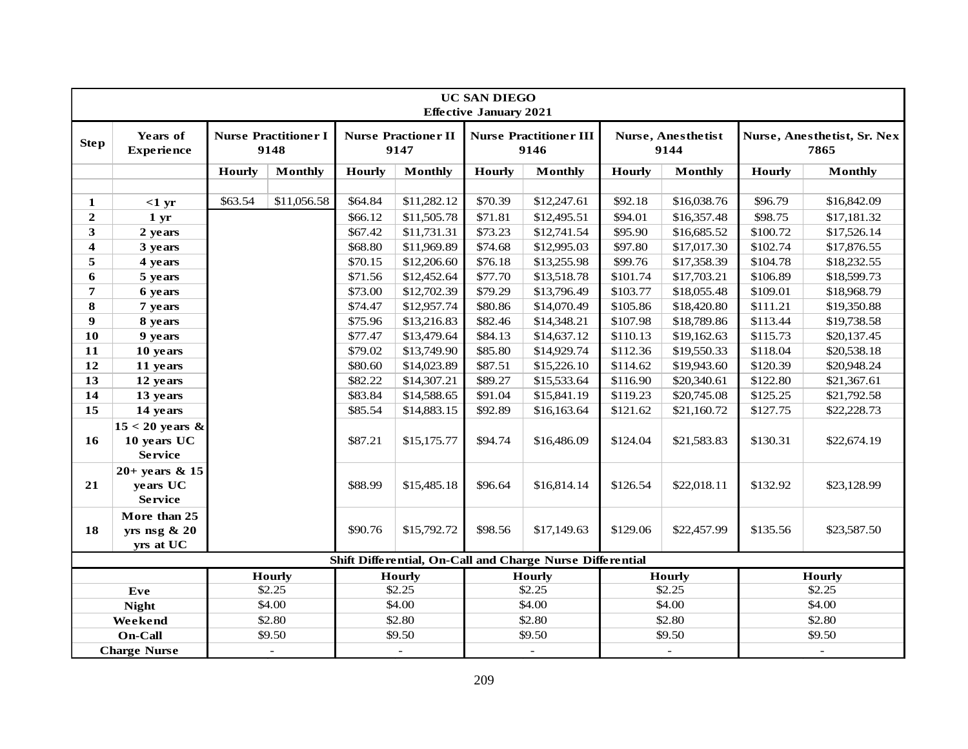|                         | <b>UC SAN DIEGO</b><br><b>Effective January 2021</b> |               |                                     |               |                                    |               |                                                           |          |                            |                          |                                     |
|-------------------------|------------------------------------------------------|---------------|-------------------------------------|---------------|------------------------------------|---------------|-----------------------------------------------------------|----------|----------------------------|--------------------------|-------------------------------------|
| <b>Step</b>             | <b>Years of</b><br><b>Experience</b>                 |               | <b>Nurse Practitioner I</b><br>9148 |               | <b>Nurse Practioner II</b><br>9147 |               | <b>Nurse Practitioner III</b><br>9146                     |          | Nurse, Anesthetist<br>9144 |                          | Nurse, Anesthetist, Sr. Nex<br>7865 |
|                         |                                                      | <b>Hourly</b> | <b>Monthly</b>                      | <b>Hourly</b> | <b>Monthly</b>                     | <b>Hourly</b> | <b>Monthly</b>                                            | Hourly   | <b>Monthly</b>             | <b>Hourly</b>            | <b>Monthly</b>                      |
|                         |                                                      |               |                                     |               |                                    |               |                                                           |          |                            |                          |                                     |
| 1                       | $<1$ yr                                              | \$63.54       | \$11,056.58                         | \$64.84       | \$11,282.12                        | \$70.39       | \$12,247.61                                               | \$92.18  | \$16,038.76                | \$96.79                  | \$16,842.09                         |
| $\boldsymbol{2}$        | 1 <sub>yr</sub>                                      |               |                                     | \$66.12       | \$11,505.78                        | \$71.81       | \$12,495.51                                               | \$94.01  | \$16,357.48                | \$98.75                  | \$17,181.32                         |
| 3                       | 2 years                                              |               |                                     | \$67.42       | \$11,731.31                        | \$73.23       | \$12,741.54                                               | \$95.90  | \$16,685.52                | \$100.72                 | \$17,526.14                         |
| $\overline{\mathbf{4}}$ | 3 years                                              |               |                                     | \$68.80       | \$11,969.89                        | \$74.68       | \$12,995.03                                               | \$97.80  | \$17,017.30                | \$102.74                 | \$17,876.55                         |
| 5                       | 4 years                                              |               |                                     | \$70.15       | \$12,206.60                        | \$76.18       | \$13,255.98                                               | \$99.76  | \$17,358.39                | \$104.78                 | \$18,232.55                         |
| 6                       | 5 years                                              |               |                                     | \$71.56       | \$12,452.64                        | \$77.70       | \$13,518.78                                               | \$101.74 | \$17,703.21                | \$106.89                 | \$18,599.73                         |
| 7                       | 6 years                                              |               |                                     | \$73.00       | \$12,702.39                        | \$79.29       | \$13,796.49                                               | \$103.77 | \$18,055.48                | \$109.01                 | \$18,968.79                         |
| 8                       | 7 years                                              |               |                                     | \$74.47       | \$12,957.74                        | \$80.86       | \$14,070.49                                               | \$105.86 | \$18,420.80                | \$111.21                 | \$19,350.88                         |
| 9                       | 8 years                                              |               |                                     | \$75.96       | \$13,216.83                        | \$82.46       | \$14,348.21                                               | \$107.98 | \$18,789.86                | \$113.44                 | \$19,738.58                         |
| 10                      | 9 years                                              |               |                                     | \$77.47       | \$13,479.64                        | \$84.13       | \$14,637.12                                               | \$110.13 | \$19,162.63                | \$115.73                 | \$20,137.45                         |
| 11                      | 10 years                                             |               |                                     | \$79.02       | \$13,749.90                        | \$85.80       | \$14,929.74                                               | \$112.36 | \$19,550.33                | \$118.04                 | \$20,538.18                         |
| 12                      | 11 years                                             |               |                                     | \$80.60       | \$14,023.89                        | \$87.51       | \$15,226.10                                               | \$114.62 | \$19,943.60                | \$120.39                 | \$20,948.24                         |
| 13                      | 12 years                                             |               |                                     | \$82.22       | \$14,307.21                        | \$89.27       | \$15,533.64                                               | \$116.90 | \$20,340.61                | \$122.80                 | \$21,367.61                         |
| 14                      | 13 years                                             |               |                                     | \$83.84       | \$14,588.65                        | \$91.04       | \$15,841.19                                               | \$119.23 | \$20,745.08                | \$125.25                 | \$21,792.58                         |
| 15                      | 14 years                                             |               |                                     | \$85.54       | \$14,883.15                        | \$92.89       | \$16,163.64                                               | \$121.62 | \$21,160.72                | \$127.75                 | \$22,228.73                         |
| 16                      | $15 < 20$ years &<br>10 years UC<br><b>Service</b>   |               |                                     | \$87.21       | \$15,175.77                        | \$94.74       | \$16,486.09                                               | \$124.04 | \$21,583.83                | \$130.31                 | \$22,674.19                         |
| 21                      | $20+$ years & 15<br>years UC<br><b>Service</b>       |               |                                     | \$88.99       | \$15,485.18                        | \$96.64       | \$16,814.14                                               | \$126.54 | \$22,018.11                | \$132.92                 | \$23,128.99                         |
| 18                      | More than 25<br>yrs nsg $\& 20$<br>yrs at UC         |               |                                     | \$90.76       | \$15,792.72                        | \$98.56       | \$17,149.63                                               | \$129.06 | \$22,457.99                | \$135.56                 | \$23,587.50                         |
|                         |                                                      |               |                                     |               |                                    |               | Shift Differential, On-Call and Charge Nurse Differential |          |                            |                          |                                     |
|                         |                                                      |               | <b>Hourly</b>                       |               | <b>Hourly</b>                      |               | <b>Hourly</b>                                             |          | <b>Hourly</b>              |                          | <b>Hourly</b>                       |
|                         | Eve                                                  |               | \$2.25                              |               | \$2.25                             |               | \$2.25                                                    |          | \$2.25                     |                          | \$2.25                              |
|                         | <b>Night</b>                                         |               | \$4.00                              |               | \$4.00                             |               | \$4.00                                                    |          | \$4.00                     |                          | \$4.00                              |
|                         | Weekend                                              |               | \$2.80                              |               | \$2.80                             |               | \$2.80                                                    |          | \$2.80                     |                          | \$2.80                              |
|                         | On-Call                                              |               | \$9.50                              |               | \$9.50                             |               | \$9.50                                                    |          | \$9.50                     |                          | \$9.50                              |
| <b>Charge Nurse</b>     |                                                      |               |                                     |               | $\overline{a}$                     |               | $\equiv$                                                  |          |                            | $\overline{\phantom{a}}$ |                                     |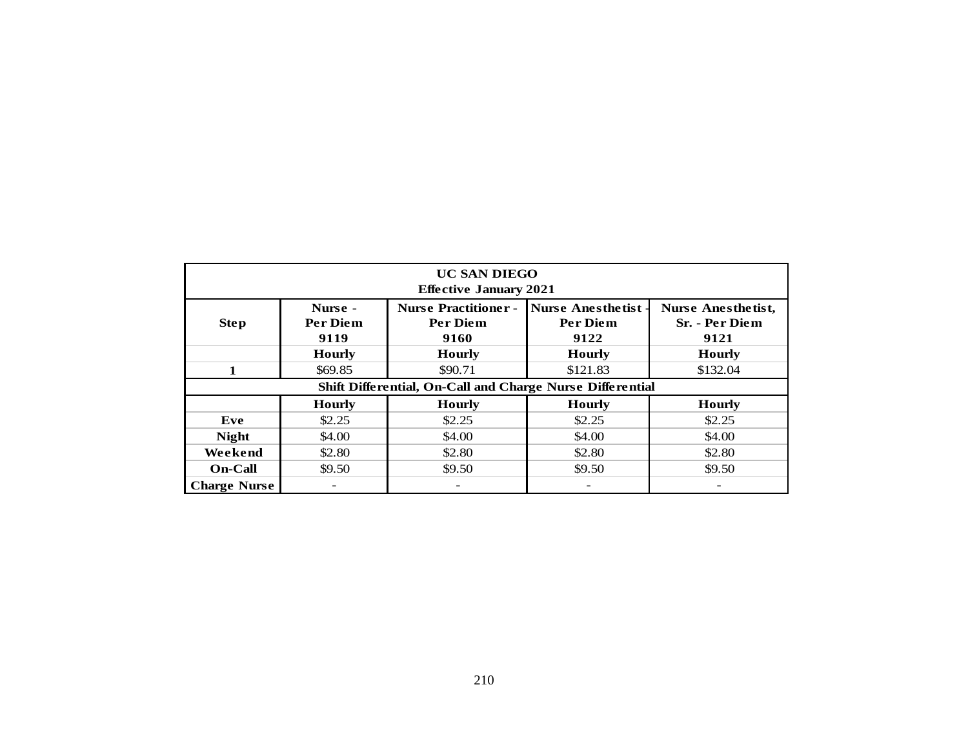| <b>UC SAN DIEGO</b><br><b>Effective January 2021</b>      |                             |                                                        |                                                     |                                              |  |  |  |  |  |  |  |  |
|-----------------------------------------------------------|-----------------------------|--------------------------------------------------------|-----------------------------------------------------|----------------------------------------------|--|--|--|--|--|--|--|--|
| <b>Step</b>                                               | Nurse -<br>Per Diem<br>9119 | <b>Nurse Practitioner -</b><br><b>Per Diem</b><br>9160 | <b>Nurse Anesthetist</b><br><b>Per Diem</b><br>9122 | Nurse Anesthetist,<br>Sr. - Per Diem<br>9121 |  |  |  |  |  |  |  |  |
|                                                           | <b>Hourly</b>               | <b>Hourly</b>                                          | <b>Hourly</b>                                       | <b>Hourly</b>                                |  |  |  |  |  |  |  |  |
| $\mathbf{1}$                                              | \$69.85                     | \$90.71                                                | \$121.83                                            | \$132.04                                     |  |  |  |  |  |  |  |  |
| Shift Differential, On-Call and Charge Nurse Differential |                             |                                                        |                                                     |                                              |  |  |  |  |  |  |  |  |
|                                                           | <b>Hourly</b>               | <b>Hourly</b>                                          | <b>Hourly</b>                                       | <b>Hourly</b>                                |  |  |  |  |  |  |  |  |
| Eve                                                       | \$2.25                      | \$2.25                                                 | \$2.25                                              | \$2.25                                       |  |  |  |  |  |  |  |  |
| <b>Night</b>                                              | \$4.00                      | \$4.00                                                 | \$4.00                                              | \$4.00                                       |  |  |  |  |  |  |  |  |
| Weekend                                                   | \$2.80                      | \$2.80                                                 | \$2.80                                              | \$2.80                                       |  |  |  |  |  |  |  |  |
| <b>On-Call</b>                                            | \$9.50                      | \$9.50                                                 | \$9.50                                              | \$9.50                                       |  |  |  |  |  |  |  |  |
| <b>Charge Nurse</b>                                       | $\overline{\phantom{a}}$    | $\overline{\phantom{m}}$                               | $\overline{\phantom{a}}$                            | $\overline{\phantom{a}}$                     |  |  |  |  |  |  |  |  |
|                                                           |                             |                                                        |                                                     |                                              |  |  |  |  |  |  |  |  |
|                                                           |                             | 210                                                    |                                                     |                                              |  |  |  |  |  |  |  |  |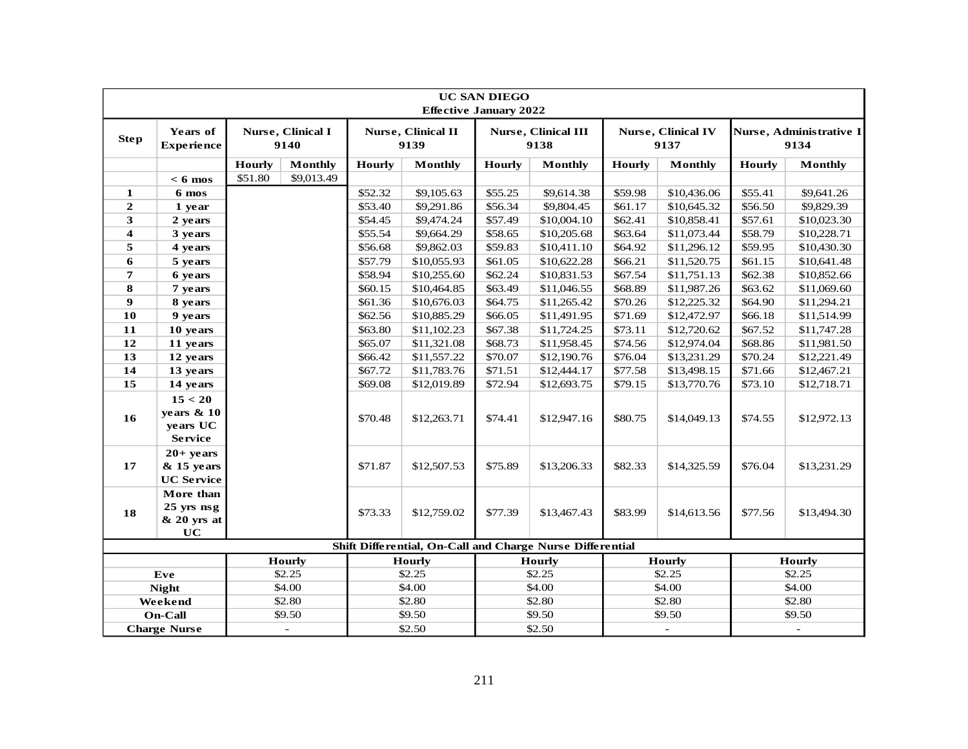| <b>UC SAN DIEGO</b><br><b>Effective January 2022</b> |                                                       |               |                           |                            |                                                           |         |                                    |         |                                   |                     |                                 |
|------------------------------------------------------|-------------------------------------------------------|---------------|---------------------------|----------------------------|-----------------------------------------------------------|---------|------------------------------------|---------|-----------------------------------|---------------------|---------------------------------|
| <b>Step</b>                                          | Years of<br><b>Experience</b>                         |               | Nurse, Clinical I<br>9140 | Nurse, Clinical II<br>9139 |                                                           |         | <b>Nurse, Clinical III</b><br>9138 |         | <b>Nurse, Clinical IV</b><br>9137 |                     | Nurse, Administrative I<br>9134 |
|                                                      |                                                       | <b>Hourly</b> | <b>Monthly</b>            | Hourly                     | <b>Monthly</b>                                            | Hourly  | <b>Monthly</b>                     | Hourly  | <b>Monthly</b>                    | Hourly              | <b>Monthly</b>                  |
|                                                      | $< 6$ mos                                             | \$51.80       | \$9,013.49                |                            |                                                           |         |                                    |         |                                   |                     |                                 |
| 1                                                    | 6 mos                                                 |               |                           | \$52.32                    | \$9,105.63                                                | \$55.25 | \$9,614.38                         | \$59.98 | \$10,436.06                       | \$55.41             | \$9,641.26                      |
| $\overline{2}$                                       | 1 year                                                |               |                           | \$53.40                    | \$9,291.86                                                | \$56.34 | \$9,804.45                         | \$61.17 | \$10,645.32                       | \$56.50             | \$9,829.39                      |
| 3                                                    | 2 years                                               |               |                           | \$54.45                    | \$9,474.24                                                | \$57.49 | \$10,004.10                        | \$62.41 | \$10,858.41                       | \$57.61             | \$10,023.30                     |
| $\overline{\mathbf{4}}$                              | 3 years                                               |               |                           | \$55.54                    | \$9,664.29                                                | \$58.65 | \$10,205.68                        | \$63.64 | \$11,073.44                       | \$58.79             | \$10,228.71                     |
| 5                                                    | 4 years                                               |               |                           | \$56.68                    | \$9,862.03                                                | \$59.83 | \$10,411.10                        | \$64.92 | \$11,296.12                       | \$59.95             | \$10,430.30                     |
| 6                                                    | 5 years                                               |               |                           | \$57.79                    | \$10,055.93                                               | \$61.05 | \$10,622.28                        | \$66.21 | \$11,520.75                       | \$61.15             | \$10,641.48                     |
| 7                                                    | 6 years                                               |               |                           | \$58.94                    | \$10,255.60                                               | \$62.24 | \$10,831.53                        | \$67.54 | \$11,751.13                       | \$62.38             | \$10,852.66                     |
| 8                                                    | 7 years                                               |               |                           | \$60.15                    | \$10,464.85                                               | \$63.49 | \$11,046.55                        | \$68.89 | \$11,987.26                       | \$63.62             | \$11,069.60                     |
| 9                                                    | 8 years                                               |               |                           | \$61.36                    | \$10,676.03                                               | \$64.75 | \$11,265.42                        | \$70.26 | \$12,225.32                       | \$64.90             | \$11,294.21                     |
| 10                                                   | 9 years                                               |               |                           | \$62.56                    | \$10,885.29                                               | \$66.05 | \$11,491.95                        | \$71.69 | \$12,472.97                       | \$66.18             | \$11,514.99                     |
| 11                                                   | 10 years                                              |               |                           | \$63.80                    | \$11,102.23                                               | \$67.38 | \$11,724.25                        | \$73.11 | \$12,720.62                       | \$67.52             | \$11,747.28                     |
| 12                                                   | 11 years                                              |               |                           | \$65.07                    | \$11,321.08                                               | \$68.73 | \$11,958.45                        | \$74.56 | \$12,974.04                       | \$68.86             | \$11,981.50                     |
| 13                                                   | 12 years                                              |               |                           | \$66.42                    | \$11,557.22                                               | \$70.07 | \$12,190.76                        | \$76.04 | \$13,231.29                       | \$70.24             | \$12,221.49                     |
| 14                                                   | 13 years                                              |               |                           | \$67.72                    | \$11,783.76                                               | \$71.51 | \$12,444.17                        | \$77.58 | \$13,498.15                       | \$71.66             | \$12,467.21                     |
| 15                                                   | 14 years                                              |               |                           | \$69.08                    | \$12,019.89                                               | \$72.94 | \$12,693.75                        | \$79.15 | \$13,770.76                       | \$73.10             | \$12,718.71                     |
| 16                                                   | 15 < 20<br>years $& 10$<br>years UC<br><b>Service</b> |               |                           | \$70.48                    | \$12,263.71                                               | \$74.41 | \$12,947.16                        | \$80.75 | \$14,049.13                       | \$74.55             | \$12,972.13                     |
| 17                                                   | $20+$ years<br>$&$ 15 years<br><b>UC</b> Service      |               |                           | \$71.87                    | \$12,507.53                                               | \$75.89 | \$13,206.33                        | \$82.33 | \$14,325.59                       | \$76.04             | \$13,231.29                     |
| 18                                                   | More than<br>$25$ yrs $nsg$<br>$& 20$ yrs at<br>UC    |               |                           | \$73.33                    | \$12,759.02                                               | \$77.39 | \$13,467.43                        | \$83.99 | \$14,613.56                       | \$77.56             | \$13,494.30                     |
|                                                      |                                                       |               |                           |                            | Shift Differential, On-Call and Charge Nurse Differential |         |                                    |         |                                   |                     |                                 |
|                                                      |                                                       |               | Hourly                    |                            | <b>Hourly</b>                                             |         | <b>Hourly</b>                      |         | Hourly                            |                     | Hourly                          |
|                                                      | Eve                                                   |               | \$2.25                    |                            | \$2.25                                                    |         | \$2.25                             |         | \$2.25                            |                     | \$2.25                          |
|                                                      | <b>Night</b>                                          |               | \$4.00                    |                            | \$4.00                                                    |         | \$4.00                             |         | \$4.00                            |                     | \$4.00                          |
|                                                      | Weekend                                               |               | \$2.80                    |                            | \$2.80                                                    |         | \$2.80                             |         | \$2.80                            |                     | \$2.80                          |
|                                                      | <b>On-Call</b>                                        |               | \$9.50                    |                            | \$9.50                                                    |         | \$9.50                             |         | \$9.50                            |                     | \$9.50                          |
| <b>Charge Nurse</b>                                  |                                                       |               | $\bar{\phantom{a}}$       |                            | \$2.50                                                    |         | \$2.50                             |         |                                   | $\bar{\phantom{a}}$ |                                 |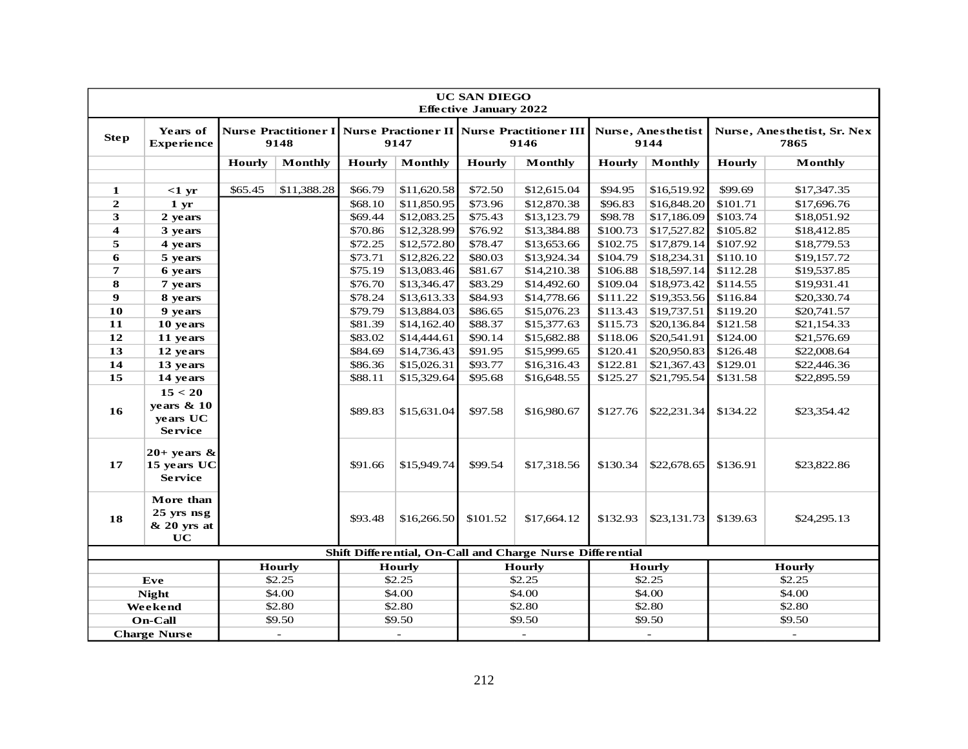| <b>UC SAN DIEGO</b><br><b>Effective January 2022</b> |                                                        |         |                          |                                                                                    |                          |          |                                                           |          |                            |                         |                                     |
|------------------------------------------------------|--------------------------------------------------------|---------|--------------------------|------------------------------------------------------------------------------------|--------------------------|----------|-----------------------------------------------------------|----------|----------------------------|-------------------------|-------------------------------------|
| <b>Step</b>                                          | Years of<br><b>Experience</b>                          |         | 9148                     | <b>Nurse Practitioner I   Nurse Practioner II   Nurse Practitioner III</b><br>9147 |                          |          | 9146                                                      |          | Nurse, Anesthetist<br>9144 |                         | Nurse, Anesthetist, Sr. Nex<br>7865 |
|                                                      |                                                        | Hourly  | Monthly                  | <b>Hourly</b>                                                                      | Monthly                  | Hourly   | Monthly                                                   | Hourly   | Monthly                    | <b>Hourly</b>           | Monthly                             |
|                                                      |                                                        |         |                          |                                                                                    |                          |          |                                                           |          |                            |                         |                                     |
| 1                                                    | $<1$ yr                                                | \$65.45 | \$11,388.28              | \$66.79                                                                            | \$11,620.58              | \$72.50  | \$12,615.04                                               | \$94.95  | \$16,519.92                | \$99.69                 | \$17,347.35                         |
| $\overline{2}$                                       | 1 <sub>yr</sub>                                        |         |                          | \$68.10                                                                            | \$11,850.95              | \$73.96  | \$12,870.38                                               | \$96.83  | \$16,848.20                | \$101.71                | \$17,696.76                         |
| 3                                                    | 2 years                                                |         |                          | \$69.44                                                                            | \$12,083.25              | \$75.43  | \$13,123.79                                               | \$98.78  | \$17,186.09                | \$103.74                | \$18,051.92                         |
| $\overline{\mathbf{4}}$                              | 3 years                                                |         |                          | \$70.86                                                                            | \$12,328.99              | \$76.92  | \$13,384.88                                               | \$100.73 | \$17,527.82                | \$105.82                | \$18,412.85                         |
| 5                                                    | 4 years                                                |         |                          | \$72.25                                                                            | \$12,572.80              | \$78.47  | \$13,653.66                                               | \$102.75 | \$17,879.14                | \$107.92                | \$18,779.53                         |
| 6                                                    | 5 years                                                |         |                          | \$73.71                                                                            | \$12,826.22              | \$80.03  | \$13,924.34                                               | \$104.79 | \$18,234.31                | \$110.10                | \$19,157.72                         |
| $\overline{7}$                                       | 6 years                                                |         |                          | \$75.19                                                                            | \$13,083.46              | \$81.67  | \$14,210.38                                               | \$106.88 | \$18,597.14                | \$112.28                | \$19,537.85                         |
| 8                                                    | 7 years                                                |         |                          | \$76.70                                                                            | \$13,346.47              | \$83.29  | \$14,492.60                                               | \$109.04 | \$18,973.42                | \$114.55                | \$19,931.41                         |
| 9                                                    | 8 years                                                |         |                          | \$78.24                                                                            | \$13,613.33              | \$84.93  | \$14,778.66                                               | \$111.22 | \$19,353.56                | \$116.84                | \$20,330.74                         |
| 10                                                   | 9 years                                                |         |                          | \$79.79                                                                            | \$13,884.03              | \$86.65  | \$15,076.23                                               | \$113.43 | \$19,737.51                | \$119.20                | \$20,741.57                         |
| 11                                                   | 10 years                                               |         |                          | \$81.39                                                                            | \$14,162.40              | \$88.37  | \$15,377.63                                               | \$115.73 | \$20,136.84                | \$121.58                | \$21,154.33                         |
| 12                                                   | 11 years                                               |         |                          | \$83.02                                                                            | \$14,444.61              | \$90.14  | \$15,682.88                                               | \$118.06 | \$20,541.91                | \$124.00                | \$21,576.69                         |
| 13                                                   | 12 years                                               |         |                          | \$84.69                                                                            | \$14,736.43              | \$91.95  | \$15,999.65                                               | \$120.41 | \$20,950.83                | \$126.48                | \$22,008.64                         |
| 14                                                   | 13 years                                               |         |                          | \$86.36                                                                            | \$15,026.31              | \$93.77  | \$16,316.43                                               | \$122.81 | \$21,367.43                | \$129.01                | \$22,446.36                         |
| 15                                                   | 14 years                                               |         |                          | \$88.11                                                                            | \$15,329.64              | \$95.68  | \$16,648.55                                               | \$125.27 | \$21,795.54                | \$131.58                | \$22,895.59                         |
| 16                                                   | 15 < 20<br>years $\&$ 10<br>years UC<br><b>Service</b> |         |                          | \$89.83                                                                            | \$15,631.04              | \$97.58  | \$16,980.67                                               | \$127.76 | \$22,231.34                | \$134.22                | \$23,354.42                         |
| 17                                                   | $20+$ years &<br>15 years UC<br><b>Service</b>         |         |                          | \$91.66                                                                            | \$15,949.74              | \$99.54  | \$17,318.56                                               | \$130.34 | \$22,678.65                | \$136.91                | \$23,822.86                         |
| 18                                                   | More than<br>25 yrs nsg<br>$& 20$ yrs at<br>UC         |         |                          | \$93.48                                                                            | \$16,266.50              | \$101.52 | \$17,664.12                                               | \$132.93 | \$23,131.73                | \$139.63<br>\$24,295.13 |                                     |
|                                                      |                                                        |         |                          |                                                                                    |                          |          | Shift Differential, On-Call and Charge Nurse Differential |          |                            |                         |                                     |
|                                                      | <b>Hourly</b>                                          |         |                          |                                                                                    | Hourly                   |          | <b>Hourly</b>                                             |          | Hourly                     |                         | Hourly                              |
|                                                      | Eve                                                    |         | \$2.25                   |                                                                                    | \$2.25                   |          | \$2.25                                                    |          | \$2.25                     |                         | \$2.25                              |
|                                                      | <b>Night</b>                                           |         | \$4.00                   |                                                                                    | \$4.00                   |          | \$4.00                                                    |          | \$4.00                     |                         | \$4.00                              |
|                                                      | Weekend                                                |         | \$2.80                   |                                                                                    | \$2.80                   |          | \$2.80                                                    |          | \$2.80                     |                         | \$2.80                              |
|                                                      | <b>On-Call</b>                                         |         | \$9.50                   |                                                                                    | \$9.50                   |          | \$9.50                                                    |          | \$9.50                     |                         | \$9.50                              |
| <b>Charge Nurse</b>                                  |                                                        |         | $\overline{\phantom{a}}$ |                                                                                    | $\overline{\phantom{a}}$ |          | $\overline{\phantom{a}}$                                  |          |                            | $\sim$                  |                                     |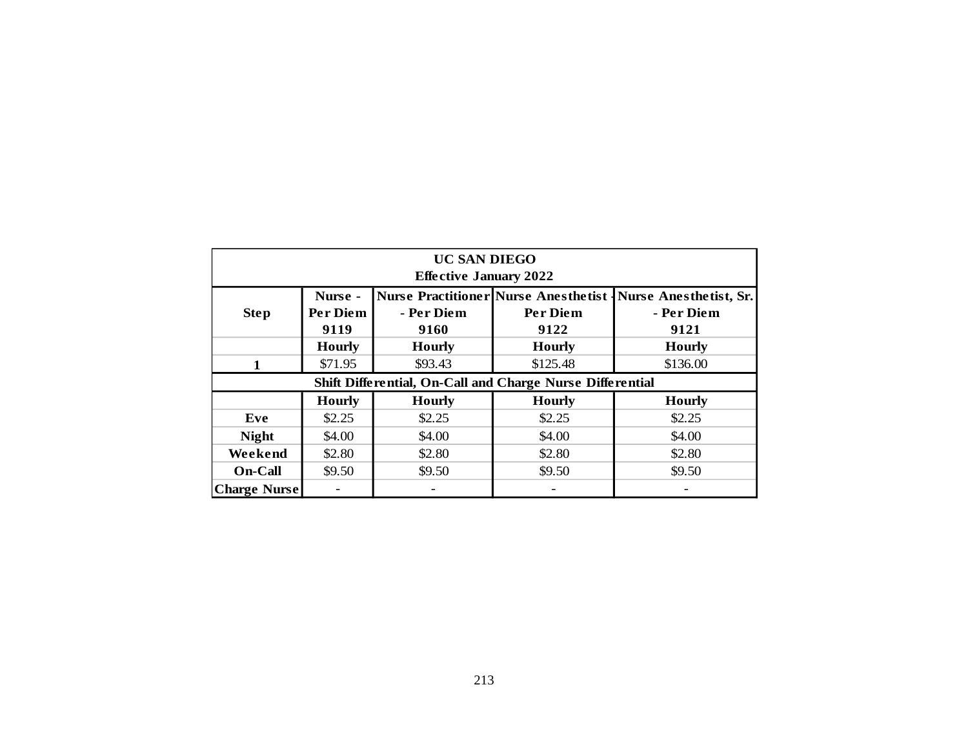| <b>UC SAN DIEGO</b><br><b>Effective January 2022</b>      |                             |                          |                                                                   |                                                     |  |  |  |  |  |  |  |  |  |
|-----------------------------------------------------------|-----------------------------|--------------------------|-------------------------------------------------------------------|-----------------------------------------------------|--|--|--|--|--|--|--|--|--|
| <b>Step</b>                                               | Nurse -<br>Per Diem<br>9119 | - Per Diem<br>9160       | <b>Nurse Practitioner Nurse Anesthetist -</b><br>Per Diem<br>9122 | <b>Nurse Anesthetist, Sr.</b><br>- Per Diem<br>9121 |  |  |  |  |  |  |  |  |  |
|                                                           | <b>Hourly</b>               | <b>Hourly</b>            | <b>Hourly</b>                                                     | <b>Hourly</b>                                       |  |  |  |  |  |  |  |  |  |
| $\mathbf{1}$                                              | \$71.95                     | \$93.43                  | \$125.48                                                          | \$136.00                                            |  |  |  |  |  |  |  |  |  |
| Shift Differential, On-Call and Charge Nurse Differential |                             |                          |                                                                   |                                                     |  |  |  |  |  |  |  |  |  |
|                                                           | <b>Hourly</b>               | <b>Hourly</b>            | <b>Hourly</b>                                                     | <b>Hourly</b>                                       |  |  |  |  |  |  |  |  |  |
| Eve                                                       | \$2.25                      | \$2.25                   | \$2.25                                                            | \$2.25                                              |  |  |  |  |  |  |  |  |  |
| <b>Night</b>                                              | \$4.00                      | \$4.00                   | \$4.00                                                            | \$4.00                                              |  |  |  |  |  |  |  |  |  |
| Weekend                                                   | \$2.80                      | \$2.80                   | \$2.80                                                            | \$2.80                                              |  |  |  |  |  |  |  |  |  |
| On-Call                                                   | \$9.50                      | \$9.50                   | \$9.50                                                            | \$9.50                                              |  |  |  |  |  |  |  |  |  |
| <b>Charge Nurse</b>                                       |                             | $\overline{\phantom{0}}$ |                                                                   |                                                     |  |  |  |  |  |  |  |  |  |
|                                                           |                             |                          |                                                                   |                                                     |  |  |  |  |  |  |  |  |  |
|                                                           |                             | 213                      |                                                                   |                                                     |  |  |  |  |  |  |  |  |  |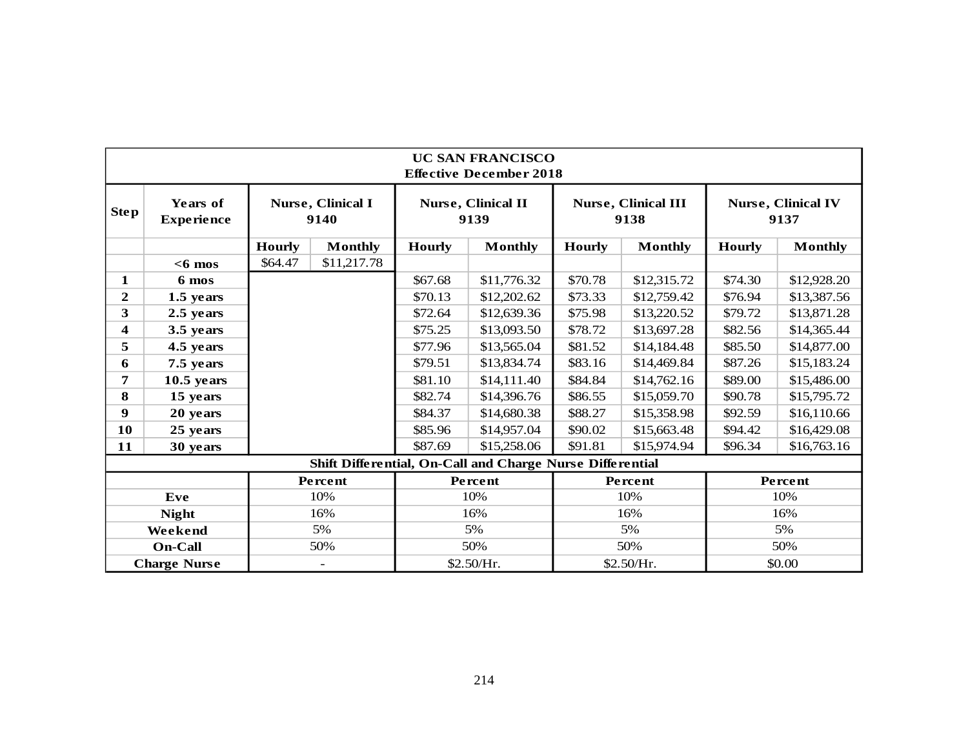|                  |                               |               |                           |               | <b>UC SAN FRANCISCO</b><br><b>Effective December 2018</b> |               |                                    |               |                                   |
|------------------|-------------------------------|---------------|---------------------------|---------------|-----------------------------------------------------------|---------------|------------------------------------|---------------|-----------------------------------|
| <b>Step</b>      | Years of<br><b>Experience</b> |               | Nurse, Clinical I<br>9140 |               | <b>Nurse, Clinical II</b><br>9139                         |               | <b>Nurse, Clinical III</b><br>9138 |               | <b>Nurse, Clinical IV</b><br>9137 |
|                  |                               | <b>Hourly</b> | <b>Monthly</b>            | <b>Hourly</b> | <b>Monthly</b>                                            | <b>Hourly</b> | <b>Monthly</b>                     | <b>Hourly</b> | <b>Monthly</b>                    |
|                  | $<$ 6 mos                     | \$64.47       | \$11,217.78               |               |                                                           |               |                                    |               |                                   |
| 1                | 6 mos                         |               |                           | \$67.68       | \$11,776.32                                               | \$70.78       | \$12,315.72                        | \$74.30       | \$12,928.20                       |
| $\mathbf{2}$     | 1.5 years                     |               |                           | \$70.13       | \$12,202.62                                               | \$73.33       | \$12,759.42                        | \$76.94       | \$13,387.56                       |
| 3                | 2.5 years                     |               |                           | \$72.64       | \$12,639.36                                               | \$75.98       | \$13,220.52                        | \$79.72       | \$13,871.28                       |
| 4                | 3.5 years                     |               |                           | \$75.25       | \$13,093.50                                               | \$78.72       | \$13,697.28                        | \$82.56       | \$14,365.44                       |
| 5                | 4.5 years                     |               |                           | \$77.96       | \$13,565.04                                               | \$81.52       | \$14,184.48                        | \$85.50       | \$14,877.00                       |
| 6                | 7.5 years                     |               |                           | \$79.51       | \$13,834.74                                               | \$83.16       | \$14,469.84                        | \$87.26       | \$15,183.24                       |
| $\overline{7}$   | $10.5$ years                  |               |                           | \$81.10       | \$14,111.40                                               | \$84.84       | \$14,762.16                        | \$89.00       | \$15,486.00                       |
| 8                | 15 years                      |               |                           | \$82.74       | \$14,396.76                                               | \$86.55       | \$15,059.70                        | \$90.78       | \$15,795.72                       |
| $\boldsymbol{9}$ | 20 years                      |               |                           | \$84.37       | \$14,680.38                                               | \$88.27       | \$15,358.98                        | \$92.59       | \$16,110.66                       |
| 10               | 25 years                      |               |                           | \$85.96       | \$14,957.04                                               | \$90.02       | \$15,663.48                        | \$94.42       | \$16,429.08                       |
| 11               | 30 years                      |               |                           | \$87.69       | \$15,258.06                                               | \$91.81       | \$15,974.94                        | \$96.34       | \$16,763.16                       |
|                  |                               |               |                           |               | Shift Differential, On-Call and Charge Nurse Differential |               |                                    |               |                                   |
|                  |                               |               | Percent                   |               | Percent                                                   |               | Percent                            |               | Percent                           |
|                  | Eve                           |               | 10%                       |               | 10%                                                       |               | 10%                                |               | 10%                               |
|                  | <b>Night</b>                  |               | 16%                       |               | 16%                                                       |               | 16%                                |               | 16%                               |
|                  | Weekend                       |               | 5%                        |               | 5%                                                        |               | 5%                                 |               | 5%                                |
|                  | <b>On-Call</b>                |               | 50%                       |               | 50%                                                       |               | 50%                                |               | 50%                               |
|                  | <b>Charge Nurse</b>           |               | $\overline{\phantom{a}}$  |               | \$2.50/Hr.                                                |               | \$2.50/Hr.                         |               | \$0.00                            |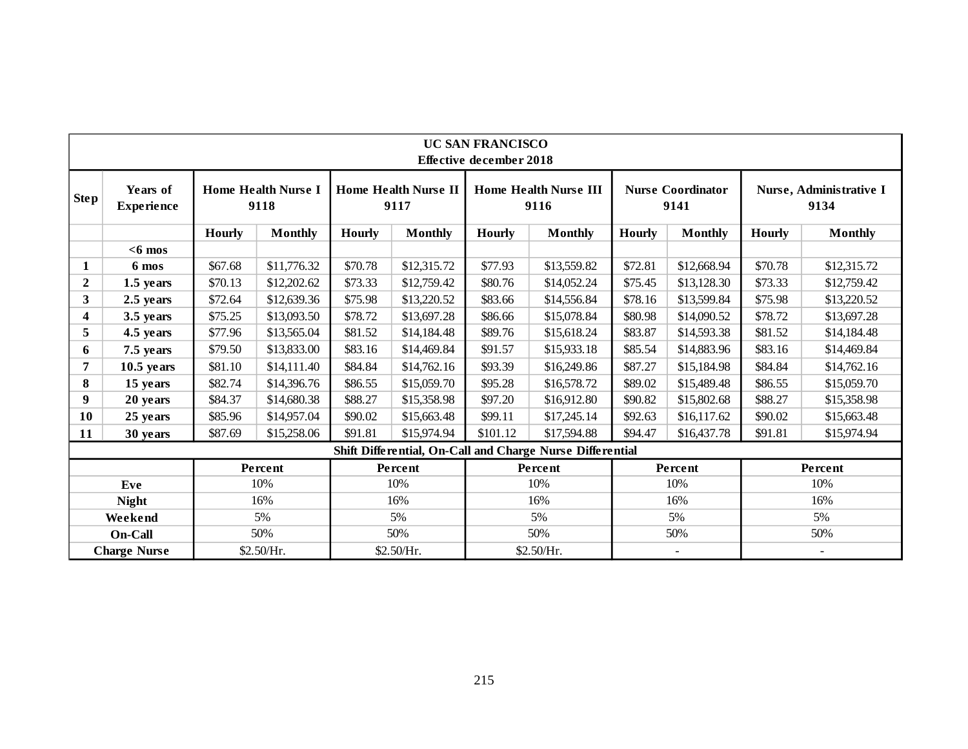|                  |                               |               |                                    |               |                                     | <b>UC SAN FRANCISCO</b><br><b>Effective december 2018</b> |                                                           |               |                                  |               |                                 |
|------------------|-------------------------------|---------------|------------------------------------|---------------|-------------------------------------|-----------------------------------------------------------|-----------------------------------------------------------|---------------|----------------------------------|---------------|---------------------------------|
| Step!            | Years of<br><b>Experience</b> |               | <b>Home Health Nurse I</b><br>9118 |               | <b>Home Health Nurse II</b><br>9117 |                                                           | <b>Home Health Nurse III</b><br>9116                      |               | <b>Nurse Coordinator</b><br>9141 |               | Nurse, Administrative I<br>9134 |
|                  |                               | <b>Hourly</b> | <b>Monthly</b>                     | <b>Hourly</b> | <b>Monthly</b>                      | <b>Hourly</b>                                             | <b>Monthly</b>                                            | <b>Hourly</b> | <b>Monthly</b>                   | <b>Hourly</b> | <b>Monthly</b>                  |
|                  | $<$ 6 mos                     |               |                                    |               |                                     |                                                           |                                                           |               |                                  |               |                                 |
| 1                | 6 mos                         | \$67.68       | \$11,776.32                        | \$70.78       | \$12,315.72                         | \$77.93                                                   | \$13,559.82                                               | \$72.81       | \$12,668.94                      | \$70.78       | \$12,315.72                     |
| $\boldsymbol{2}$ | 1.5 years                     | \$70.13       | \$12,202.62                        | \$73.33       | \$12,759.42                         | \$80.76                                                   | \$14,052.24                                               | \$75.45       | \$13,128.30                      | \$73.33       | \$12,759.42                     |
| 3                | 2.5 years                     | \$72.64       | \$12,639.36                        | \$75.98       | \$13,220.52                         | \$83.66                                                   | \$14,556.84                                               | \$78.16       | \$13,599.84                      | \$75.98       | \$13,220.52                     |
| 4                | 3.5 years                     | \$75.25       | \$13,093.50                        | \$78.72       | \$13,697.28                         | \$86.66                                                   | \$15,078.84                                               | \$80.98       | \$14,090.52                      | \$78.72       | \$13,697.28                     |
| 5                | 4.5 years                     | \$77.96       | \$13,565.04                        | \$81.52       | \$14,184.48                         | \$89.76                                                   | \$15,618.24                                               | \$83.87       | \$14,593.38                      | \$81.52       | \$14,184.48                     |
| 6                | 7.5 years                     | \$79.50       | \$13,833.00                        | \$83.16       | \$14,469.84                         | \$91.57                                                   | \$15,933.18                                               | \$85.54       | \$14,883.96                      | \$83.16       | \$14,469.84                     |
| 7                | $10.5$ years                  | \$81.10       | \$14,111.40                        | \$84.84       | \$14,762.16                         | \$93.39                                                   | \$16,249.86                                               | \$87.27       | \$15,184.98                      | \$84.84       | \$14,762.16                     |
| 8                | 15 years                      | \$82.74       | \$14,396.76                        | \$86.55       | \$15,059.70                         | \$95.28                                                   | \$16,578.72                                               | \$89.02       | \$15,489.48                      | \$86.55       | \$15,059.70                     |
| 9                | 20 years                      | \$84.37       | \$14,680.38                        | \$88.27       | \$15,358.98                         | \$97.20                                                   | \$16,912.80                                               | \$90.82       | \$15,802.68                      | \$88.27       | \$15,358.98                     |
| 10               | 25 years                      | \$85.96       | \$14,957.04                        | \$90.02       | \$15,663.48                         | \$99.11                                                   | \$17,245.14                                               | \$92.63       | \$16,117.62                      | \$90.02       | \$15,663.48                     |
| 11               | 30 years                      | \$87.69       | \$15,258.06                        | \$91.81       | \$15,974.94                         | \$101.12                                                  | \$17,594.88                                               | \$94.47       | \$16,437.78                      | \$91.81       | \$15,974.94                     |
|                  |                               |               |                                    |               |                                     |                                                           | Shift Differential, On-Call and Charge Nurse Differential |               |                                  |               |                                 |
|                  |                               |               | Percent                            |               | Percent                             |                                                           | Percent                                                   |               | Percent                          |               | Percent                         |
|                  | Eve                           |               | 10%                                |               | 10%                                 |                                                           | 10%                                                       |               | 10%                              |               | 10%                             |
|                  | <b>Night</b>                  |               | 16%                                |               | 16%                                 |                                                           | 16%                                                       |               | 16%                              |               | 16%                             |
|                  | Weekend                       |               | 5%                                 |               | 5%                                  |                                                           | 5%                                                        |               | 5%                               |               | 5%                              |
|                  | On-Call                       |               | 50%                                |               | 50%                                 |                                                           | 50%                                                       |               | 50%                              |               | 50%                             |
|                  | <b>Charge Nurse</b>           |               | \$2.50/Hr.                         |               | \$2.50/Hr.                          |                                                           | \$2.50/Hr.                                                |               | $\blacksquare$                   |               | $\overline{\phantom{a}}$        |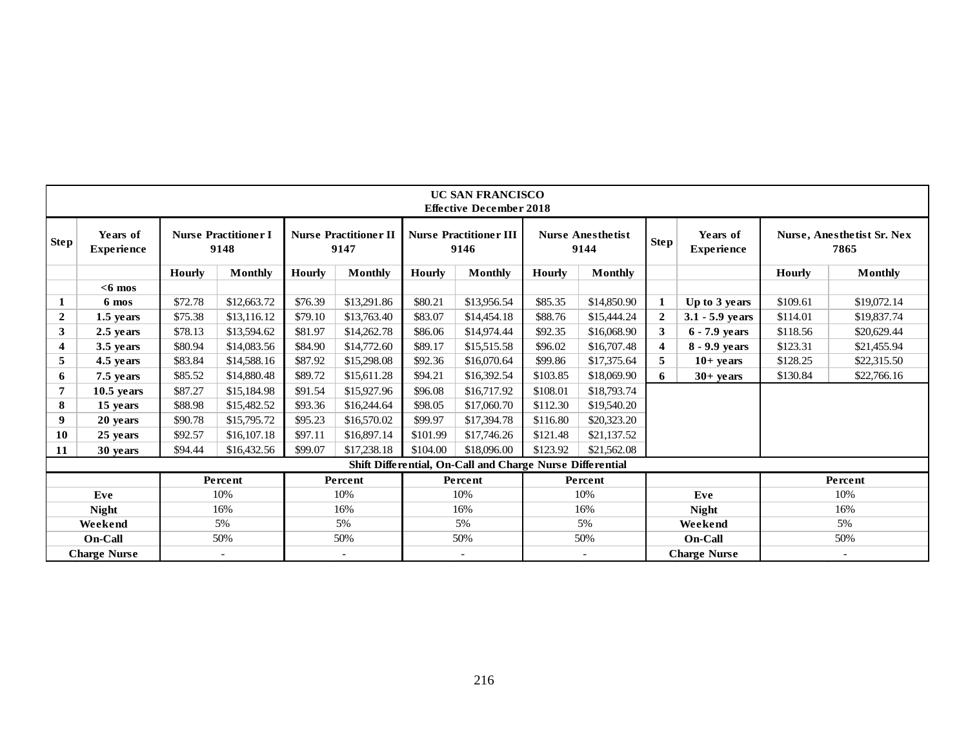|                   |                               |                                                                             |                |                                       |                |                                  | <b>UC SAN FRANCISCO</b><br><b>Effective December 2018</b> |                               |                |                                    |                     |               |                |
|-------------------|-------------------------------|-----------------------------------------------------------------------------|----------------|---------------------------------------|----------------|----------------------------------|-----------------------------------------------------------|-------------------------------|----------------|------------------------------------|---------------------|---------------|----------------|
| Step <sup>1</sup> | Years of<br><b>Experience</b> | <b>Nurse Practitioner I</b><br><b>Nurse Practitioner II</b><br>9147<br>9148 |                | <b>Nurse Practitioner III</b><br>9146 |                | <b>Nurse Anesthetist</b><br>9144 | Step <sup>1</sup>                                         | Years of<br><b>Experience</b> |                | Nurse, Anesthetist Sr. Nex<br>7865 |                     |               |                |
|                   |                               | Hourly                                                                      | <b>Monthly</b> | <b>Hourly</b>                         | <b>Monthly</b> | Hourly                           | <b>Monthly</b>                                            | Hourly                        | <b>Monthly</b> |                                    |                     | <b>Hourly</b> | <b>Monthly</b> |
|                   | $<$ 6 mos                     |                                                                             |                |                                       |                |                                  |                                                           |                               |                |                                    |                     |               |                |
| 1                 | 6 mos                         | \$72.78                                                                     | \$12,663.72    | \$76.39                               | \$13,291.86    | \$80.21                          | \$13,956.54                                               | \$85.35                       | \$14,850.90    | 1                                  | Up to 3 years       | \$109.61      | \$19,072.14    |
| $\mathbf{2}$      | 1.5 years                     | \$75.38                                                                     | \$13,116.12    | \$79.10                               | \$13,763.40    | \$83.07                          | \$14,454.18                                               | \$88.76                       | \$15,444.24    | $\overline{2}$                     | $3.1 - 5.9$ years   | \$114.01      | \$19,837.74    |
| 3 <sup>1</sup>    | 2.5 years                     | \$78.13                                                                     | \$13,594.62    | \$81.97                               | \$14,262.78    | \$86.06                          | \$14,974.44                                               | \$92.35                       | \$16,068.90    | 3                                  | $6 - 7.9$ years     | \$118.56      | \$20,629.44    |
| 4                 | 3.5 years                     | \$80.94                                                                     | \$14,083.56    | \$84.90                               | \$14,772.60    | \$89.17                          | \$15,515.58                                               | \$96.02                       | \$16,707.48    | $\overline{\mathbf{4}}$            | 8 - 9.9 years       | \$123.31      | \$21,455.94    |
| 5                 | 4.5 years                     | \$83.84                                                                     | \$14,588.16    | \$87.92                               | \$15,298.08    | \$92.36                          | \$16,070.64                                               | \$99.86                       | \$17,375.64    | 5                                  | $10+$ years         | \$128.25      | \$22,315.50    |
| 6                 | 7.5 years                     | \$85.52                                                                     | \$14,880.48    | \$89.72                               | \$15,611.28    | \$94.21                          | \$16,392.54                                               | \$103.85                      | \$18,069.90    | 6                                  | $30+$ years         | \$130.84      | \$22,766.16    |
| 7                 | $10.5$ years                  | \$87.27                                                                     | \$15,184.98    | \$91.54                               | \$15,927.96    | \$96.08                          | \$16,717.92                                               | \$108.01                      | \$18,793.74    |                                    |                     |               |                |
| 8                 | 15 years                      | \$88.98                                                                     | \$15,482.52    | \$93.36                               | \$16,244.64    | \$98.05                          | \$17,060.70                                               | \$112.30                      | \$19,540.20    |                                    |                     |               |                |
| 9                 | 20 years                      | \$90.78                                                                     | \$15,795.72    | \$95.23                               | \$16,570.02    | \$99.97                          | \$17,394.78                                               | \$116.80                      | \$20,323.20    |                                    |                     |               |                |
| 10                | 25 years                      | \$92.57                                                                     | \$16,107.18    | \$97.11                               | \$16,897.14    | \$101.99                         | \$17,746.26                                               | \$121.48                      | \$21,137.52    |                                    |                     |               |                |
| 11                | 30 years                      | \$94.44                                                                     | \$16,432.56    | \$99.07                               | \$17,238.18    | \$104.00                         | \$18,096.00                                               | \$123.92                      | \$21,562.08    |                                    |                     |               |                |
|                   |                               |                                                                             |                |                                       |                |                                  | Shift Differential, On-Call and Charge Nurse Differential |                               |                |                                    |                     |               |                |
|                   |                               |                                                                             | Percent        |                                       | Percent        |                                  | Percent                                                   |                               | Percent        |                                    |                     |               | Percent        |
|                   | Eve                           |                                                                             | 10%            |                                       | 10%            |                                  | 10%                                                       |                               | 10%            |                                    | Eve                 |               | 10%            |
|                   | <b>Night</b>                  |                                                                             | 16%            |                                       | 16%            |                                  | 16%                                                       |                               | 16%            |                                    | <b>Night</b>        |               | 16%            |
|                   | Weekend                       |                                                                             | 5%             |                                       | 5%             |                                  | 5%                                                        |                               | 5%             |                                    | Weekend             |               | 5%             |
|                   | <b>On-Call</b>                |                                                                             | 50%            |                                       | 50%            |                                  | 50%                                                       |                               | 50%            |                                    | <b>On-Call</b>      |               | 50%            |
|                   | <b>Charge Nurse</b>           |                                                                             |                |                                       |                |                                  |                                                           |                               |                |                                    | <b>Charge Nurse</b> |               |                |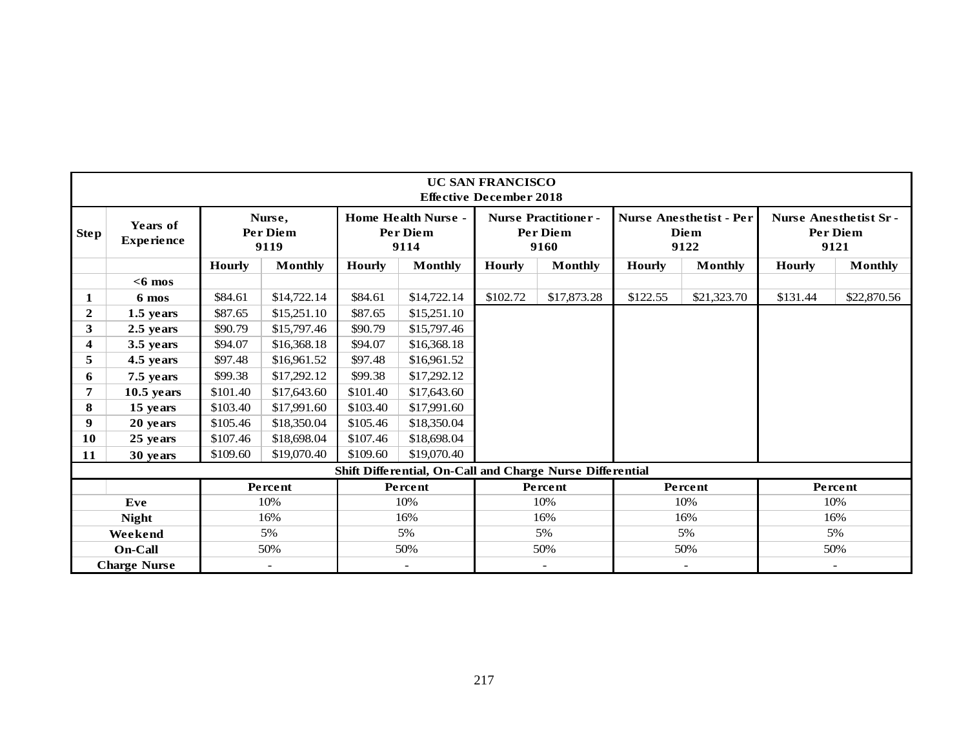|              |                               |               |                                   |               |                                                           | <b>UC SAN FRANCISCO</b><br><b>Effective December 2018</b> |                                                       |               |                                                       |               |                                                  |
|--------------|-------------------------------|---------------|-----------------------------------|---------------|-----------------------------------------------------------|-----------------------------------------------------------|-------------------------------------------------------|---------------|-------------------------------------------------------|---------------|--------------------------------------------------|
| <b>Step</b>  | Years of<br><b>Experience</b> |               | Nurse,<br><b>Per Diem</b><br>9119 |               | <b>Home Health Nurse -</b><br><b>Per Diem</b><br>9114     |                                                           | <b>Nurse Practitioner-</b><br><b>Per Diem</b><br>9160 |               | <b>Nurse Anesthetist - Per</b><br><b>Diem</b><br>9122 |               | <b>Nurse Anesthetist Sr-</b><br>Per Diem<br>9121 |
|              |                               | <b>Hourly</b> | <b>Monthly</b>                    | <b>Hourly</b> | <b>Monthly</b>                                            | <b>Hourly</b>                                             | <b>Monthly</b>                                        | <b>Hourly</b> | <b>Monthly</b>                                        | <b>Hourly</b> | <b>Monthly</b>                                   |
|              | $<$ 6 mos                     |               |                                   |               |                                                           |                                                           |                                                       |               |                                                       |               |                                                  |
| 1            | 6 mos                         | \$84.61       | \$14,722.14                       | \$84.61       | \$14,722.14                                               | \$102.72                                                  | \$17,873.28                                           | \$122.55      | \$21,323.70                                           | \$131.44      | \$22,870.56                                      |
| $\mathbf{2}$ | $1.5$ years                   | \$87.65       | \$15,251.10                       | \$87.65       | \$15,251.10                                               |                                                           |                                                       |               |                                                       |               |                                                  |
| 3            | 2.5 years                     | \$90.79       | \$15,797.46                       | \$90.79       | \$15,797.46                                               |                                                           |                                                       |               |                                                       |               |                                                  |
| 4            | 3.5 years                     | \$94.07       | \$16,368.18                       | \$94.07       | \$16,368.18                                               |                                                           |                                                       |               |                                                       |               |                                                  |
| 5            | 4.5 years                     | \$97.48       | \$16,961.52                       | \$97.48       | \$16,961.52                                               |                                                           |                                                       |               |                                                       |               |                                                  |
| 6            | 7.5 years                     | \$99.38       | \$17,292.12                       | \$99.38       | \$17,292.12                                               |                                                           |                                                       |               |                                                       |               |                                                  |
| 7            | $10.5$ years                  | \$101.40      | \$17,643.60                       | \$101.40      | \$17,643.60                                               |                                                           |                                                       |               |                                                       |               |                                                  |
| 8            | 15 years                      | \$103.40      | \$17,991.60                       | \$103.40      | \$17,991.60                                               |                                                           |                                                       |               |                                                       |               |                                                  |
| 9            | 20 years                      | \$105.46      | \$18,350.04                       | \$105.46      | \$18,350.04                                               |                                                           |                                                       |               |                                                       |               |                                                  |
| 10           | 25 years                      | \$107.46      | \$18,698.04                       | \$107.46      | \$18,698.04                                               |                                                           |                                                       |               |                                                       |               |                                                  |
| 11           | 30 years                      | \$109.60      | \$19,070.40                       | \$109.60      | \$19,070.40                                               |                                                           |                                                       |               |                                                       |               |                                                  |
|              |                               |               |                                   |               | Shift Differential, On-Call and Charge Nurse Differential |                                                           |                                                       |               |                                                       |               |                                                  |
|              |                               |               | Percent                           |               | Percent                                                   |                                                           | Percent                                               |               | Percent                                               |               | Percent                                          |
|              | Eve                           |               | 10%                               |               | 10%                                                       |                                                           | 10%                                                   |               | 10%                                                   |               | 10%                                              |
|              | <b>Night</b>                  |               | 16%                               |               | 16%                                                       |                                                           | 16%                                                   |               | 16%                                                   |               | 16%                                              |
|              | Weekend                       |               | 5%                                |               | 5%                                                        |                                                           | 5%                                                    |               | 5%                                                    |               | 5%                                               |
|              | <b>On-Call</b>                |               | 50%                               |               | 50%                                                       |                                                           | 50%                                                   |               | 50%                                                   |               | 50%                                              |
|              | <b>Charge Nurse</b>           |               | $\overline{\phantom{a}}$          |               |                                                           |                                                           | $\overline{\phantom{a}}$                              |               | $\overline{\phantom{a}}$                              |               | $\overline{\phantom{a}}$                         |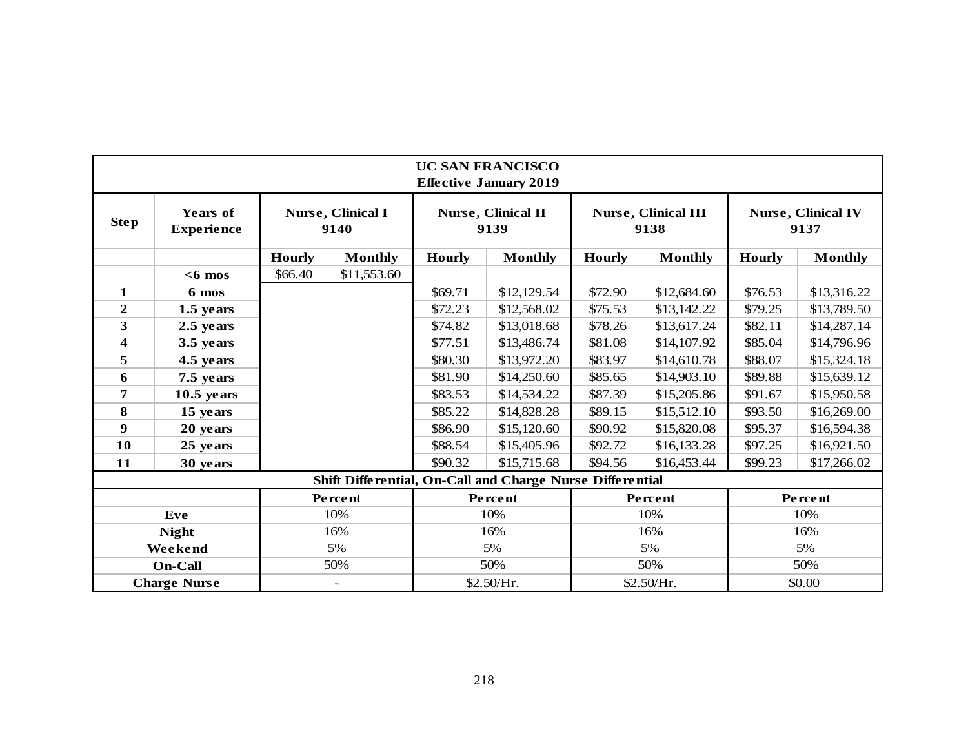|                         |                               |               |                           |               | <b>UC SAN FRANCISCO</b><br><b>Effective January 2019</b>  |               |                                    |               |                                   |
|-------------------------|-------------------------------|---------------|---------------------------|---------------|-----------------------------------------------------------|---------------|------------------------------------|---------------|-----------------------------------|
| <b>Step</b>             | Years of<br><b>Experience</b> |               | Nurse, Clinical I<br>9140 |               | <b>Nurse, Clinical II</b><br>9139                         |               | <b>Nurse, Clinical III</b><br>9138 |               | <b>Nurse, Clinical IV</b><br>9137 |
|                         |                               | <b>Hourly</b> | <b>Monthly</b>            | <b>Hourly</b> | <b>Monthly</b>                                            | <b>Hourly</b> | <b>Monthly</b>                     | <b>Hourly</b> | <b>Monthly</b>                    |
|                         | $<$ 6 mos                     | \$66.40       | \$11,553.60               |               |                                                           |               |                                    |               |                                   |
| $\mathbf{1}$            | 6 mos                         |               |                           | \$69.71       | \$12,129.54                                               | \$72.90       | \$12,684.60                        | \$76.53       | \$13,316.22                       |
| $\overline{2}$          | 1.5 years                     |               |                           | \$72.23       | \$12,568.02                                               | \$75.53       | \$13,142.22                        | \$79.25       | \$13,789.50                       |
| 3                       | 2.5 years                     |               |                           | \$74.82       | \$13,018.68                                               | \$78.26       | \$13,617.24                        | \$82.11       | \$14,287.14                       |
| $\overline{\mathbf{4}}$ | 3.5 years                     |               |                           | \$77.51       | \$13,486.74                                               | \$81.08       | \$14,107.92                        | \$85.04       | \$14,796.96                       |
| 5                       | 4.5 years                     |               |                           |               | \$13,972.20                                               | \$83.97       | \$14,610.78                        | \$88.07       | \$15,324.18                       |
| 6                       | 7.5 years                     |               |                           | \$81.90       | \$14,250.60                                               | \$85.65       | \$14,903.10                        | \$89.88       | \$15,639.12                       |
| 7                       | $10.5$ years                  |               |                           | \$83.53       | \$14,534.22                                               | \$87.39       | \$15,205.86                        | \$91.67       | \$15,950.58                       |
| 8                       | 15 years                      |               |                           | \$85.22       | \$14,828.28                                               | \$89.15       | \$15,512.10                        | \$93.50       | \$16,269.00                       |
| 9                       | 20 years                      |               |                           | \$86.90       | \$15,120.60                                               | \$90.92       | \$15,820.08                        | \$95.37       | \$16,594.38                       |
| 10                      | 25 years                      |               |                           | \$88.54       | \$15,405.96                                               | \$92.72       | \$16,133.28                        | \$97.25       | \$16,921.50                       |
| 11                      | 30 years                      |               |                           | \$90.32       | \$15,715.68                                               | \$94.56       | \$16,453.44                        | \$99.23       | \$17,266.02                       |
|                         |                               |               |                           |               | Shift Differential, On-Call and Charge Nurse Differential |               |                                    |               |                                   |
|                         |                               |               | Percent                   |               | Percent                                                   |               | Percent                            |               | Percent                           |
|                         | Eve                           |               | 10%                       |               | 10%                                                       |               | 10%                                |               | 10%                               |
|                         | <b>Night</b>                  |               | 16%                       |               | 16%                                                       |               | 16%                                |               | 16%                               |
|                         | Weekend                       |               | 5%                        |               | 5%                                                        |               | 5%                                 |               | 5%                                |
|                         | <b>On-Call</b>                |               | 50%                       |               | 50%                                                       |               | 50%                                |               | 50%                               |
|                         | <b>Charge Nurse</b>           |               | $\overline{\phantom{a}}$  |               | \$2.50/Hr.                                                | \$2.50/Hr.    |                                    | \$0.00        |                                   |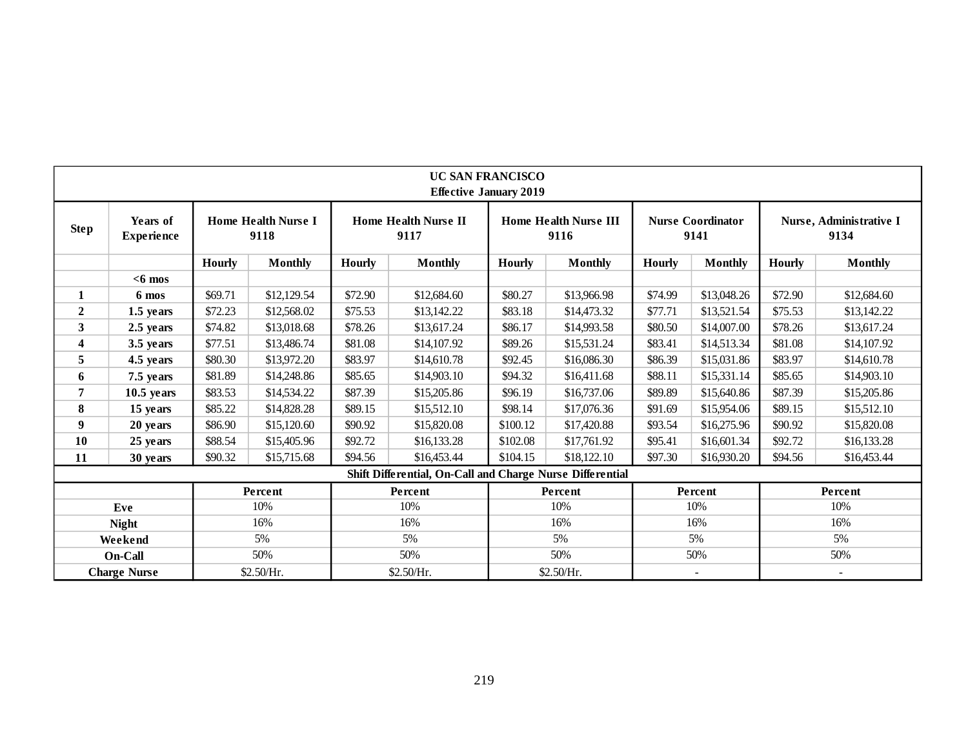|                  |                               |         |                                    |         |                                                           | <b>UC SAN FRANCISCO</b><br><b>Effective January 2019</b> |                                      |         |                                  |         |                                 |
|------------------|-------------------------------|---------|------------------------------------|---------|-----------------------------------------------------------|----------------------------------------------------------|--------------------------------------|---------|----------------------------------|---------|---------------------------------|
| <b>Step</b>      | Years of<br><b>Experience</b> |         | <b>Home Health Nurse I</b><br>9118 |         | <b>Home Health Nurse II</b><br>9117                       |                                                          | <b>Home Health Nurse III</b><br>9116 |         | <b>Nurse Coordinator</b><br>9141 |         | Nurse, Administrative I<br>9134 |
|                  |                               | Hourly  | <b>Monthly</b>                     | Hourly  | <b>Monthly</b>                                            | <b>Hourly</b>                                            | <b>Monthly</b>                       | Hourly  | <b>Monthly</b>                   | Hourly  | <b>Monthly</b>                  |
|                  | $<$ 6 mos                     |         |                                    |         |                                                           |                                                          |                                      |         |                                  |         |                                 |
| 1                | 6 mos                         | \$69.71 | \$12,129.54                        | \$72.90 | \$12,684.60                                               | \$80.27                                                  | \$13,966.98                          | \$74.99 | \$13,048.26                      | \$72.90 | \$12,684.60                     |
| $\boldsymbol{2}$ | 1.5 years                     | \$72.23 | \$12,568.02                        | \$75.53 | \$13,142.22                                               | \$83.18                                                  | \$14,473.32                          | \$77.71 | \$13,521.54                      | \$75.53 | \$13,142.22                     |
| 3                | 2.5 years                     | \$74.82 | \$13,018.68                        | \$78.26 | \$13,617.24                                               | \$86.17                                                  | \$14,993.58                          | \$80.50 | \$14,007.00                      | \$78.26 | \$13,617.24                     |
| 4                | 3.5 years                     | \$77.51 | \$13,486.74                        | \$81.08 | \$14,107.92                                               | \$89.26                                                  | \$15,531.24                          | \$83.41 | \$14,513.34                      | \$81.08 | \$14,107.92                     |
| 5                | 4.5 years                     | \$80.30 | \$13,972.20                        | \$83.97 | \$14,610.78                                               | \$92.45                                                  | \$16,086.30                          | \$86.39 | \$15,031.86                      | \$83.97 | \$14,610.78                     |
| 6                | 7.5 years                     | \$81.89 | \$14,248.86                        | \$85.65 | \$14,903.10                                               | \$94.32                                                  | \$16,411.68                          | \$88.11 | \$15,331.14                      | \$85.65 | \$14,903.10                     |
| 7                | $10.5$ years                  | \$83.53 | \$14,534.22                        | \$87.39 | \$15,205.86                                               | \$96.19                                                  | \$16,737.06                          | \$89.89 | \$15,640.86                      | \$87.39 | \$15,205.86                     |
| 8                | 15 years                      | \$85.22 | \$14,828.28                        | \$89.15 | \$15,512.10                                               | \$98.14                                                  | \$17,076.36                          | \$91.69 | \$15,954.06                      | \$89.15 | \$15,512.10                     |
| 9                | 20 years                      | \$86.90 | \$15,120.60                        | \$90.92 | \$15,820.08                                               | \$100.12                                                 | \$17,420.88                          | \$93.54 | \$16,275.96                      | \$90.92 | \$15,820.08                     |
| 10               | 25 years                      | \$88.54 | \$15,405.96                        | \$92.72 | \$16,133.28                                               | \$102.08                                                 | \$17,761.92                          | \$95.41 | \$16,601.34                      | \$92.72 | \$16,133.28                     |
| 11               | 30 years                      | \$90.32 | \$15,715.68                        | \$94.56 | \$16,453.44                                               | \$104.15                                                 | \$18,122.10                          | \$97.30 | \$16,930.20                      | \$94.56 | \$16,453.44                     |
|                  |                               |         |                                    |         | Shift Differential, On-Call and Charge Nurse Differential |                                                          |                                      |         |                                  |         |                                 |
|                  |                               |         | Percent                            |         | Percent                                                   |                                                          | Percent                              |         | Percent                          |         | Percent                         |
|                  | Eve                           |         | 10%                                |         | 10%                                                       |                                                          | 10%                                  |         | 10%                              |         | 10%                             |
|                  | <b>Night</b>                  |         | 16%                                |         | 16%                                                       |                                                          | 16%                                  |         | 16%                              |         | 16%                             |
|                  | Weekend                       |         | 5%                                 |         | 5%                                                        |                                                          | 5%                                   |         | 5%                               |         | 5%                              |
|                  | On-Call                       |         | 50%                                |         | 50%                                                       |                                                          | 50%                                  |         | 50%                              |         | 50%                             |
|                  | <b>Charge Nurse</b>           |         | \$2.50/Hr.                         |         | \$2.50/Hr.                                                |                                                          | \$2.50/Hr.                           |         |                                  |         |                                 |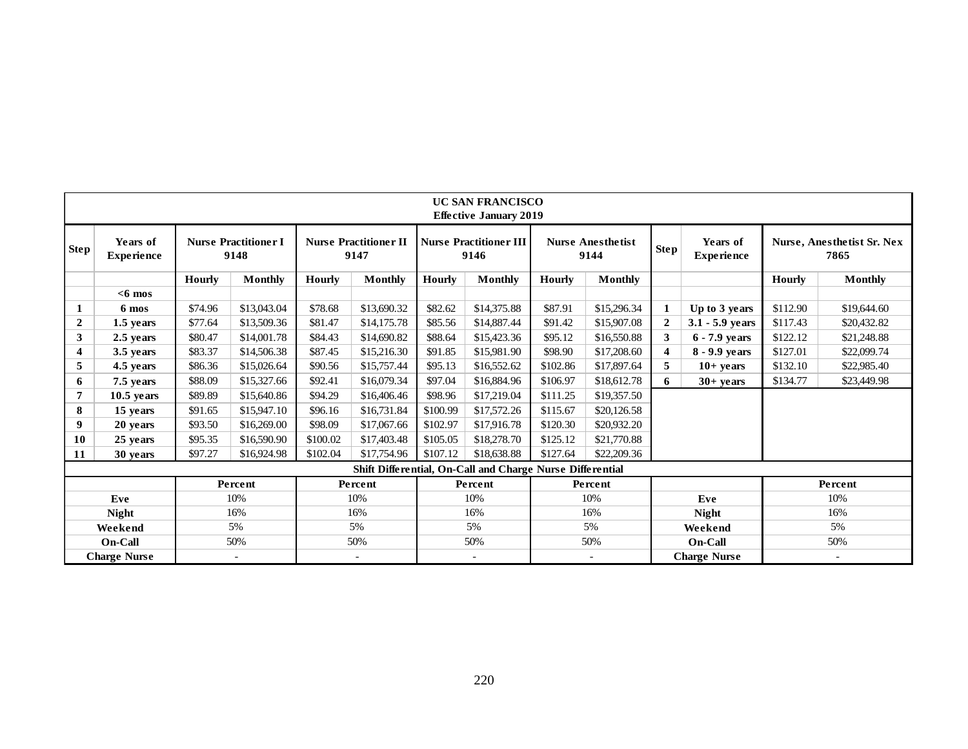|              |                               |         |                                                                   |                                      |                          |          | <b>UC SAN FRANCISCO</b><br><b>Effective January 2019</b>  |          |                                  |                |                               |          |                                           |
|--------------|-------------------------------|---------|-------------------------------------------------------------------|--------------------------------------|--------------------------|----------|-----------------------------------------------------------|----------|----------------------------------|----------------|-------------------------------|----------|-------------------------------------------|
| Step !       | Years of<br><b>Experience</b> |         | <b>Nurse Practitioner I</b><br>9148                               | <b>Nurse Practitioner II</b><br>9147 |                          |          | <b>Nurse Practitioner III</b><br>9146                     |          | <b>Nurse Anesthetist</b><br>9144 | <b>Step</b>    | Years of<br><b>Experience</b> |          | <b>Nurse, Anesthetist Sr. Nex</b><br>7865 |
|              |                               | Hourly  | Monthly                                                           | <b>Hourly</b>                        | Monthly                  | Hourly   | Monthly                                                   | Hourly   | <b>Monthly</b>                   |                |                               | Hourly   | Monthly                                   |
|              | $<$ 6 mos                     |         |                                                                   |                                      |                          |          |                                                           |          |                                  |                |                               |          |                                           |
| 1            | 6 mos                         | \$74.96 | \$13,043.04                                                       | \$78.68                              | \$13,690.32              | \$82.62  | \$14,375.88                                               | \$87.91  | \$15,296.34                      | 1              | Up to 3 years                 | \$112.90 | \$19,644.60                               |
| $\mathbf{2}$ | 1.5 years                     | \$77.64 | \$13,509.36                                                       | \$81.47                              | \$14,175.78              | \$85.56  | \$14,887.44                                               | \$91.42  | \$15,907.08                      | $\overline{2}$ | $3.1 - 5.9$ years             | \$117.43 | \$20,432.82                               |
| 3            | 2.5 years                     | \$80.47 | \$14,001.78                                                       | \$84.43                              | \$14,690.82              | \$88.64  | \$15,423.36                                               | \$95.12  | \$16,550.88                      | 3              | 6 - 7.9 years                 | \$122.12 | \$21,248.88                               |
| 4            | 3.5 years                     | \$83.37 | \$14,506.38                                                       | \$87.45                              | \$15,216.30              | \$91.85  | \$15,981.90                                               | \$98.90  | \$17,208.60                      | 4              | 8 - 9.9 years                 | \$127.01 | \$22,099.74                               |
| 5            | 4.5 years                     | \$86.36 | \$15,026.64                                                       | \$90.56                              | \$15,757.44              | \$95.13  | \$16,552.62                                               | \$102.86 | \$17,897.64                      | 5              | $10+$ years                   | \$132.10 | \$22,985.40                               |
| 6            | 7.5 years                     | \$88.09 | \$15,327.66                                                       | \$92.41                              | \$16,079.34              | \$97.04  | \$16,884.96                                               | \$106.97 | \$18,612.78                      | 6              | $30+$ vears                   | \$134.77 | \$23,449.98                               |
| 7            | $10.5$ vears                  | \$89.89 | \$15,640.86                                                       | \$94.29                              | \$16,406.46              | \$98.96  | \$17,219.04                                               | \$111.25 | \$19,357.50                      |                |                               |          |                                           |
| 8            | 15 years                      | \$91.65 | \$15,947.10                                                       | \$96.16                              | \$16,731.84              | \$100.99 | \$17,572.26                                               | \$115.67 | \$20,126.58                      |                |                               |          |                                           |
| 9            | 20 years                      | \$93.50 | \$16,269.00                                                       | \$98.09                              | \$17,067.66              | \$102.97 | \$17,916.78                                               | \$120.30 | \$20,932.20                      |                |                               |          |                                           |
| 10           | 25 years                      | \$95.35 | \$16,590.90                                                       | \$100.02                             | \$17,403.48              | \$105.05 | \$18,278.70                                               | \$125.12 | \$21,770.88                      |                |                               |          |                                           |
| 11           | 30 years                      | \$97.27 | \$16,924.98                                                       | \$102.04                             | \$17,754.96              | \$107.12 | \$18,638.88                                               | \$127.64 | \$22,209.36                      |                |                               |          |                                           |
|              |                               |         |                                                                   |                                      |                          |          | Shift Differential, On-Call and Charge Nurse Differential |          |                                  |                |                               |          |                                           |
|              |                               |         | Percent                                                           |                                      | Percent                  |          | Percent                                                   |          | Percent                          |                |                               |          | Percent                                   |
|              | Eve                           |         | 10%                                                               |                                      | 10%                      |          | 10%                                                       |          | 10%                              |                | Eve                           |          | 10%                                       |
|              | <b>Night</b>                  |         | 16%                                                               |                                      | 16%                      |          | 16%                                                       |          | 16%                              |                | <b>Night</b>                  |          | 16%                                       |
|              | Weekend                       |         | 5%                                                                |                                      | 5%                       |          | 5%                                                        |          | 5%                               |                | Weekend                       | 5%       |                                           |
|              | <b>On-Call</b>                |         | 50%                                                               |                                      | 50%                      |          | 50%                                                       |          | 50%                              |                | On-Call                       |          | 50%                                       |
|              | <b>Charge Nurse</b>           |         | <b>Charge Nurse</b><br>$\overline{\phantom{a}}$<br>$\overline{a}$ |                                      | $\overline{\phantom{a}}$ |          |                                                           |          |                                  |                |                               |          |                                           |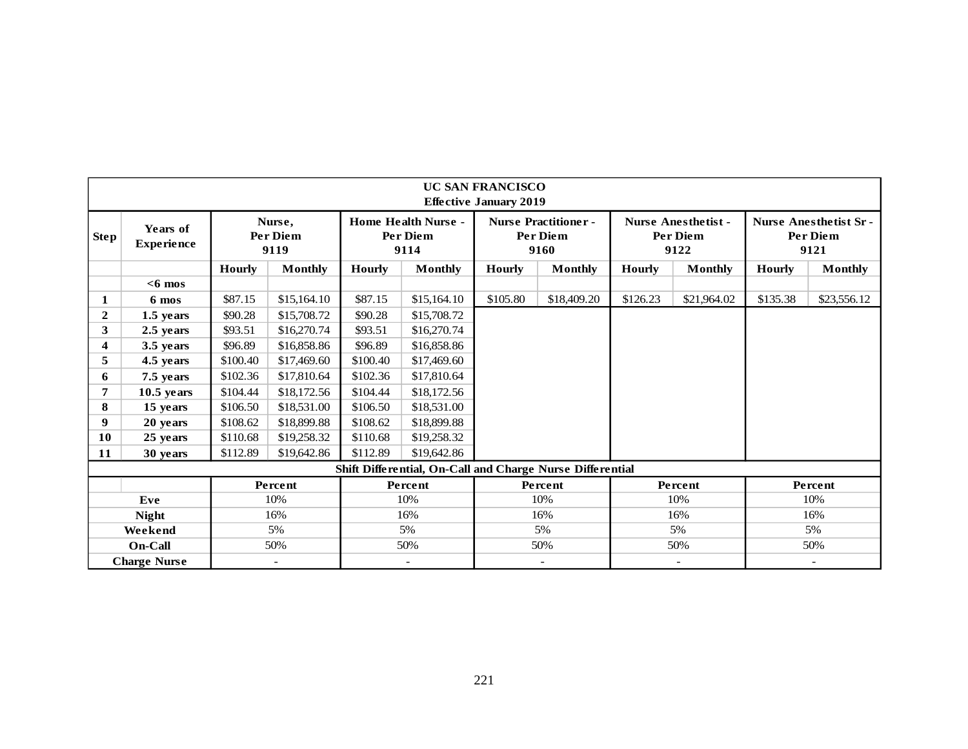|                                                                     |                               |          |                            |               |                                                           | <b>UC SAN FRANCISCO</b><br><b>Effective January 2019</b> |                                                        |          |                                                |               |                                                  |
|---------------------------------------------------------------------|-------------------------------|----------|----------------------------|---------------|-----------------------------------------------------------|----------------------------------------------------------|--------------------------------------------------------|----------|------------------------------------------------|---------------|--------------------------------------------------|
| <b>Step</b>                                                         | Years of<br><b>Experience</b> |          | Nurse,<br>Per Diem<br>9119 |               | <b>Home Health Nurse -</b><br>Per Diem<br>9114            |                                                          | <b>Nurse Practitioner -</b><br><b>Per Diem</b><br>9160 |          | <b>Nurse Anesthetist -</b><br>Per Diem<br>9122 |               | <b>Nurse Anesthetist Sr-</b><br>Per Diem<br>9121 |
|                                                                     |                               | Hourly   | <b>Monthly</b>             | <b>Hourly</b> | <b>Monthly</b>                                            | <b>Hourly</b>                                            | Monthly                                                | Hourly   | <b>Monthly</b>                                 | <b>Hourly</b> | <b>Monthly</b>                                   |
|                                                                     | $< 6$ mos                     |          |                            |               |                                                           |                                                          |                                                        |          |                                                |               |                                                  |
| 1                                                                   | 6 mos                         | \$87.15  | \$15,164.10                | \$87.15       | \$15,164.10                                               | \$105.80                                                 | \$18,409.20                                            | \$126.23 | \$21,964.02                                    | \$135.38      | \$23,556.12                                      |
| $\mathbf{2}$                                                        | 1.5 years                     | \$90.28  | \$15,708.72                | \$90.28       | \$15,708.72                                               |                                                          |                                                        |          |                                                |               |                                                  |
| 3                                                                   | 2.5 years                     | \$93.51  | \$16,270.74                | \$93.51       | \$16,270.74                                               |                                                          |                                                        |          |                                                |               |                                                  |
| $\overline{\mathbf{4}}$                                             | 3.5 years                     | \$96.89  | \$16,858.86                | \$96.89       | \$16,858.86                                               |                                                          |                                                        |          |                                                |               |                                                  |
| 5                                                                   | 4.5 years                     | \$100.40 | \$17,469.60                | \$100.40      | \$17,469.60                                               |                                                          |                                                        |          |                                                |               |                                                  |
| 6                                                                   | 7.5 years                     | \$102.36 | \$17,810.64                | \$102.36      | \$17,810.64                                               |                                                          |                                                        |          |                                                |               |                                                  |
| 7                                                                   | $10.5$ years                  | \$104.44 | \$18,172.56                | \$104.44      | \$18,172.56                                               |                                                          |                                                        |          |                                                |               |                                                  |
| 8                                                                   | 15 years                      | \$106.50 | \$18,531.00                | \$106.50      | \$18,531.00                                               |                                                          |                                                        |          |                                                |               |                                                  |
| 9                                                                   | 20 years                      | \$108.62 | \$18,899.88                | \$108.62      | \$18,899.88                                               |                                                          |                                                        |          |                                                |               |                                                  |
| 10                                                                  | 25 years                      | \$110.68 | \$19,258.32                | \$110.68      | \$19,258.32                                               |                                                          |                                                        |          |                                                |               |                                                  |
| 11                                                                  | 30 years                      | \$112.89 | \$19,642.86                | \$112.89      | \$19,642.86                                               |                                                          |                                                        |          |                                                |               |                                                  |
|                                                                     |                               |          |                            |               | Shift Differential, On-Call and Charge Nurse Differential |                                                          |                                                        |          |                                                |               |                                                  |
|                                                                     |                               |          | Percent                    |               | Percent                                                   |                                                          | Percent                                                |          | Percent                                        |               | Percent                                          |
|                                                                     | Eve                           |          | 10%                        |               | 10%                                                       |                                                          | 10%                                                    |          | 10%                                            |               | 10%                                              |
|                                                                     | <b>Night</b>                  |          | 16%                        |               | 16%                                                       |                                                          | 16%                                                    |          | 16%                                            |               | 16%                                              |
|                                                                     | Weekend                       |          | 5%                         |               | 5%                                                        |                                                          | 5%                                                     |          | 5%                                             |               | 5%                                               |
|                                                                     | <b>On-Call</b>                |          | 50%                        |               | 50%                                                       |                                                          | 50%                                                    |          | 50%                                            |               | 50%                                              |
| <b>Charge Nurse</b><br>$\sim$<br>$\overline{\phantom{a}}$<br>$\sim$ |                               |          |                            |               | $-$                                                       |                                                          | $\overline{\phantom{a}}$                               |          |                                                |               |                                                  |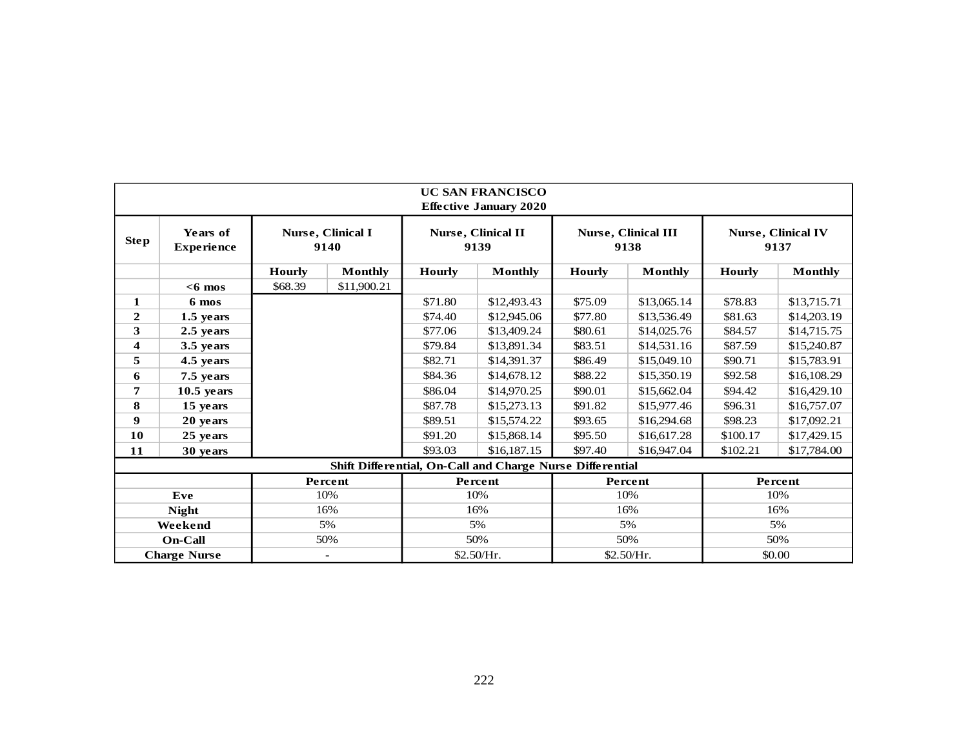|              |                               |               |                           |               | <b>UC SAN FRANCISCO</b><br><b>Effective January 2020</b>  |               |                                    |               |                                   |
|--------------|-------------------------------|---------------|---------------------------|---------------|-----------------------------------------------------------|---------------|------------------------------------|---------------|-----------------------------------|
| <b>Step</b>  | Years of<br><b>Experience</b> |               | Nurse, Clinical I<br>9140 |               | Nurse, Clinical II<br>9139                                |               | <b>Nurse, Clinical III</b><br>9138 |               | <b>Nurse, Clinical IV</b><br>9137 |
|              |                               | <b>Hourly</b> | <b>Monthly</b>            | <b>Hourly</b> | <b>Monthly</b>                                            | <b>Hourly</b> | <b>Monthly</b>                     | <b>Hourly</b> | <b>Monthly</b>                    |
|              | $<$ 6 mos                     | \$68.39       | \$11,900.21               |               |                                                           |               |                                    |               |                                   |
| 1            | 6 mos                         |               |                           | \$71.80       | \$12,493.43                                               | \$75.09       | \$13,065.14                        | \$78.83       | \$13,715.71                       |
| $\mathbf{2}$ | 1.5 years                     |               |                           | \$74.40       | \$12,945.06                                               | \$77.80       | \$13,536.49                        | \$81.63       | \$14,203.19                       |
| 3            | 2.5 years                     |               |                           | \$77.06       | \$13,409.24                                               | \$80.61       | \$14,025.76                        | \$84.57       | \$14,715.75                       |
| 4            | 3.5 years                     |               |                           | \$79.84       | \$13,891.34                                               | \$83.51       | \$14,531.16                        | \$87.59       | \$15,240.87                       |
| 5            | 4.5 years                     |               |                           | \$82.71       | \$14,391.37                                               | \$86.49       | \$15,049.10                        | \$90.71       | \$15,783.91                       |
| 6            | 7.5 years                     |               |                           | \$84.36       | \$14,678.12                                               | \$88.22       | \$15,350.19                        | \$92.58       | \$16,108.29                       |
| 7            | $10.5$ years                  |               |                           | \$86.04       | \$14,970.25                                               | \$90.01       | \$15,662.04                        | \$94.42       | \$16,429.10                       |
| 8            | 15 years                      |               |                           | \$87.78       | \$15,273.13                                               | \$91.82       | \$15,977.46                        | \$96.31       | \$16,757.07                       |
| 9            | 20 years                      |               |                           | \$89.51       | \$15,574.22                                               | \$93.65       | \$16,294.68                        | \$98.23       | \$17,092.21                       |
| 10           | 25 years                      |               |                           | \$91.20       | \$15,868.14                                               | \$95.50       | \$16,617.28                        | \$100.17      | \$17,429.15                       |
| 11           | 30 years                      |               |                           | \$93.03       | \$16,187.15                                               | \$97.40       | \$16,947.04                        | \$102.21      | \$17,784.00                       |
|              |                               |               |                           |               | Shift Differential, On-Call and Charge Nurse Differential |               |                                    |               |                                   |
|              |                               |               | Percent                   |               | Percent                                                   |               | Percent                            |               | Percent                           |
|              | Eve                           |               | 10%                       |               | 10%                                                       |               | 10%                                |               | 10%                               |
|              | <b>Night</b>                  |               | 16%                       |               | 16%                                                       |               | 16%                                |               | 16%                               |
|              | Weekend                       |               | 5%                        |               | 5%                                                        |               | 5%                                 |               | 5%                                |
|              | On-Call                       |               | 50%                       |               | 50%                                                       |               | 50%                                |               | 50%                               |
|              | <b>Charge Nurse</b>           |               | $\overline{\phantom{a}}$  |               | \$2.50/Hr.                                                | \$2.50/Hr.    |                                    | \$0.00        |                                   |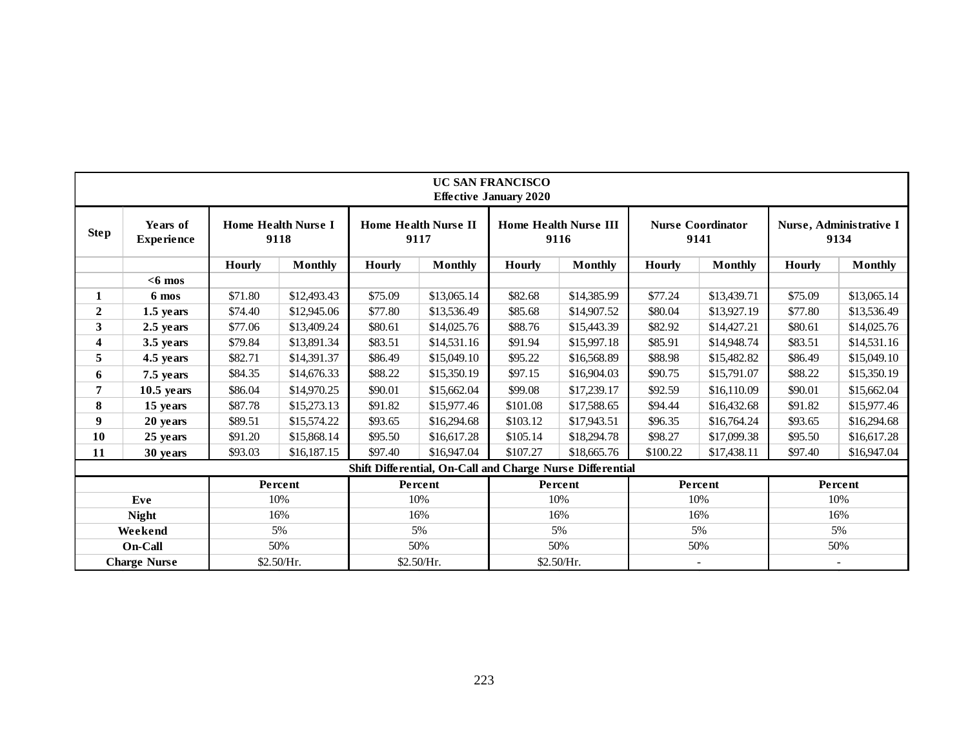|                  |                               |               |                                    |               |                                     | <b>UC SAN FRANCISCO</b><br><b>Effective January 2020</b> |                                                           |               |                                  |               |                                 |
|------------------|-------------------------------|---------------|------------------------------------|---------------|-------------------------------------|----------------------------------------------------------|-----------------------------------------------------------|---------------|----------------------------------|---------------|---------------------------------|
| <b>Step</b>      | Years of<br><b>Experience</b> |               | <b>Home Health Nurse I</b><br>9118 |               | <b>Home Health Nurse II</b><br>9117 |                                                          | <b>Home Health Nurse III</b><br>9116                      |               | <b>Nurse Coordinator</b><br>9141 |               | Nurse, Administrative I<br>9134 |
|                  |                               | <b>Hourly</b> | Monthly                            | <b>Hourly</b> | <b>Monthly</b>                      | <b>Hourly</b>                                            | <b>Monthly</b>                                            | <b>Hourly</b> | Monthly                          | <b>Hourly</b> | <b>Monthly</b>                  |
|                  | $<$ 6 mos                     |               |                                    |               |                                     |                                                          |                                                           |               |                                  |               |                                 |
| 1                | 6 mos                         | \$71.80       | \$12,493.43                        | \$75.09       | \$13,065.14                         | \$82.68                                                  | \$14,385.99                                               | \$77.24       | \$13,439.71                      | \$75.09       | \$13,065.14                     |
| $\boldsymbol{2}$ | 1.5 years                     | \$74.40       | \$12,945.06                        | \$77.80       | \$13,536.49                         | \$85.68                                                  | \$14,907.52                                               | \$80.04       | \$13,927.19                      | \$77.80       | \$13,536.49                     |
| 3                | 2.5 years                     | \$77.06       | \$13,409.24                        | \$80.61       | \$14,025.76                         | \$88.76                                                  | \$15,443.39                                               | \$82.92       | \$14,427.21                      | \$80.61       | \$14,025.76                     |
| 4                | 3.5 years                     | \$79.84       | \$13,891.34                        | \$83.51       | \$14,531.16                         | \$91.94                                                  | \$15,997.18                                               | \$85.91       | \$14,948.74                      | \$83.51       | \$14,531.16                     |
| 5                | 4.5 years                     | \$82.71       | \$14,391.37                        | \$86.49       | \$15,049.10                         | \$95.22                                                  | \$16,568.89                                               | \$88.98       | \$15,482.82                      | \$86.49       | \$15,049.10                     |
| 6                | 7.5 years                     | \$84.35       | \$14,676.33                        | \$88.22       | \$15,350.19                         | \$97.15                                                  | \$16,904.03                                               | \$90.75       | \$15,791.07                      | \$88.22       | \$15,350.19                     |
| 7                | $10.5$ years                  | \$86.04       | \$14,970.25                        | \$90.01       | \$15,662.04                         | \$99.08                                                  | \$17,239.17                                               | \$92.59       | \$16,110.09                      | \$90.01       | \$15,662.04                     |
| 8                | 15 years                      | \$87.78       | \$15,273.13                        | \$91.82       | \$15,977.46                         | \$101.08                                                 | \$17,588.65                                               | \$94.44       | \$16,432.68                      | \$91.82       | \$15,977.46                     |
| 9                | 20 years                      | \$89.51       | \$15,574.22                        | \$93.65       | \$16,294.68                         | \$103.12                                                 | \$17,943.51                                               | \$96.35       | \$16,764.24                      | \$93.65       | \$16,294.68                     |
| 10               | 25 years                      | \$91.20       | \$15,868.14                        | \$95.50       | \$16,617.28                         | \$105.14                                                 | \$18,294.78                                               | \$98.27       | \$17,099.38                      | \$95.50       | \$16,617.28                     |
| 11               | 30 years                      | \$93.03       | \$16,187.15                        | \$97.40       | \$16,947.04                         | \$107.27                                                 | \$18,665.76                                               | \$100.22      | \$17,438.11                      | \$97.40       | \$16,947.04                     |
|                  |                               |               |                                    |               |                                     |                                                          | Shift Differential, On-Call and Charge Nurse Differential |               |                                  |               |                                 |
|                  |                               |               | Percent                            |               | Percent                             |                                                          | Percent                                                   |               | Percent                          |               | Percent                         |
|                  | Eve                           |               | 10%                                |               | 10%                                 |                                                          | 10%                                                       |               | 10%                              |               | 10%                             |
|                  | <b>Night</b>                  |               | 16%                                |               | 16%                                 |                                                          | 16%                                                       |               | 16%                              |               | 16%                             |
|                  | Weekend                       |               | 5%                                 |               | 5%                                  |                                                          | 5%                                                        |               | 5%                               |               | 5%                              |
|                  | <b>On-Call</b>                |               | 50%                                |               | 50%                                 |                                                          | 50%                                                       |               | 50%                              |               | 50%                             |
|                  | <b>Charge Nurse</b>           |               | \$2.50/Hr.                         |               | \$2.50/Hr.                          |                                                          | \$2.50/Hr.                                                |               | $\overline{\phantom{a}}$         |               | $\overline{\phantom{a}}$        |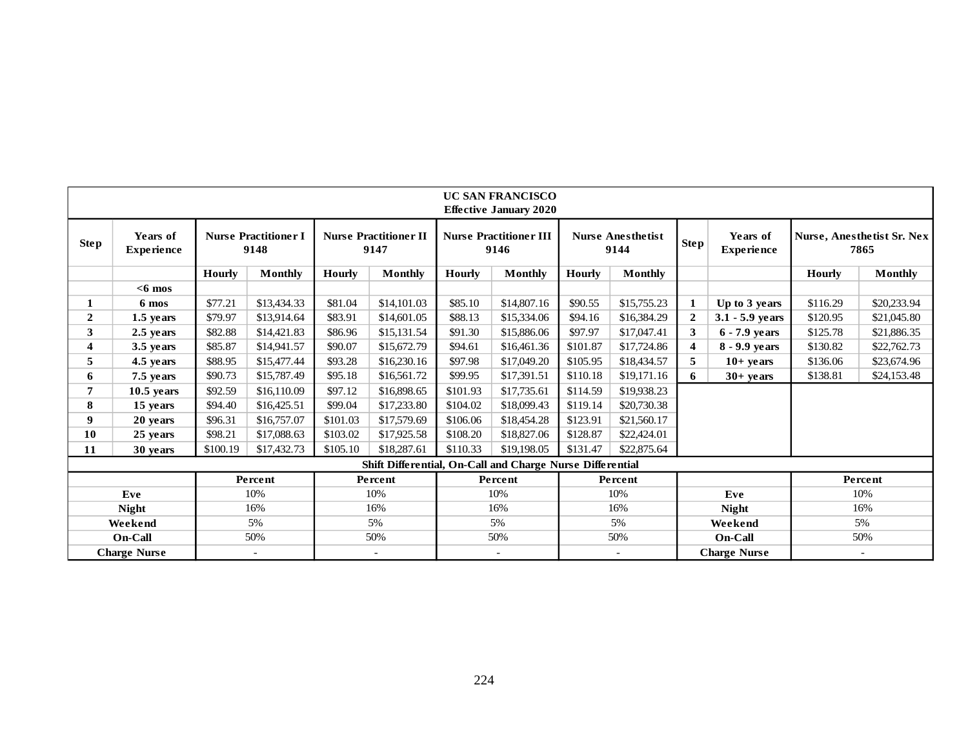|                  |                               |               |                                     |               |                                                           |               | <b>UC SAN FRANCISCO</b><br><b>Effective January 2020</b> |               |                                  |                         |                               |               |                                    |
|------------------|-------------------------------|---------------|-------------------------------------|---------------|-----------------------------------------------------------|---------------|----------------------------------------------------------|---------------|----------------------------------|-------------------------|-------------------------------|---------------|------------------------------------|
| <b>Step</b>      | Years of<br><b>Experience</b> |               | <b>Nurse Practitioner I</b><br>9148 |               | <b>Nurse Practitioner II</b><br>9147                      |               | <b>Nurse Practitioner III</b><br>9146                    |               | <b>Nurse Anesthetist</b><br>9144 | Step <sup>1</sup>       | Years of<br><b>Experience</b> |               | Nurse, Anesthetist Sr. Nex<br>7865 |
|                  |                               | <b>Hourly</b> | <b>Monthly</b>                      | <b>Hourly</b> | <b>Monthly</b>                                            | <b>Hourly</b> | Monthly                                                  | <b>Hourly</b> | <b>Monthly</b>                   |                         |                               | <b>Hourly</b> | <b>Monthly</b>                     |
|                  | $<$ 6 mos                     |               |                                     |               |                                                           |               |                                                          |               |                                  |                         |                               |               |                                    |
| 1                | 6 mos                         | \$77.21       | \$13,434.33                         | \$81.04       | \$14,101.03                                               | \$85.10       | \$14,807.16                                              | \$90.55       | \$15,755.23                      |                         | Up to 3 years                 | \$116.29      | \$20,233.94                        |
| $\boldsymbol{2}$ | 1.5 years                     | \$79.97       | \$13.914.64                         | \$83.91       | \$14,601.05                                               | \$88.13       | \$15,334.06                                              | \$94.16       | \$16,384.29                      | $\overline{2}$          | $3.1 - 5.9$ years             | \$120.95      | \$21,045.80                        |
| 3                | 2.5 years                     | \$82.88       | \$14,421.83                         | \$86.96       | \$15,131.54                                               | \$91.30       | \$15,886.06                                              | \$97.97       | \$17,047.41                      | $\mathbf{3}$            | 6 - 7.9 years                 | \$125.78      | \$21,886.35                        |
| 4                | 3.5 years                     | \$85.87       | \$14,941.57                         | \$90.07       | \$15,672.79                                               | \$94.61       | \$16,461.36                                              | \$101.87      | \$17,724.86                      | $\overline{\mathbf{4}}$ | 8 - 9.9 years                 | \$130.82      | \$22,762.73                        |
| 5                | 4.5 years                     | \$88.95       | \$15,477.44                         | \$93.28       | \$16,230.16                                               | \$97.98       | \$17,049.20                                              | \$105.95      | \$18,434.57                      | 5                       | $10+$ years                   | \$136.06      | \$23,674.96                        |
| 6                | 7.5 years                     | \$90.73       | \$15,787.49                         | \$95.18       | \$16,561.72                                               | \$99.95       | \$17,391.51                                              | \$110.18      | \$19,171.16                      | 6                       | $30 + years$                  | \$138.81      | \$24,153.48                        |
| 7                | $10.5$ years                  | \$92.59       | \$16,110.09                         | \$97.12       | \$16,898.65                                               | \$101.93      | \$17,735.61                                              | \$114.59      | \$19,938.23                      |                         |                               |               |                                    |
| 8                | 15 years                      | \$94.40       | \$16,425.51                         | \$99.04       | \$17,233.80                                               | \$104.02      | \$18,099.43                                              | \$119.14      | \$20,730.38                      |                         |                               |               |                                    |
| 9                | 20 years                      | \$96.31       | \$16,757.07                         | \$101.03      | \$17,579.69                                               | \$106.06      | \$18,454.28                                              | \$123.91      | \$21,560.17                      |                         |                               |               |                                    |
| 10               | 25 years                      | \$98.21       | \$17,088.63                         | \$103.02      | \$17,925.58                                               | \$108.20      | \$18,827.06                                              | \$128.87      | \$22,424.01                      |                         |                               |               |                                    |
| 11               | 30 years                      | \$100.19      | \$17,432.73                         | \$105.10      | \$18,287.61                                               | \$110.33      | \$19,198.05                                              | \$131.47      | \$22,875.64                      |                         |                               |               |                                    |
|                  |                               |               |                                     |               | Shift Differential, On-Call and Charge Nurse Differential |               |                                                          |               |                                  |                         |                               |               |                                    |
|                  |                               |               | Percent                             |               | Percent                                                   |               | Percent                                                  |               | Percent                          |                         |                               |               | Percent                            |
|                  | Eve                           |               | 10%                                 |               | 10%                                                       |               | 10%                                                      |               | 10%                              |                         | Eve                           |               | 10%                                |
|                  | <b>Night</b>                  |               | 16%                                 |               | 16%                                                       |               | 16%                                                      |               | 16%                              |                         | <b>Night</b>                  |               | 16%                                |
|                  | Weekend                       |               | 5%                                  |               | 5%                                                        |               | 5%                                                       |               | 5%                               |                         | Weekend                       |               | 5%                                 |
|                  | On-Call                       |               | 50%                                 |               | 50%                                                       |               | 50%                                                      |               | 50%                              |                         | <b>On-Call</b>                |               | 50%                                |
|                  | <b>Charge Nurse</b>           |               | $\overline{\phantom{a}}$            |               | $\overline{\phantom{a}}$                                  |               |                                                          |               |                                  |                         | <b>Charge Nurse</b>           |               |                                    |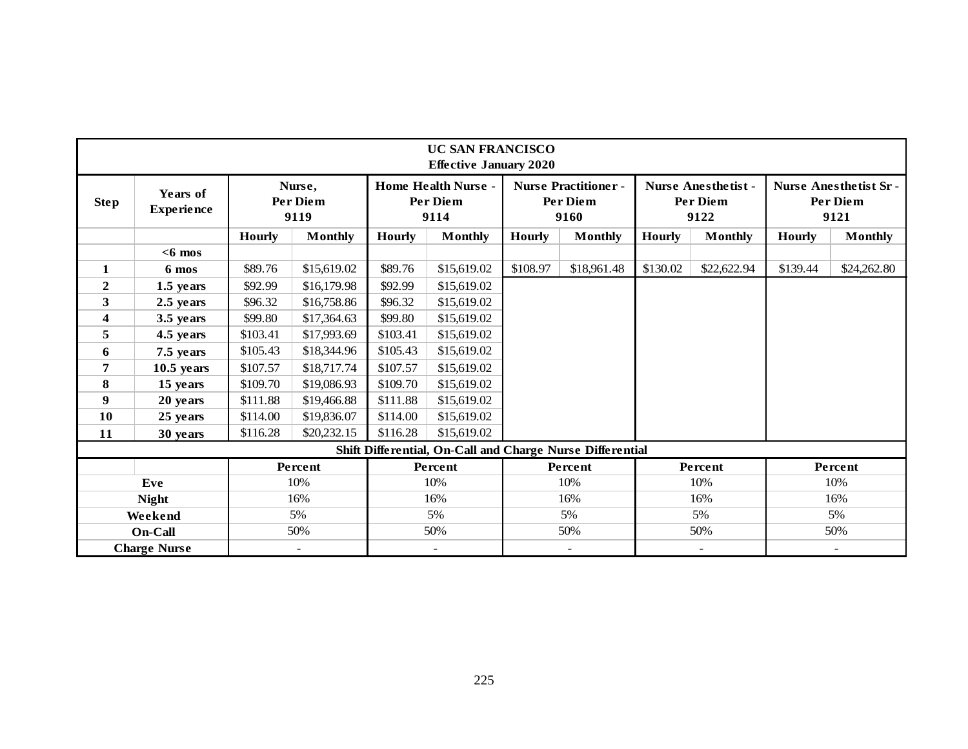| <b>Step</b><br>$\mathbf{1}$ | Years of<br><b>Experience</b><br>$<$ 6 mos | <b>Hourly</b> | Nurse,<br>Per Diem<br>9119 |               | <b>Home Health Nurse -</b>                                |               |                                                |               |                                               |               |                                                  |  |  |  |
|-----------------------------|--------------------------------------------|---------------|----------------------------|---------------|-----------------------------------------------------------|---------------|------------------------------------------------|---------------|-----------------------------------------------|---------------|--------------------------------------------------|--|--|--|
|                             |                                            |               |                            |               | Per Diem<br>9114                                          |               | <b>Nurse Practitioner-</b><br>Per Diem<br>9160 |               | <b>Nurse Anesthetist-</b><br>Per Diem<br>9122 |               | <b>Nurse Anesthetist Sr-</b><br>Per Diem<br>9121 |  |  |  |
|                             |                                            |               | <b>Monthly</b>             | <b>Hourly</b> | <b>Monthly</b>                                            | <b>Hourly</b> | <b>Monthly</b>                                 | <b>Hourly</b> | <b>Monthly</b>                                | <b>Hourly</b> | <b>Monthly</b>                                   |  |  |  |
|                             |                                            |               |                            |               |                                                           |               |                                                |               |                                               |               |                                                  |  |  |  |
|                             | 6 mos                                      | \$89.76       | \$15,619.02                | \$89.76       | \$15,619.02                                               | \$108.97      | \$18,961.48                                    | \$130.02      | \$22,622.94                                   | \$139.44      | \$24,262.80                                      |  |  |  |
| $\overline{2}$              | 1.5 years                                  | \$92.99       | \$16,179.98                | \$92.99       | \$15,619.02                                               |               |                                                |               |                                               |               |                                                  |  |  |  |
| 3                           | 2.5 years                                  | \$96.32       | \$16,758.86                | \$96.32       | \$15,619.02                                               |               |                                                |               |                                               |               |                                                  |  |  |  |
| $\boldsymbol{4}$            | 3.5 years                                  | \$99.80       | \$17,364.63                | \$99.80       | \$15,619.02                                               |               |                                                |               |                                               |               |                                                  |  |  |  |
| 5                           | 4.5 years                                  | \$103.41      | \$17,993.69                | \$103.41      | \$15,619.02                                               |               |                                                |               |                                               |               |                                                  |  |  |  |
| 6                           | 7.5 years                                  | \$105.43      | \$18,344.96                | \$105.43      | \$15,619.02                                               |               |                                                |               |                                               |               |                                                  |  |  |  |
| 7                           | $10.5$ years                               | \$107.57      | \$18,717.74                | \$107.57      | \$15,619.02                                               |               |                                                |               |                                               |               |                                                  |  |  |  |
| 8                           | 15 years                                   | \$109.70      | \$19,086.93                | \$109.70      | \$15,619.02                                               |               |                                                |               |                                               |               |                                                  |  |  |  |
| $\boldsymbol{9}$            | 20 years                                   | \$111.88      | \$19,466.88                | \$111.88      | \$15,619.02                                               |               |                                                |               |                                               |               |                                                  |  |  |  |
| 10                          | 25 years                                   | \$114.00      | \$19,836.07                | \$114.00      | \$15,619.02                                               |               |                                                |               |                                               |               |                                                  |  |  |  |
| 11                          | 30 years                                   | \$116.28      | \$20,232.15                | \$116.28      | \$15,619.02                                               |               |                                                |               |                                               |               |                                                  |  |  |  |
|                             |                                            |               |                            |               | Shift Differential, On-Call and Charge Nurse Differential |               |                                                |               |                                               |               |                                                  |  |  |  |
|                             |                                            |               | Percent                    |               | Percent                                                   |               | Percent                                        |               | Percent                                       |               | Percent                                          |  |  |  |
| Eve                         |                                            |               | 10%                        |               | 10%                                                       |               | 10%                                            |               | 10%                                           |               | 10%                                              |  |  |  |
| <b>Night</b>                |                                            |               | 16%                        |               | 16%                                                       | 16%           |                                                |               | 16%                                           |               | 16%                                              |  |  |  |
| Weekend                     |                                            |               | 5%                         |               | 5%                                                        |               | 5%                                             |               | 5%                                            |               | 5%                                               |  |  |  |
| <b>On-Call</b>              |                                            |               | 50%                        |               | 50%                                                       |               | 50%                                            |               | 50%                                           |               | 50%                                              |  |  |  |
| <b>Charge Nurse</b>         |                                            |               | $\overline{\phantom{a}}$   |               | $\blacksquare$                                            |               | $\overline{\phantom{a}}$                       |               | $\overline{a}$                                |               |                                                  |  |  |  |
|                             |                                            |               |                            |               |                                                           |               |                                                |               |                                               |               |                                                  |  |  |  |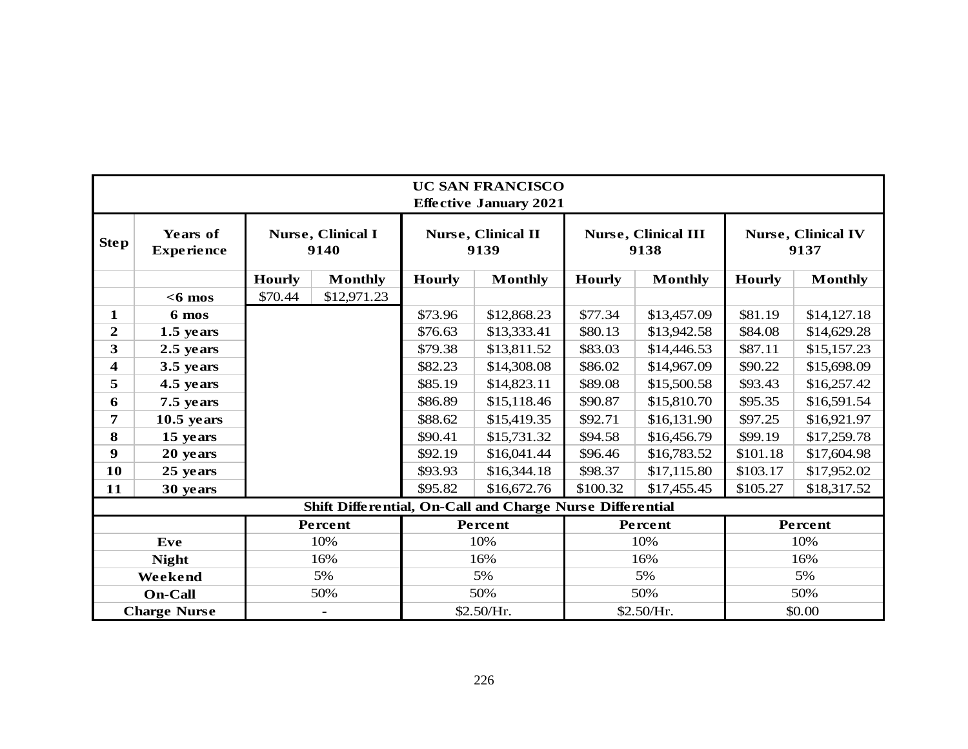|                                      | <b>UC SAN FRANCISCO</b><br><b>Effective January 2021</b> |                                                  |         |         |                                                           |                        |                                    |               |                                   |  |  |  |  |  |
|--------------------------------------|----------------------------------------------------------|--------------------------------------------------|---------|---------|-----------------------------------------------------------|------------------------|------------------------------------|---------------|-----------------------------------|--|--|--|--|--|
| <b>Step</b>                          | Years of<br><b>Experience</b>                            | Nurse, Clinical I<br>9140                        |         |         | <b>Nurse, Clinical II</b><br>9139                         |                        | <b>Nurse, Clinical III</b><br>9138 |               | <b>Nurse, Clinical IV</b><br>9137 |  |  |  |  |  |
|                                      |                                                          | <b>Hourly</b><br><b>Monthly</b><br><b>Hourly</b> |         |         | <b>Monthly</b>                                            | <b>Hourly</b>          | <b>Monthly</b>                     | <b>Hourly</b> | <b>Monthly</b>                    |  |  |  |  |  |
|                                      | $<$ 6 mos                                                | \$70.44<br>\$12,971.23                           |         |         |                                                           |                        |                                    |               |                                   |  |  |  |  |  |
| 1                                    | 6 mos                                                    |                                                  |         | \$73.96 | \$12,868.23                                               | \$77.34                | \$13,457.09                        | \$81.19       | \$14,127.18                       |  |  |  |  |  |
| $\overline{2}$                       | 1.5 years                                                |                                                  |         | \$76.63 | \$13,333.41                                               | \$80.13                | \$13,942.58                        | \$84.08       | \$14,629.28                       |  |  |  |  |  |
| 3                                    | 2.5 years                                                |                                                  |         | \$79.38 | \$13,811.52                                               | \$83.03                | \$14,446.53                        | \$87.11       | \$15,157.23                       |  |  |  |  |  |
| $\overline{\mathbf{4}}$<br>3.5 years |                                                          |                                                  |         | \$82.23 | \$14,308.08                                               | \$86.02                | \$14,967.09                        | \$90.22       | \$15,698.09                       |  |  |  |  |  |
| 5                                    | 4.5 years                                                |                                                  |         | \$85.19 | \$14,823.11                                               | \$89.08                | \$15,500.58                        | \$93.43       | \$16,257.42                       |  |  |  |  |  |
| 6                                    | 7.5 years                                                |                                                  |         | \$86.89 | \$15,118.46                                               | \$90.87                | \$15,810.70                        | \$95.35       | \$16,591.54                       |  |  |  |  |  |
| 7                                    | $10.5$ years                                             |                                                  |         | \$88.62 | \$15,419.35                                               | \$92.71                | \$16,131.90                        | \$97.25       | \$16,921.97                       |  |  |  |  |  |
| 8                                    | 15 years                                                 |                                                  |         | \$90.41 | \$15,731.32                                               | \$94.58<br>\$16,456.79 |                                    | \$99.19       | \$17,259.78                       |  |  |  |  |  |
| 9                                    | 20 years                                                 |                                                  |         | \$92.19 | \$16,041.44                                               | \$96.46                | \$16,783.52                        | \$101.18      | \$17,604.98                       |  |  |  |  |  |
| 10                                   | 25 years                                                 |                                                  |         | \$93.93 | \$16,344.18                                               | \$98.37                | \$17,115.80                        | \$103.17      | \$17,952.02                       |  |  |  |  |  |
| 11                                   | 30 years                                                 |                                                  |         | \$95.82 | \$16,672.76                                               | \$100.32               | \$17,455.45                        | \$105.27      | \$18,317.52                       |  |  |  |  |  |
|                                      |                                                          |                                                  |         |         | Shift Differential, On-Call and Charge Nurse Differential |                        |                                    |               |                                   |  |  |  |  |  |
|                                      |                                                          |                                                  | Percent |         | Percent                                                   |                        | Percent                            |               | Percent                           |  |  |  |  |  |
| Eve                                  |                                                          |                                                  | 10%     |         | 10%                                                       |                        | 10%                                |               | 10%                               |  |  |  |  |  |
| <b>Night</b>                         |                                                          |                                                  | 16%     | 16%     |                                                           | 16%                    |                                    | 16%           |                                   |  |  |  |  |  |
| 5%<br>Weekend                        |                                                          |                                                  |         |         | 5%                                                        | 5%                     |                                    | 5%            |                                   |  |  |  |  |  |
| 50%<br><b>On-Call</b>                |                                                          |                                                  |         |         | 50%                                                       |                        | 50%                                | 50%           |                                   |  |  |  |  |  |
|                                      | <b>Charge Nurse</b>                                      |                                                  |         |         | \$2.50/Hr.                                                |                        | \$2.50/Hr.                         | \$0.00        |                                   |  |  |  |  |  |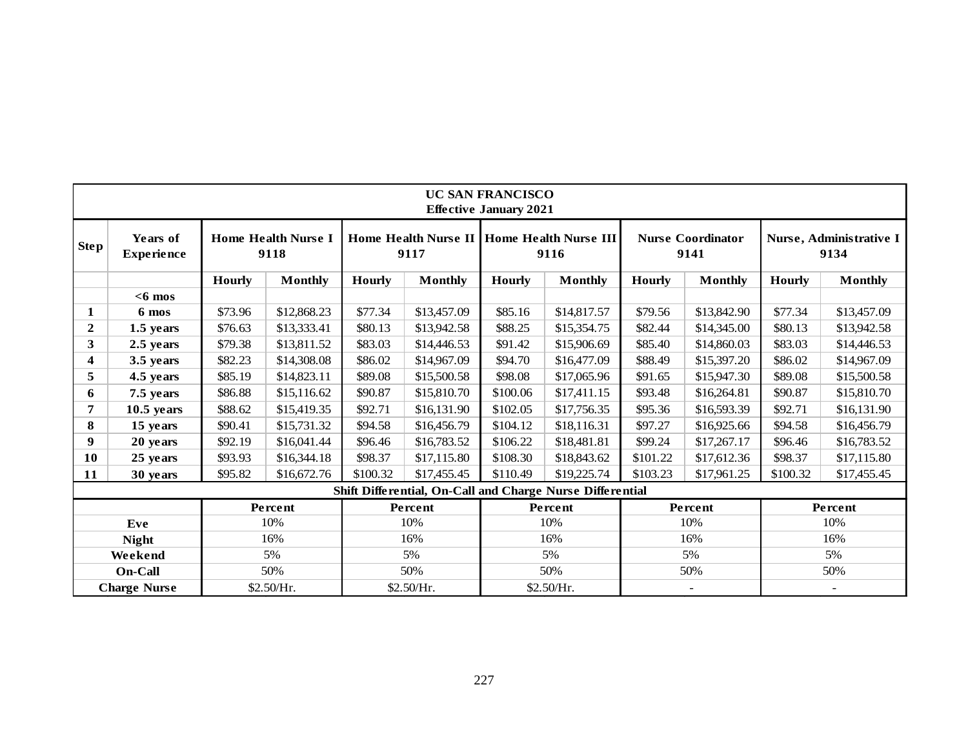|                     | <b>UC SAN FRANCISCO</b><br><b>Effective January 2021</b> |               |                                    |               |                |                        |                                                           |               |                                  |               |                                 |  |  |  |
|---------------------|----------------------------------------------------------|---------------|------------------------------------|---------------|----------------|------------------------|-----------------------------------------------------------|---------------|----------------------------------|---------------|---------------------------------|--|--|--|
| <b>Step</b>         | Years of<br><b>Experience</b>                            |               | <b>Home Health Nurse I</b><br>9118 |               | 9117           |                        | Home Health Nurse II   Home Health Nurse III<br>9116      |               | <b>Nurse Coordinator</b><br>9141 |               | Nurse, Administrative I<br>9134 |  |  |  |
|                     |                                                          | <b>Hourly</b> | <b>Monthly</b>                     | <b>Hourly</b> | <b>Monthly</b> | <b>Hourly</b>          | <b>Monthly</b>                                            | <b>Hourly</b> | <b>Monthly</b>                   | <b>Hourly</b> | <b>Monthly</b>                  |  |  |  |
|                     | $<$ 6 mos                                                |               |                                    |               |                |                        |                                                           |               |                                  |               |                                 |  |  |  |
| $\mathbf{1}$        | 6 mos                                                    | \$73.96       | \$12,868.23                        | \$77.34       | \$13,457.09    | \$85.16                | \$14,817.57                                               | \$79.56       | \$13,842.90                      | \$77.34       | \$13,457.09                     |  |  |  |
| $\mathbf{2}$        | 1.5 years                                                | \$76.63       | \$13,333.41                        | \$80.13       | \$13,942.58    | \$88.25<br>\$15,354.75 |                                                           | \$82.44       | \$14,345.00                      | \$80.13       | \$13,942.58                     |  |  |  |
| 3                   | 2.5 years                                                | \$79.38       | \$13,811.52                        | \$83.03       | \$14,446.53    | \$91.42<br>\$15,906.69 |                                                           | \$85.40       | \$14,860.03                      | \$83.03       | \$14,446.53                     |  |  |  |
| 4                   | 3.5 years                                                | \$82.23       | \$14,308.08                        | \$86.02       | \$14,967.09    | \$94.70                | \$16,477.09                                               | \$88.49       | \$15,397.20                      | \$86.02       | \$14,967.09                     |  |  |  |
| 5                   | 4.5 years                                                | \$85.19       | \$14,823.11                        | \$89.08       | \$15,500.58    | \$98.08                | \$17,065.96                                               | \$91.65       | \$15,947.30                      | \$89.08       | \$15,500.58                     |  |  |  |
| 6                   | 7.5 years                                                | \$86.88       | \$15,116.62                        | \$90.87       | \$15,810.70    | \$100.06               | \$17,411.15                                               | \$93.48       | \$16,264.81                      | \$90.87       | \$15,810.70                     |  |  |  |
| 7                   | $10.5$ years                                             | \$88.62       | \$15,419.35                        | \$92.71       | \$16,131.90    | \$102.05               | \$17,756.35                                               | \$95.36       | \$16,593.39                      | \$92.71       | \$16,131.90                     |  |  |  |
| 8                   | 15 years                                                 | \$90.41       | \$15,731.32                        | \$94.58       | \$16,456.79    | \$104.12               | \$18,116.31                                               | \$97.27       | \$16,925.66                      | \$94.58       | \$16,456.79                     |  |  |  |
| 9                   | 20 years                                                 | \$92.19       | \$16,041.44                        | \$96.46       | \$16,783.52    | \$106.22               | \$18,481.81                                               | \$99.24       | \$17,267.17                      | \$96.46       | \$16,783.52                     |  |  |  |
| 10                  | 25 years                                                 | \$93.93       | \$16,344.18                        | \$98.37       | \$17,115.80    | \$108.30               | \$18,843.62                                               | \$101.22      | \$17,612.36                      | \$98.37       | \$17,115.80                     |  |  |  |
| 11                  | 30 years                                                 | \$95.82       | \$16,672.76                        | \$100.32      | \$17,455.45    | \$110.49               | \$19,225.74                                               | \$103.23      | \$17,961.25                      | \$100.32      | \$17,455.45                     |  |  |  |
|                     |                                                          |               |                                    |               |                |                        | Shift Differential, On-Call and Charge Nurse Differential |               |                                  |               |                                 |  |  |  |
|                     |                                                          |               | Percent                            |               | Percent        |                        | Percent                                                   |               | Percent                          |               | Percent                         |  |  |  |
|                     | Eve                                                      |               | 10%                                |               | 10%            |                        | 10%                                                       |               | 10%                              |               | 10%                             |  |  |  |
|                     | <b>Night</b>                                             |               | 16%                                |               | 16%            |                        | 16%                                                       |               | 16%                              |               | 16%                             |  |  |  |
|                     | Weekend                                                  |               | 5%                                 |               | 5%             |                        | 5%                                                        |               | 5%                               |               | 5%                              |  |  |  |
| On-Call             |                                                          |               | 50%                                |               | 50%            |                        | 50%                                                       | 50%           |                                  | 50%           |                                 |  |  |  |
| <b>Charge Nurse</b> |                                                          |               | \$2.50/Hr.                         |               | \$2.50/Hr.     |                        | \$2.50/Hr.                                                |               | $\blacksquare$                   |               | $\sim$                          |  |  |  |
|                     |                                                          |               |                                    |               |                | 227                    |                                                           |               |                                  |               |                                 |  |  |  |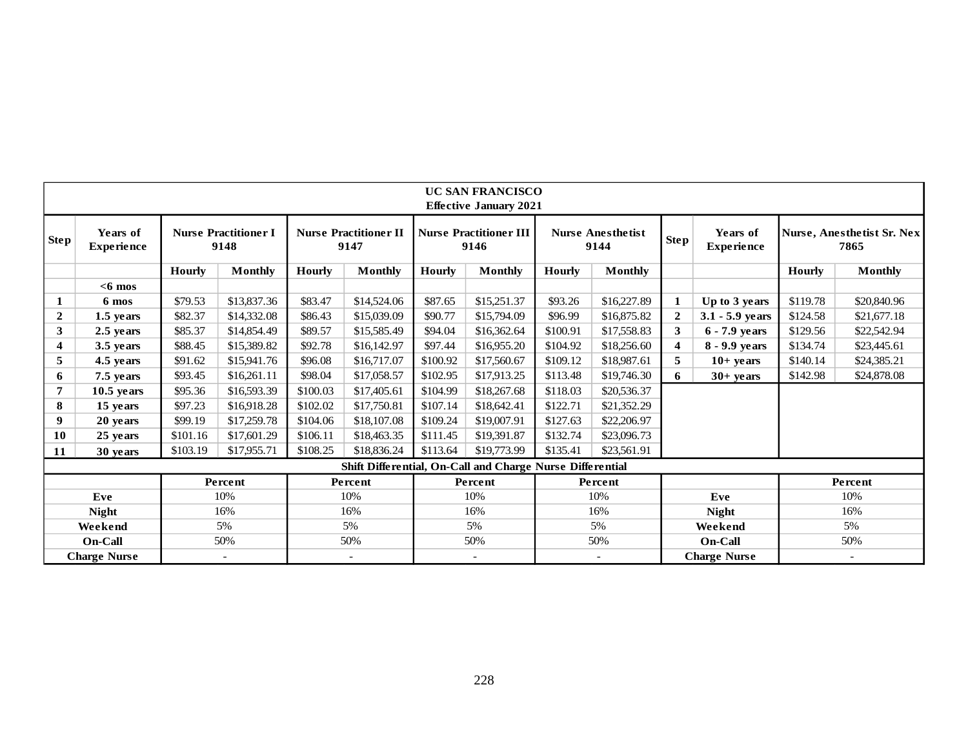|                | <b>UC SAN FRANCISCO</b><br><b>Effective January 2021</b> |                                     |                |                                      |                                                           |               |                                       |               |                                  |                         |                               |          |                                    |  |  |
|----------------|----------------------------------------------------------|-------------------------------------|----------------|--------------------------------------|-----------------------------------------------------------|---------------|---------------------------------------|---------------|----------------------------------|-------------------------|-------------------------------|----------|------------------------------------|--|--|
| Step           | Years of<br><b>Experience</b>                            | <b>Nurse Practitioner I</b><br>9148 |                | <b>Nurse Practitioner II</b><br>9147 |                                                           |               | <b>Nurse Practitioner III</b><br>9146 |               | <b>Nurse Anesthetist</b><br>9144 | <b>Step</b>             | Years of<br><b>Experience</b> |          | Nurse, Anesthetist Sr. Nex<br>7865 |  |  |
|                |                                                          | <b>Hourly</b>                       | <b>Monthly</b> | <b>Hourly</b>                        | <b>Monthly</b>                                            | <b>Hourly</b> | <b>Monthly</b>                        | <b>Hourly</b> | <b>Monthly</b>                   |                         |                               | Hourly   | <b>Monthly</b>                     |  |  |
|                | $<$ 6 mos                                                |                                     |                |                                      |                                                           |               |                                       |               |                                  |                         |                               |          |                                    |  |  |
|                | 6 mos                                                    | \$79.53                             | \$13,837.36    | \$83.47                              | \$14,524.06                                               | \$87.65       | \$15,251.37                           | \$93.26       | \$16,227.89                      | 1                       | Up to 3 years                 | \$119.78 | \$20,840.96                        |  |  |
| $\mathbf{2}$   | 1.5 years                                                | \$82.37                             | \$14,332.08    | \$86.43                              | \$15,039.09                                               | \$90.77       | \$15,794.09                           | \$96.99       | \$16,875.82                      | $\mathbf{2}$            | $3.1 - 5.9$ years             | \$124.58 | \$21,677.18                        |  |  |
| 3<br>2.5 years |                                                          | \$85.37                             | \$14,854.49    | \$89.57                              | \$15,585.49                                               | \$94.04       | \$16,362.64                           | \$100.91      | \$17,558.83                      | 3                       | 6 - 7.9 years                 | \$129.56 | \$22,542.94                        |  |  |
| 4              | 3.5 years                                                | \$88.45                             | \$15,389.82    | \$92.78                              | \$16,142.97                                               | \$97.44       | \$16,955.20                           | \$104.92      | \$18,256.60                      | $\overline{\mathbf{4}}$ | 8 - 9.9 years                 | \$134.74 | \$23,445.61                        |  |  |
| 5              | 4.5 years                                                | \$91.62                             | \$15,941.76    | \$96.08                              | \$16,717.07                                               | \$100.92      | \$17,560.67                           | \$109.12      | \$18,987.61                      | 5                       | $10+$ years                   | \$140.14 | \$24,385.21                        |  |  |
| 6              | 7.5 years                                                | \$93.45                             | \$16,261.11    | \$98.04                              | \$17,058.57                                               | \$102.95      | \$17,913.25                           | \$113.48      | \$19,746.30                      | 6                       | $30+$ years                   | \$142.98 | \$24,878.08                        |  |  |
|                | $10.5$ years                                             | \$95.36                             | \$16,593.39    | \$100.03                             | \$17,405.61                                               | \$104.99      | \$18,267.68                           | \$118.03      | \$20,536.37                      |                         |                               |          |                                    |  |  |
| 8              | 15 years                                                 | \$97.23                             | \$16,918.28    | \$102.02                             | \$17,750.81                                               | \$107.14      | \$18,642.41                           | \$122.71      | \$21,352.29                      |                         |                               |          |                                    |  |  |
| 9              | 20 years                                                 | \$99.19                             | \$17,259.78    | \$104.06                             | \$18,107.08                                               | \$109.24      | \$19,007.91                           | \$127.63      | \$22,206.97                      |                         |                               |          |                                    |  |  |
| 10             | 25 years                                                 | \$101.16                            | \$17,601.29    | \$106.11                             | \$18,463.35                                               | \$111.45      | \$19,391.87                           | \$132.74      | \$23,096.73                      |                         |                               |          |                                    |  |  |
| 11             | 30 years                                                 | \$103.19                            | \$17,955.71    | \$108.25                             | \$18,836.24                                               | \$113.64      | \$19,773.99                           | \$135.41      | \$23,561.91                      |                         |                               |          |                                    |  |  |
|                |                                                          |                                     |                |                                      | Shift Differential, On-Call and Charge Nurse Differential |               |                                       |               |                                  |                         |                               |          |                                    |  |  |
|                |                                                          |                                     | Percent        |                                      | Percent                                                   |               | Percent                               |               | Percent                          |                         |                               |          | Percent                            |  |  |
| Eve            |                                                          |                                     | 10%            |                                      | 10%                                                       |               | 10%                                   |               | 10%                              |                         | Eve                           |          | 10%                                |  |  |
|                | <b>Night</b>                                             |                                     | 16%            |                                      | 16%                                                       |               | 16%                                   |               | 16%                              |                         | <b>Night</b>                  |          | 16%                                |  |  |
|                | Weekend                                                  |                                     | 5%             |                                      | 5%                                                        |               | 5%                                    | 5%            |                                  |                         | Weekend                       | 5%       |                                    |  |  |
|                | On-Call                                                  |                                     | 50%            |                                      | 50%                                                       | 50%           |                                       | 50%           |                                  |                         | On-Call                       |          | 50%                                |  |  |
|                | <b>Charge Nurse</b>                                      |                                     |                |                                      |                                                           |               |                                       |               |                                  |                         | <b>Charge Nurse</b>           |          |                                    |  |  |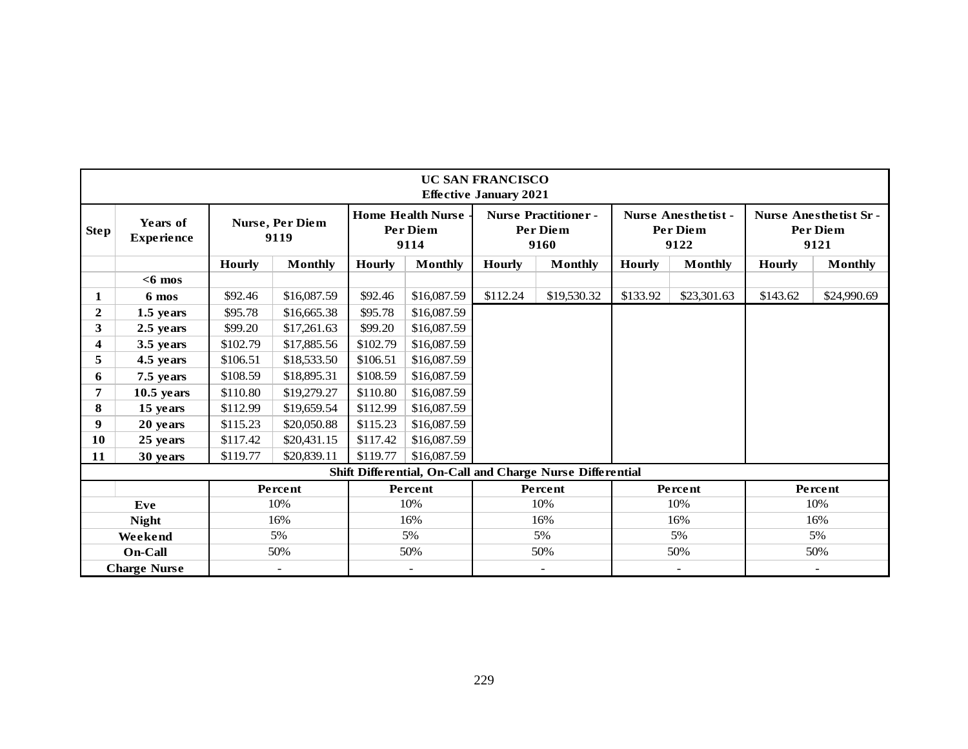|                  | <b>UC SAN FRANCISCO</b><br><b>Effective January 2021</b> |                         |                |                                                     |             |               |                                                           |               |                                                |               |                                                  |  |  |  |
|------------------|----------------------------------------------------------|-------------------------|----------------|-----------------------------------------------------|-------------|---------------|-----------------------------------------------------------|---------------|------------------------------------------------|---------------|--------------------------------------------------|--|--|--|
| <b>Step</b>      | Years of<br><b>Experience</b>                            | Nurse, Per Diem<br>9119 |                | <b>Home Health Nurse</b><br><b>Per Diem</b><br>9114 |             |               | <b>Nurse Practitioner -</b><br><b>Per Diem</b><br>9160    |               | <b>Nurse Anesthetist -</b><br>Per Diem<br>9122 |               | <b>Nurse Anesthetist Sr-</b><br>Per Diem<br>9121 |  |  |  |
|                  |                                                          | <b>Hourly</b>           | <b>Monthly</b> | <b>Hourly</b>                                       | Monthly     | <b>Hourly</b> | <b>Monthly</b>                                            | <b>Hourly</b> | <b>Monthly</b>                                 | <b>Hourly</b> | <b>Monthly</b>                                   |  |  |  |
|                  | $<$ 6 mos                                                |                         |                |                                                     |             |               |                                                           |               |                                                |               |                                                  |  |  |  |
| 1                | 6 mos                                                    | \$92.46                 | \$16,087.59    | \$92.46                                             | \$16,087.59 | \$112.24      | \$19,530.32                                               | \$133.92      | \$23,301.63                                    | \$143.62      | \$24,990.69                                      |  |  |  |
| $\boldsymbol{2}$ | 1.5 years                                                | \$95.78                 | \$16,665.38    | \$95.78                                             | \$16,087.59 |               |                                                           |               |                                                |               |                                                  |  |  |  |
| 3                | 2.5 years                                                | \$99.20                 | \$17,261.63    | \$99.20                                             | \$16,087.59 |               |                                                           |               |                                                |               |                                                  |  |  |  |
| 4                | 3.5 years                                                | \$102.79                | \$17,885.56    | \$102.79                                            | \$16,087.59 |               |                                                           |               |                                                |               |                                                  |  |  |  |
| 5                | 4.5 years                                                | \$106.51                | \$18,533.50    | \$106.51                                            | \$16,087.59 |               |                                                           |               |                                                |               |                                                  |  |  |  |
| 6                | 7.5 years                                                | \$108.59                | \$18,895.31    | \$108.59                                            | \$16,087.59 |               |                                                           |               |                                                |               |                                                  |  |  |  |
| 7                | $10.5$ years                                             | \$110.80                | \$19,279.27    | \$110.80                                            | \$16,087.59 |               |                                                           |               |                                                |               |                                                  |  |  |  |
| 8                | 15 years                                                 | \$112.99                | \$19,659.54    | \$112.99                                            | \$16,087.59 |               |                                                           |               |                                                |               |                                                  |  |  |  |
| 9                | 20 years                                                 | \$115.23                | \$20,050.88    | \$115.23                                            | \$16,087.59 |               |                                                           |               |                                                |               |                                                  |  |  |  |
| 10               | 25 years                                                 | \$117.42                | \$20,431.15    | \$117.42                                            | \$16,087.59 |               |                                                           |               |                                                |               |                                                  |  |  |  |
| 11               | 30 years                                                 | \$119.77                | \$20,839.11    | \$119.77                                            | \$16,087.59 |               |                                                           |               |                                                |               |                                                  |  |  |  |
|                  |                                                          |                         |                |                                                     |             |               | Shift Differential, On-Call and Charge Nurse Differential |               |                                                |               |                                                  |  |  |  |
|                  |                                                          |                         | Percent        |                                                     | Percent     |               | Percent                                                   |               | Percent                                        |               | Percent                                          |  |  |  |
|                  | Eve                                                      |                         | 10%            |                                                     | 10%         |               | 10%                                                       |               | 10%                                            |               | 10%                                              |  |  |  |
|                  | <b>Night</b>                                             |                         | 16%            |                                                     | 16%         |               | 16%                                                       |               | 16%                                            | 16%           |                                                  |  |  |  |
|                  | Weekend                                                  |                         | 5%             |                                                     | 5%          |               | 5%                                                        | 5%            |                                                |               | 5%                                               |  |  |  |
|                  | On-Call                                                  |                         | 50%            |                                                     | 50%         | 50%           |                                                           | 50%           |                                                | 50%           |                                                  |  |  |  |
|                  | <b>Charge Nurse</b>                                      |                         | $\sim$         |                                                     | $\sim$      |               | $\sim$                                                    |               | $\sim$                                         |               | $\overline{\phantom{a}}$                         |  |  |  |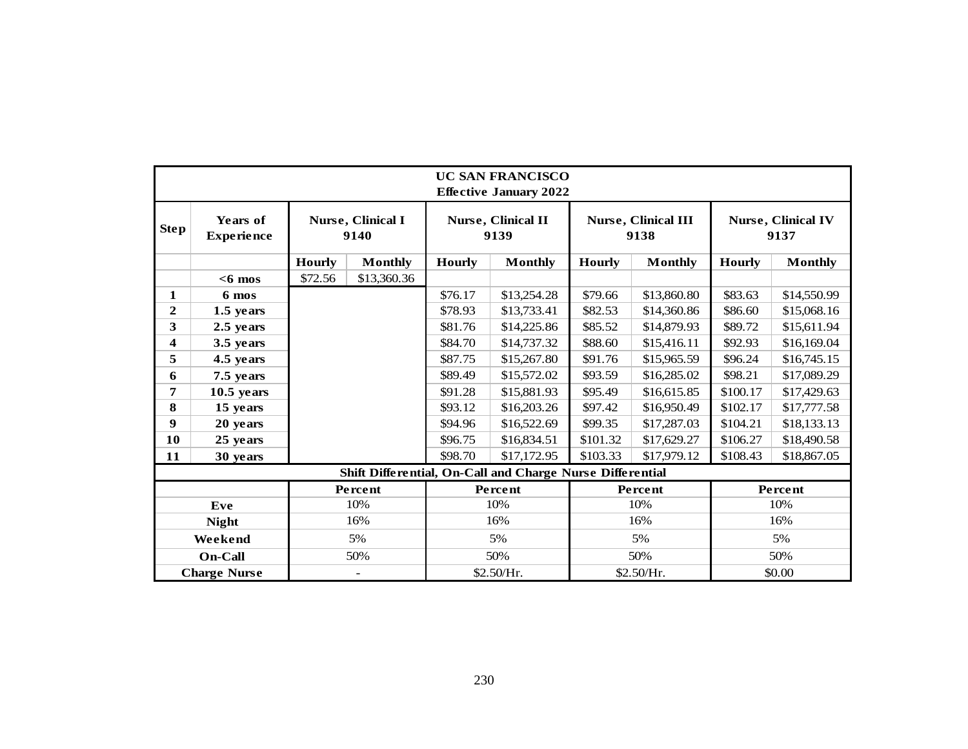|              | <b>UC SAN FRANCISCO</b><br><b>Effective January 2022</b> |                           |                                                           |               |                            |                                 |                                    |                                   |                |  |  |  |  |  |  |
|--------------|----------------------------------------------------------|---------------------------|-----------------------------------------------------------|---------------|----------------------------|---------------------------------|------------------------------------|-----------------------------------|----------------|--|--|--|--|--|--|
| <b>Step</b>  | Years of<br><b>Experience</b>                            | Nurse, Clinical I<br>9140 |                                                           |               | Nurse, Clinical II<br>9139 |                                 | <b>Nurse, Clinical III</b><br>9138 | <b>Nurse, Clinical IV</b><br>9137 |                |  |  |  |  |  |  |
|              |                                                          | <b>Hourly</b>             | <b>Monthly</b>                                            | <b>Hourly</b> | <b>Monthly</b>             | <b>Hourly</b><br><b>Monthly</b> |                                    | <b>Hourly</b>                     | <b>Monthly</b> |  |  |  |  |  |  |
|              | $<$ 6 mos                                                | \$72.56                   | \$13,360.36                                               |               |                            |                                 |                                    |                                   |                |  |  |  |  |  |  |
| 1            | 6 mos                                                    |                           |                                                           | \$76.17       | \$13,254.28                | \$79.66                         | \$13,860.80                        | \$83.63                           | \$14,550.99    |  |  |  |  |  |  |
| $\mathbf{2}$ | 1.5 years                                                |                           |                                                           | \$78.93       | \$13,733.41                | \$82.53                         | \$14,360.86                        | \$86.60                           | \$15,068.16    |  |  |  |  |  |  |
| 3            | 2.5 years                                                |                           |                                                           | \$81.76       | \$14,225.86                | \$85.52                         | \$14,879.93                        | \$89.72                           | \$15,611.94    |  |  |  |  |  |  |
| 4            | 3.5 years                                                |                           |                                                           | \$84.70       | \$14,737.32                | \$88.60                         | \$15,416.11                        | \$92.93                           | \$16,169.04    |  |  |  |  |  |  |
| 5            | 4.5 years                                                |                           |                                                           | \$87.75       | \$15,267.80                | \$91.76<br>\$15,965.59          |                                    | \$96.24                           | \$16,745.15    |  |  |  |  |  |  |
| 6            | 7.5 years                                                |                           |                                                           | \$89.49       | \$15,572.02                | \$93.59                         | \$16,285.02                        | \$98.21                           | \$17,089.29    |  |  |  |  |  |  |
| 7            | $10.5$ years                                             |                           |                                                           | \$91.28       | \$15,881.93                | \$95.49                         | \$16,615.85                        | \$100.17                          | \$17,429.63    |  |  |  |  |  |  |
| 8            | 15 years                                                 |                           |                                                           | \$93.12       | \$16,203.26                | \$97.42                         | \$16,950.49                        | \$102.17                          | \$17,777.58    |  |  |  |  |  |  |
| 9            | 20 years                                                 |                           |                                                           | \$94.96       | \$16,522.69                | \$99.35                         | \$17,287.03                        | \$104.21                          | \$18,133.13    |  |  |  |  |  |  |
| 10           | 25 years                                                 |                           |                                                           | \$96.75       | \$16,834.51                | \$101.32                        | \$17,629.27                        | \$106.27                          | \$18,490.58    |  |  |  |  |  |  |
| 11           | 30 years                                                 |                           |                                                           | \$98.70       | \$17,172.95                | \$103.33                        | \$17,979.12                        | \$108.43                          | \$18,867.05    |  |  |  |  |  |  |
|              |                                                          |                           | Shift Differential, On-Call and Charge Nurse Differential |               |                            |                                 |                                    |                                   |                |  |  |  |  |  |  |
|              |                                                          |                           | Percent                                                   |               | Percent                    |                                 | Percent                            |                                   | Percent        |  |  |  |  |  |  |
| Eve          |                                                          |                           | 10%                                                       |               | 10%                        |                                 | 10%                                |                                   | 10%            |  |  |  |  |  |  |
| <b>Night</b> |                                                          |                           | 16%                                                       |               | 16%                        |                                 | 16%                                |                                   | 16%            |  |  |  |  |  |  |
| Weekend      |                                                          | 5%                        | 5%                                                        |               | 5%                         |                                 |                                    | 5%                                |                |  |  |  |  |  |  |
|              | <b>On-Call</b>                                           |                           | 50%                                                       |               | 50%                        |                                 | 50%                                | 50%                               |                |  |  |  |  |  |  |
|              | <b>Charge Nurse</b>                                      |                           |                                                           |               | \$2.50/Hr.                 |                                 | \$2.50/Hr.                         | \$0.00                            |                |  |  |  |  |  |  |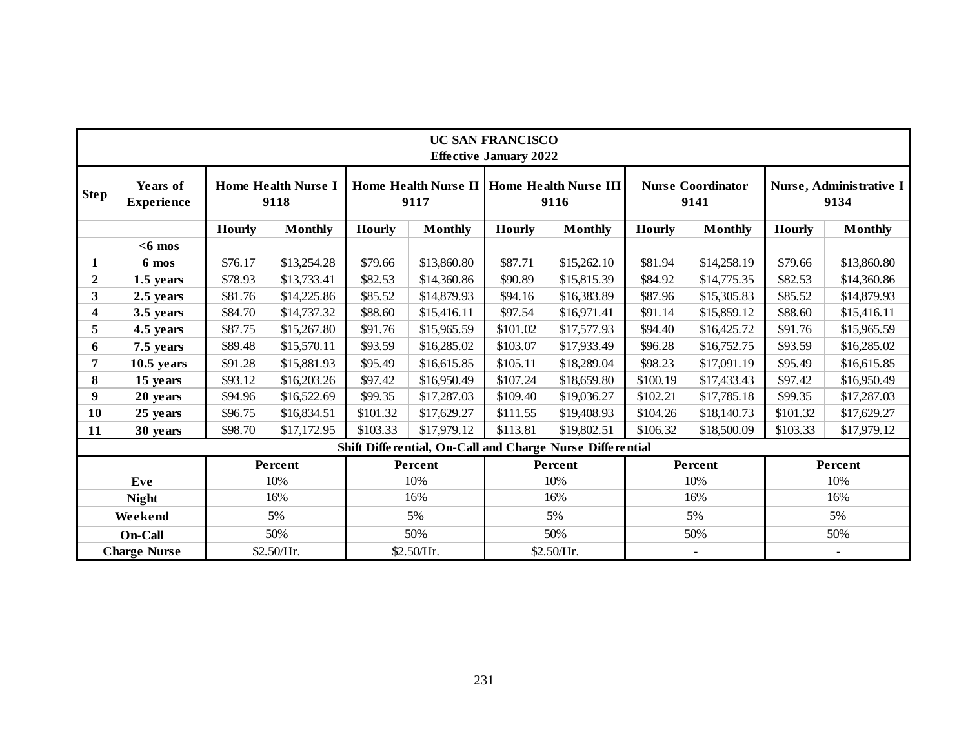| Years of<br><b>Home Health Nurse I</b><br>Home Health Nurse II   Home Health Nurse III<br><b>Nurse Coordinator</b><br>Nurse, Administrative I<br><b>Step</b><br>9134<br><b>Experience</b><br>9118<br>9117<br>9116<br>9141<br><b>Hourly</b><br><b>Monthly</b><br><b>Hourly</b><br><b>Hourly</b><br><b>Hourly</b><br><b>Monthly</b><br>Hourly<br><b>Monthly</b><br><b>Monthly</b><br><b>Monthly</b><br>$<$ 6 mos<br>\$87.71<br>6 mos<br>\$76.17<br>\$13,254.28<br>\$79.66<br>\$13,860.80<br>\$15,262.10<br>\$81.94<br>\$14,258.19<br>\$79.66<br>$\mathbf{1}$<br>$\boldsymbol{2}$<br>\$78.93<br>\$13,733.41<br>\$82.53<br>\$90.89<br>\$15,815.39<br>\$82.53<br>1.5 years<br>\$14,360.86<br>\$84.92<br>\$14,775.35<br>3 <sup>1</sup><br>2.5 years<br>\$81.76<br>\$14,225.86<br>\$85.52<br>\$14,879.93<br>\$94.16<br>\$16,383.89<br>\$87.96<br>\$15,305.83<br>\$85.52<br>$\overline{\mathbf{4}}$<br>\$84.70<br>\$88.60<br>\$97.54<br>\$88.60<br>3.5 years<br>\$14,737.32<br>\$15,416.11<br>\$16,971.41<br>\$91.14<br>\$15,859.12<br>5<br>4.5 years<br>\$87.75<br>\$91.76<br>\$101.02<br>\$91.76<br>\$15,267.80<br>\$15,965.59<br>\$17,577.93<br>\$94.40<br>\$16,425.72<br>\$89.48<br>\$15,570.11<br>\$93.59<br>\$16,285.02<br>\$103.07<br>\$17,933.49<br>\$96.28<br>\$16,752.75<br>\$93.59<br>7.5 years<br>6<br>$\overline{7}$<br>$10.5$ years<br>\$91.28<br>\$15,881.93<br>\$95.49<br>\$16,615.85<br>\$105.11<br>\$18,289.04<br>\$98.23<br>\$17,091.19<br>\$95.49<br>8<br>15 years<br>\$93.12<br>\$16,203.26<br>\$97.42<br>\$16,950.49<br>\$107.24<br>\$18,659.80<br>\$100.19<br>\$17,433.43<br>\$97.42<br>9<br>\$16,522.69<br>\$99.35<br>\$102.21<br>20 years<br>\$94.96<br>\$17,287.03<br>\$109.40<br>\$19,036.27<br>\$17,785.18<br>\$99.35<br>10<br>25 years<br>\$16,834.51<br>\$101.32<br>\$101.32<br>\$96.75<br>\$17,629.27<br>\$111.55<br>\$19,408.93<br>\$104.26<br>\$18,140.73<br>\$103.33<br>\$113.81<br>\$19,802.51<br>\$98.70<br>\$17,172.95<br>\$17,979.12<br>\$106.32<br>\$18,500.09<br>\$103.33<br>11<br>30 years<br>Shift Differential, On-Call and Charge Nurse Differential<br>Percent<br>Percent<br>Percent<br>Percent<br>Percent<br>10%<br>10%<br>10%<br>10%<br>10%<br>Eve<br>16%<br>16%<br>16%<br>16%<br>16%<br><b>Night</b><br>5%<br>5%<br>5%<br>5%<br>5%<br>Weekend<br>50%<br>50%<br>On-Call<br>50%<br>50%<br>50%<br><b>Charge Nurse</b><br>\$2.50/Hr.<br>\$2.50/Hr.<br>\$2.50/Hr. | <b>UC SAN FRANCISCO</b><br><b>Effective January 2022</b> |  |  |  |  |  |  |  |  |  |             |  |  |  |  |
|------------------------------------------------------------------------------------------------------------------------------------------------------------------------------------------------------------------------------------------------------------------------------------------------------------------------------------------------------------------------------------------------------------------------------------------------------------------------------------------------------------------------------------------------------------------------------------------------------------------------------------------------------------------------------------------------------------------------------------------------------------------------------------------------------------------------------------------------------------------------------------------------------------------------------------------------------------------------------------------------------------------------------------------------------------------------------------------------------------------------------------------------------------------------------------------------------------------------------------------------------------------------------------------------------------------------------------------------------------------------------------------------------------------------------------------------------------------------------------------------------------------------------------------------------------------------------------------------------------------------------------------------------------------------------------------------------------------------------------------------------------------------------------------------------------------------------------------------------------------------------------------------------------------------------------------------------------------------------------------------------------------------------------------------------------------------------------------------------------------------------------------------------------------------------------------------------------------------------------------------------------------------------------------------------------------------------------------------------------------------------------------------------|----------------------------------------------------------|--|--|--|--|--|--|--|--|--|-------------|--|--|--|--|
|                                                                                                                                                                                                                                                                                                                                                                                                                                                                                                                                                                                                                                                                                                                                                                                                                                                                                                                                                                                                                                                                                                                                                                                                                                                                                                                                                                                                                                                                                                                                                                                                                                                                                                                                                                                                                                                                                                                                                                                                                                                                                                                                                                                                                                                                                                                                                                                                      |                                                          |  |  |  |  |  |  |  |  |  |             |  |  |  |  |
|                                                                                                                                                                                                                                                                                                                                                                                                                                                                                                                                                                                                                                                                                                                                                                                                                                                                                                                                                                                                                                                                                                                                                                                                                                                                                                                                                                                                                                                                                                                                                                                                                                                                                                                                                                                                                                                                                                                                                                                                                                                                                                                                                                                                                                                                                                                                                                                                      |                                                          |  |  |  |  |  |  |  |  |  |             |  |  |  |  |
|                                                                                                                                                                                                                                                                                                                                                                                                                                                                                                                                                                                                                                                                                                                                                                                                                                                                                                                                                                                                                                                                                                                                                                                                                                                                                                                                                                                                                                                                                                                                                                                                                                                                                                                                                                                                                                                                                                                                                                                                                                                                                                                                                                                                                                                                                                                                                                                                      |                                                          |  |  |  |  |  |  |  |  |  |             |  |  |  |  |
|                                                                                                                                                                                                                                                                                                                                                                                                                                                                                                                                                                                                                                                                                                                                                                                                                                                                                                                                                                                                                                                                                                                                                                                                                                                                                                                                                                                                                                                                                                                                                                                                                                                                                                                                                                                                                                                                                                                                                                                                                                                                                                                                                                                                                                                                                                                                                                                                      |                                                          |  |  |  |  |  |  |  |  |  | \$13,860.80 |  |  |  |  |
|                                                                                                                                                                                                                                                                                                                                                                                                                                                                                                                                                                                                                                                                                                                                                                                                                                                                                                                                                                                                                                                                                                                                                                                                                                                                                                                                                                                                                                                                                                                                                                                                                                                                                                                                                                                                                                                                                                                                                                                                                                                                                                                                                                                                                                                                                                                                                                                                      |                                                          |  |  |  |  |  |  |  |  |  | \$14,360.86 |  |  |  |  |
|                                                                                                                                                                                                                                                                                                                                                                                                                                                                                                                                                                                                                                                                                                                                                                                                                                                                                                                                                                                                                                                                                                                                                                                                                                                                                                                                                                                                                                                                                                                                                                                                                                                                                                                                                                                                                                                                                                                                                                                                                                                                                                                                                                                                                                                                                                                                                                                                      |                                                          |  |  |  |  |  |  |  |  |  | \$14,879.93 |  |  |  |  |
|                                                                                                                                                                                                                                                                                                                                                                                                                                                                                                                                                                                                                                                                                                                                                                                                                                                                                                                                                                                                                                                                                                                                                                                                                                                                                                                                                                                                                                                                                                                                                                                                                                                                                                                                                                                                                                                                                                                                                                                                                                                                                                                                                                                                                                                                                                                                                                                                      |                                                          |  |  |  |  |  |  |  |  |  | \$15,416.11 |  |  |  |  |
|                                                                                                                                                                                                                                                                                                                                                                                                                                                                                                                                                                                                                                                                                                                                                                                                                                                                                                                                                                                                                                                                                                                                                                                                                                                                                                                                                                                                                                                                                                                                                                                                                                                                                                                                                                                                                                                                                                                                                                                                                                                                                                                                                                                                                                                                                                                                                                                                      |                                                          |  |  |  |  |  |  |  |  |  | \$15,965.59 |  |  |  |  |
|                                                                                                                                                                                                                                                                                                                                                                                                                                                                                                                                                                                                                                                                                                                                                                                                                                                                                                                                                                                                                                                                                                                                                                                                                                                                                                                                                                                                                                                                                                                                                                                                                                                                                                                                                                                                                                                                                                                                                                                                                                                                                                                                                                                                                                                                                                                                                                                                      |                                                          |  |  |  |  |  |  |  |  |  | \$16,285.02 |  |  |  |  |
|                                                                                                                                                                                                                                                                                                                                                                                                                                                                                                                                                                                                                                                                                                                                                                                                                                                                                                                                                                                                                                                                                                                                                                                                                                                                                                                                                                                                                                                                                                                                                                                                                                                                                                                                                                                                                                                                                                                                                                                                                                                                                                                                                                                                                                                                                                                                                                                                      |                                                          |  |  |  |  |  |  |  |  |  | \$16,615.85 |  |  |  |  |
|                                                                                                                                                                                                                                                                                                                                                                                                                                                                                                                                                                                                                                                                                                                                                                                                                                                                                                                                                                                                                                                                                                                                                                                                                                                                                                                                                                                                                                                                                                                                                                                                                                                                                                                                                                                                                                                                                                                                                                                                                                                                                                                                                                                                                                                                                                                                                                                                      |                                                          |  |  |  |  |  |  |  |  |  | \$16,950.49 |  |  |  |  |
|                                                                                                                                                                                                                                                                                                                                                                                                                                                                                                                                                                                                                                                                                                                                                                                                                                                                                                                                                                                                                                                                                                                                                                                                                                                                                                                                                                                                                                                                                                                                                                                                                                                                                                                                                                                                                                                                                                                                                                                                                                                                                                                                                                                                                                                                                                                                                                                                      |                                                          |  |  |  |  |  |  |  |  |  | \$17,287.03 |  |  |  |  |
|                                                                                                                                                                                                                                                                                                                                                                                                                                                                                                                                                                                                                                                                                                                                                                                                                                                                                                                                                                                                                                                                                                                                                                                                                                                                                                                                                                                                                                                                                                                                                                                                                                                                                                                                                                                                                                                                                                                                                                                                                                                                                                                                                                                                                                                                                                                                                                                                      |                                                          |  |  |  |  |  |  |  |  |  | \$17,629.27 |  |  |  |  |
|                                                                                                                                                                                                                                                                                                                                                                                                                                                                                                                                                                                                                                                                                                                                                                                                                                                                                                                                                                                                                                                                                                                                                                                                                                                                                                                                                                                                                                                                                                                                                                                                                                                                                                                                                                                                                                                                                                                                                                                                                                                                                                                                                                                                                                                                                                                                                                                                      |                                                          |  |  |  |  |  |  |  |  |  | \$17,979.12 |  |  |  |  |
|                                                                                                                                                                                                                                                                                                                                                                                                                                                                                                                                                                                                                                                                                                                                                                                                                                                                                                                                                                                                                                                                                                                                                                                                                                                                                                                                                                                                                                                                                                                                                                                                                                                                                                                                                                                                                                                                                                                                                                                                                                                                                                                                                                                                                                                                                                                                                                                                      |                                                          |  |  |  |  |  |  |  |  |  |             |  |  |  |  |
|                                                                                                                                                                                                                                                                                                                                                                                                                                                                                                                                                                                                                                                                                                                                                                                                                                                                                                                                                                                                                                                                                                                                                                                                                                                                                                                                                                                                                                                                                                                                                                                                                                                                                                                                                                                                                                                                                                                                                                                                                                                                                                                                                                                                                                                                                                                                                                                                      |                                                          |  |  |  |  |  |  |  |  |  |             |  |  |  |  |
|                                                                                                                                                                                                                                                                                                                                                                                                                                                                                                                                                                                                                                                                                                                                                                                                                                                                                                                                                                                                                                                                                                                                                                                                                                                                                                                                                                                                                                                                                                                                                                                                                                                                                                                                                                                                                                                                                                                                                                                                                                                                                                                                                                                                                                                                                                                                                                                                      |                                                          |  |  |  |  |  |  |  |  |  |             |  |  |  |  |
|                                                                                                                                                                                                                                                                                                                                                                                                                                                                                                                                                                                                                                                                                                                                                                                                                                                                                                                                                                                                                                                                                                                                                                                                                                                                                                                                                                                                                                                                                                                                                                                                                                                                                                                                                                                                                                                                                                                                                                                                                                                                                                                                                                                                                                                                                                                                                                                                      |                                                          |  |  |  |  |  |  |  |  |  |             |  |  |  |  |
|                                                                                                                                                                                                                                                                                                                                                                                                                                                                                                                                                                                                                                                                                                                                                                                                                                                                                                                                                                                                                                                                                                                                                                                                                                                                                                                                                                                                                                                                                                                                                                                                                                                                                                                                                                                                                                                                                                                                                                                                                                                                                                                                                                                                                                                                                                                                                                                                      |                                                          |  |  |  |  |  |  |  |  |  |             |  |  |  |  |
|                                                                                                                                                                                                                                                                                                                                                                                                                                                                                                                                                                                                                                                                                                                                                                                                                                                                                                                                                                                                                                                                                                                                                                                                                                                                                                                                                                                                                                                                                                                                                                                                                                                                                                                                                                                                                                                                                                                                                                                                                                                                                                                                                                                                                                                                                                                                                                                                      |                                                          |  |  |  |  |  |  |  |  |  |             |  |  |  |  |
|                                                                                                                                                                                                                                                                                                                                                                                                                                                                                                                                                                                                                                                                                                                                                                                                                                                                                                                                                                                                                                                                                                                                                                                                                                                                                                                                                                                                                                                                                                                                                                                                                                                                                                                                                                                                                                                                                                                                                                                                                                                                                                                                                                                                                                                                                                                                                                                                      |                                                          |  |  |  |  |  |  |  |  |  |             |  |  |  |  |
|                                                                                                                                                                                                                                                                                                                                                                                                                                                                                                                                                                                                                                                                                                                                                                                                                                                                                                                                                                                                                                                                                                                                                                                                                                                                                                                                                                                                                                                                                                                                                                                                                                                                                                                                                                                                                                                                                                                                                                                                                                                                                                                                                                                                                                                                                                                                                                                                      |                                                          |  |  |  |  |  |  |  |  |  |             |  |  |  |  |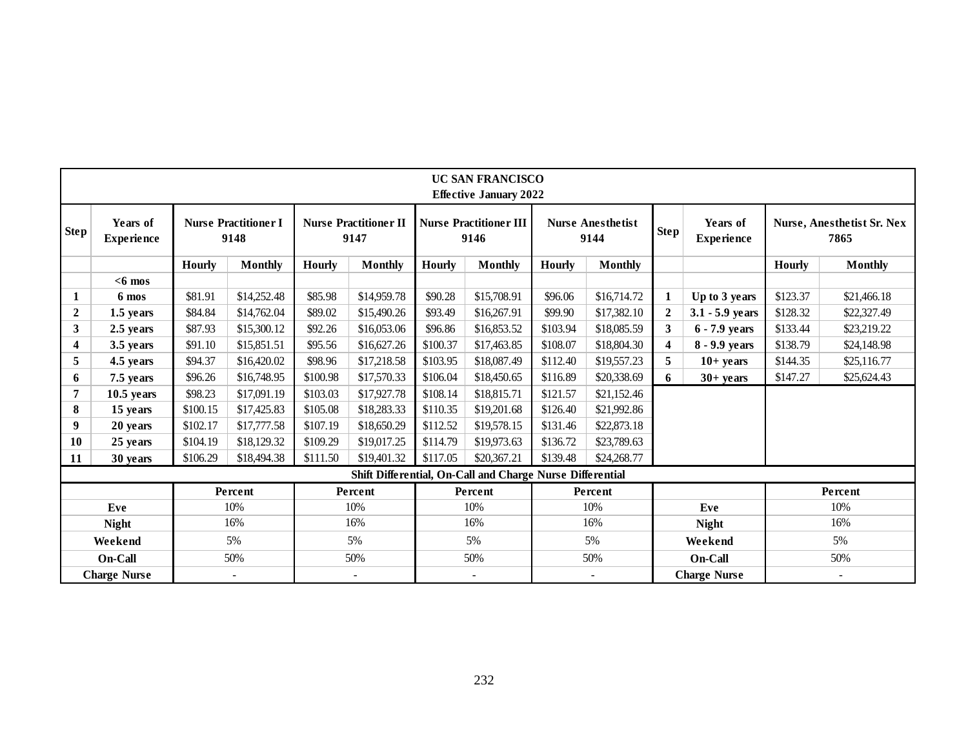|                                          | <b>UC SAN FRANCISCO</b><br><b>Effective January 2022</b> |                                     |                |               |                                      |                         |                                                           |                         |                                  |                         |                               |               |                                    |  |
|------------------------------------------|----------------------------------------------------------|-------------------------------------|----------------|---------------|--------------------------------------|-------------------------|-----------------------------------------------------------|-------------------------|----------------------------------|-------------------------|-------------------------------|---------------|------------------------------------|--|
| <b>Step</b>                              | Years of<br><b>Experience</b>                            | <b>Nurse Practitioner I</b><br>9148 |                |               | <b>Nurse Practitioner II</b><br>9147 |                         | <b>Nurse Practitioner III</b><br>9146                     |                         | <b>Nurse Anesthetist</b><br>9144 | <b>Step</b>             | Years of<br><b>Experience</b> |               | Nurse, Anesthetist Sr. Nex<br>7865 |  |
|                                          |                                                          | <b>Hourly</b>                       | <b>Monthly</b> | <b>Hourly</b> | Monthly                              | <b>Hourly</b>           | Monthly                                                   | Hourly                  | <b>Monthly</b>                   |                         |                               | <b>Hourly</b> | <b>Monthly</b>                     |  |
|                                          | $<$ 6 mos                                                |                                     |                |               |                                      |                         |                                                           |                         |                                  |                         |                               |               |                                    |  |
|                                          | \$81.91<br>\$14,252.48<br>6 mos                          |                                     |                | \$85.98       | \$14,959.78                          | \$90.28                 | \$15,708.91                                               | \$96.06                 | \$16,714.72                      |                         | Up to 3 years                 | \$123.37      | \$21,466.18                        |  |
| $\boldsymbol{2}$<br>\$84.84<br>1.5 years |                                                          | \$14,762.04                         | \$89.02        | \$15,490.26   | \$93.49                              | \$16,267.91             | \$99.90                                                   | \$17,382.10             | $\mathbf{2}$                     | $3.1 - 5.9$ years       | \$128.32                      | \$22,327.49   |                                    |  |
| 3<br>2.5 years                           |                                                          | \$87.93                             | \$15,300.12    | \$92.26       | \$16,053.06                          | \$96.86                 | \$16,853.52                                               | \$103.94                | \$18,085.59                      | $\mathbf{3}$            | $6 - 7.9$ years               | \$133.44      | \$23,219.22                        |  |
| $\overline{\mathbf{4}}$                  | 3.5 years                                                | \$91.10                             | \$15,851.51    | \$95.56       | \$16,627.26                          | \$100.37                | \$17,463.85                                               | \$108.07                | \$18,804.30                      | $\overline{\mathbf{4}}$ | 8 - 9.9 years                 | \$138.79      | \$24,148.98                        |  |
| 5                                        | 4.5 years                                                | \$94.37                             | \$16,420.02    | \$98.96       | \$17,218.58                          | \$103.95                | \$18,087.49                                               | \$112.40                | \$19,557.23                      | 5                       | $10+ years$                   | \$144.35      | \$25,116.77                        |  |
| 6                                        | \$96.26<br>\$16,748.95<br>7.5 years                      |                                     | \$100.98       | \$17,570.33   | \$106.04                             | \$18,450.65             | \$116.89<br>\$20,338.69                                   |                         | 6                                | $30+$ years             | \$147.27                      | \$25,624.43   |                                    |  |
|                                          | $10.5$ years                                             | \$98.23                             | \$17,091.19    | \$103.03      | \$17,927.78                          | \$108.14                | \$18,815.71                                               | \$121.57                | \$21,152.46                      |                         |                               |               |                                    |  |
| 8                                        | 15 years                                                 | \$100.15                            | \$17,425.83    | \$105.08      | \$18,283.33                          | \$110.35<br>\$19,201.68 |                                                           | \$21,992.86<br>\$126.40 |                                  |                         |                               |               |                                    |  |
| 9                                        | 20 years                                                 | \$102.17                            | \$17,777.58    | \$107.19      | \$18,650.29                          | \$112.52                | \$19,578.15                                               | \$131.46<br>\$22,873.18 |                                  |                         |                               |               |                                    |  |
| 10                                       | 25 years                                                 | \$104.19                            | \$18,129.32    | \$109.29      | \$19,017.25                          | \$114.79                | \$19,973.63                                               | \$136.72                | \$23,789.63                      |                         |                               |               |                                    |  |
| 11                                       | 30 years                                                 | \$106.29                            | \$18,494.38    | \$111.50      | \$19,401.32                          | \$117.05                | \$20,367.21                                               | \$139.48                | \$24,268.77                      |                         |                               |               |                                    |  |
|                                          |                                                          |                                     |                |               |                                      |                         | Shift Differential, On-Call and Charge Nurse Differential |                         |                                  |                         |                               |               |                                    |  |
|                                          |                                                          |                                     | Percent        |               | Percent                              |                         | Percent                                                   |                         | Percent                          |                         |                               |               | Percent                            |  |
|                                          | Eve                                                      |                                     | 10%            |               | 10%                                  |                         | 10%                                                       |                         | 10%                              |                         | Eve                           |               | 10%                                |  |
|                                          | <b>Night</b>                                             |                                     | 16%            |               | 16%                                  |                         | 16%                                                       |                         | 16%                              |                         | <b>Night</b>                  |               | 16%                                |  |
|                                          | Weekend                                                  |                                     | 5%             | 5%            |                                      |                         | 5%                                                        | 5%                      |                                  |                         | Weekend                       |               | 5%                                 |  |
|                                          | On-Call                                                  |                                     | 50%            | 50%           |                                      | 50%                     |                                                           | 50%                     |                                  |                         | On-Call                       |               | 50%                                |  |
|                                          | <b>Charge Nurse</b>                                      |                                     |                |               |                                      |                         |                                                           |                         | $\overline{\phantom{a}}$         |                         | <b>Charge Nurse</b>           |               |                                    |  |